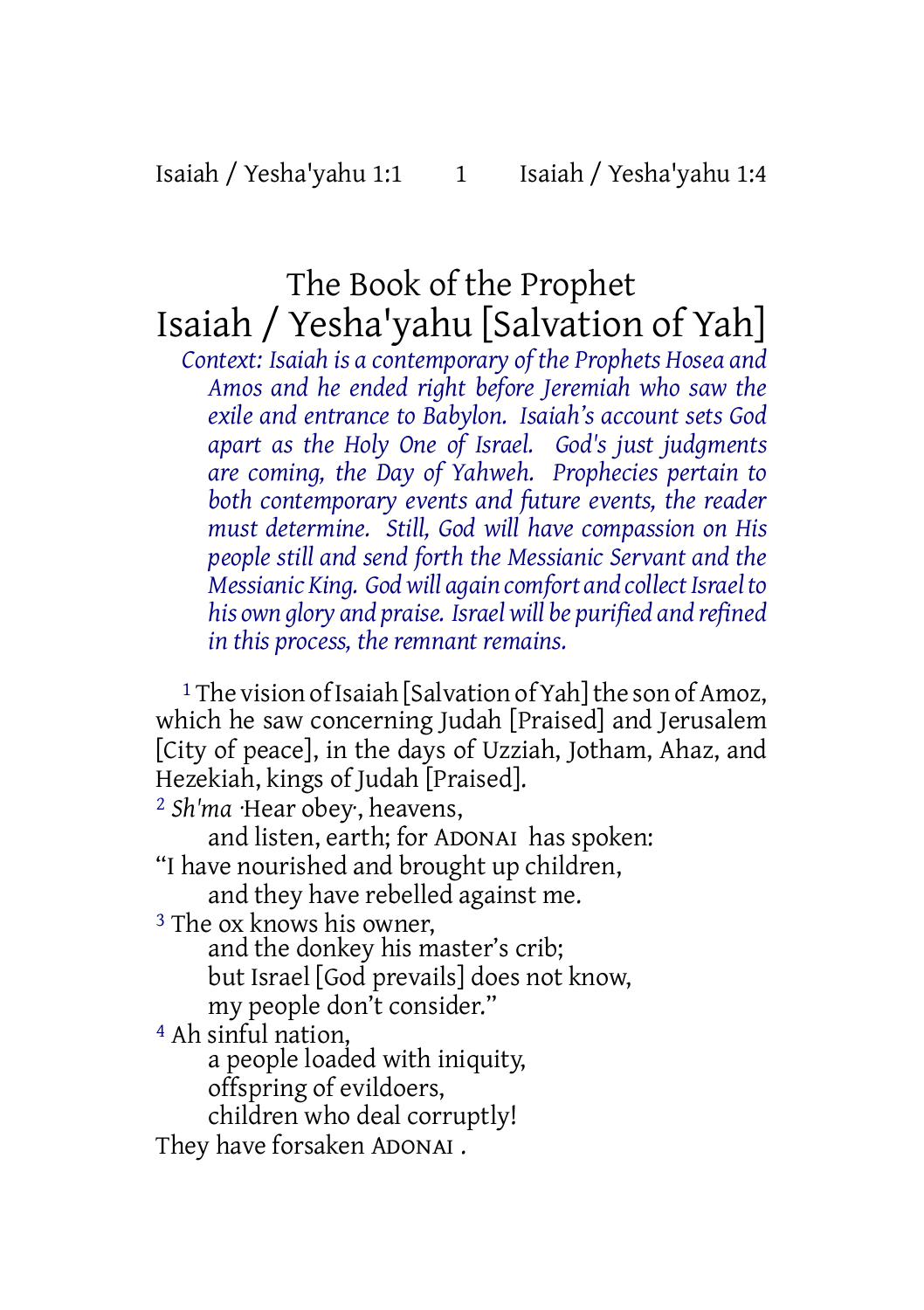# The Book of the Prophet Isaiah / Yesha'yahu [Salvation of Yah]

*Context: Isaiah is a contemporary of the Prophets Hosea and Amos and he ended right before Jeremiah who saw the exile and entrance to Babylon. Isaiah's account sets God apart as the Holy One of Israel. God's just judgments are coming, the Day of Yahweh. Prophecies pertain to both contemporary events and future events, the reader must determine. Still, God will have compassion on His people still and send forth the Messianic Servant and the Messianic King. Godwill again comfort and collectIsraelto his own glory and praise. Israelwill be purified and refined in this process, the remnant remains.*

<sup>1</sup> The vision of Isaiah [Salvation of Yah] the son of Amoz, which he saw concerning Judah [Praised] and Jerusalem [City of peace], in the days of Uzziah, Jotham, Ahaz, and Hezekiah, kings of Judah [Praised].

2 *Sh'ma* ·Hear obey·, heavens,

and listen, earth; for ADONAI has spoken:

"I have nourished and brought up children,

and they have rebelled against me.

3 The ox knows his owner,

and the donkey his master's crib; but Israel [God prevails] does not know, my people don't consider."

4 Ah sinful nation,

a people loaded with iniquity, offspring of evildoers,

children who deal corruptly!

They have forsaken ADONAI .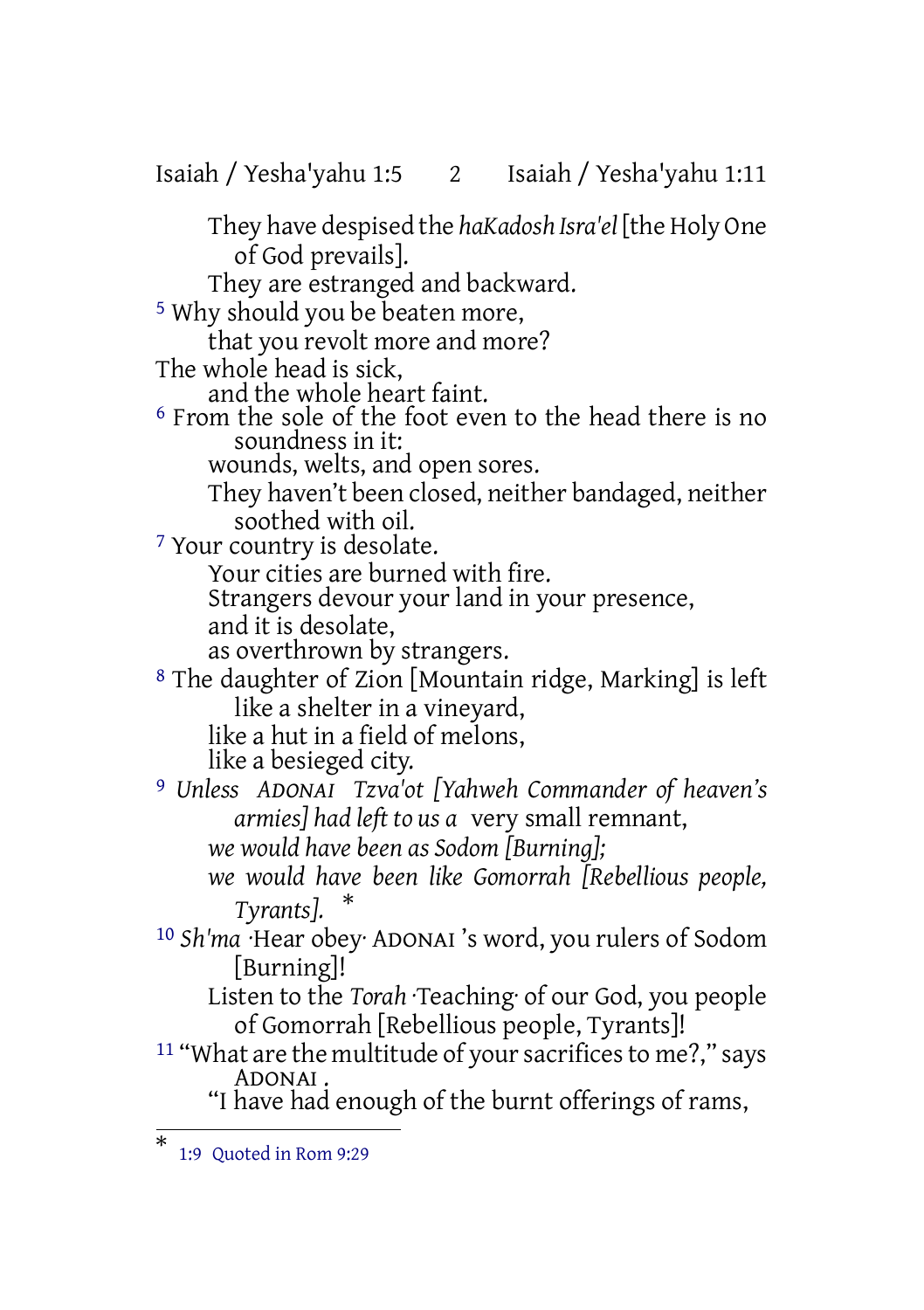Isaiah / Yesha'yahu 1:5 2 Isaiah / Yesha'yahu 1:11

They have despised the *haKadosh Isra'el* [the Holy One of God prevails]. They are estranged and backward. 5 Why should you be beaten more, that you revolt more and more? The whole head is sick, and the whole heart faint. 6 From the sole of the foot even to the head there is no soundness in it: wounds, welts, and open sores. They haven't been closed, neither bandaged, neither soothed with oil. 7 Your country is desolate. Your cities are burned with fire. Strangers devour your land in your presence, and it is desolate, as overthrown by strangers. 8 The daughter of Zion [Mountain ridge, Marking] is left like a shelter in a vineyard, like a hut in a field of melons, like a besieged city. 9 *Unless ADONAI Tzva'ot [Yahweh Commander of heaven's armies] had left to us a* very small remnant, *we would have been as Sodom [Burning]; we would have been like Gomorrah [Rebellious people, Tyrants].* \* 10 *Sh'ma* ·Hear obey· ADONAI 's word, you rulers of Sodom [Burning]! Listen to the *Torah* ·Teaching· of our God, you people of Gomorrah [Rebellious people, Tyrants]! <sup>11</sup> "What are the multitude of your sacrifices to me?," says ADONAI .

"I have had enough of the burnt offerings of rams,

<sup>\*</sup> 1:9 Quoted in Rom 9:29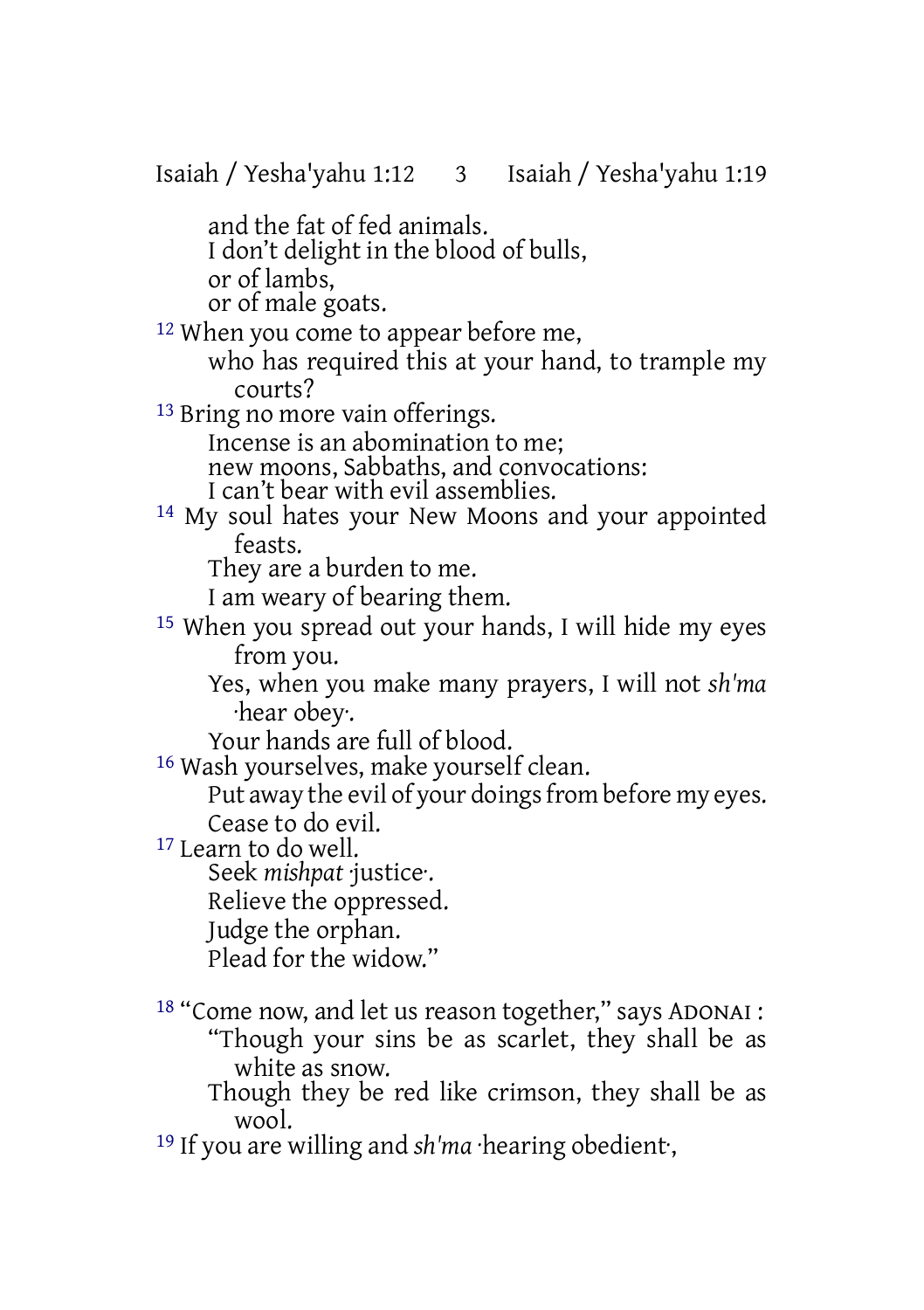and the fat of fed animals. I don't delight in the blood of bulls, or of lambs, or of male goats. <sup>12</sup> When you come to appear before me, who has required this at your hand, to trample my courts? 13 Bring no more vain offerings. Incense is an abomination to me; new moons, Sabbaths, and convocations: I can't bear with evil assemblies. 14 My soul hates your New Moons and your appointed feasts. They are a burden to me. I am weary of bearing them. 15 When you spread out your hands, I will hide my eyes from you. Yes, when you make many prayers, I will not *sh'ma* ·hear obey·. Your hands are full of blood. 16 Wash yourselves, make yourself clean. Put away the evil of your doings from before my eyes. Cease to do evil. 17 Learn to do well. Seek *mishpat* ·justice·. Relieve the oppressed. Judge the orphan. Plead for the widow."

18 "Come now, and let us reason together," says ADONAI : "Though your sins be as scarlet, they shall be as white as snow.

Though they be red like crimson, they shall be as wool.

19 If you are willing and *sh'ma* ·hearing obedient·,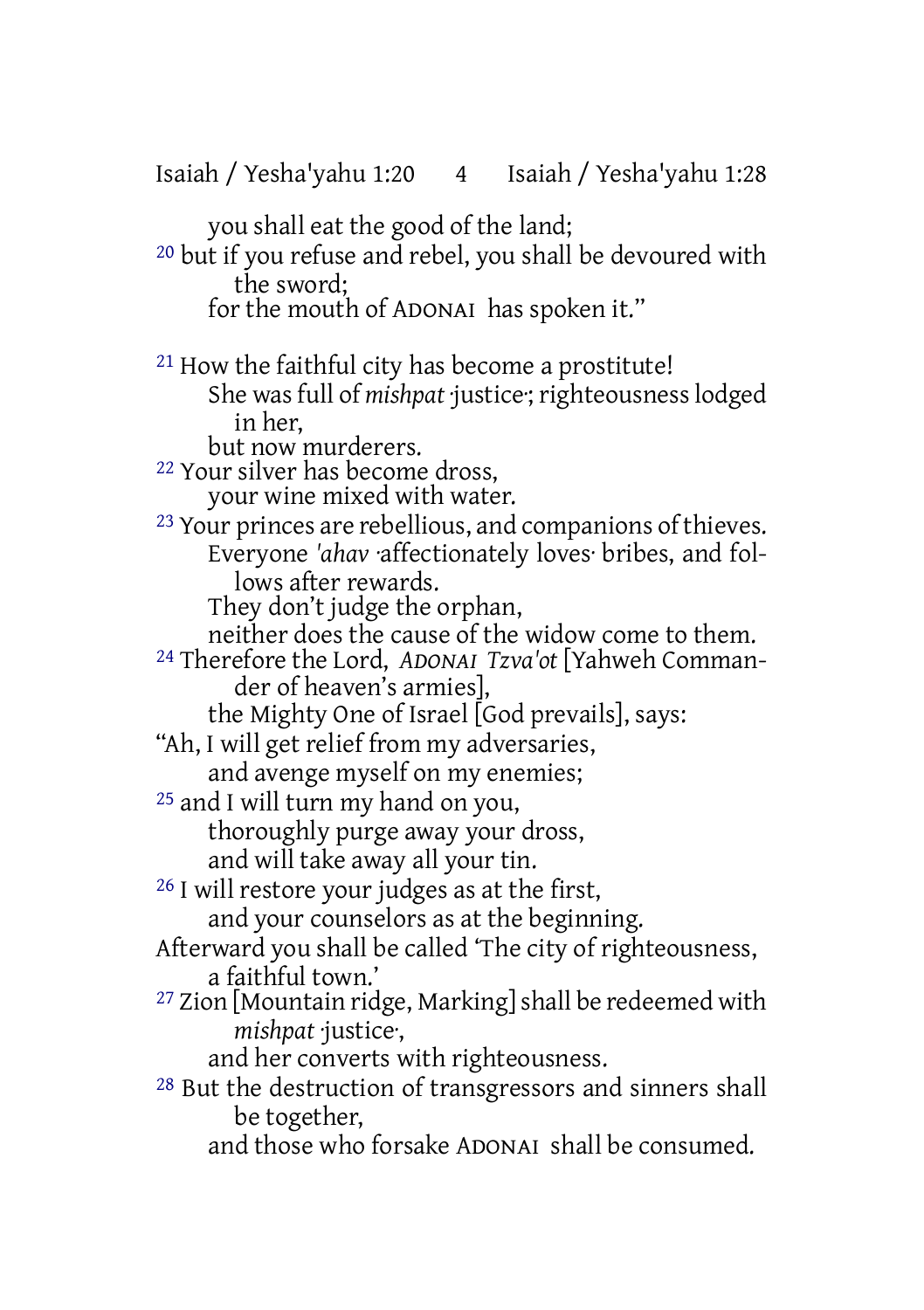you shall eat the good of the land; 20 but if you refuse and rebel, you shall be devoured with the sword; for the mouth of ADONAI has spoken it." 21 How the faithful city has become a prostitute! She was full of *mishpat* ·justice: righteousness lodged in her, but now murderers. 22 Your silver has become dross, your wine mixed with water. 23 Your princes are rebellious, and companions of thieves. Everyone *'ahav* ·affectionately loves· bribes, and follows after rewards. They don't judge the orphan, neither does the cause of the widow come to them. 24 Therefore the Lord, *ADONAI Tzva'ot* [Yahweh Commander of heaven's armies], the Mighty One of Israel [God prevails], says: "Ah, I will get relief from my adversaries, and avenge myself on my enemies; 25 and I will turn my hand on you, thoroughly purge away your dross, and will take away all your tin. 26 I will restore your judges as at the first, and your counselors as at the beginning. Afterward you shall be called 'The city of righteousness, a faithful town.' <sup>27</sup> Zion [Mountain ridge, Marking] shall be redeemed with *mishpat* ·justice·, and her converts with righteousness. 28 But the destruction of transgressors and sinners shall be together, and those who forsake ADONAI shall be consumed.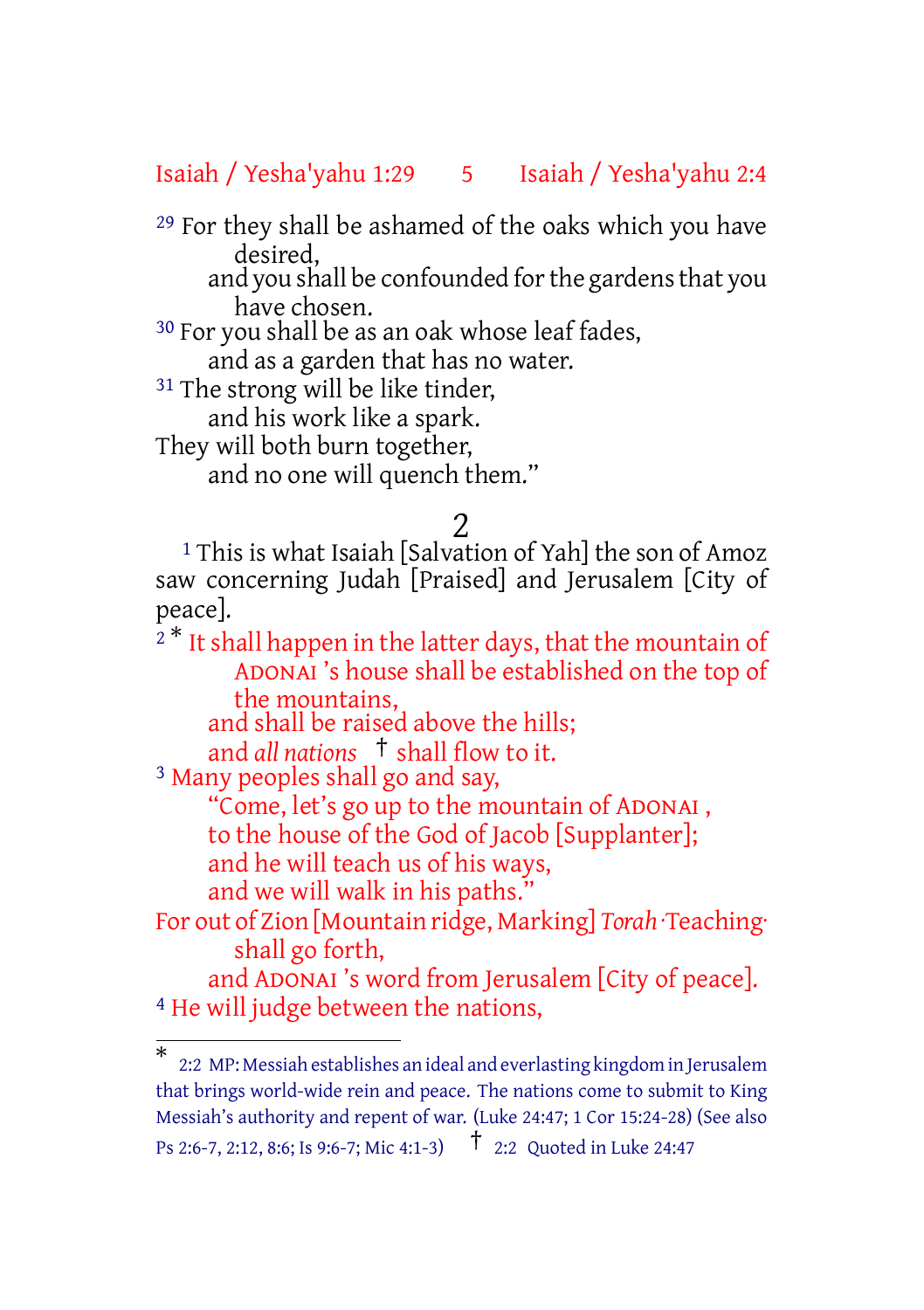#### Isaiah / Yesha'yahu 1:29 5 Isaiah / Yesha'yahu 2:4

29 For they shall be ashamed of the oaks which you have desired,

and you shall be confounded for the gardens that you have chosen.

30 For you shall be as an oak whose leaf fades,

and as a garden that has no water.

<sup>31</sup> The strong will be like tinder,

and his work like a spark.

They will both burn together,

and no one will quench them."

#### 2

<sup>1</sup> This is what Isaiah [Salvation of Yah] the son of Amoz saw concerning Judah [Praised] and Jerusalem [City of peace].

 $2^*$  It shall happen in the latter days, that the mountain of ADONAI 's house shall be established on the top of the mountains, and shall be raised above the hills;

and *all nations* † shall flow to it. 3 Many peoples shall go and say,

"Come, let's go up to the mountain of ADONAI , to the house of the God of Jacob [Supplanter]; and he will teach us of his ways,

and we will walk in his paths."

For out of Zion [Mountain ridge, Marking] *Torah* ·Teaching· shall go forth,

and ADONAI 's word from Jerusalem [City of peace]. 4 He will judge between the nations,

<sup>\*</sup> 2:2 MP: Messiah establishes an ideal and everlasting kingdom in Jerusalem that brings world-wide rein and peace. The nations come to submit to King Messiah's authority and repent of war. (Luke 24:47; 1 Cor 15:24-28) (See also Ps 2:6-7, 2:12, 8:6; Is 9:6-7; Mic 4:1-3) † 2:2 Quoted in Luke 24:47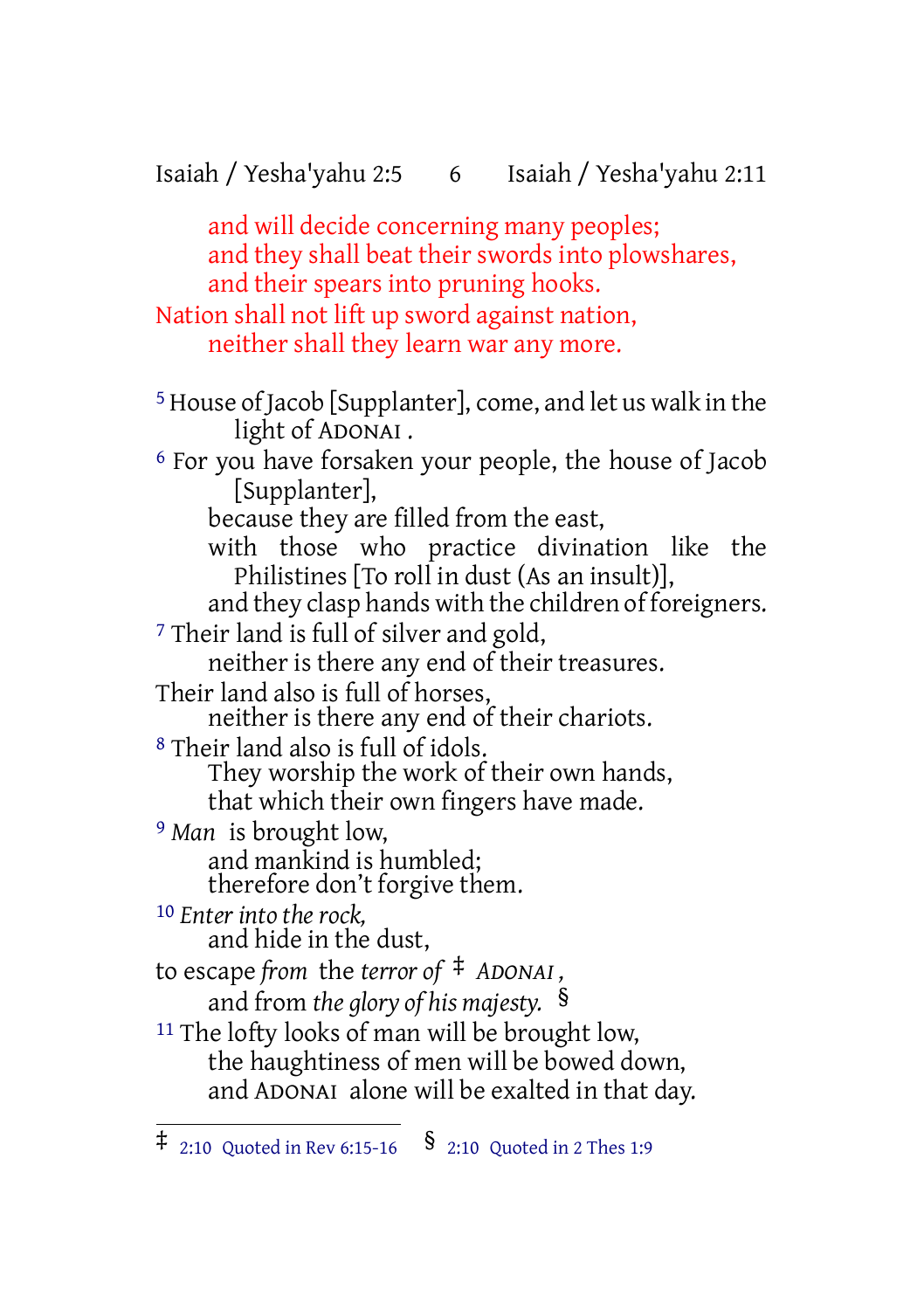## Isaiah / Yesha'yahu 2:5 6 Isaiah / Yesha'yahu 2:11

and will decide concerning many peoples; and they shall beat their swords into plowshares, and their spears into pruning hooks. Nation shall not lift up sword against nation, neither shall they learn war any more.

5 House of Jacob [Supplanter], come, and let us walk in the light of ADONAI . 6 For you have forsaken your people, the house of Jacob [Supplanter], because they are filled from the east, with those who practice divination like the Philistines [To roll in dust (As an insult)], and they clasp hands with the children of foreigners. 7 Their land is full of silver and gold, neither is there any end of their treasures. Their land also is full of horses, neither is there any end of their chariots. 8 Their land also is full of idols. They worship the work of their own hands, that which their own fingers have made. 9 *Man* is brought low, and mankind is humbled; therefore don't forgive them. 10 *Enter into the rock,* and hide in the dust, to escape *from* the *terror of* ‡ *ADONAI ,* and from *the glory of his majesty.* § <sup>11</sup> The lofty looks of man will be brought low, the haughtiness of men will be bowed down, and ADONAI alone will be exalted in that day.

 $\ddagger$  2:10 Quoted in Rev 6:15-16  $\lessgtr$  8 2:10 Quoted in 2 Thes 1:9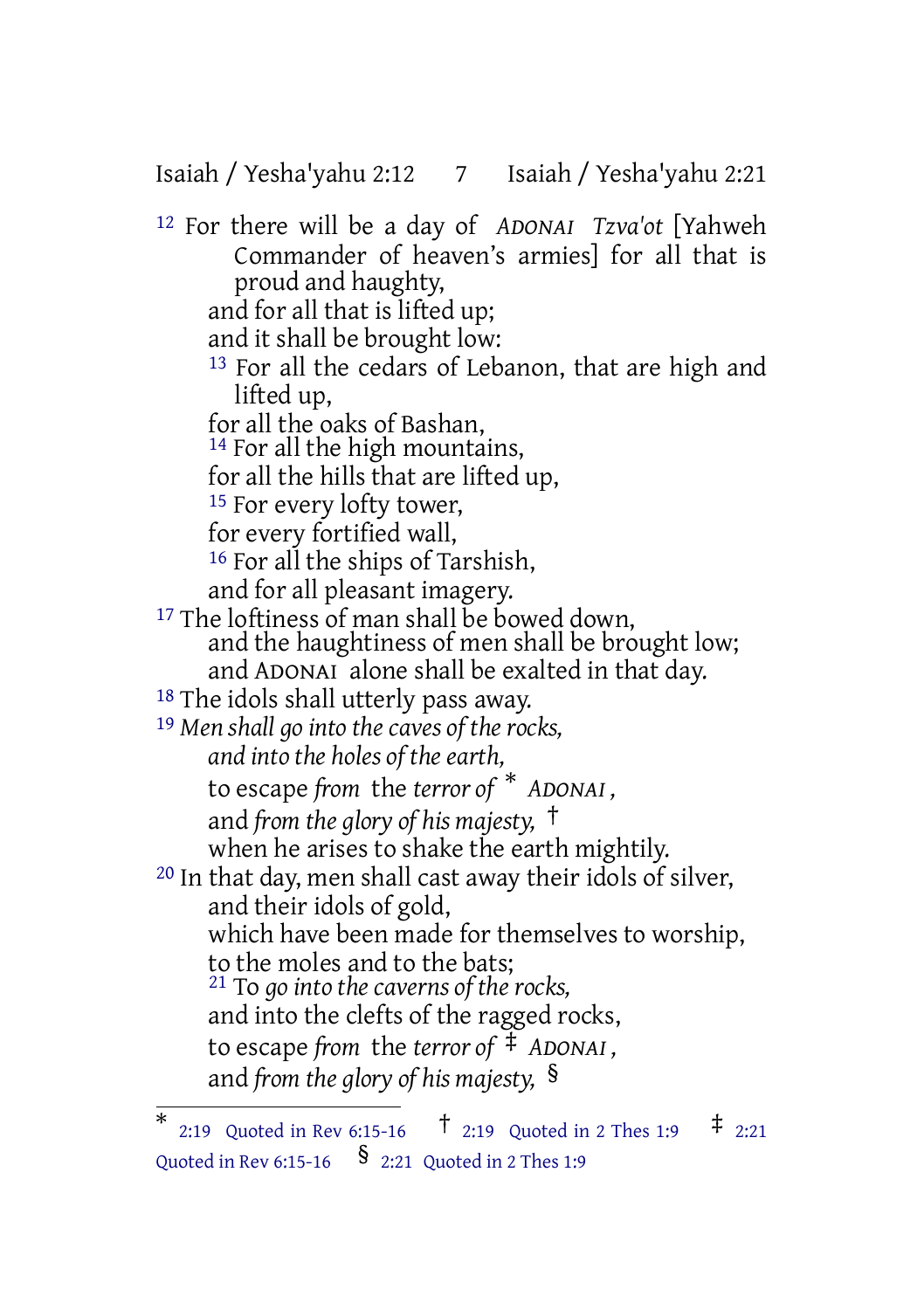Isaiah / Yesha'yahu 2:12 7 Isaiah / Yesha'yahu 2:21

12 For there will be a day of *ADONAI Tzva'ot* [Yahweh Commander of heaven's armies] for all that is proud and haughty, and for all that is lifted up; and it shall be brought low: 13 For all the cedars of Lebanon, that are high and lifted up, for all the oaks of Bashan, <sup>14</sup> For all the high mountains, for all the hills that are lifted up, <sup>15</sup> For every lofty tower, for every fortified wall, 16 For all the ships of Tarshish, and for all pleasant imagery. <sup>17</sup> The loftiness of man shall be bowed down, and the haughtiness of men shall be brought low; and ADONAI alone shall be exalted in that day. 18 The idols shall utterly pass away. 19 *Men shall go into the caves of the rocks, and into the holes of the earth,* to escape *from* the *terror of* \* *ADONAI ,* and *from the glory of his majesty,* † when he arises to shake the earth mightily. 20 In that day, men shall cast away their idols of silver, and their idols of gold, which have been made for themselves to worship, to the moles and to the bats; 21 To *go into the caverns of the rocks,* and into the clefts of the ragged rocks, to escape *from* the *terror of* ‡ *ADONAI ,* and *from the glory of his majesty,* §

<sup>\*</sup> 2:19 Quoted in Rev 6:15-16  $\frac{1}{2}$  2:19 Quoted in 2 Thes 1:9  $\frac{1}{2}$  2:21 Quoted in Rev 6:15-16  $\frac{\$}$  2:21 Quoted in 2 Thes 1:9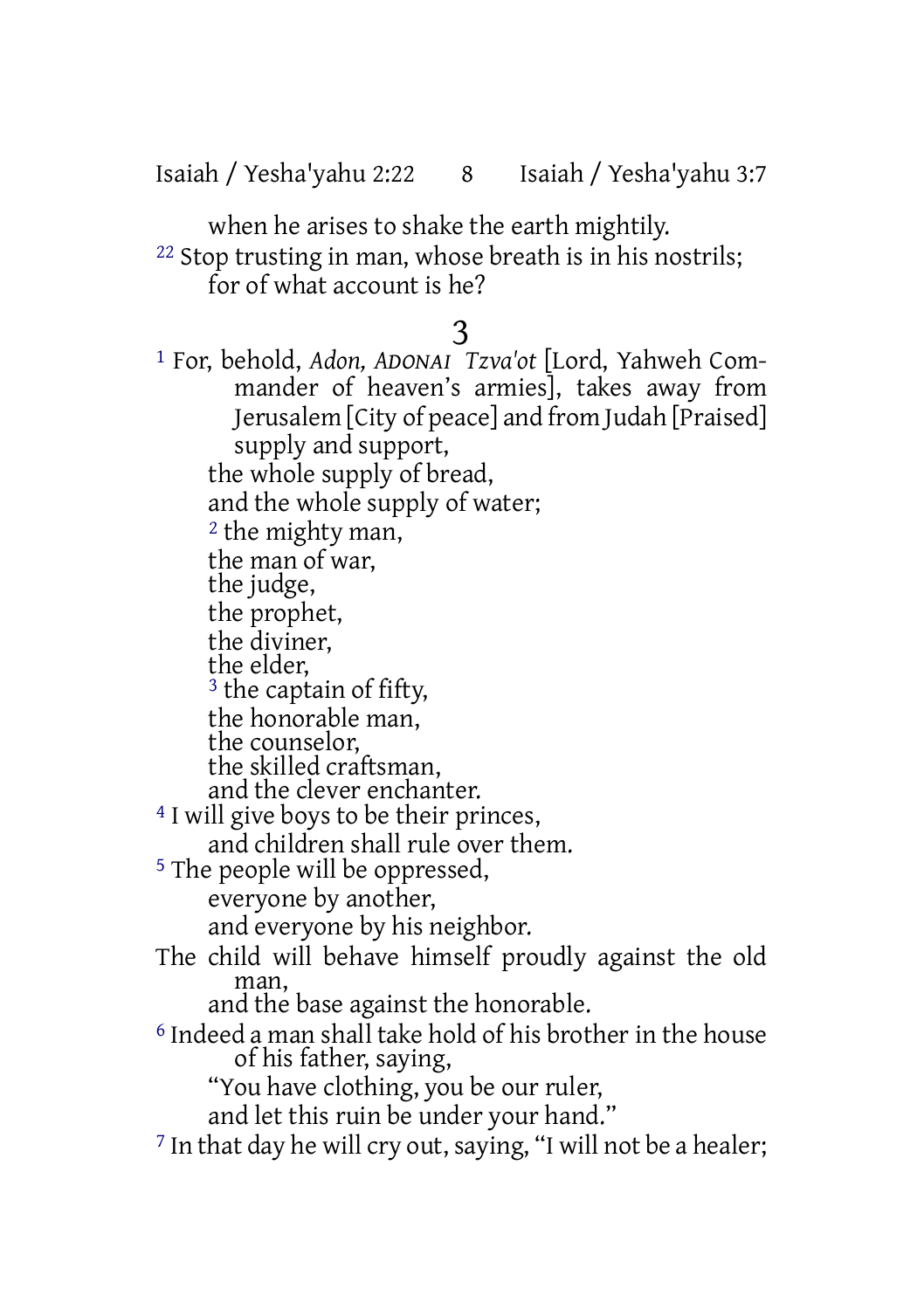Isaiah / Yesha'yahu 2:22 8 Isaiah / Yesha'yahu 3:7

when he arises to shake the earth mightily.

22 Stop trusting in man, whose breath is in his nostrils; for of what account is he?

# 3

1 For, behold, *Adon, ADONAI Tzva'ot* [Lord, Yahweh Commander of heaven's armies], takes away from Jerusalem [City of peace] and from Judah [Praised] supply and support, the whole supply of bread, and the whole supply of water; <sup>2</sup> the mighty man, the man of war, the judge, the prophet, the diviner, the elder, <sup>3</sup> the captain of fifty, the honorable man, the counselor, the skilled craftsman, and the clever enchanter. 4 I will give boys to be their princes, and children shall rule over them. 5 The people will be oppressed, everyone by another, and everyone by his neighbor. The child will behave himself proudly against the old man, and the base against the honorable. 6 Indeed a man shall take hold of his brother in the house of his father, saying, "You have clothing, you be our ruler, and let this ruin be under your hand."  $7$  In that day he will cry out, saying, "I will not be a healer;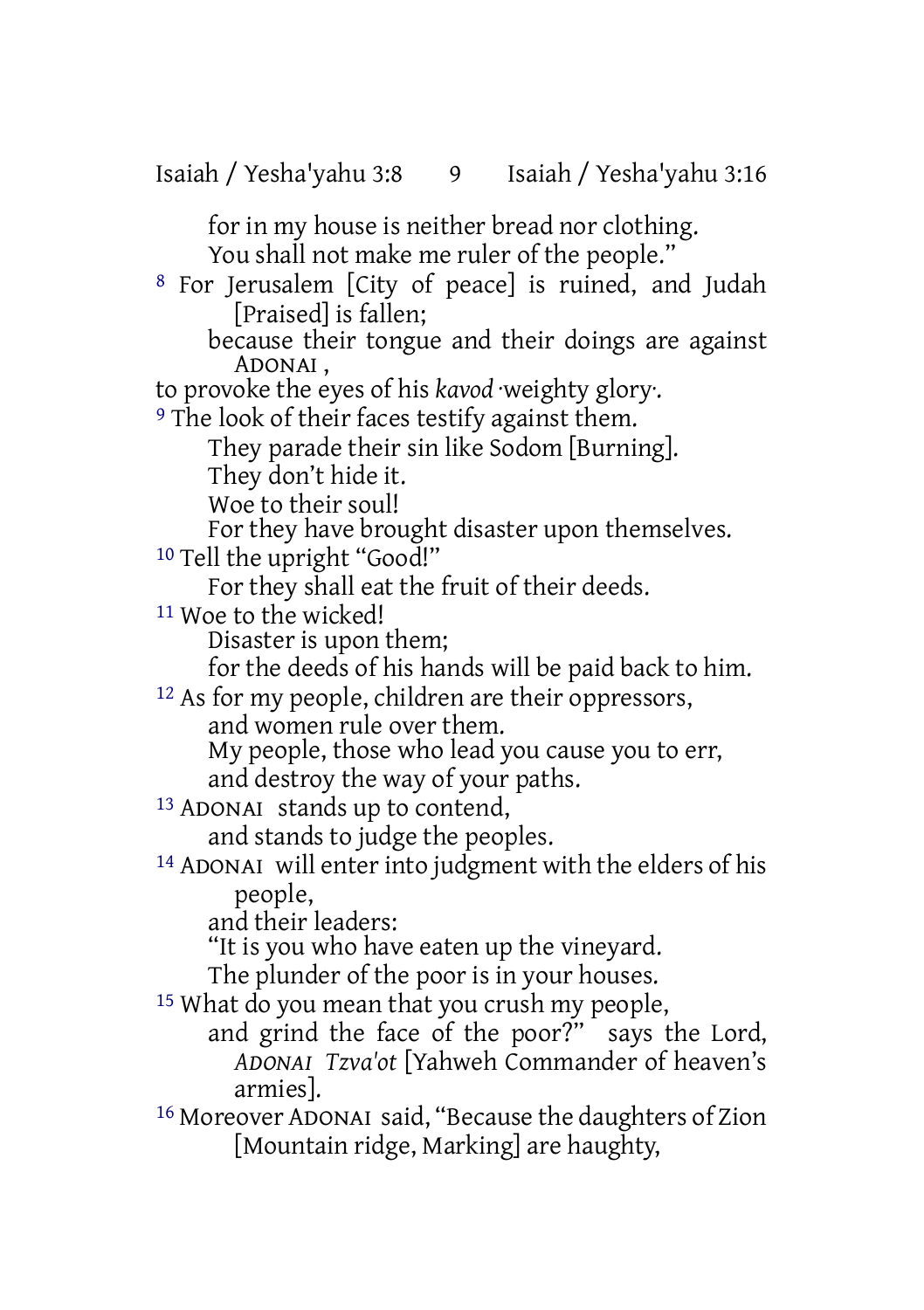for in my house is neither bread nor clothing. You shall not make me ruler of the people."

8 For Jerusalem [City of peace] is ruined, and Judah [Praised] is fallen;

because their tongue and their doings are against ADONAI ,

to provoke the eyes of his *kavod* ·weighty glory·.

9 The look of their faces testify against them.

They parade their sin like Sodom [Burning].

They don't hide it.

Woe to their soul!

For they have brought disaster upon themselves.

10 Tell the upright "Good!"

For they shall eat the fruit of their deeds.

11 Woe to the wicked!

Disaster is upon them;

for the deeds of his hands will be paid back to him.

12 As for my people, children are their oppressors, and women rule over them. My people, those who lead you cause you to err,

and destroy the way of your paths.

13 ADONAI stands up to contend, and stands to judge the peoples.

14 ADONAI will enterinto judgment with the elders of his people,

and their leaders:

"It is you who have eaten up the vineyard.

The plunder of the poor is in your houses.

<sup>15</sup> What do you mean that you crush my people,

and grind the face of the poor?" says the Lord, *ADONAI Tzva'ot* [Yahweh Commander of heaven's armies].

16 Moreover ADONAI said, "Because the daughters of Zion [Mountain ridge, Marking] are haughty,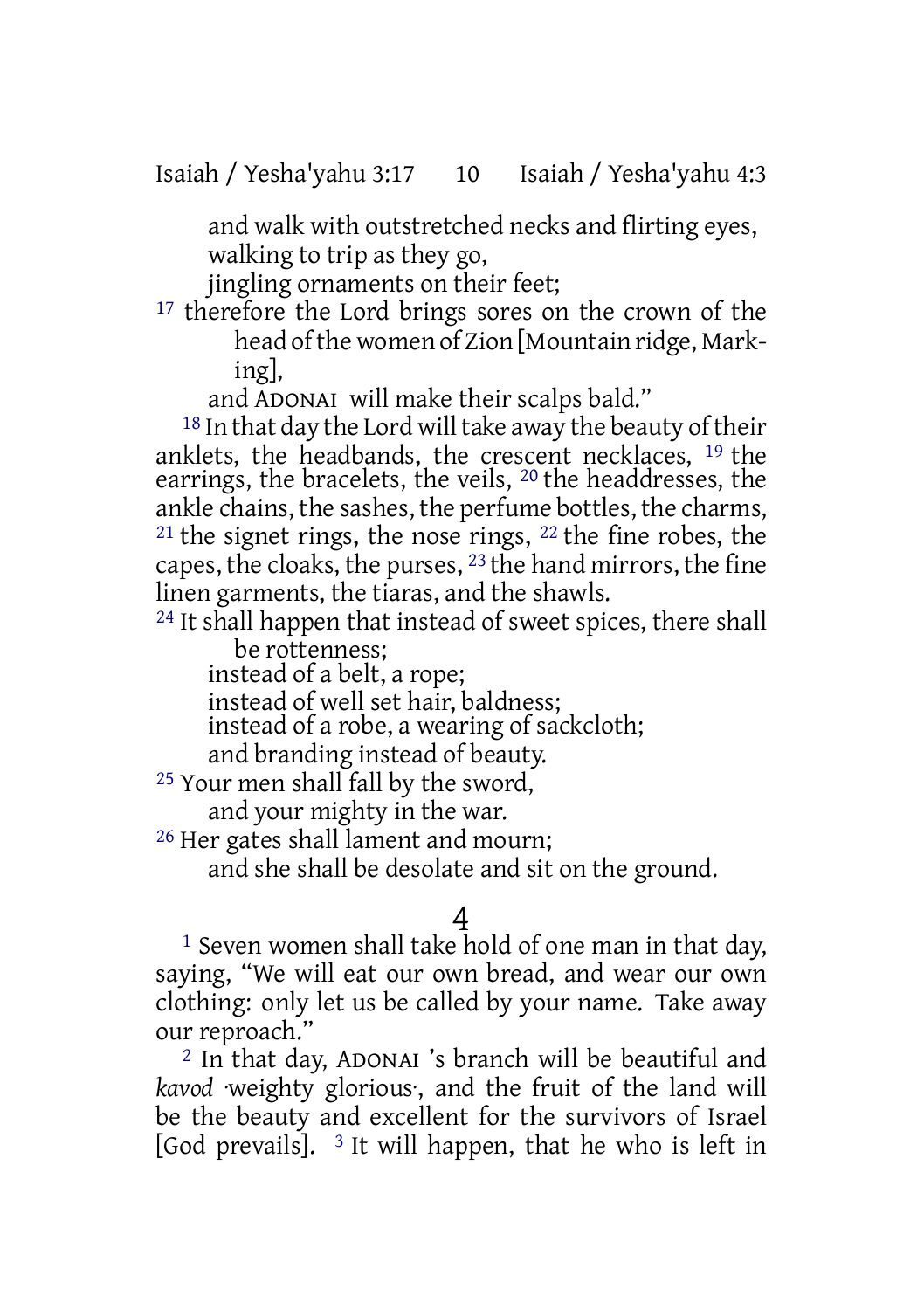and walk with outstretched necks and flirting eyes, walking to trip as they go,

jingling ornaments on their feet;

<sup>17</sup> therefore the Lord brings sores on the crown of the head of the women of Zion [Mountain ridge, Marking],

and ADONAI will make their scalps bald."

 $18$  In that day the Lord will take away the beauty of their anklets, the headbands, the crescent necklaces, 19 the earrings, the bracelets, the veils, 20 the headdresses, the ankle chains, the sashes, the perfume bottles, the charms,  $21$  the signet rings, the nose rings,  $22$  the fine robes, the capes, the cloaks, the purses, 23 the hand mirrors, the fine linen garments, the tiaras, and the shawls.

<sup>24</sup> It shall happen that instead of sweet spices, there shall be rottenness;

instead of a belt, a rope;

instead of well set hair, baldness;

instead of a robe, a wearing of sackcloth;

and branding instead of beauty.

25 Your men shall fall by the sword,

and your mighty in the war.

26 Her gates shall lament and mourn;

and she shall be desolate and sit on the ground.

# 4

1 Seven women shall take hold of one man in that day, saying, "We will eat our own bread, and wear our own clothing: only let us be called by your name. Take away our reproach."

2 In that day, ADONAI 's branch will be beautiful and *kavod* ·weighty glorious·, and the fruit of the land will be the beauty and excellent for the survivors of Israel [God prevails].  $3$  It will happen, that he who is left in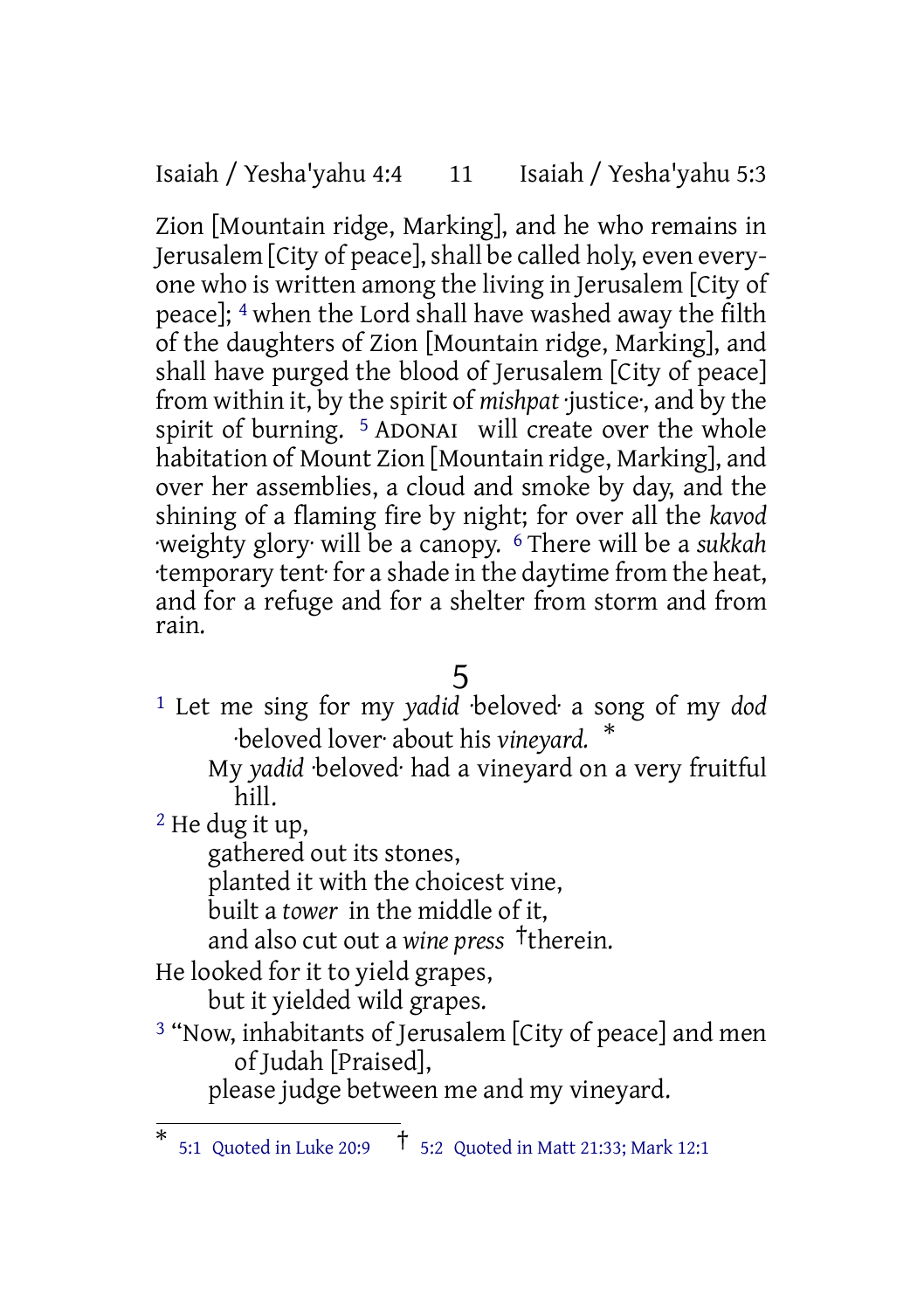Isaiah / Yesha'yahu 4:4 11 Isaiah / Yesha'yahu 5:3

Zion [Mountain ridge, Marking], and he who remains in Jerusalem [City of peace], shall be called holy, even everyone who is written among the living in Jerusalem [City of peace]; 4 when the Lord shall have washed away the filth of the daughters of Zion [Mountain ridge, Marking], and shall have purged the blood of Jerusalem [City of peace] from within it, by the spirit of *mishpat* ·justice·, and by the spirit of burning. <sup>5</sup> ADONAI will create over the whole habitation of Mount Zion [Mountain ridge, Marking], and over her assemblies, a cloud and smoke by day, and the shining of a flaming fire by night; for over all the *kavod* ·weighty glory· will be a canopy. 6 There will be a *sukkah* ·temporary tent· for a shade in the daytime from the heat, and for a refuge and for a shelter from storm and from rain.

5

- 1 Let me sing for my *yadid* ·beloved· a song of my *dod* ·beloved lover· about his *vineyard.* \*
	- My *yadid* ·beloved· had a vineyard on a very fruitful hill.

2 He dug it up,

gathered out its stones,

planted it with the choicest vine,

built a *tower* in the middle of it,

and also cut out a *wine press* †therein.

He looked for it to yield grapes,

but it yielded wild grapes.

3 "Now, inhabitants of Jerusalem [City of peace] and men of Judah [Praised],

please judge between me and my vineyard.

<sup>\*</sup> 5:1 Quoted in Luke 20:9 † 5:2 Quoted in Matt 21:33; Mark 12:1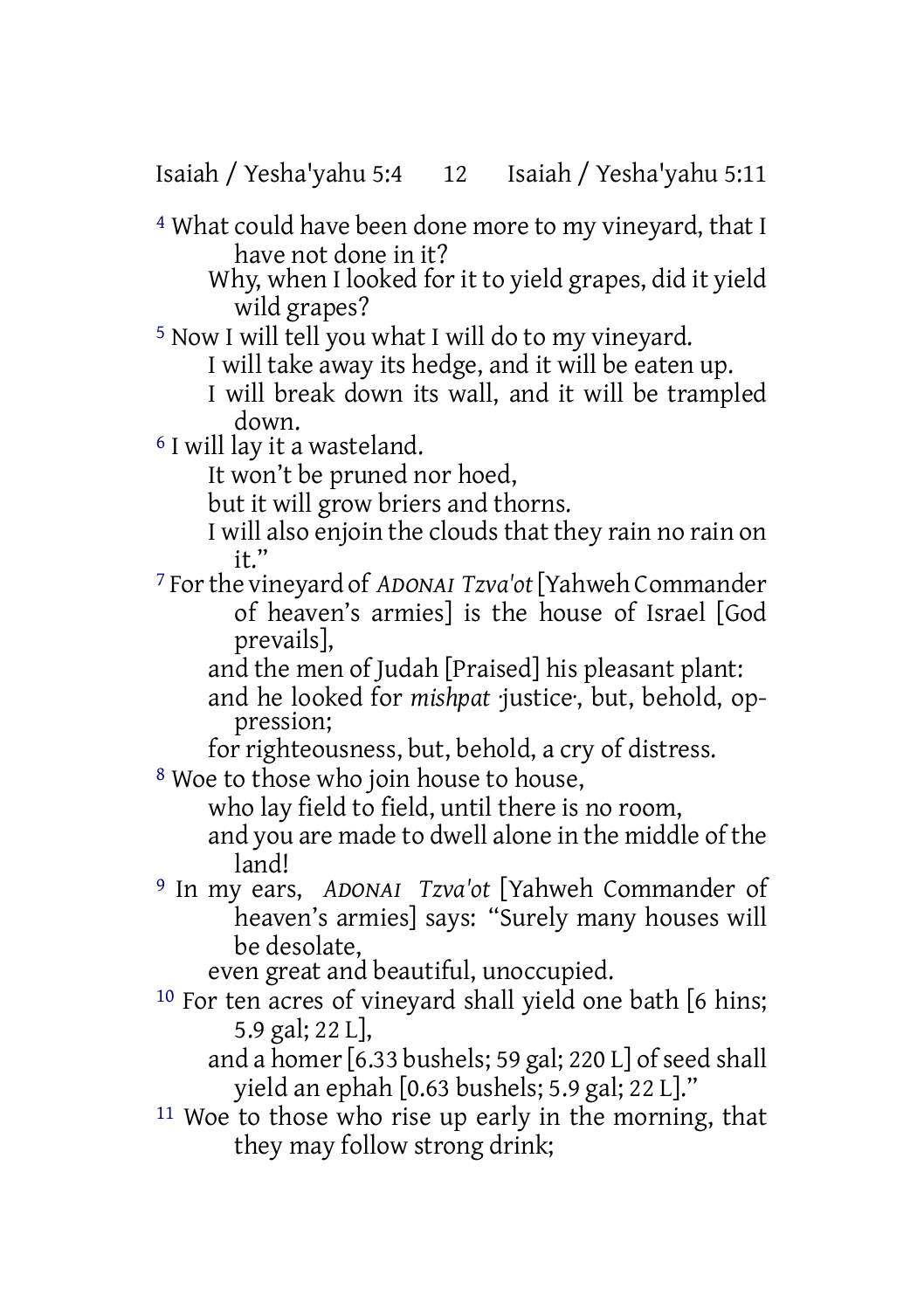Isaiah / Yesha'yahu 5:4 12 Isaiah / Yesha'yahu 5:11

4 What could have been done more to my vineyard, that I have not done in it?

Why, when I looked for it to yield grapes, did it yield wild grapes?

5 Now I will tell you what I will do to my vineyard.

I will take away its hedge, and it will be eaten up.

I will break down its wall, and it will be trampled down.

6 I will lay it a wasteland.

It won't be pruned nor hoed,

but it will grow briers and thorns.

- I will also enjoin the clouds that they rain no rain on it."
- 7 Forthe vineyard of *ADONAI Tzva'ot*[Yahweh Commander of heaven's armies] is the house of Israel [God prevails],

and the men of Judah [Praised] his pleasant plant: and he looked for *mishpat* ·justice·, but, behold, oppression;

for righteousness, but, behold, a cry of distress.

8 Woe to those who join house to house,

who lay field to field, until there is no room,

- and you are made to dwell alone in the middle of the land!
- 9 In my ears, *ADONAI Tzva'ot* [Yahweh Commander of heaven's armies] says: "Surely many houses will be desolate,

even great and beautiful, unoccupied.

10 For ten acres of vineyard shall yield one bath [6 hins; 5.9 gal; 22 L],

and a homer [6.33 bushels; 59 gal; 220 L] of seed shall yield an ephah [0.63 bushels; 5.9 gal; 22 L]."

11 Woe to those who rise up early in the morning, that they may follow strong drink: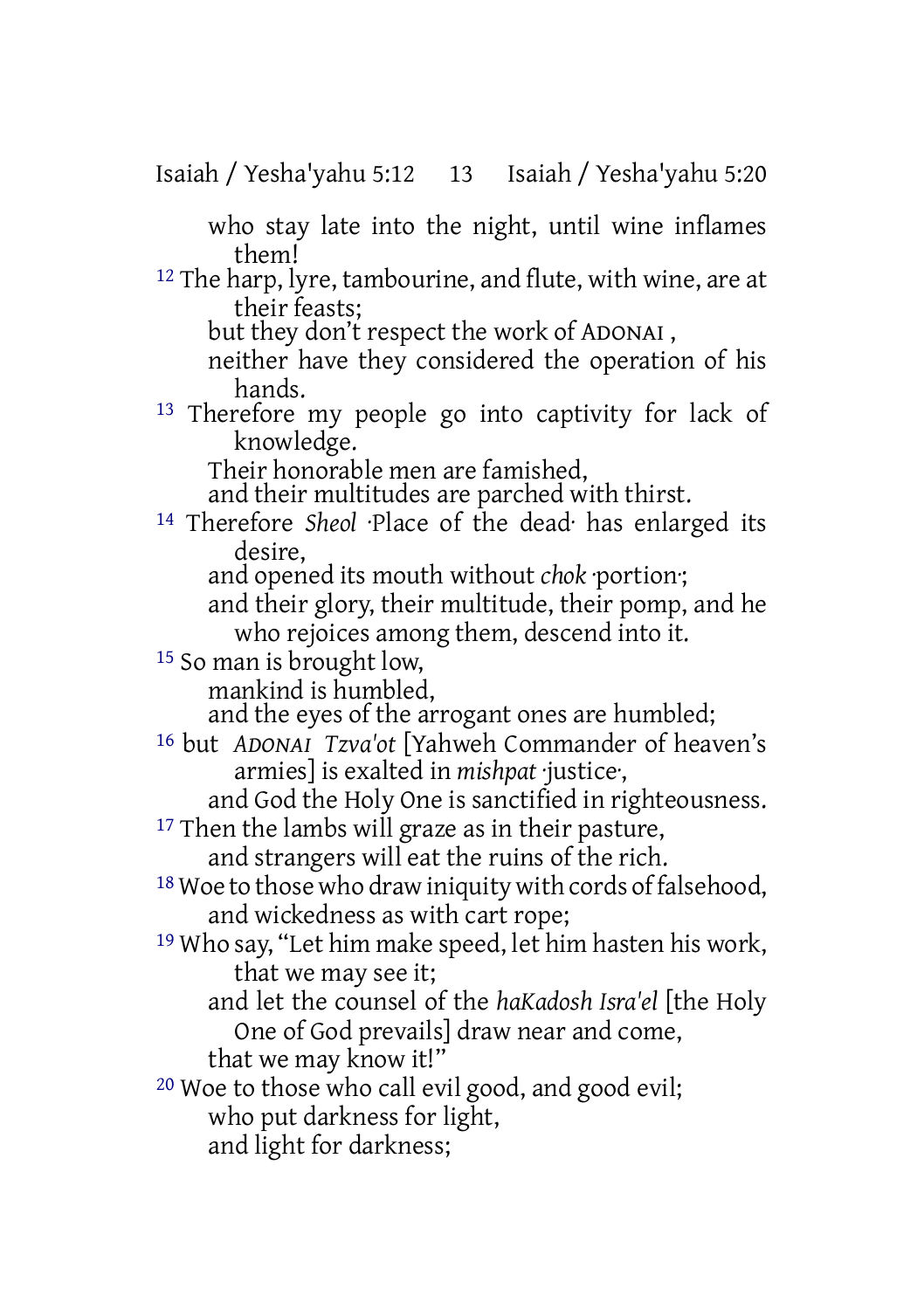Isaiah / Yesha'yahu 5:12 13 Isaiah / Yesha'yahu 5:20

who stay late into the night, until wine inflames them!

<sup>12</sup> The harp, lyre, tambourine, and flute, with wine, are at their feasts;

but they don't respect the work of ADONAI ,

neither have they considered the operation of his hands.

13 Therefore my people go into captivity for lack of knowledge.

Their honorable men are famished,

and their multitudes are parched with thirst.

14 Therefore *Sheol* ·Place of the dead· has enlarged its desire,

and opened its mouth without *chok* ·portion·;

and their glory, their multitude, their pomp, and he who rejoices among them, descend into it.

15 So man is brought low,

mankind is humbled,

and the eyes of the arrogant ones are humbled;

16 but *ADONAI Tzva'ot* [Yahweh Commander of heaven's armies] is exalted in *mishpat* ·justice·,

and God the Holy One is sanctified in righteousness.

<sup>17</sup> Then the lambs will graze as in their pasture,

and strangers will eat the ruins of the rich.

 $18$  Woe to those who draw iniquity with cords of falsehood, and wickedness as with cart rope;

19 Who say, "Let him make speed, let him hasten his work, that we may see it;

and let the counsel of the *haKadosh Isra'el* [the Holy One of God prevails] draw near and come,

that we may know it!"

20 Woe to those who call evil good, and good evil;

who put darkness for light,

and light for darkness;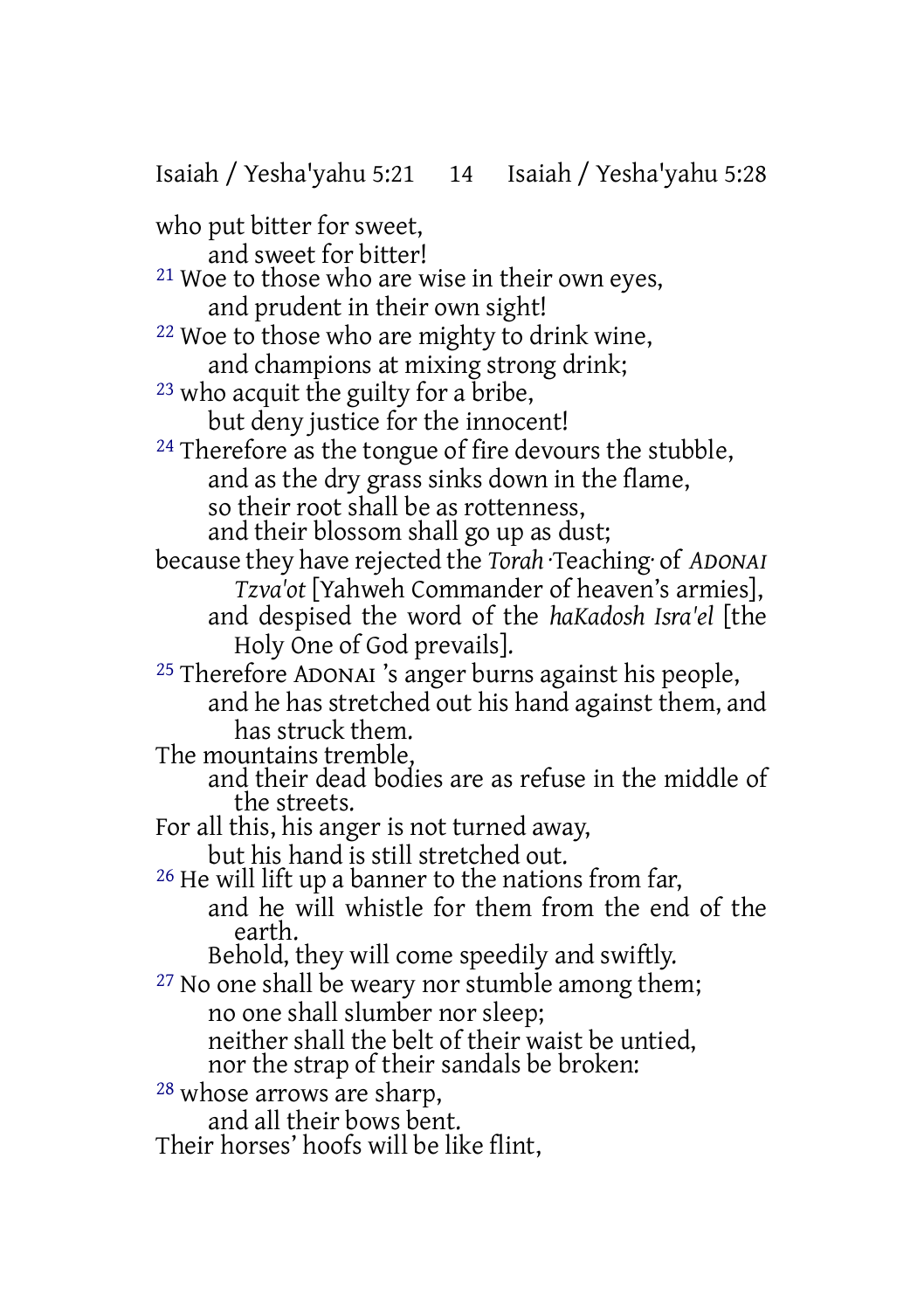Isaiah / Yesha'yahu 5:21 14 Isaiah / Yesha'yahu 5:28

who put bitter for sweet,

and sweet for bitter!

21 Woe to those who are wise in their own eyes, and prudent in their own sight!

22 Woe to those who are mighty to drink wine, and champions at mixing strong drink;

23 who acquit the guilty for a bribe, but deny justice for the innocent!

<sup>24</sup> Therefore as the tongue of fire devours the stubble, and as the dry grass sinks down in the flame, so their root shall be as rottenness, and their blossom shall go up as dust;

because they have rejected the *Torah* ·Teaching· of *ADONAI Tzva'ot* [Yahweh Commander of heaven's armies], and despised the word of the *haKadosh Isra'el* [the Holy One of God prevails].

25 Therefore ADONAI 's anger burns against his people, and he has stretched out his hand against them, and has struck them.

The mountains tremble,

and their dead bodies are as refuse in the middle of the streets.

For all this, his anger is not turned away,

but his hand is still stretched out.

26 He will lift up a banner to the nations from far,

and he will whistle for them from the end of the earth.

Behold, they will come speedily and swiftly.

<sup>27</sup> No one shall be weary nor stumble among them; no one shall slumber nor sleep;

neither shall the belt of their waist be untied, nor the strap of their sandals be broken:

28 whose arrows are sharp,

and all their bows bent.

Their horses' hoofs will be like flint,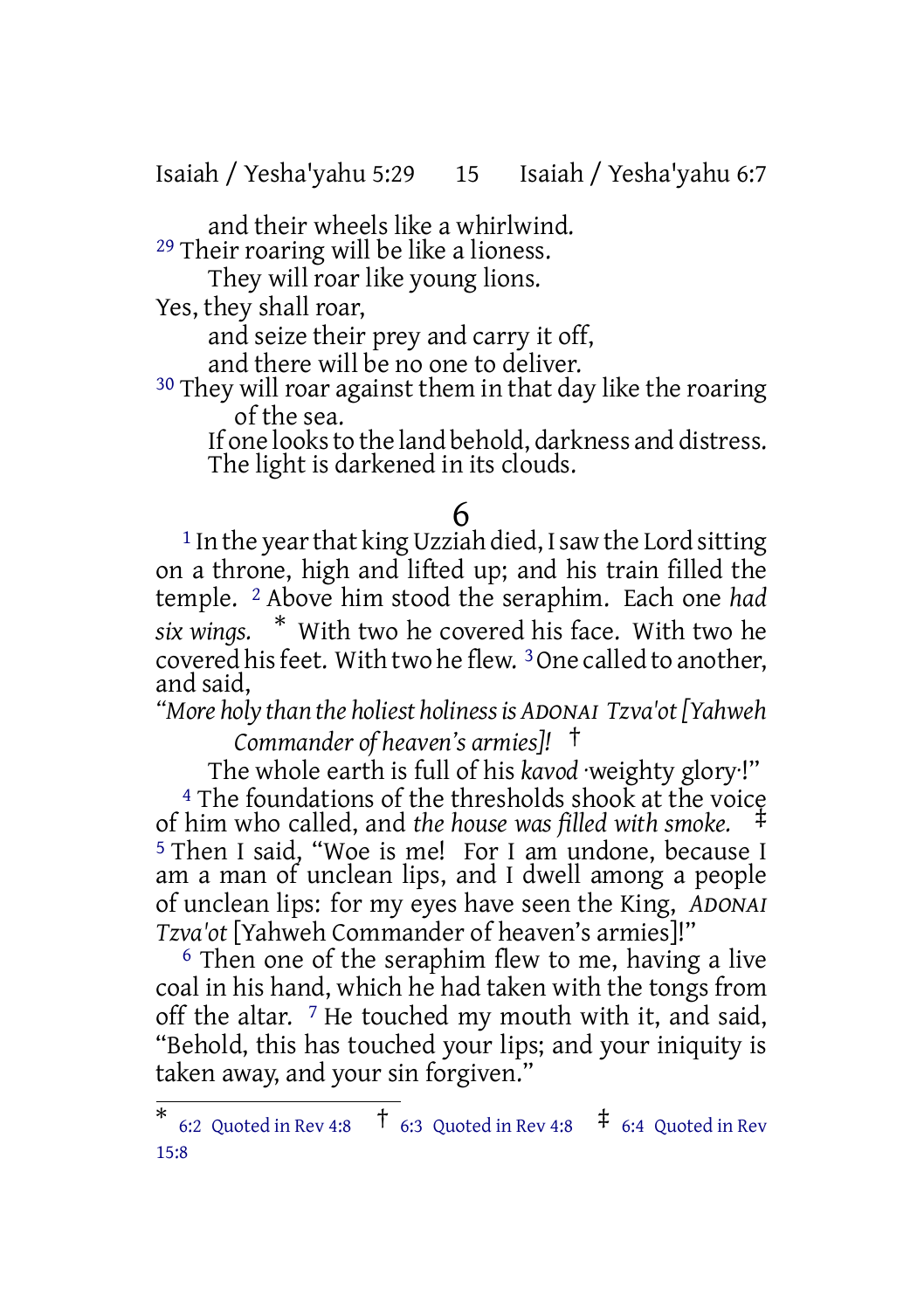Isaiah / Yesha'yahu 5:29 15 Isaiah / Yesha'yahu 6:7

and their wheels like a whirlwind. 29 Their roaring will be like a lioness.

They will roar like young lions.

Yes, they shall roar,

and seize their prey and carry it off,

and there will be no one to deliver.

<sup>30</sup> They will roar against them in that day like the roaring of the sea.

If one looks to the land behold, darkness and distress. The light is darkened in its clouds.

## 6

 $1$  In the year that king Uzziah died, I saw the Lord sitting on a throne, high and lifted up; and his train filled the temple. 2 Above him stood the seraphim. Each one *had six wings.* \* With two he covered his face. With two he covered hisfeet. With two he flew. 3One called to another, and said,

*"More holy than the holiest holinessis ADONAI Tzva'ot[Yahweh Commander of heaven's armies]!* †

The whole earth is full of his *kavod* ·weighty glory·!" <sup>4</sup> The foundations of the thresholds shook at the voice of him who called, and *the house was filled with smoke.* ‡ 5 Then I said, "Woe is me! For I am undone, because I am a man of unclean lips, and I dwell among a people of unclean lips: for my eyes have seen the King, *ADONAI Tzva'ot* [Yahweh Commander of heaven's armies]!"

 $6$  Then one of the seraphim flew to me, having a live coal in his hand, which he had taken with the tongs from off the altar.  $\frac{7}{7}$  He touched my mouth with it, and said, "Behold, this has touched your lips; and your iniquity is taken away, and your sin forgiven."

<sup>\*</sup> 6:2 Quoted in Rev 4:8  $\uparrow$  6:3 Quoted in Rev 4:8  $\uparrow$  6:4 Quoted in Rev 15:8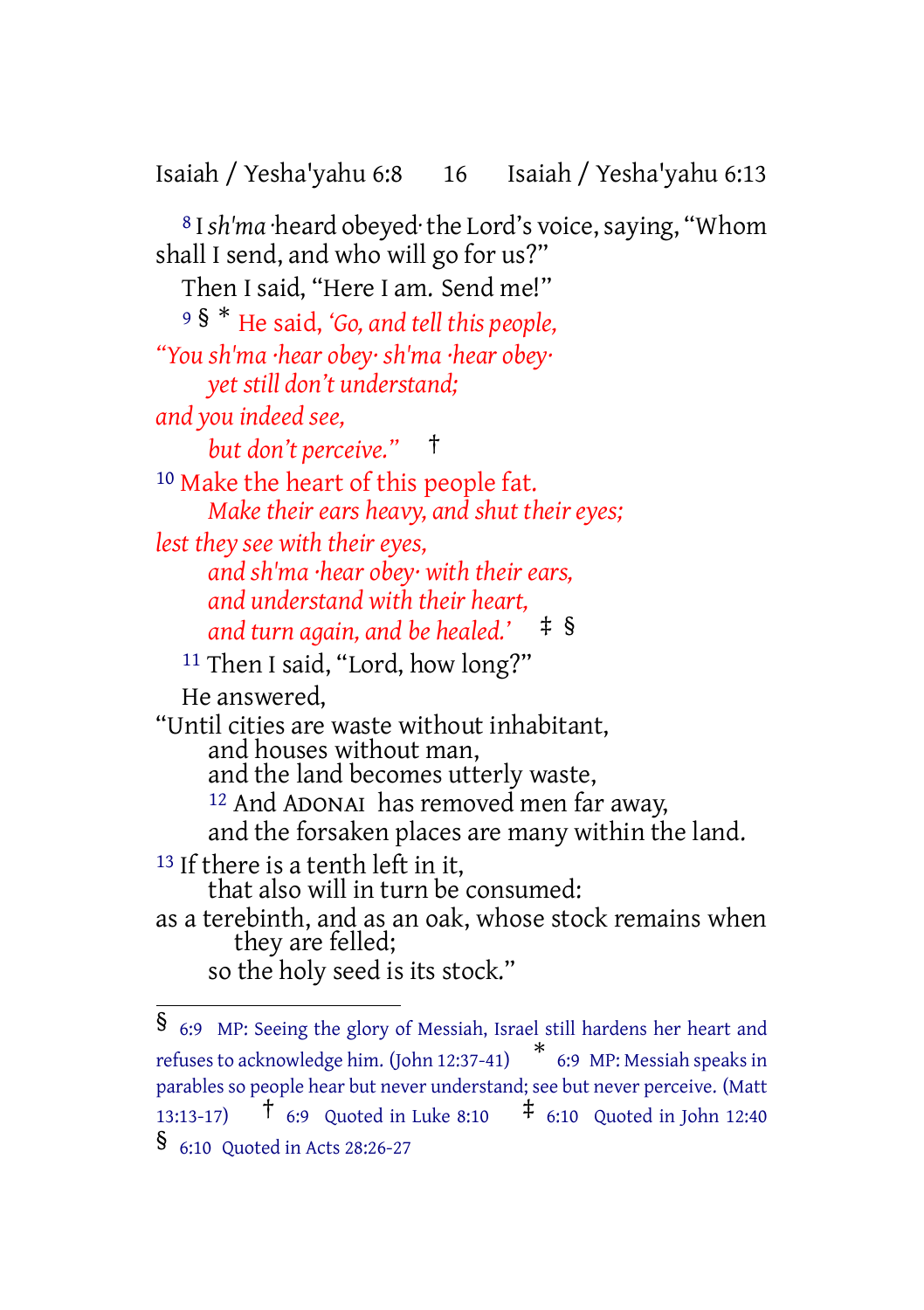Isaiah / Yesha'yahu 6:8 16 Isaiah / Yesha'yahu 6:13

<sup>8</sup> I sh'ma ·heard obeyed·the Lord's voice, saying, "Whom shall I send, and who will go for us?" Then I said, "Here I am. Send me!" <sup>9</sup> § \* He said, *'Go, and tell this people, "You sh'ma ·hear obey· sh'ma ·hear obey· yet still don't understand; and you indeed see, but don't perceive."* † 10 Make the heart of this people fat. *Make their ears heavy, and shut their eyes; lest they see with their eyes, and sh'ma ·hear obey· with their ears, and understand with their heart, and turn again, and be healed.'* ‡ § 11 Then I said, "Lord, how long?" He answered, "Until cities are waste without inhabitant, and houses without man, and the land becomes utterly waste, 12 And ADONAI has removed men far away, and the forsaken places are many within the land. 13 If there is a tenth left in it, that also will in turn be consumed: as a terebinth, and as an oak, whose stock remains when they are felled; so the holy seed is its stock."

<sup>§</sup> 6:9 MP: Seeing the glory of Messiah, Israel still hardens her heart and refuses to acknowledge him. (John 12:37-41) \* 6:9 MP: Messiah speaks in parables so people hear but never understand; see but never perceive. (Matt 13:13-17)  $\uparrow$  6:9 Quoted in Luke 8:10  $\uparrow$  6:10 Quoted in John 12:40 § 6:10 Quoted in Acts 28:26-27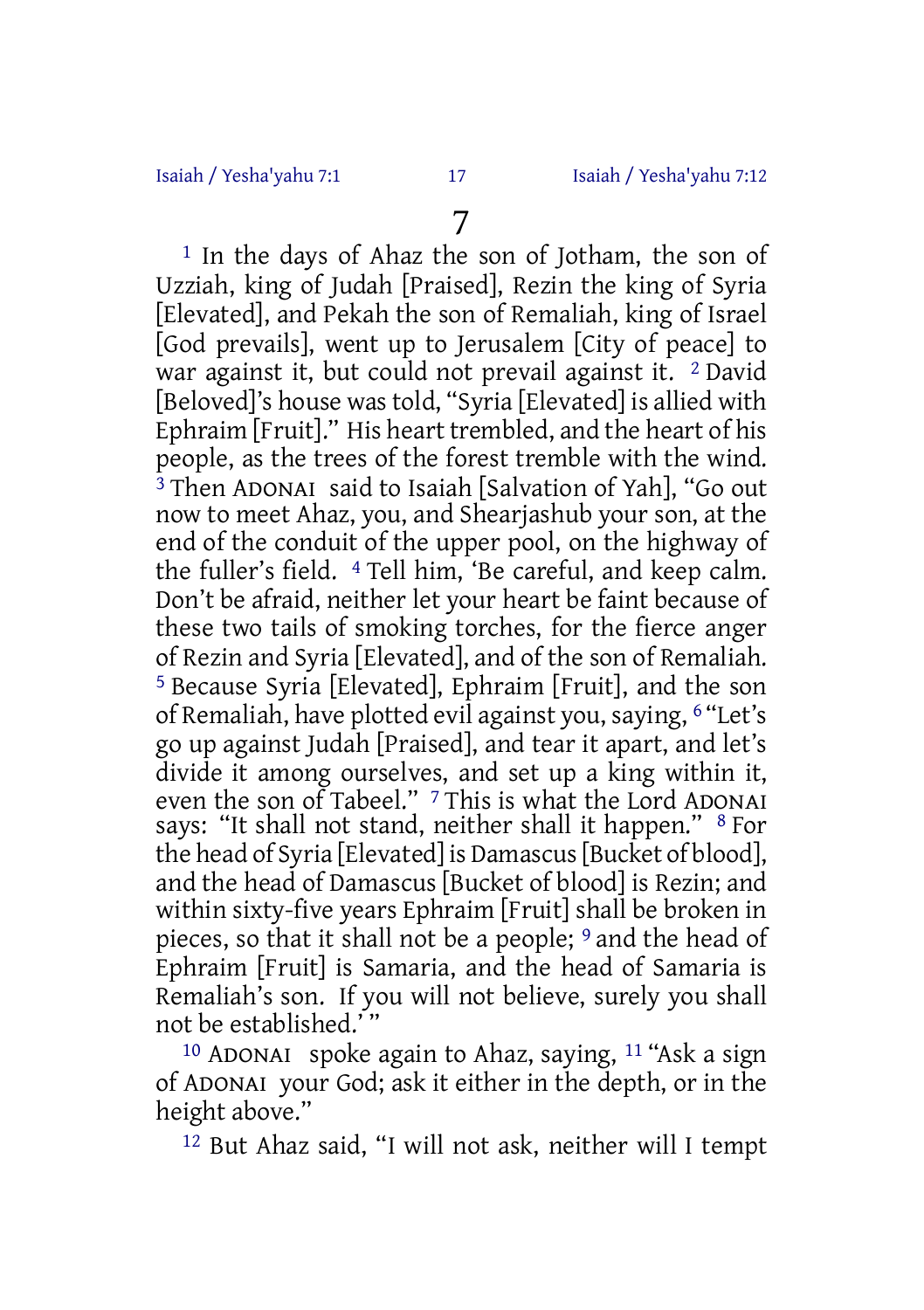1 In the days of Ahaz the son of Jotham, the son of Uzziah, king of Judah [Praised], Rezin the king of Syria [Elevated], and Pekah the son of Remaliah, king of Israel [God prevails], went up to Jerusalem [City of peace] to war against it, but could not prevail against it. 2 David [Beloved]'s house wastold, "Syria [Elevated] is allied with Ephraim [Fruit]." His heart trembled, and the heart of his people, as the trees of the forest tremble with the wind. <sup>3</sup> Then ADONAI said to Isaiah [Salvation of Yah], "Go out now to meet Ahaz, you, and Shearjashub your son, at the end of the conduit of the upper pool, on the highway of the fuller's field. 4 Tell him, 'Be careful, and keep calm. Don't be afraid, neither let your heart be faint because of these two tails of smoking torches, for the fierce anger of Rezin and Syria [Elevated], and of the son of Remaliah. 5 Because Syria [Elevated], Ephraim [Fruit], and the son of Remaliah, have plotted evil against you, saying, 6 "Let's go up against Judah [Praised], and tear it apart, and let's divide it among ourselves, and set up a king within it, even the son of Tabeel." <sup>7</sup> This is what the Lord ADONAI says: "It shall not stand, neither shall it happen." <sup>8</sup> For the head of Syria [Elevated] is Damascus[Bucket of blood], and the head of Damascus [Bucket of blood] is Rezin; and within sixty-five years Ephraim [Fruit] shall be broken in pieces, so that it shall not be a people; 9 and the head of Ephraim [Fruit] is Samaria, and the head of Samaria is Remaliah's son. If you will not believe, surely you shall not be established.' "

<sup>10</sup> ADONAI spoke again to Ahaz, saying,  $11$  "Ask a sign of ADONAI your God; ask it either in the depth, or in the height above."

12 But Ahaz said, "I will not ask, neither will I tempt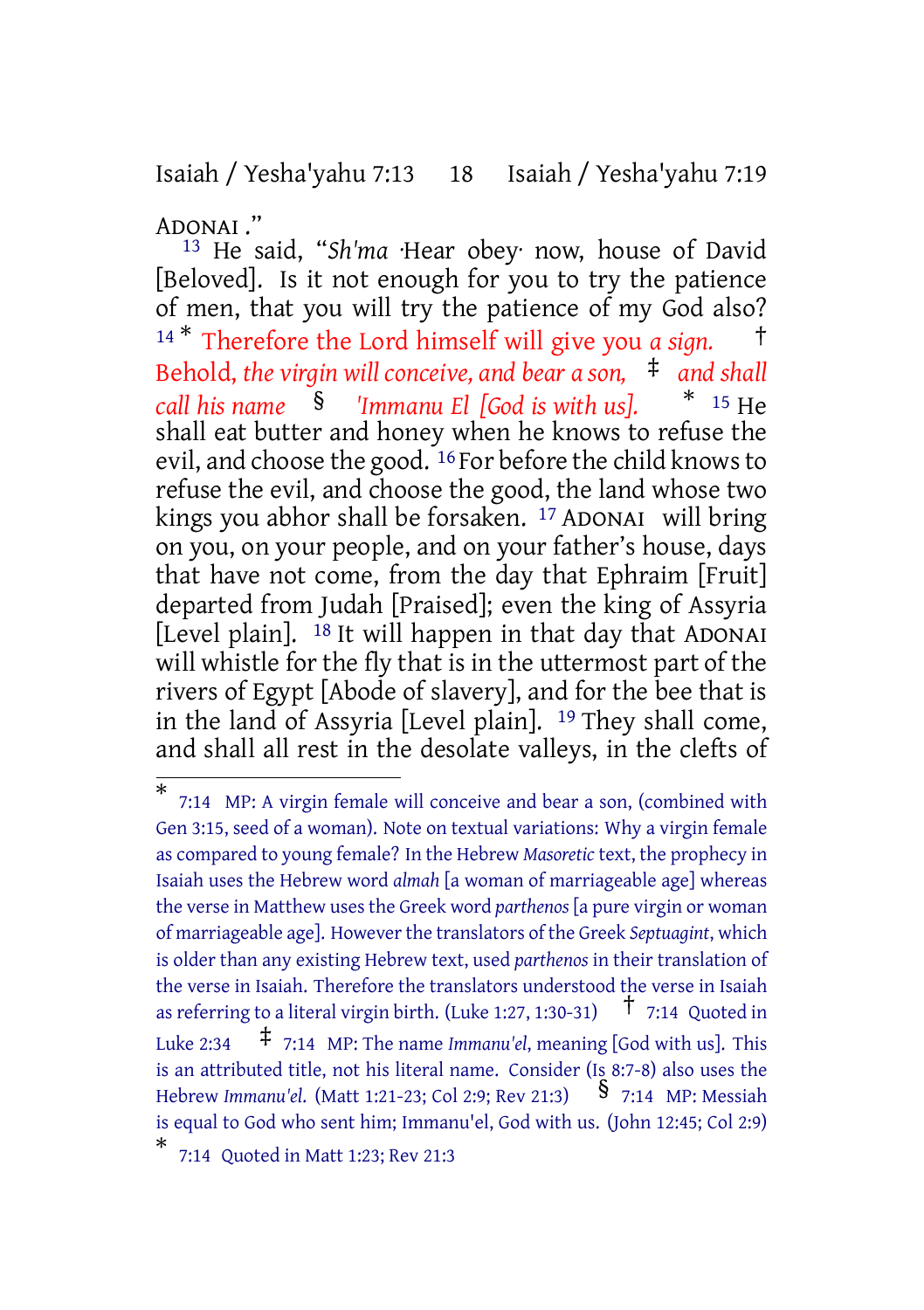Isaiah / Yesha'yahu 7:13 18 Isaiah / Yesha'yahu 7:19

ADONAI ."

13 He said, "*Sh'ma* ·Hear obey· now, house of David [Beloved]. Is it not enough for you to try the patience of men, that you will try the patience of my God also? <sup>14</sup> \* Therefore the Lord himself will give you *a sign.* † Behold, *the virgin will conceive, and bear a son,* ‡ *and shall call his name* § *'Immanu El [God is with us].* \* <sup>15</sup> He shall eat butter and honey when he knows to refuse the evil, and choose the good. <sup>16</sup> For before the child knows to refuse the evil, and choose the good, the land whose two kings you abhor shall be forsaken. <sup>17</sup> ADONAI will bring on you, on your people, and on your father's house, days that have not come, from the day that Ephraim [Fruit] departed from Judah [Praised]; even the king of Assyria [Level plain].  $18$  It will happen in that day that ADONAI will whistle for the fly that is in the uttermost part of the rivers of Egypt [Abode of slavery], and for the bee that is in the land of Assyria [Level plain]. 19 They shall come, and shall all rest in the desolate valleys, in the clefts of

<sup>\*</sup> 7:14 MP: A virgin female will conceive and bear a son, (combined with Gen 3:15, seed of a woman). Note on textual variations: Why a virgin female as compared to young female? In the Hebrew *Masoretic* text, the prophecy in Isaiah uses the Hebrew word *almah* [a woman of marriageable age] whereas the verse in Matthew uses the Greek word *parthenos* [a pure virgin or woman of marriageable age]. Howeverthe translators of the Greek *Septuagint*, which is older than any existing Hebrew text, used *parthenos* in their translation of the verse in Isaiah. Therefore the translators understood the verse in Isaiah as referring to a literal virgin birth. (Luke 1:27, 1:30-31)  $\uparrow$  7:14 Quoted in Luke 2:34 ‡ 7:14 MP: The name *Immanu'el*, meaning [God with us]. This is an attributed title, not his literal name. Consider (Is 8:7-8) also uses the Hebrew *Immanu'el*. (Matt 1:21-23; Col 2:9; Rev 21:3) § 7:14 MP: Messiah is equal to God who sent him; Immanu'el, God with us. (John 12:45; Col 2:9) \* 7:14 Quoted in Matt 1:23; Rev 21:3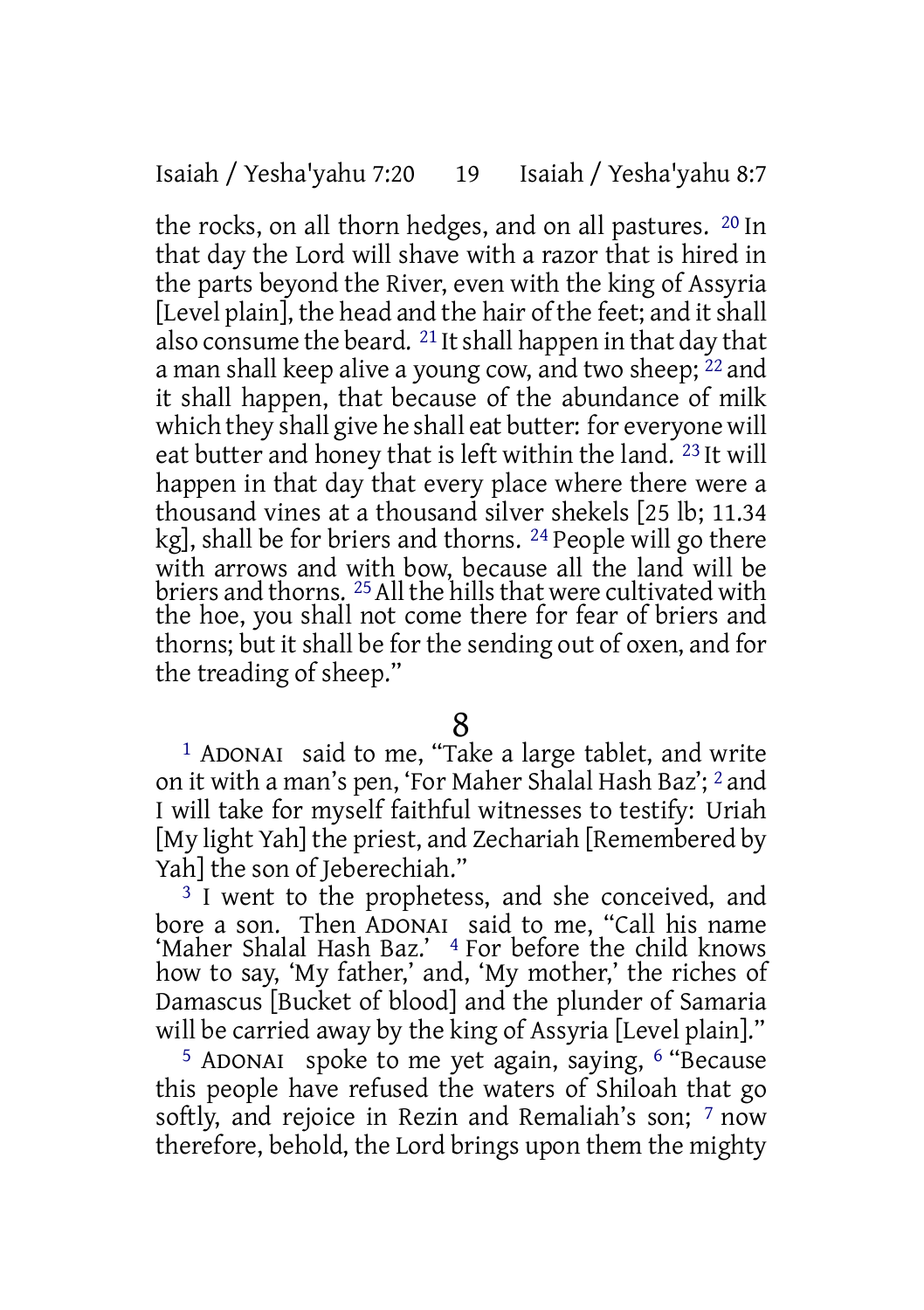the rocks, on all thorn hedges, and on all pastures. 20 In that day the Lord will shave with a razor that is hired in the parts beyond the River, even with the king of Assyria [Level plain], the head and the hair of the feet; and it shall also consume the beard.  $21$  It shall happen in that day that a man shall keep alive a young cow, and two sheep;  $^{22}$  and it shall happen, that because of the abundance of milk which they shall give he shall eat butter: for everyone will eat butter and honey that is left within the land. 23 It will happen in that day that every place where there were a thousand vines at a thousand silver shekels [25 lb; 11.34 kg], shall be for briers and thorns. 24 People will go there with arrows and with bow, because all the land will be briers and thorns. <sup>25</sup> All the hills that were cultivated with the hoe, you shall not come there for fear of briers and thorns; but it shall be for the sending out of oxen, and for the treading of sheep."

## 8

1 ADONAI said to me, "Take a large tablet, and write on it with a man's pen, 'For Maher Shalal Hash Baz'; 2 and I will take for myself faithful witnesses to testify: Uriah [My light Yah] the priest, and Zechariah [Remembered by Yah] the son of Jeberechiah."

<sup>3</sup> I went to the prophetess, and she conceived, and bore a son. Then ADONAI said to me, "Call his name 'Maher Shalal Hash Baz.' 4 For before the child knows how to say, 'My father,' and, 'My mother,' the riches of Damascus [Bucket of blood] and the plunder of Samaria will be carried away by the king of Assyria [Level plain]."

5 ADONAI spoke to me yet again, saying, 6 "Because this people have refused the waters of Shiloah that go softly, and rejoice in Rezin and Remaliah's son; 7 now therefore, behold, the Lord brings upon them the mighty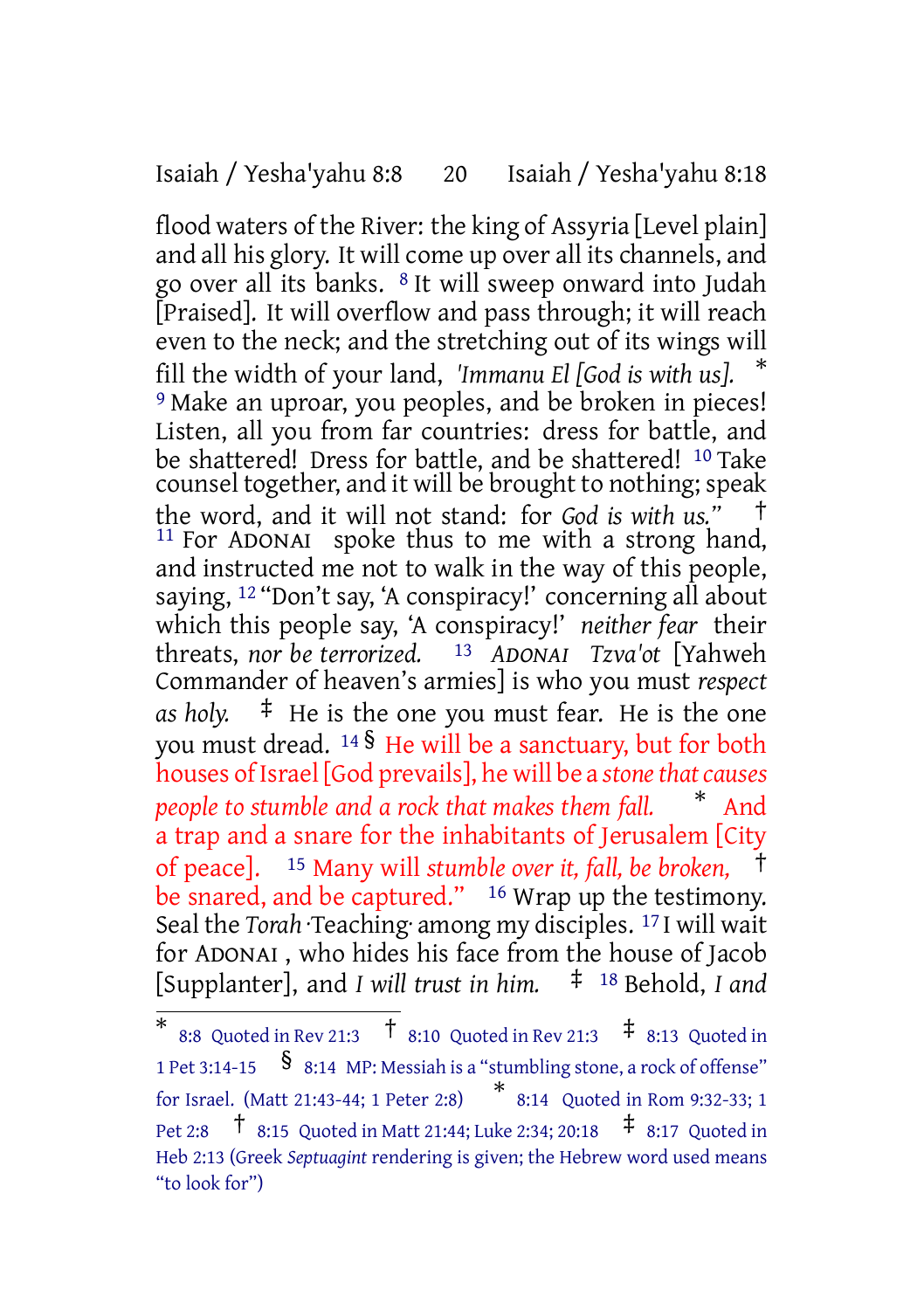#### Isaiah / Yesha'yahu 8:8 20 Isaiah / Yesha'yahu 8:18

flood waters of the River: the king of Assyria [Level plain] and all his glory. It will come up over all its channels, and go over all its banks. 8 It will sweep onward into Judah [Praised]. It will overflow and pass through; it will reach even to the neck; and the stretching out of its wings will fill the width of your land, *'Immanu El [God is with us].* \* 9 Make an uproar, you peoples, and be broken in pieces! Listen, all you from far countries: dress for battle, and be shattered! Dress for battle, and be shattered! 10 Take counsel together, and it will be brought to nothing; speak the word, and it will not stand: for *God is with us."* †  $11$  For ADONAI spoke thus to me with a strong hand, and instructed me not to walk in the way of this people, saying, 12 "Don't say, 'A conspiracy!' concerning all about which this people say, 'A conspiracy!' *neither fear* their threats, *nor be terrorized.* 13 *ADONAI Tzva'ot* [Yahweh Commander of heaven's armies] is who you must *respect as holy.* ‡ He is the one you must fear. He is the one you must dread. <sup>14</sup> § He will be a sanctuary, but for both houses of Israel [God prevails], he will be a *stone that causes people to stumble and a rock that makes them fall.* \* And a trap and a snare for the inhabitants of Jerusalem [City of peace]. <sup>15</sup> Many will *stumble over it, fall, be broken,* † be snared, and be captured."  $16$  Wrap up the testimony. Seal the *Torah* ·Teaching· among my disciples. 17 I will wait for ADONAI , who hides his face from the house of Jacob [Supplanter], and *I will trust in him.* ‡ <sup>18</sup> Behold, *I and*

<sup>\*</sup> 8:8 Quoted in Rev 21:3  $\frac{1}{8}$  8:10 Quoted in Rev 21:3  $\frac{1}{8}$  8:13 Quoted in <sup>1</sup> Pet 3:14-15 § 8:14 MP: Messiah is <sup>a</sup> "stumbling stone, <sup>a</sup> rock of offense" for Israel. (Matt 21:43-44; <sup>1</sup> Peter 2:8) \* 8:14 Quoted in Rom 9:32-33; 1 Pet 2:8  $\uparrow$  8:15 Quoted in Matt 21:44; Luke 2:34; 20:18  $\uparrow$  8:17 Quoted in Heb 2:13 (Greek *Septuagint* rendering is given; the Hebrew word used means "to look for")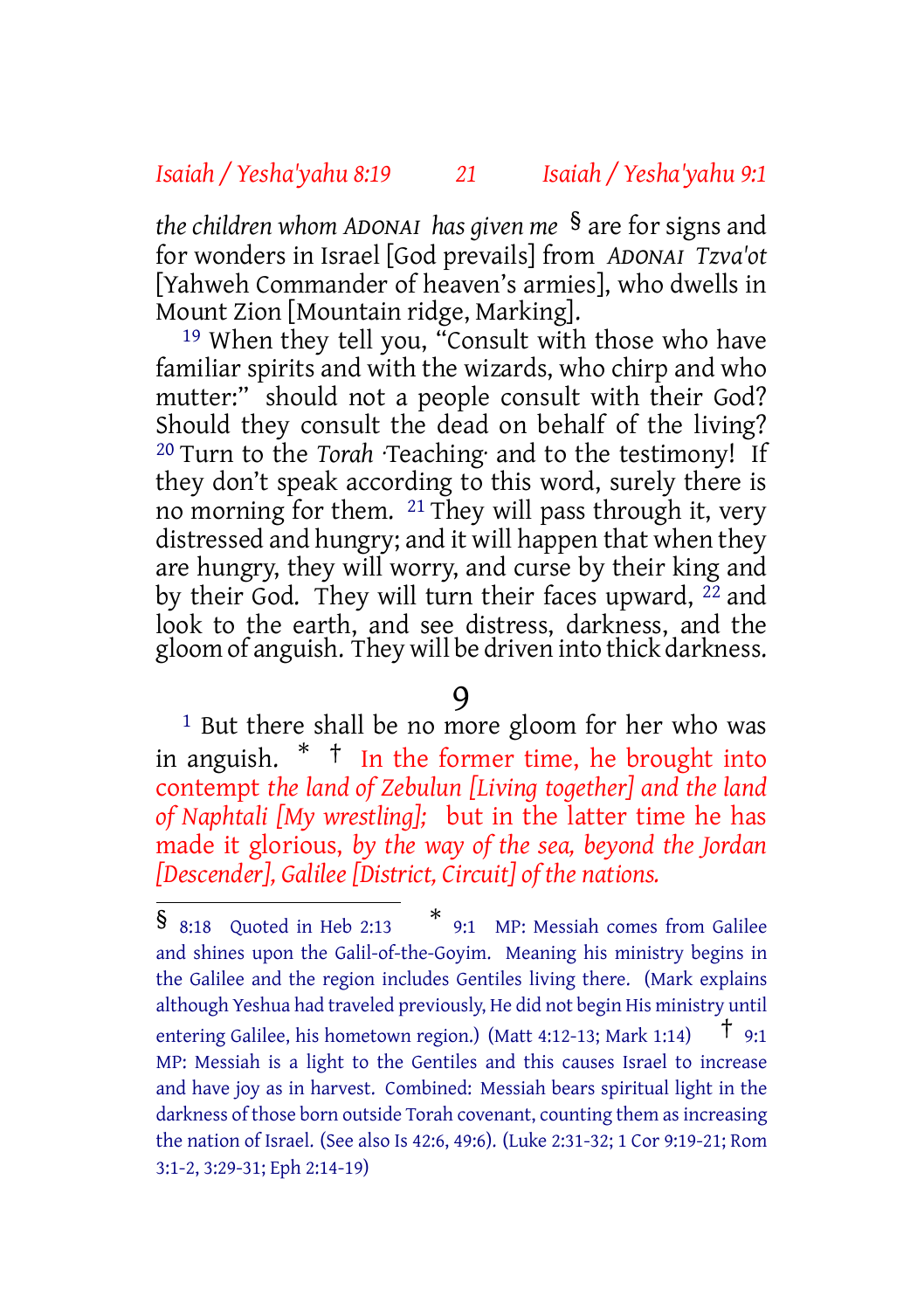#### *Isaiah / Yesha'yahu 8:19 21 Isaiah / Yesha'yahu 9:1*

*the children whom ADONAI has given me* § are for signs and for wonders in Israel [God prevails] from *ADONAI Tzva'ot* [Yahweh Commander of heaven's armies], who dwells in Mount Zion [Mountain ridge, Marking].

19 When they tell you, "Consult with those who have familiar spirits and with the wizards, who chirp and who mutter:" should not a people consult with their God? Should they consult the dead on behalf of the living? 20 Turn to the *Torah* ·Teaching· and to the testimony! If they don't speak according to this word, surely there is no morning for them. 21 They will pass through it, very distressed and hungry; and it will happen that when they are hungry, they will worry, and curse by their king and by their God. They will turn their faces upward,  $^{22}$  and look to the earth, and see distress, darkness, and the gloom of anguish. They will be driven into thick darkness.

#### 9

<sup>1</sup> But there shall be no more gloom for her who was in anguish. \* † In the former time, he brought into contempt *the land of Zebulun [Living together] and the land of Naphtali [My wrestling];* but in the latter time he has made it glorious, *by the way of the sea, beyond the Jordan [Descender], Galilee [District, Circuit] of the nations.*

<sup>§</sup> 8:18 Quoted in Heb 2:13 \* 9:1 MP: Messiah comes from Galilee and shines upon the Galil-of-the-Goyim. Meaning his ministry begins in the Galilee and the region includes Gentiles living there. (Mark explains although Yeshua had traveled previously, He did not begin His ministry until entering Galilee, his hometown region.) (Matt 4:12-13; Mark 1:14)  $\uparrow$  9:1 MP: Messiah is a light to the Gentiles and this causes Israel to increase and have joy as in harvest. Combined: Messiah bears spiritual light in the darkness of those born outside Torah covenant, counting them as increasing the nation of Israel. (See also Is 42:6, 49:6). (Luke 2:31-32; 1 Cor 9:19-21; Rom 3:1-2, 3:29-31; Eph 2:14-19)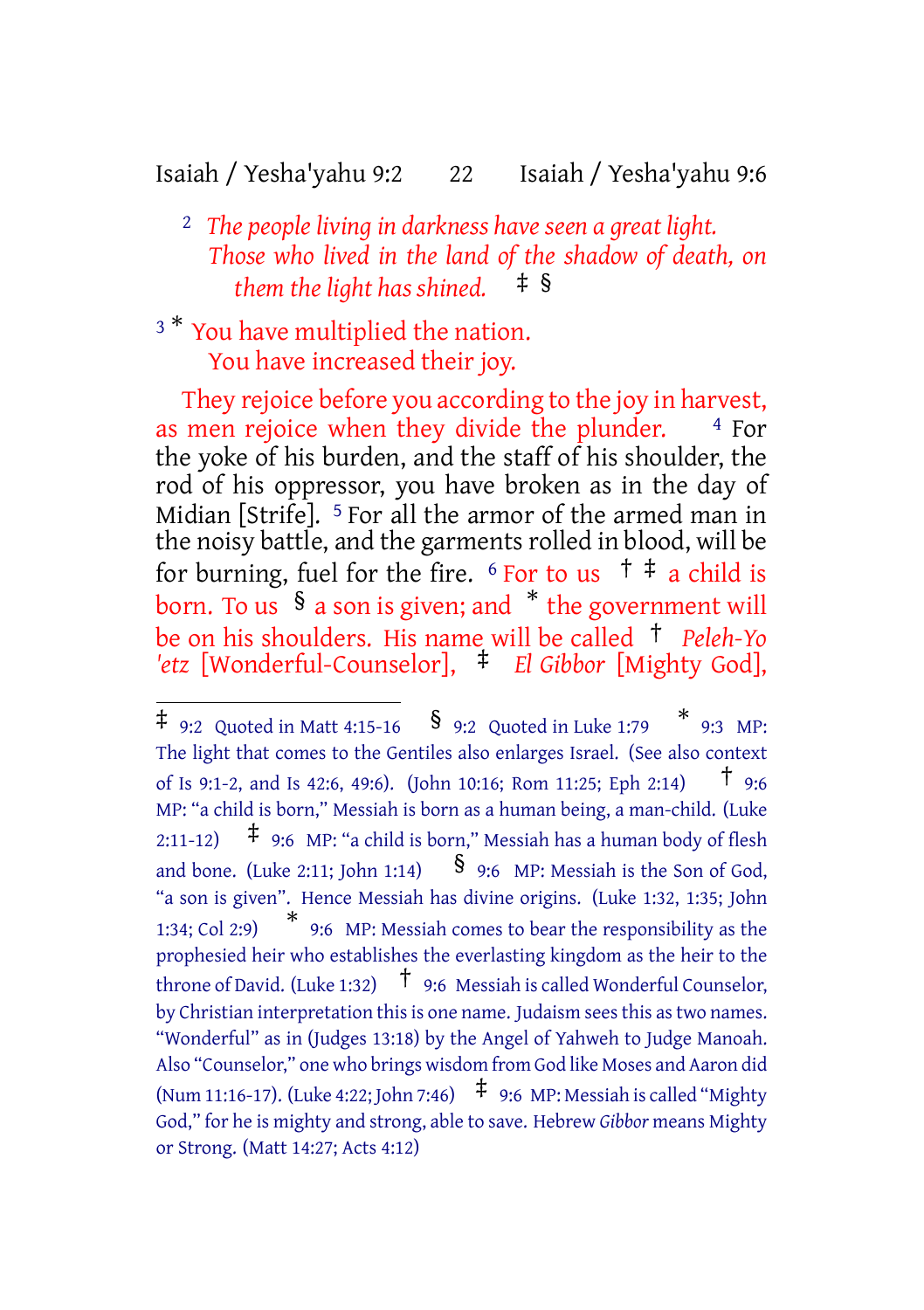#### Isaiah / Yesha'yahu 9:2 22 Isaiah / Yesha'yahu 9:6

- 2 *The people living in darkness have seen a great light. Those who lived in the land of the shadow of death, on them the light has shined.* ‡ §
- <sup>3</sup> \* You have multiplied the nation. You have increased their joy.

They rejoice before you according to the joy in harvest, as men rejoice when they divide the plunder.  $4$  For the yoke of his burden, and the staff of his shoulder, the rod of his oppressor, you have broken as in the day of Midian [Strife]. 5 For all the armor of the armed man in the noisy battle, and the garments rolled in blood, will be for burning, fuel for the fire.  $6$  For to us  $\uparrow \pm a$  child is born. To us  $\frac{1}{5}$  a son is given; and  $*$  the government will be on his shoulders. His name will be called † *Peleh-Yo 'etz* [Wonderful-Counselor], ‡ *El Gibbor* [Mighty God],

 $\ddagger$  9:2 Quoted in Matt 4:15-16  $\,$   $\frac{1}{9}$  9:2 Quoted in Luke 1:79  $\,$   $\stackrel{*}{\ast}$  9:3 MP: The light that comes to the Gentiles also enlarges Israel. (See also context of Is 9:1-2, and Is 42:6, 49:6). (John 10:16; Rom 11:25; Eph 2:14) † 9:6 MP: "a child is born," Messiah is born as a human being, a man-child. (Luke 2:11-12)  $\uparrow$  9:6 MP: "a child is born," Messiah has a human body of flesh and bone. (Luke 2:11; John 1:14)  $\S$  9:6 MP: Messiah is the Son of God, "a son is given". Hence Messiah has divine origins. (Luke 1:32, 1:35; John  $1:34$ ; Col 2:9) 9:6 MP: Messiah comes to bear the responsibility as the prophesied heir who establishes the everlasting kingdom as the heir to the throne of David. (Luke 1:32)  $\uparrow$  9:6 Messiah is called Wonderful Counselor, by Christian interpretation this is one name. Judaism sees this as two names. "Wonderful" as in (Judges 13:18) by the Angel of Yahweh to Judge Manoah. Also "Counselor," one who brings wisdom from God like Moses and Aaron did (Num 11:16-17). (Luke 4:22; John 7:46)  $\pm$  9:6 MP: Messiah is called "Mighty God," for he is mighty and strong, able to save. Hebrew *Gibbor* means Mighty or Strong. (Matt 14:27; Acts 4:12)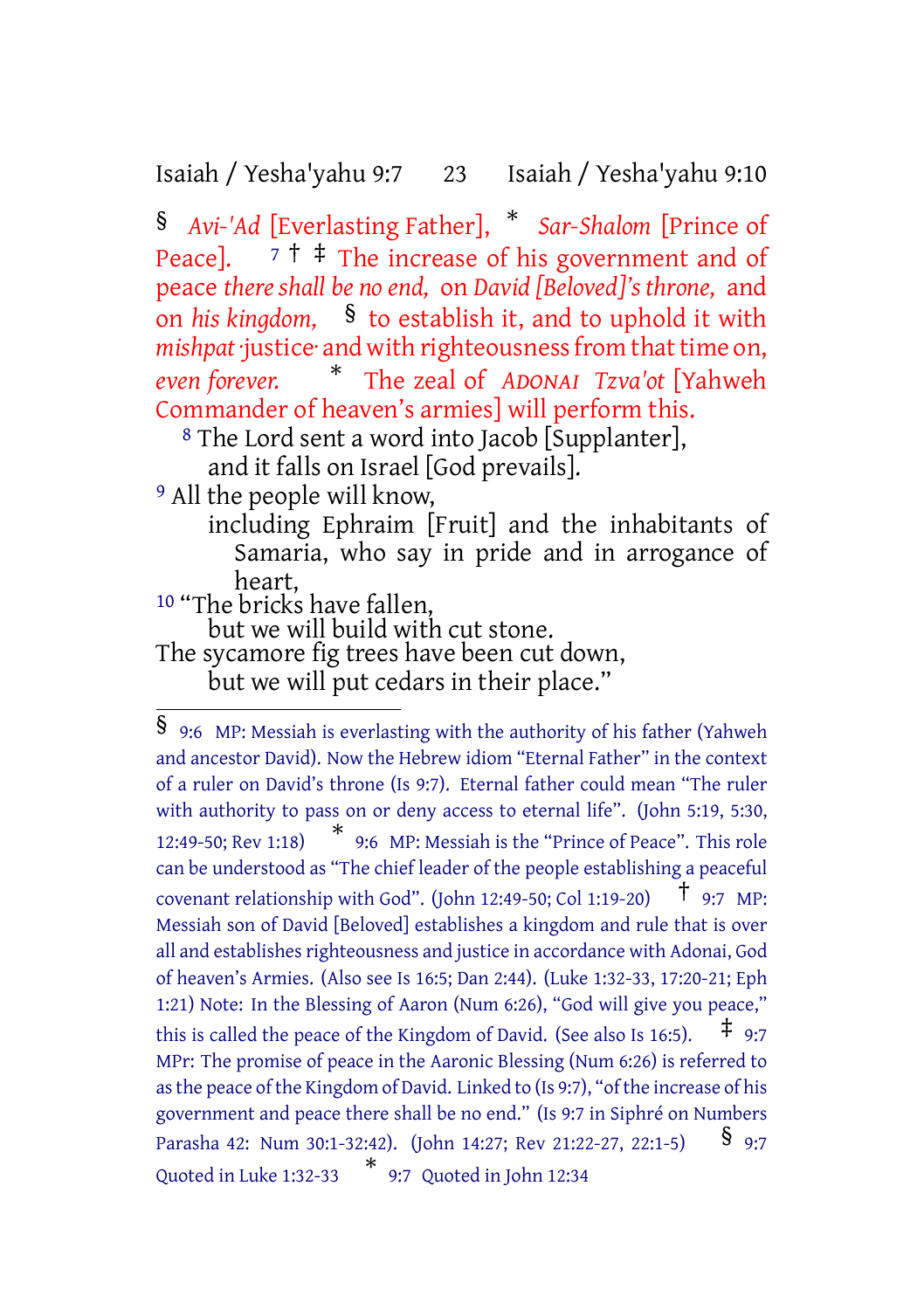Isaiah / Yesha'yahu 9:7 23 Isaiah / Yesha'yahu 9:10

§ *Avi-'Ad* [Everlasting Father], \* *Sar-Shalom* [Prince of Peace].  $7 \dagger \dagger$  The increase of his government and of peace *there shall be no end,* on *David [Beloved]'s throne,* and on *his kingdom,* § to establish it, and to uphold it with *mishpat* justice and with righteousness from that time on, *even forever.* \* The zeal of *ADONAI Tzva'ot* [Yahweh Commander of heaven's armies] will perform this.

<sup>8</sup> The Lord sent a word into Jacob [Supplanter],

and it falls on Israel [God prevails].

9 All the people will know,

including Ephraim [Fruit] and the inhabitants of Samaria, who say in pride and in arrogance of heart,

10 "The bricks have fallen,

but we will build with cut stone.

The sycamore fig trees have been cut down, but we will put cedars in their place."

<sup>§</sup> 9:6 MP: Messiah is everlasting with the authority of his father (Yahweh and ancestor David). Now the Hebrew idiom "Eternal Father" in the context of a ruler on David's throne (Is 9:7). Eternal father could mean "The ruler with authority to pass on or deny access to eternal life". (John 5:19, 5:30, 12:49-50; Rev 1:18) \* 9:6 MP: Messiah is the "Prince of Peace". This role can be understood as "The chief leader of the people establishing a peaceful covenant relationship with God". (John 12:49-50; Col 1:19-20)  $\uparrow$  9:7 MP: Messiah son of David [Beloved] establishes a kingdom and rule that is over all and establishes righteousness and justice in accordance with Adonai, God of heaven's Armies. (Also see Is 16:5; Dan 2:44). (Luke 1:32-33, 17:20-21; Eph 1:21) Note: In the Blessing of Aaron (Num 6:26), "God will give you peace," this is called the peace of the Kingdom of David. (See also Is 16:5).  $\pm$  9:7 MPr: The promise of peace in the Aaronic Blessing (Num 6:26) is referred to asthe peace ofthe Kingdom of David. Linked to (Is 9:7), "ofthe increase of his government and peace there shall be no end." (Is 9:7 in Siphré on Numbers Parasha 42: Num 30:1-32:42). (John 14:27; Rev 21:22-27, 22:1-5) § 9:7 Quoted in Luke 1:32-33 \* 9:7 Quoted in John 12:34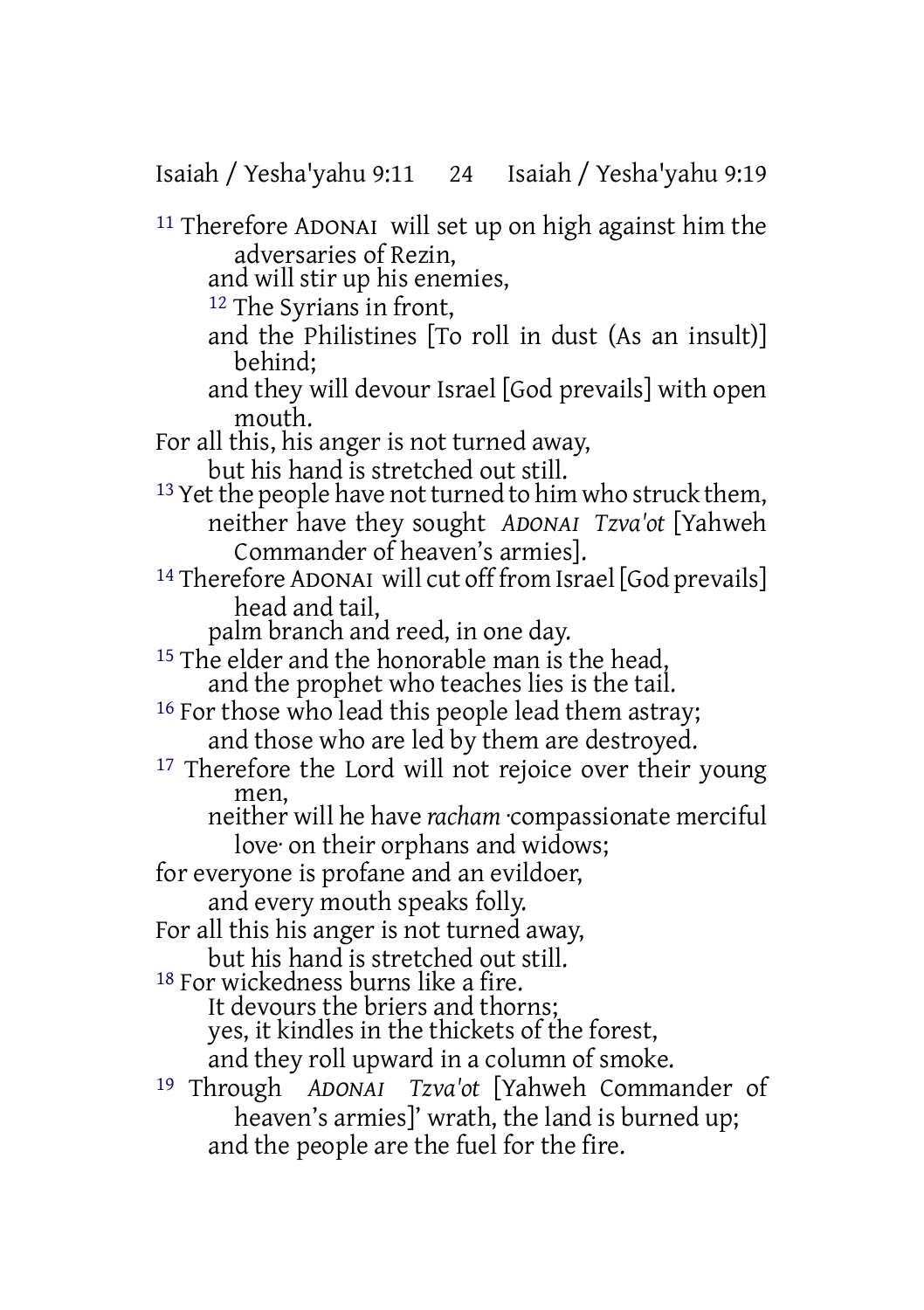Isaiah / Yesha'yahu 9:11 24 Isaiah / Yesha'yahu 9:19

11 Therefore ADONAI will set up on high against him the adversaries of Rezin,

and will stir up his enemies,

12 The Syrians in front,

- and the Philistines [To roll in dust (As an insult)] behind;
- and they will devour Israel [God prevails] with open mouth.

For all this, his anger is not turned away, but his hand is stretched out still.

- $13$  Yet the people have not turned to him who struck them, neither have they sought *ADONAI Tzva'ot* [Yahweh Commander of heaven's armies].
- 14 Therefore ADONAI will cut off from Israel [God prevails] head and tail,

palm branch and reed, in one day.

<sup>15</sup> The elder and the honorable man is the head, and the prophet who teaches lies is the tail.

<sup>16</sup> For those who lead this people lead them astray; and those who are led by them are destroyed.

<sup>17</sup> Therefore the Lord will not rejoice over their young men,

neither will he have *racham* ·compassionate merciful love· on their orphans and widows;

for everyone is profane and an evildoer,

and every mouth speaks folly.

For all this his anger is not turned away,

but his hand is stretched out still.

18 For wickedness burns like a fire.

It devours the briers and thorns;

yes, it kindles in the thickets of the forest,

and they roll upward in a column of smoke.

19 Through *ADONAI Tzva'ot* [Yahweh Commander of heaven's armies]' wrath, the land is burned up; and the people are the fuel for the fire.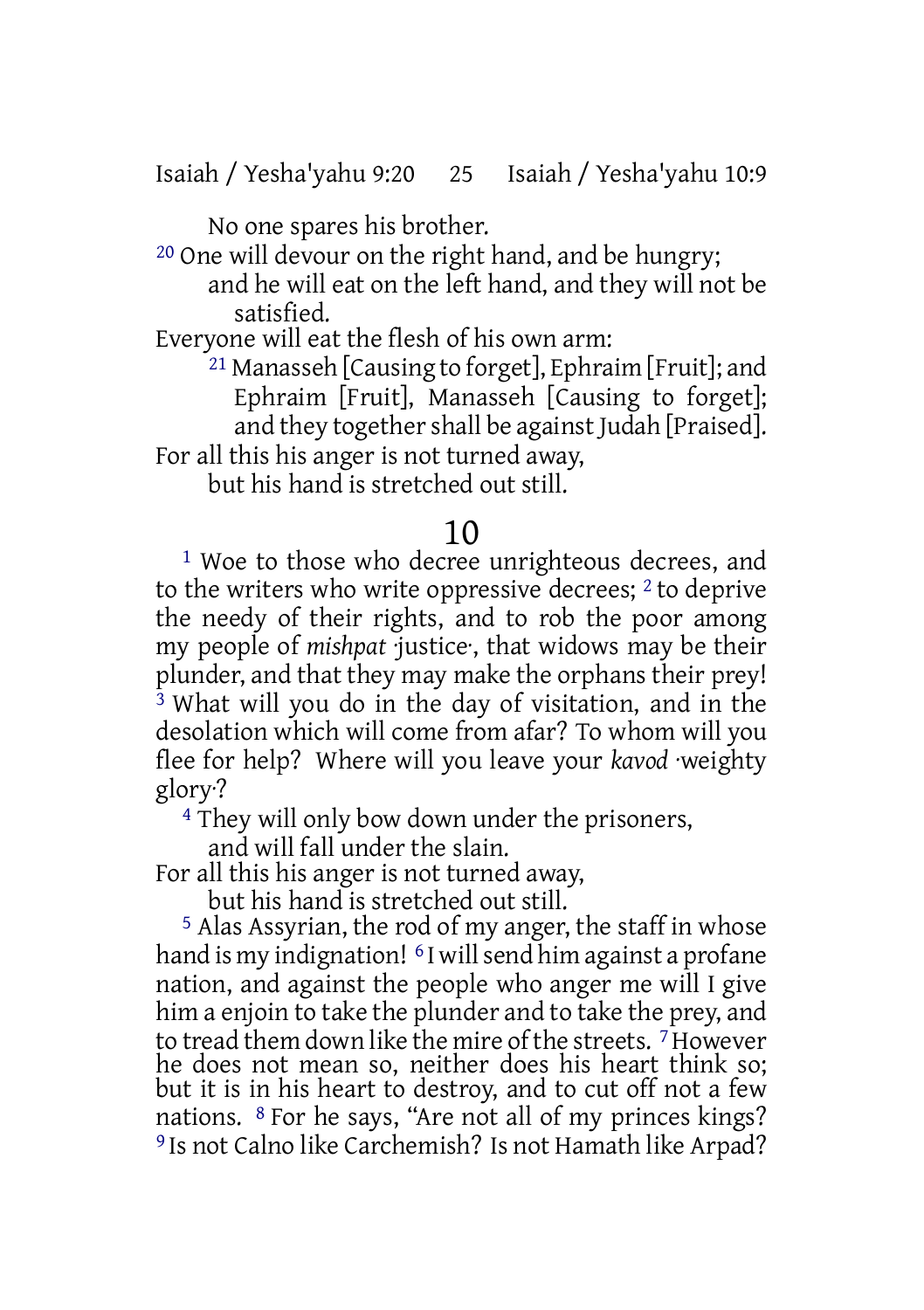Isaiah / Yesha'yahu 9:20 25 Isaiah / Yesha'yahu 10:9

No one spares his brother.

20 One will devour on the right hand, and be hungry;

and he will eat on the left hand, and they will not be satisfied.

Everyone will eat the flesh of his own arm:

 $^{21}$  Manasseh [Causing to forget], Ephraim [Fruit]; and Ephraim [Fruit], Manasseh [Causing to forget]; and they together shall be against Judah [Praised].

For all this his anger is not turned away,

but his hand is stretched out still.

### 10

<sup>1</sup> Woe to those who decree unrighteous decrees, and to the writers who write oppressive decrees; 2 to deprive the needy of their rights, and to rob the poor among my people of *mishpat* ·justice·, that widows may be their plunder, and that they may make the orphans their prey! <sup>3</sup> What will you do in the day of visitation, and in the desolation which will come from afar? To whom will you flee for help? Where will you leave your *kavod* ·weighty glory·?

4 They will only bow down under the prisoners,

and will fall under the slain.

For all this his anger is not turned away,

but his hand is stretched out still.

5 Alas Assyrian, the rod of my anger, the staff in whose hand is my indignation! <sup>6</sup> I will send him against a profane nation, and against the people who anger me will I give him a enjoin to take the plunder and to take the prey, and to tread them down like the mire of the streets. <sup>7</sup> However he does not mean so, neither does his heart think so; but it is in his heart to destroy, and to cut off not a few nations. 8 For he says, "Are not all of my princes kings? 9 Is not Calno like Carchemish? Is not Hamath like Arpad?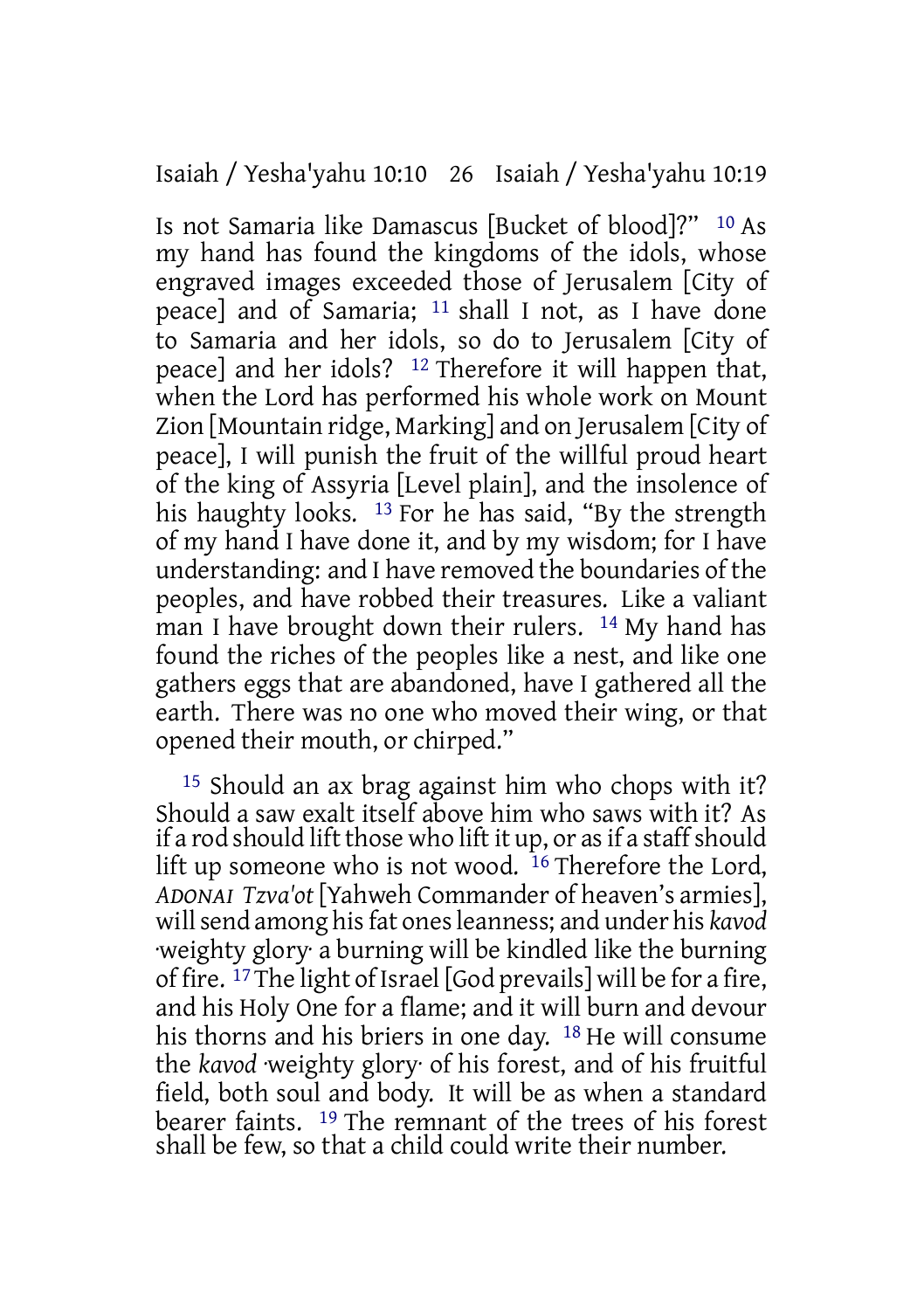#### Isaiah / Yesha'yahu 10:10 26 Isaiah / Yesha'yahu 10:19

Is not Samaria like Damascus [Bucket of blood]?" 10 As my hand has found the kingdoms of the idols, whose engraved images exceeded those of Jerusalem [City of peace] and of Samaria; 11 shall I not, as I have done to Samaria and her idols, so do to Jerusalem [City of peace] and her idols? 12 Therefore it will happen that, when the Lord has performed his whole work on Mount Zion [Mountain ridge, Marking] and on Jerusalem [City of peace], I will punish the fruit of the willful proud heart of the king of Assyria [Level plain], and the insolence of his haughty looks. <sup>13</sup> For he has said, "By the strength of my hand I have done it, and by my wisdom; for I have understanding: and I have removed the boundaries of the peoples, and have robbed their treasures. Like a valiant man I have brought down their rulers. <sup>14</sup> My hand has found the riches of the peoples like a nest, and like one gathers eggs that are abandoned, have I gathered all the earth. There was no one who moved their wing, or that opened their mouth, or chirped."

15 Should an ax brag against him who chops with it? Should a saw exalt itself above him who saws with it? As if a rod should lift those who lift it up, or as if a staff should lift up someone who is not wood.  $16$  Therefore the Lord, *ADONAI Tzva'ot* [Yahweh Commander of heaven's armies], willsend among hisfat onesleanness; and under his *kavod* ·weighty glory· a burning will be kindled like the burning of fire. 17The light of Israel [God prevails] will be for a fire, and his Holy One for a flame; and it will burn and devour his thorns and his briers in one day. 18 He will consume the *kavod* ·weighty glory· of his forest, and of his fruitful field, both soul and body. It will be as when a standard bearer faints. 19 The remnant of the trees of his forest shall be few, so that a child could write their number.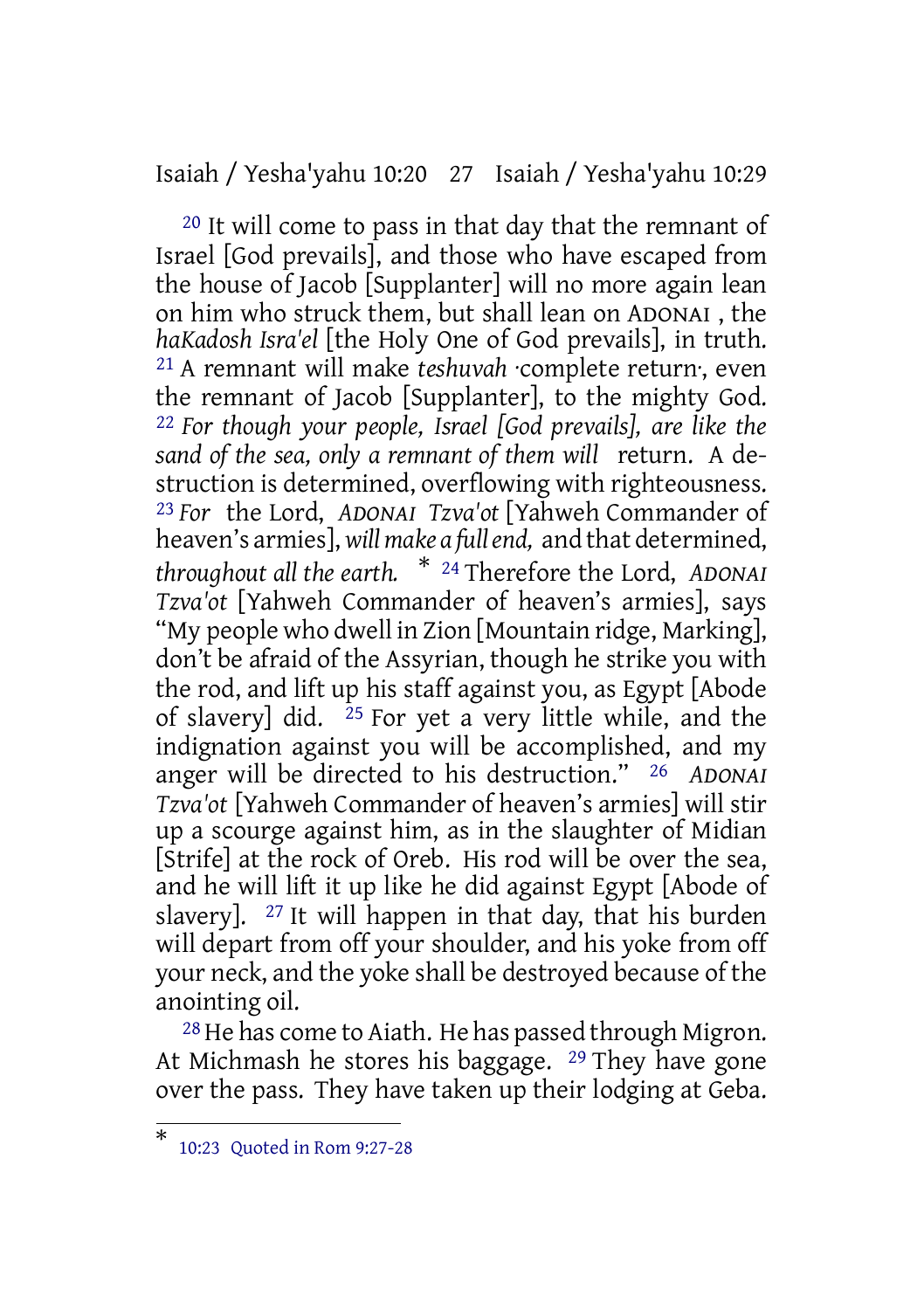Isaiah / Yesha'yahu 10:20 27 Isaiah / Yesha'yahu 10:29

20 It will come to pass in that day that the remnant of Israel [God prevails], and those who have escaped from the house of Jacob [Supplanter] will no more again lean on him who struck them, but shall lean on ADONAI , the *haKadosh Isra'el* [the Holy One of God prevails], in truth. 21 A remnant will make *teshuvah* ·complete return·, even the remnant of Jacob [Supplanter], to the mighty God. 22 *For though your people, Israel [God prevails], are like the sand of the sea, only a remnant of them will* return. A destruction is determined, overflowing with righteousness. 23 *For* the Lord, *ADONAI Tzva'ot* [Yahweh Commander of heaven's armies], *willmake a fullend,* and that determined, *throughout all the earth.* \* <sup>24</sup> Therefore the Lord, *ADONAI Tzva'ot* [Yahweh Commander of heaven's armies], says "My people who dwell in Zion [Mountain ridge, Marking], don't be afraid of the Assyrian, though he strike you with the rod, and lift up his staff against you, as Egypt [Abode of slavery] did.  $25$  For yet a very little while, and the indignation against you will be accomplished, and my anger will be directed to his destruction." 26 *ADONAI Tzva'ot* [Yahweh Commander of heaven's armies] will stir up a scourge against him, as in the slaughter of Midian [Strife] at the rock of Oreb. His rod will be over the sea, and he will lift it up like he did against Egypt [Abode of slavery].  $27$  It will happen in that day, that his burden will depart from off your shoulder, and his yoke from off your neck, and the yoke shall be destroyed because of the anointing oil.

28 He has come to Aiath. He has passed through Migron. At Michmash he stores his baggage.  $29$  They have gone over the pass. They have taken up their lodging at Geba.

<sup>\*</sup> 10:23 Quoted in Rom 9:27-28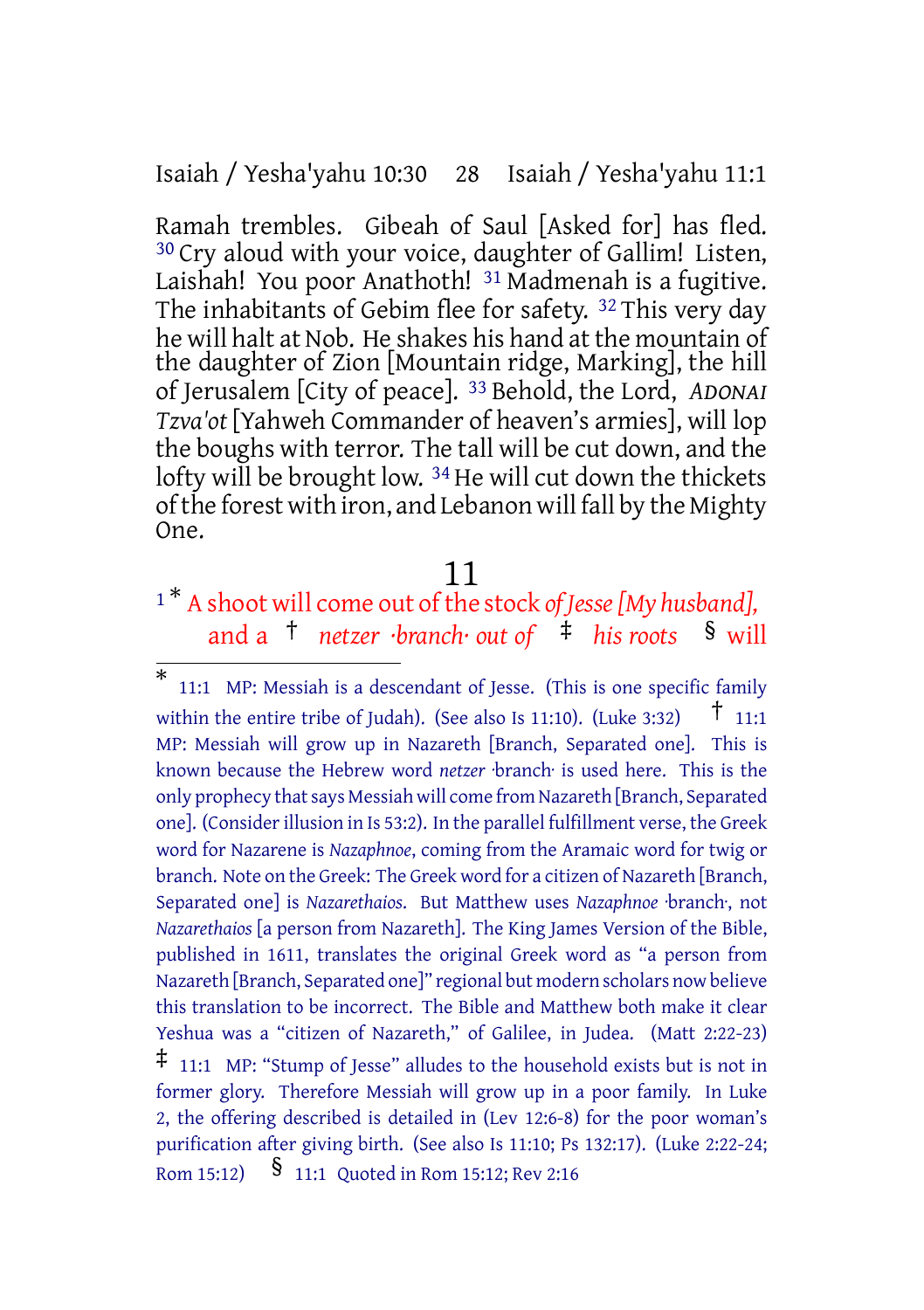Isaiah / Yesha'yahu 10:30 28 Isaiah / Yesha'yahu 11:1

Ramah trembles. Gibeah of Saul [Asked for] has fled. 30 Cry aloud with your voice, daughter of Gallim! Listen, Laishah! You poor Anathoth! <sup>31</sup> Madmenah is a fugitive. The inhabitants of Gebim flee for safety. 32 This very day he will halt at Nob. He shakes his hand at the mountain of the daughter of Zion [Mountain ridge, Marking], the hill of Jerusalem [City of peace]. 33 Behold, the Lord, *ADONAI Tzva'ot* [Yahweh Commander of heaven's armies], will lop the boughs with terror. The tall will be cut down, and the lofty will be brought low. <sup>34</sup> He will cut down the thickets of the forest with iron, and Lebanon will fall by the Mighty One.

#### 11

<sup>1</sup>\* A shoot will come out of the stock of *Jesse* [My husband], and a † *netzer ·branch· out of* ‡ *his roots* § will

<sup>\*</sup> 11:1 MP: Messiah is a descendant of Jesse. (This is one specific family within the entire tribe of Judah). (See also Is 11:10). (Luke 3:32)  $\uparrow$  11:1 MP: Messiah will grow up in Nazareth [Branch, Separated one]. This is known because the Hebrew word *netzer* ·branch· is used here. This is the only prophecy that says Messiah will come from Nazareth [Branch, Separated] one]. (Considerillusion in Is 53:2). In the parallel fulfillment verse, the Greek word for Nazarene is *Nazaphnoe*, coming from the Aramaic word for twig or branch. Note on the Greek: The Greek word for a citizen of Nazareth [Branch, Separated one] is *Nazarethaios*. But Matthew uses *Nazaphnoe* ·branch·, not *Nazarethaios* [a person from Nazareth]. The King James Version of the Bible, published in 1611, translates the original Greek word as "a person from Nazareth [Branch, Separated one]" regional but modern scholars now believe this translation to be incorrect. The Bible and Matthew both make it clear Yeshua was a "citizen of Nazareth," of Galilee, in Judea. (Matt 2:22-23)

<sup>‡</sup> 11:1 MP: "Stump of Jesse" alludes to the household exists but is not in former glory. Therefore Messiah will grow up in a poor family. In Luke 2, the offering described is detailed in (Lev 12:6-8) for the poor woman's purification after giving birth. (See also Is 11:10; Ps 132:17). (Luke 2:22-24; Rom 15:12) § 11:1 Quoted in Rom 15:12; Rev 2:16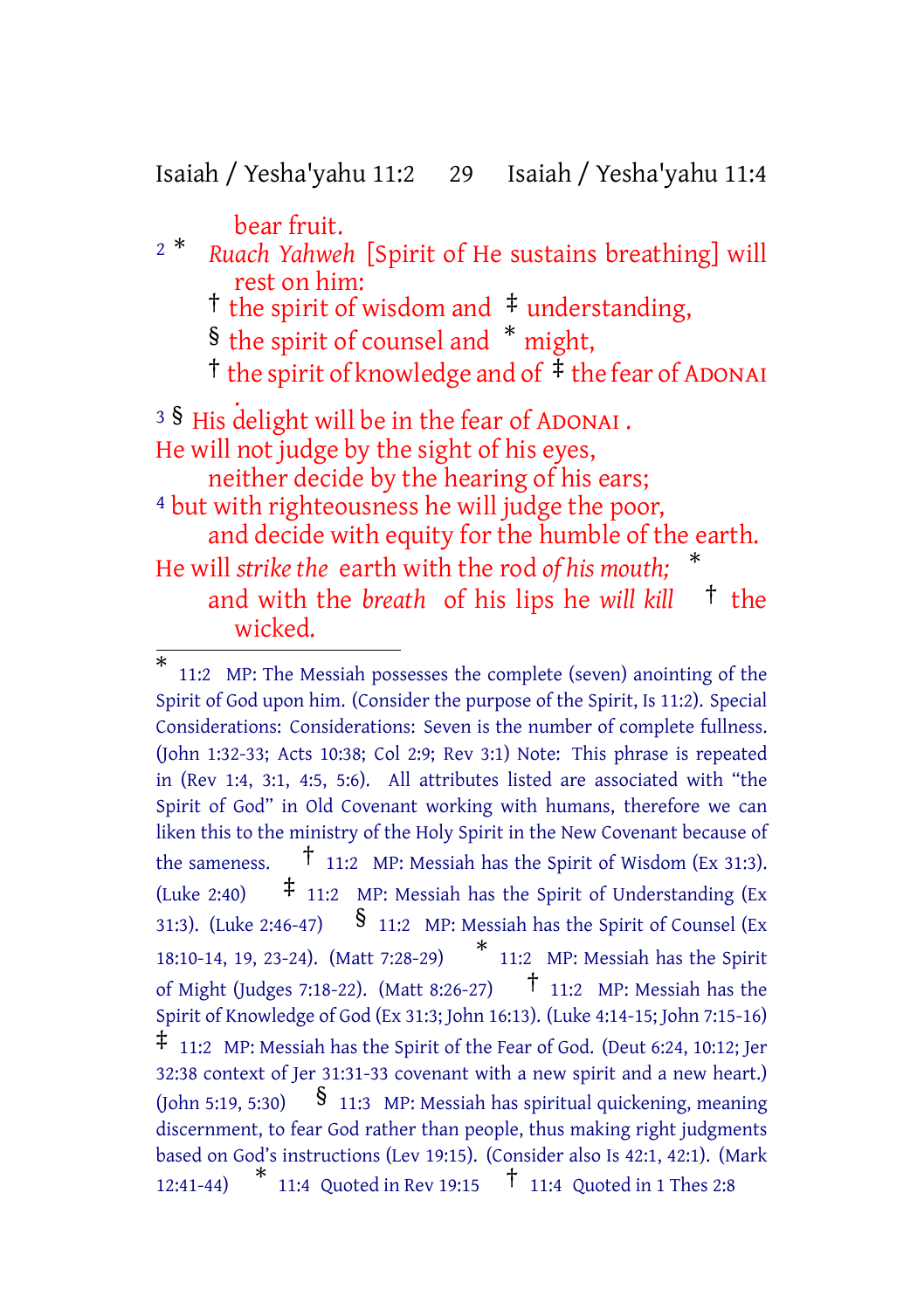Isaiah / Yesha'yahu 11:2 29 Isaiah / Yesha'yahu 11:4

bear fruit.

- <sup>2</sup> \* *Ruach Yahweh* [Spirit of He sustains breathing] will rest on him:
	- † the spirit of wisdom and ‡ understanding,
	- § the spirit of counsel and \* might,
	- <sup> $\dagger$ </sup> the spirit of knowledge and of  $\frac{1}{2}$  the fear of ADONAI

. <sup>3</sup> § His delight will be in the fear of ADONAI. He will not judge by the sight of his eyes, neither decide by the hearing of his ears;

4 but with righteousness he will judge the poor, and decide with equity for the humble of the earth. He will *strike the* earth with the rod *of his mouth;* \* and with the *breath* of his lips he *will kill* † the wicked.

<sup>\*</sup> 11:2 MP: The Messiah possesses the complete (seven) anointing of the Spirit of God upon him. (Consider the purpose of the Spirit, Is 11:2). Special Considerations: Considerations: Seven is the number of complete fullness. (John 1:32-33; Acts 10:38; Col 2:9; Rev 3:1) Note: This phrase is repeated in (Rev 1:4, 3:1, 4:5, 5:6). All attributes listed are associated with "the Spirit of God" in Old Covenant working with humans, therefore we can liken this to the ministry of the Holy Spirit in the New Covenant because of the sameness.  $\uparrow$  11:2 MP: Messiah has the Spirit of Wisdom (Ex 31:3). (Luke 2:40)  $\sharp$  11:2 MP: Messiah has the Spirit of Understanding (Ex 31:3). (Luke 2:46-47)  $\frac{1}{3}$  11:2 MP: Messiah has the Spirit of Counsel (Ex 18:10-14, 19, 23-24). (Matt 7:28-29) \* \* 11:2 MP: Messiah has the Spirit<br>5-27)  $\uparrow$  11:2 MP: Messiah has the of Might (Judges 7:18-22). (Matt 8:26-27) Spirit of Knowledge of God (Ex 31:3; John 16:13). (Luke 4:14-15; John 7:15-16)  $\ddagger$  11:2 MP: Messiah has the Spirit of the Fear of God. (Deut 6:24, 10:12; Jer 32:38 context of Jer 31:31-33 covenant with a new spirit and a new heart.) (John 5:19, 5:30)  $\frac{8}{11:3}$  MP: Messiah has spiritual quickening, meaning discernment, to fear God rather than people, thus making right judgments based on God's instructions (Lev 19:15). (Consider also Is 42:1, 42:1). (Mark 12:41-44) \* 11:4 Quoted in Rev 19:15 † 11:4 Quoted in <sup>1</sup> Thes 2:8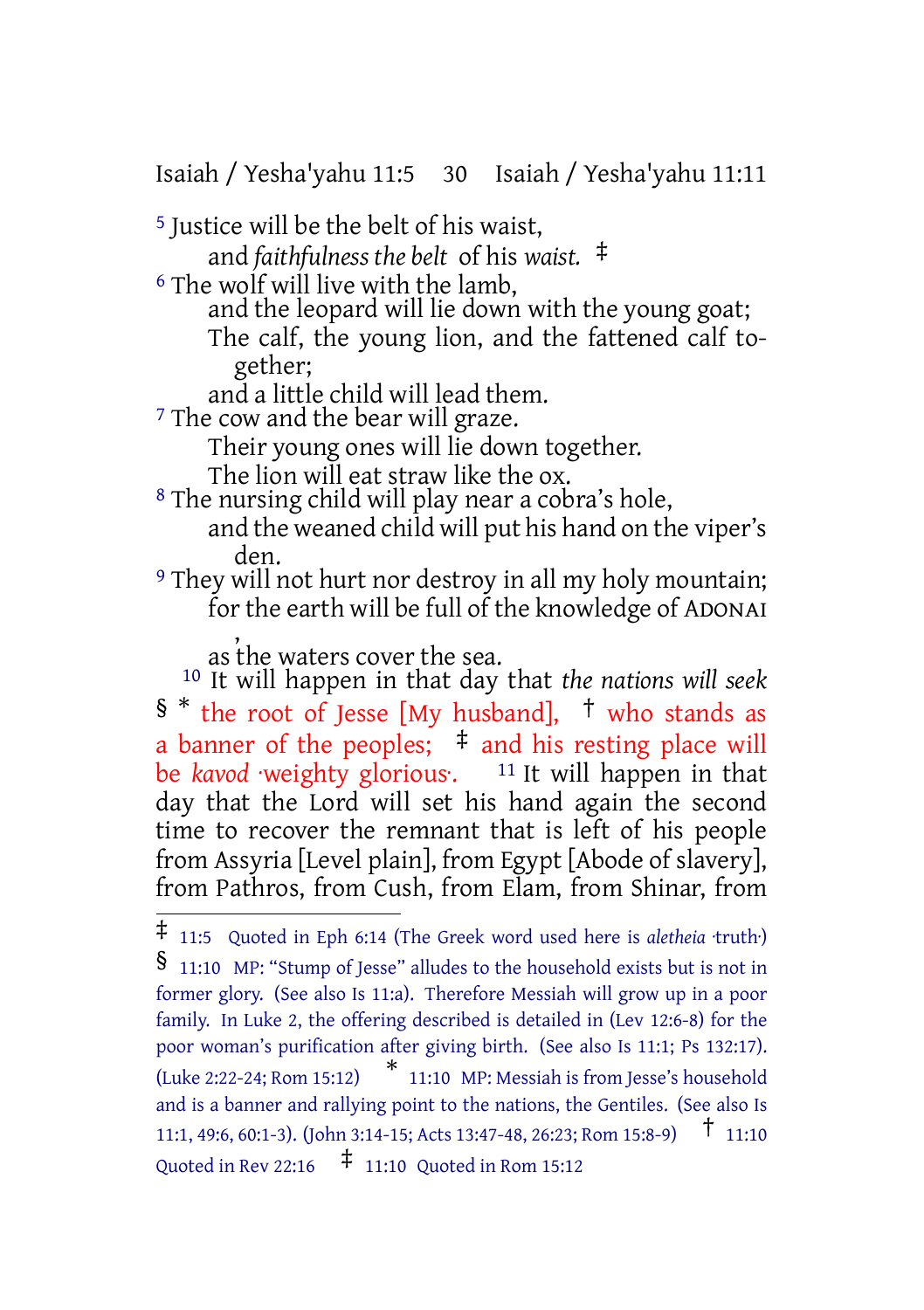Isaiah / Yesha'yahu 11:5 30 Isaiah / Yesha'yahu 11:11

5 Justice will be the belt of his waist,

and *faithfulness the belt* of his *waist.* ‡

6 The wolf will live with the lamb,

and the leopard will lie down with the young goat;

The calf, the young lion, and the fattened calf together;

and a little child will lead them.

<sup>7</sup> The cow and the bear will graze.

Their young ones will lie down together.

The lion will eat straw like the ox.

8 The nursing child will play near a cobra's hole, and the weaned child will put his hand on the viper's den.

9 They will not hurt nor destroy in all my holy mountain; for the earth will be full of the knowledge of ADONAI ,

as the waters cover the sea.

10 It will happen in that day that *the nations will seek* § \* the root of Jesse [My husband], † who stands as a banner of the peoples;  $\pm$  and his resting place will be *kavod* weighty glorious. <sup>11</sup> It will happen in that day that the Lord will set his hand again the second time to recover the remnant that is left of his people from Assyria [Level plain], from Egypt [Abode of slavery], from Pathros, from Cush, from Elam, from Shinar, from

<sup>‡</sup> 11:5 Quoted in Eph 6:14 (The Greek word used here is *aletheia* ·truth·)

<sup>§</sup> 11:10 MP: "Stump of Jesse" alludes to the household exists but is not in former glory. (See also Is 11:a). Therefore Messiah will grow up in a poor family. In Luke 2, the offering described is detailed in (Lev 12:6-8) for the poor woman's purification after giving birth. (See also Is 11:1; Ps 132:17). (Luke 2:22-24; Rom 15:12) \* 11:10 MP: Messiah is from Jesse's household and is a banner and rallying point to the nations, the Gentiles. (See also Is 11:1, 49:6, 60:1-3). (John 3:14-15; Acts 13:47-48, 26:23; Rom 15:8-9) † 11:10 Quoted in Rev 22:16  $\uparrow$  11:10 Quoted in Rom 15:12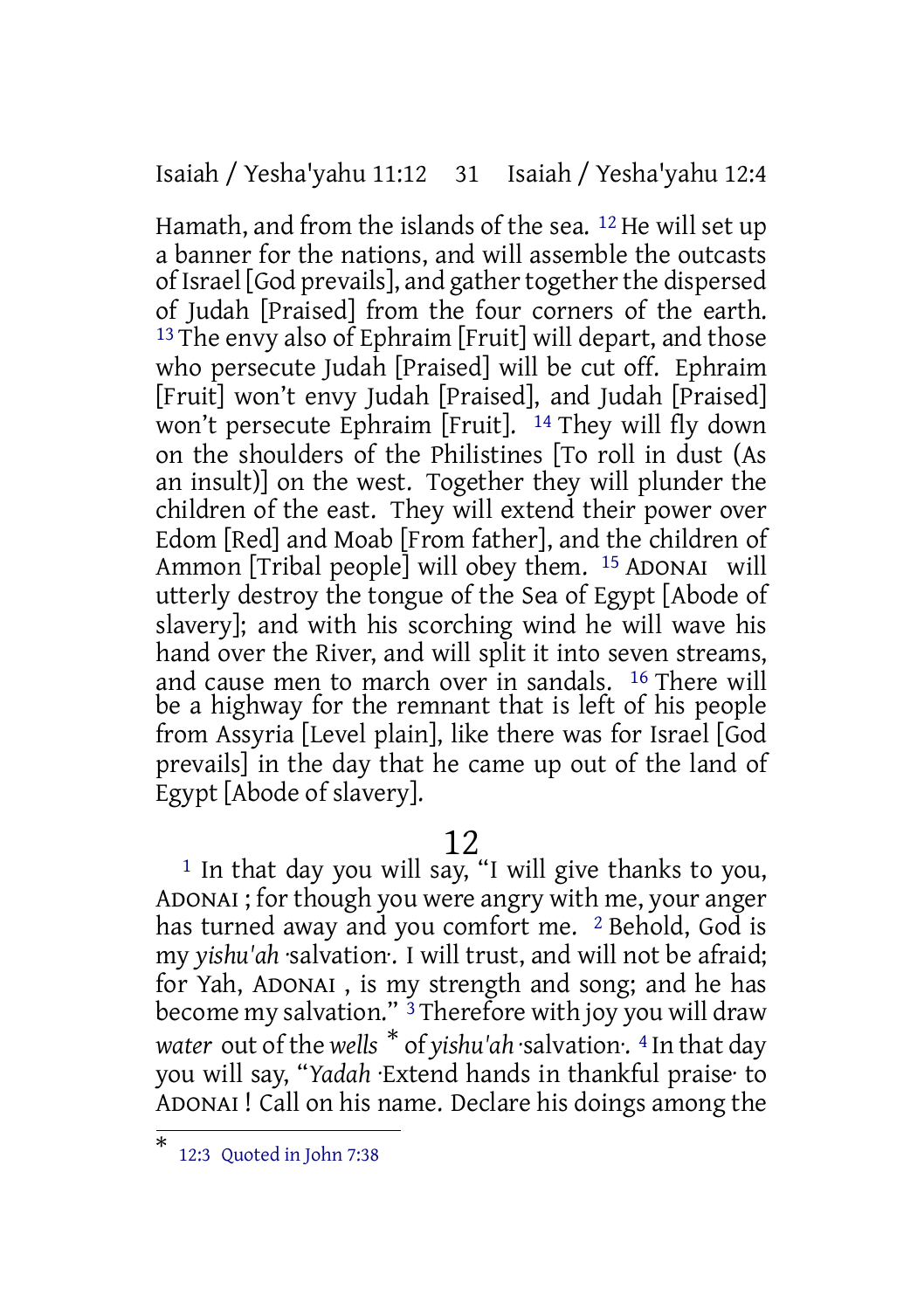Isaiah / Yesha'yahu 11:12 31 Isaiah / Yesha'yahu 12:4

Hamath, and from the islands of the sea. 12 He will set up a banner for the nations, and will assemble the outcasts of Israel [God prevails], and gather together the dispersed of Judah [Praised] from the four corners of the earth. <sup>13</sup> The envy also of Ephraim [Fruit] will depart, and those who persecute Judah [Praised] will be cut off. Ephraim [Fruit] won't envy Judah [Praised], and Judah [Praised] won't persecute Ephraim [Fruit]. 14 They will fly down on the shoulders of the Philistines [To roll in dust (As an insult)] on the west. Together they will plunder the children of the east. They will extend their power over Edom [Red] and Moab [From father], and the children of Ammon [Tribal people] will obey them. 15 ADONAI will utterly destroy the tongue of the Sea of Egypt [Abode of slavery]; and with his scorching wind he will wave his hand over the River, and will split it into seven streams, and cause men to march over in sandals. 16 There will be a highway for the remnant that is left of his people from Assyria [Level plain], like there was for Israel [God prevails] in the day that he came up out of the land of Egypt [Abode of slavery].

# 12

<sup>1</sup> In that day you will say, "I will give thanks to you, ADONAI ; for though you were angry with me, your anger has turned away and you comfort me. <sup>2</sup> Behold, God is my *yishu'ah* ·salvation·. I will trust, and will not be afraid; for Yah, ADONAI , is my strength and song; and he has become my salvation." <sup>3</sup> Therefore with joy you will draw *water* out of the *wells* \* of *yishu'ah* ·salvation·. <sup>4</sup> In that day you will say, "*Yadah* ·Extend hands in thankful praise· to ADONAI ! Call on his name. Declare his doings among the

<sup>\*</sup> 12:3 Quoted in John 7:38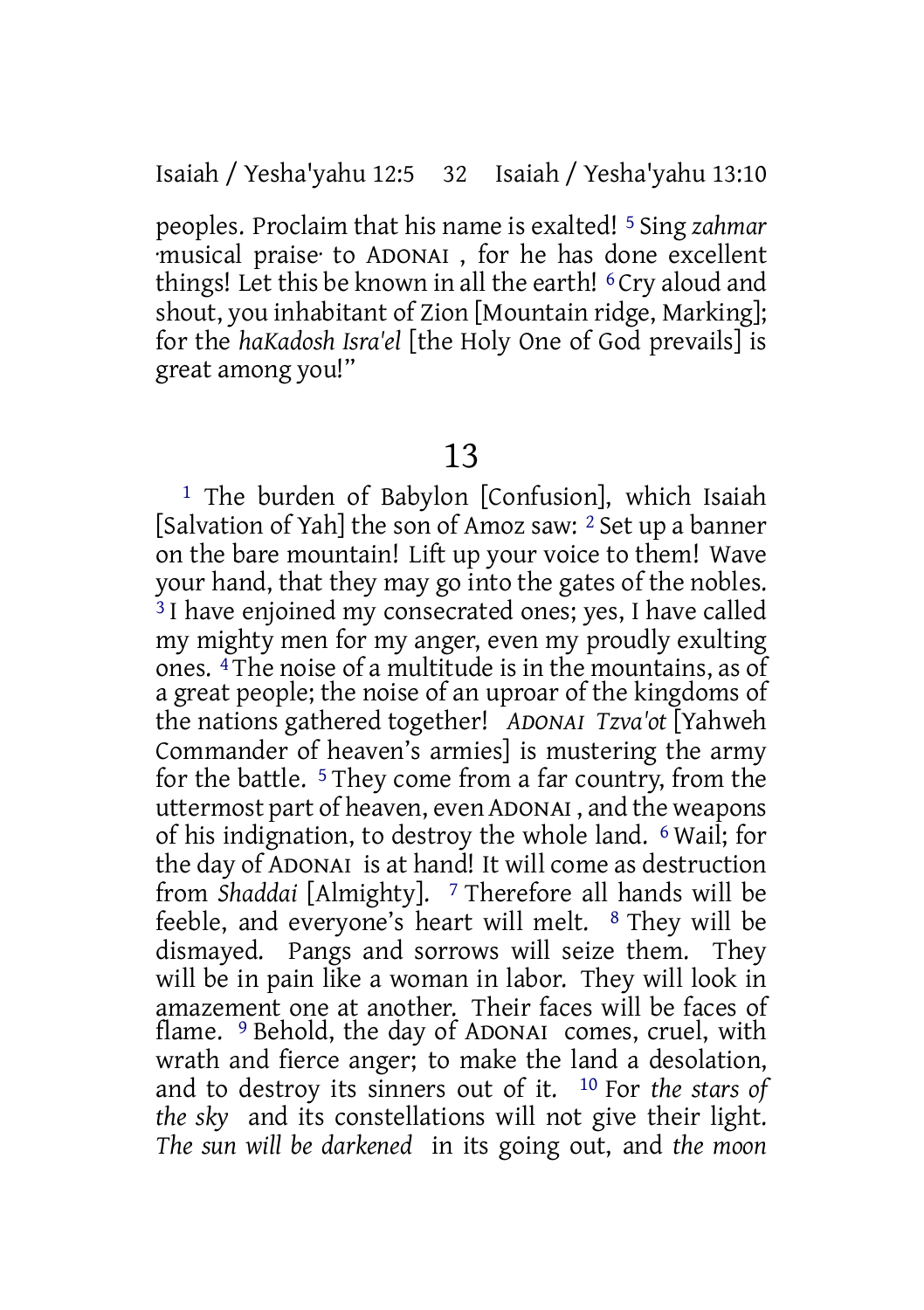peoples. Proclaim that his name is exalted! 5 Sing *zahmar* ·musical praise· to ADONAI , for he has done excellent things! Let this be known in all the earth! <sup>6</sup> Cry aloud and shout, you inhabitant of Zion [Mountain ridge, Marking]; for the *haKadosh Isra'el* [the Holy One of God prevails] is great among you!"

# 13

<sup>1</sup> The burden of Babylon [Confusion], which Isaiah [Salvation of Yah] the son of Amoz saw: 2 Set up a banner on the bare mountain! Lift up your voice to them! Wave your hand, that they may go into the gates of the nobles. <sup>3</sup> I have enjoined my consecrated ones; yes, I have called my mighty men for my anger, even my proudly exulting ones. 4 The noise of a multitude is in the mountains, as of a great people; the noise of an uproar of the kingdoms of the nations gathered together! *ADONAI Tzva'ot* [Yahweh Commander of heaven's armies] is mustering the army for the battle. 5 They come from a far country, from the uttermost part of heaven, even ADONAI , and the weapons of his indignation, to destroy the whole land. 6 Wail; for the day of ADONAI is at hand! It will come as destruction from *Shaddai* [Almighty]. 7 Therefore all hands will be feeble, and everyone's heart will melt. 8 They will be dismayed. Pangs and sorrows will seize them. They will be in pain like a woman in labor. They will look in amazement one at another. Their faces will be faces of flame. <sup>9</sup> Behold, the day of ADONAI comes, cruel, with wrath and fierce anger; to make the land a desolation, and to destroy its sinners out of it. 10 For *the stars of the sky* and its constellations will not give their light. *The sun will be darkened* in its going out, and *the moon*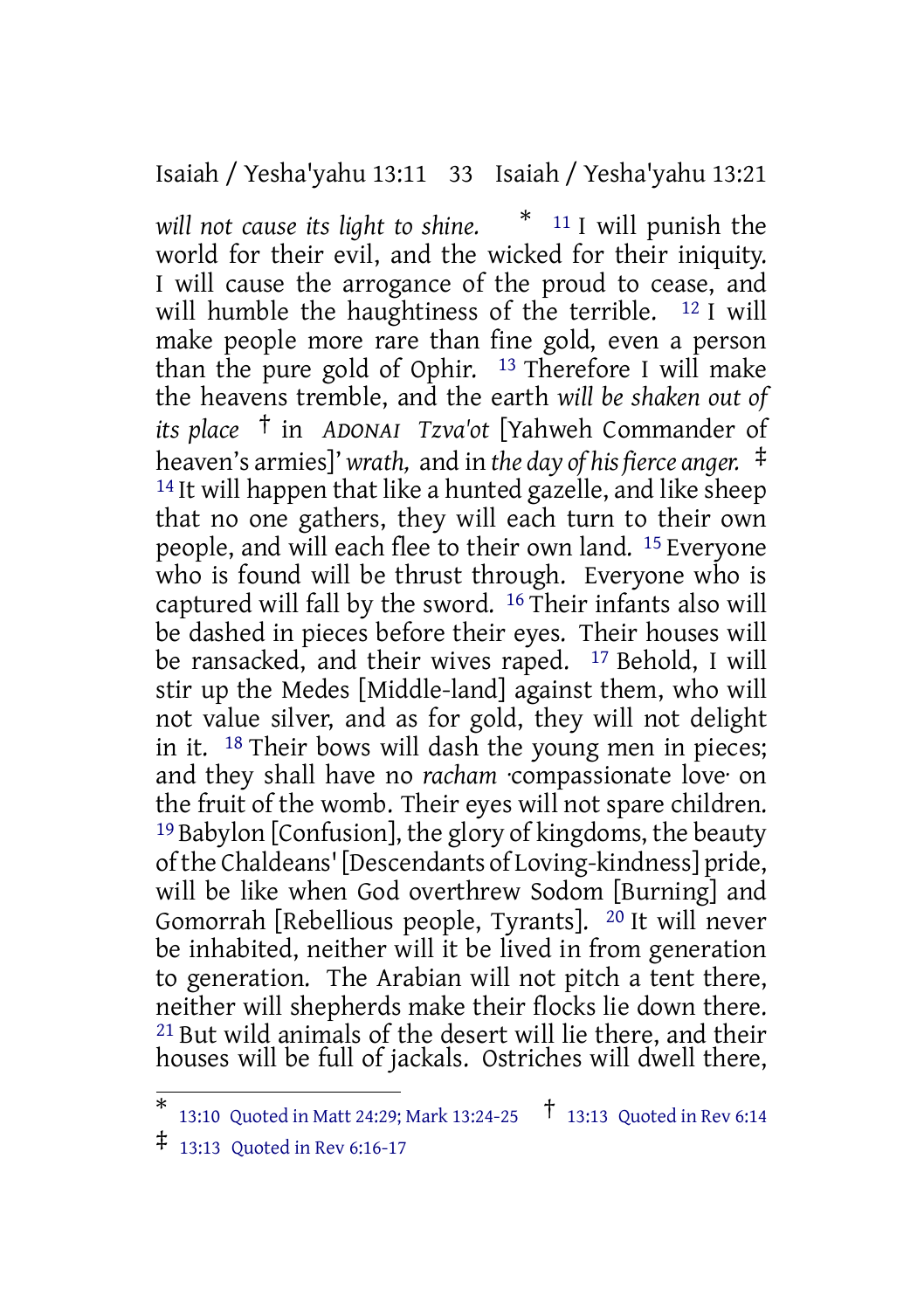Isaiah / Yesha'yahu 13:11 33 Isaiah / Yesha'yahu 13:21

*will not cause its light to shine.* \* <sup>11</sup> I will punish the world for their evil, and the wicked for their iniquity. I will cause the arrogance of the proud to cease, and will humble the haughtiness of the terrible. <sup>12</sup> I will make people more rare than fine gold, even a person than the pure gold of Ophir.  $13$  Therefore I will make the heavens tremble, and the earth *will be shaken out of its place* † in *ADONAI Tzva'ot* [Yahweh Commander of heaven's armies]' *wrath,* and in *the day of his fierce anger.* ‡ 14 It will happen that like a hunted gazelle, and like sheep that no one gathers, they will each turn to their own people, and will each flee to their own land. 15 Everyone who is found will be thrust through. Everyone who is captured will fall by the sword. 16 Their infants also will be dashed in pieces before their eyes. Their houses will be ransacked, and their wives raped. <sup>17</sup> Behold, I will stir up the Medes [Middle-land] against them, who will not value silver, and as for gold, they will not delight in it. 18 Their bows will dash the young men in pieces; and they shall have no *racham* ·compassionate love· on the fruit of the womb. Their eyes will not spare children. 19 Babylon [Confusion], the glory of kingdoms, the beauty ofthe Chaldeans'[Descendants of Loving-kindness] pride, will be like when God overthrew Sodom [Burning] and Gomorrah [Rebellious people, Tyrants]. 20 It will never be inhabited, neither will it be lived in from generation to generation. The Arabian will not pitch a tent there, neither will shepherds make their flocks lie down there. 21 But wild animals of the desert will lie there, and their houses will be full of jackals. Ostriches will dwell there,

<sup>\*</sup> 13:10 Quoted in Matt 24:29; Mark 13:24-25 † 13:13 Quoted in Rev 6:14

<sup>‡</sup> 13:13 Quoted in Rev 6:16-17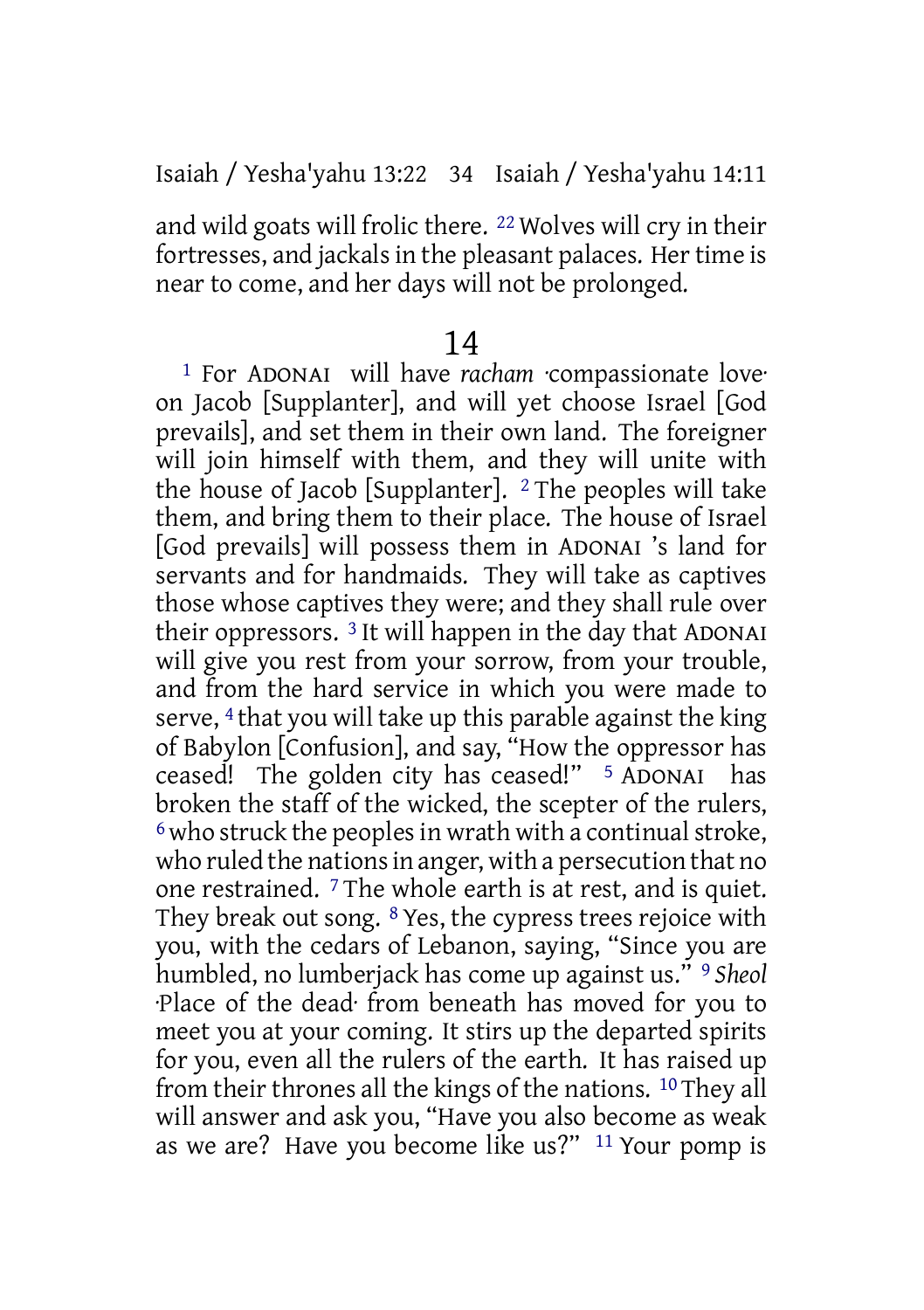and wild goats will frolic there. 22 Wolves will cry in their fortresses, and jackals in the pleasant palaces. Her time is near to come, and her days will not be prolonged.

#### 14

1 For ADONAI will have *racham* ·compassionate love· on Jacob [Supplanter], and will yet choose Israel [God prevails], and set them in their own land. The foreigner will join himself with them, and they will unite with the house of Jacob [Supplanter]. 2 The peoples will take them, and bring them to their place. The house of Israel [God prevails] will possess them in ADONAI 's land for servants and for handmaids. They will take as captives those whose captives they were; and they shall rule over their oppressors. 3 It will happen in the day that ADONAI will give you rest from your sorrow, from your trouble, and from the hard service in which you were made to serve, 4 that you will take up this parable against the king of Babylon [Confusion], and say, "How the oppressor has ceased! The golden city has ceased!" 5 ADONAI has broken the staff of the wicked, the scepter of the rulers,  $6$  who struck the peoples in wrath with a continual stroke, who ruled the nations in anger, with a persecution that no one restrained. 7 The whole earth is at rest, and is quiet. They break out song. 8 Yes, the cypress trees rejoice with you, with the cedars of Lebanon, saying, "Since you are humbled, no lumberjack has come up against us." 9 *Sheol* ·Place of the dead· from beneath has moved for you to meet you at your coming. It stirs up the departed spirits for you, even all the rulers of the earth. It has raised up from their thrones all the kings of the nations. 10 They all will answer and ask you, "Have you also become as weak as we are? Have you become like us?" 11 Your pomp is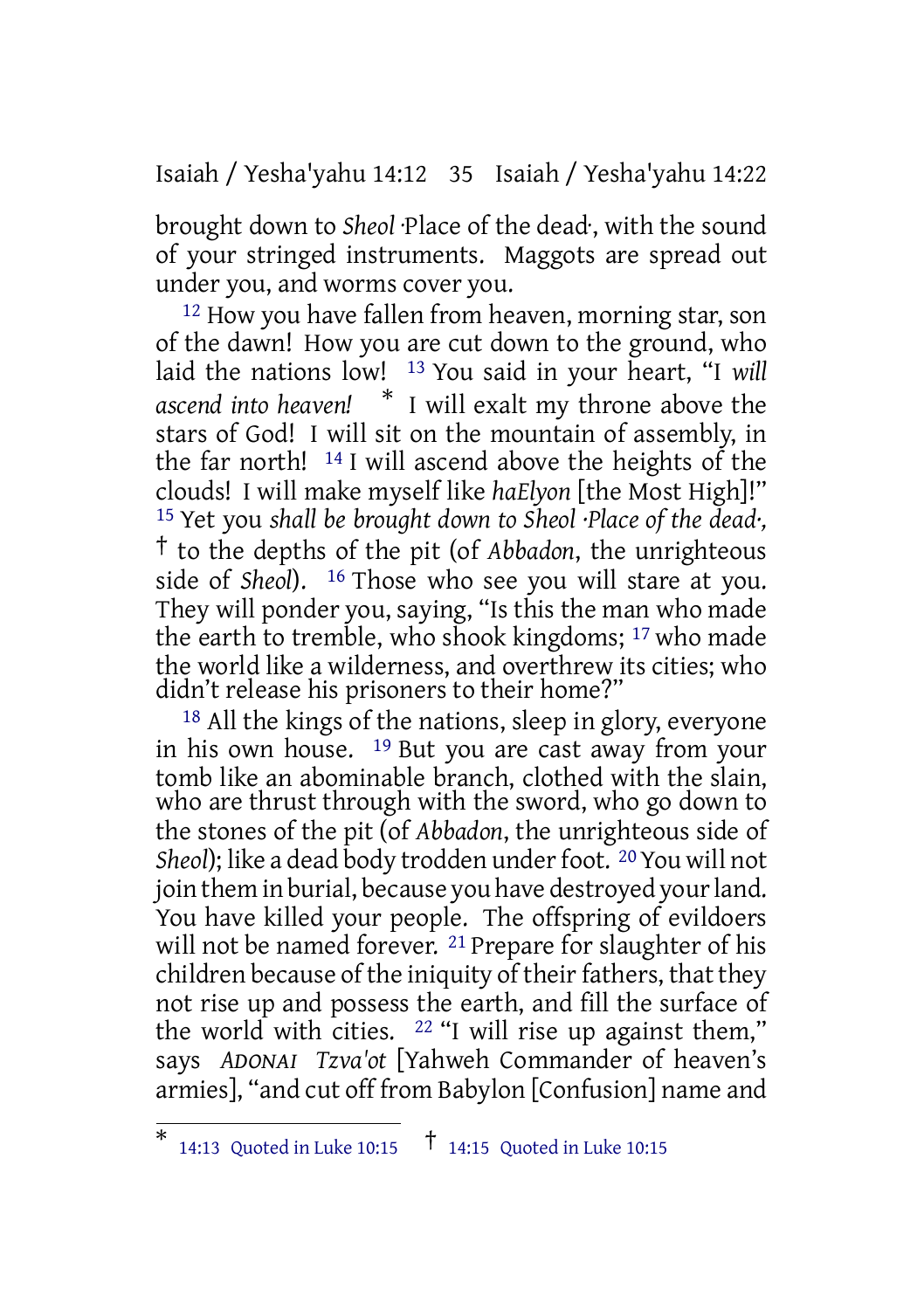Isaiah / Yesha'yahu 14:12 35 Isaiah / Yesha'yahu 14:22

brought down to *Sheol* ·Place of the dead·, with the sound of your stringed instruments. Maggots are spread out under you, and worms cover you.

12 How you have fallen from heaven, morning star, son of the dawn! How you are cut down to the ground, who laid the nations low! 13 You said in your heart, "I *will ascend into heaven!* \* I will exalt my throne above the stars of God! I will sit on the mountain of assembly, in the far north! 14 I will ascend above the heights of the clouds! I will make myself like *haElyon* [the Most High]!" 15 Yet you *shall be brought down to Sheol ·Place of the dead·,* † to the depths of the pit (of *Abbadon*, the unrighteous side of *Sheol*). 16 Those who see you will stare at you. They will ponder you, saying, "Is this the man who made the earth to tremble, who shook kingdoms; 17 who made the world like a wilderness, and overthrew its cities; who didn't release his prisoners to their home?"

18 All the kings of the nations, sleep in glory, everyone in his own house. 19 But you are cast away from your tomb like an abominable branch, clothed with the slain, who are thrust through with the sword, who go down to the stones of the pit (of *Abbadon*, the unrighteous side of *Sheol*); like a dead body trodden under foot. <sup>20</sup> You will not join them in burial, because you have destroyed your land. You have killed your people. The offspring of evildoers will not be named forever. <sup>21</sup> Prepare for slaughter of his children because of the iniquity of their fathers, that they not rise up and possess the earth, and fill the surface of the world with cities.  $22$  "I will rise up against them," says *ADONAI Tzva'ot* [Yahweh Commander of heaven's armies], "and cut off from Babylon [Confusion] name and

<sup>\*</sup> 14:13 Quoted in Luke 10:15 † 14:15 Quoted in Luke 10:15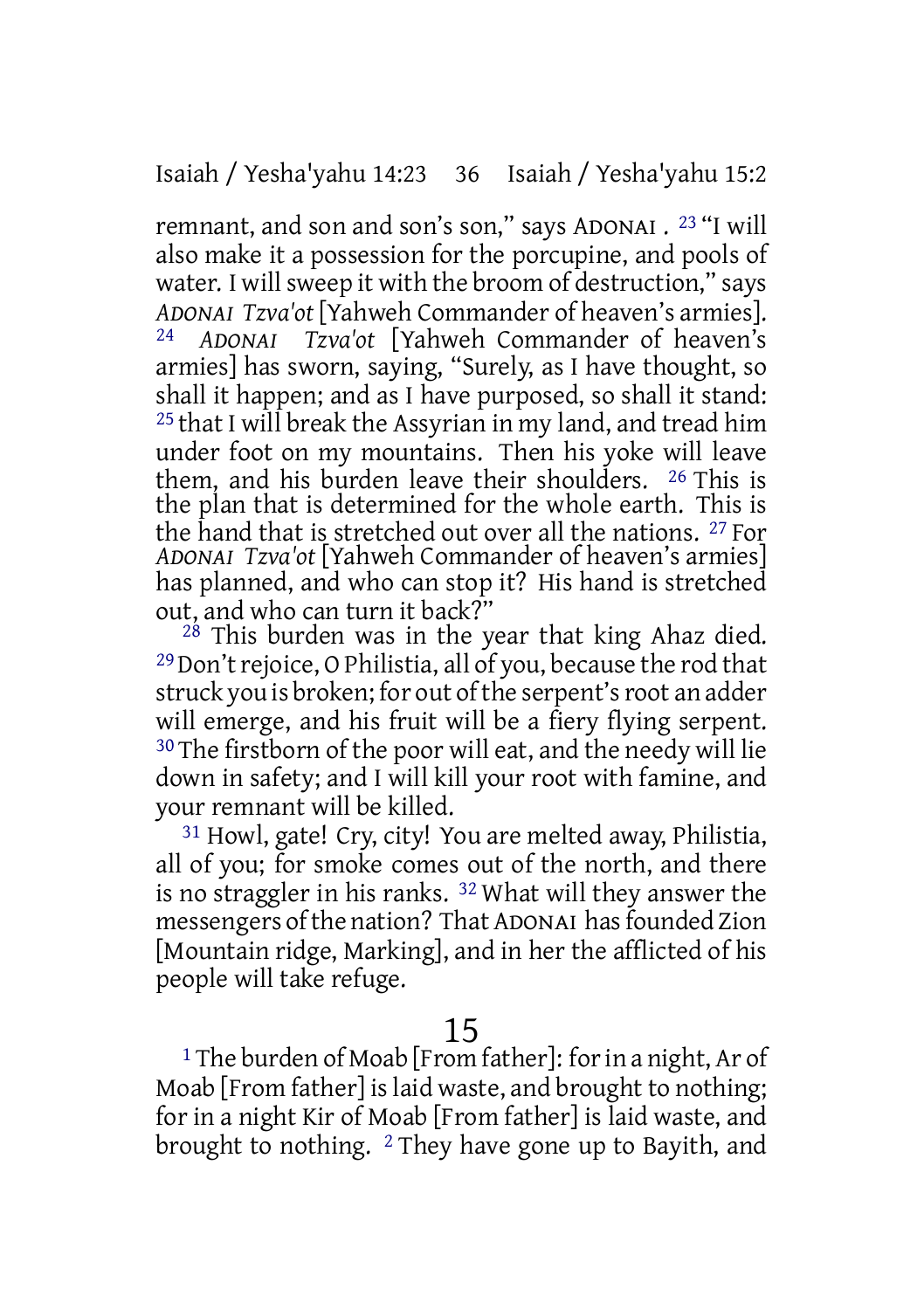remnant, and son and son's son," says ADONAI . 23 "I will also make it a possession for the porcupine, and pools of water. I will sweep it with the broom of destruction," says *ADONAI Tzva'ot* [Yahweh Commander of heaven's armies]. 24 *ADONAI Tzva'ot* [Yahweh Commander of heaven's armies] has sworn, saying, "Surely, as I have thought, so shall it happen; and as I have purposed, so shall it stand: 25 that I will break the Assyrian in my land, and tread him under foot on my mountains. Then his yoke will leave them, and his burden leave their shoulders. 26 This is the plan that is determined for the whole earth. This is the hand that is stretched out over all the nations. 27 For *ADONAI Tzva'ot* [Yahweh Commander of heaven's armies] has planned, and who can stop it? His hand is stretched out, and who can turn it back?"

28 This burden was in the year that king Ahaz died. <sup>29</sup> Don't rejoice, O Philistia, all of you, because the rod that struck you is broken; for out of the serpent's root an adder will emerge, and his fruit will be a fiery flying serpent. 30 The firstborn of the poor will eat, and the needy will lie down in safety; and I will kill your root with famine, and your remnant will be killed.

31 Howl, gate! Cry, city! You are melted away, Philistia, all of you; for smoke comes out of the north, and there is no straggler in his ranks. 32 What will they answer the messengers of the nation? That ADONAI has founded Zion [Mountain ridge, Marking], and in her the afflicted of his people will take refuge.

# 15

<sup>1</sup> The burden of Moab [From father]: for in a night, Ar of Moab [From father] is laid waste, and brought to nothing; for in a night Kir of Moab [From father] is laid waste, and brought to nothing. 2 They have gone up to Bayith, and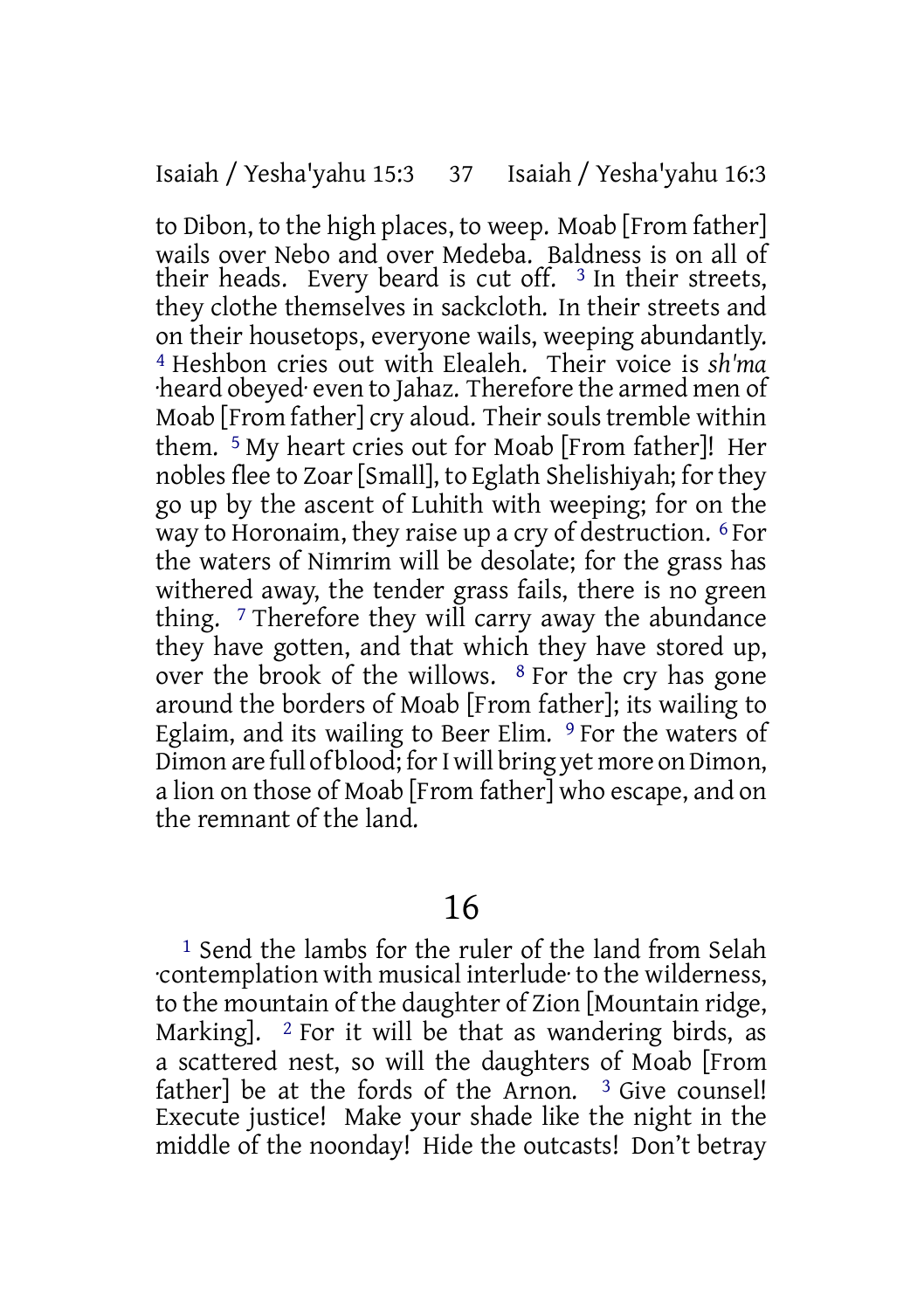to Dibon, to the high places, to weep. Moab [From father] wails over Nebo and over Medeba. Baldness is on all of their heads. Every beard is cut off.  $3 \text{ In their streets}$ , they clothe themselves in sackcloth. In their streets and on their housetops, everyone wails, weeping abundantly. 4 Heshbon cries out with Elealeh. Their voice is *sh'ma* ·heard obeyed· even to Jahaz. Therefore the armed men of Moab [From father] cry aloud. Their souls tremble within them. 5 My heart cries out for Moab [From father]! Her nobles flee to Zoar [Small], to Eglath Shelishiyah; for they go up by the ascent of Luhith with weeping; for on the way to Horonaim, they raise up a cry of destruction. 6 For the waters of Nimrim will be desolate; for the grass has withered away, the tender grass fails, there is no green thing.  $\frac{7}{7}$  Therefore they will carry away the abundance they have gotten, and that which they have stored up, over the brook of the willows. 8 For the cry has gone around the borders of Moab [From father]; its wailing to Eglaim, and its wailing to Beer Elim. <sup>9</sup> For the waters of Dimon are full of blood; for I will bring yet more on Dimon, a lion on those of Moab [From father] who escape, and on the remnant of the land.

## 16

1 Send the lambs for the ruler of the land from Selah ·contemplation with musical interlude· to the wilderness, to the mountain of the daughter of Zion [Mountain ridge, Marking].  $\frac{2}{3}$  For it will be that as wandering birds, as a scattered nest, so will the daughters of Moab [From father] be at the fords of the Arnon.  $3$  Give counsel! Execute justice! Make your shade like the night in the middle of the noonday! Hide the outcasts! Don't betray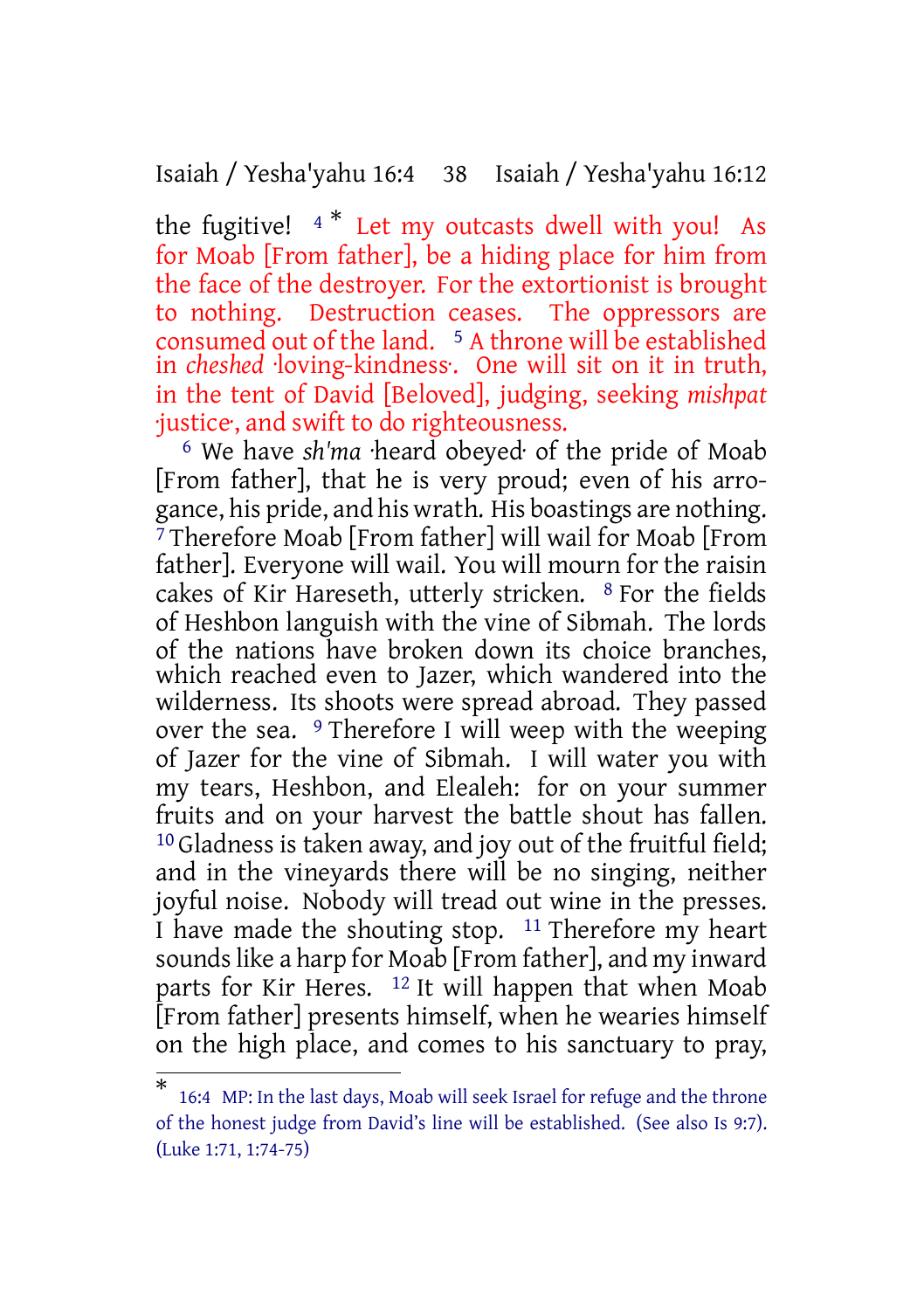Isaiah / Yesha'yahu 16:4 38 Isaiah / Yesha'yahu 16:12

the fugitive!  $4 *$  Let my outcasts dwell with you! As for Moab [From father], be a hiding place for him from the face of the destroyer. For the extortionist is brought to nothing. Destruction ceases. The oppressors are consumed out of the land. <sup>5</sup> A throne will be established in *cheshed* ·loving-kindness·. One will sit on it in truth, in the tent of David [Beloved], judging, seeking *mishpat* ·justice·, and swift to do righteousness.

6 We have *sh'ma* ·heard obeyed· of the pride of Moab [From father], that he is very proud; even of his arrogance, his pride, and his wrath. His boastings are nothing. 7 Therefore Moab [From father] will wail for Moab [From father]. Everyone will wail. You will mourn for the raisin cakes of Kir Hareseth, utterly stricken. 8 For the fields of Heshbon languish with the vine of Sibmah. The lords of the nations have broken down its choice branches, which reached even to Jazer, which wandered into the wilderness. Its shoots were spread abroad. They passed over the sea. 9 Therefore I will weep with the weeping of Jazer for the vine of Sibmah. I will water you with my tears, Heshbon, and Elealeh: for on your summer fruits and on your harvest the battle shout has fallen. <sup>10</sup> Gladness is taken away, and joy out of the fruitful field; and in the vineyards there will be no singing, neither joyful noise. Nobody will tread out wine in the presses. I have made the shouting stop. 11 Therefore my heart sounds like a harp for Moab [From father], and my inward parts for Kir Heres. 12 It will happen that when Moab [From father] presents himself, when he wearies himself on the high place, and comes to his sanctuary to pray,

<sup>\*</sup> 16:4 MP: In the last days, Moab will seek Israel for refuge and the throne of the honest judge from David's line will be established. (See also Is 9:7). (Luke 1:71, 1:74-75)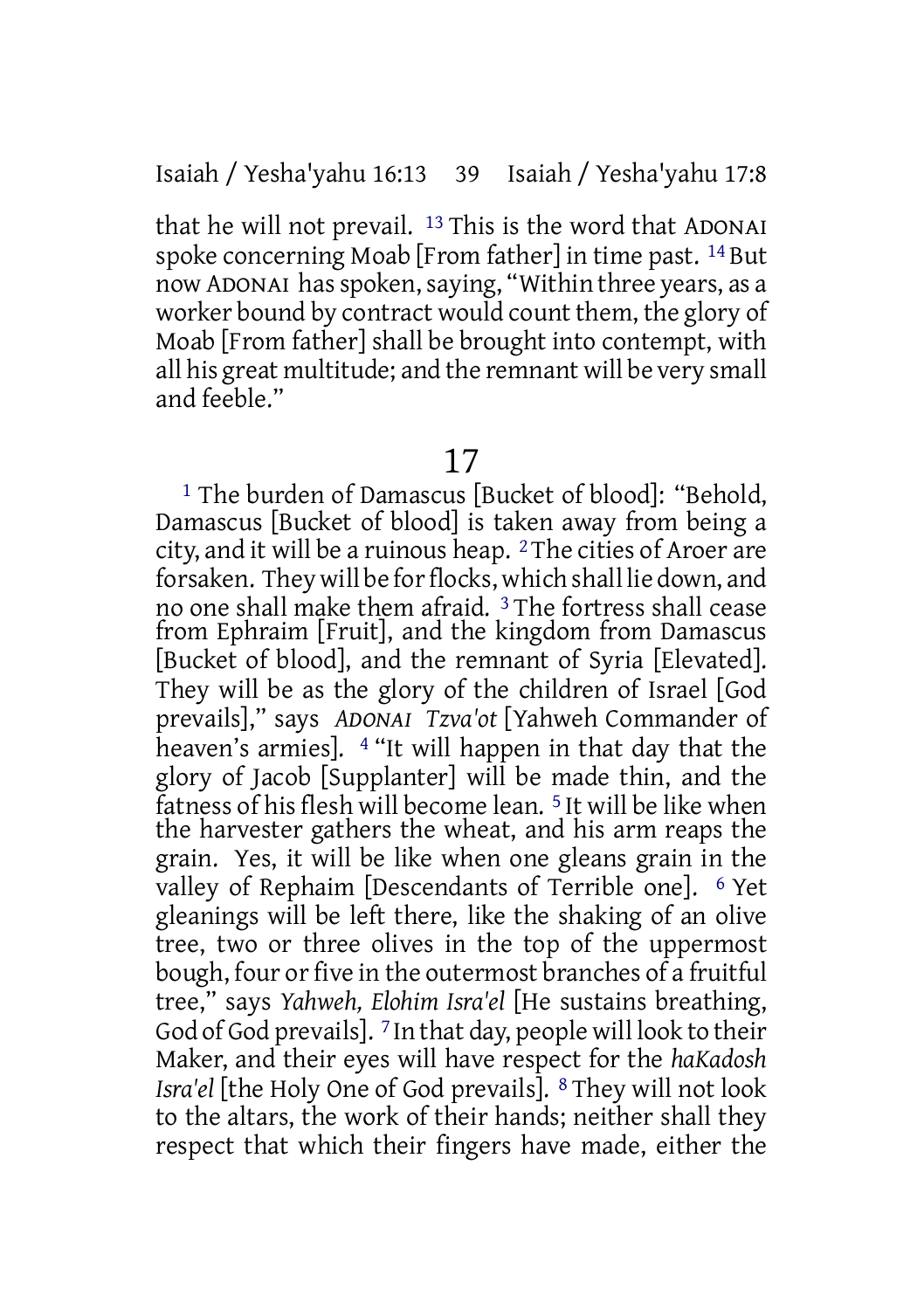that he will not prevail. 13 This is the word that ADONAI spoke concerning Moab [From father] in time past. 14 But now ADONAI hasspoken,saying, "Within three years, as a worker bound by contract would count them, the glory of Moab [From father] shall be brought into contempt, with all his great multitude; and the remnant will be very small and feeble."

## 17

1 The burden of Damascus [Bucket of blood]: "Behold, Damascus [Bucket of blood] is taken away from being a city, and it will be a ruinous heap. 2 The cities of Aroer are forsaken. They will be for flocks, which shall lie down, and no one shall make them afraid. 3 The fortress shall cease from Ephraim [Fruit], and the kingdom from Damascus [Bucket of blood], and the remnant of Syria [Elevated]. They will be as the glory of the children of Israel [God prevails]," says *ADONAI Tzva'ot* [Yahweh Commander of heaven's armies]. 4 "It will happen in that day that the glory of Jacob [Supplanter] will be made thin, and the  $\frac{1}{2}$  fatness of his flesh will become lean.  $\frac{1}{2}$  It will be like when the harvester gathers the wheat, and his arm reaps the grain. Yes, it will be like when one gleans grain in the valley of Rephaim [Descendants of Terrible one]. 6 Yet gleanings will be left there, like the shaking of an olive tree, two or three olives in the top of the uppermost bough, four or five in the outermost branches of a fruitful tree," says *Yahweh, Elohim Isra'el* [He sustains breathing, God of God prevails]. 7 In that day, people will look to their Maker, and their eyes will have respect for the *haKadosh Isra'el* [the Holy One of God prevails]. 8 They will not look to the altars, the work of their hands; neither shall they respect that which their fingers have made, either the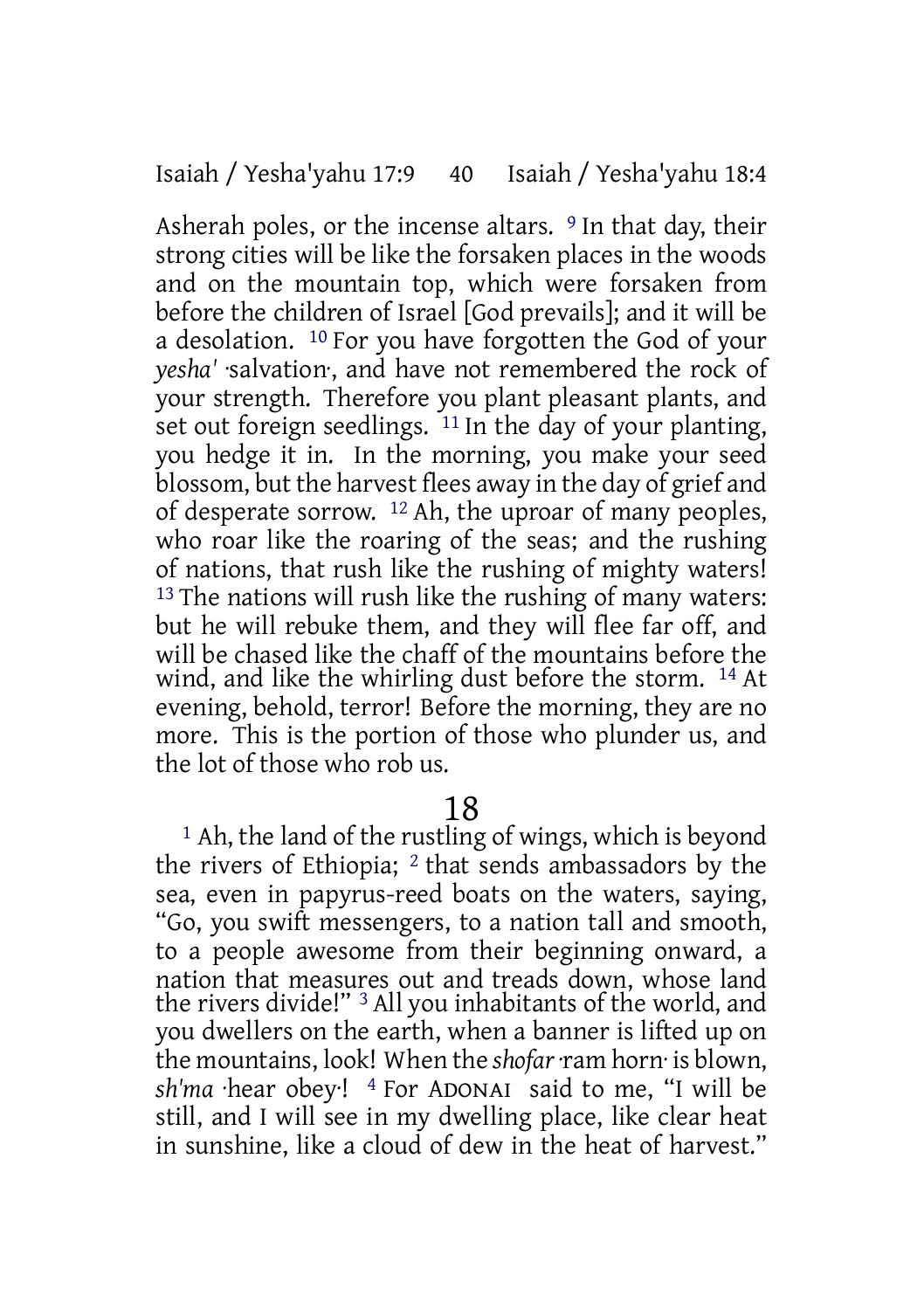Asherah poles, or the incense altars. <sup>9</sup> In that day, their strong cities will be like the forsaken places in the woods and on the mountain top, which were forsaken from before the children of Israel [God prevails]; and it will be a desolation. 10 For you have forgotten the God of your *yesha'* ·salvation·, and have not remembered the rock of your strength. Therefore you plant pleasant plants, and set out foreign seedlings. <sup>11</sup> In the day of your planting, you hedge it in. In the morning, you make your seed blossom, but the harvest flees away in the day of grief and of desperate sorrow. 12 Ah, the uproar of many peoples, who roar like the roaring of the seas; and the rushing of nations, that rush like the rushing of mighty waters! <sup>13</sup> The nations will rush like the rushing of many waters: but he will rebuke them, and they will flee far off, and will be chased like the chaff of the mountains before the wind, and like the whirling dust before the storm. 14 At evening, behold, terror! Before the morning, they are no more. This is the portion of those who plunder us, and the lot of those who rob us.

### 18

1 Ah, the land of the rustling of wings, which is beyond the rivers of Ethiopia; 2 that sends ambassadors by the sea, even in papyrus-reed boats on the waters, saying, "Go, you swift messengers, to a nation tall and smooth, to a people awesome from their beginning onward, a nation that measures out and treads down, whose land the rivers divide!" 3 All you inhabitants of the world, and you dwellers on the earth, when a banner is lifted up on the mountains, look! When the *shofar* ·ram horn· is blown, *sh'ma* ·hear obey·! 4 For ADONAI said to me, "I will be still, and I will see in my dwelling place, like clear heat in sunshine, like a cloud of dew in the heat of harvest."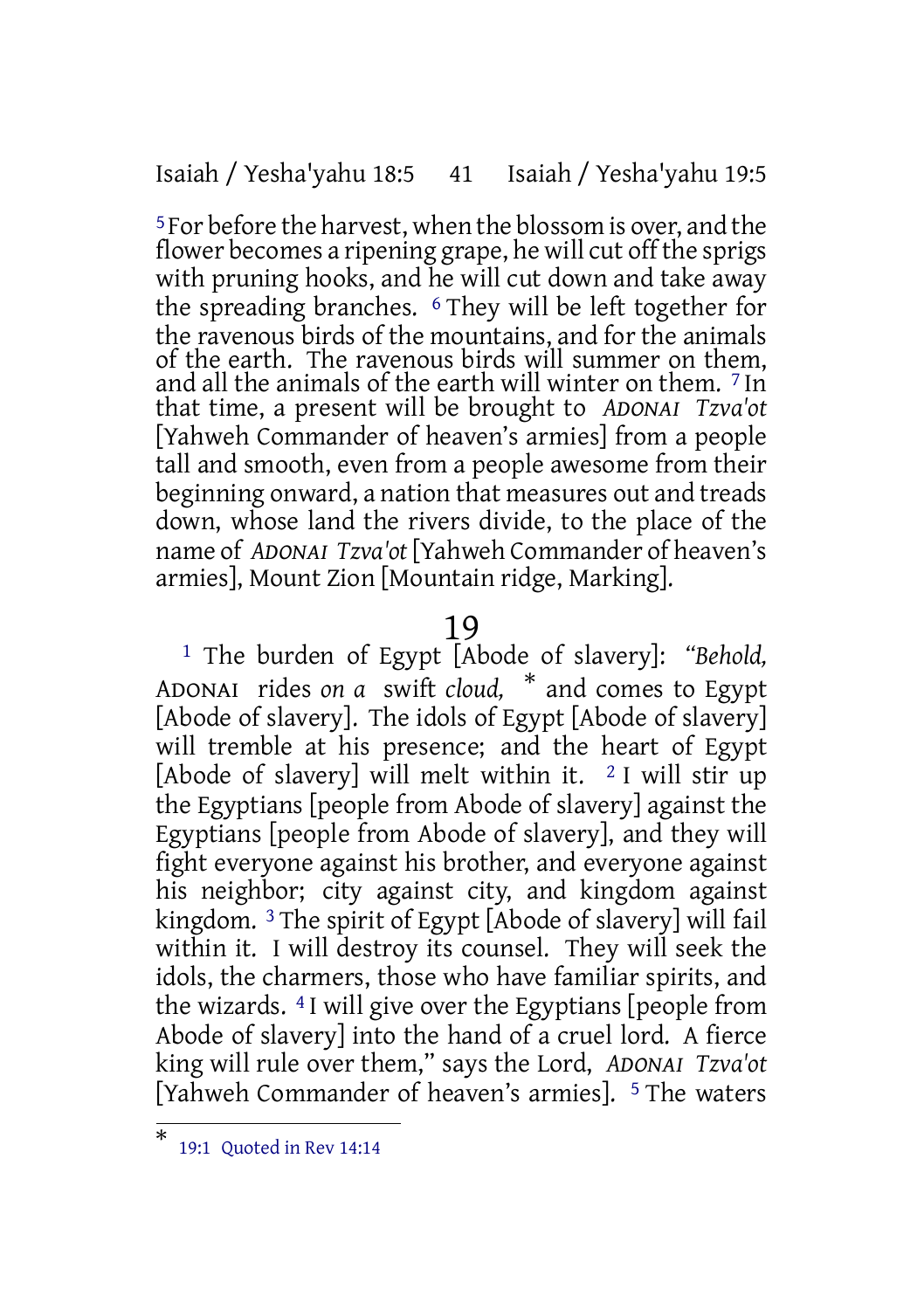Isaiah / Yesha'yahu 18:5 41 Isaiah / Yesha'yahu 19:5

5 For before the harvest, when the blossom is over, and the flower becomes a ripening grape, he will cut off the sprigs with pruning hooks, and he will cut down and take away the spreading branches. 6 They will be left together for the ravenous birds of the mountains, and for the animals of the earth. The ravenous birds will summer on them, and all the animals of the earth will winter on them. 7 In that time, a present will be brought to *ADONAI Tzva'ot* [Yahweh Commander of heaven's armies] from a people tall and smooth, even from a people awesome from their beginning onward, a nation that measures out and treads down, whose land the rivers divide, to the place of the name of *ADONAI Tzva'ot* [Yahweh Commander of heaven's armies], Mount Zion [Mountain ridge, Marking].

#### 19

1 The burden of Egypt [Abode of slavery]: *"Behold,* ADONAI rides *on a* swift *cloud,* \* and comes to Egypt [Abode of slavery]. The idols of Egypt [Abode of slavery] will tremble at his presence; and the heart of Egypt [Abode of slavery] will melt within it.  $\frac{2}{1}$  will stir up the Egyptians [people from Abode of slavery] against the Egyptians [people from Abode of slavery], and they will fight everyone against his brother, and everyone against his neighbor; city against city, and kingdom against kingdom. 3 The spirit of Egypt [Abode of slavery] will fail within it. I will destroy its counsel. They will seek the idols, the charmers, those who have familiar spirits, and the wizards. 4 I will give over the Egyptians [people from Abode of slavery] into the hand of a cruel lord. A fierce king will rule over them," says the Lord, *ADONAI Tzva'ot* [Yahweh Commander of heaven's armies]. <sup>5</sup> The waters

<sup>\*</sup> 19:1 Quoted in Rev 14:14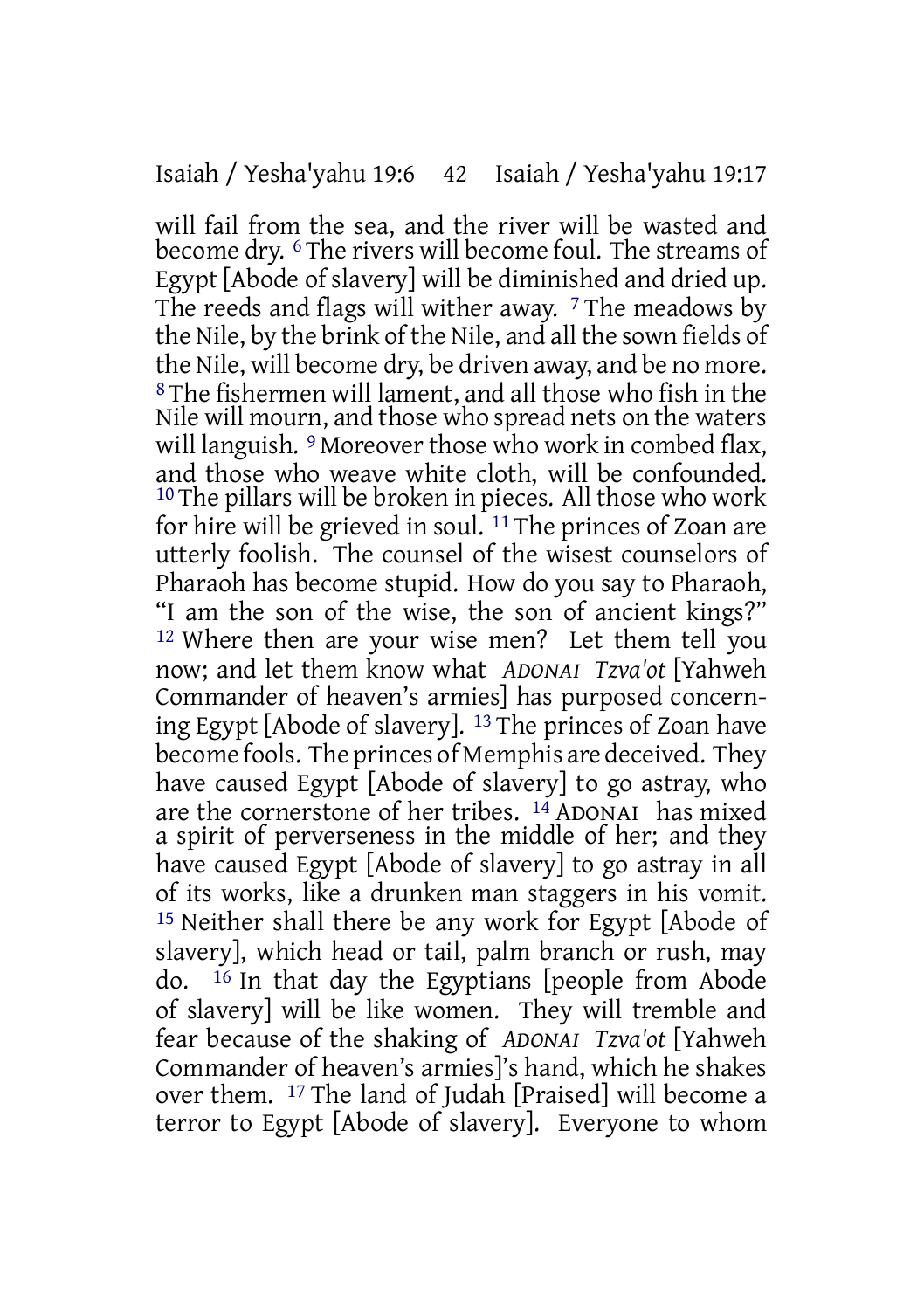will fail from the sea, and the river will be wasted and become dry. 6 The rivers will become foul. The streams of Egypt [Abode of slavery] will be diminished and dried up. The reeds and flags will wither away.  $\frac{7}{7}$  The meadows by the Nile, by the brink of the Nile, and all the sown fields of the Nile, will become dry, be driven away, and be no more. 8 The fishermen will lament, and all those who fish in the Nile will mourn, and those who spread nets on the waters will languish.  $9$  Moreover those who work in combed flax, and those who weave white cloth, will be confounded. <sup>10</sup> The pillars will be broken in pieces. All those who work for hire will be grieved in soul. 11 The princes of Zoan are utterly foolish. The counsel of the wisest counselors of Pharaoh has become stupid. How do you say to Pharaoh, "I am the son of the wise, the son of ancient kings?" 12 Where then are your wise men? Let them tell you now; and let them know what *ADONAI Tzva'ot* [Yahweh Commander of heaven's armies] has purposed concerning Egypt [Abode of slavery]. 13 The princes of Zoan have become fools. The princes of Memphis are deceived. They have caused Egypt [Abode of slavery] to go astray, who are the cornerstone of her tribes. 14 ADONAI has mixed a spirit of perverseness in the middle of her; and they have caused Egypt [Abode of slavery] to go astray in all of its works, like a drunken man staggers in his vomit. 15 Neither shall there be any work for Egypt [Abode of slavery], which head or tail, palm branch or rush, may do. 16 In that day the Egyptians [people from Abode of slavery] will be like women. They will tremble and fear because of the shaking of *ADONAI Tzva'ot* [Yahweh Commander of heaven's armies]'s hand, which he shakes over them. 17 The land of Judah [Praised] will become a terror to Egypt [Abode of slavery]. Everyone to whom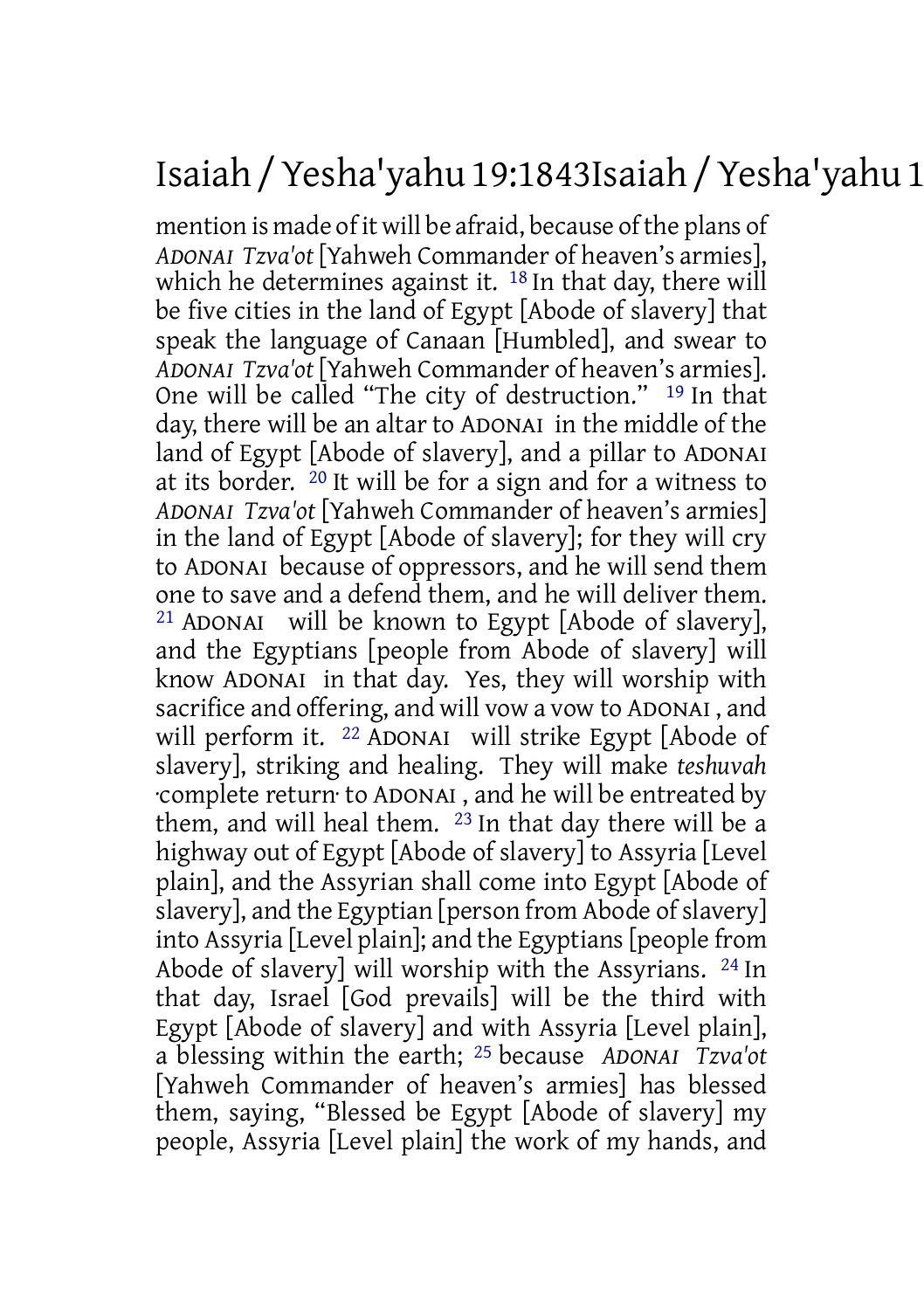## Isaiah /Yesha'yahu 19:1843Isaiah /Yesha'yahu 19:25

mention is made of it will be afraid, because of the plans of *ADONAI Tzva'ot* [Yahweh Commander of heaven's armies], which he determines against it. <sup>18</sup> In that day, there will be five cities in the land of Egypt [Abode of slavery] that speak the language of Canaan [Humbled], and swear to *ADONAI Tzva'ot* [Yahweh Commander of heaven's armies]. One will be called "The city of destruction." 19 In that day, there will be an altar to ADONAI in the middle of the land of Egypt [Abode of slavery], and a pillar to ADONAI at its border. 20 It will be for a sign and for a witness to *ADONAI Tzva'ot* [Yahweh Commander of heaven's armies] in the land of Egypt [Abode of slavery]; for they will cry to ADONAI because of oppressors, and he will send them one to save and a defend them, and he will deliver them. 21 ADONAI will be known to Egypt [Abode of slavery], and the Egyptians [people from Abode of slavery] will know ADONAI in that day. Yes, they will worship with sacrifice and offering, and will vow a vow to ADONAI , and will perform it. <sup>22</sup> ADONAI will strike Egypt [Abode of slavery], striking and healing. They will make *teshuvah* ·complete return· to ADONAI , and he will be entreated by them, and will heal them. 23 In that day there will be a highway out of Egypt [Abode of slavery] to Assyria [Level plain], and the Assyrian shall come into Egypt [Abode of  $\overline{\text{s}}$ lavery], and the Egyptian [person from Abode of slavery] into Assyria [Level plain]; and the Egyptians [people from Abode of slavery] will worship with the Assyrians. 24 In that day, Israel [God prevails] will be the third with Egypt [Abode of slavery] and with Assyria [Level plain], a blessing within the earth; 25 because *ADONAI Tzva'ot* [Yahweh Commander of heaven's armies] has blessed them, saying, "Blessed be Egypt [Abode of slavery] my people, Assyria [Level plain] the work of my hands, and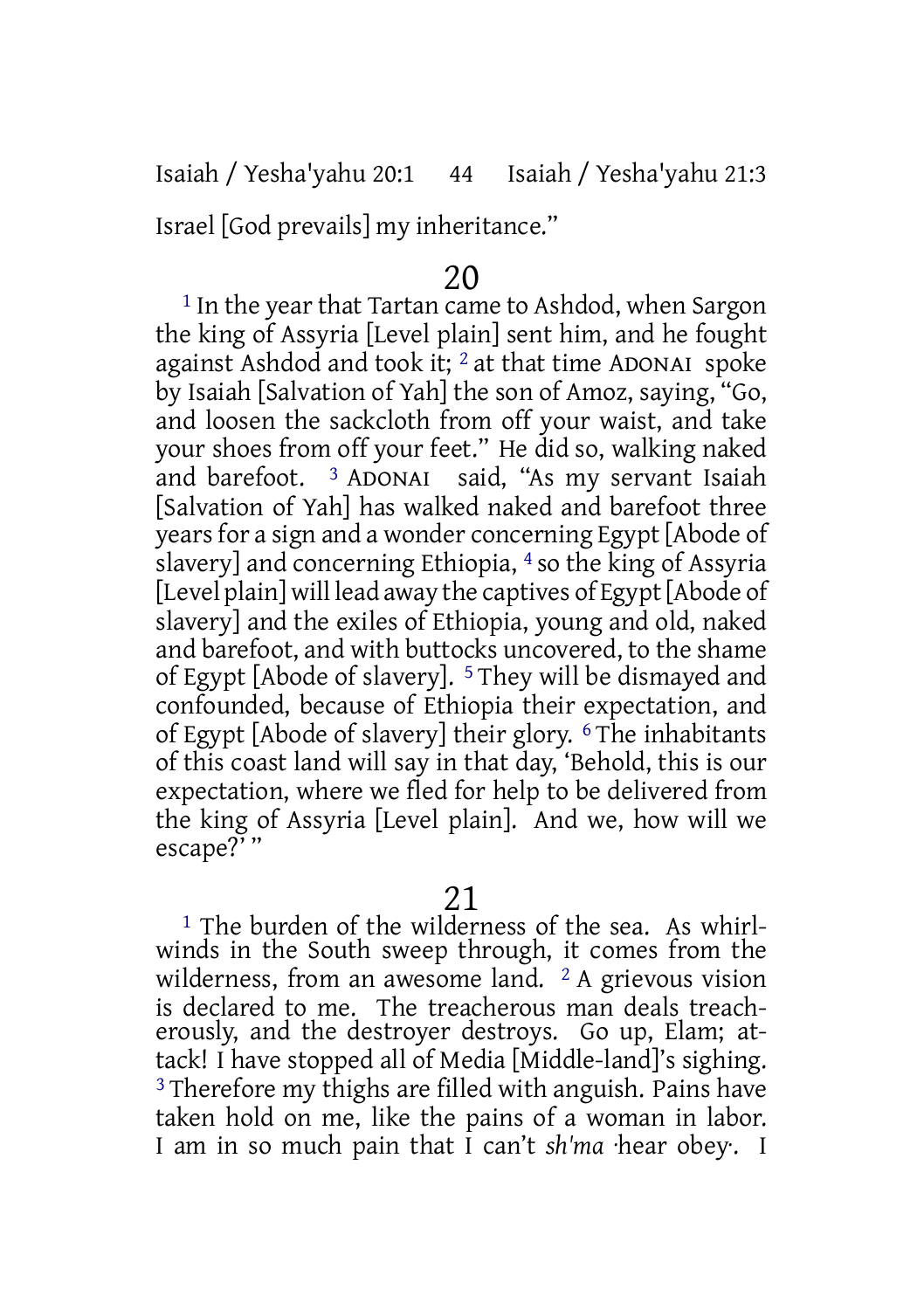Isaiah / Yesha'yahu 20:1 44 Isaiah / Yesha'yahu 21:3

Israel [God prevails] my inheritance."

### 20

1 In the year that Tartan came to Ashdod, when Sargon the king of Assyria [Level plain] sent him, and he fought against Ashdod and took it;  $\frac{2}{3}$  at that time ADONAI spoke by Isaiah [Salvation of Yah] the son of Amoz, saying, "Go, and loosen the sackcloth from off your waist, and take your shoes from off your feet." He did so, walking naked<br>and barefoot. <sup>3</sup> ADONAI said. "As my servant Isaiah and barefoot. 3 ADONAI said, "As my servant Isaiah [Salvation of Yah] has walked naked and barefoot three years for a sign and a wonder concerning Egypt [Abode of slavery] and concerning Ethiopia, 4 so the king of Assyria [Level plain] will lead away the captives of Egypt [Abode of slavery] and the exiles of Ethiopia, young and old, naked and barefoot, and with buttocks uncovered, to the shame of Egypt [Abode of slavery]. 5 They will be dismayed and confounded, because of Ethiopia their expectation, and of Egypt [Abode of slavery] their glory. 6 The inhabitants of this coast land will say in that day, 'Behold, this is our expectation, where we fled for help to be delivered from the king of Assyria [Level plain]. And we, how will we escape?' "

### 21

<sup>1</sup> The burden of the wilderness of the sea. As whirlwinds in the South sweep through, it comes from the wilderness, from an awesome land. 2 A grievous vision is declared to me. The treacherous man deals treacherously, and the destroyer destroys. Go up, Elam; attack! I have stopped all of Media [Middle-land]'s sighing. 3 Therefore my thighs are filled with anguish. Pains have taken hold on me, like the pains of a woman in labor. I am in so much pain that I can't *sh'ma* ·hear obey·. I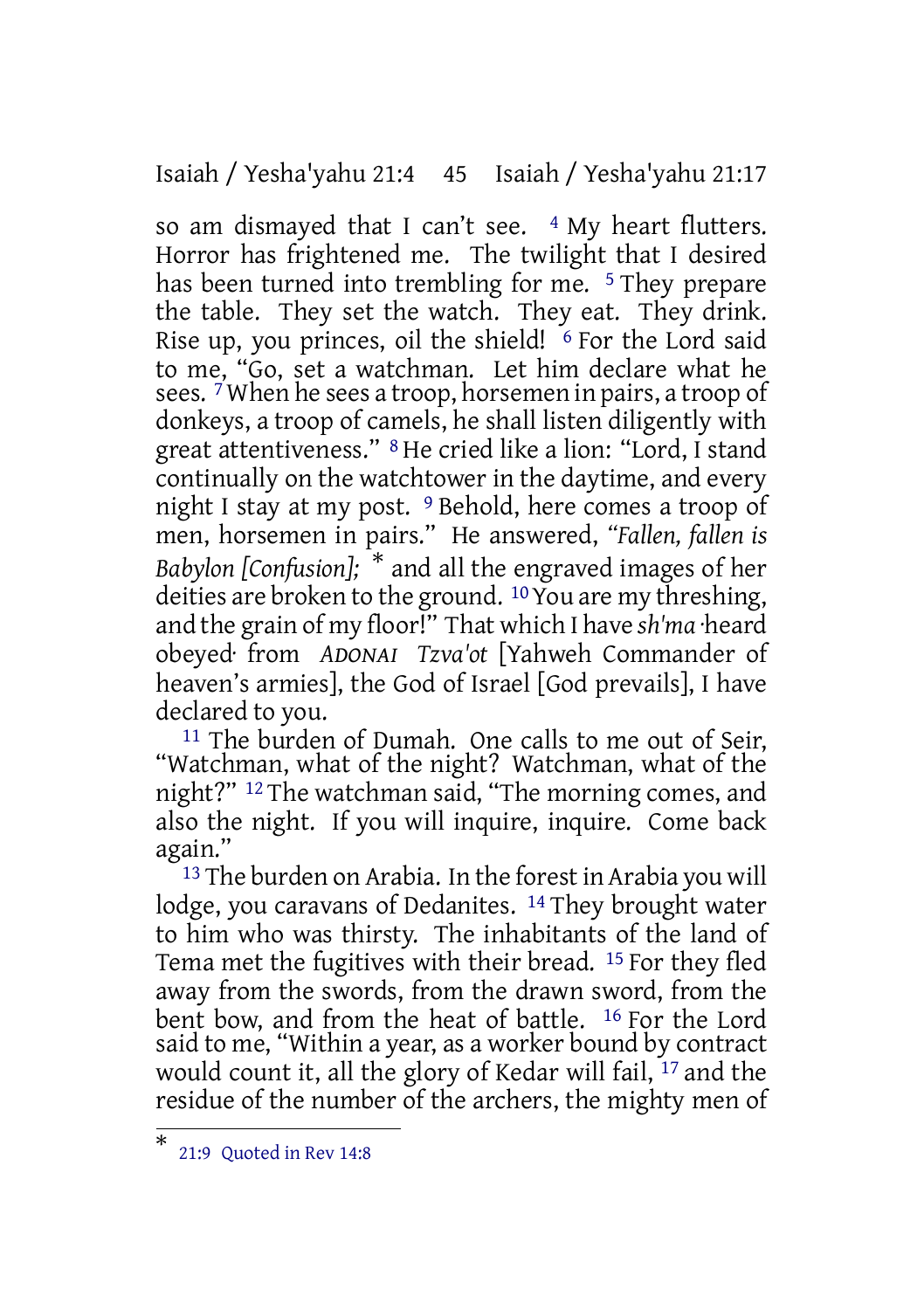Isaiah / Yesha'yahu 21:4 45 Isaiah / Yesha'yahu 21:17

so am dismayed that I can't see.  $4$  My heart flutters. Horror has frightened me. The twilight that I desired has been turned into trembling for me. <sup>5</sup> They prepare the table. They set the watch. They eat. They drink. Rise up, you princes, oil the shield! <sup>6</sup> For the Lord said to me, "Go, set a watchman. Let him declare what he sees.  $^7$ When he sees a troop, horsemen in pairs, a troop of donkeys, a troop of camels, he shall listen diligently with great attentiveness." 8 He cried like a lion: "Lord, I stand continually on the watchtower in the daytime, and every night I stay at my post. 9 Behold, here comes a troop of men, horsemen in pairs." He answered, *"Fallen, fallen is Babylon [Confusion];* \* and all the engraved images of her deities are broken to the ground. 10You are my threshing, and the grain of my floor!" That which I have *sh'ma* ·heard obeyed· from *ADONAI Tzva'ot* [Yahweh Commander of heaven's armies], the God of Israel [God prevails], I have declared to you.

<sup>11</sup> The burden of Dumah. One calls to me out of Seir, "Watchman, what of the night? Watchman, what of the night?" 12 The watchman said, "The morning comes, and also the night. If you will inquire, inquire. Come back again."

<sup>13</sup> The burden on Arabia. In the forest in Arabia you will lodge, you caravans of Dedanites. <sup>14</sup> They brought water to him who was thirsty. The inhabitants of the land of Tema met the fugitives with their bread. 15 For they fled away from the swords, from the drawn sword, from the bent bow, and from the heat of battle. 16 For the Lord said to me, "Within a year, as a worker bound by contract would count it, all the glory of Kedar will fail, <sup>17</sup> and the residue of the number of the archers, the mighty men of

<sup>\*</sup> 21:9 Quoted in Rev 14:8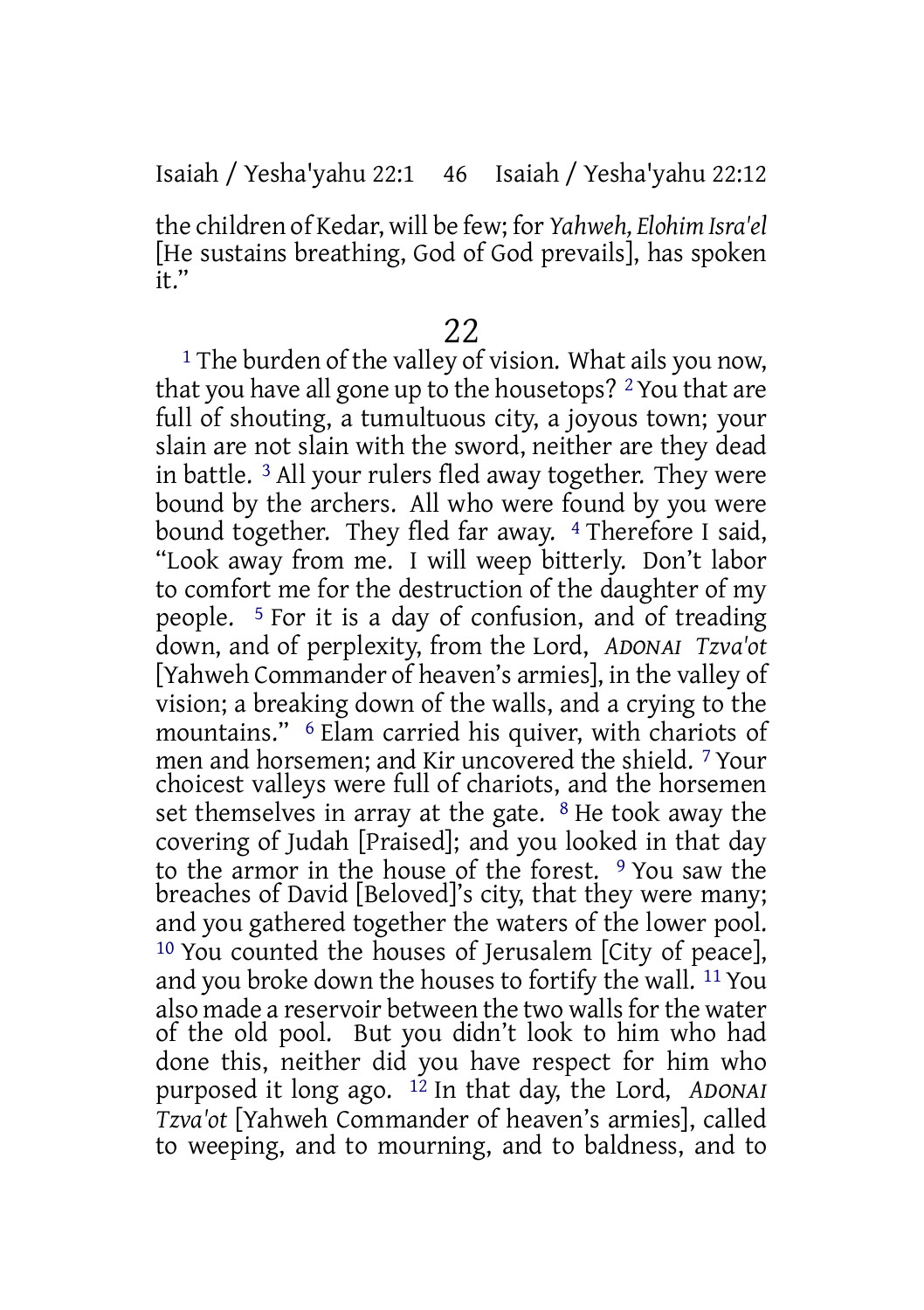### Isaiah / Yesha'yahu 22:1 46 Isaiah / Yesha'yahu 22:12

the children of Kedar, will be few; for *Yahweh, Elohim Isra'el* [He sustains breathing, God of God prevails], has spoken  $\overline{t}$ ."

### 22

<sup>1</sup> The burden of the valley of vision. What ails you now, that you have all gone up to the housetops? 2You that are full of shouting, a tumultuous city, a joyous town; your slain are not slain with the sword, neither are they dead in battle. 3 All your rulers fled away together. They were bound by the archers. All who were found by you were bound together. They fled far away. <sup>4</sup> Therefore I said, "Look away from me. I will weep bitterly. Don't labor to comfort me for the destruction of the daughter of my people. 5 For it is a day of confusion, and of treading down, and of perplexity, from the Lord, *ADONAI Tzva'ot* [Yahweh Commander of heaven's armies], in the valley of vision; a breaking down of the walls, and a crying to the mountains." <sup>6</sup> Elam carried his quiver, with chariots of men and horsemen; and Kir uncovered the shield. 7 Your choicest valleys were full of chariots, and the horsemen set themselves in array at the gate. <sup>8</sup> He took away the covering of Judah [Praised]; and you looked in that day to the armor in the house of the forest. 9 You saw the breaches of David [Beloved]'s city, that they were many; and you gathered together the waters of the lower pool. 10 You counted the houses of Jerusalem [City of peace], and you broke down the houses to fortify the wall. 11 You also made a reservoir between the two walls for the water of the old pool. But you didn't look to him who had done this, neither did you have respect for him who purposed it long ago. 12 In that day, the Lord, *ADONAI Tzva'ot* [Yahweh Commander of heaven's armies], called to weeping, and to mourning, and to baldness, and to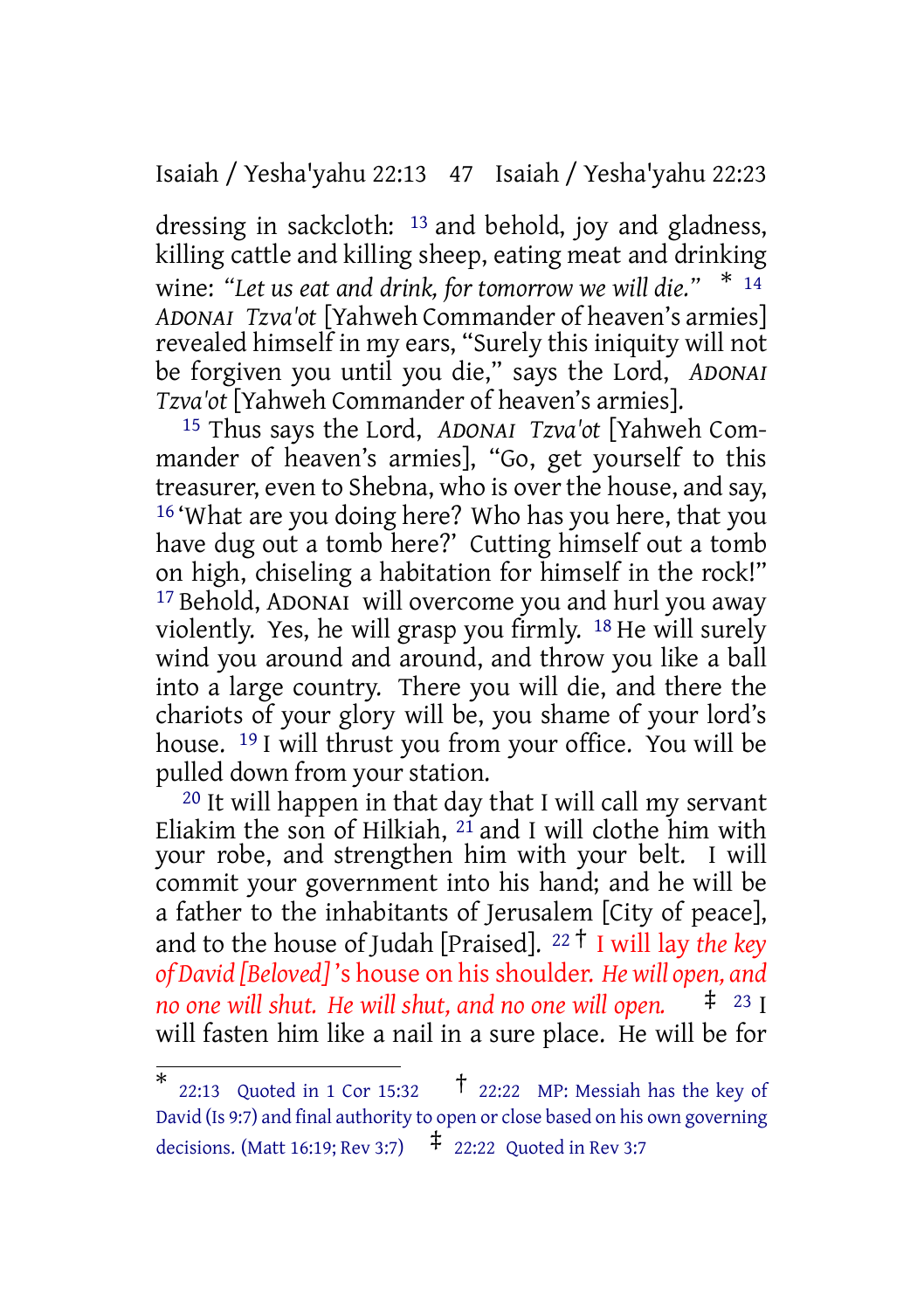Isaiah / Yesha'yahu 22:13 47 Isaiah / Yesha'yahu 22:23

dressing in sackcloth: 13 and behold, joy and gladness, killing cattle and killing sheep, eating meat and drinking wine: *"Let us eat and drink, for tomorrow we will die."* \* <sup>14</sup> *ADONAI Tzva'ot* [Yahweh Commander of heaven's armies] revealed himself in my ears, "Surely this iniquity will not be forgiven you until you die," says the Lord, *ADONAI Tzva'ot* [Yahweh Commander of heaven's armies].

15 Thus says the Lord, *ADONAI Tzva'ot* [Yahweh Commander of heaven's armies], "Go, get yourself to this treasurer, even to Shebna, who is over the house, and say, 16 'What are you doing here? Who has you here, that you have dug out a tomb here?' Cutting himself out a tomb on high, chiseling a habitation for himself in the rock!" 17 Behold, ADONAI will overcome you and hurl you away violently. Yes, he will grasp you firmly. 18 He will surely wind you around and around, and throw you like a ball into a large country. There you will die, and there the chariots of your glory will be, you shame of your lord's house. 19 I will thrust you from your office. You will be pulled down from your station.

20 It will happen in that day that I will call my servant Eliakim the son of Hilkiah, 21 and I will clothe him with your robe, and strengthen him with your belt. I will commit your government into his hand; and he will be a father to the inhabitants of Jerusalem [City of peace], and to the house of Judah [Praised]. <sup>22</sup> † I will lay *the key of David [Beloved]* 's house on his shoulder. *He will open, and no one will shut. He will shut, and no one will open.* will fasten him like a nail in a sure place. He will be for

<sup>\*</sup> 22:13 Quoted in 1 Cor 15:32  $\uparrow$  22:22 MP: Messiah has the key of David (Is 9:7) and final authority to open or close based on his own governing decisions. (Matt 16:19; Rev 3:7)  $\qquadpm$  22:22 Quoted in Rev 3:7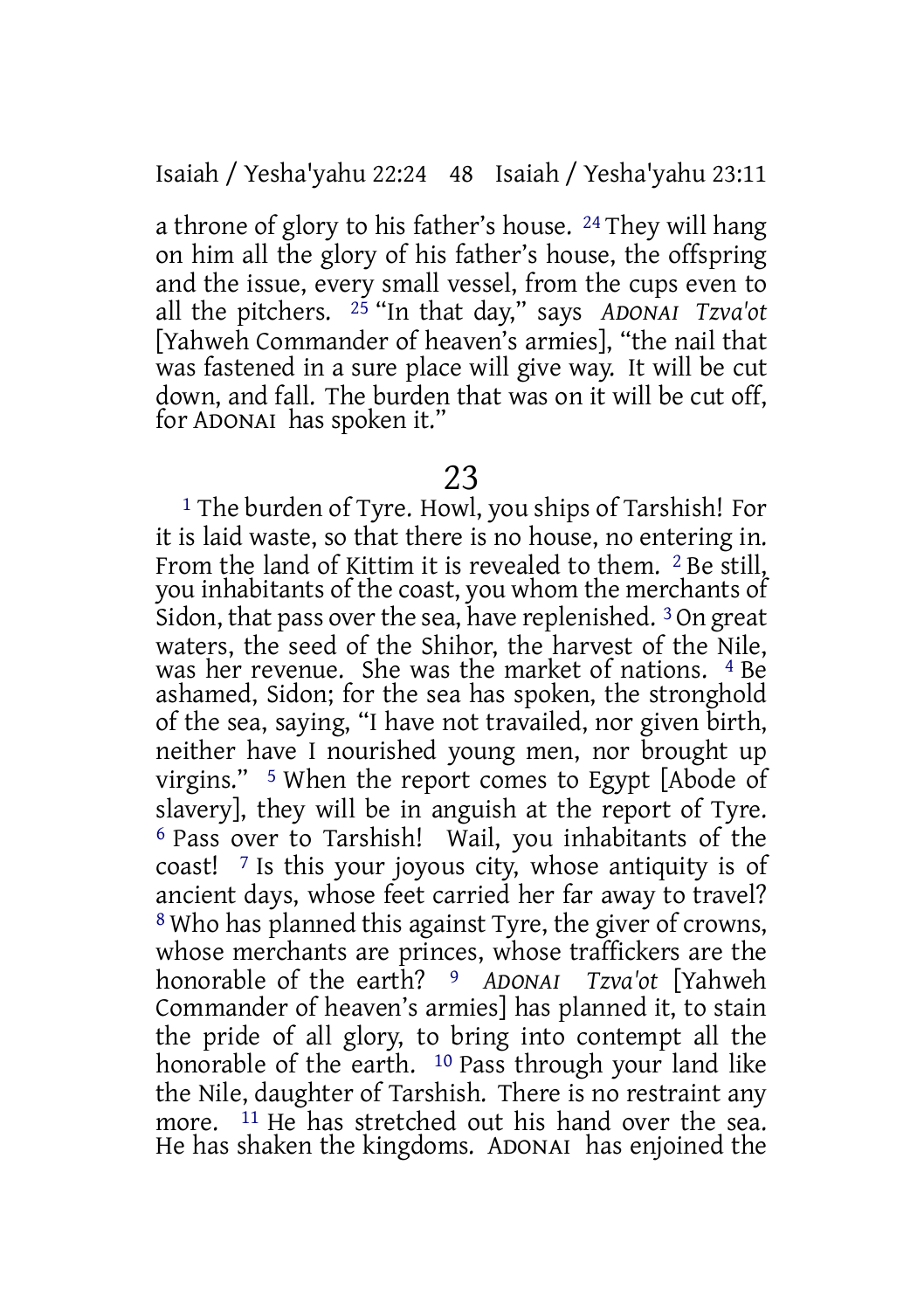Isaiah / Yesha'yahu 22:24 48 Isaiah / Yesha'yahu 23:11

a throne of glory to his father's house. 24 They will hang on him all the glory of his father's house, the offspring and the issue, every small vessel, from the cups even to all the pitchers. 25 "In that day," says *ADONAI Tzva'ot* [Yahweh Commander of heaven's armies], "the nail that was fastened in a sure place will give way. It will be cut down, and fall. The burden that was on it will be cut off, for ADONAI has spoken it."

### 23

1 The burden of Tyre. Howl, you ships of Tarshish! For it is laid waste, so that there is no house, no entering in. From the land of Kittim it is revealed to them. <sup>2</sup> Be still. you inhabitants of the coast, you whom the merchants of Sidon, that pass over the sea, have replenished.  $3$  On great waters, the seed of the Shihor, the harvest of the Nile, was her revenue. She was the market of nations. 4 Be ashamed, Sidon; for the sea has spoken, the stronghold of the sea, saying, "I have not travailed, nor given birth, neither have I nourished young men, nor brought up virgins." 5 When the report comes to Egypt [Abode of slavery], they will be in anguish at the report of Tyre. 6 Pass over to Tarshish! Wail, you inhabitants of the coast! 7 Is this your joyous city, whose antiquity is of ancient days, whose feet carried her far away to travel? 8 Who has planned this against Tyre, the giver of crowns, whose merchants are princes, whose traffickers are the honorable of the earth? 9 *ADONAI Tzva'ot* [Yahweh Commander of heaven's armies] has planned it, to stain the pride of all glory, to bring into contempt all the honorable of the earth. <sup>10</sup> Pass through your land like the Nile, daughter of Tarshish. There is no restraint any more. <sup>11</sup> He has stretched out his hand over the sea. He has shaken the kingdoms. ADONAI has enjoined the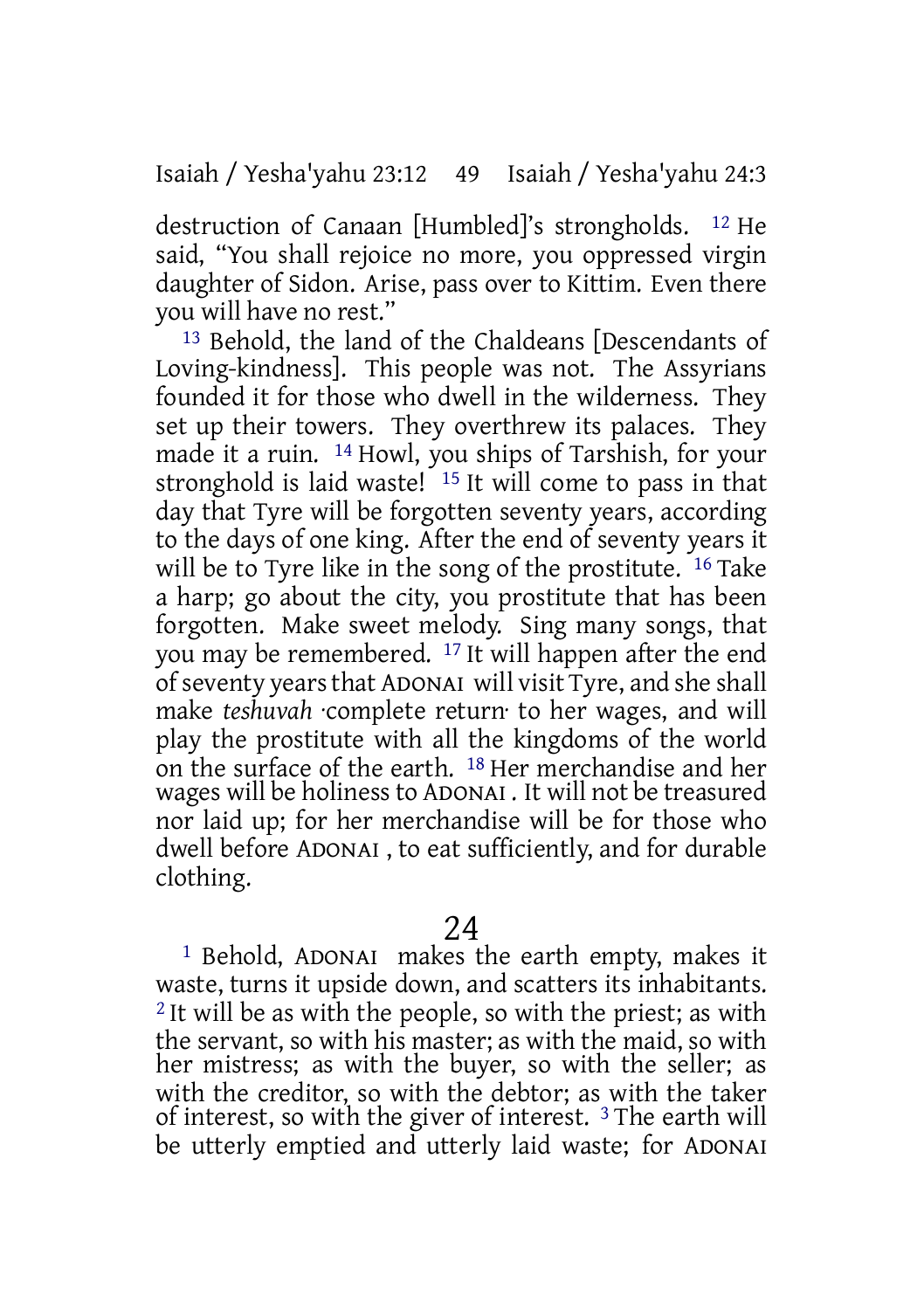destruction of Canaan [Humbled]'s strongholds. 12 He said, "You shall rejoice no more, you oppressed virgin daughter of Sidon. Arise, pass over to Kittim. Even there you will have no rest."

13 Behold, the land of the Chaldeans [Descendants of Loving-kindness]. This people was not. The Assyrians founded it for those who dwell in the wilderness. They set up their towers. They overthrew its palaces. They made it a ruin. 14 Howl, you ships of Tarshish, for your stronghold is laid waste! 15 It will come to pass in that day that Tyre will be forgotten seventy years, according to the days of one king. After the end of seventy years it will be to Tyre like in the song of the prostitute. <sup>16</sup> Take a harp; go about the city, you prostitute that has been forgotten. Make sweet melody. Sing many songs, that you may be remembered. 17 It will happen after the end ofseventy yearsthat ADONAI will visit Tyre, and she shall make *teshuvah* ·complete return· to her wages, and will play the prostitute with all the kingdoms of the world on the surface of the earth. 18 Her merchandise and her wages will be holinessto ADONAI . It will not be treasured nor laid up; for her merchandise will be for those who dwell before ADONAI , to eat sufficiently, and for durable clothing.

24

1 Behold, ADONAI makes the earth empty, makes it waste, turns it upside down, and scatters its inhabitants. <sup>2</sup> It will be as with the people, so with the priest; as with the servant, so with his master; as with the maid, so with her mistress; as with the buyer, so with the seller; as with the creditor, so with the debtor; as with the taker of interest, so with the giver of interest. 3 The earth will be utterly emptied and utterly laid waste; for ADONAI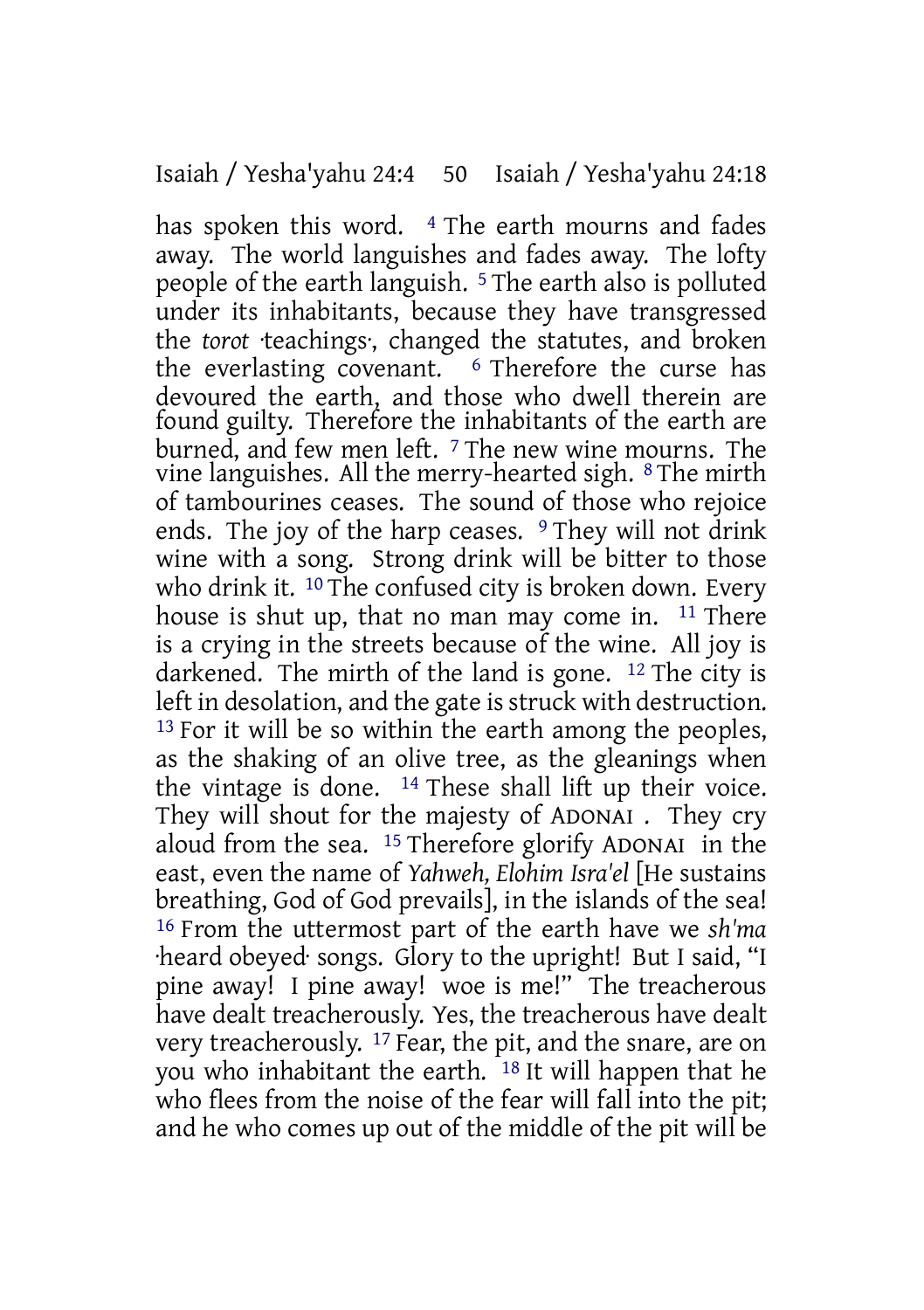has spoken this word. <sup>4</sup> The earth mourns and fades away. The world languishes and fades away. The lofty people of the earth languish. 5 The earth also is polluted under its inhabitants, because they have transgressed the *torot* ·teachings·, changed the statutes, and broken the everlasting covenant. <sup>6</sup> Therefore the curse has devoured the earth, and those who dwell therein are found guilty. Therefore the inhabitants of the earth are burned, and few men left. 7 The new wine mourns. The vine languishes. All the merry-hearted sigh. 8 The mirth of tambourines ceases. The sound of those who rejoice ends. The joy of the harp ceases. <sup>9</sup> They will not drink wine with a song. Strong drink will be bitter to those who drink it. <sup>10</sup> The confused city is broken down. Every house is shut up, that no man may come in. <sup>11</sup> There is a crying in the streets because of the wine. All joy is darkened. The mirth of the land is gone. 12 The city is left in desolation, and the gate is struck with destruction.  $13$  For it will be so within the earth among the peoples, as the shaking of an olive tree, as the gleanings when the vintage is done.  $14$  These shall lift up their voice. They will shout for the majesty of ADONAI . They cry aloud from the sea. 15 Therefore glorify ADONAI in the east, even the name of *Yahweh, Elohim Isra'el* [He sustains breathing, God of God prevails], in the islands of the sea! 16 From the uttermost part of the earth have we *sh'ma* ·heard obeyed· songs. Glory to the upright! But I said, "I pine away! I pine away! woe is me!" The treacherous have dealt treacherously. Yes, the treacherous have dealt very treacherously. 17 Fear, the pit, and the snare, are on you who inhabitant the earth. 18 It will happen that he who flees from the noise of the fear will fall into the pit; and he who comes up out of the middle of the pit will be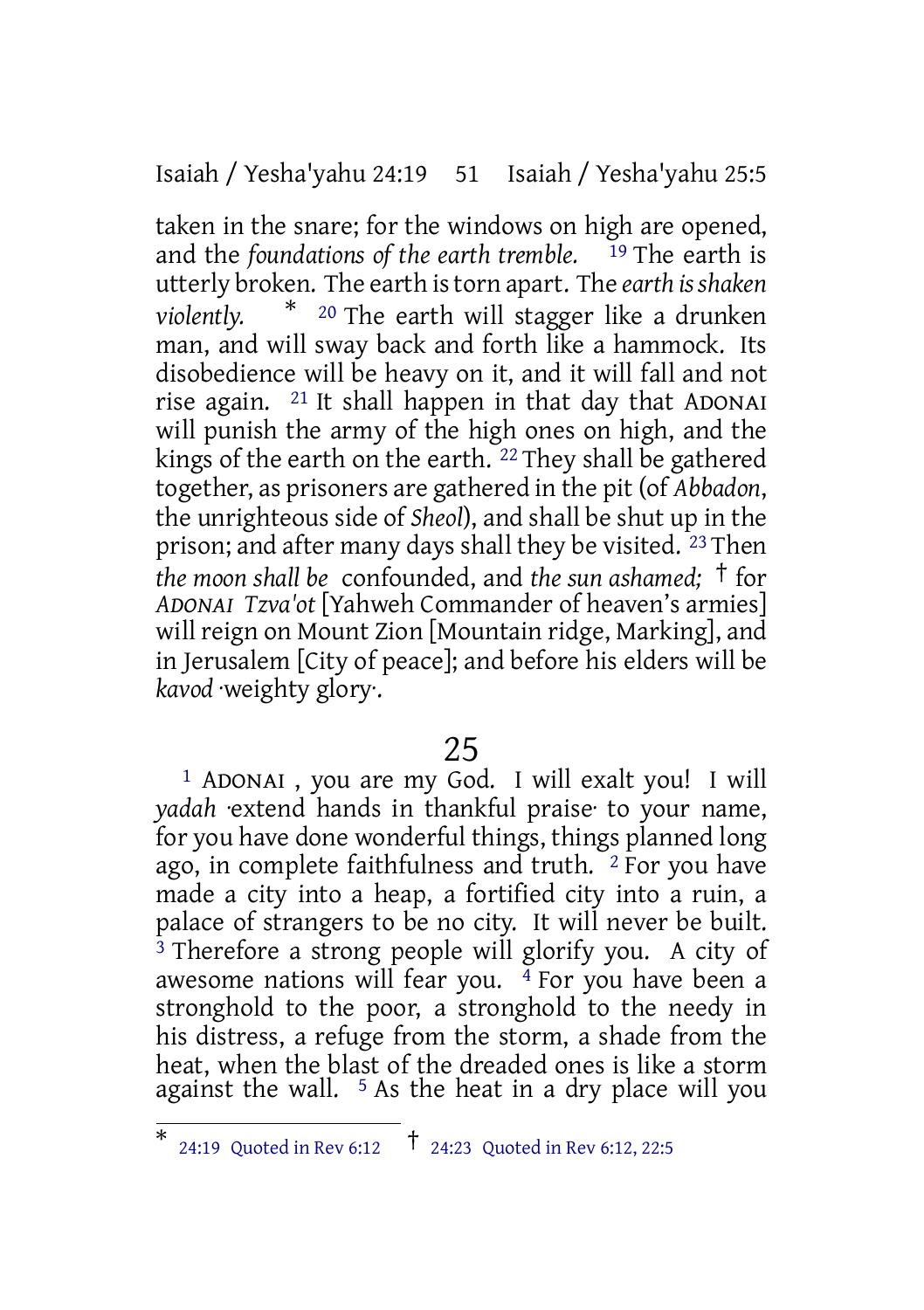Isaiah / Yesha'yahu 24:19 51 Isaiah / Yesha'yahu 25:5

taken in the snare; for the windows on high are opened, and the *foundations of the earth tremble.* 19 The earth is utterly broken. The earth istorn apart. The *earth isshaken violently.* \* <sup>20</sup> The earth will stagger like a drunken man, and will sway back and forth like a hammock. Its disobedience will be heavy on it, and it will fall and not rise again. 21 It shall happen in that day that ADONAI will punish the army of the high ones on high, and the kings of the earth on the earth. 22 They shall be gathered together, as prisoners are gathered in the pit (of *Abbadon*, the unrighteous side of *Sheol*), and shall be shut up in the prison; and after many days shall they be visited. 23 Then *the moon shall be* confounded, and *the sun ashamed;* † for *ADONAI Tzva'ot* [Yahweh Commander of heaven's armies] will reign on Mount Zion [Mountain ridge, Marking], and in Jerusalem [City of peace]; and before his elders will be *kavod* ·weighty glory·.

25

1 ADONAI , you are my God. I will exalt you! I will *yadah* ·extend hands in thankful praise· to your name, for you have done wonderful things, things planned long ago, in complete faithfulness and truth. <sup>2</sup> For you have made a city into a heap, a fortified city into a ruin, a palace of strangers to be no city. It will never be built.  $3$  Therefore a strong people will glorify you. A city of awesome nations will fear you.  $\frac{4}{3}$  For you have been a stronghold to the poor, a stronghold to the needy in his distress, a refuge from the storm, a shade from the heat, when the blast of the dreaded ones is like a storm against the wall.  $5$  As the heat in a dry place will you

<sup>\*</sup> 24:19 Quoted in Rev 6:12 † 24:23 Quoted in Rev 6:12, 22:5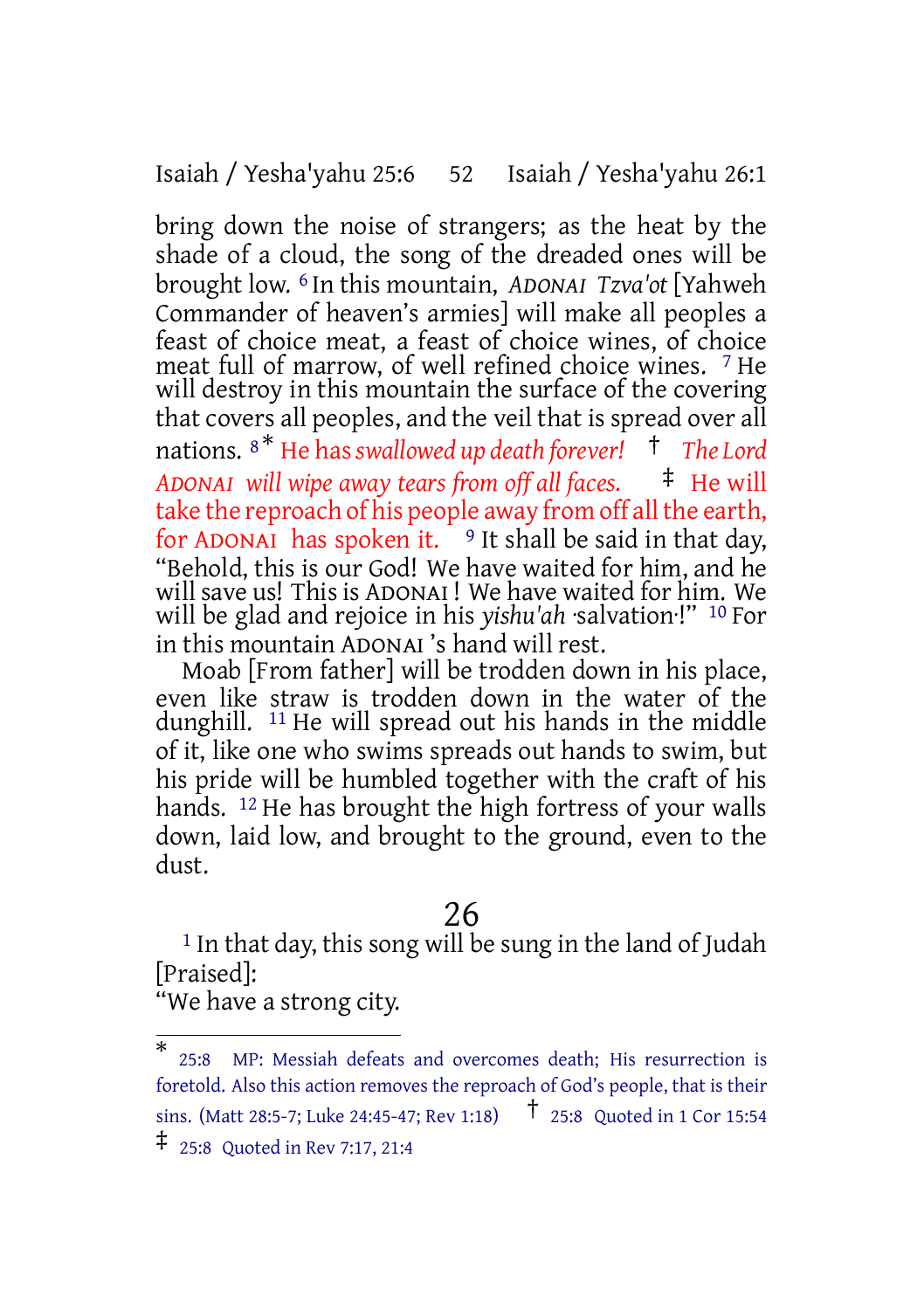Isaiah / Yesha'yahu 25:6 52 Isaiah / Yesha'yahu 26:1

bring down the noise of strangers; as the heat by the shade of a cloud, the song of the dreaded ones will be brought low. 6 In this mountain, *ADONAI Tzva'ot* [Yahweh Commander of heaven's armies] will make all peoples a feast of choice meat, a feast of choice wines, of choice meat full of marrow, of well refined choice wines. 7 He will destroy in this mountain the surface of the covering that covers all peoples, and the veil that is spread over all nations. <sup>8</sup> \* He has*swallowed up death forever!* † *The Lord ADONAI will wipe away tears from off all faces.* ‡ He will take the reproach of his people away from off all the earth, for ADONAI has spoken it.  $9$  It shall be said in that day, "Behold, this is our God! We have waited for him, and he will save us! This is ADONAI ! We have waited for him. We will be glad and rejoice in his *yishu'ah* ·salvation·!" 10 For in this mountain ADONAI 's hand will rest.

Moab [From father] will be trodden down in his place, even like straw is trodden down in the water of the dunghill. 11 He will spread out his hands in the middle of it, like one who swims spreads out hands to swim, but his pride will be humbled together with the craft of his hands. <sup>12</sup> He has brought the high fortress of your walls down, laid low, and brought to the ground, even to the dust.

# 26

<sup>1</sup> In that day, this song will be sung in the land of Judah [Praised]:

<sup>&</sup>quot;We have a strong city.

<sup>\*</sup> 25:8 MP: Messiah defeats and overcomes death; His resurrection is foretold. Also this action removes the reproach of God's people, that is their sins. (Matt 28:5-7; Luke 24:45-47; Rev 1:18) † 25:8 Quoted in <sup>1</sup> Cor 15:54

<sup>‡</sup> 25:8 Quoted in Rev 7:17, 21:4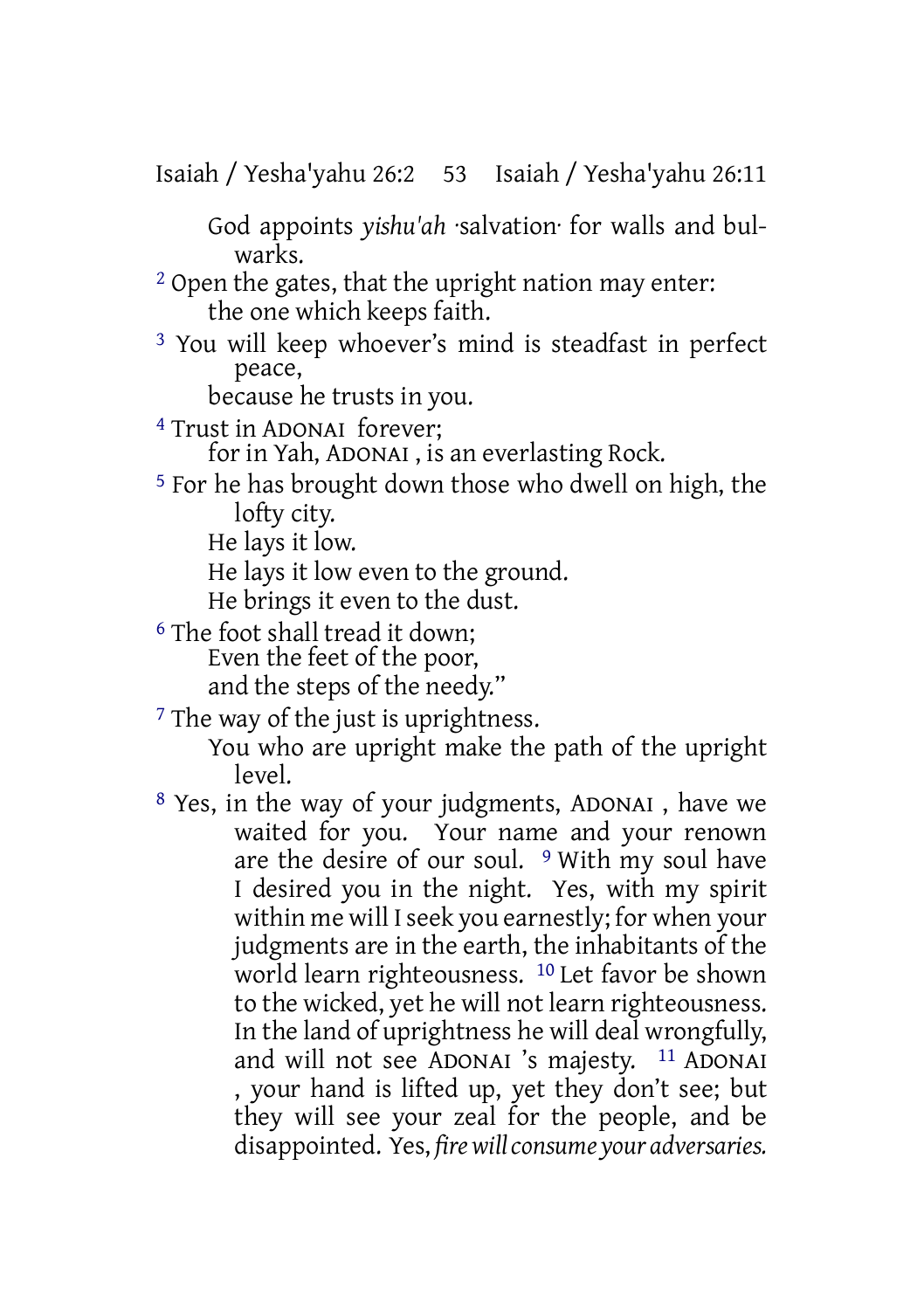Isaiah / Yesha'yahu 26:2 53 Isaiah / Yesha'yahu 26:11

God appoints *yishu'ah* ·salvation· for walls and bulwarks.

- 2 Open the gates, that the upright nation may enter: the one which keeps faith.
- 3 You will keep whoever's mind is steadfast in perfect peace,

because he trusts in you.

4 Trust in ADONAI forever;

for in Yah, ADONAI , is an everlasting Rock.

5 For he has brought down those who dwell on high, the lofty city.

He lays it low.

He lays it low even to the ground.

He brings it even to the dust.

6 The foot shall tread it down; Even the feet of the poor,

and the steps of the needy."

<sup>7</sup> The way of the just is uprightness.

You who are upright make the path of the upright level.

8 Yes, in the way of your judgments, ADONAI , have we waited for you. Your name and your renown are the desire of our soul. 9 With my soul have I desired you in the night. Yes, with my spirit within me will I seek you earnestly; for when your judgments are in the earth, the inhabitants of the world learn righteousness. 10 Let favor be shown to the wicked, yet he will not learn righteousness. In the land of uprightness he will deal wrongfully, and will not see ADONAI 's majesty. 11 ADONAI , your hand is lifted up, yet they don't see; but they will see your zeal for the people, and be disappointed. Yes, *firewillconsume your adversaries.*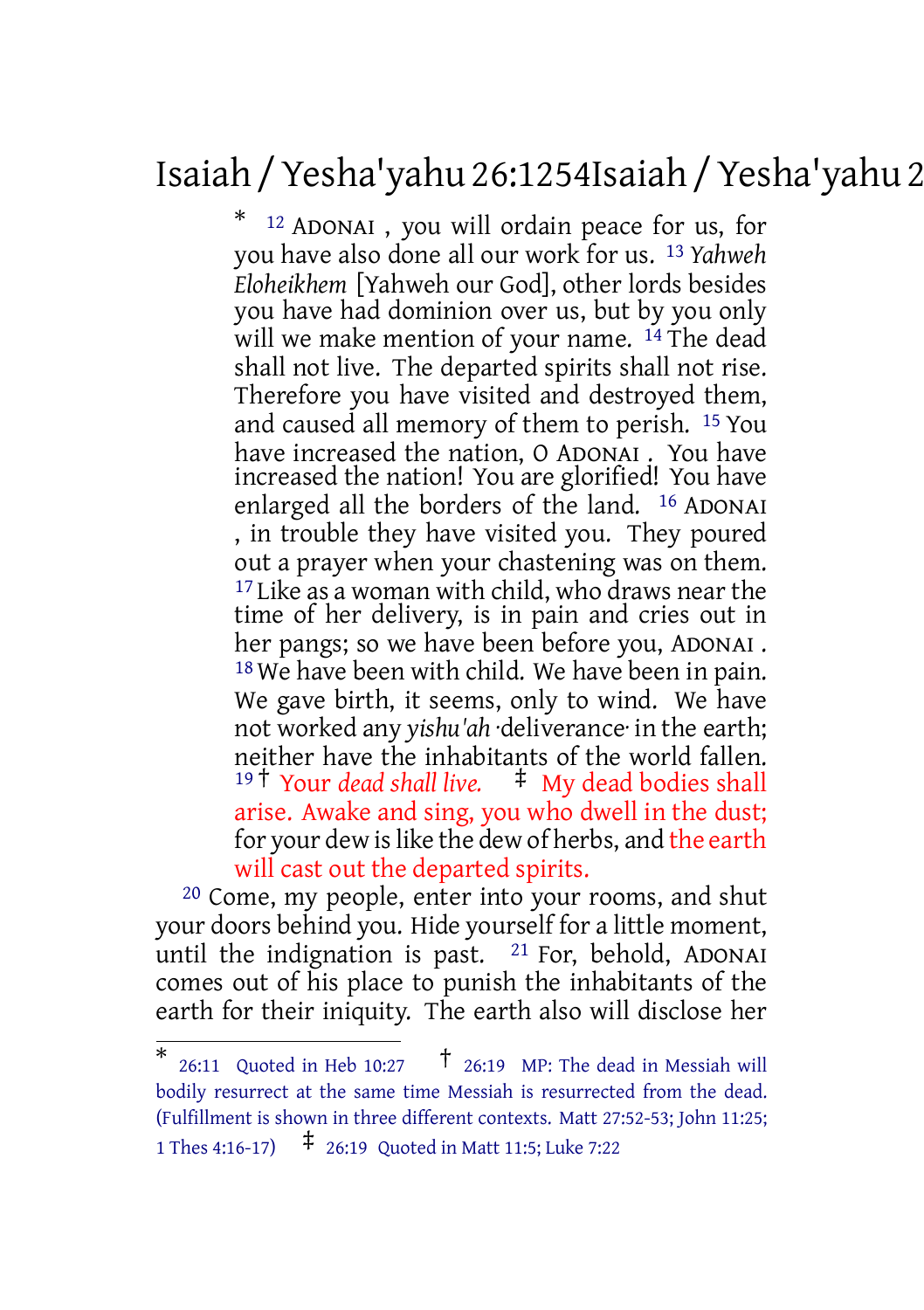# Isaiah /Yesha'yahu 26:1254Isaiah /Yesha'yahu 26:21

\* <sup>12</sup> ADONAI , you will ordain peace for us, for you have also done all our work for us. 13 *Yahweh Eloheikhem* [Yahweh our God], other lords besides you have had dominion over us, but by you only will we make mention of your name. <sup>14</sup> The dead shall not live. The departed spirits shall not rise. Therefore you have visited and destroyed them, and caused all memory of them to perish. 15 You have increased the nation, O ADONAI . You have increased the nation! You are glorified! You have enlarged all the borders of the land. 16 ADONAI , in trouble they have visited you. They poured out a prayer when your chastening was on them. <sup>17</sup> Like as a woman with child, who draws near the time of her delivery, is in pain and cries out in her pangs; so we have been before you, ADONAI . <sup>18</sup> We have been with child. We have been in pain. We gave birth, it seems, only to wind. We have not worked any *yishu'ah* ·deliverance· in the earth; neither have the inhabitants of the world fallen. <sup>19</sup> † Your *dead shall live.* ‡ My dead bodies shall arise. Awake and sing, you who dwell in the dust; for your dew is like the dew of herbs, and the earth will cast out the departed spirits.

20 Come, my people, enter into your rooms, and shut your doors behind you. Hide yourself for a little moment, until the indignation is past.  $21$  For, behold, ADONAI comes out of his place to punish the inhabitants of the earth for their iniquity. The earth also will disclose her

<sup>\*</sup> 26:11 Quoted in Heb 10:27 † 26:19 MP: The dead in Messiah will bodily resurrect at the same time Messiah is resurrected from the dead. (Fulfillment is shown in three different contexts. Matt 27:52-53; John 11:25; <sup>1</sup> Thes 4:16-17) ‡ 26:19 Quoted in Matt 11:5; Luke 7:22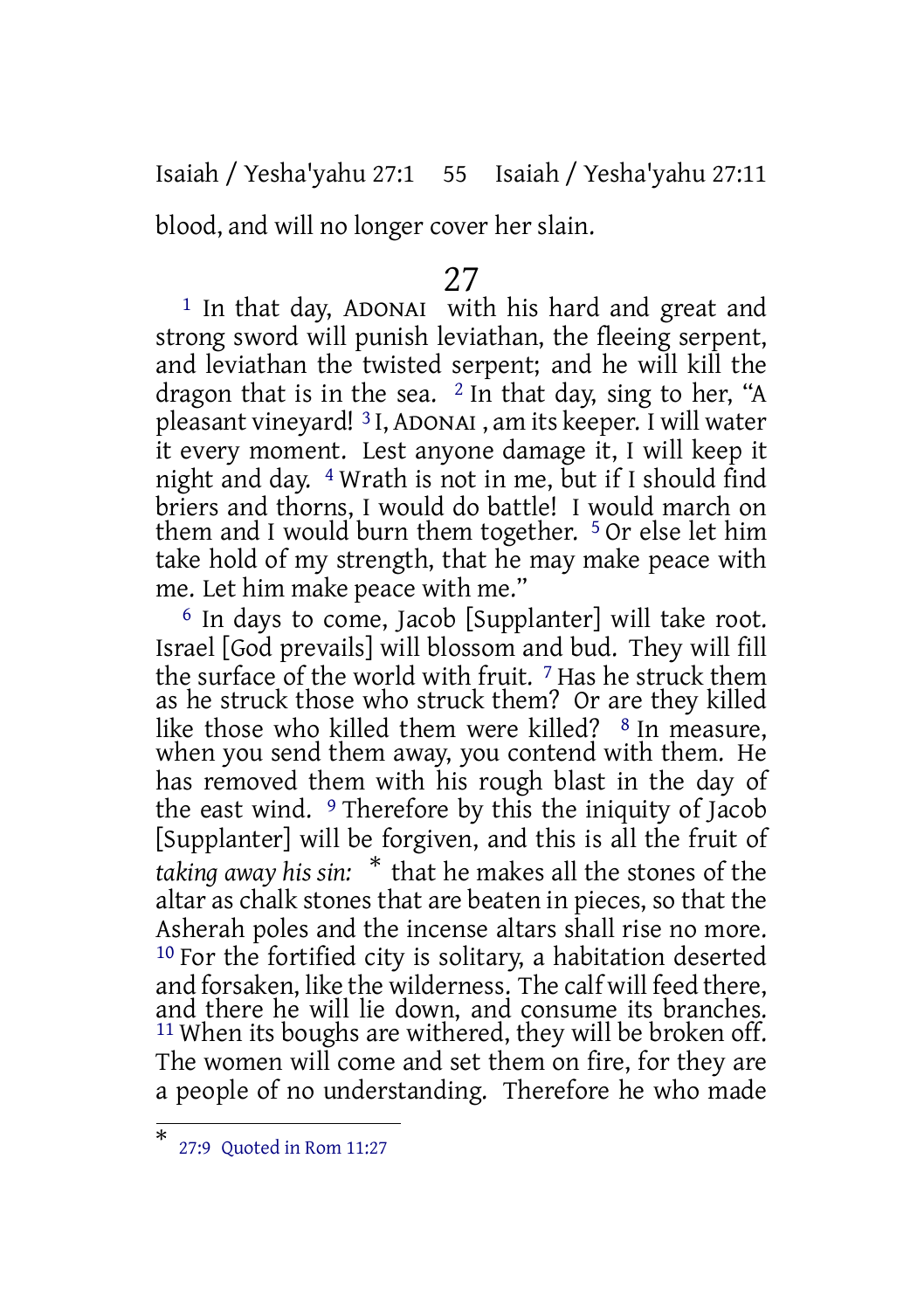Isaiah / Yesha'yahu 27:1 55 Isaiah / Yesha'yahu 27:11

blood, and will no longer cover her slain.

## 27

<sup>1</sup> In that day, ADONAI with his hard and great and strong sword will punish leviathan, the fleeing serpent, and leviathan the twisted serpent; and he will kill the dragon that is in the sea.  $2 \text{ In}$  that day, sing to her, "A pleasant vineyard! 3 I, ADONAI , am its keeper. I will water it every moment. Lest anyone damage it, I will keep it night and day. 4 Wrath is not in me, but if I should find briers and thorns, I would do battle! I would march on them and I would burn them together. 5 Or else let him take hold of my strength, that he may make peace with me. Let him make peace with me."

6 In days to come, Jacob [Supplanter] will take root. Israel [God prevails] will blossom and bud. They will fill the surface of the world with fruit. 7 Has he struck them as he struck those who struck them? Or are they killed like those who killed them were killed? <sup>8</sup> In measure, when you send them away, you contend with them. He has removed them with his rough blast in the day of the east wind. 9 Therefore by this the iniquity of Jacob [Supplanter] will be forgiven, and this is all the fruit of *taking away his sin:* \* that he makes all the stones of the altar as chalk stones that are beaten in pieces, so that the Asherah poles and the incense altars shall rise no more. 10 For the fortified city is solitary, a habitation deserted and forsaken, like the wilderness. The calf will feed there, and there he will lie down, and consume its branches. <sup>11</sup> When its boughs are withered, they will be broken off. The women will come and set them on fire, for they are a people of no understanding. Therefore he who made

<sup>\*</sup> 27:9 Quoted in Rom 11:27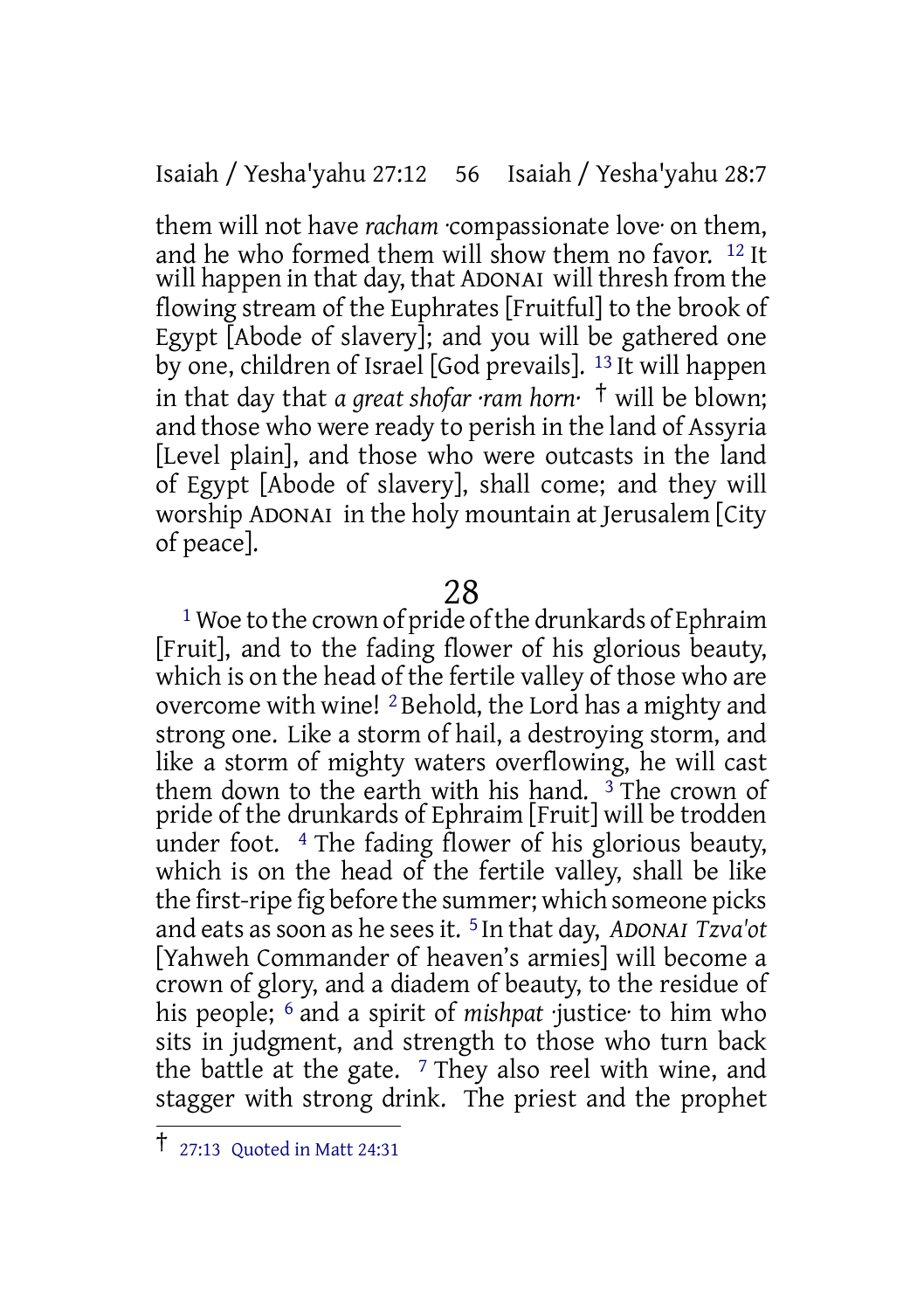Isaiah / Yesha'yahu 27:12 56 Isaiah / Yesha'yahu 28:7

them will not have *racham* ·compassionate love· on them, and he who formed them will show them no favor. 12 It will happen in that day, that ADONAI will thresh from the flowing stream of the Euphrates [Fruitful] to the brook of Egypt [Abode of slavery]; and you will be gathered one by one, children of Israel [God prevails]. 13 It will happen in that day that *a great shofar ·ram horn·* † will be blown; and those who were ready to perish in the land of Assyria [Level plain], and those who were outcasts in the land of Egypt [Abode of slavery], shall come; and they will worship ADONAI in the holy mountain at Jerusalem [City of peace].

### 28

<sup>1</sup> Woe to the crown of pride of the drunkards of Ephraim [Fruit], and to the fading flower of his glorious beauty, which is on the head of the fertile valley of those who are overcome with wine! <sup>2</sup> Behold, the Lord has a mighty and strong one. Like a storm of hail, a destroying storm, and like a storm of mighty waters overflowing, he will cast them down to the earth with his hand.  $\bar{3}$  The crown of pride of the drunkards of Ephraim [Fruit] will be trodden under foot. 4 The fading flower of his glorious beauty, which is on the head of the fertile valley, shall be like the first-ripe fig before the summer; which someone picks and eats assoon as he seesit. 5 In that day, *ADONAI Tzva'ot* [Yahweh Commander of heaven's armies] will become a crown of glory, and a diadem of beauty, to the residue of his people; 6 and a spirit of *mishpat* ·justice· to him who sits in judgment, and strength to those who turn back the battle at the gate.  $7$  They also reel with wine, and stagger with strong drink. The priest and the prophet

<sup>†</sup> 27:13 Quoted in Matt 24:31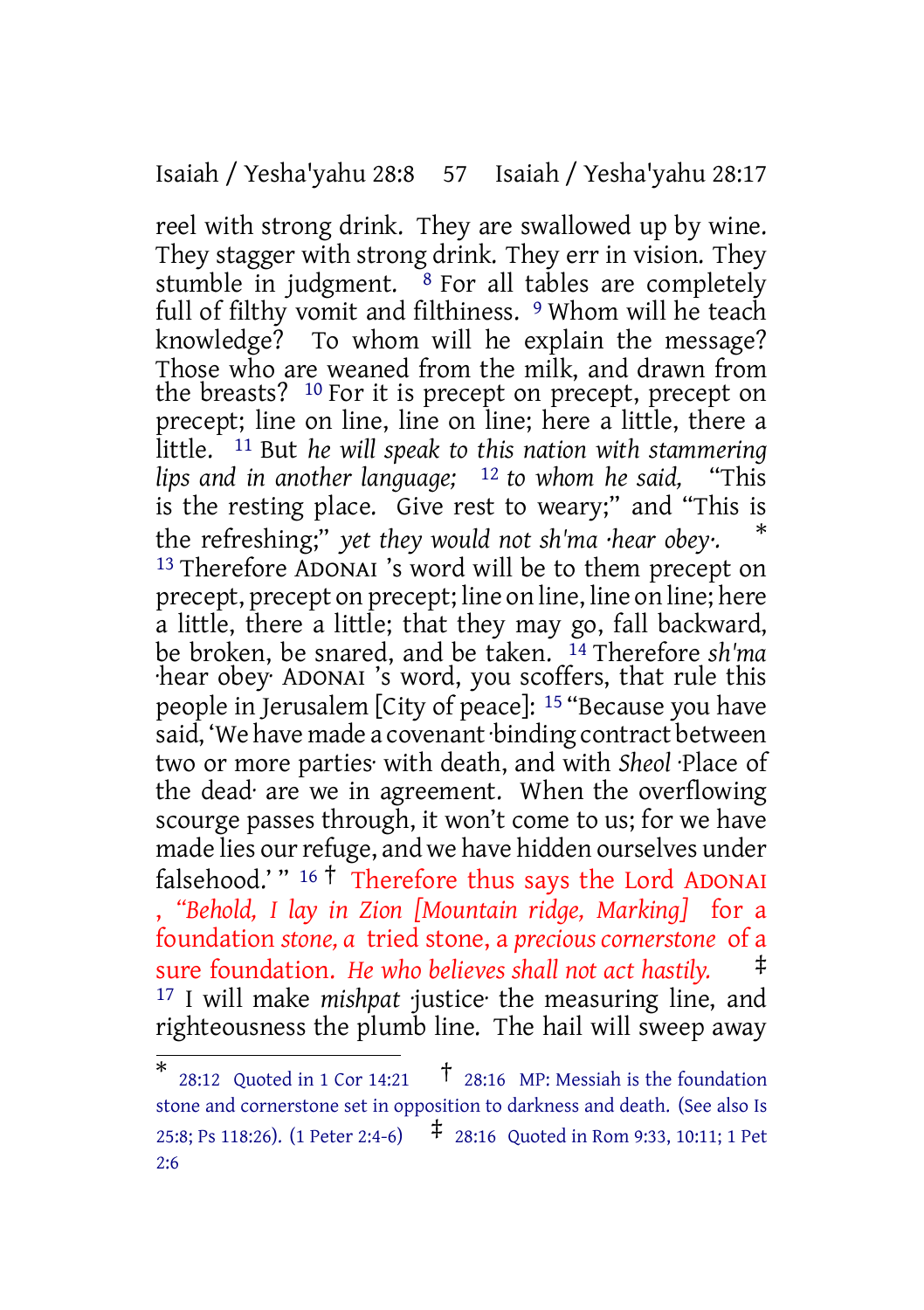Isaiah / Yesha'yahu 28:8 57 Isaiah / Yesha'yahu 28:17

reel with strong drink. They are swallowed up by wine. They stagger with strong drink. They err in vision. They stumble in judgment.  $8$  For all tables are completely full of filthy vomit and filthiness. <sup>9</sup> Whom will he teach knowledge? To whom will he explain the message? Those who are weaned from the milk, and drawn from the breasts? <sup>10</sup> For it is precept on precept, precept on precept; line on line, line on line; here a little, there a little. 11 But *he will speak to this nation with stammering lips and in another language;* 12 *to whom he said,* "This is the resting place. Give rest to weary;" and "This is the refreshing;" *yet they would not sh'ma ·hear obey·.* \* 13 Therefore ADONAI 's word will be to them precept on precept, precept on precept; line on line, line on line; here a little, there a little; that they may go, fall backward, be broken, be snared, and be taken. 14 Therefore *sh'ma* ·hear obey· ADONAI 's word, you scoffers, that rule this people in Jerusalem [City of peace]: 15 "Because you have said, 'We have made a covenant·binding contract between two or more parties· with death, and with *Sheol* ·Place of the dead· are we in agreement. When the overflowing scourge passes through, it won't come to us; for we have made lies our refuge, and we have hidden ourselves under falsehood.' " <sup>16</sup> † Therefore thus says the Lord ADONAI , *"Behold, I lay in Zion [Mountain ridge, Marking]* for a foundation *stone, a* tried stone, a *precious cornerstone* of a sure foundation. *He who believes shall not act hastily.* ‡ 17 I will make *mishpat* ·justice· the measuring line, and righteousness the plumb line. The hail will sweep away

<sup>\*</sup> 28:12 Quoted in 1 Cor 14:21  $\uparrow$  28:16 MP: Messiah is the foundation stone and cornerstone set in opposition to darkness and death. (See also Is 25:8; Ps 118:26). (1 Peter 2:4-6) ‡ 28:16 Quoted in Rom 9:33, 10:11; <sup>1</sup> Pet  $2.6$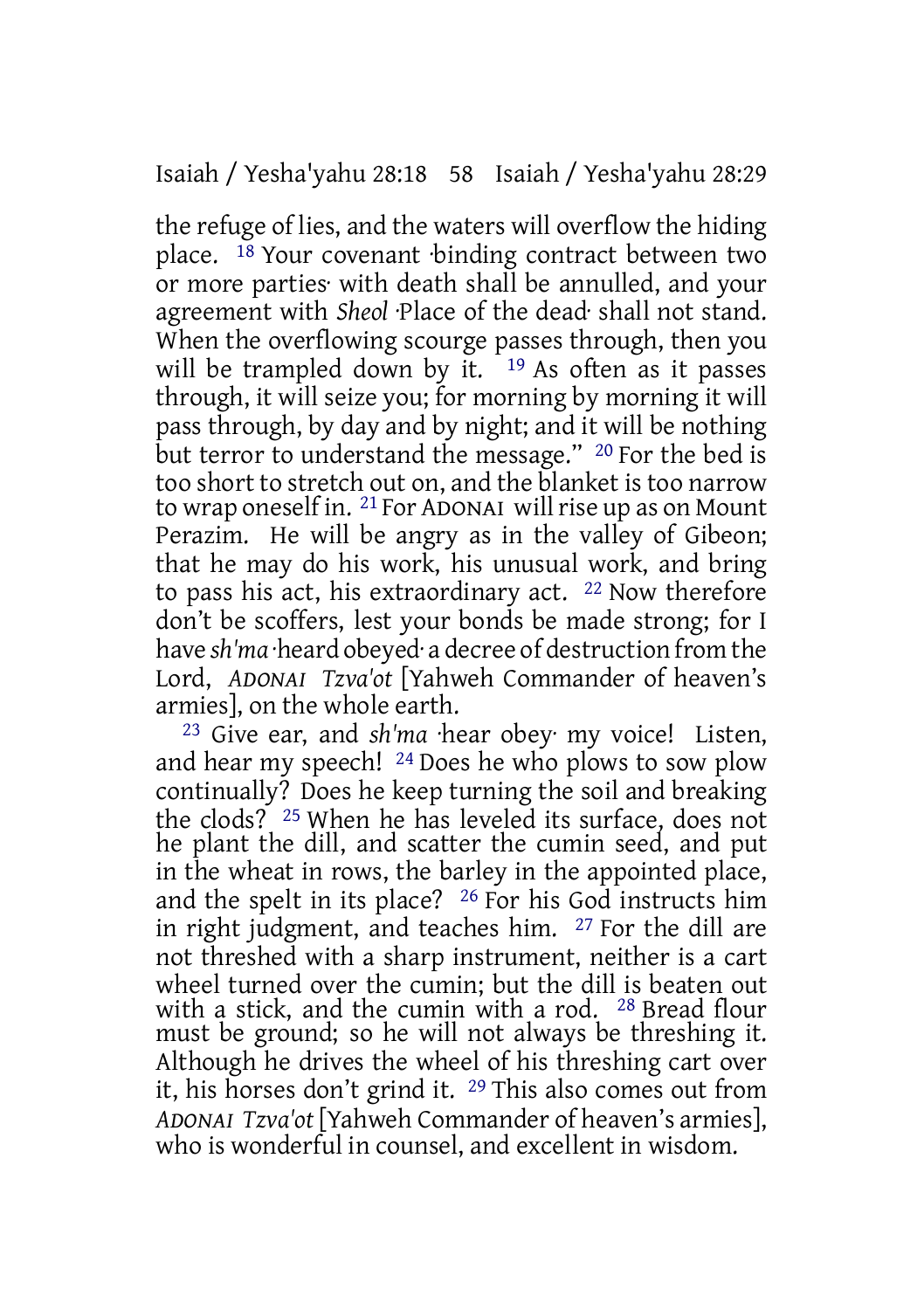the refuge of lies, and the waters will overflow the hiding place. <sup>18</sup> Your covenant binding contract between two or more parties· with death shall be annulled, and your agreement with *Sheol* ·Place of the dead· shall not stand. When the overflowing scourge passes through, then you will be trampled down by it.  $19$  As often as it passes through, it will seize you; for morning by morning it will pass through, by day and by night; and it will be nothing but terror to understand the message." <sup>20</sup> For the bed is too short to stretch out on, and the blanket is too narrow to wrap oneself in. <sup>21</sup> For ADONAI will rise up as on Mount Perazim. He will be angry as in the valley of Gibeon; that he may do his work, his unusual work, and bring to pass his act, his extraordinary act. 22 Now therefore don't be scoffers, lest your bonds be made strong; for I have *sh'ma* ·heard obeyed· a decree of destruction from the Lord, *ADONAI Tzva'ot* [Yahweh Commander of heaven's armies], on the whole earth.

23 Give ear, and *sh'ma* ·hear obey· my voice! Listen, and hear my speech! 24 Does he who plows to sow plow continually? Does he keep turning the soil and breaking the clods? 25 When he has leveled its surface, does not he plant the dill, and scatter the cumin seed, and put in the wheat in rows, the barley in the appointed place, and the spelt in its place? 26 For his God instructs him in right judgment, and teaches him. 27 For the dill are not threshed with a sharp instrument, neither is a cart wheel turned over the cumin: but the dill is beaten out with a stick, and the cumin with a rod. 28 Bread flour must be ground; so he will not always be threshing it. Although he drives the wheel of his threshing cart over it, his horses don't grind it. 29 This also comes out from *ADONAI Tzva'ot* [Yahweh Commander of heaven's armies], who is wonderful in counsel, and excellent in wisdom.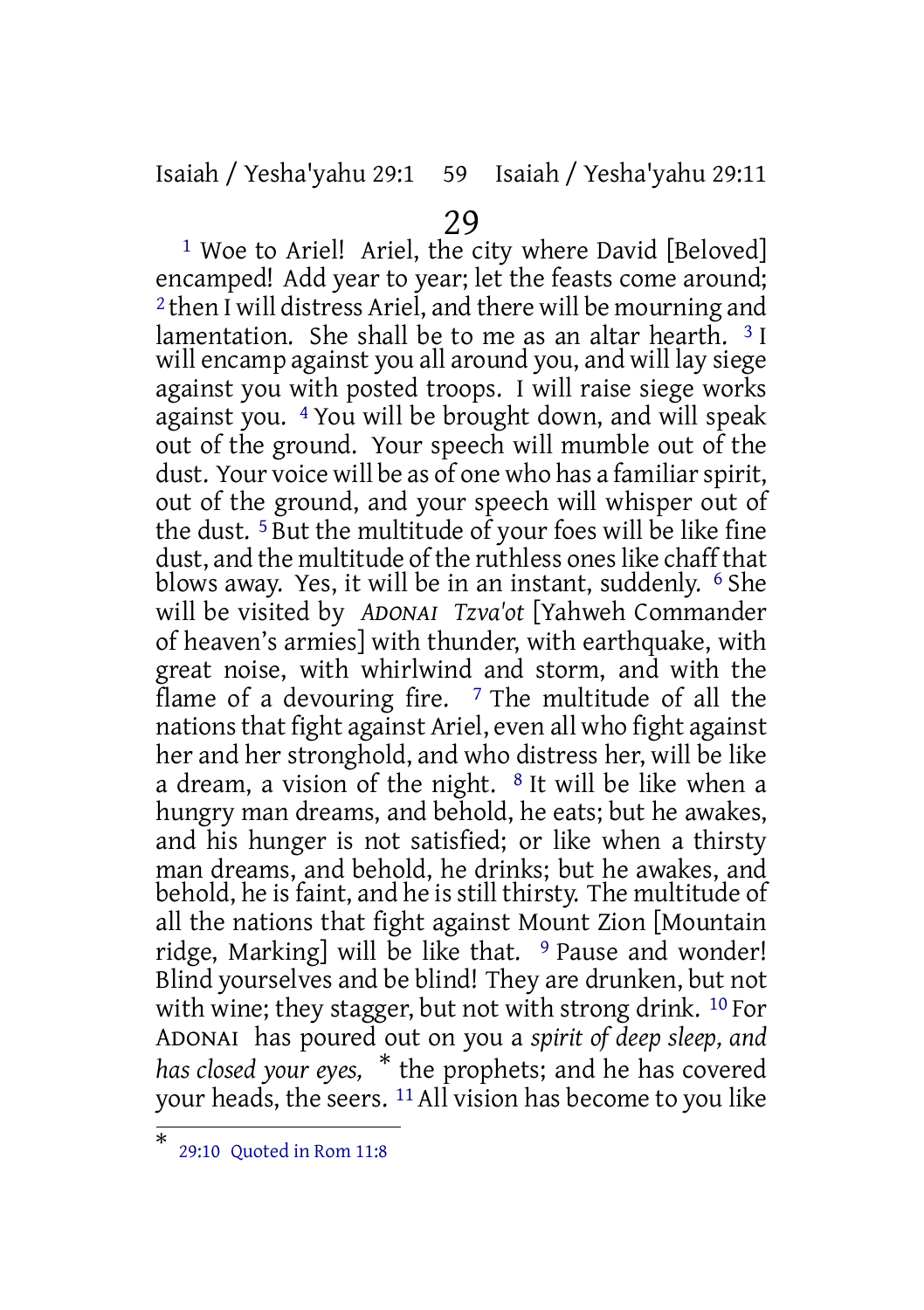Isaiah / Yesha'yahu 29:1 59 Isaiah / Yesha'yahu 29:11

### 29

<sup>1</sup> Woe to Ariel! Ariel, the city where David [Beloved] encamped! Add year to year; let the feasts come around; 2 then I will distress Ariel, and there will be mourning and lamentation. She shall be to me as an altar hearth.  $3I$ will encamp against you all around you, and will lay siege against you with posted troops. I will raise siege works against you. 4 You will be brought down, and will speak out of the ground. Your speech will mumble out of the dust. Your voice will be as of one who has a familiar spirit, out of the ground, and your speech will whisper out of the dust. 5 But the multitude of your foes will be like fine dust, and the multitude of the ruthless ones like chaff that blows away. Yes, it will be in an instant, suddenly. 6 She will be visited by *ADONAI Tzva'ot* [Yahweh Commander of heaven's armies] with thunder, with earthquake, with great noise, with whirlwind and storm, and with the flame of a devouring fire.  $7$  The multitude of all the nations that fight against Ariel, even all who fight against her and her stronghold, and who distress her, will be like a dream, a vision of the night.  $8$  It will be like when a hungry man dreams, and behold, he eats; but he awakes, and his hunger is not satisfied; or like when a thirsty man dreams, and behold, he drinks; but he awakes, and behold, he is faint, and he is still thirsty. The multitude of all the nations that fight against Mount Zion [Mountain ridge, Marking] will be like that.  $9$  Pause and wonder! Blind yourselves and be blind! They are drunken, but not with wine; they stagger, but not with strong drink. <sup>10</sup> For ADONAI has poured out on you a *spirit of deep sleep, and has closed your eyes,* \* the prophets; and he has covered your heads, the seers. 11 All vision has become to you like

<sup>\*</sup> 29:10 Quoted in Rom 11:8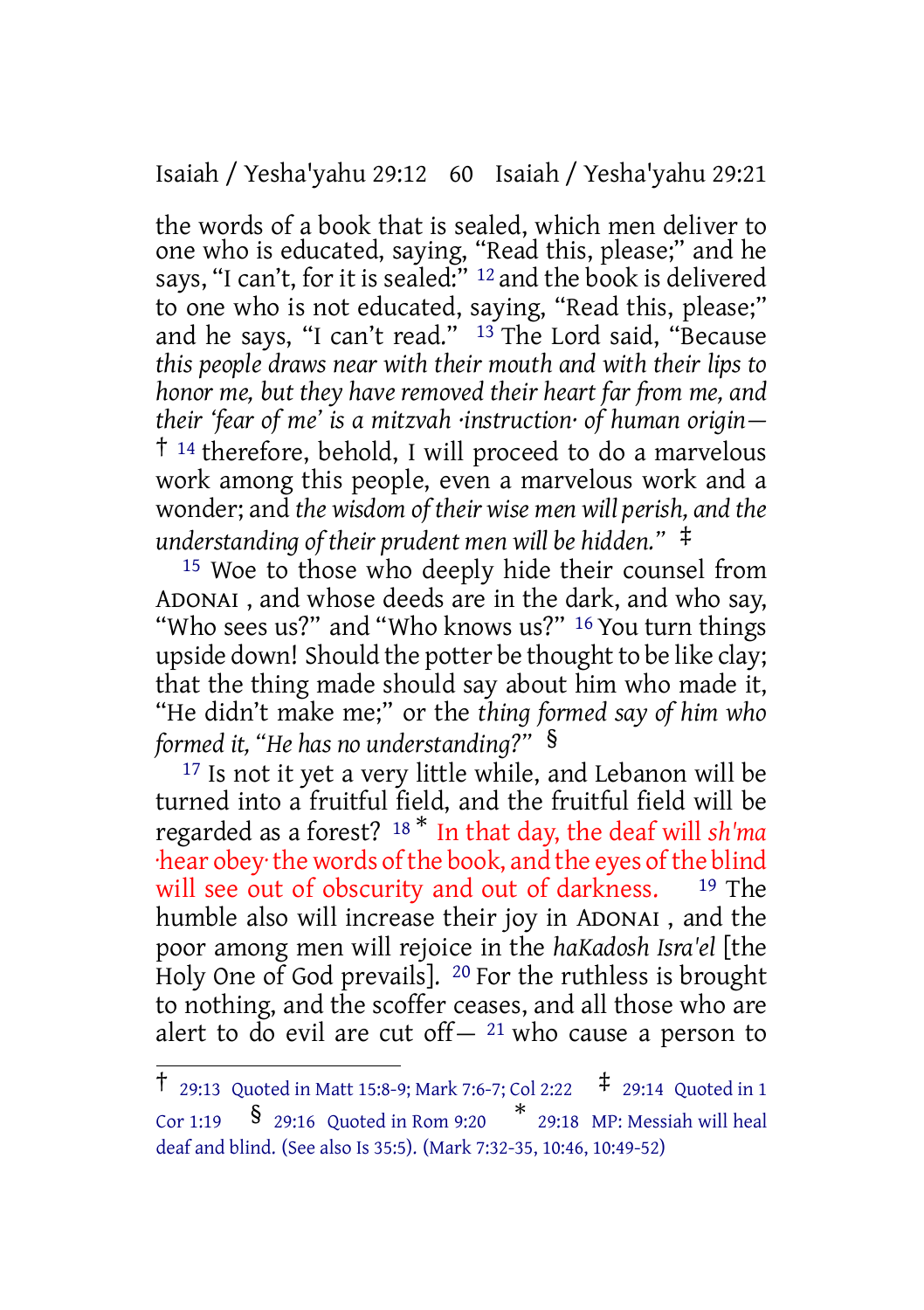Isaiah / Yesha'yahu 29:12 60 Isaiah / Yesha'yahu 29:21

the words of a book that is sealed, which men deliver to one who is educated, saying, "Read this, please;" and he says, "I can't, for it is sealed:"<sup>12</sup> and the book is delivered to one who is not educated, saying, "Read this, please;" and he says, "I can't read."  $13$  The Lord said, "Because *this people draws near with their mouth and with their lips to honor me, but they have removed their heart far from me, and their 'fear of me' is a mitzvah ·instruction· of human origin—* † <sup>14</sup> therefore, behold, I will proceed to do a marvelous work among this people, even a marvelous work and a wonder; and *the wisdom of their wise men will perish, and the understanding of their prudent men will be hidden."* ‡

15 Woe to those who deeply hide their counsel from ADONAI , and whose deeds are in the dark, and who say, "Who sees us?" and "Who knows us?" <sup>16</sup> You turn things upside down! Should the potter be thought to be like clay; that the thing made should say about him who made it, "He didn't make me;" or the *thing formed say of him who formed it, "He has no understanding?"* §

<sup>17</sup> Is not it yet a very little while, and Lebanon will be turned into a fruitful field, and the fruitful field will be regarded as a forest? <sup>18</sup> \* In that day, the deaf will *sh'ma* ·hear obey·the words ofthe book, and the eyes ofthe blind will see out of obscurity and out of darkness. <sup>19</sup> The humble also will increase their joy in ADONAI , and the poor among men will rejoice in the *haKadosh Isra'el* [the Holy One of God prevails]. 20 For the ruthless is brought to nothing, and the scoffer ceases, and all those who are alert to do evil are cut of  $f - 21$  who cause a person to

<sup>†</sup> 29:13 Quoted in Matt 15:8-9; Mark 7:6-7; Col 2:22 ‡ 29:14 Quoted in <sup>1</sup> Cor 1:19  $\frac{\$}{\$}$  29:16 Quoted in Rom 9:20  $\frac{\$}{\$}$  29:18 MP: Messiah will heal deaf and blind. (See also Is 35:5). (Mark 7:32-35, 10:46, 10:49-52)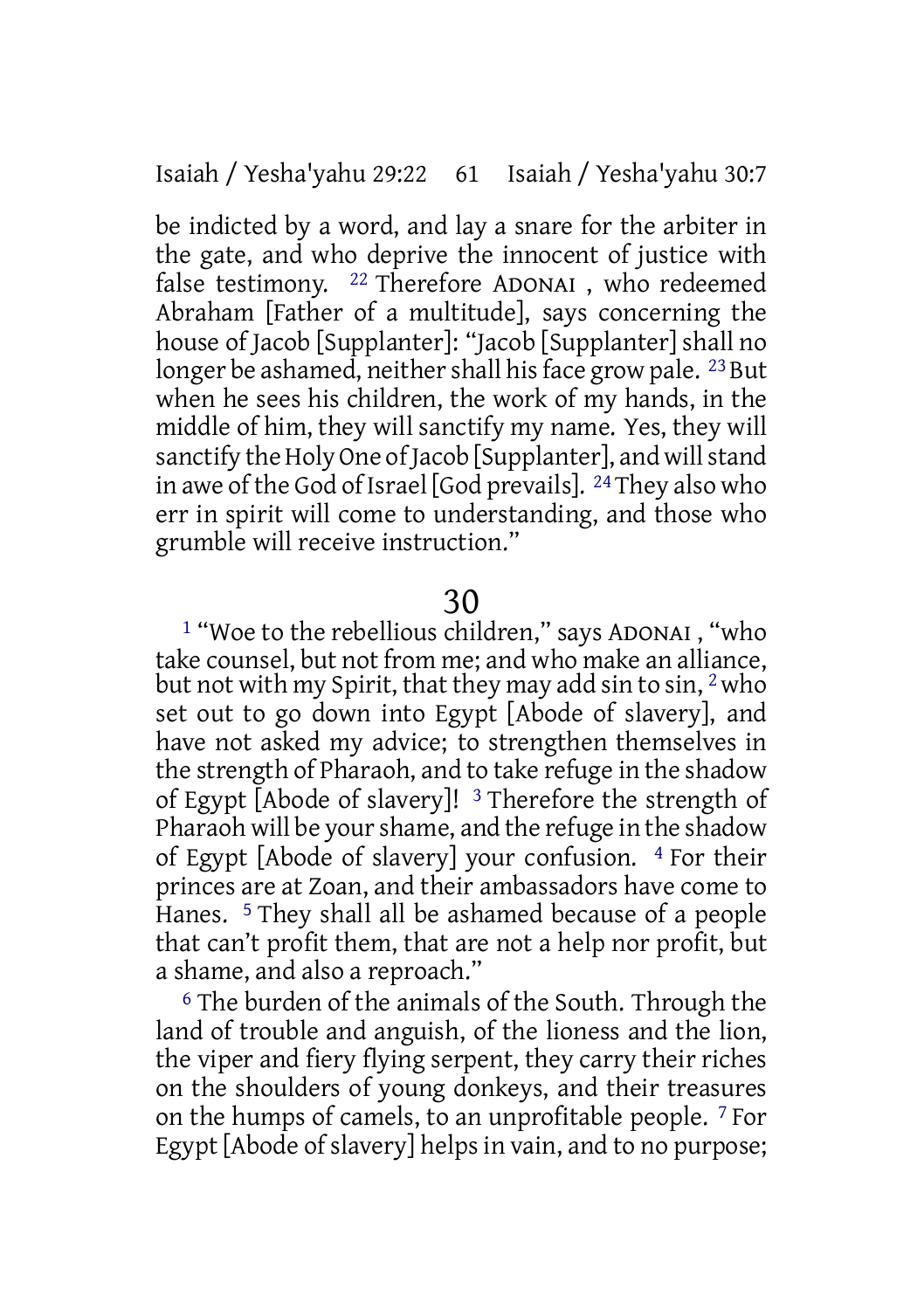be indicted by a word, and lay a snare for the arbiter in the gate, and who deprive the innocent of justice with false testimony. 22 Therefore ADONAI , who redeemed Abraham [Father of a multitude], says concerning the house of Jacob [Supplanter]: "Jacob [Supplanter] shall no longer be ashamed, neither shall his face grow pale.  $^{23}$  But when he sees his children, the work of my hands, in the middle of him, they will sanctify my name. Yes, they will sanctify the Holy One of Jacob [Supplanter], and will stand in awe of the God of Israel [God prevails]. 24They also who err in spirit will come to understanding, and those who grumble will receive instruction."

### 30

1 "Woe to the rebellious children," says ADONAI , "who take counsel, but not from me; and who make an alliance, but not with my Spirit, that they may add sin to sin, 2who set out to go down into Egypt [Abode of slavery], and have not asked my advice; to strengthen themselves in the strength of Pharaoh, and to take refuge in the shadow of Egypt [Abode of slavery]! 3 Therefore the strength of Pharaoh will be yourshame, and the refuge in the shadow of Egypt [Abode of slavery] your confusion. 4 For their princes are at Zoan, and their ambassadors have come to Hanes. 5 They shall all be ashamed because of a people that can't profit them, that are not a help nor profit, but a shame, and also a reproach."

6 The burden of the animals of the South. Through the land of trouble and anguish, of the lioness and the lion, the viper and fiery flying serpent, they carry their riches on the shoulders of young donkeys, and their treasures on the humps of camels, to an unprofitable people. 7 For Egypt [Abode of slavery] helps in vain, and to no purpose: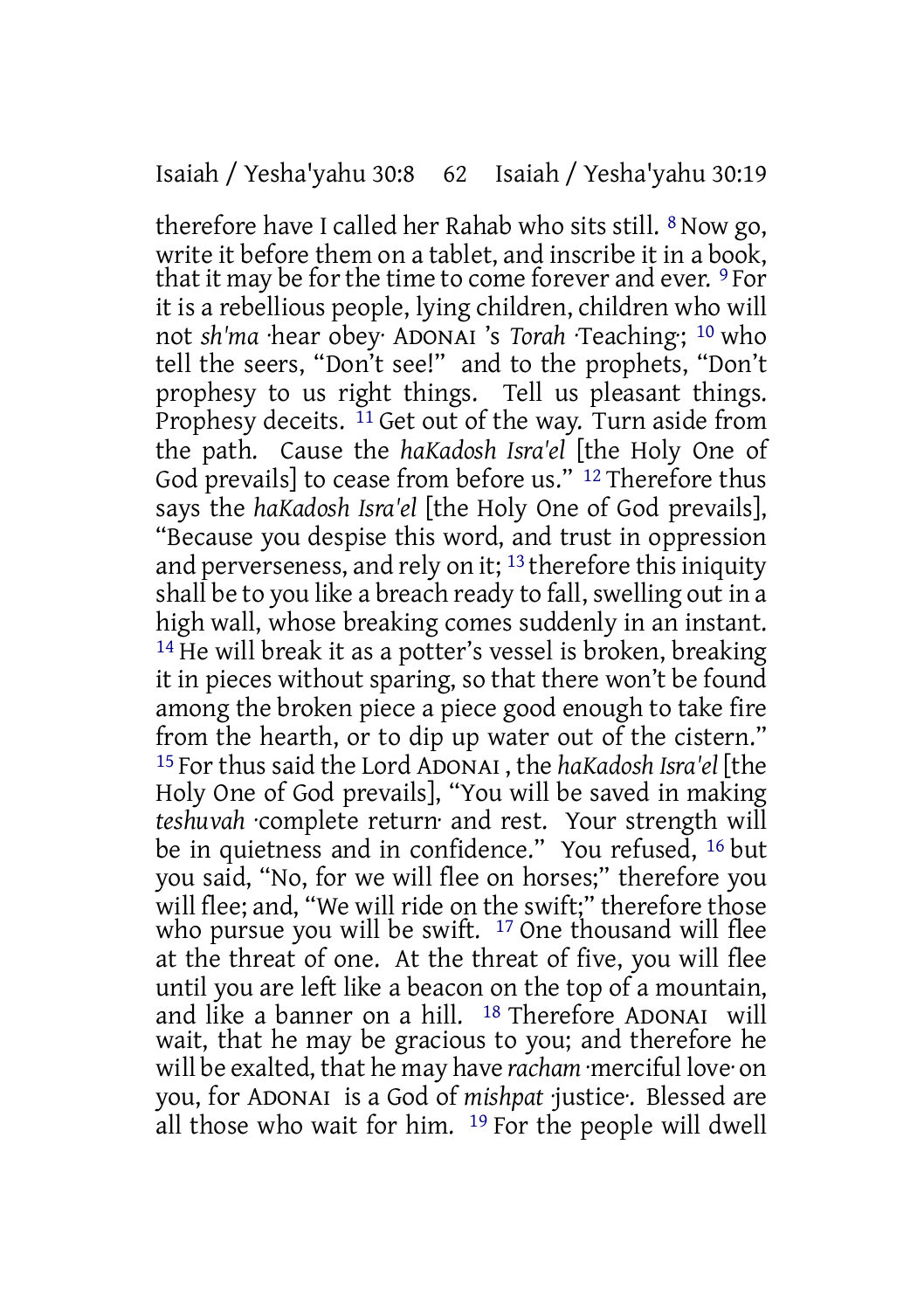therefore have I called her Rahab who sits still. 8 Now go, write it before them on a tablet, and inscribe it in a book, that it may be for the time to come forever and ever. <sup>9</sup> For it is a rebellious people, lying children, children who will not *sh'ma* ·hear obey· ADONAI 's *Torah* ·Teaching·; 10 who tell the seers, "Don't see!" and to the prophets, "Don't prophesy to us right things. Tell us pleasant things. Prophesy deceits. 11 Get out of the way. Turn aside from the path. Cause the *haKadosh Isra'el* [the Holy One of God prevails] to cease from before us." <sup>12</sup> Therefore thus says the *haKadosh Isra'el* [the Holy One of God prevails], "Because you despise this word, and trust in oppression and perverseness, and rely on it; 13 therefore this iniquity shall be to you like a breach ready to fall, swelling out in a high wall, whose breaking comes suddenly in an instant. 14 He will break it as a potter's vessel is broken, breaking it in pieces without sparing, so that there won't be found among the broken piece a piece good enough to take fire from the hearth, or to dip up water out of the cistern." 15 For thus said the Lord ADONAI , the *haKadosh Isra'el* [the Holy One of God prevails], "You will be saved in making *teshuvah* ·complete return· and rest. Your strength will be in quietness and in confidence." You refused, <sup>16</sup> but you said, "No, for we will flee on horses;" therefore you will flee; and, "We will ride on the swift;" therefore those who pursue you will be swift. <sup>17</sup> One thousand will flee at the threat of one. At the threat of five, you will flee until you are left like a beacon on the top of a mountain, and like a banner on a hill. 18 Therefore ADONAI will wait, that he may be gracious to you; and therefore he will be exalted, that he may have *racham* ·merciful love· on you, for ADONAI is a God of *mishpat* ·justice·. Blessed are all those who wait for him. 19 For the people will dwell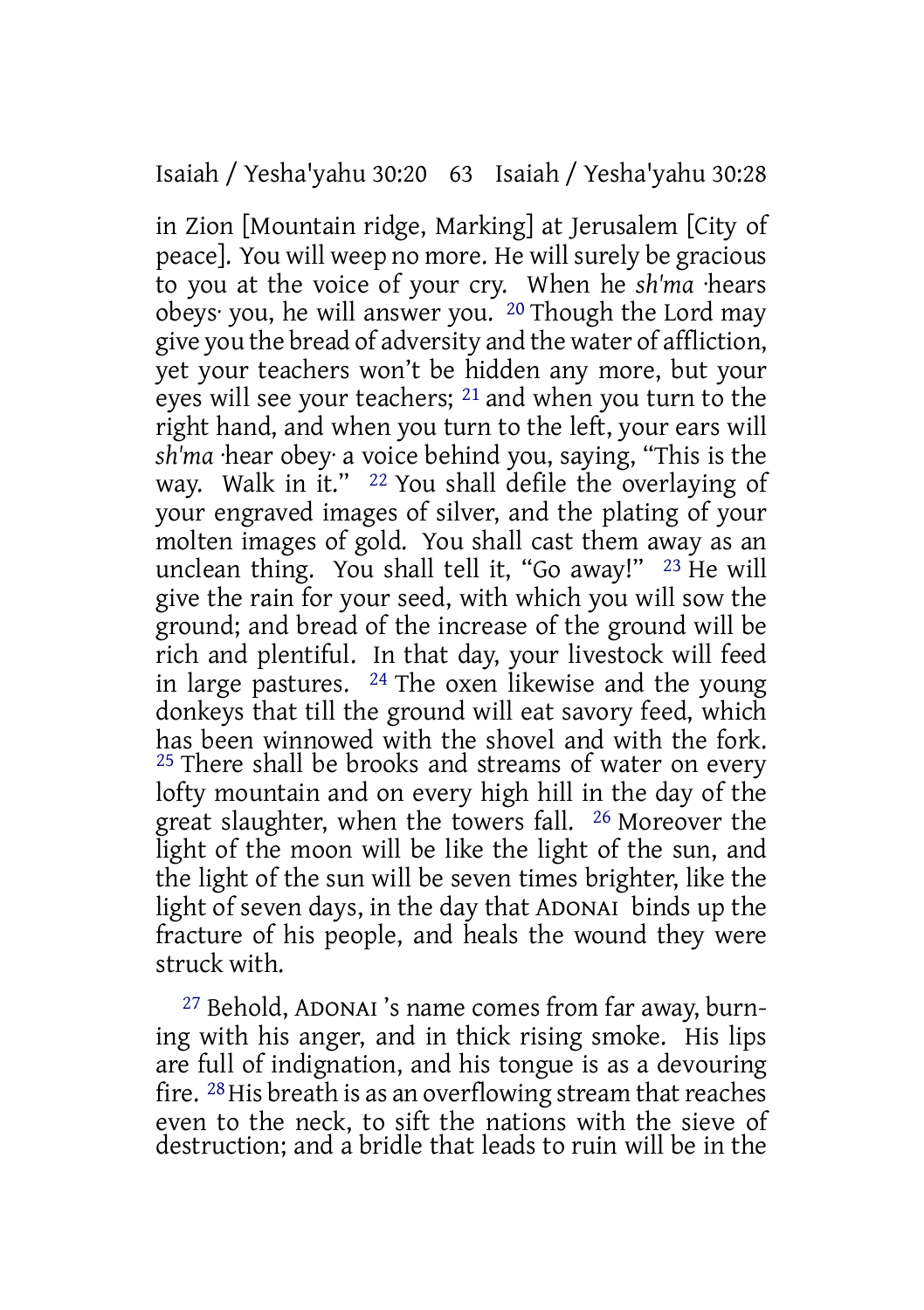### Isaiah / Yesha'yahu 30:20 63 Isaiah / Yesha'yahu 30:28

in Zion [Mountain ridge, Marking] at Jerusalem [City of peace]. You will weep no more. He will surely be gracious to you at the voice of your cry. When he *sh'ma* ·hears obeys· you, he will answer you. 20 Though the Lord may give you the bread of adversity and the water of affliction, yet your teachers won't be hidden any more, but your eyes will see your teachers; 21 and when you turn to the right hand, and when you turn to the left, your ears will *sh'ma* ·hear obey· a voice behind you, saying, "This is the way. Walk in it." 22 You shall defile the overlaying of your engraved images of silver, and the plating of your molten images of gold. You shall cast them away as an unclean thing. You shall tell it, "Go away!" 23 He will give the rain for your seed, with which you will sow the ground; and bread of the increase of the ground will be rich and plentiful. In that day, your livestock will feed in large pastures.  $24$  The oxen likewise and the young donkeys that till the ground will eat savory feed, which has been winnowed with the shovel and with the fork. <sup>25</sup> There shall be brooks and streams of water on every lofty mountain and on every high hill in the day of the great slaughter, when the towers fall. 26 Moreover the light of the moon will be like the light of the sun, and the light of the sun will be seven times brighter, like the light of seven days, in the day that ADONAI binds up the fracture of his people, and heals the wound they were struck with.

27 Behold, ADONAI 's name comes from far away, burning with his anger, and in thick rising smoke. His lips are full of indignation, and his tongue is as a devouring fire. <sup>28</sup> His breath is as an overflowing stream that reaches even to the neck, to sift the nations with the sieve of destruction; and a bridle that leads to ruin will be in the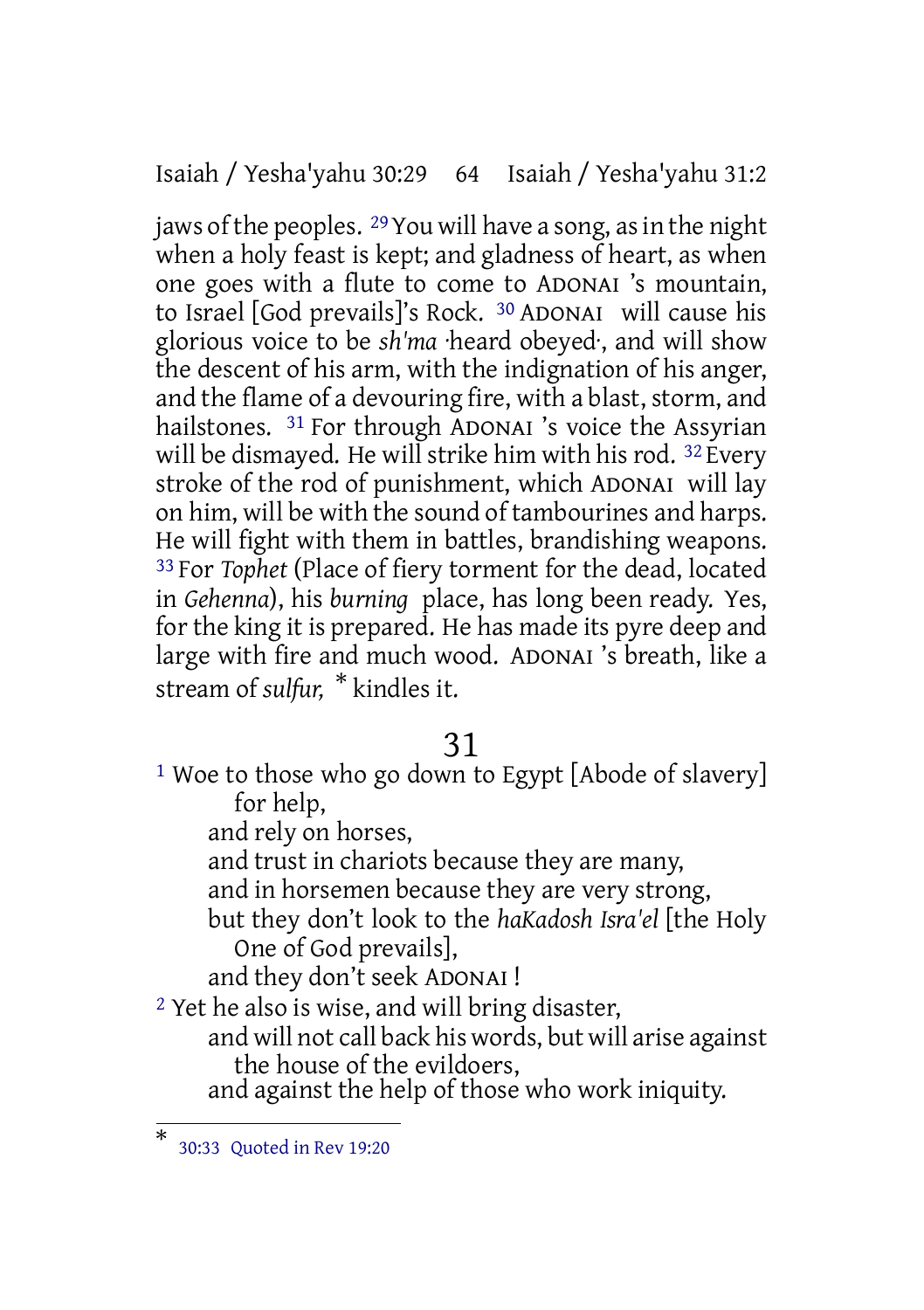Isaiah / Yesha'yahu 30:29 64 Isaiah / Yesha'yahu 31:2

jaws of the peoples.  $^{29}$  You will have a song, as in the night when a holy feast is kept; and gladness of heart, as when one goes with a flute to come to ADONAI 's mountain, to Israel [God prevails]'s Rock. 30 ADONAI will cause his glorious voice to be *sh'ma* ·heard obeyed·, and will show the descent of his arm, with the indignation of his anger, and the flame of a devouring fire, with a blast, storm, and hailstones. 31 For through ADONAI 's voice the Assyrian will be dismayed. He will strike him with his rod.  $32$  Every stroke of the rod of punishment, which ADONAI will lay on him, will be with the sound of tambourines and harps. He will fight with them in battles, brandishing weapons. 33 For *Tophet* (Place of fiery torment for the dead, located in *Gehenna*), his *burning* place, has long been ready. Yes, for the king it is prepared. He has made its pyre deep and large with fire and much wood. ADONAI 's breath, like a stream of *sulfur,* \* kindles it.

31

<sup>1</sup> Woe to those who go down to Egypt [Abode of slavery] for help, and rely on horses, and trust in chariots because they are many, and in horsemen because they are very strong, but they don't look to the *haKadosh Isra'el* [the Holy One of God prevails], and they don't seek ADONAI ! 2 Yet he also is wise, and will bring disaster,

and will not call back his words, but will arise against the house of the evildoers,

and against the help of those who work iniquity.

<sup>\*</sup> 30:33 Quoted in Rev 19:20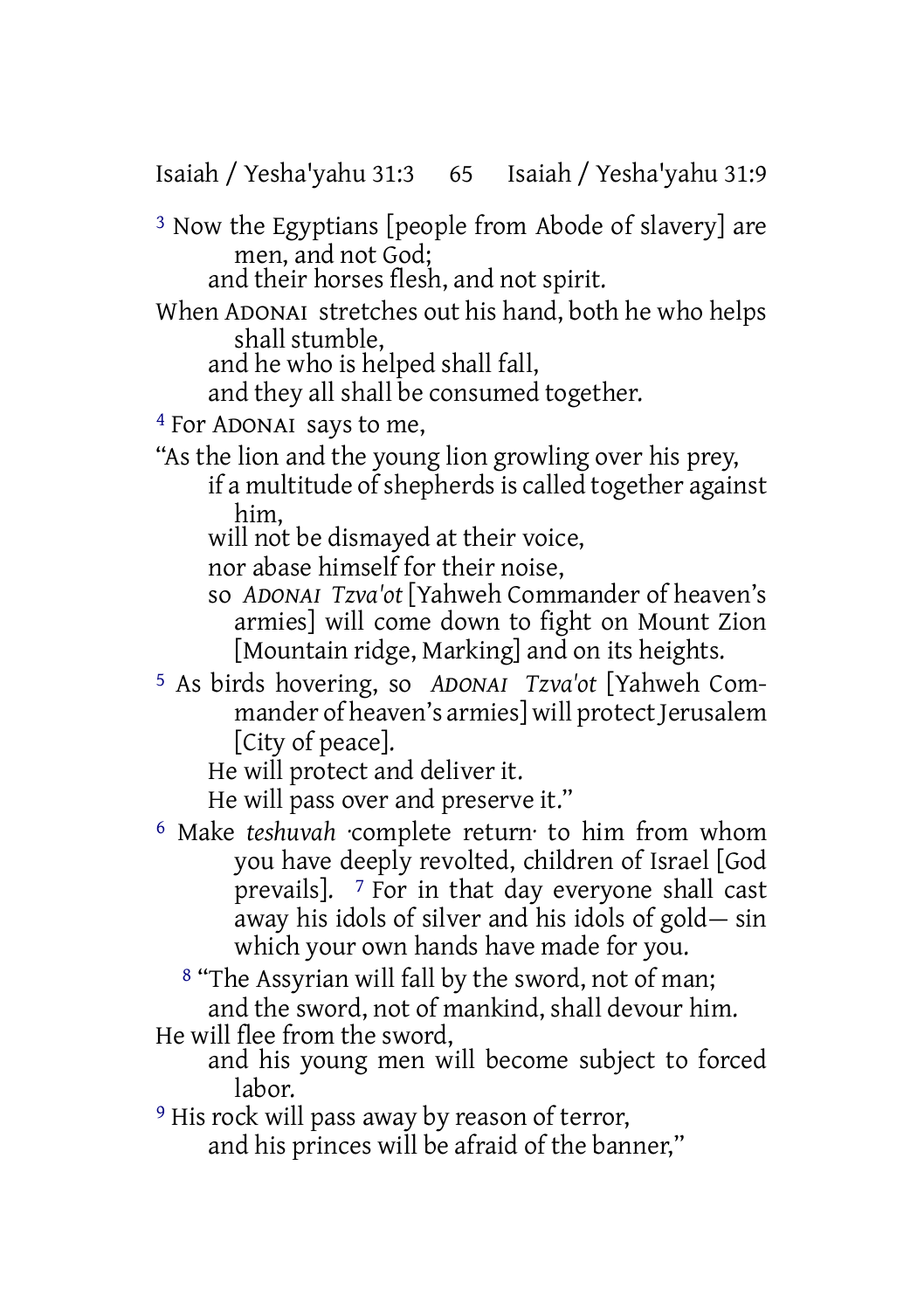Isaiah / Yesha'yahu 31:3 65 Isaiah / Yesha'yahu 31:9

3 Now the Egyptians [people from Abode of slavery] are men, and not God;

and their horses flesh, and not spirit.

When ADONAI stretches out his hand, both he who helps shall stumble,

and he who is helped shall fall,

and they all shall be consumed together.

4 For ADONAI says to me,

"As the lion and the young lion growling over his prey, if a multitude of shepherds is called together against him,

will not be dismayed at their voice.

nor abase himself for their noise,

- so *ADONAI Tzva'ot* [Yahweh Commander of heaven's armies] will come down to fight on Mount Zion [Mountain ridge, Marking] and on its heights.
- 5 As birds hovering, so *ADONAI Tzva'ot* [Yahweh Commander of heaven's armies] will protect Jerusalem [City of peace].

He will protect and deliver it.

He will pass over and preserve it."

6 Make *teshuvah* ·complete return· to him from whom you have deeply revolted, children of Israel [God prevails]. 7 For in that day everyone shall cast away his idols of silver and his idols of gold— sin which your own hands have made for you.

8 "The Assyrian will fall by the sword, not of man; and the sword, not of mankind, shall devour him.

He will flee from the sword,

- and his young men will become subject to forced labor.
- <sup>9</sup> His rock will pass away by reason of terror, and his princes will be afraid of the banner,"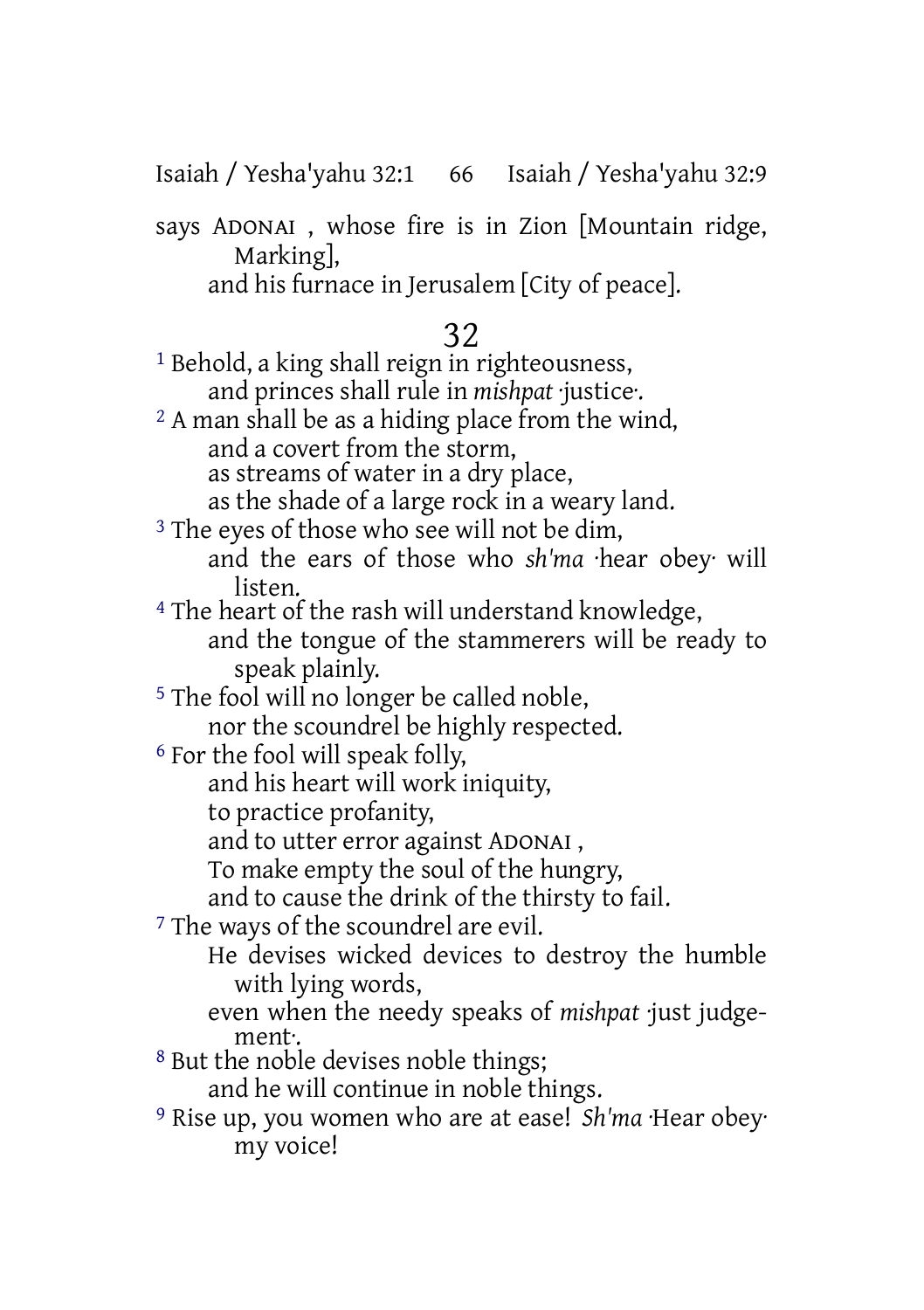Isaiah / Yesha'yahu 32:1 66 Isaiah / Yesha'yahu 32:9

says ADONAI , whose fire is in Zion [Mountain ridge, Marking],

and his furnace in Jerusalem [City of peace].

## 32

1 Behold, a king shall reign in righteousness, and princes shall rule in *mishpat* ·justice·. 2 A man shall be as a hiding place from the wind, and a covert from the storm, as streams of water in a dry place, as the shade of a large rock in a weary land. <sup>3</sup> The eyes of those who see will not be dim, and the ears of those who *sh'ma* ·hear obey· will listen. 4 The heart of the rash will understand knowledge, and the tongue of the stammerers will be ready to speak plainly. 5 The fool will no longer be called noble, nor the scoundrel be highly respected. 6 For the fool will speak folly, and his heart will work iniquity, to practice profanity, and to utter error against ADONAI , To make empty the soul of the hungry, and to cause the drink of the thirsty to fail. 7 The ways of the scoundrel are evil. He devises wicked devices to destroy the humble with lying words, even when the needy speaks of *mishpat* ·just judgement·. 8 But the noble devises noble things; and he will continue in noble things. 9 Rise up, you women who are at ease! *Sh'ma* ·Hear obey· my voice!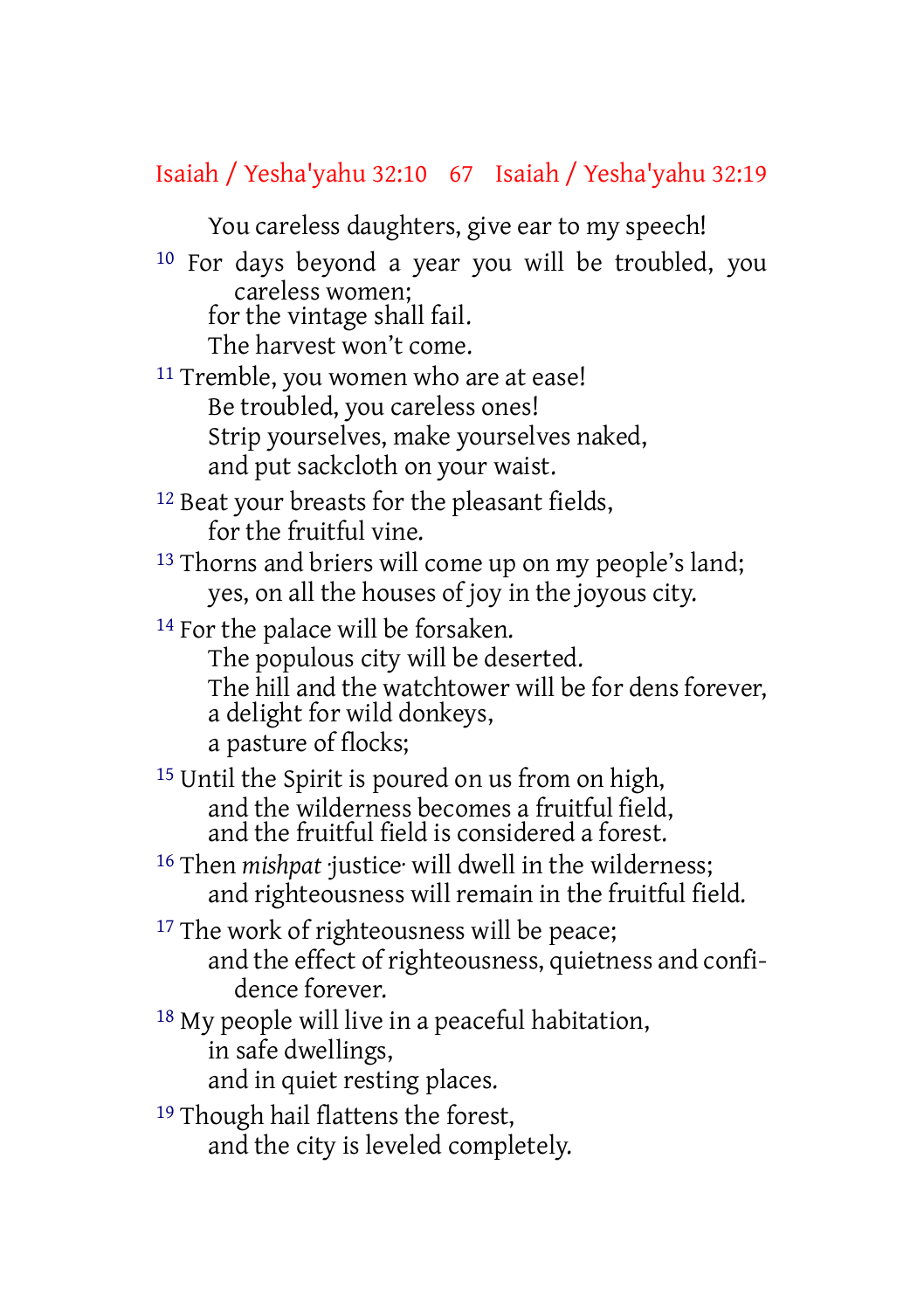## Isaiah / Yesha'yahu 32:10 67 Isaiah / Yesha'yahu 32:19

You careless daughters, give ear to my speech!

10 For days beyond a year you will be troubled, you careless women;

for the vintage shall fail.

The harvest won't come.

- 11 Tremble, you women who are at ease! Be troubled, you careless ones! Strip yourselves, make yourselves naked, and put sackcloth on your waist.
- <sup>12</sup> Beat your breasts for the pleasant fields, for the fruitful vine.
- <sup>13</sup> Thorns and briers will come up on my people's land; yes, on all the houses of joy in the joyous city.

<sup>14</sup> For the palace will be forsaken.

- The populous city will be deserted.
- The hill and the watchtower will be for dens forever, a delight for wild donkeys,

a pasture of flocks;

15 Until the Spirit is poured on us from on high, and the wilderness becomes a fruitful field, and the fruitful field is considered a forest.

- <sup>16</sup> Then *mishpat justice* will dwell in the wilderness; and righteousness will remain in the fruitful field.
- <sup>17</sup> The work of righteousness will be peace; and the effect of righteousness, quietness and confidence forever.
- 18 My people will live in a peaceful habitation, in safe dwellings, and in quiet resting places.
- 19 Though hail flattens the forest, and the city is leveled completely.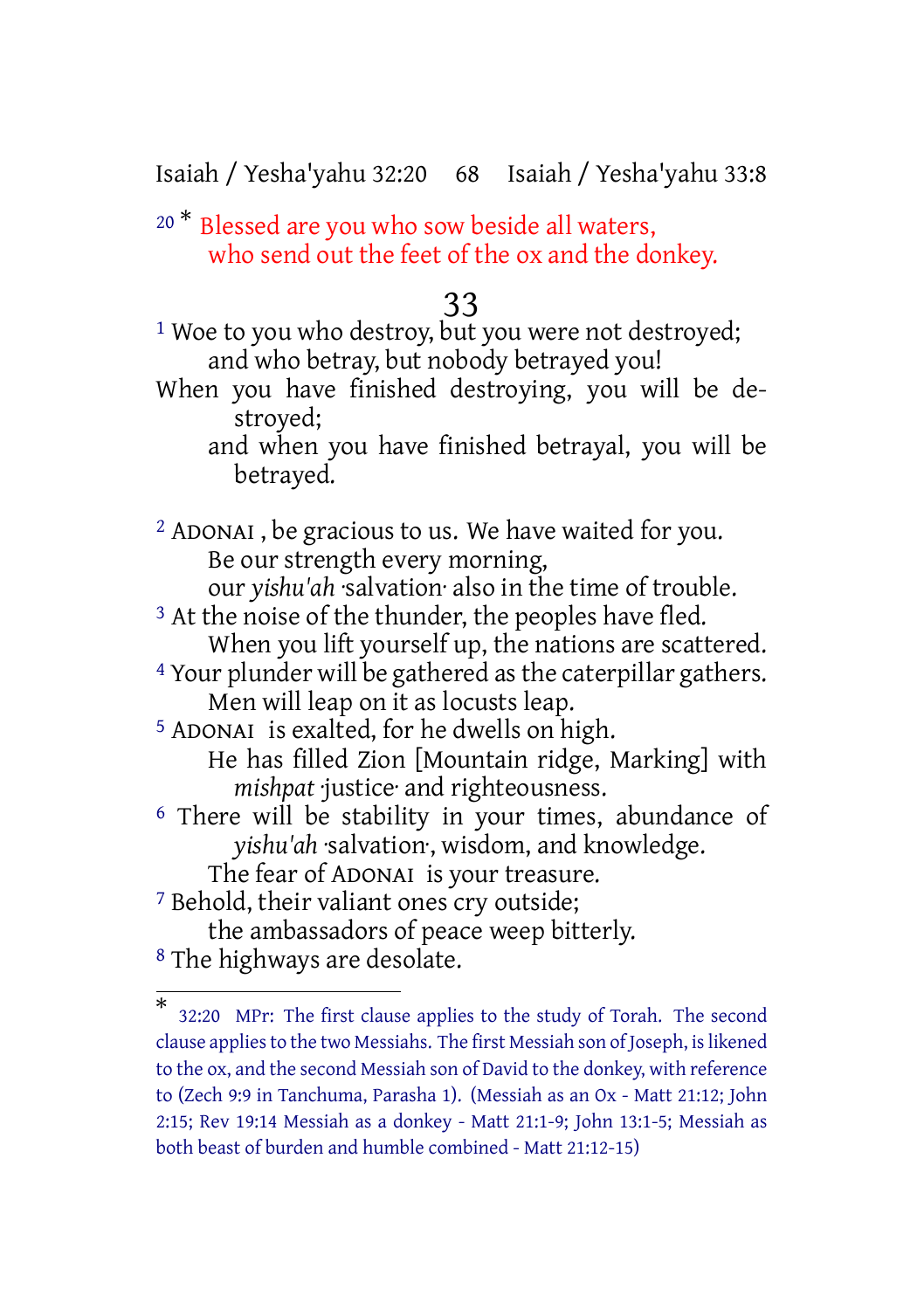Isaiah / Yesha'yahu 32:20 68 Isaiah / Yesha'yahu 33:8

<sup>20 \*</sup> Blessed are you who sow beside all waters, who send out the feet of the ox and the donkey.

### 33

<sup>1</sup> Woe to you who destroy, but you were not destroyed; and who betray, but nobody betrayed you!

When you have finished destroying, you will be destroyed;

and when you have finished betrayal, you will be betrayed.

2 ADONAI , be gracious to us. We have waited for you. Be our strength every morning, our *yishu'ah* ·salvation· also in the time of trouble. <sup>3</sup> At the noise of the thunder, the peoples have fled. When you lift yourself up, the nations are scattered. <sup>4</sup> Your plunder will be gathered as the caterpillar gathers. Men will leap on it as locusts leap.

5 ADONAI is exalted, for he dwells on high. He has filled Zion [Mountain ridge, Marking] with *mishpat* ·justice· and righteousness.

6 There will be stability in your times, abundance of *yishu'ah* ·salvation·, wisdom, and knowledge.

The fear of ADONAI is your treasure.

7 Behold, their valiant ones cry outside;

the ambassadors of peace weep bitterly.

8 The highways are desolate.

<sup>\*</sup> 32:20 MPr: The first clause applies to the study of Torah. The second clause appliesto the two Messiahs. The first Messiah son of Joseph, islikened to the ox, and the second Messiah son of David to the donkey, with reference to (Zech 9:9 in Tanchuma, Parasha 1). (Messiah as an Ox - Matt 21:12; John 2:15; Rev 19:14 Messiah as a donkey - Matt 21:1-9; John 13:1-5; Messiah as both beast of burden and humble combined - Matt 21:12-15)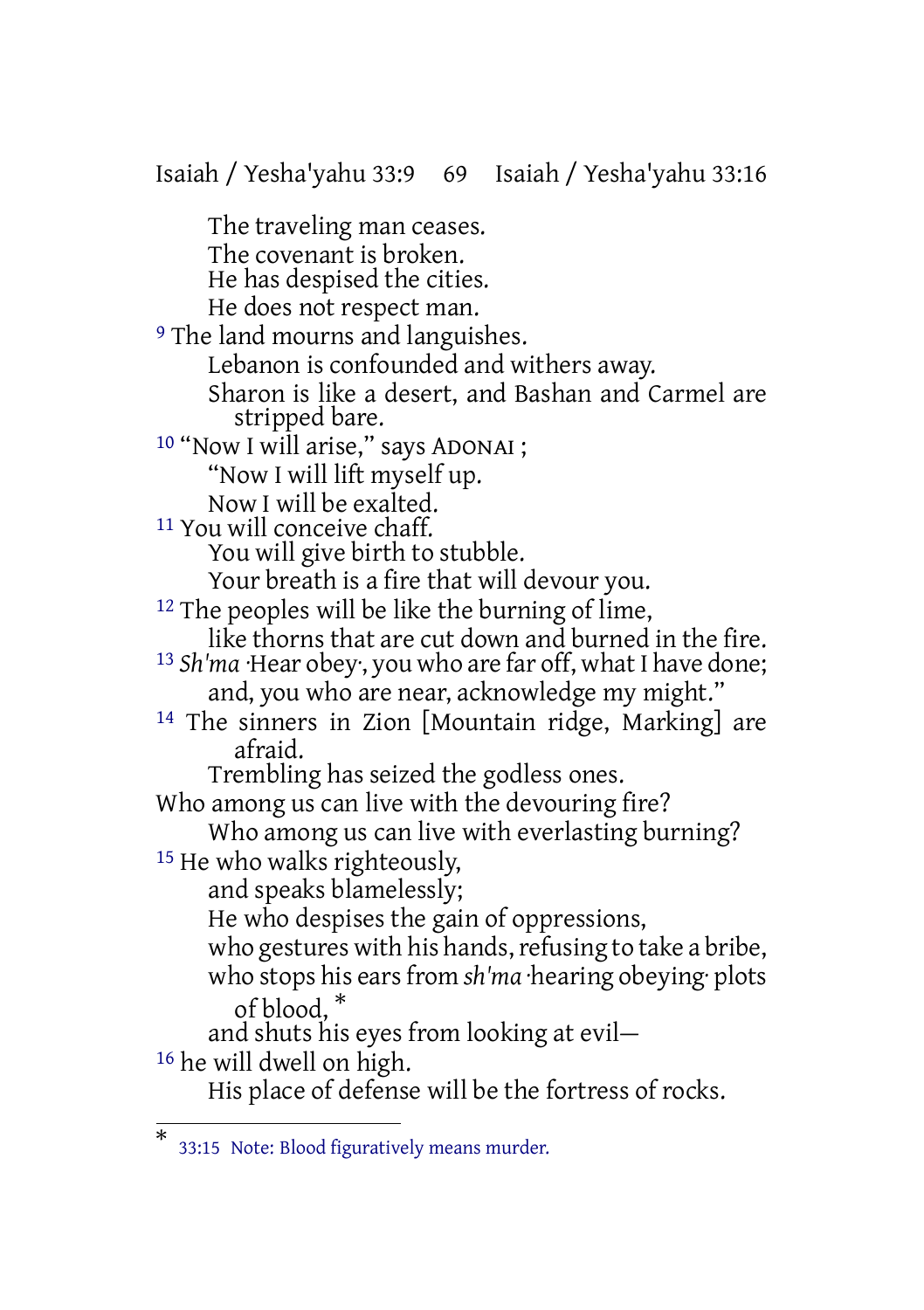Isaiah / Yesha'yahu 33:9 69 Isaiah / Yesha'yahu 33:16 The traveling man ceases. The covenant is broken. He has despised the cities. He does not respect man. <sup>9</sup> The land mourns and languishes. Lebanon is confounded and withers away. Sharon is like a desert, and Bashan and Carmel are stripped bare. <sup>10</sup> "Now I will arise," says ADONAI ; "Now I will lift myself up. Now I will be exalted. 11 You will conceive chaff. You will give birth to stubble. Your breath is a fire that will devour you. 12 The peoples will be like the burning of lime, like thorns that are cut down and burned in the fire. <sup>13</sup> *Sh'ma* ·Hear obey, you who are far off, what I have done; and, you who are near, acknowledge my might." 14 The sinners in Zion [Mountain ridge, Marking] are afraid. Trembling has seized the godless ones. Who among us can live with the devouring fire? Who among us can live with everlasting burning? 15 He who walks righteously, and speaks blamelessly; He who despises the gain of oppressions, who gestures with his hands, refusing to take a bribe, who stops his ears from *sh'ma* ·hearing obeying ·plots of blood, \* and shuts his eyes from looking at evil— 16 he will dwell on high. His place of defense will be the fortress of rocks.

<sup>\*</sup> 33:15 Note: Blood figuratively means murder.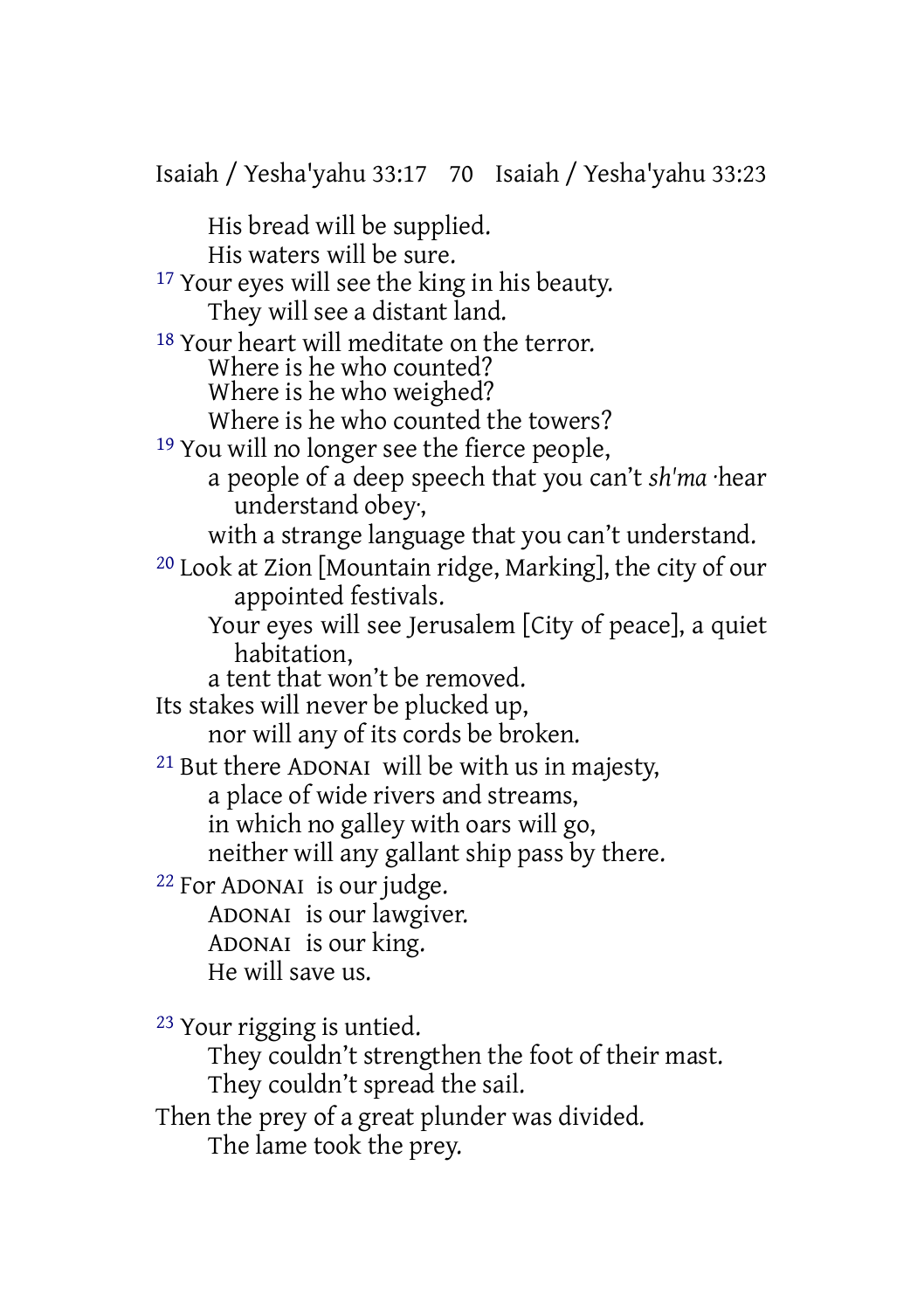Isaiah / Yesha'yahu 33:17 70 Isaiah / Yesha'yahu 33:23 His bread will be supplied. His waters will be sure. <sup>17</sup> Your eyes will see the king in his beauty. They will see a distant land. 18 Your heart will meditate on the terror. Where is he who counted? Where is he who weighed? Where is he who counted the towers? 19 You will no longer see the fierce people, a people of a deep speech that you can't *sh'ma* ·hear understand obey·, with a strange language that you can't understand. 20 Look at Zion [Mountain ridge, Marking], the city of our appointed festivals. Your eyes will see Jerusalem [City of peace], a quiet habitation, a tent that won't be removed. Its stakes will never be plucked up, nor will any of its cords be broken. 21 But there ADONAI will be with us in majesty, a place of wide rivers and streams, in which no galley with oars will go, neither will any gallant ship pass by there. 22 For ADONAI is our judge. ADONAI is our lawgiver. ADONAI is our king. He will save us. 23 Your rigging is untied. They couldn't strengthen the foot of their mast. They couldn't spread the sail. Then the prey of a great plunder was divided.

The lame took the prey.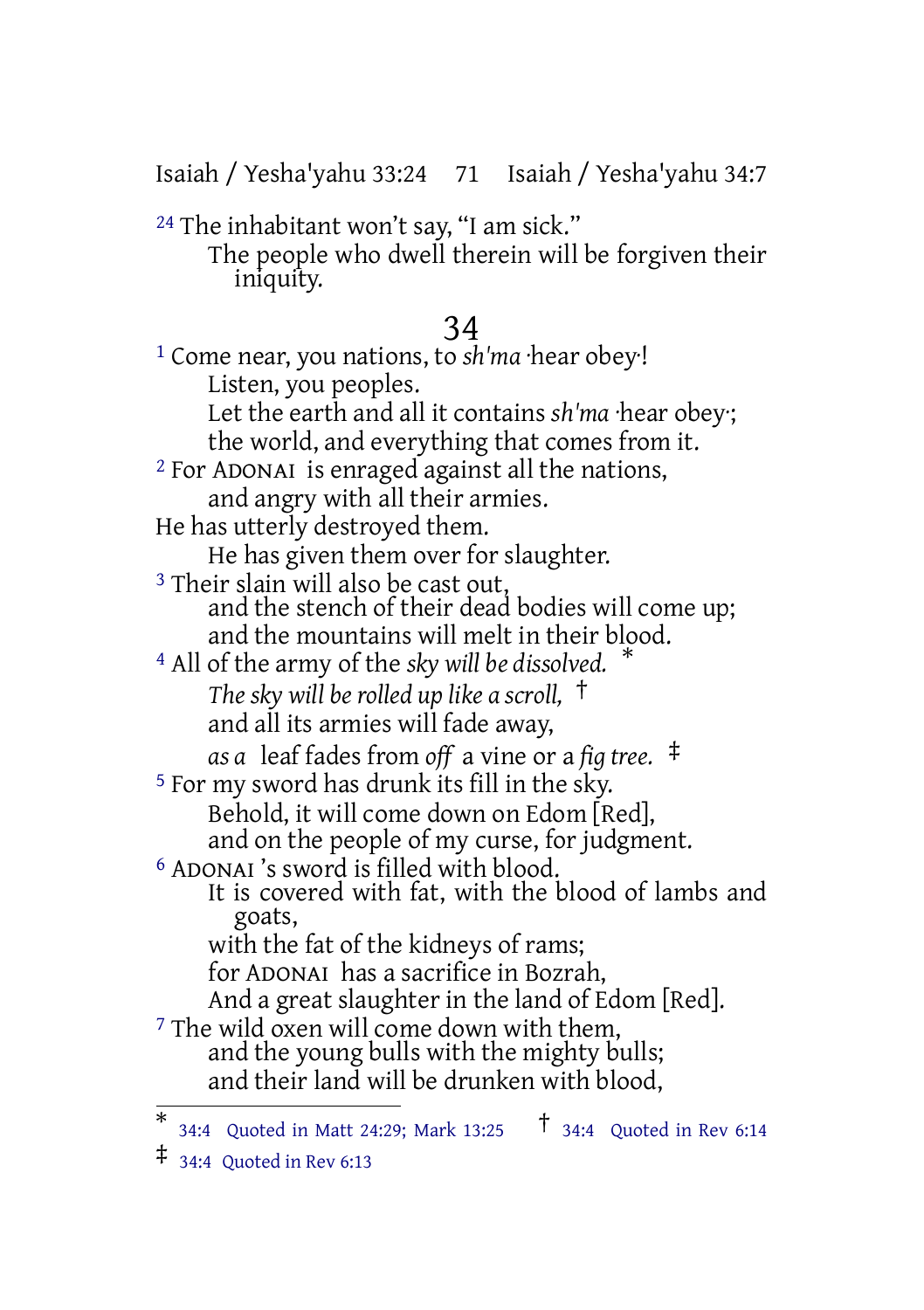Isaiah / Yesha'yahu 33:24 71 Isaiah / Yesha'yahu 34:7

24 The inhabitant won't say, "I am sick."

The people who dwell therein will be forgiven their iniquity.

### 34

1 Come near, you nations, to *sh'ma* ·hear obey·! Listen, you peoples. Let the earth and all it contains *sh'ma* ·hear obey·; the world, and everything that comes from it. 2 For ADONAI is enraged against all the nations, and angry with all their armies. He has utterly destroyed them. He has given them over for slaughter. <sup>3</sup> Their slain will also be cast out, and the stench of their dead bodies will come up; and the mountains will melt in their blood. <sup>4</sup> All of the army of the *sky will be dissolved.* \* *The sky will be rolled up like a scroll,* † and all its armies will fade away, *as a* leaf fades from *off* a vine or a *fig tree.* ‡ 5 For my sword has drunk its fill in the sky. Behold, it will come down on Edom [Red], and on the people of my curse, for judgment. 6 ADONAI 's sword is filled with blood. It is covered with fat, with the blood of lambs and goats, with the fat of the kidneys of rams; for ADONAI has a sacrifice in Bozrah, And a great slaughter in the land of Edom [Red]. <sup>7</sup> The wild oxen will come down with them, and the young bulls with the mighty bulls; and their land will be drunken with blood,

 $\ddagger$  34:4 Quoted in Rev 6:13

<sup>\*</sup> 34:4 Quoted in Matt 24:29; Mark 13:25 † 34:4 Quoted in Rev 6:14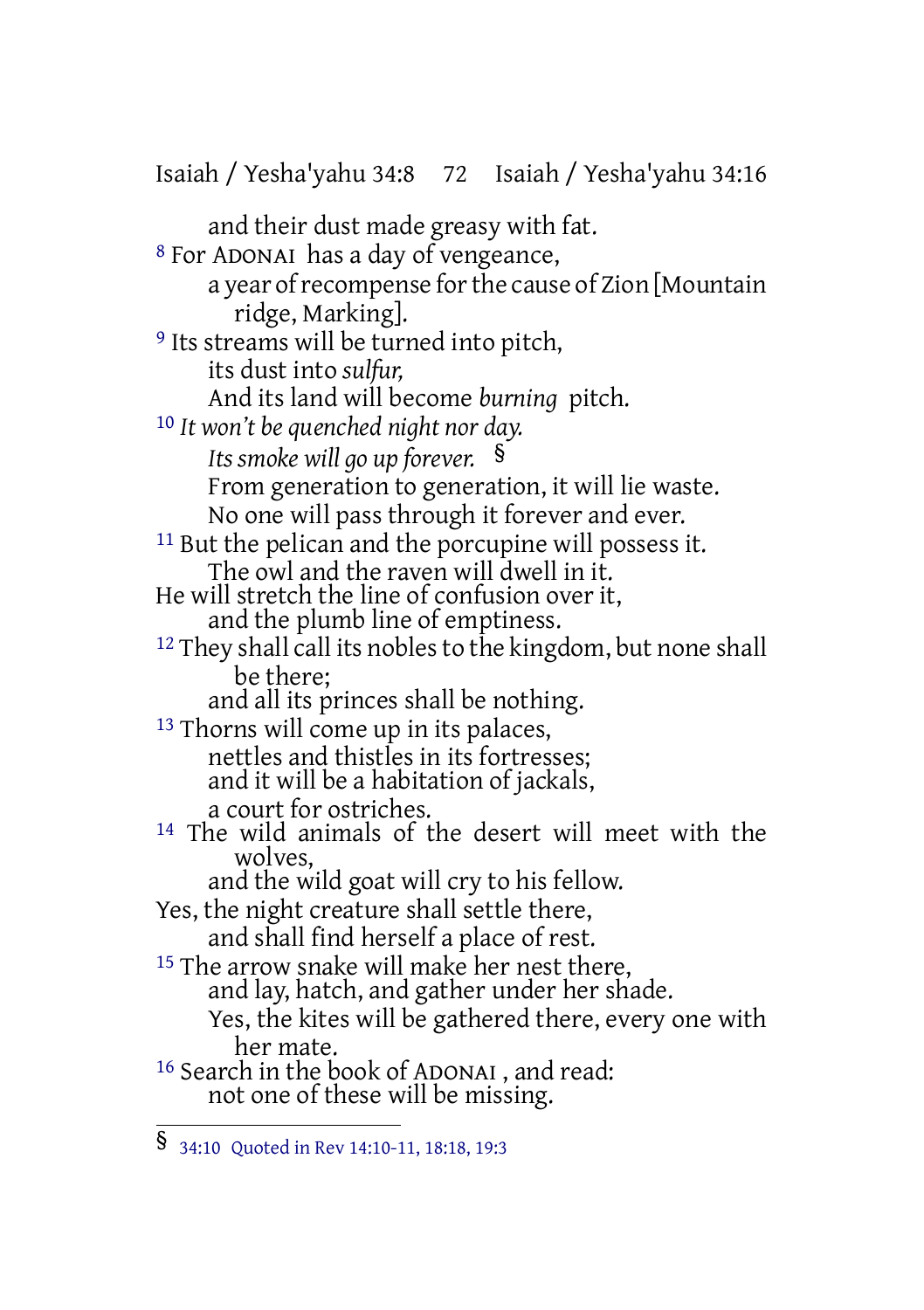Isaiah / Yesha'yahu 34:8 72 Isaiah / Yesha'yahu 34:16 and their dust made greasy with fat. 8 For ADONAI has a day of vengeance, a year of recompense for the cause of Zion [Mountain] ridge, Marking]. <sup>9</sup> Its streams will be turned into pitch, its dust into *sulfur,* And its land will become *burning* pitch. 10 *It won't be quenched night nor day. Its smoke will go up forever.* § From generation to generation, it will lie waste. No one will pass through it forever and ever. 11 But the pelican and the porcupine will possess it. The owl and the raven will dwell in it. He will stretch the line of confusion over it, and the plumb line of emptiness.  $12$  They shall call its nobles to the kingdom, but none shall be there; and all its princes shall be nothing. <sup>13</sup> Thorns will come up in its palaces, nettles and thistles in its fortresses; and it will be a habitation of jackals, a court for ostriches. <sup>14</sup> The wild animals of the desert will meet with the wolves, and the wild goat will cry to his fellow. Yes, the night creature shall settle there, and shall find herself a place of rest. <sup>15</sup> The arrow snake will make her nest there, and lay, hatch, and gather under her shade. Yes, the kites will be gathered there, every one with her mate. <sup>16</sup> Search in the book of ADONAI, and read: not one of these will be missing.

<sup>§</sup> 34:10 Quoted in Rev 14:10-11, 18:18, 19:3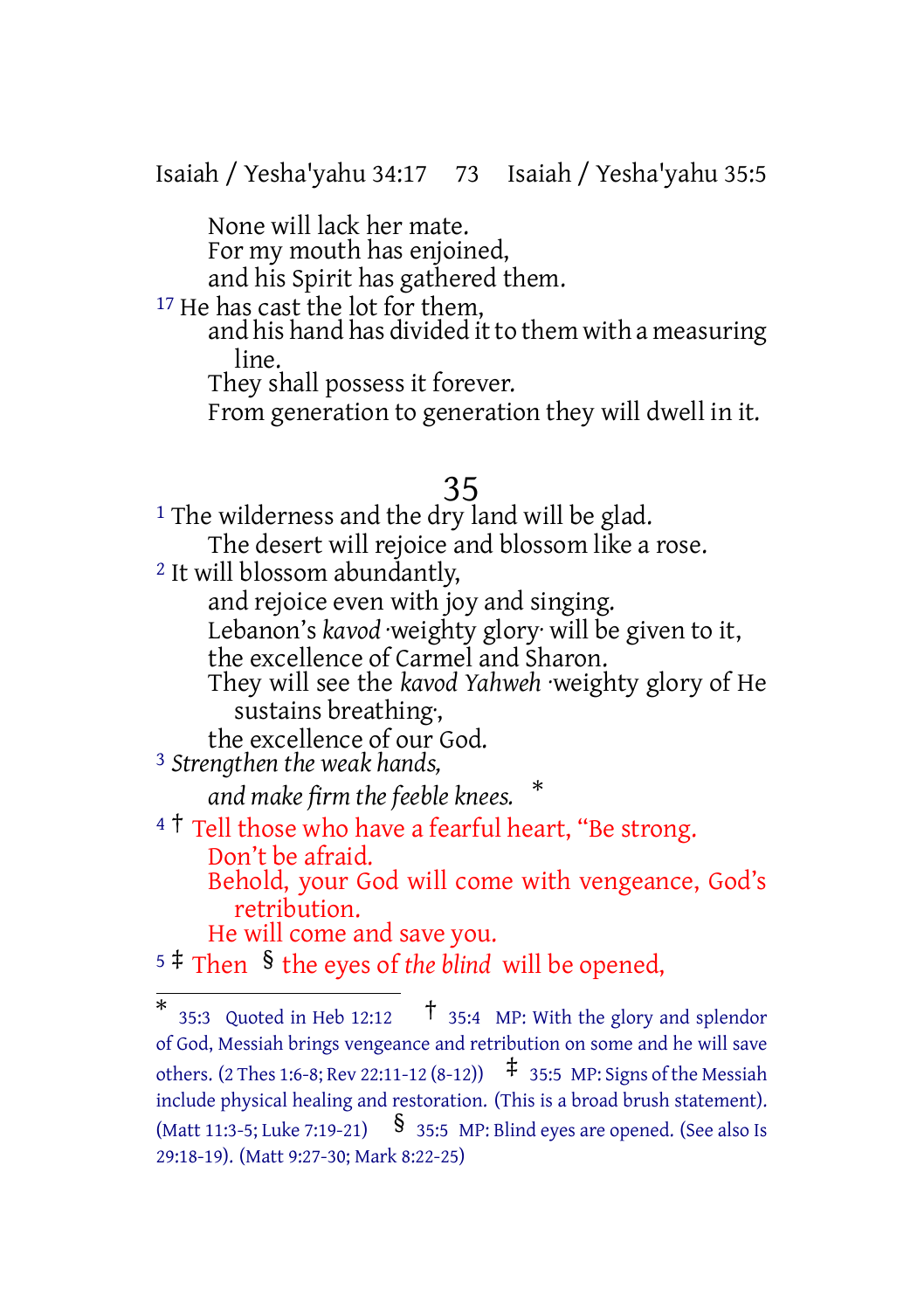Isaiah / Yesha'yahu 34:17 73 Isaiah / Yesha'yahu 35:5

None will lack her mate. For my mouth has enjoined,

and his Spirit has gathered them.

<sup>17</sup> He has cast the lot for them,

and his hand has divided it to them with a measuring line.

They shall possess it forever.

From generation to generation they will dwell in it.

### 35

<sup>1</sup> The wilderness and the dry land will be glad. The desert will rejoice and blossom like a rose. 2 It will blossom abundantly, and rejoice even with joy and singing. Lebanon's *kavod* weighty glory will be given to it, the excellence of Carmel and Sharon. They will see the *kavod Yahweh* ·weighty glory of He sustains breathing·, the excellence of our God. 3 *Strengthen the weak hands, and make firm the feeble knees.* \* <sup>4</sup> <sup>†</sup> Tell those who have a fearful heart, "Be strong.

Don't be afraid. Behold, your God will come with vengeance, God's retribution.

He will come and save you.

<sup>5</sup> ‡ Then § the eyes of *the blind* will be opened,

<sup>\*</sup> 35:3 Quoted in Heb 12:12 † 35:4 MP: With the glory and splendor of God, Messiah brings vengeance and retribution on some and he will save others. (2 Thes 1:6-8; Rev 22:11-12 (8-12))  $\uparrow$  35:5 MP: Signs of the Messiah include physical healing and restoration. (This is a broad brush statement). (Matt 11:3-5; Luke 7:19-21)  $\S$  35:5 MP: Blind eyes are opened. (See also Is 29:18-19). (Matt 9:27-30; Mark 8:22-25)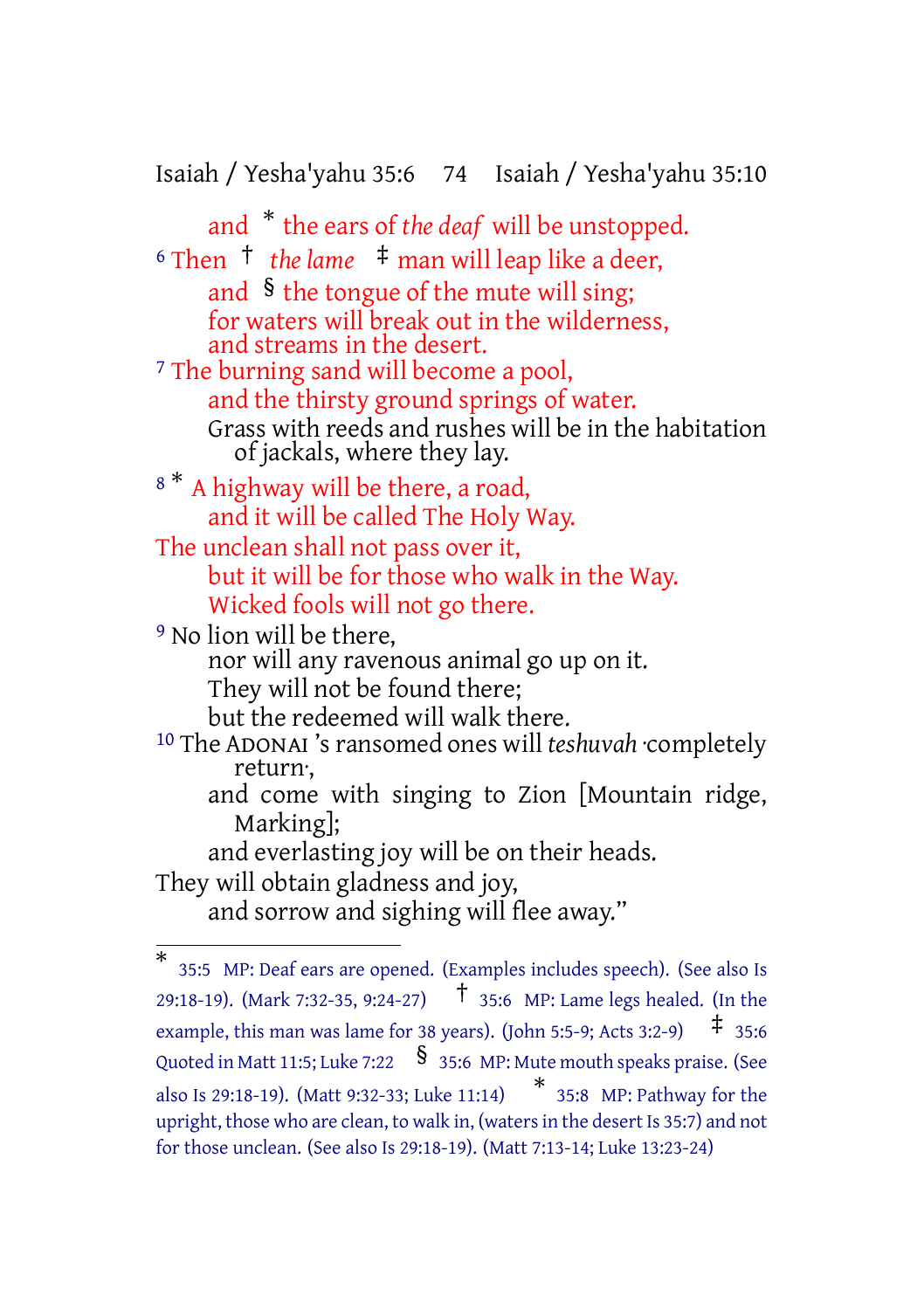Isaiah / Yesha'yahu 35:6 74 Isaiah / Yesha'yahu 35:10

and \* the ears of *the deaf* will be unstopped. <sup>6</sup> Then † *the lame* ‡ man will leap like a deer, and  $\delta$  the tongue of the mute will sing; for waters will break out in the wilderness, and streams in the desert. 7 The burning sand will become a pool, and the thirsty ground springs of water. Grass with reeds and rushes will be in the habitation of jackals, where they lay. <sup>8</sup> \* A highway will be there, a road, and it will be called The Holy Way. The unclean shall not pass over it, but it will be for those who walk in the Way. Wicked fools will not go there. <sup>9</sup> No lion will be there, nor will any ravenous animal go up on it. They will not be found there; but the redeemed will walk there. 10 The ADONAI 'sransomed ones will *teshuvah* ·completely return·, and come with singing to Zion [Mountain ridge,

Marking];

and everlasting joy will be on their heads. They will obtain gladness and joy, and sorrow and sighing will flee away."

<sup>\*</sup> 35:5 MP: Deaf ears are opened. (Examples includes speech). (See also Is 29:18-19). (Mark 7:32-35, 9:24-27) † 35:6 MP: Lame legs healed. (In the example, this man was lame for 38 years). (John 5:5-9; Acts 3:2-9)  $\pm$  35:6 Quoted in Matt 11:5; Luke 7:22 § 35:6 MP: Mute mouth speaks praise. (See also Is 29:18-19). (Matt 9:32-33; Luke 11:14) \* 35:8 MP: Pathway for the upright, those who are clean, to walk in, (watersin the desert Is 35:7) and not for those unclean. (See also Is 29:18-19). (Matt 7:13-14; Luke 13:23-24)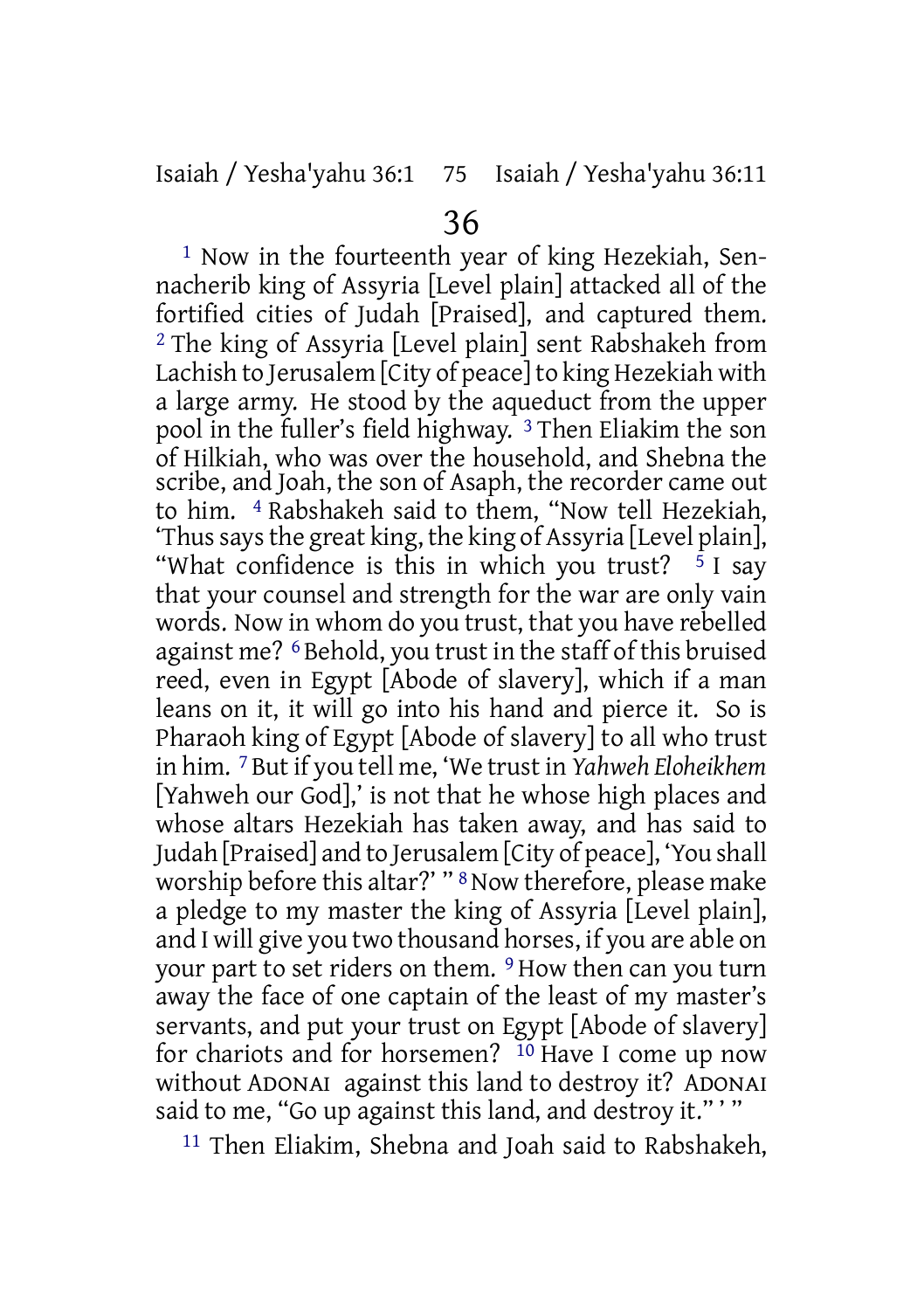1 Now in the fourteenth year of king Hezekiah, Sennacherib king of Assyria [Level plain] attacked all of the fortified cities of Judah [Praised], and captured them. 2 The king of Assyria [Level plain] sent Rabshakeh from Lachish to Jerusalem [City of peace] to king Hezekiah with a large army. He stood by the aqueduct from the upper pool in the fuller's field highway. 3 Then Eliakim the son of Hilkiah, who was over the household, and Shebna the scribe, and Joah, the son of Asaph, the recorder came out to him. 4 Rabshakeh said to them, "Now tell Hezekiah, 'Thussaysthe great king, the king of Assyria [Level plain], "What confidence is this in which you trust?  $5$  I say that your counsel and strength for the war are only vain words. Now in whom do you trust, that you have rebelled against me? 6 Behold, you trust in the staff of this bruised reed, even in Egypt [Abode of slavery], which if a man leans on it, it will go into his hand and pierce it. So is Pharaoh king of Egypt [Abode of slavery] to all who trust in him. 7 But if you tell me, 'We trust in *Yahweh Eloheikhem* [Yahweh our God],' is not that he whose high places and whose altars Hezekiah has taken away, and has said to Judah [Praised] and to Jerusalem [City of peace], 'You shall worship before this altar?' " 8Now therefore, please make a pledge to my master the king of Assyria [Level plain], and I will give you two thousand horses, if you are able on your part to set riders on them. 9 How then can you turn away the face of one captain of the least of my master's servants, and put your trust on Egypt [Abode of slavery] for chariots and for horsemen? 10 Have I come up now without ADONAI against this land to destroy it? ADONAI said to me, "Go up against this land, and destroy it.""

11 Then Eliakim, Shebna and Joah said to Rabshakeh,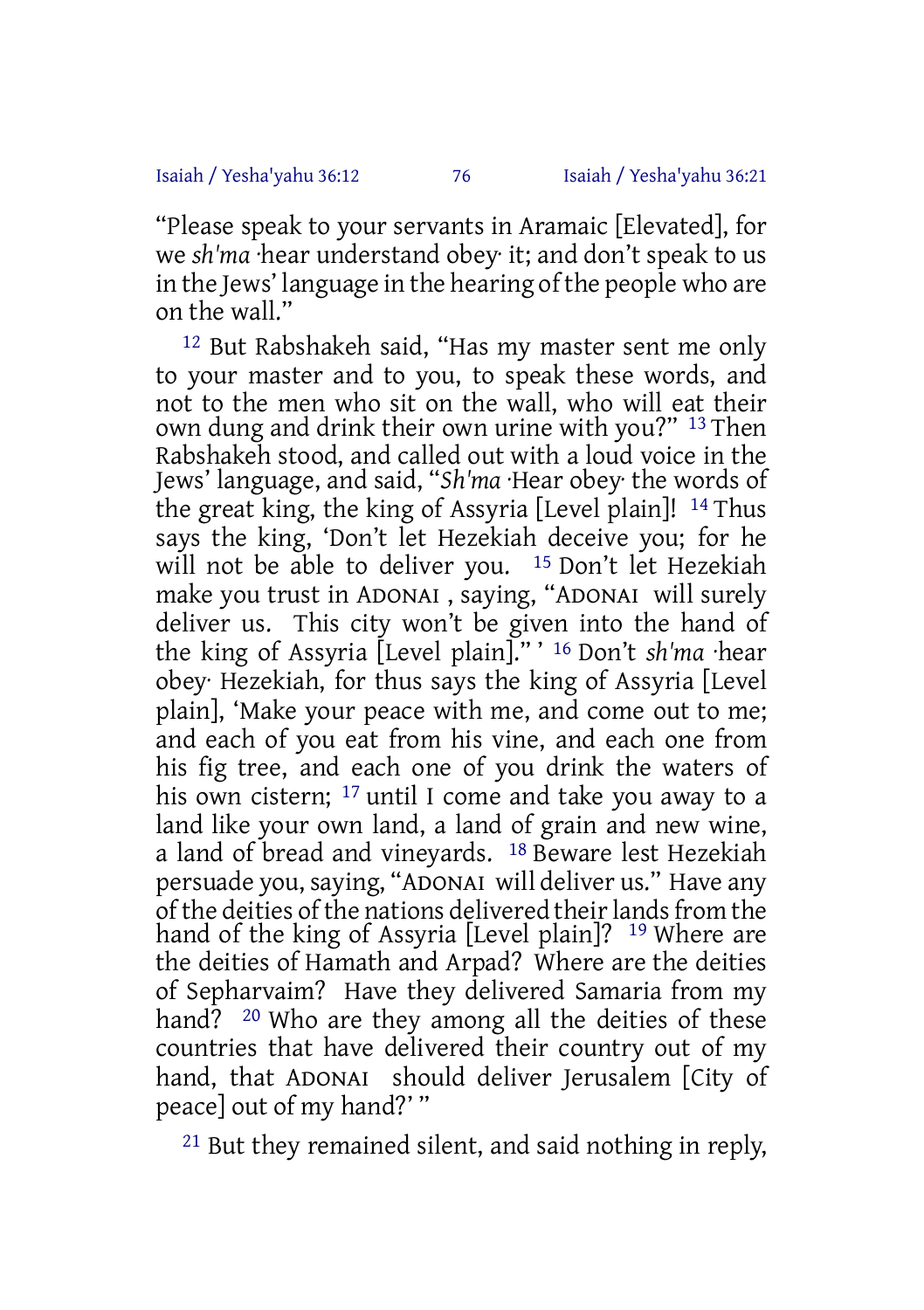"Please speak to your servants in Aramaic [Elevated], for we *sh'ma* ·hear understand obey· it; and don't speak to us in the Jews' language in the hearing of the people who are on the wall."

12 But Rabshakeh said, "Has my master sent me only to your master and to you, to speak these words, and not to the men who sit on the wall, who will eat their own dung and drink their own urine with you?" <sup>13</sup> Then Rabshakeh stood, and called out with a loud voice in the Jews' language, and said, "*Sh'ma* ·Hear obey· the words of the great king, the king of Assyria [Level plain]! 14 Thus says the king, 'Don't let Hezekiah deceive you; for he will not be able to deliver you. 15 Don't let Hezekiah make you trust in ADONAI , saying, "ADONAI will surely deliver us. This city won't be given into the hand of the king of Assyria [Level plain]." ' 16 Don't *sh'ma* ·hear obey· Hezekiah, for thus says the king of Assyria [Level plain], 'Make your peace with me, and come out to me; and each of you eat from his vine, and each one from his fig tree, and each one of you drink the waters of his own cistern; <sup>17</sup> until I come and take you away to a land like your own land, a land of grain and new wine, a land of bread and vineyards. 18 Beware lest Hezekiah persuade you, saying, "ADONAI will deliver us." Have any of the deities of the nations delivered their lands from the hand of the king of Assyria [Level plain]? 19 Where are the deities of Hamath and Arpad? Where are the deities of Sepharvaim? Have they delivered Samaria from my hand? <sup>20</sup> Who are they among all the deities of these countries that have delivered their country out of my hand, that ADONAI should deliver Jerusalem [City of peace] out of my hand?' "

21 But they remained silent, and said nothing in reply,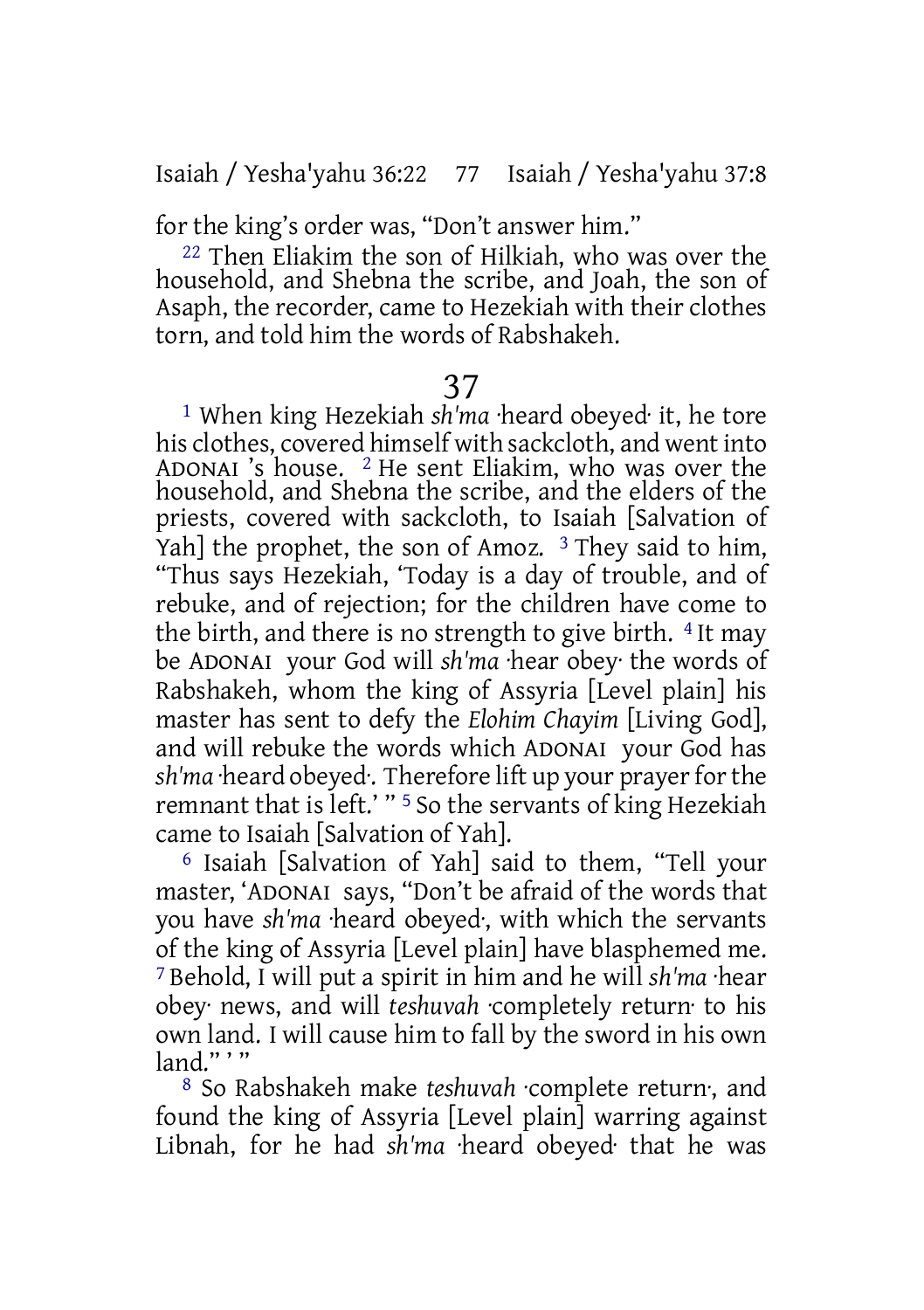for the king's order was, "Don't answer him."

22 Then Eliakim the son of Hilkiah, who was over the household, and Shebna the scribe, and Joah, the son of Asaph, the recorder, came to Hezekiah with their clothes torn, and told him the words of Rabshakeh.

## 37

1 When king Hezekiah *sh'ma* ·heard obeyed· it, he tore his clothes, covered himself with sackcloth, and went into ADONAI 's house. 2 He sent Eliakim, who was over the household, and Shebna the scribe, and the elders of the priests, covered with sackcloth, to Isaiah [Salvation of Yah] the prophet, the son of Amoz. <sup>3</sup> They said to him, "Thus says Hezekiah, 'Today is a day of trouble, and of rebuke, and of rejection; for the children have come to the birth, and there is no strength to give birth. 4 It may be ADONAI your God will *sh'ma* ·hear obey· the words of Rabshakeh, whom the king of Assyria [Level plain] his master has sent to defy the *Elohim Chayim* [Living God], and will rebuke the words which ADONAI your God has *sh'ma* ·heard obeyed·. Therefore lift up your prayerforthe remnant that is left.' " 5 So the servants of king Hezekiah came to Isaiah [Salvation of Yah].

6 Isaiah [Salvation of Yah] said to them, "Tell your master, 'ADONAI says, "Don't be afraid of the words that you have *sh'ma* ·heard obeyed·, with which the servants of the king of Assyria [Level plain] have blasphemed me. 7 Behold, I will put a spirit in him and he will *sh'ma* ·hear obey· news, and will *teshuvah* ·completely return· to his own land. I will cause him to fall by the sword in his own land $" "$ 

8 So Rabshakeh make *teshuvah* ·complete return·, and found the king of Assyria [Level plain] warring against Libnah, for he had *sh'ma* ·heard obeyed· that he was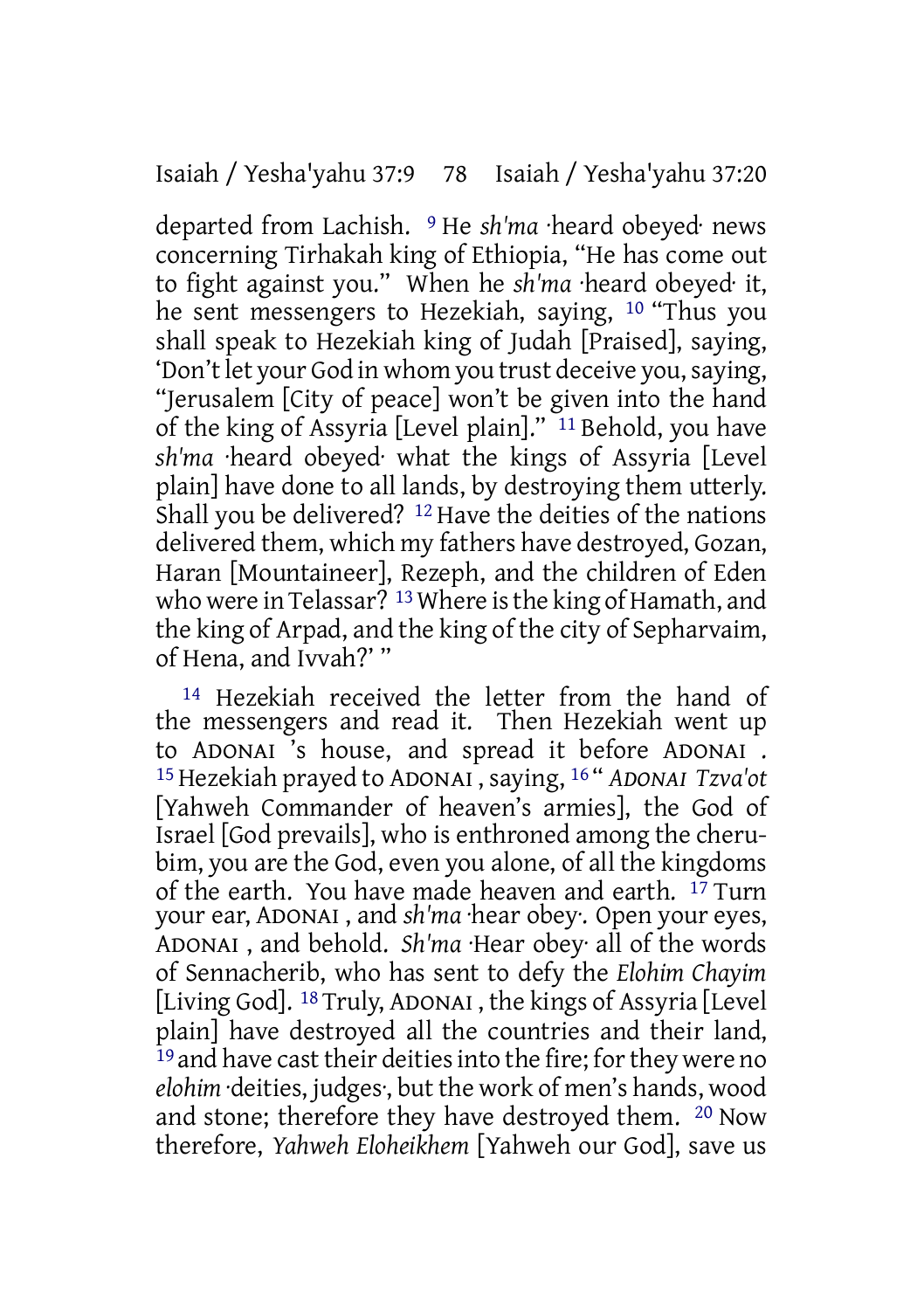departed from Lachish. 9 He *sh'ma* ·heard obeyed· news concerning Tirhakah king of Ethiopia, "He has come out to fight against you." When he *sh'ma* ·heard obeyed· it, he sent messengers to Hezekiah, saying, 10 "Thus you shall speak to Hezekiah king of Judah [Praised], saying, 'Don't let your God in whom you trust deceive you, saying, "Jerusalem [City of peace] won't be given into the hand of the king of Assyria [Level plain]." <sup>11</sup> Behold, you have *sh'ma* ·heard obeyed· what the kings of Assyria [Level plain] have done to all lands, by destroying them utterly. Shall you be delivered? 12 Have the deities of the nations delivered them, which my fathers have destroyed, Gozan, Haran [Mountaineer], Rezeph, and the children of Eden who were in Telassar?  $13$  Where is the king of Hamath, and the king of Arpad, and the king of the city of Sepharvaim, of Hena, and Ivvah?' "

14 Hezekiah received the letter from the hand of the messengers and read it. Then Hezekiah went up to ADONAI 's house, and spread it before ADONAI . 15Hezekiah prayed to ADONAI , saying, 16 " *ADONAI Tzva'ot* [Yahweh Commander of heaven's armies], the God of Israel [God prevails], who is enthroned among the cherubim, you are the God, even you alone, of all the kingdoms of the earth. You have made heaven and earth.  $17$  Turn your ear, ADONAI , and *sh'ma* ·hear obey·. Open your eyes, ADONAI , and behold. *Sh'ma* ·Hear obey· all of the words of Sennacherib, who has sent to defy the *Elohim Chayim* [Living God]. 18 Truly, ADONAI , the kings of Assyria [Level plain] have destroyed all the countries and their land, <sup>19</sup> and have cast their deities into the fire; for they were no *elohim* ·deities, judges·, but the work of men's hands, wood and stone; therefore they have destroyed them. 20 Now therefore, *Yahweh Eloheikhem* [Yahweh our God], save us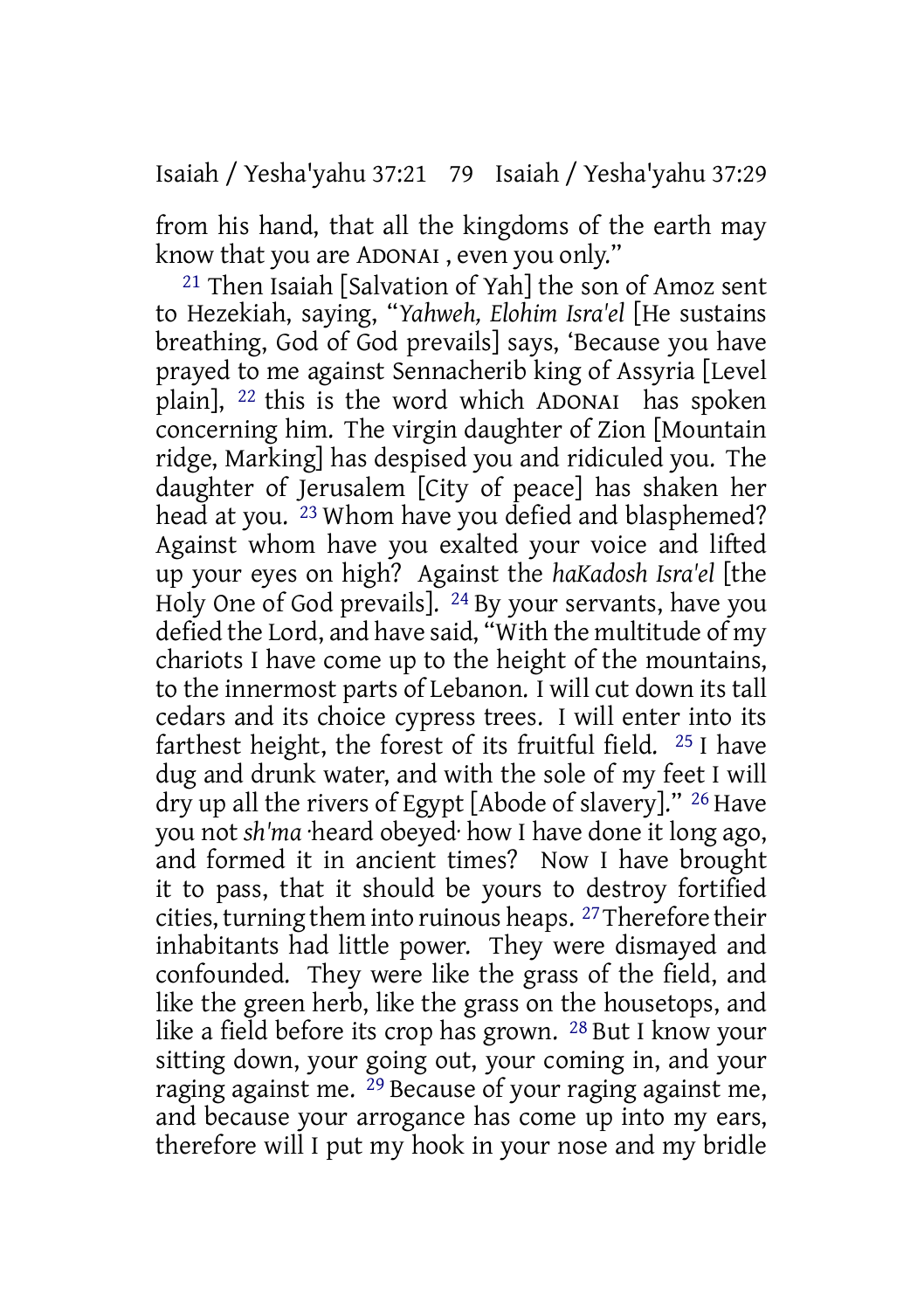Isaiah / Yesha'yahu 37:21 79 Isaiah / Yesha'yahu 37:29

from his hand, that all the kingdoms of the earth may know that you are ADONAI , even you only."

21 Then Isaiah [Salvation of Yah] the son of Amoz sent to Hezekiah, saying, "*Yahweh, Elohim Isra'el* [He sustains breathing, God of God prevails] says, 'Because you have prayed to me against Sennacherib king of Assyria [Level plain], 22 this is the word which ADONAI has spoken concerning him. The virgin daughter of Zion [Mountain ridge, Marking] has despised you and ridiculed you. The daughter of Jerusalem [City of peace] has shaken her head at you. <sup>23</sup> Whom have you defied and blasphemed? Against whom have you exalted your voice and lifted up your eyes on high? Against the *haKadosh Isra'el* [the Holy One of God prevails]. 24 By your servants, have you defied the Lord, and have said, "With the multitude of my chariots I have come up to the height of the mountains, to the innermost parts of Lebanon. I will cut down its tall cedars and its choice cypress trees. I will enter into its farthest height, the forest of its fruitful field. 25 I have dug and drunk water, and with the sole of my feet I will dry up all the rivers of Egypt [Abode of slavery]." 26 Have you not *sh'ma* ·heard obeyed· how I have done it long ago, and formed it in ancient times? Now I have brought it to pass, that it should be yours to destroy fortified cities, turning them into ruinous heaps. <sup>27</sup> Therefore their inhabitants had little power. They were dismayed and confounded. They were like the grass of the field, and like the green herb, like the grass on the housetops, and like a field before its crop has grown. 28 But I know your sitting down, your going out, your coming in, and your raging against me. 29 Because of your raging against me, and because your arrogance has come up into my ears, therefore will I put my hook in your nose and my bridle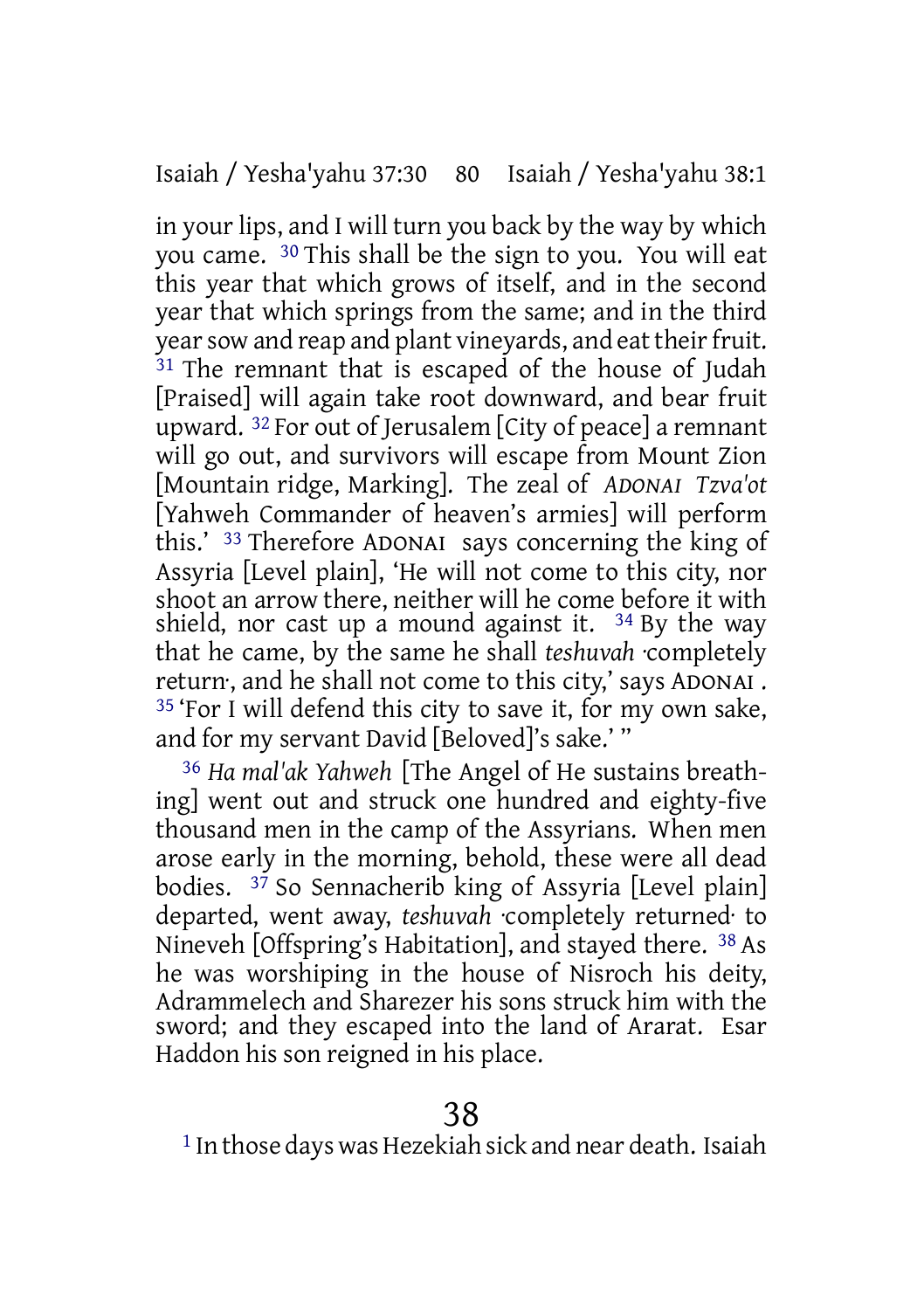in your lips, and I will turn you back by the way by which you came. 30 This shall be the sign to you. You will eat this year that which grows of itself, and in the second year that which springs from the same; and in the third year sow and reap and plant vineyards, and eat their fruit. 31 The remnant that is escaped of the house of Judah [Praised] will again take root downward, and bear fruit upward. 32 For out of Jerusalem [City of peace] a remnant will go out, and survivors will escape from Mount Zion [Mountain ridge, Marking]. The zeal of *ADONAI Tzva'ot* [Yahweh Commander of heaven's armies] will perform this.' 33 Therefore ADONAI says concerning the king of Assyria [Level plain], 'He will not come to this city, nor shoot an arrow there, neither will he come before it with shield, nor cast up a mound against it.  $34$  By the way that he came, by the same he shall *teshuvah* ·completely return·, and he shall not come to this city,' says ADONAI . 35 'For I will defend this city to save it, for my own sake, and for my servant David [Beloved]'s sake.' "

36 *Ha mal'ak Yahweh* [The Angel of He sustains breathing] went out and struck one hundred and eighty-five thousand men in the camp of the Assyrians. When men arose early in the morning, behold, these were all dead bodies.  $3^7$  So Sennacherib king of Assyria [Level plain] departed, went away, *teshuvah* ·completely returned· to Nineveh [Offspring's Habitation], and stayed there. 38 As he was worshiping in the house of Nisroch his deity, Adrammelech and Sharezer his sons struck him with the sword; and they escaped into the land of Ararat. Esar Haddon his son reigned in his place.

 $1$  In those days was Hezekiah sick and near death. Isaiah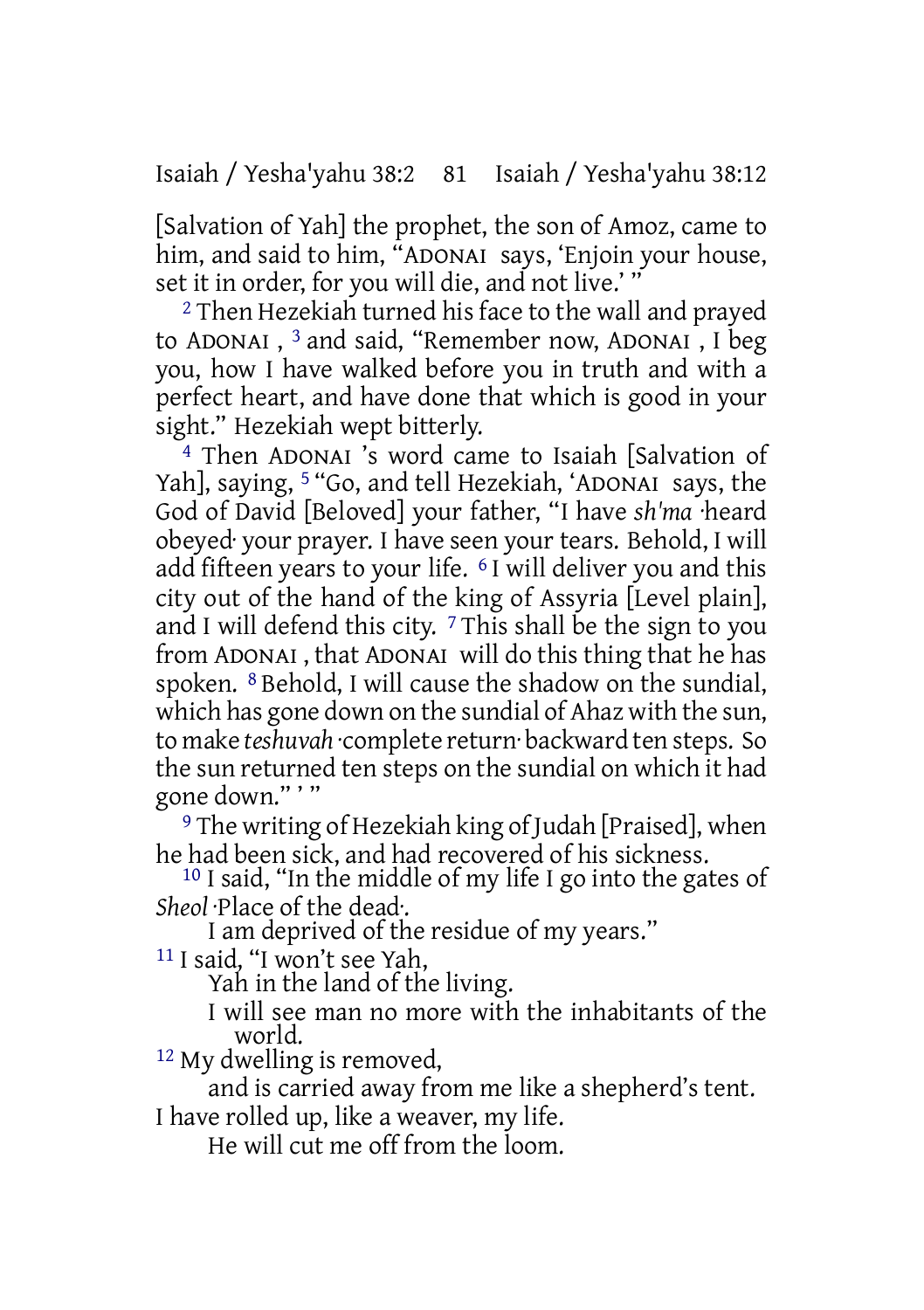Isaiah / Yesha'yahu 38:2 81 Isaiah / Yesha'yahu 38:12

[Salvation of Yah] the prophet, the son of Amoz, came to him, and said to him, "ADONAI says, 'Enjoin your house, set it in order, for you will die, and not live.'"

2 Then Hezekiah turned his face to the wall and prayed to ADONAI , 3 and said, "Remember now, ADONAI , I beg you, how I have walked before you in truth and with a perfect heart, and have done that which is good in your sight." Hezekiah wept bitterly.

4 Then ADONAI 's word came to Isaiah [Salvation of Yah], saying, <sup>5</sup> "Go, and tell Hezekiah, 'ADONAI says, the God of David [Beloved] your father, "I have *sh'ma* ·heard obeyed· your prayer. I have seen your tears. Behold, I will add fifteen years to your life. <sup>6</sup> I will deliver you and this city out of the hand of the king of Assyria [Level plain], and I will defend this city.  $7$  This shall be the sign to you from ADONAI , that ADONAI will do this thing that he has spoken. 8 Behold, I will cause the shadow on the sundial, which has gone down on the sundial of Ahaz with the sun, to make *teshuvah* ·complete return· backward ten steps. So the sun returned ten steps on the sundial on which it had gone down." ' "

9 The writing of Hezekiah king of Judah [Praised], when he had been sick, and had recovered of his sickness.

10 I said, "In the middle of my life I go into the gates of *Sheol* ·Place of the dead·.

I am deprived of the residue of my years."

11 I said, "I won't see Yah,

Yah in the land of the living.

I will see man no more with the inhabitants of the world.

12 My dwelling is removed,

and is carried away from me like a shepherd's tent. I have rolled up, like a weaver, my life.

He will cut me off from the loom.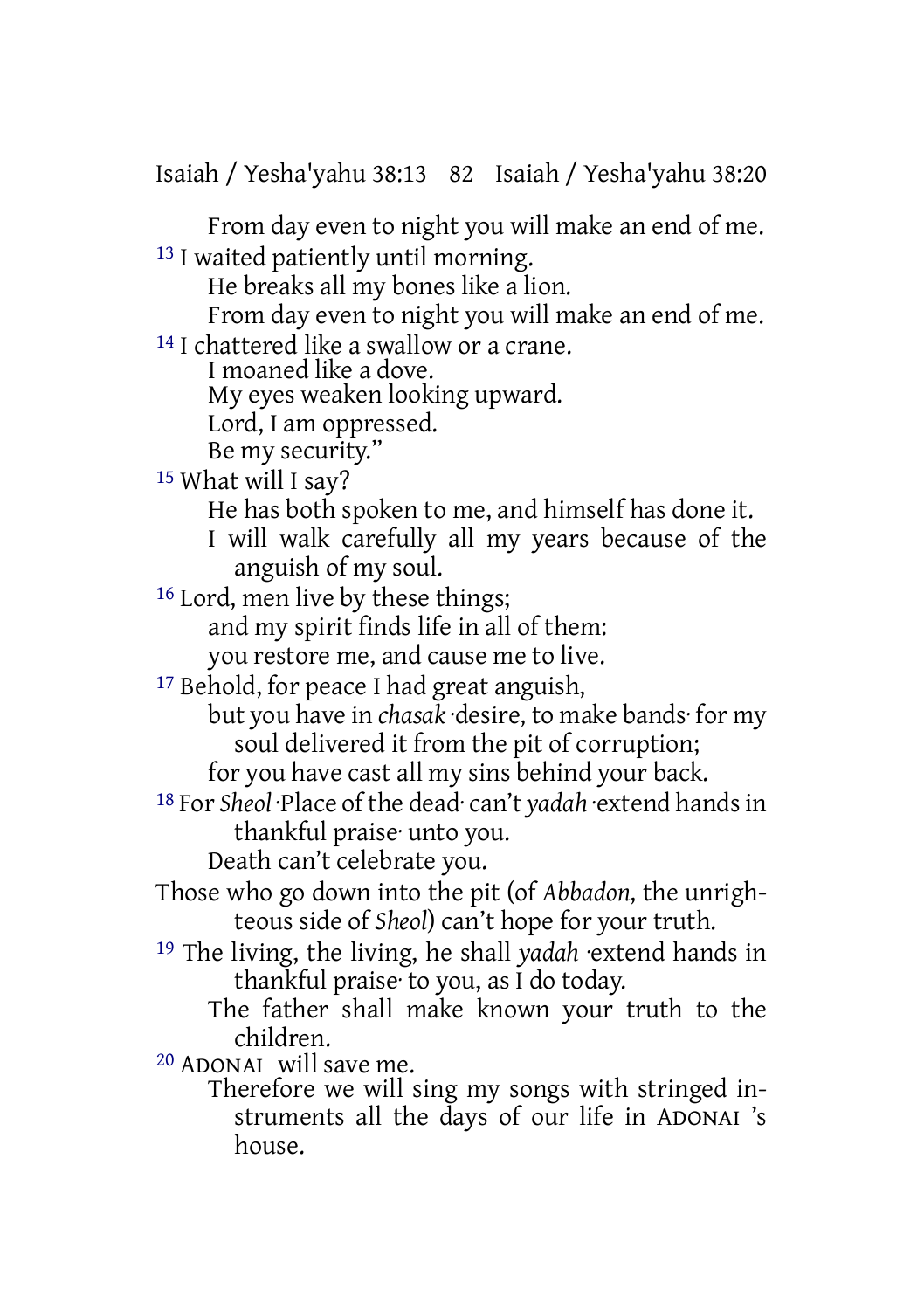Isaiah / Yesha'yahu 38:13 82 Isaiah / Yesha'yahu 38:20

From day even to night you will make an end of me. 13 I waited patiently until morning.

He breaks all my bones like a lion.

From day even to night you will make an end of me.

14 I chattered like a swallow or a crane.

I moaned like a dove.

My eyes weaken looking upward.

Lord, I am oppressed.

Be my security."

15 What will I say?

He has both spoken to me, and himself has done it.

I will walk carefully all my years because of the anguish of my soul.

16 Lord, men live by these things; and my spirit finds life in all of them:

you restore me, and cause me to live.

17 Behold, for peace I had great anguish,

but you have in *chasak* ·desire, to make bands· for my soul delivered it from the pit of corruption;

for you have cast all my sins behind your back.

18 For *Sheol* ·Place of the dead· can't *yadah* ·extend handsin thankful praise· unto you.

Death can't celebrate you.

- Those who go down into the pit (of *Abbadon*, the unrighteous side of *Sheol*) can't hope for your truth.
- 19 The living, the living, he shall *yadah* ·extend hands in thankful praise· to you, as I do today.
	- The father shall make known your truth to the children.

20 ADONAI will save me.

Therefore we will sing my songs with stringed instruments all the days of our life in ADONAI 's house.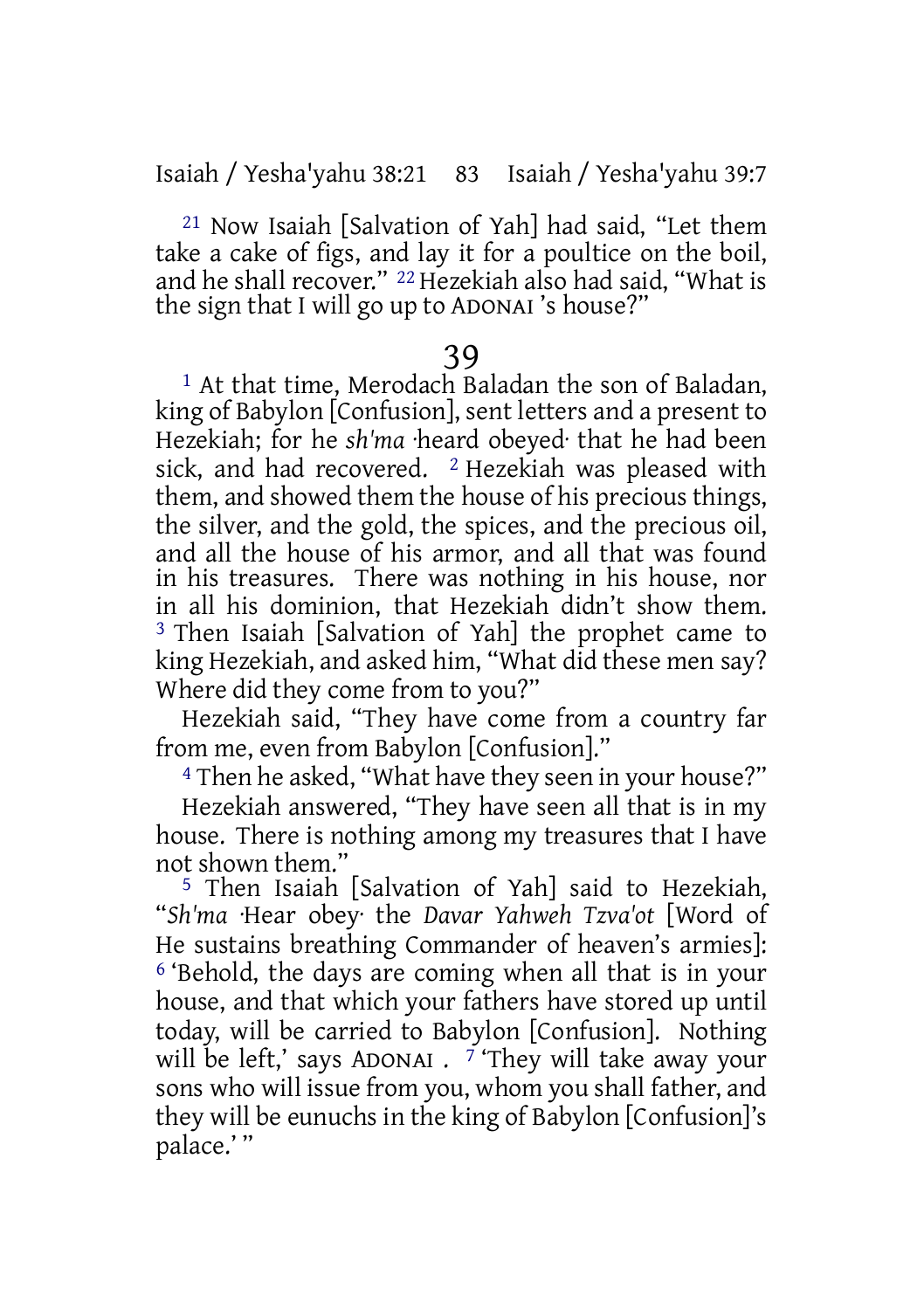21 Now Isaiah [Salvation of Yah] had said, "Let them take a cake of figs, and lay it for a poultice on the boil, and he shall recover." 22 Hezekiah also had said, "What is the sign that I will go up to ADONAI 's house?"

#### 39

1 At that time, Merodach Baladan the son of Baladan, king of Babylon [Confusion], sent letters and a present to Hezekiah; for he *sh'ma* ·heard obeyed· that he had been sick, and had recovered. <sup>2</sup> Hezekiah was pleased with them, and showed them the house of his precious things, the silver, and the gold, the spices, and the precious oil, and all the house of his armor, and all that was found in his treasures. There was nothing in his house, nor in all his dominion, that Hezekiah didn't show them. 3 Then Isaiah [Salvation of Yah] the prophet came to king Hezekiah, and asked him, "What did these men say? Where did they come from to you?"

Hezekiah said, "They have come from a country far from me, even from Babylon [Confusion]."

4 Then he asked, "What have they seen in your house?"

Hezekiah answered, "They have seen all that is in my house. There is nothing among my treasures that I have not shown them."

5 Then Isaiah [Salvation of Yah] said to Hezekiah, "*Sh'ma* ·Hear obey· the *Davar Yahweh Tzva'ot* [Word of He sustains breathing Commander of heaven's armies]: 6 'Behold, the days are coming when all that is in your house, and that which your fathers have stored up until today, will be carried to Babylon [Confusion]. Nothing will be left,' says ADONAI . 7 'They will take away your sons who will issue from you, whom you shall father, and they will be eunuchs in the king of Babylon [Confusion]'s palace.' "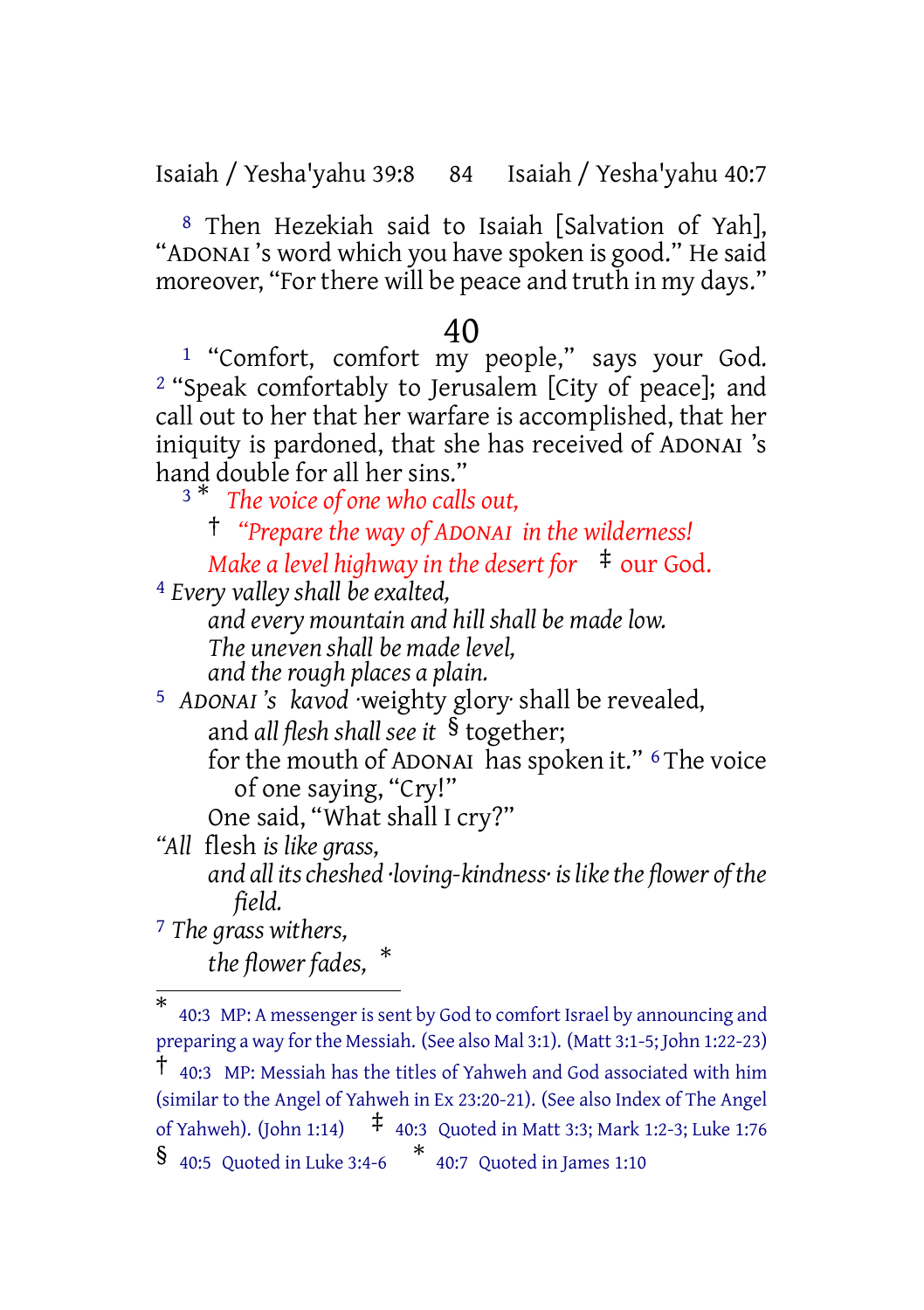Isaiah / Yesha'yahu 39:8 84 Isaiah / Yesha'yahu 40:7

8 Then Hezekiah said to Isaiah [Salvation of Yah], "ADONAI 's word which you have spoken is good." He said moreover, "For there will be peace and truth in my days."

#### 40

1 "Comfort, comfort my people," says your God. 2 "Speak comfortably to Jerusalem [City of peace]; and call out to her that her warfare is accomplished, that her iniquity is pardoned, that she has received of ADONAI 's hand double for all her sins."

<sup>3</sup> \* *The voice of one who calls out,*

† *"Prepare the way of ADONAI in the wilderness! Make a level highway in the desert for* ‡ our God.

4 *Every valley shall be exalted,*

*and every mountain and hill shall be made low. The uneven shall be made level, and the rough places a plain.*

5 *ADONAI 's kavod* ·weighty glory· shall be revealed, and *all flesh shall see it* § together; for the mouth of ADONAI has spoken it." 6 The voice

of one saying, "Cry!" One said, "What shall I cry?"

*"All* flesh *is like grass, and all itscheshed ·loving-kindness· islikethe flower ofthe field.*

7 *The grass withers,*

*the flower fades,* \*

<sup>\*</sup> 40:3 MP: A messengeris sent by God to comfort Israel by announcing and preparing a way forthe Messiah. (See also Mal 3:1). (Matt 3:1-5; John 1:22-23) † 40:3 MP: Messiah has the titles of Yahweh and God associated with him (similar to the Angel of Yahweh in Ex 23:20-21). (See also Index of The Angel of Yahweh). (John 1:14) ‡ 40:3 Quoted in Matt 3:3; Mark 1:2-3; Luke 1:76 § 40:5 Quoted in Luke 3:4-6 \* 40:7 Quoted in James 1:10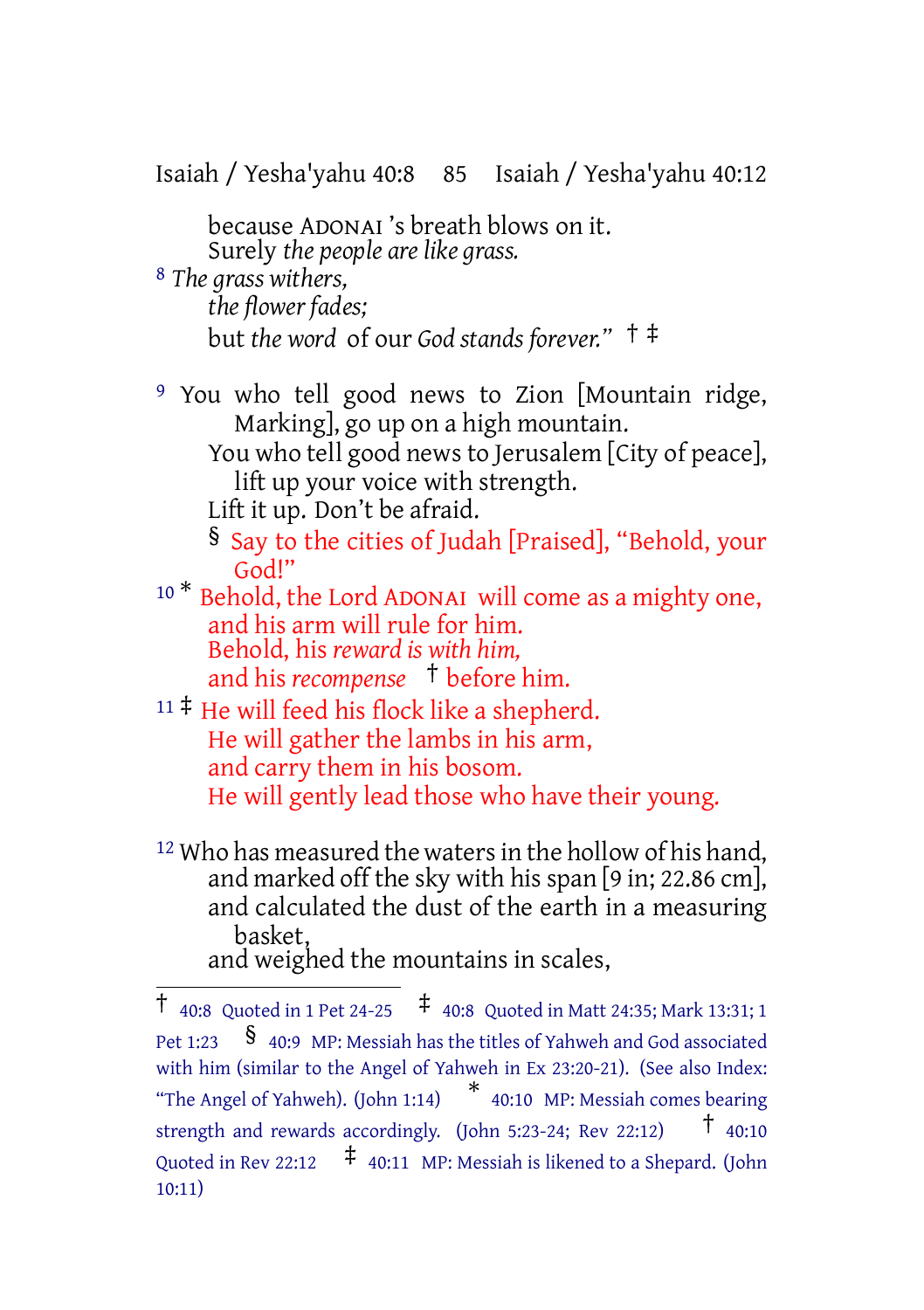Isaiah / Yesha'yahu 40:8 85 Isaiah / Yesha'yahu 40:12 because ADONAI 's breath blows on it. Surely *the people are like grass.* 8 *The grass withers, the flower fades;* but *the word* of our *God stands forever."* † ‡ 9 You who tell good news to Zion [Mountain ridge, Marking], go up on a high mountain. You who tell good news to Jerusalem [City of peace], lift up your voice with strength. Lift it up. Don't be afraid. § Say to the cities of Judah [Praised], "Behold, your God!" <sup>10</sup> \* Behold, the Lord ADONAI will come as a mighty one, and his arm will rule for him. Behold, his *reward is with him,* and his *recompense* † before him.  $11 \ddagger$  He will feed his flock like a shepherd. He will gather the lambs in his arm, and carry them in his bosom. He will gently lead those who have their young. <sup>12</sup> Who has measured the waters in the hollow of his hand,

and marked off the sky with hisspan [9 in; 22.86 cm], and calculated the dust of the earth in a measuring basket, and weighed the mountains in scales,

<sup>†</sup> 40:8 Quoted in <sup>1</sup> Pet 24-25 ‡ 40:8 Quoted in Matt 24:35; Mark 13:31; <sup>1</sup> Pet 1:23  $\frac{1}{2}$  40:9 MP: Messiah has the titles of Yahweh and God associated with him (similar to the Angel of Yahweh in Ex 23:20-21). (See also Index: "The Angel of Yahweh). (John 1:14) \* 40:10 MP: Messiah comes bearing strength and rewards accordingly. (John 5:23-24; Rev 22:12) † 40:10 Quoted in Rev 22:12  $\uparrow$  40:11 MP: Messiah is likened to a Shepard. (John 10:11)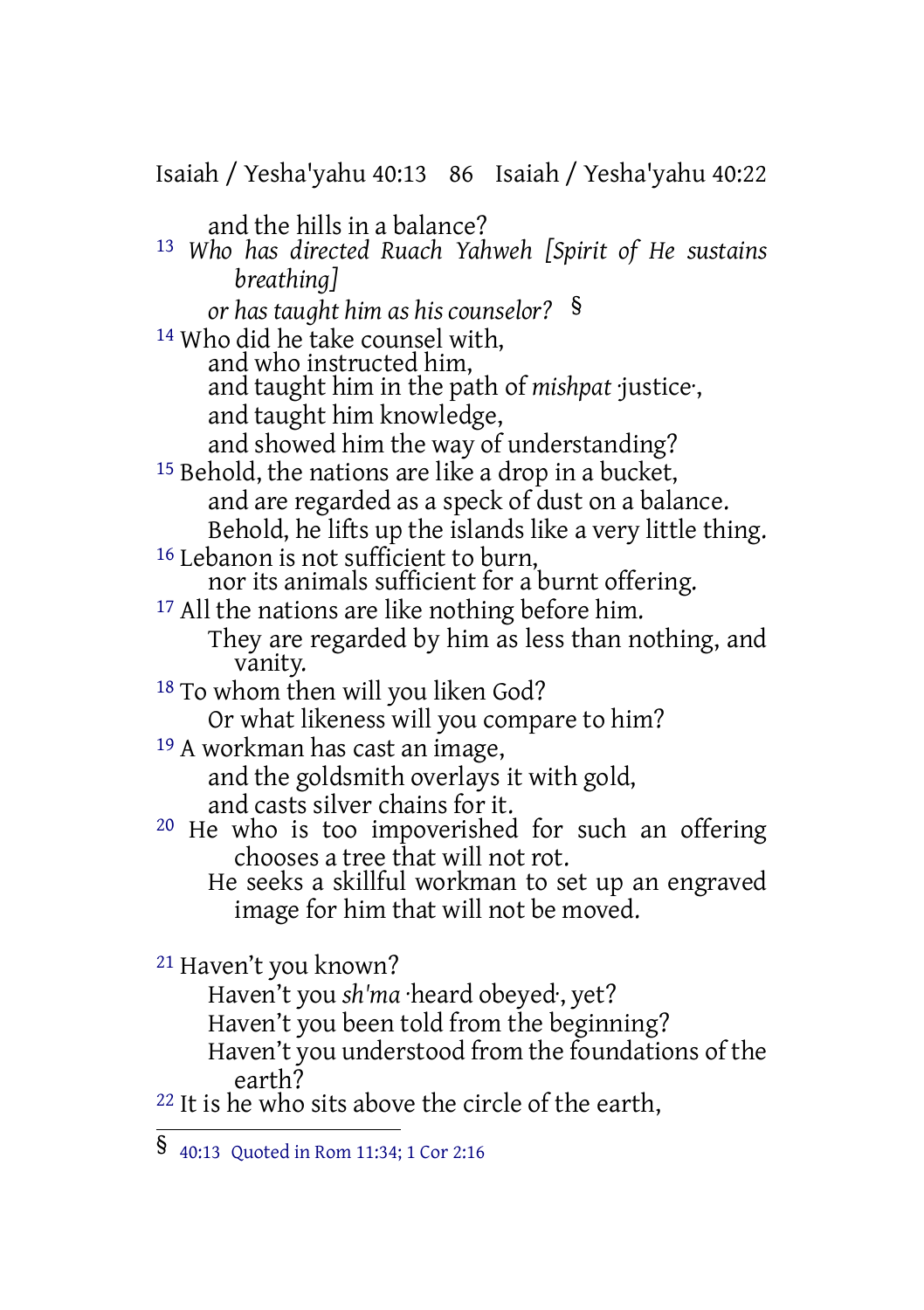Isaiah / Yesha'yahu 40:13 86 Isaiah / Yesha'yahu 40:22 and the hills in a balance? 13 *Who has directed Ruach Yahweh [Spirit of He sustains breathing] or has taught him as his counselor?* § 14 Who did he take counsel with, and who instructed him, and taught him in the path of *mishpat* ·justice·, and taught him knowledge, and showed him the way of understanding? 15 Behold, the nations are like a drop in a bucket, and are regarded as a speck of dust on a balance. Behold, he lifts up the islands like a very little thing. <sup>16</sup> Lebanon is not sufficient to burn, nor its animals sufficient for a burnt offering. <sup>17</sup> All the nations are like nothing before him. They are regarded by him as less than nothing, and vanity. 18 To whom then will you liken God? Or what likeness will you compare to him? 19 A workman has cast an image, and the goldsmith overlays it with gold, and casts silver chains for it. <sup>20</sup> He who is too impoverished for such an offering chooses a tree that will not rot. He seeks a skillful workman to set up an engraved image for him that will not be moved. 21 Haven't you known? Haven't you *sh'ma* ·heard obeyed·, yet? Haven't you been told from the beginning? Haven't you understood from the foundations of the earth? <sup>22</sup> It is he who sits above the circle of the earth,

<sup>§</sup> 40:13 Quoted in Rom 11:34; <sup>1</sup> Cor 2:16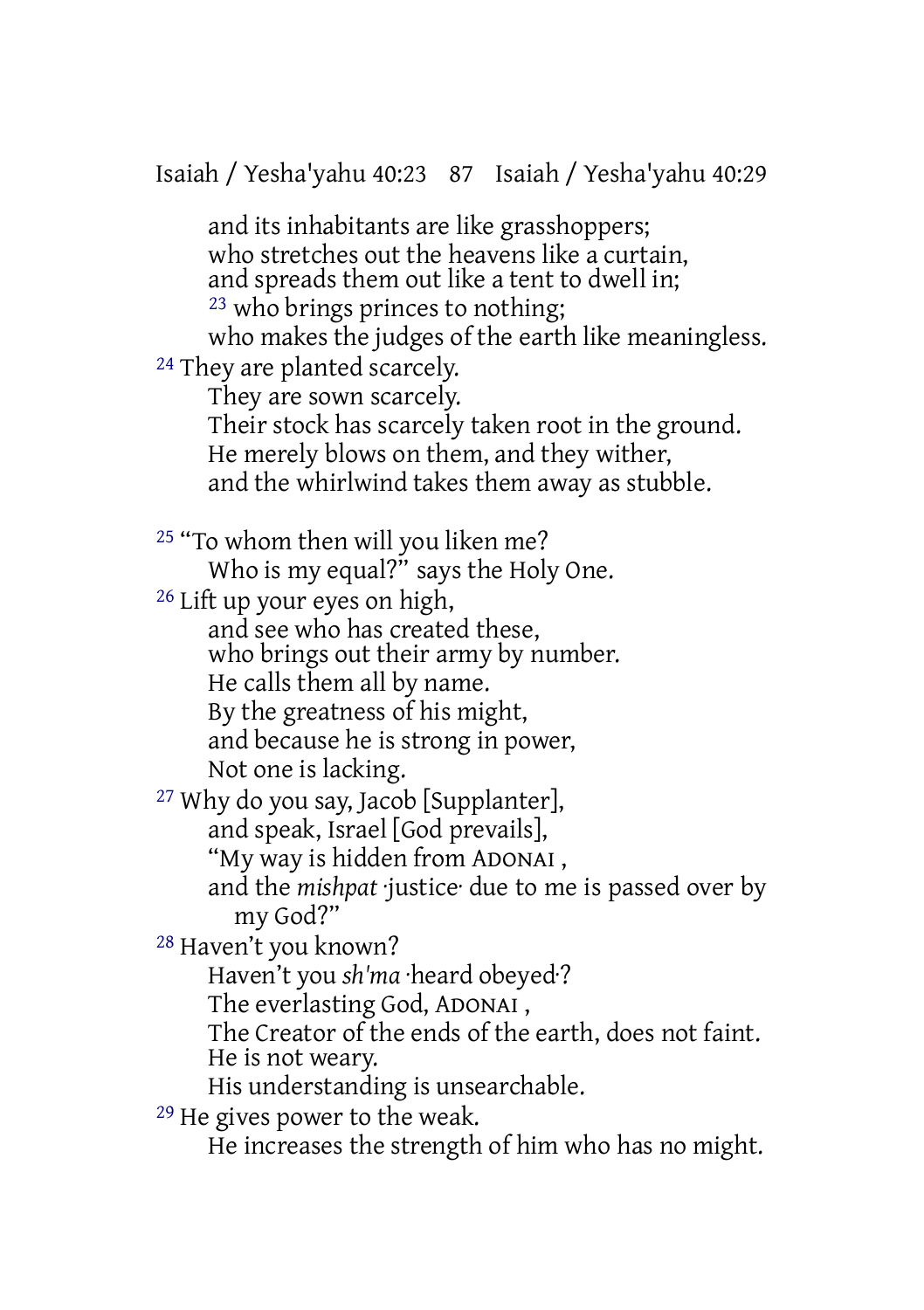Isaiah / Yesha'yahu 40:23 87 Isaiah / Yesha'yahu 40:29

and its inhabitants are like grasshoppers; who stretches out the heavens like a curtain. and spreads them out like a tent to dwell in; 23 who brings princes to nothing; who makes the judges of the earth like meaningless. <sup>24</sup> They are planted scarcely. They are sown scarcely. Their stock has scarcely taken root in the ground. He merely blows on them, and they wither, and the whirlwind takes them away as stubble. 25 "To whom then will you liken me? Who is my equal?" says the Holy One. 26 Lift up your eyes on high, and see who has created these, who brings out their army by number. He calls them all by name. By the greatness of his might, and because he is strong in power, Not one is lacking. 27 Why do you say, Jacob [Supplanter], and speak, Israel [God prevails], "My way is hidden from ADONAI , and the *mishpat* ·justice· due to me is passed over by my God?" 28 Haven't you known? Haven't you *sh'ma* ·heard obeyed·? The everlasting God, ADONAI , The Creator of the ends of the earth, does not faint. He is not weary. His understanding is unsearchable. 29 He gives power to the weak. He increases the strength of him who has no might.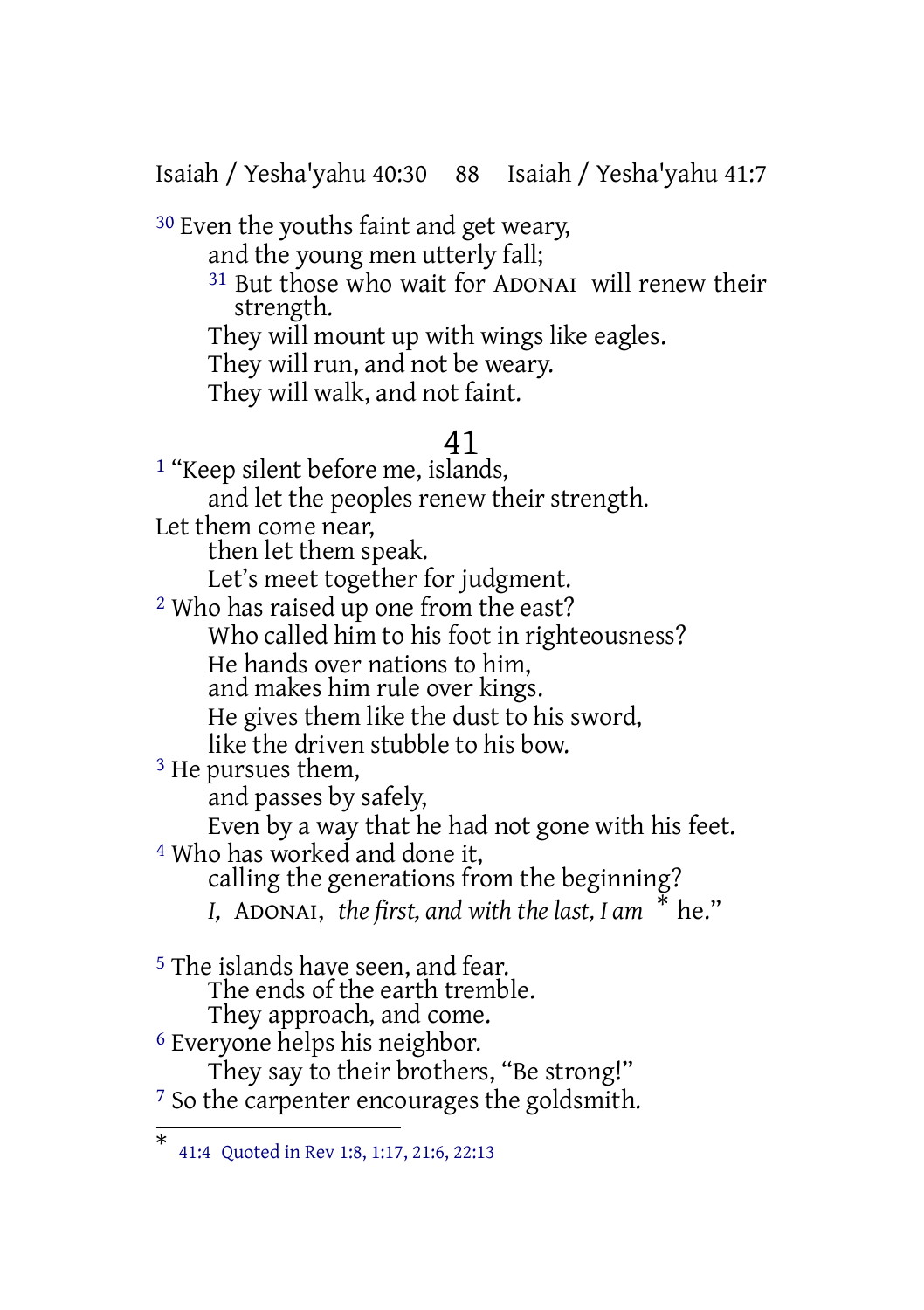Isaiah / Yesha'yahu 40:30 88 Isaiah / Yesha'yahu 41:7

30 Even the youths faint and get weary, and the young men utterly fall; 31 But those who wait for ADONAI will renew their strength. They will mount up with wings like eagles. They will run, and not be weary. They will walk, and not faint.

## 41

<sup>1</sup> "Keep silent before me, islands, and let the peoples renew their strength. Let them come near. then let them speak. Let's meet together for judgment. 2 Who has raised up one from the east? Who called him to his foot in righteousness? He hands over nations to him, and makes him rule over kings. He gives them like the dust to his sword, like the driven stubble to his bow. 3 He pursues them, and passes by safely, Even by a way that he had not gone with his feet. 4 Who has worked and done it, calling the generations from the beginning? *I,* ADONAI, *the first, and with the last, I am* \* he." 5 The islands have seen, and fear. The ends of the earth tremble. They approach, and come. 6 Everyone helps his neighbor.

They say to their brothers, "Be strong!" <sup>7</sup> So the carpenter encourages the goldsmith.

<sup>\*</sup> 41:4 Quoted in Rev 1:8, 1:17, 21:6, 22:13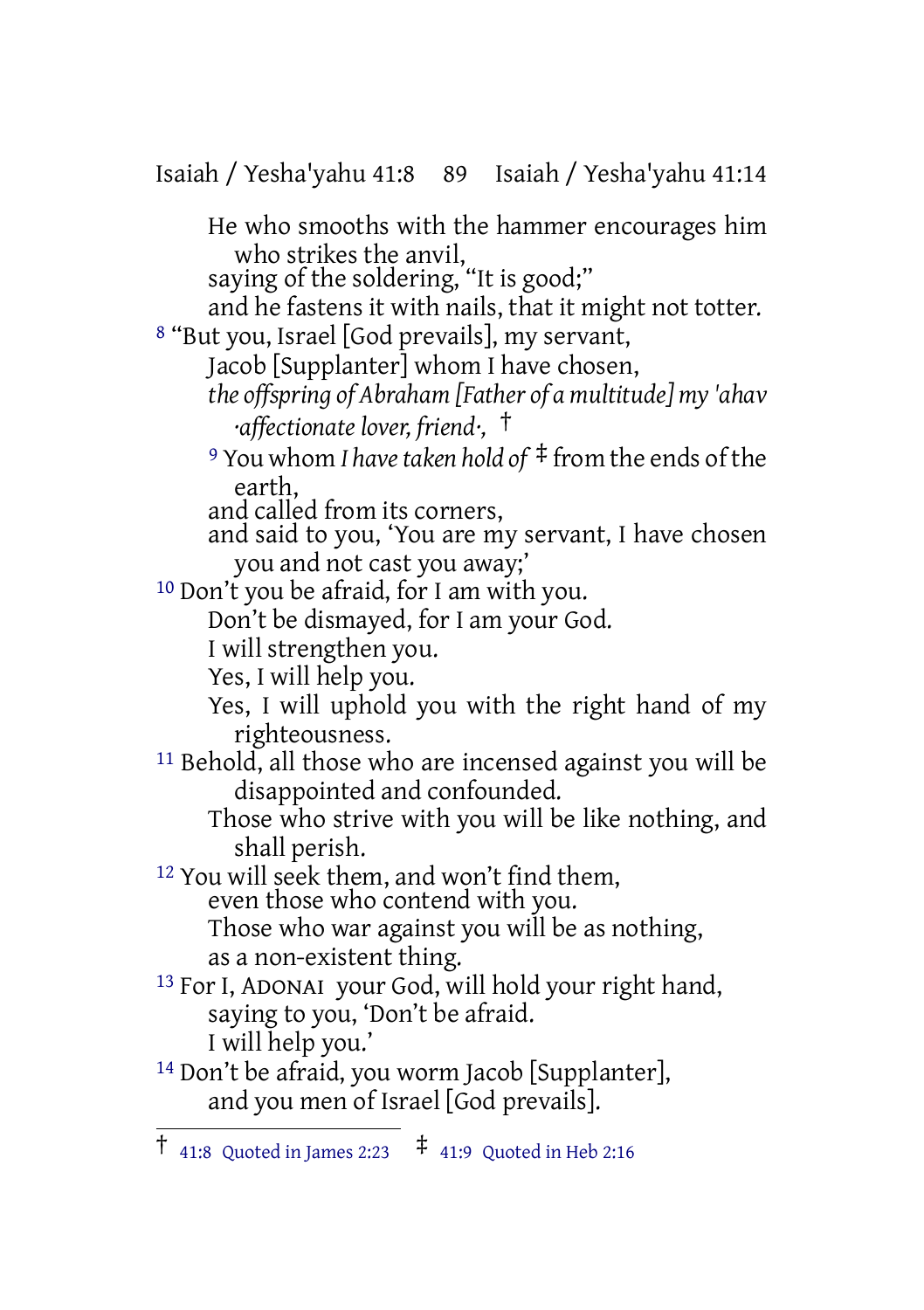Isaiah / Yesha'yahu 41:8 89 Isaiah / Yesha'yahu 41:14 He who smooths with the hammer encourages him who strikes the anvil, saying of the soldering, "It is good;" and he fastens it with nails, that it might not totter. 8 "But you, Israel [God prevails], my servant, Jacob [Supplanter] whom I have chosen, *the offspring of Abraham [Father of a multitude] my 'ahav ·affectionate lover, friend·,* † <sup>9</sup> You whom *I havetaken hold of* ‡ from the ends of the earth, and called from its corners, and said to you, 'You are my servant, I have chosen you and not cast you away;' 10 Don't you be afraid, for I am with you. Don't be dismayed, for I am your God. I will strengthen you. Yes, I will help you. Yes, I will uphold you with the right hand of my righteousness. 11 Behold, all those who are incensed against you will be disappointed and confounded. Those who strive with you will be like nothing, and shall perish. <sup>12</sup> You will seek them, and won't find them, even those who contend with you. Those who war against you will be as nothing, as a non-existent thing. 13 For I, ADONAI your God, will hold your right hand, saying to you, 'Don't be afraid. I will help you.' 14 Don't be afraid, you worm Jacob [Supplanter], and you men of Israel [God prevails].

 $\uparrow$  41:8 Quoted in James 2:23  $\uparrow$  41:9 Quoted in Heb 2:16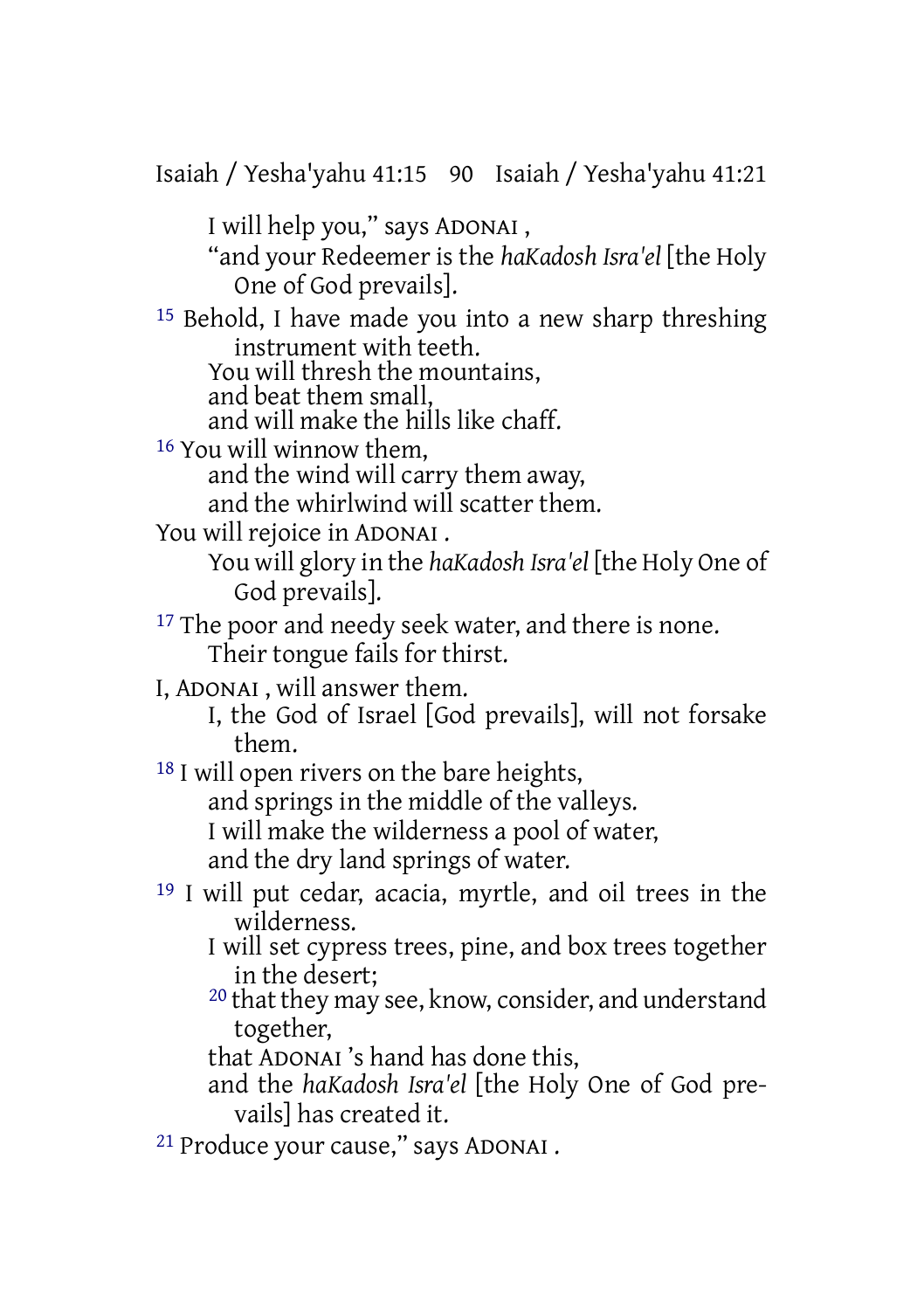Isaiah / Yesha'yahu 41:15 90 Isaiah / Yesha'yahu 41:21

I will help you," says ADONAI ,

"and your Redeemer is the *haKadosh Isra'el* [the Holy One of God prevails].

15 Behold, I have made you into a new sharp threshing instrument with teeth.

You will thresh the mountains,

and beat them small,

and will make the hills like chaff.

16 You will winnow them,

and the wind will carry them away,

and the whirlwind will scatter them.

You will rejoice in ADONAI .

You will glory in the *haKadosh Isra'el* [the Holy One of God prevails].

- <sup>17</sup> The poor and needy seek water, and there is none. Their tongue fails for thirst.
- I, ADONAI , will answer them.

I, the God of Israel [God prevails], will not forsake them.

18 I will open rivers on the bare heights,

and springs in the middle of the valleys.

I will make the wilderness a pool of water,

and the dry land springs of water.

- 19 I will put cedar, acacia, myrtle, and oil trees in the wilderness.
	- I will set cypress trees, pine, and box trees together in the desert;
	- $20$  that they may see, know, consider, and understand together,

that ADONAI 's hand has done this,

and the *haKadosh Isra'el* [the Holy One of God prevails] has created it.

21 Produce your cause," says ADONAI .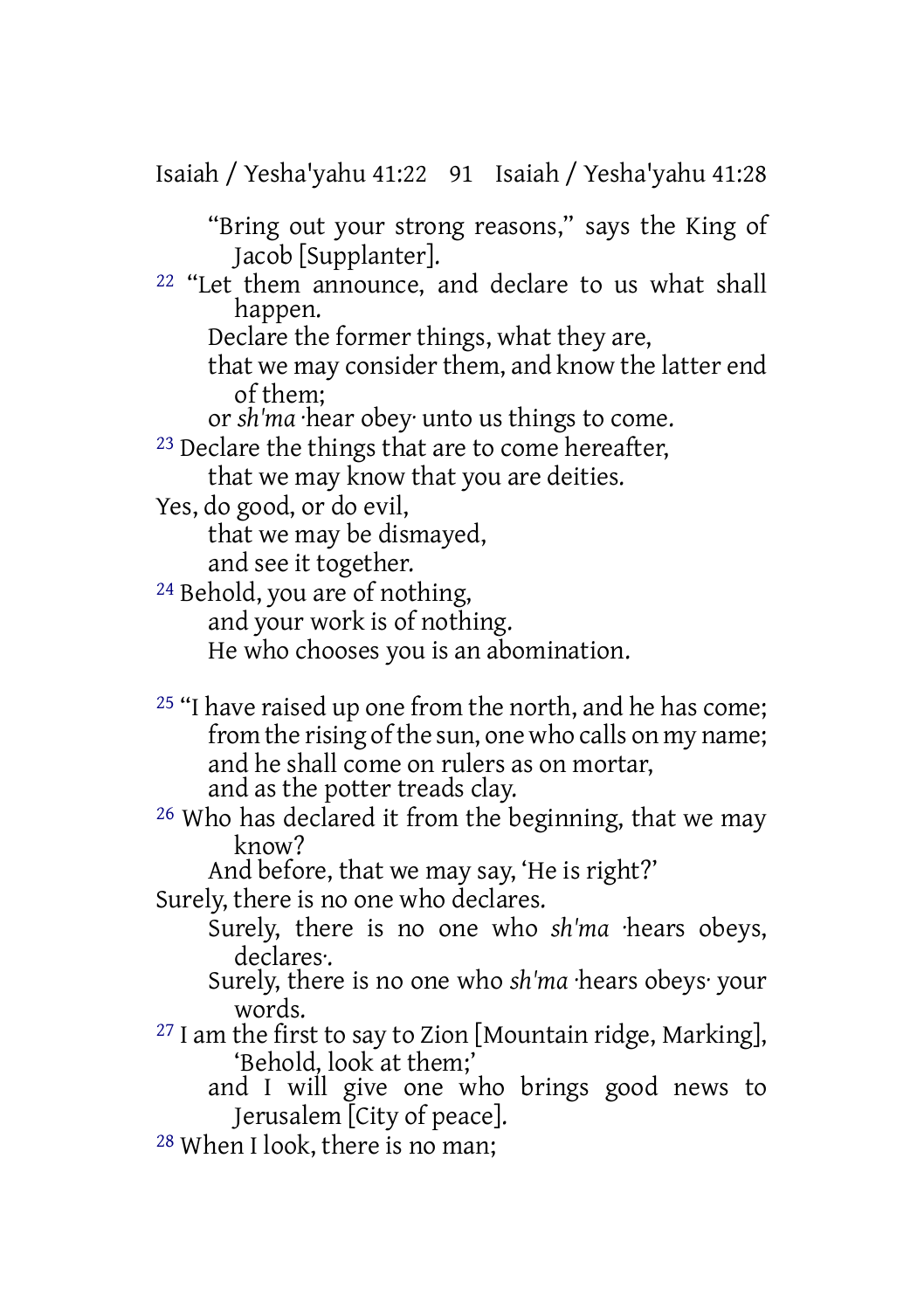Isaiah / Yesha'yahu 41:22 91 Isaiah / Yesha'yahu 41:28

"Bring out your strong reasons," says the King of Jacob [Supplanter].

22 "Let them announce, and declare to us what shall happen.

Declare the former things, what they are,

that we may consider them, and know the latter end of them;

or *sh'ma* ·hear obey· unto us things to come.

<sup>23</sup> Declare the things that are to come hereafter, that we may know that you are deities.

Yes, do good, or do evil,

that we may be dismayed,

and see it together.

24 Behold, you are of nothing, and your work is of nothing. He who chooses you is an abomination.

<sup>25</sup> "I have raised up one from the north, and he has come; from the rising of the sun, one who calls on my name; and he shall come on rulers as on mortar, and as the potter treads clay.

26 Who has declared it from the beginning, that we may know?

And before, that we may say, 'He is right?'

Surely, there is no one who declares.

Surely, there is no one who *sh'ma* ·hears obeys, declares·.

Surely, there is no one who *sh'ma* ·hears obeys· your words.

 $27$  I am the first to say to Zion [Mountain ridge, Marking], 'Behold, look at them;'

- and I will give one who brings good news to Jerusalem [City of peace].
- 28 When I look, there is no man;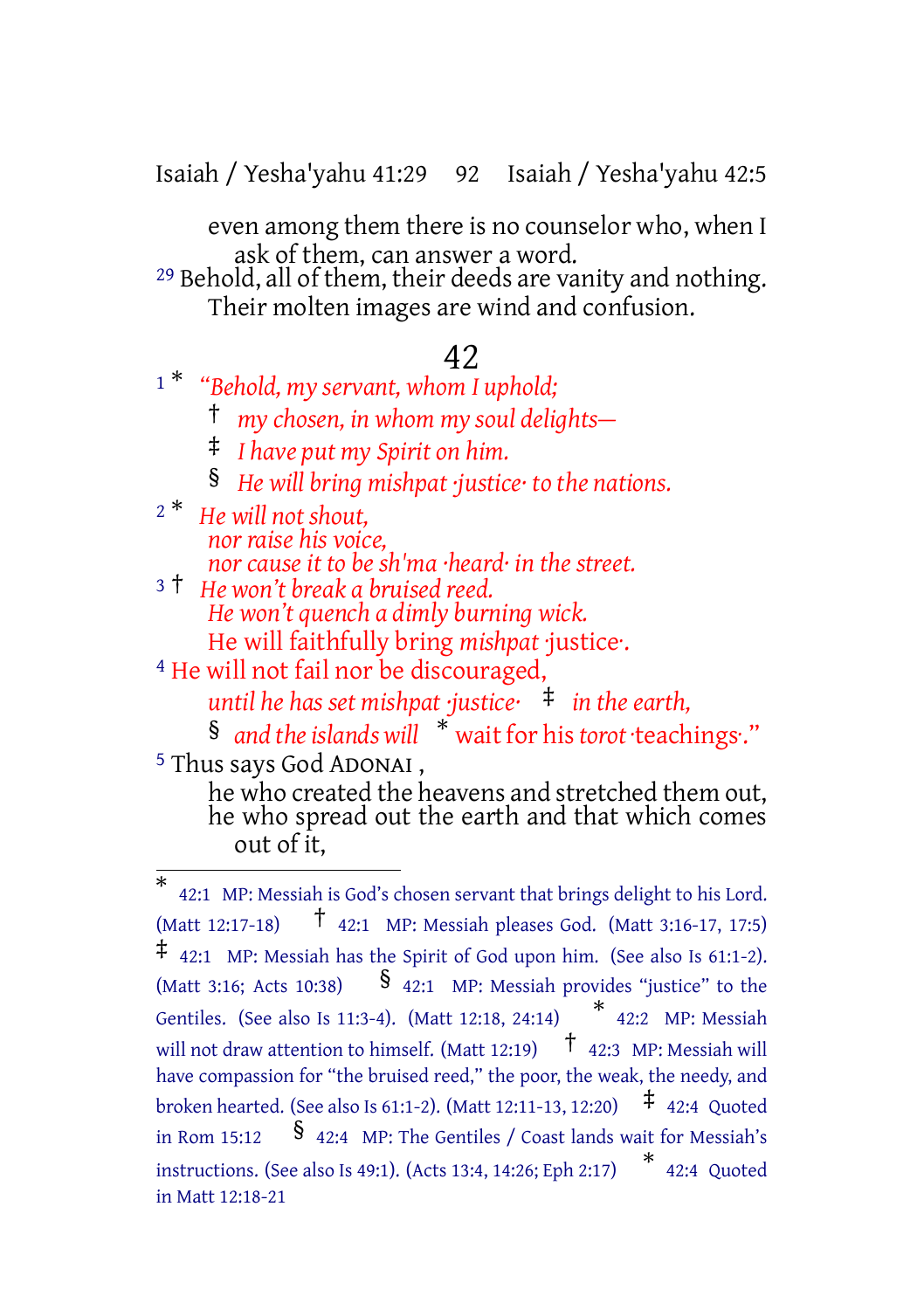Isaiah / Yesha'yahu 41:29 92 Isaiah / Yesha'yahu 42:5

even among them there is no counselor who, when I ask of them, can answer a word.

<sup>29</sup> Behold, all of them, their deeds are vanity and nothing. Their molten images are wind and confusion.

### 42

<sup>1</sup> \* *"Behold, my servant, whom I uphold;*

† *my chosen, in whom my soul delights—*

‡ *I have put my Spirit on him.*

§ *He will bring mishpat ·justice· to the nations.*

- <sup>2</sup> \* *He will not shout, nor raise his voice, nor cause it to be sh'ma ·heard· in the street.*
- <sup>3</sup> † *He won't break a bruised reed. He won't quench a dimly burning wick.* He will faithfully bring *mishpat* ·justice·.

4 He will not fail nor be discouraged,

*until he has set mishpat ·justice·* ‡ *in the earth,*

§ *and theislands will* \* wait for his*torot* ·teachings·." 5 Thus says God ADONAI ,

he who created the heavens and stretched them out, he who spread out the earth and that which comes out of it,

<sup>\*</sup> 42:1 MP: Messiah is God's chosen servant that brings delight to his Lord. (Matt 12:17-18) † 42:1 MP: Messiah pleases God. (Matt 3:16-17, 17:5) ‡ 42:1 MP: Messiah has the Spirit of God upon him. (See also Is 61:1-2). (Matt 3:16; Acts 10:38)  $\qquad$  § 42:1 MP: Messiah provides "justice" to the Gentiles. (See also Is 11:3-4). (Matt 12:18, 24:14) \* 42:2 MP: Messiah will not draw attention to himself. (Matt 12:19)  $\uparrow$  42:3 MP: Messiah will have compassion for "the bruised reed," the poor, the weak, the needy, and broken hearted. (See also Is 61:1-2). (Matt 12:11-13, 12:20) ‡ 42:4 Quoted in Rom  $15:12$  § 42:4 MP: The Gentiles / Coast lands wait for Messiah's instructions. (See also Is 49:1). (Acts 13:4, 14:26; Eph 2:17) \* 42:4 Quoted in Matt 12:18-21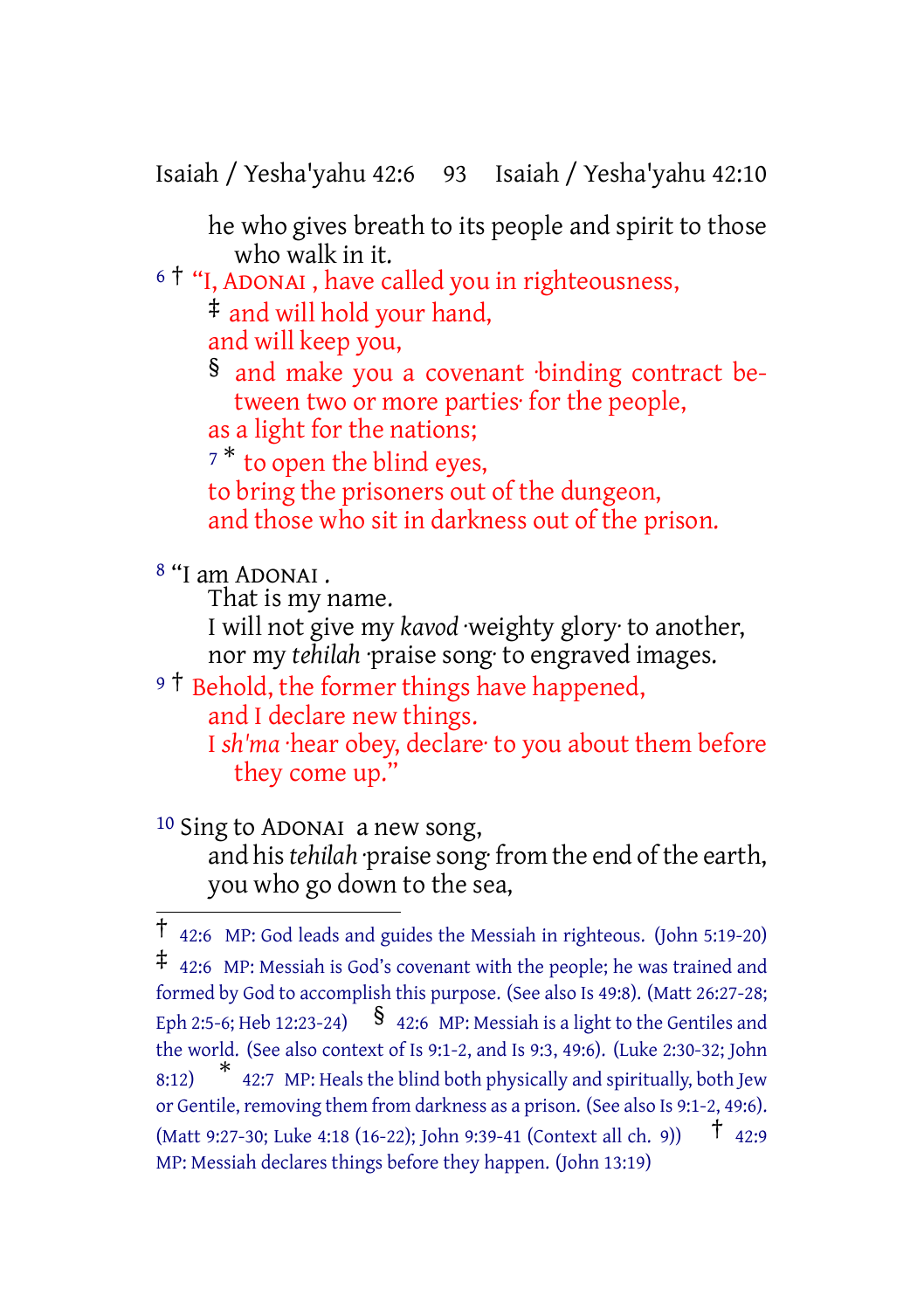Isaiah / Yesha'yahu 42:6 93 Isaiah / Yesha'yahu 42:10

he who gives breath to its people and spirit to those who walk in it.

<sup>6</sup> † "I, ADONAI , have called you in righteousness, ‡ and will hold your hand,

and will keep you,

§ and make you a covenant ·binding contract between two or more parties· for the people, as a light for the nations;

<sup>7</sup>\* to open the blind eyes, to bring the prisoners out of the dungeon, and those who sit in darkness out of the prison.

8 "I am ADONAI .

That is my name.

I will not give my *kavod* ·weighty glory· to another, nor my *tehilah* ·praise song· to engraved images.

<sup>9</sup><sup>†</sup> Behold, the former things have happened, and I declare new things. I *sh'ma* ·hear obey, declare· to you about them before

```
they come up."
```
10 Sing to ADONAI a new song, and his *tehilah* ·praise song ·from the end of the earth, you who go down to the sea,

<sup>†</sup> 42:6 MP: God leads and guides the Messiah in righteous. (John 5:19-20) ‡ 42:6 MP: Messiah is God's covenant with the people; he was trained and formed by God to accomplish this purpose. (See also Is 49:8). (Matt 26:27-28; Eph 2:5-6; Heb 12:23-24)  $\int$   $\int$  42:6 MP: Messiah is a light to the Gentiles and the world. (See also context of Is 9:1-2, and Is 9:3, 49:6). (Luke 2:30-32; John 8:12) \* 42:7 MP: Heals the blind both physically and spiritually, both Jew or Gentile, removing them from darkness as a prison. (See also Is 9:1-2, 49:6). (Matt 9:27-30; Luke 4:18 (16-22); John 9:39-41 (Context all ch. 9))  $\uparrow$  42:9 MP: Messiah declares things before they happen. (John 13:19)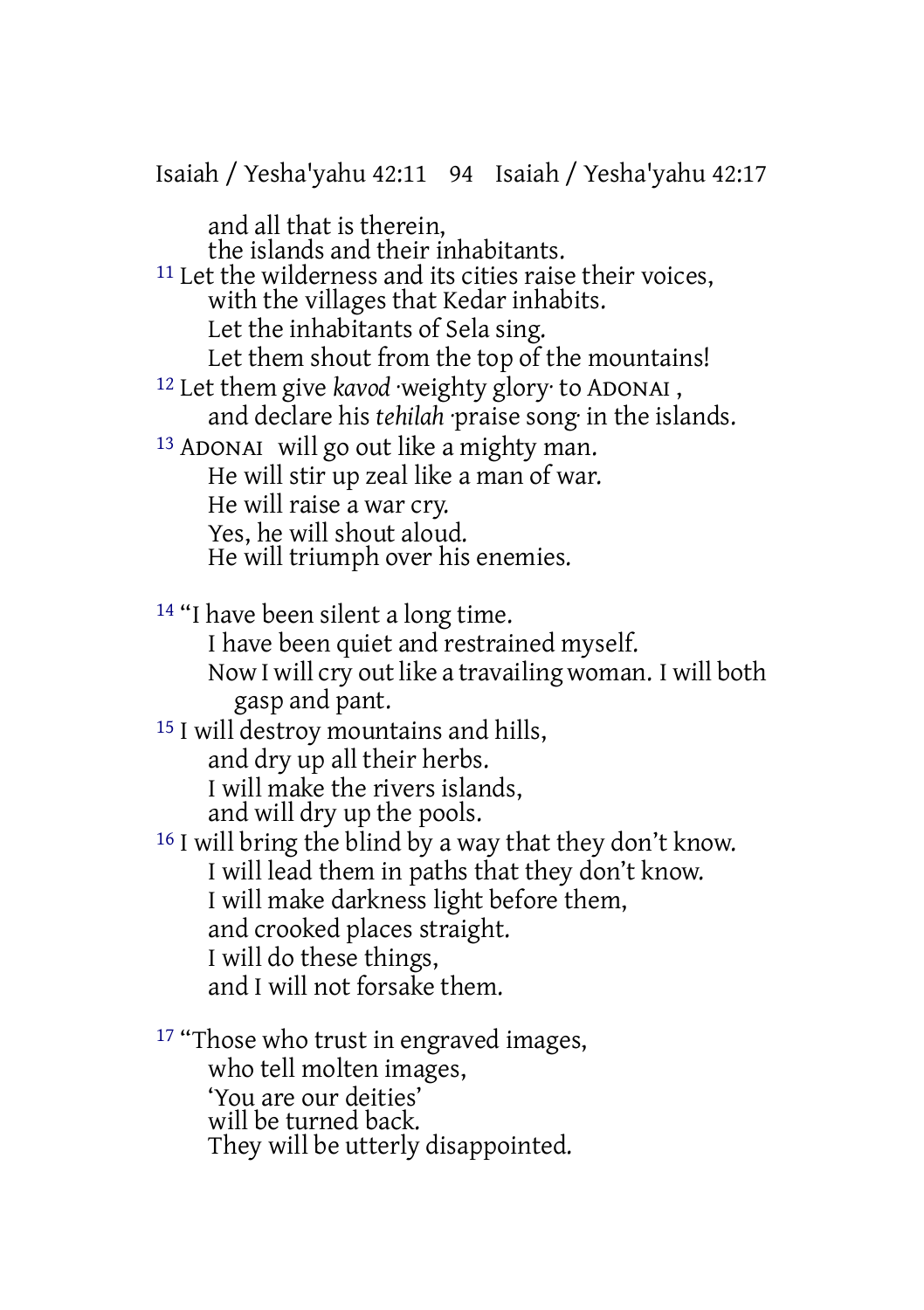and all that is therein, the islands and their inhabitants. 11 Let the wilderness and its cities raise their voices, with the villages that Kedar inhabits. Let the inhabitants of Sela sing. Let them shout from the top of the mountains! 12 Let them give *kavod* ·weighty glory· to ADONAI , and declare his *tehilah* ·praise song· in the islands. 13 ADONAI will go out like a mighty man. He will stir up zeal like a man of war. He will raise a war cry. Yes, he will shout aloud. He will triumph over his enemies. 14 "I have been silent a long time. I have been quiet and restrained myself. Now I will cry out like a travailing woman. I will both gasp and pant. 15 I will destroy mountains and hills,

Isaiah / Yesha'yahu 42:11 94 Isaiah / Yesha'yahu 42:17

and dry up all their herbs.

I will make the rivers islands,

and will dry up the pools.

16 I will bring the blind by a way that they don't know. I will lead them in paths that they don't know. I will make darkness light before them, and crooked places straight. I will do these things, and I will not forsake them.

<sup>17</sup> "Those who trust in engraved images, who tell molten images, 'You are our deities' will be turned back. They will be utterly disappointed.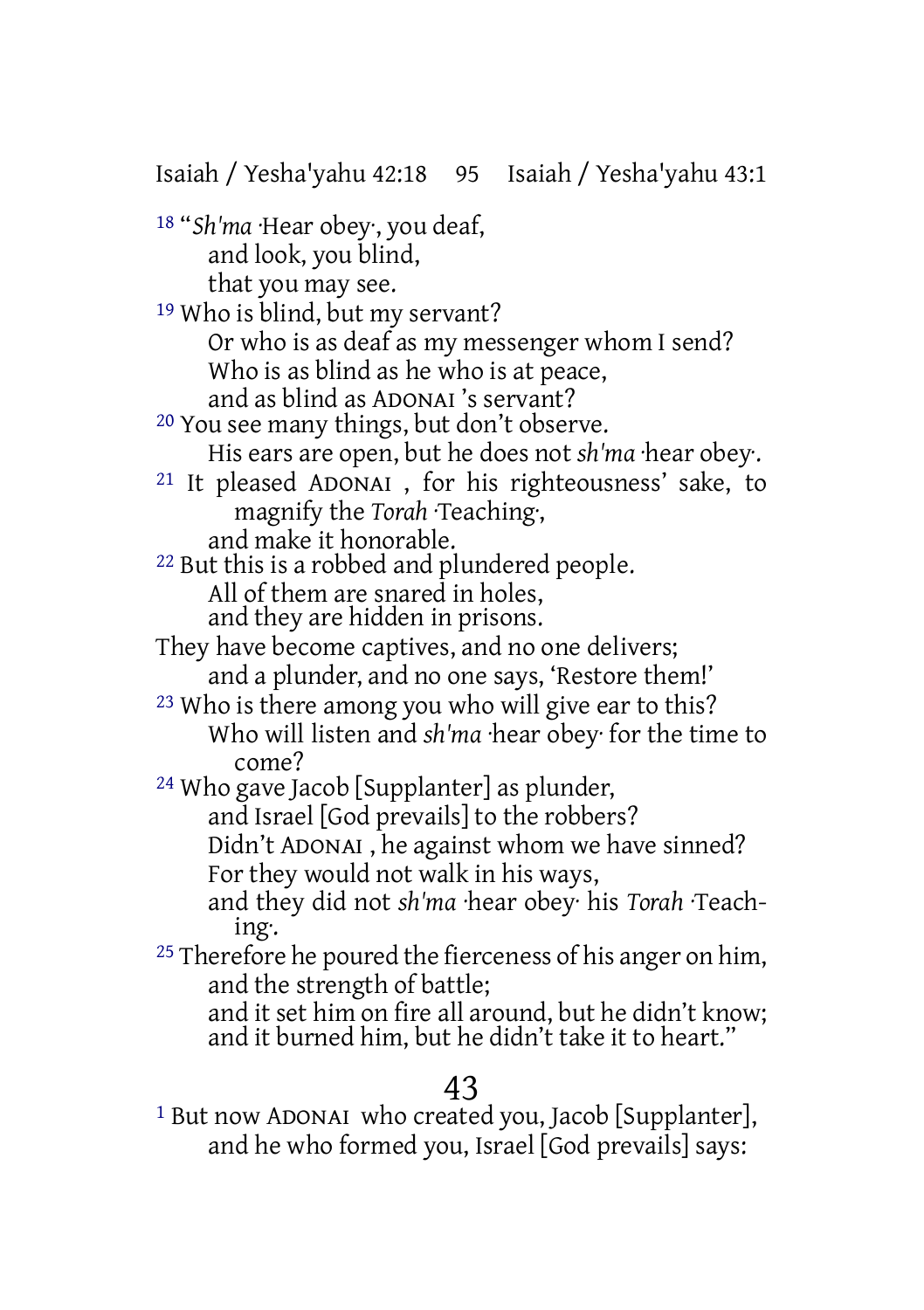Isaiah / Yesha'yahu 42:18 95 Isaiah / Yesha'yahu 43:1

18 "*Sh'ma* ·Hear obey·, you deaf, and look, you blind, that you may see.

19 Who is blind, but my servant? Or who is as deaf as my messenger whom I send? Who is as blind as he who is at peace, and as blind as ADONAI 's servant?

20 You see many things, but don't observe. His ears are open, but he does not *sh'ma* ·hear obey·.

21 It pleased ADONAI , for his righteousness' sake, to magnify the *Torah* ·Teaching·, and make it honorable.

22 But this is a robbed and plundered people. All of them are snared in holes, and they are hidden in prisons.

- They have become captives, and no one delivers; and a plunder, and no one says, 'Restore them!'
- 23 Who is there among you who will give ear to this? Who will listen and *sh'ma* ·hear obey· for the time to come?

24 Who gave Jacob [Supplanter] as plunder, and Israel [God prevails] to the robbers? Didn't ADONAI , he against whom we have sinned? For they would not walk in his ways,

and they did not *sh'ma* ·hear obey· his *Torah* ·Teaching·.

<sup>25</sup> Therefore he poured the fierceness of his anger on him, and the strength of battle;

and it set him on fire all around, but he didn't know; and it burned him, but he didn't take it to heart."

# 43

1 But now ADONAI who created you, Jacob [Supplanter], and he who formed you, Israel [God prevails] says: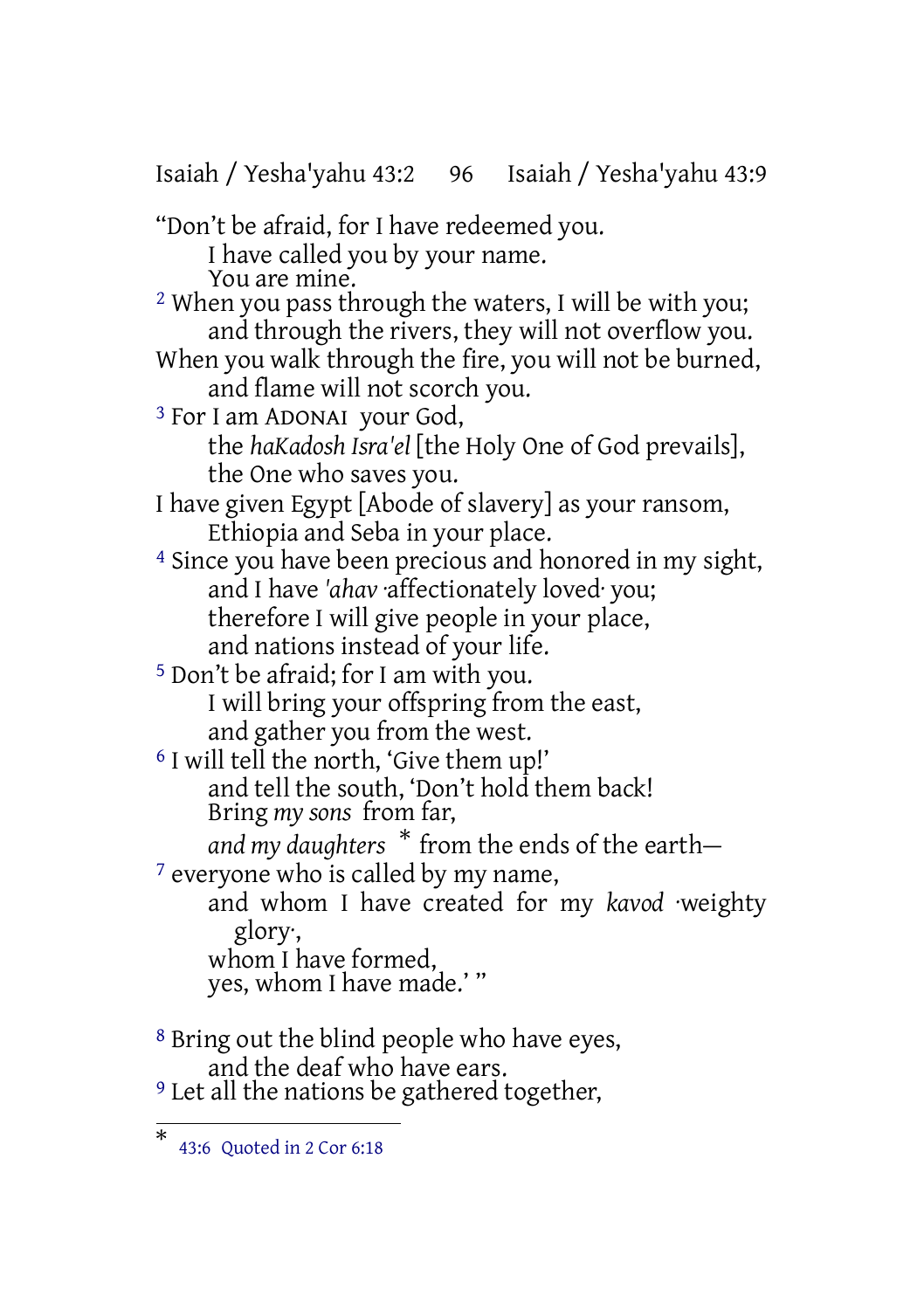Isaiah / Yesha'yahu 43:2 96 Isaiah / Yesha'yahu 43:9 "Don't be afraid, for I have redeemed you. I have called you by your name. You are mine. 2 When you pass through the waters, I will be with you; and through the rivers, they will not overflow you. When you walk through the fire, you will not be burned, and flame will not scorch you. 3 For I am ADONAI your God, the *haKadosh Isra'el* [the Holy One of God prevails], the One who saves you. I have given Egypt [Abode of slavery] as your ransom, Ethiopia and Seba in your place. 4 Since you have been precious and honored in my sight, and I have *'ahav* ·affectionately loved· you; therefore I will give people in your place, and nations instead of your life. 5 Don't be afraid; for I am with you. I will bring your offspring from the east, and gather you from the west. <sup>6</sup> I will tell the north, 'Give them up!' and tell the south, 'Don't hold them back! Bring *my sons* from far, *and my daughters* \* from the ends of the earth— <sup>7</sup> everyone who is called by my name, and whom I have created for my *kavod* ·weighty glory·, whom I have formed, yes, whom I have made.'" 8 Bring out the blind people who have eyes, and the deaf who have ears.

<sup>9</sup> Let all the nations be gathered together,

<sup>\*</sup> 43:6 Quoted in 2 Cor 6:18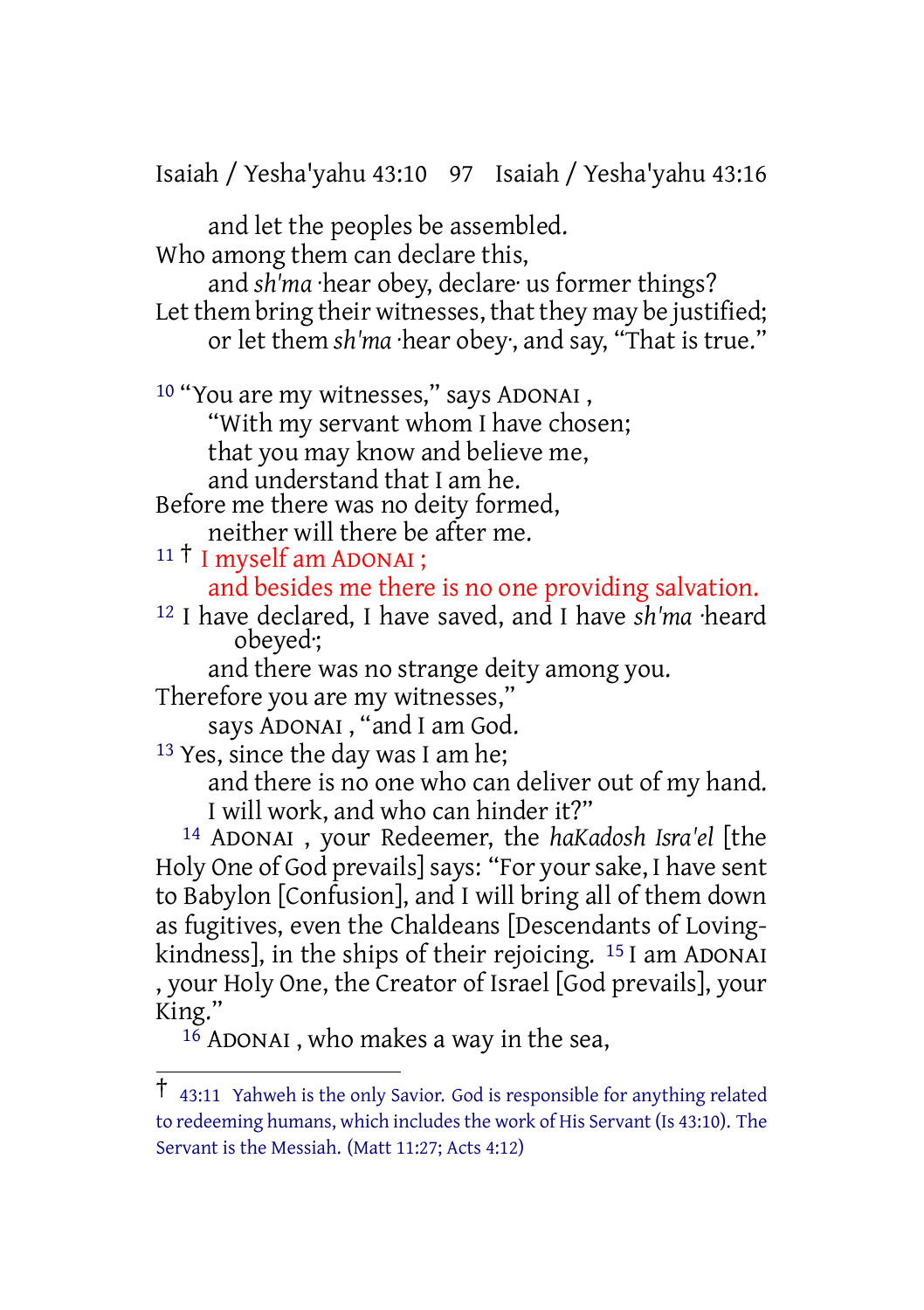Isaiah / Yesha'yahu 43:10 97 Isaiah / Yesha'yahu 43:16

and let the peoples be assembled. Who among them can declare this,

and *sh'ma* ·hear obey, declare· us former things? Let them bring their witnesses, that they may be justified; or let them *sh'ma* ·hear obey·, and say, "That is true."

10 "You are my witnesses," says ADONAI ,

"With my servant whom I have chosen;

that you may know and believe me,

and understand that I am he.

Before me there was no deity formed, neither will there be after me.

<sup>11</sup> † I myself am ADONAI ; and besides me there is no one providing salvation.

12 I have declared, I have saved, and I have *sh'ma* ·heard obeyed·;

and there was no strange deity among you.

Therefore you are my witnesses,"

says ADONAI , "and I am God.

13 Yes, since the day was I am he;

and there is no one who can deliver out of my hand. I will work, and who can hinder it?"

14 ADONAI , your Redeemer, the *haKadosh Isra'el* [the Holy One of God prevails] says: "For your sake, I have sent to Babylon [Confusion], and I will bring all of them down as fugitives, even the Chaldeans [Descendants of Lovingkindness], in the ships of their rejoicing. 15 I am ADONAI , your Holy One, the Creator of Israel [God prevails], your King."

 $16$  ADONAI, who makes a way in the sea,

<sup>†</sup> 43:11 Yahweh is the only Savior. God is responsible for anything related to redeeming humans, which includes the work of His Servant (Is 43:10). The Servant is the Messiah. (Matt 11:27; Acts 4:12)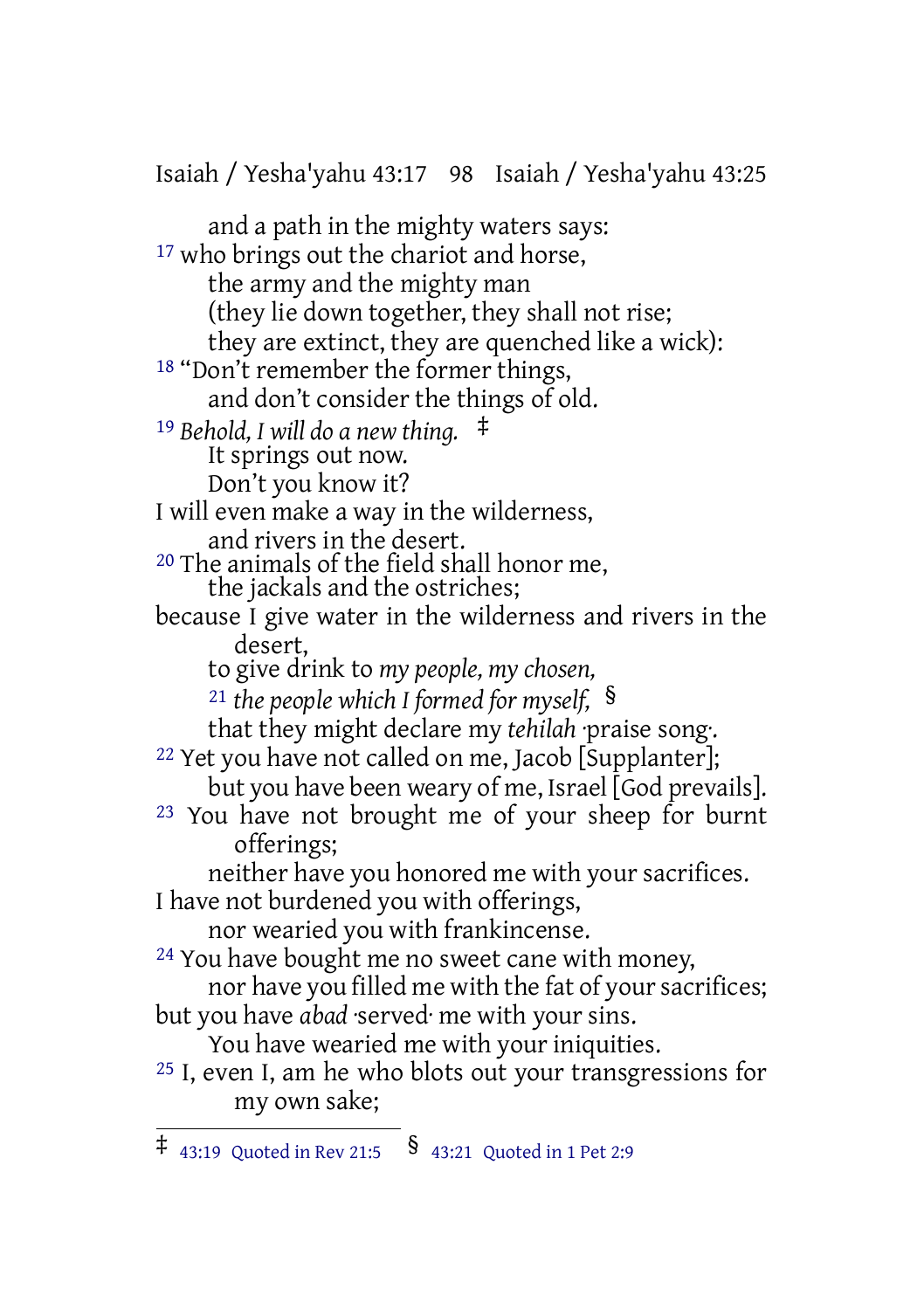Isaiah / Yesha'yahu 43:17 98 Isaiah / Yesha'yahu 43:25

and a path in the mighty waters says: <sup>17</sup> who brings out the chariot and horse, the army and the mighty man (they lie down together, they shall not rise; they are extinct, they are quenched like a wick): 18 "Don't remember the former things, and don't consider the things of old. <sup>19</sup> *Behold, I will do a new thing.* ‡ It springs out now. Don't you know it? I will even make a way in the wilderness, and rivers in the desert. 20 The animals of the field shall honor me, the jackals and the ostriches; because I give water in the wilderness and rivers in the desert, to give drink to *my people, my chosen,* <sup>21</sup> *the people which I formed for myself,* § that they might declare my *tehilah* praise song. <sup>22</sup> Yet you have not called on me, Jacob [Supplanter]; but you have been weary of me, Israel [God prevails]. <sup>23</sup> You have not brought me of your sheep for burnt offerings; neither have you honored me with your sacrifices. I have not burdened you with offerings, nor wearied you with frankincense. 24 You have bought me no sweet cane with money, nor have you filled me with the fat of your sacrifices; but you have *abad* ·served· me with your sins. You have wearied me with your iniquities. 25 I, even I, am he who blots out your transgressions for my own sake;

 $\ddagger$  43:19 Quoted in Rev 21:5  $\delta$  43:21 Quoted in 1 Pet 2:9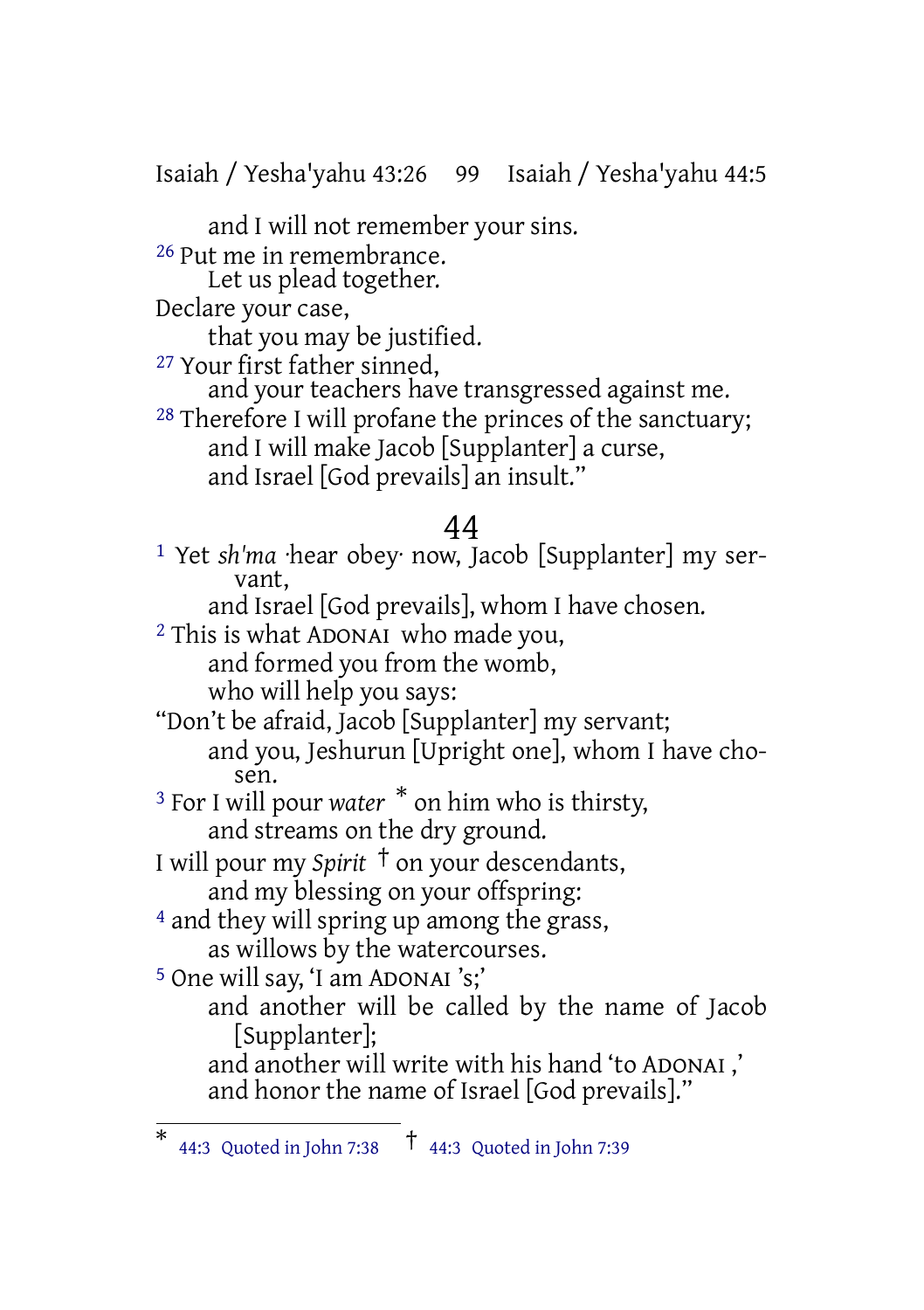Isaiah / Yesha'yahu 43:26 99 Isaiah / Yesha'yahu 44:5

and I will not remember your sins. 26 Put me in remembrance.

Let us plead together.

Declare your case,

that you may be justified.

27 Your first father sinned,

and your teachers have transgressed against me.

28 Therefore I will profane the princes of the sanctuary; and I will make Jacob [Supplanter] a curse, and Israel [God prevails] an insult."

# 44

1 Yet *sh'ma* ·hear obey· now, Jacob [Supplanter] my servant, and Israel [God prevails], whom I have chosen. 2 This is what ADONAI who made you, and formed you from the womb, who will help you says: "Don't be afraid, Jacob [Supplanter] my servant; and you, Jeshurun [Upright one], whom I have chosen. <sup>3</sup> For I will pour *water* \* on him who is thirsty, and streams on the dry ground. I will pour my *Spirit* † on your descendants, and my blessing on your offspring: 4 and they will spring up among the grass, as willows by the watercourses. 5 One will say, 'I am ADONAI 's;' and another will be called by the name of Jacob [Supplanter];

and another will write with his hand 'to ADONAI ,' and honor the name of Israel [God prevails]."

<sup>\*</sup> 44:3 Quoted in John 7:38 † 44:3 Quoted in John 7:39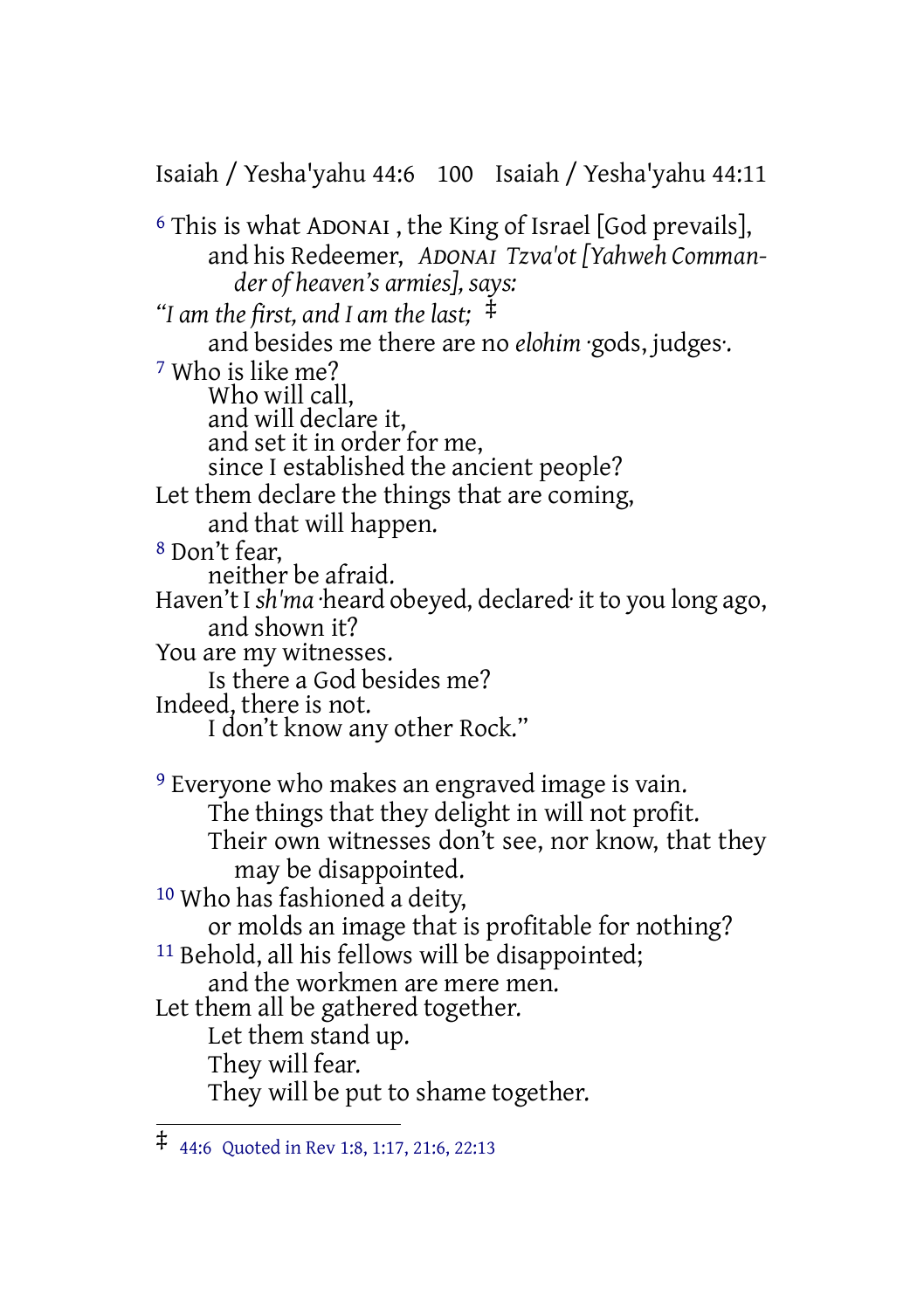Isaiah / Yesha'yahu 44:6 100 Isaiah / Yesha'yahu 44:11

6 This is what ADONAI , the King of Israel [God prevails], and his Redeemer, *ADONAI Tzva'ot [Yahweh Commander of heaven's armies], says: "I am the first, and I am the last;* ‡ and besides me there are no *elohim* ·gods, judges·. 7 Who is like me? Who will call, and will declare it, and set it in order for me, since I established the ancient people? Let them declare the things that are coming, and that will happen. 8 Don't fear, neither be afraid. Haven't I *sh'ma* ·heard obeyed, declared· it to you long ago, and shown it? You are my witnesses. Is there a God besides me? Indeed, there is not. I don't know any other Rock." 9 Everyone who makes an engraved image is vain. The things that they delight in will not profit. Their own witnesses don't see, nor know, that they may be disappointed. 10 Who has fashioned a deity, or molds an image that is profitable for nothing? <sup>11</sup> Behold, all his fellows will be disappointed; and the workmen are mere men. Let them all be gathered together. Let them stand up. They will fear. They will be put to shame together.

<sup>‡</sup> 44:6 Quoted in Rev 1:8, 1:17, 21:6, 22:13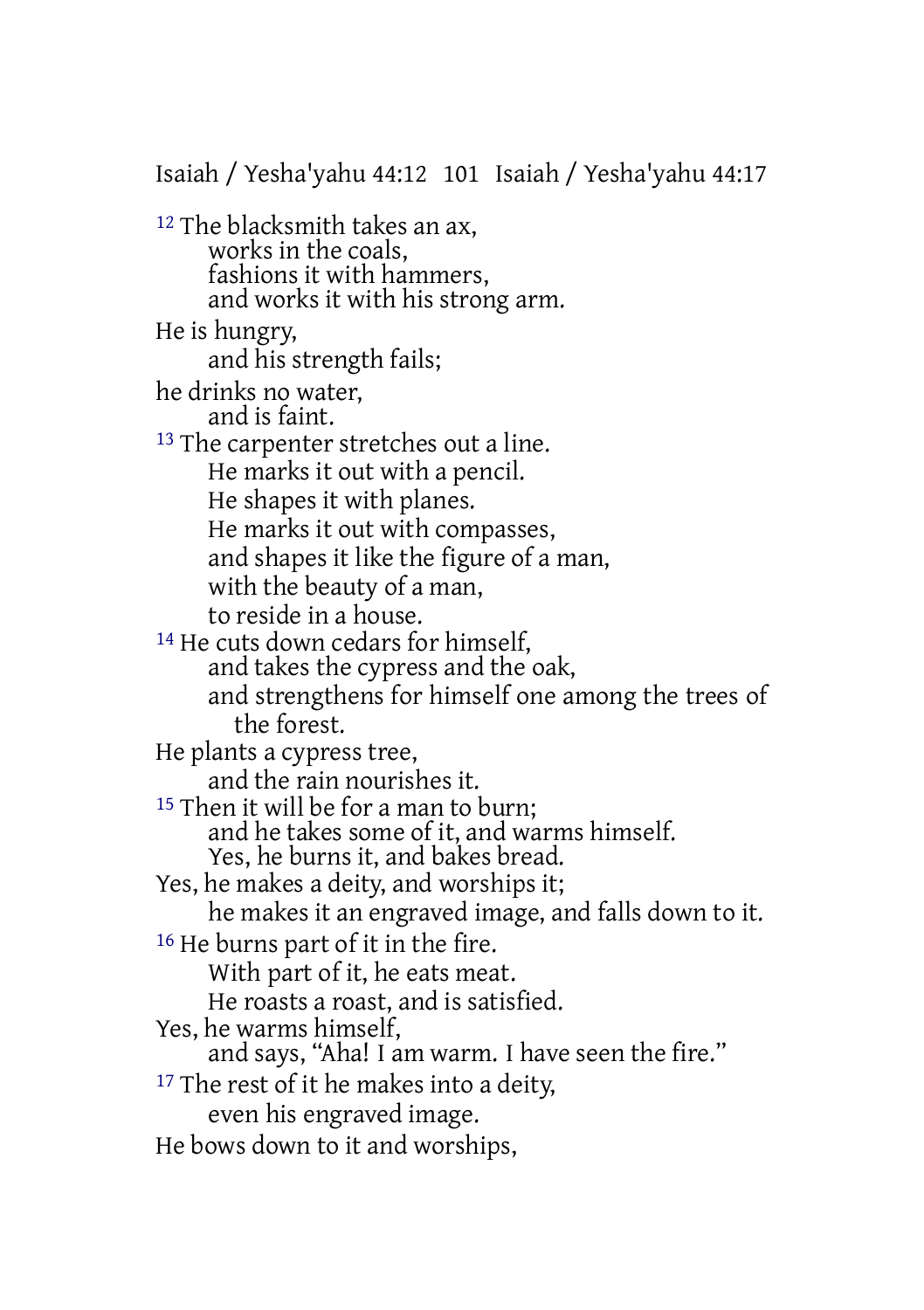Isaiah / Yesha'yahu 44:12 101 Isaiah / Yesha'yahu 44:17 12 The blacksmith takes an ax, works in the coals, fashions it with hammers, and works it with his strong arm. He is hungry, and his strength fails; he drinks no water, and is faint. <sup>13</sup> The carpenter stretches out a line. He marks it out with a pencil. He shapes it with planes. He marks it out with compasses, and shapes it like the figure of a man, with the beauty of a man, to reside in a house. 14 He cuts down cedars for himself, and takes the cypress and the oak, and strengthens for himself one among the trees of the forest. He plants a cypress tree, and the rain nourishes it. <sup>15</sup> Then it will be for a man to burn; and he takes some of it, and warms himself. Yes, he burns it, and bakes bread. Yes, he makes a deity, and worships it; he makes it an engraved image, and falls down to it. <sup>16</sup> He burns part of it in the fire. With part of it, he eats meat. He roasts a roast, and is satisfied. Yes, he warms himself, and says, "Aha! I am warm. I have seen the fire." <sup>17</sup> The rest of it he makes into a deity, even his engraved image. He bows down to it and worships,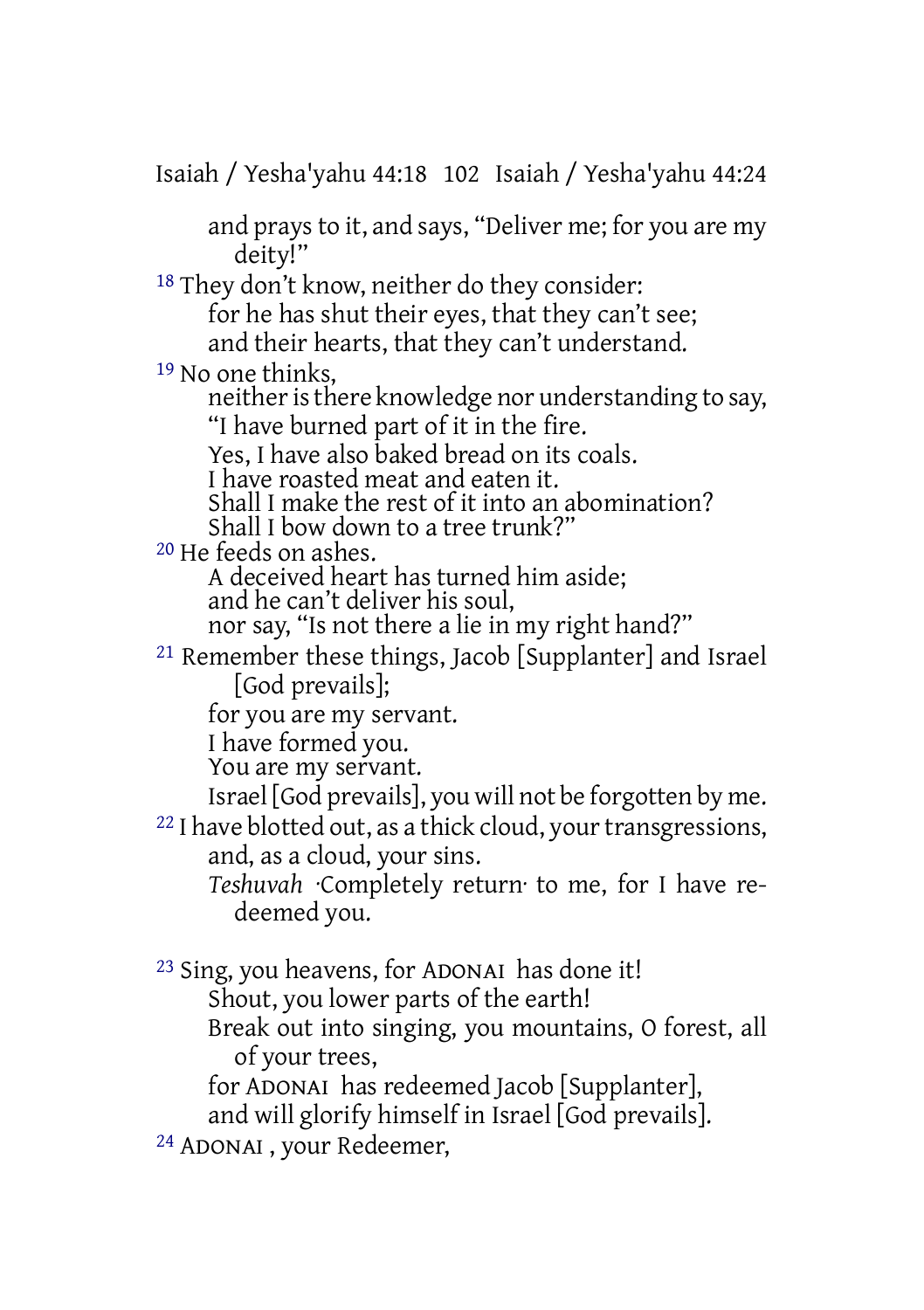Isaiah / Yesha'yahu 44:18 102 Isaiah / Yesha'yahu 44:24

and prays to it, and says, "Deliver me; for you are my deity!"

18 They don't know, neither do they consider: for he has shut their eyes, that they can't see; and their hearts, that they can't understand.

19 No one thinks,

neither is there knowledge nor understanding to say, "I have burned part of it in the fire.

Yes, I have also baked bread on its coals.

I have roasted meat and eaten it.

Shall I make the rest of it into an abomination?

Shall I bow down to a tree trunk?"

20 He feeds on ashes.

A deceived heart has turned him aside; and he can't deliver his soul,

nor say, "Is not there a lie in my right hand?"

21 Remember these things, Jacob [Supplanter] and Israel [God prevails];

for you are my servant.

I have formed you.

You are my servant.

Israel [God prevails], you will not be forgotten by me.

<sup>22</sup> I have blotted out, as a thick cloud, your transgressions, and, as a cloud, your sins.

*Teshuvah* ·Completely return· to me, for I have redeemed you.

23 Sing, you heavens, for ADONAI has done it! Shout, you lower parts of the earth! Break out into singing, you mountains, O forest, all of your trees,

for ADONAI has redeemed Jacob [Supplanter],

and will glorify himself in Israel [God prevails].

24 ADONAI , your Redeemer,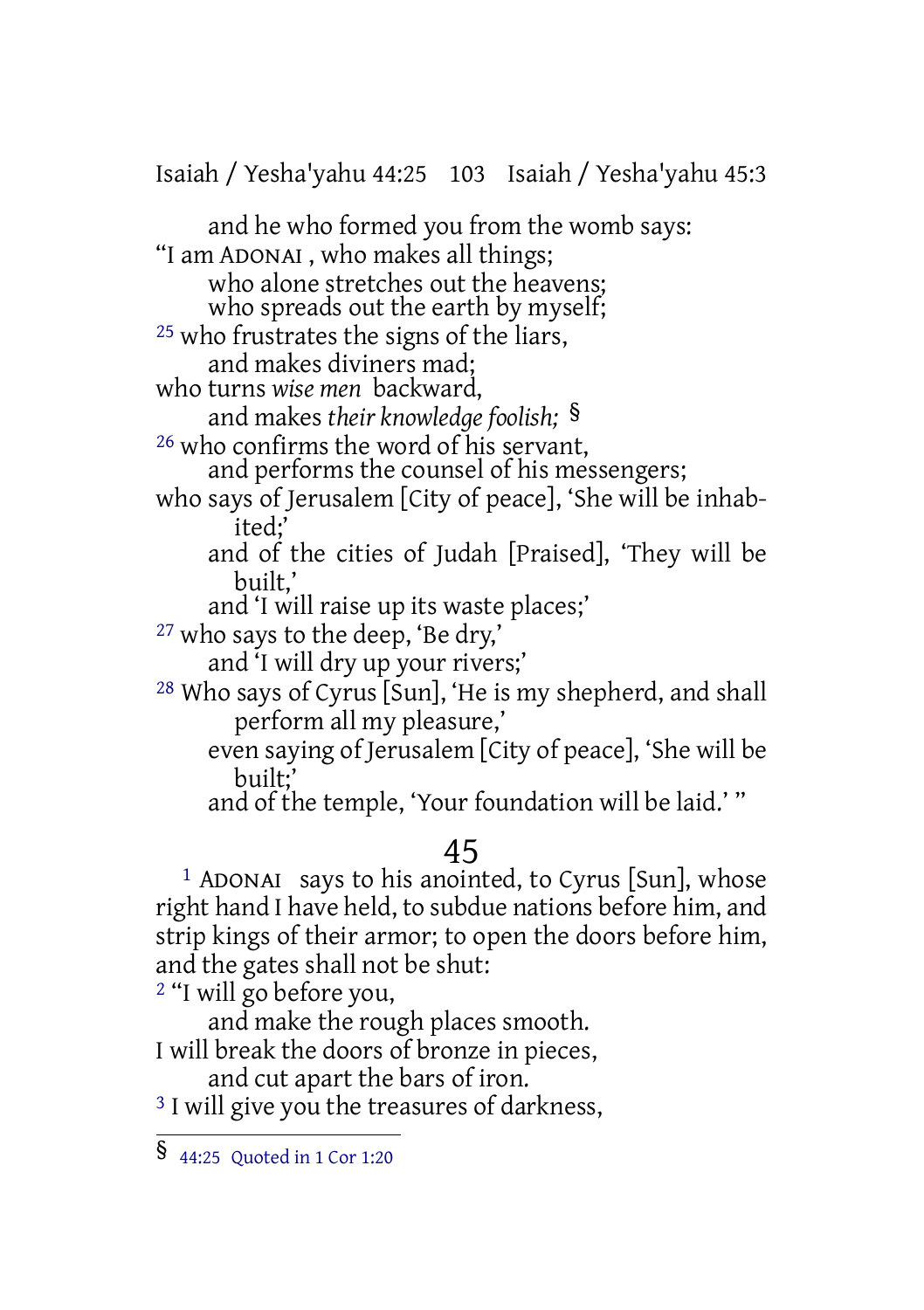Isaiah / Yesha'yahu 44:25 103 Isaiah / Yesha'yahu 45:3

and he who formed you from the womb says: "I am ADONAI , who makes all things; who alone stretches out the heavens; who spreads out the earth by myself; 25 who frustrates the signs of the liars, and makes diviners mad; who turns *wise men* backward, and makes *their knowledge foolish;* § 26 who confirms the word of his servant, and performs the counsel of his messengers; who says of Jerusalem [City of peace], 'She will be inhabited;' and of the cities of Judah [Praised], 'They will be built,' and 'I will raise up its waste places;' 27 who says to the deep, 'Be dry,' and 'I will dry up your rivers;' 28 Who says of Cyrus [Sun], 'He is my shepherd, and shall perform all my pleasure,' even saying of Jerusalem [City of peace], 'She will be built;' and of the temple, 'Your foundation will be laid.' " 45 1 ADONAI says to his anointed, to Cyrus [Sun], whose right hand I have held, to subdue nations before him, and

strip kings of their armor; to open the doors before him, and the gates shall not be shut:

2 "I will go before you,

and make the rough places smooth. I will break the doors of bronze in pieces,

and cut apart the bars of iron.

<sup>3</sup> I will give you the treasures of darkness,

<sup>§</sup> 44:25 Quoted in <sup>1</sup> Cor 1:20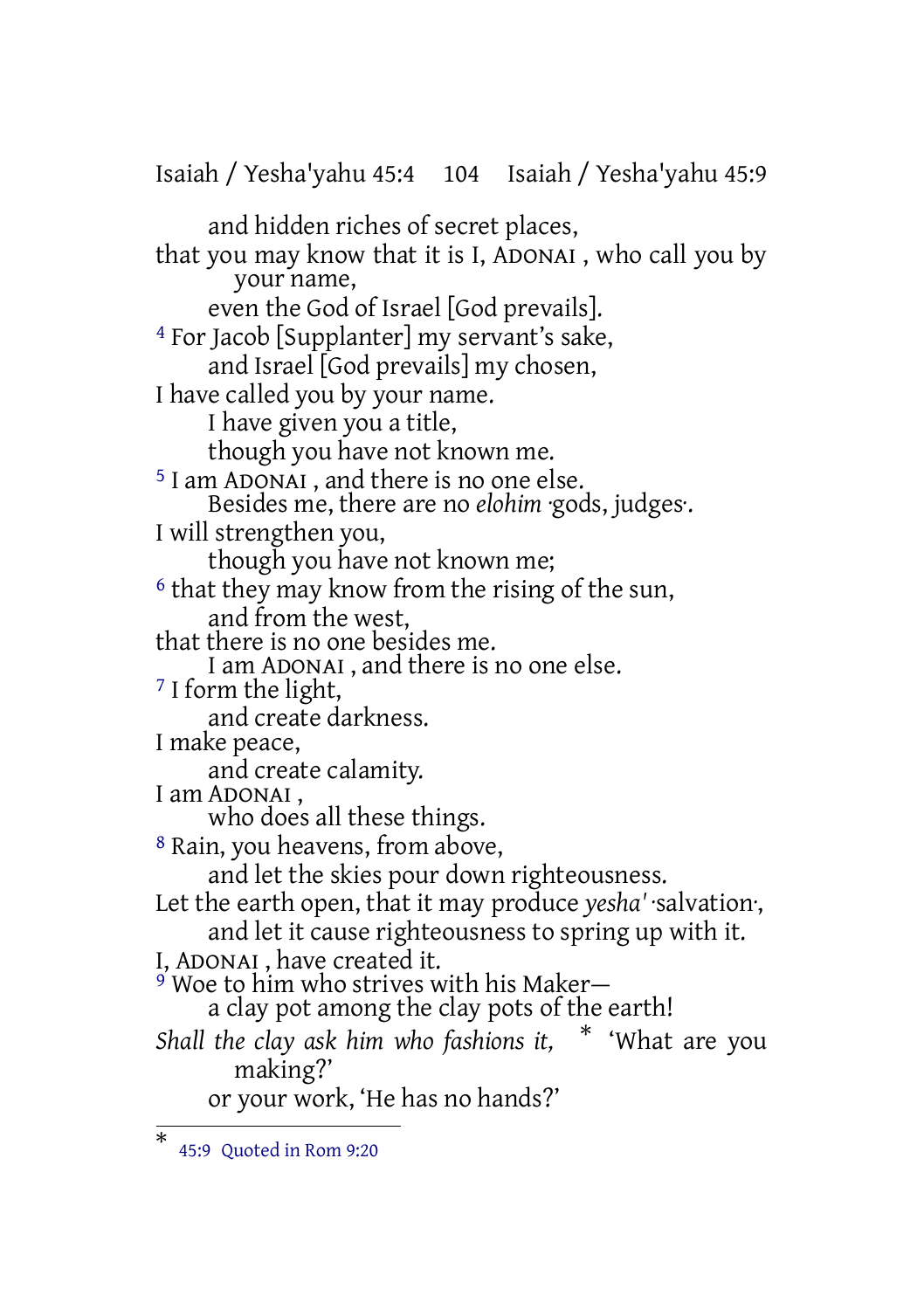Isaiah / Yesha'yahu 45:4 104 Isaiah / Yesha'yahu 45:9 and hidden riches of secret places, that you may know that it is I, ADONAI , who call you by your name, even the God of Israel [God prevails]. 4 For Jacob [Supplanter] my servant's sake, and Israel [God prevails] my chosen, I have called you by your name. I have given you a title, though you have not known me. 5 I am ADONAI , and there is no one else. Besides me, there are no *elohim* ·gods, judges·. I will strengthen you, though you have not known me; 6 that they may know from the rising of the sun, and from the west, that there is no one besides me. I am ADONAI , and there is no one else. 7 I form the light, and create darkness. I make peace, and create calamity. I am ADONAI , who does all these things. 8 Rain, you heavens, from above, and let the skies pour down righteousness. Let the earth open, that it may produce *yesha'* ·salvation·, and let it cause righteousness to spring up with it. I, ADONAI , have created it. 9 Woe to him who strives with his Maker a clay pot among the clay pots of the earth! *Shall the clay ask him who fashions it,* \* 'What are you making?' or your work, 'He has no hands?'

<sup>\*</sup> 45:9 Quoted in Rom 9:20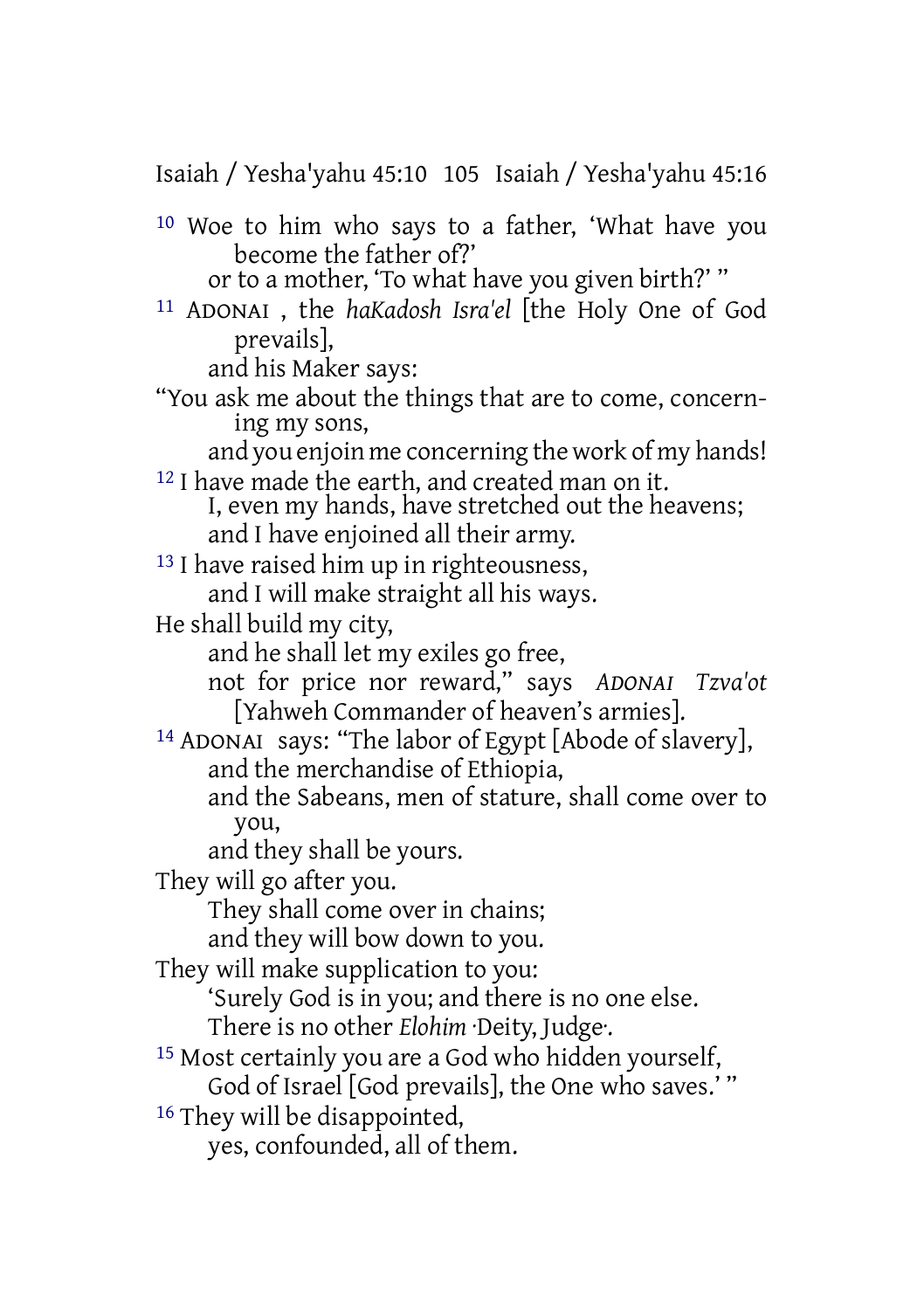Isaiah / Yesha'yahu 45:10 105 Isaiah / Yesha'yahu 45:16

10 Woe to him who says to a father, 'What have you become the father of?'

or to a mother, 'To what have you given birth?' "

11 ADONAI , the *haKadosh Isra'el* [the Holy One of God prevails],

and his Maker says:

"You ask me about the things that are to come, concerning my sons,

and you enjoin me concerning the work of my hands! 12 I have made the earth, and created man on it.

I, even my hands, have stretched out the heavens; and I have enjoined all their army.

13 I have raised him up in righteousness, and I will make straight all his ways.

He shall build my city,

- and he shall let my exiles go free,
- not for price nor reward," says *ADONAI Tzva'ot* [Yahweh Commander of heaven's armies].
- 14 ADONAI says: "The labor of Egypt [Abode of slavery], and the merchandise of Ethiopia,
	- and the Sabeans, men of stature, shall come over to you,

and they shall be yours.

They will go after you.

They shall come over in chains;

and they will bow down to you.

They will make supplication to you:

- 'Surely God is in you; and there is no one else. There is no other *Elohim* ·Deity, Judge·.
- 15 Most certainly you are a God who hidden yourself,

God of Israel [God prevails], the One who saves.' "

<sup>16</sup> They will be disappointed,

yes, confounded, all of them.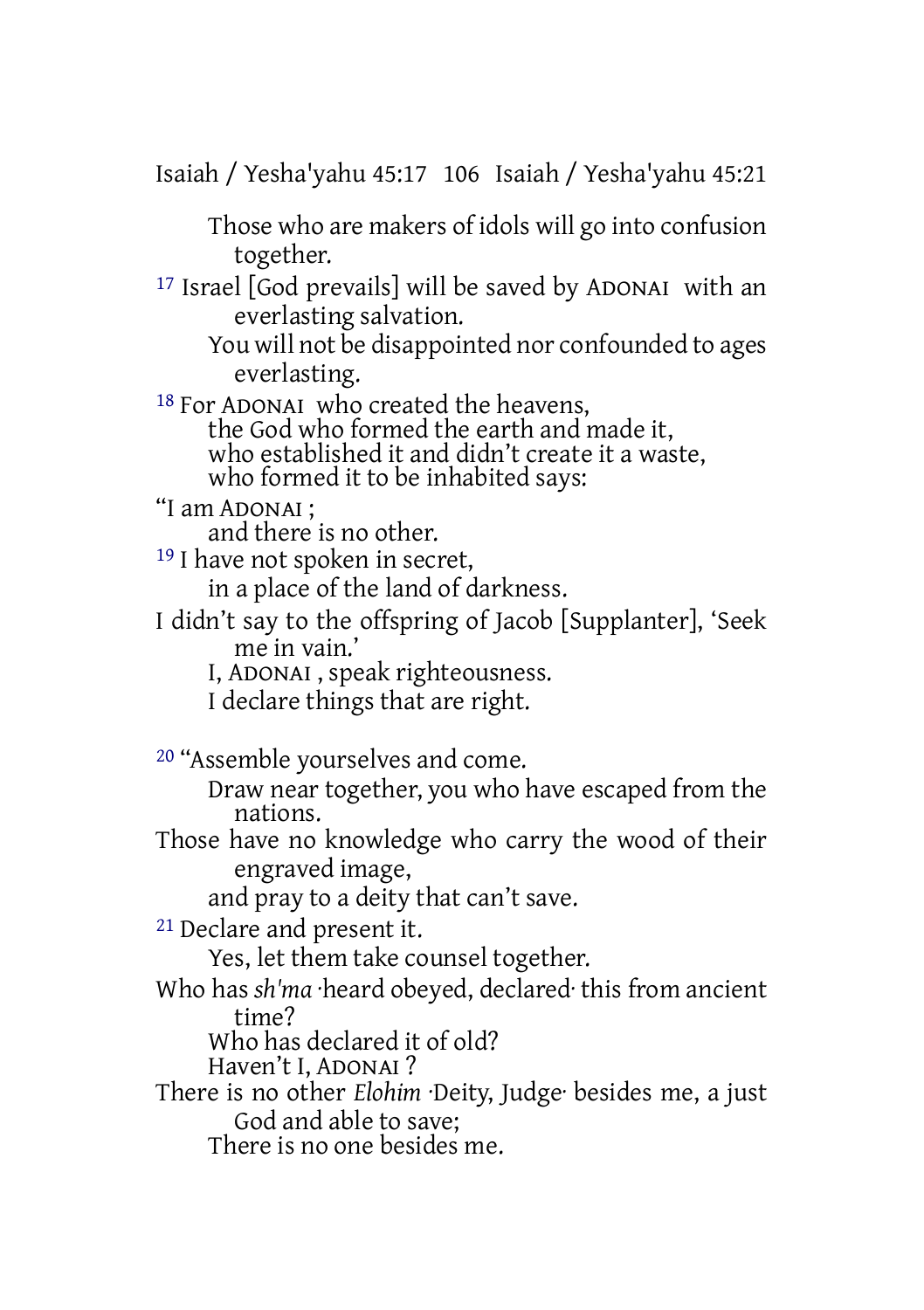Isaiah / Yesha'yahu 45:17 106 Isaiah / Yesha'yahu 45:21

Those who are makers of idols will go into confusion together.

17 Israel [God prevails] will be saved by ADONAI with an everlasting salvation.

You will not be disappointed nor confounded to ages everlasting.

18 For ADONAI who created the heavens, the God who formed the earth and made it, who established it and didn't create it a waste, who formed it to be inhabited says:

"I am ADONAI ;

and there is no other.

19 I have not spoken in secret,

in a place of the land of darkness.

I didn't say to the offspring of Jacob [Supplanter], 'Seek me in vain.'

I, ADONAI , speak righteousness.

I declare things that are right.

20 "Assemble yourselves and come.

Draw near together, you who have escaped from the nations.

Those have no knowledge who carry the wood of their engraved image,

and pray to a deity that can't save.

21 Declare and present it.

Yes, let them take counsel together.

Who has *sh'ma* ·heard obeyed, declared· this from ancient time?

Who has declared it of old?

Haven't I, ADONAI ?

There is no other *Elohim* ·Deity, Judge· besides me, a just God and able to save;

There is no one besides me.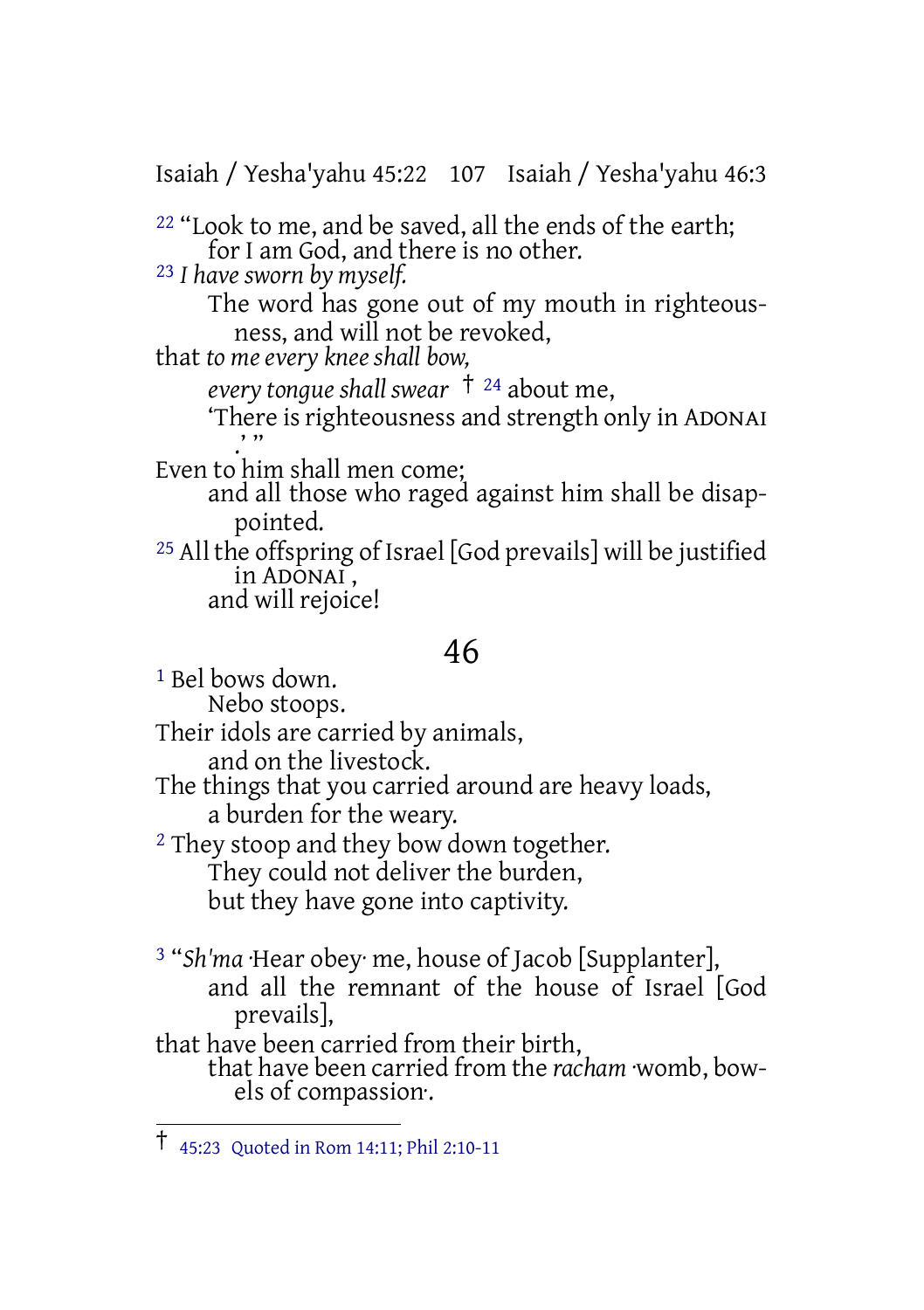Isaiah / Yesha'yahu 45:22 107 Isaiah / Yesha'yahu 46:3

 $22$  "Look to me, and be saved, all the ends of the earth; for I am God, and there is no other. 23 *I have sworn by myself.* The word has gone out of my mouth in righteousness, and will not be revoked, that *to me every knee shall bow,*

*every tongue shall swear* † <sup>24</sup> about me, 'There is righteousness and strength only in ADONAI

.''' Even to him shall men come;

and all those who raged against him shall be disappointed.

25 All the offspring of Israel [God prevails] will be justified in ADONAI, and will rejoice!

## 46

1 Bel bows down. Nebo stoops. Their idols are carried by animals, and on the livestock. The things that you carried around are heavy loads, a burden for the weary. <sup>2</sup> They stoop and they bow down together. They could not deliver the burden, but they have gone into captivity.

3 "*Sh'ma* ·Hear obey· me, house of Jacob [Supplanter], and all the remnant of the house of Israel [God prevails], that have been carried from their birth,

that have been carried from the *racham* ·womb, bowels of compassion·.

<sup>†</sup> 45:23 Quoted in Rom 14:11; Phil 2:10-11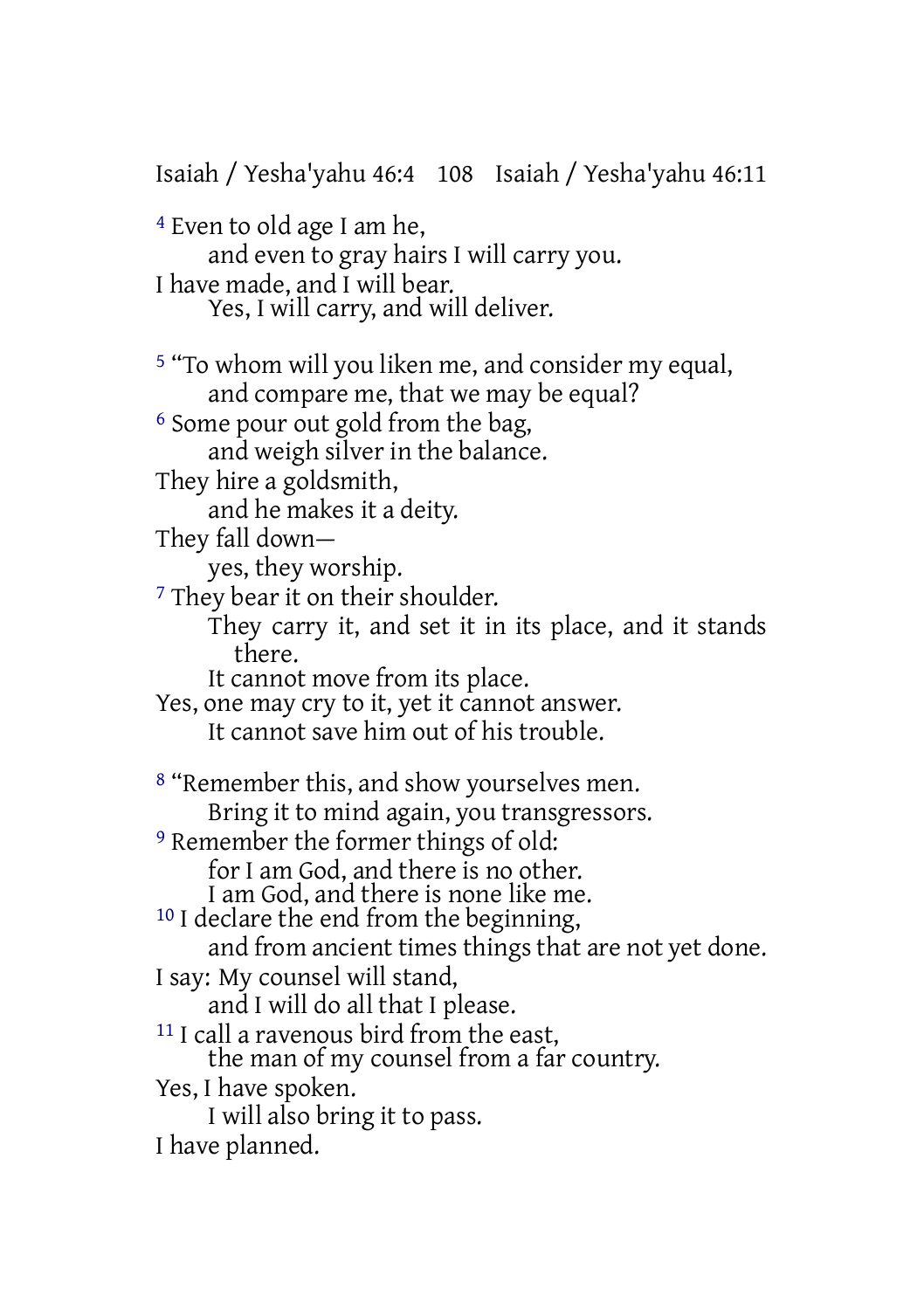Isaiah / Yesha'yahu 46:4 108 Isaiah / Yesha'yahu 46:11 4 Even to old age I am he, and even to gray hairs I will carry you. I have made, and I will bear. Yes, I will carry, and will deliver. 5 "To whom will you liken me, and consider my equal, and compare me, that we may be equal? 6 Some pour out gold from the bag, and weigh silver in the balance. They hire a goldsmith, and he makes it a deity. They fall down yes, they worship. <sup>7</sup> They bear it on their shoulder. They carry it, and set it in its place, and it stands there. It cannot move from its place. Yes, one may cry to it, yet it cannot answer. It cannot save him out of his trouble. 8 "Remember this, and show yourselves men. Bring it to mind again, you transgressors. 9 Remember the former things of old: for I am God, and there is no other. I am God, and there is none like me. 10 I declare the end from the beginning, and from ancient times things that are not yet done. I say: My counsel will stand, and I will do all that I please. 11 I call a ravenous bird from the east, the man of my counsel from a far country. Yes, I have spoken. I will also bring it to pass. I have planned.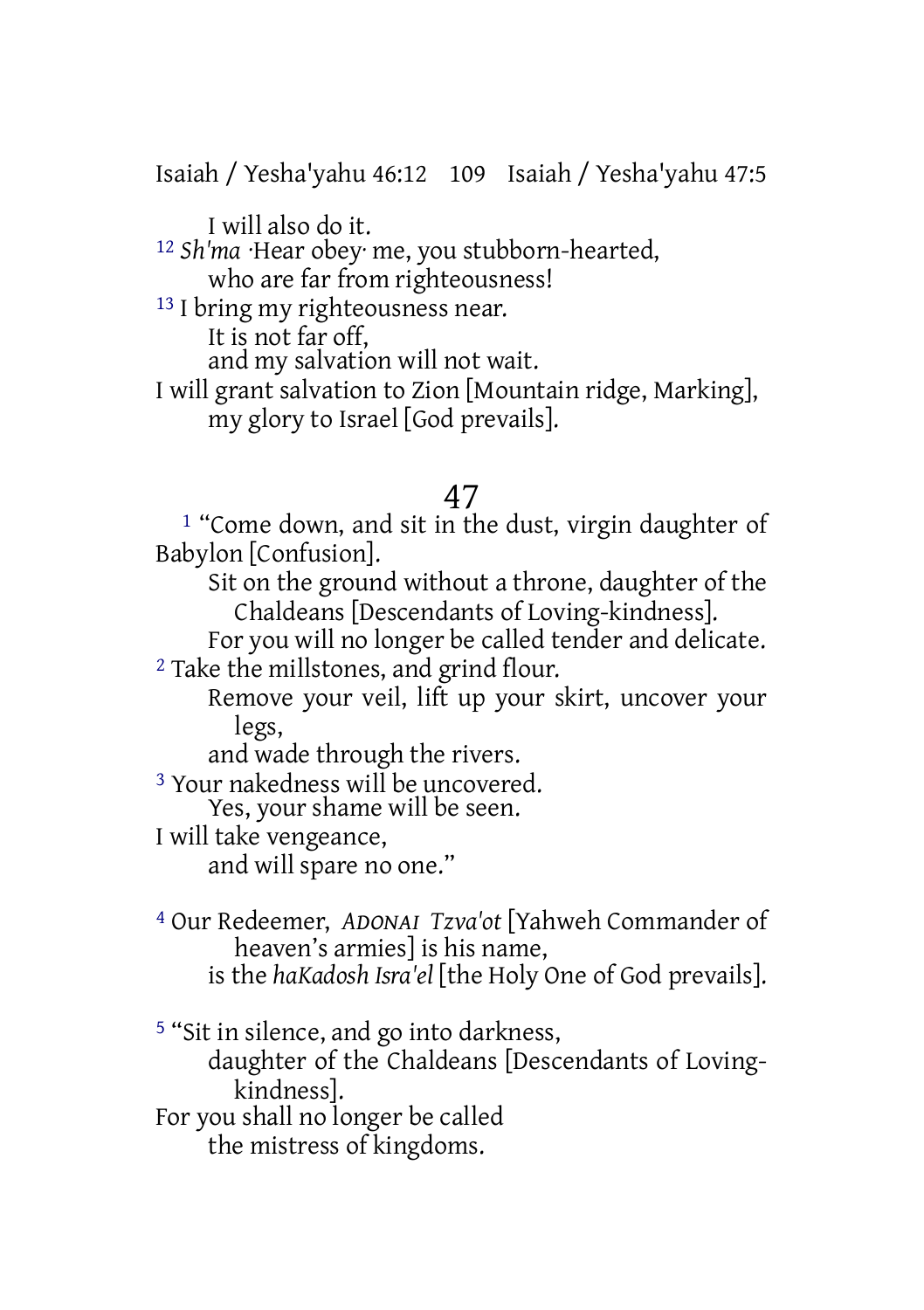Isaiah / Yesha'yahu 46:12 109 Isaiah / Yesha'yahu 47:5

I will also do it.

12 *Sh'ma* ·Hear obey· me, you stubborn-hearted, who are far from righteousness!

<sup>13</sup> I bring my righteousness near.

It is not far off,

and my salvation will not wait.

I will grant salvation to Zion [Mountain ridge, Marking], my glory to Israel [God prevails].

### 47

1 "Come down, and sit in the dust, virgin daughter of Babylon [Confusion].

Sit on the ground without a throne, daughter of the Chaldeans [Descendants of Loving-kindness].

For you will no longer be called tender and delicate. 2 Take the millstones, and grind flour.

Remove your veil, lift up your skirt, uncover your legs,

and wade through the rivers.

3 Your nakedness will be uncovered.

Yes, your shame will be seen.

I will take vengeance,

and will spare no one."

4 Our Redeemer, *ADONAI Tzva'ot* [Yahweh Commander of heaven's armies] is his name,

is the *haKadosh Isra'el* [the Holy One of God prevails].

5 "Sit in silence, and go into darkness,

daughter of the Chaldeans [Descendants of Lovingkindness].

For you shall no longer be called

the mistress of kingdoms.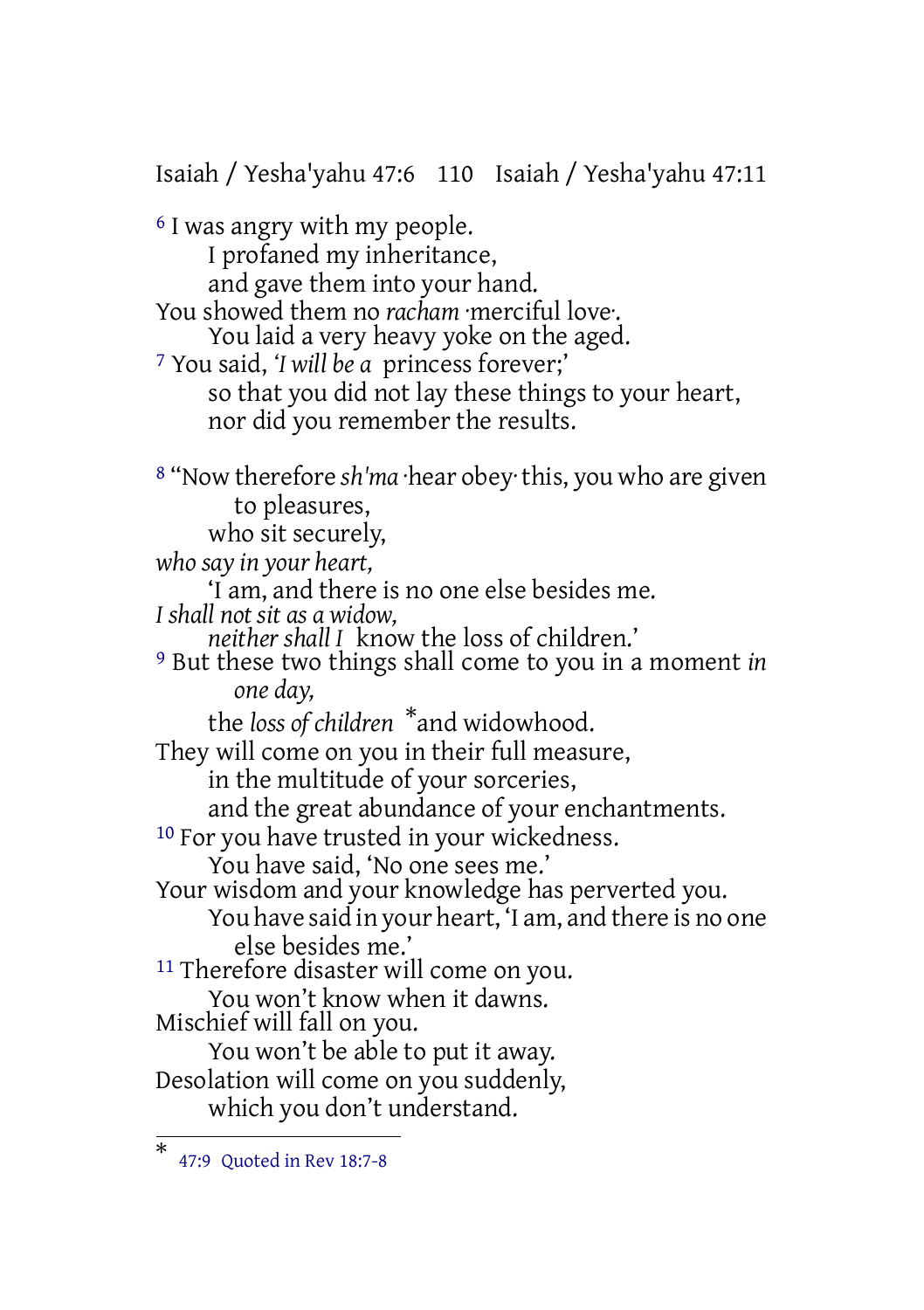Isaiah / Yesha'yahu 47:6 110 Isaiah / Yesha'yahu 47:11 6 I was angry with my people. I profaned my inheritance, and gave them into your hand. You showed them no *racham* ·merciful love·. You laid a very heavy yoke on the aged. 7 You said, *'I will be a* princess forever;' so that you did not lay these things to your heart, nor did you remember the results. 8 "Now therefore *sh'ma* ·hear obey· this, you who are given to pleasures, who sit securely, *who say in your heart,* 'I am, and there is no one else besides me. *I shall not sit as a widow, neither shall I* know the loss of children.' 9 But these two things shall come to you in a moment *in one day,* the *loss of children* \*and widowhood. They will come on you in their full measure, in the multitude of your sorceries, and the great abundance of your enchantments. <sup>10</sup> For you have trusted in your wickedness. You have said, 'No one sees me.' Your wisdom and your knowledge has perverted you. You have said in your heart, 'I am, and there is no one else besides me.' <sup>11</sup> Therefore disaster will come on you. You won't know when it dawns. Mischief will fall on you. You won't be able to put it away. Desolation will come on you suddenly, which you don't understand.

<sup>\*</sup> 47:9 Quoted in Rev 18:7-8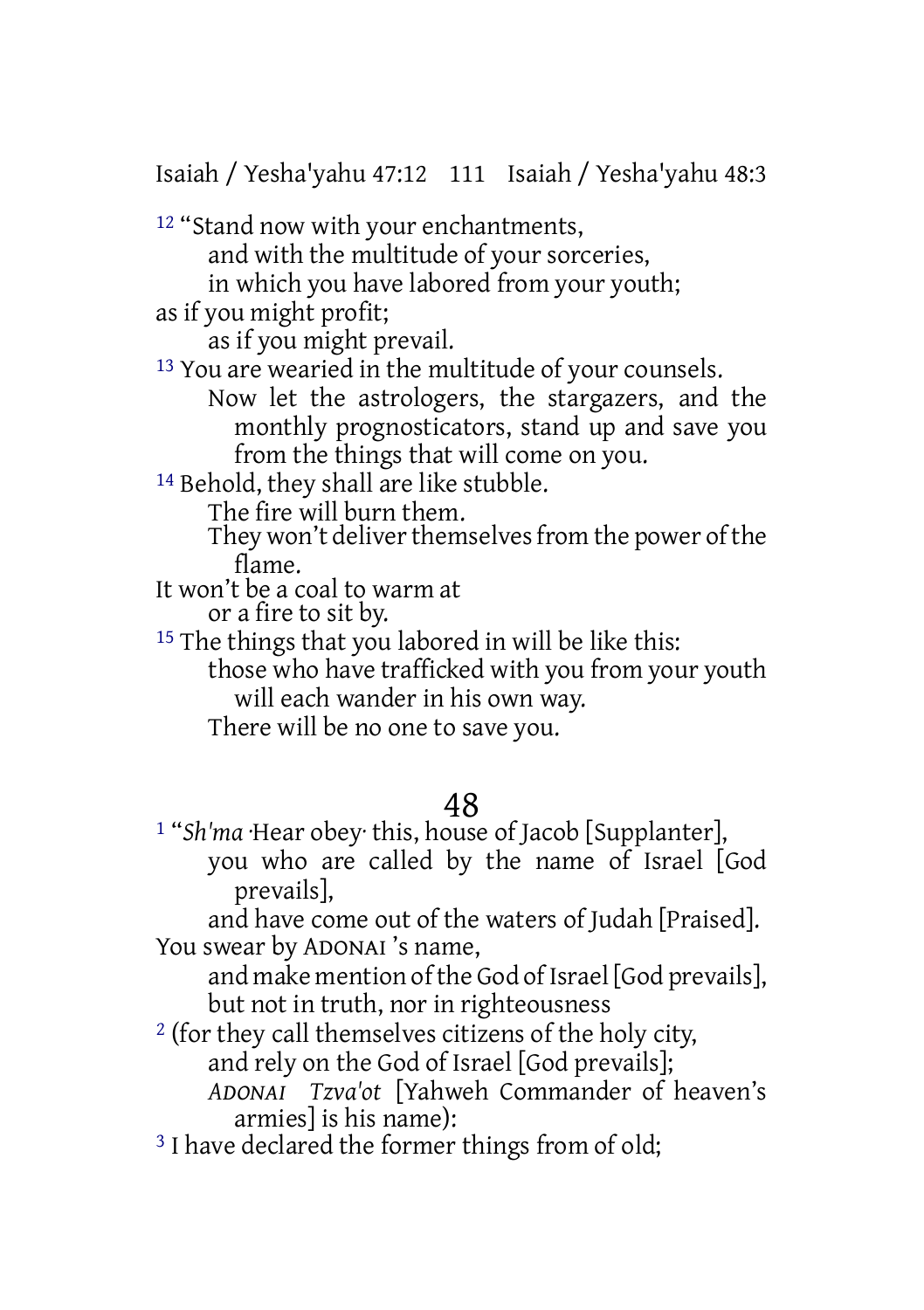Isaiah / Yesha'yahu 47:12 111 Isaiah / Yesha'yahu 48:3

<sup>12</sup> "Stand now with your enchantments, and with the multitude of your sorceries, in which you have labored from your youth; as if you might profit; as if you might prevail. 13 You are wearied in the multitude of your counsels. Now let the astrologers, the stargazers, and the monthly prognosticators, stand up and save you from the things that will come on you. 14 Behold, they shall are like stubble. The fire will burn them. They won't deliver themselves from the power of the flame. It won't be a coal to warm at or a fire to sit by. <sup>15</sup> The things that you labored in will be like this: those who have trafficked with you from your youth

will each wander in his own way.

There will be no one to save you.

### 48

1 "*Sh'ma* ·Hear obey· this, house of Jacob [Supplanter], you who are called by the name of Israel [God prevails],

and have come out of the waters of Judah [Praised]. You swear by ADONAI 's name,

and make mention of the God of Israel [God prevails], but not in truth, nor in righteousness

2 (for they call themselves citizens of the holy city, and rely on the God of Israel [God prevails];

*ADONAI Tzva'ot* [Yahweh Commander of heaven's armies] is his name):

<sup>3</sup> I have declared the former things from of old: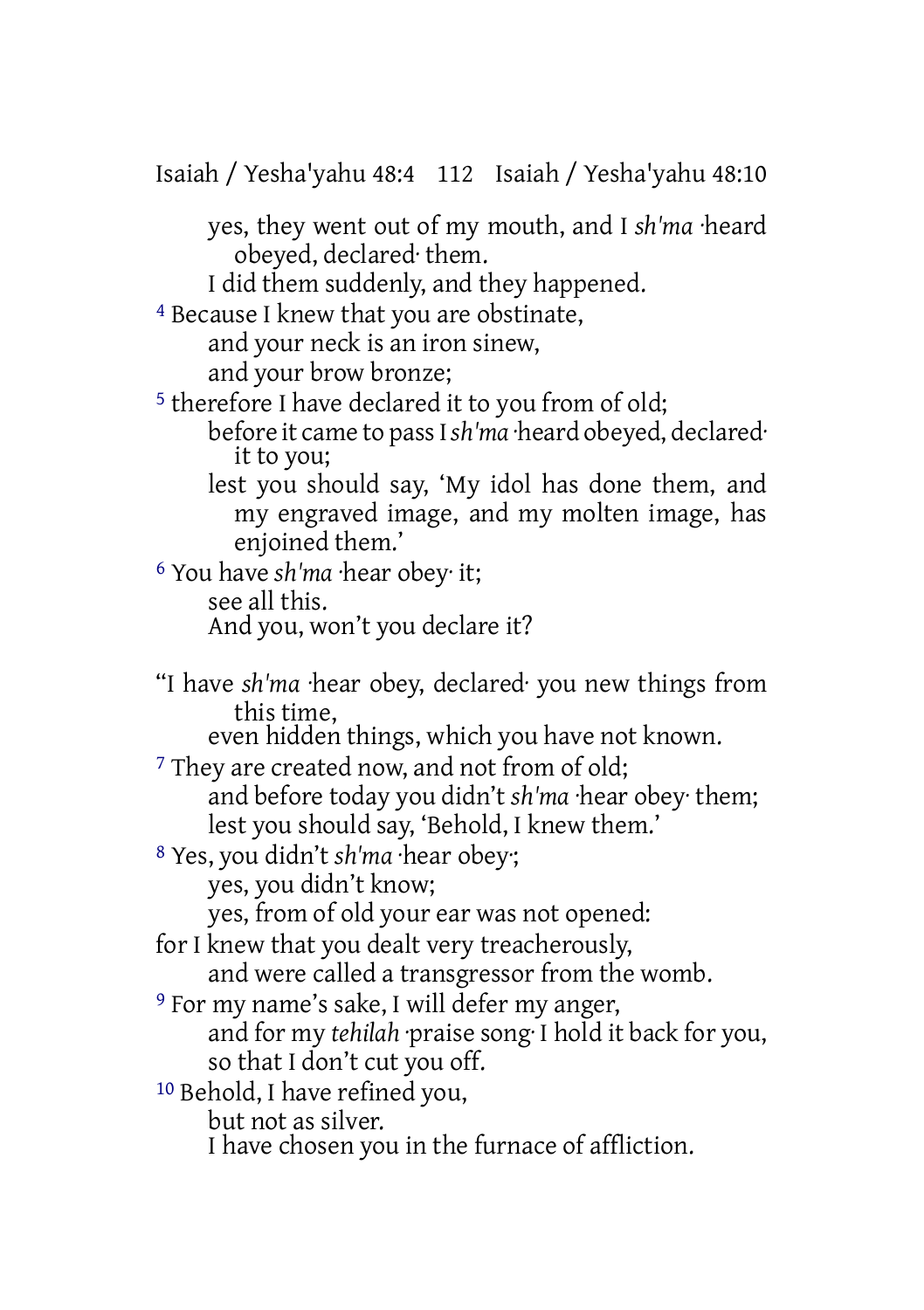Isaiah / Yesha'yahu 48:4 112 Isaiah / Yesha'yahu 48:10

yes, they went out of my mouth, and I *sh'ma* ·heard obeyed, declared· them.

I did them suddenly, and they happened.

4 Because I knew that you are obstinate, and your neck is an iron sinew, and your brow bronze;

5 therefore I have declared it to you from of old;

before it came to passI*sh'ma* ·heard obeyed, declared· it to you;

lest you should say, 'My idol has done them, and my engraved image, and my molten image, has enjoined them.'

6 You have *sh'ma* ·hear obey· it; see all this. And you, won't you declare it?

"I have *sh'ma* ·hear obey, declared· you new things from this time,

even hidden things, which you have not known.

<sup>7</sup> They are created now, and not from of old; and before today you didn't *sh'ma* ·hear obey· them; lest you should say, 'Behold, I knew them.'

8 Yes, you didn't *sh'ma* ·hear obey·; yes, you didn't know;

yes, from of old your ear was not opened:

for I knew that you dealt very treacherously,

and were called a transgressor from the womb.

9 For my name's sake, I will defer my anger, and for my *tehilah* ·praise song· I hold it back for you, so that I don't cut you off.

10 Behold, I have refined you,

but not as silver.

I have chosen you in the furnace of affliction.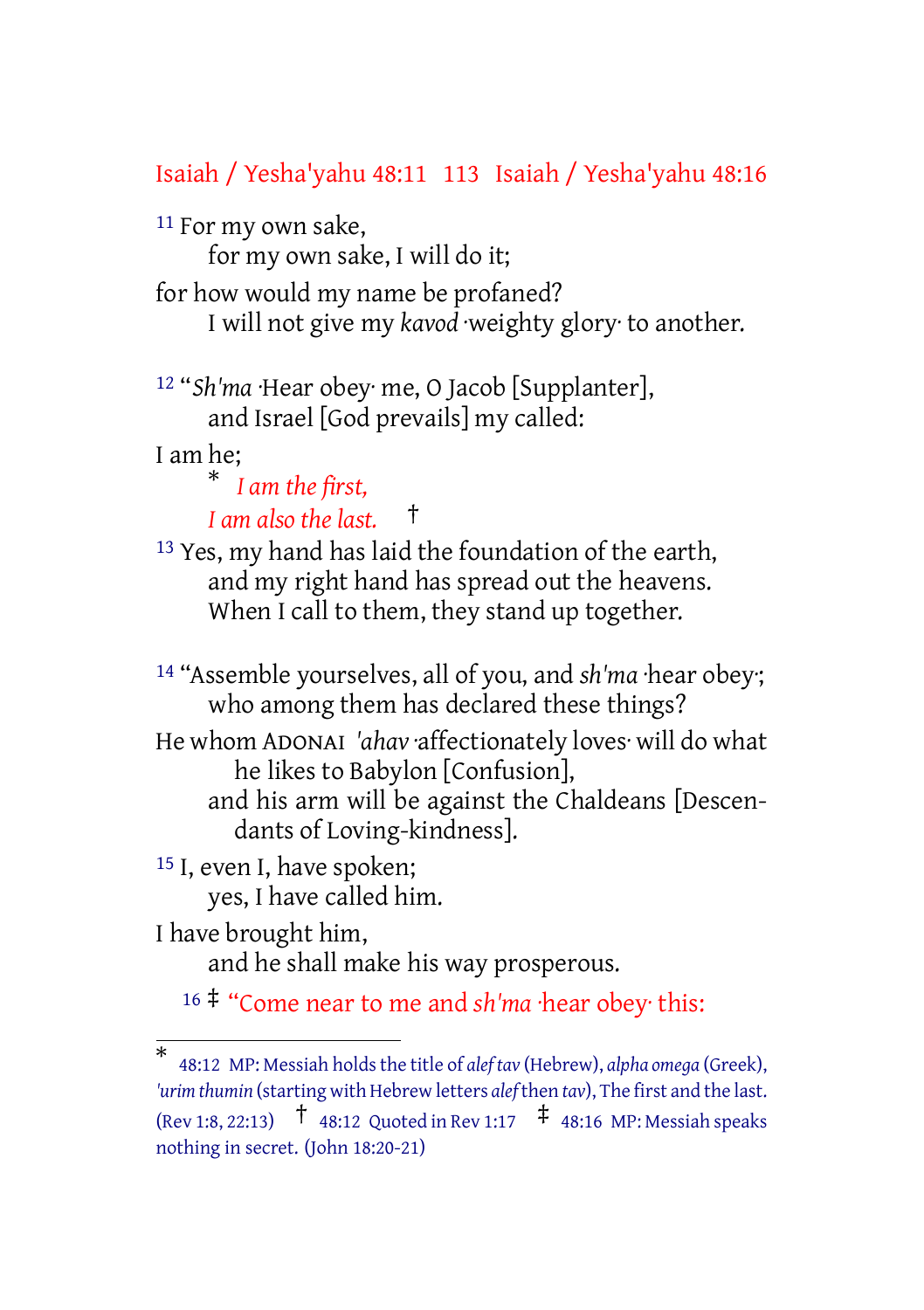#### Isaiah / Yesha'yahu 48:11 113 Isaiah / Yesha'yahu 48:16

<sup>11</sup> For my own sake,

for my own sake, I will do it;

for how would my name be profaned? I will not give my *kavod* ·weighty glory· to another.

12 "*Sh'ma* ·Hear obey· me, O Jacob [Supplanter], and Israel [God prevails] my called:

I am he;

\* *I am the first, I am also the last.* †

13 Yes, my hand has laid the foundation of the earth, and my right hand has spread out the heavens. When I call to them, they stand up together.

14 "Assemble yourselves, all of you, and *sh'ma* ·hear obey·; who among them has declared these things?

He whom ADONAI *'ahav* ·affectionately loves· will do what he likes to Babylon [Confusion], and his arm will be against the Chaldeans [Descen-

dants of Loving-kindness].

15 I, even I, have spoken; yes, I have called him.

I have brought him,

and he shall make his way prosperous.

<sup>16</sup> ‡ "Come near to me and *sh'ma* ·hear obey· this:

<sup>\*</sup> 48:12 MP: Messiah holds the title of *alef* tav (Hebrew), *alpha* omega (Greek), 'urim *thumin* (starting with Hebrew letters *alef* then *tav*), The first and the last. (Rev 1:8, 22:13)  $\frac{1}{48:12}$  Quoted in Rev 1:17  $\frac{1}{4}$  48:16 MP: Messiah speaks nothing in secret. (John 18:20-21)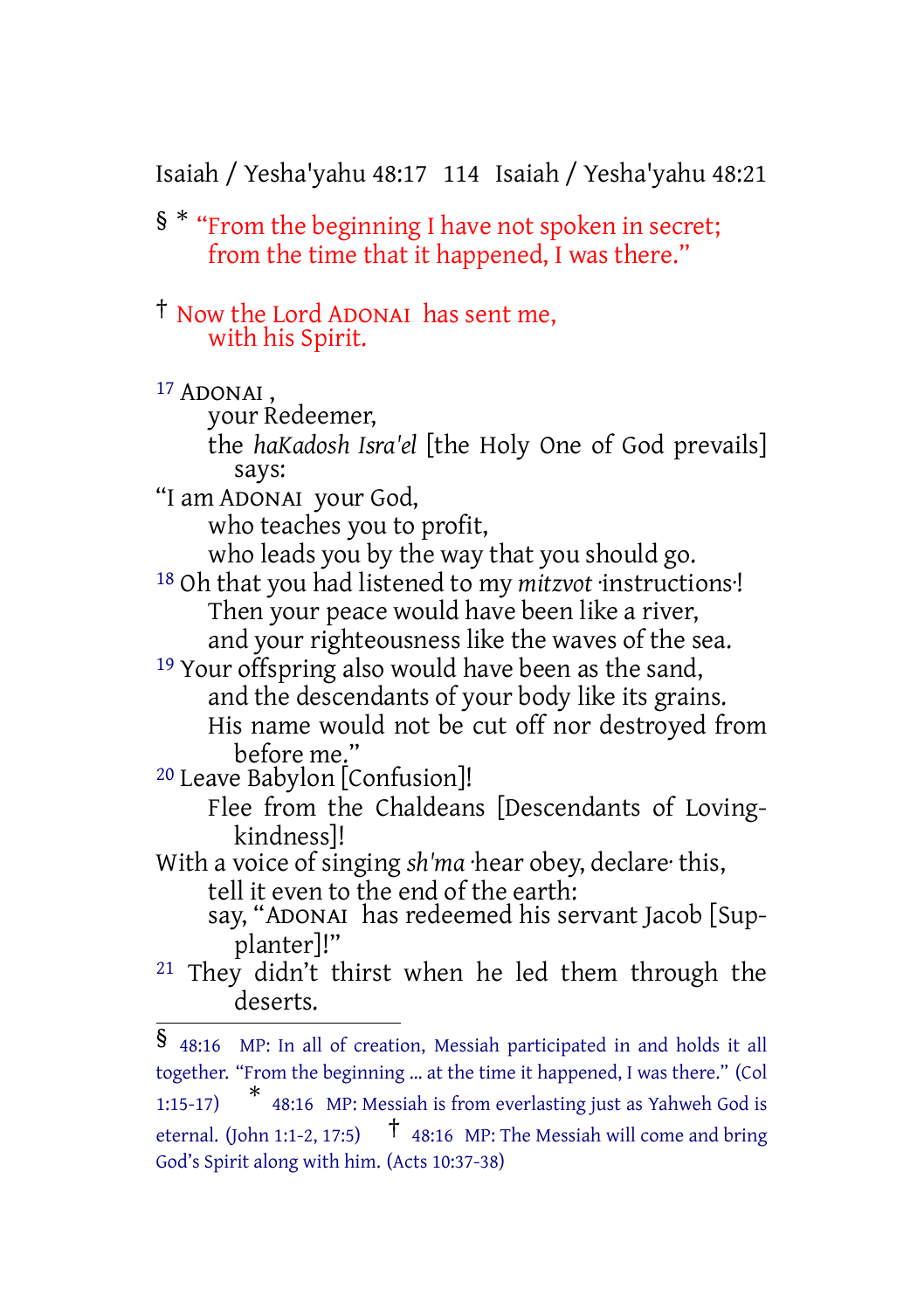Isaiah / Yesha'yahu 48:17 114 Isaiah / Yesha'yahu 48:21

§ \* "From the beginning I have not spoken in secret; from the time that it happened, I was there."

† Now the Lord ADONAI has sent me, with his Spirit.

17 ADONAI ,

your Redeemer, the *haKadosh Isra'el* [the Holy One of God prevails] says:

"I am ADONAI your God,

who teaches you to profit,

who leads you by the way that you should go.

18 Oh that you had listened to my *mitzvot* ·instructions·! Then your peace would have been like a river, and your righteousness like the waves of the sea.

19 Your offspring also would have been as the sand, and the descendants of your body like its grains. His name would not be cut off nor destroyed from before me."

20 Leave Babylon [Confusion]!

Flee from the Chaldeans [Descendants of Lovingkindness]!

With a voice of singing *sh'ma* ·hear obey, declare· this, tell it even to the end of the earth:

say, "ADONAI has redeemed his servant Jacob [Supplanter]!"

21 They didn't thirst when he led them through the deserts.

<sup>§</sup> 48:16 MP: In all of creation, Messiah participated in and holds it all together. "From the beginning … at the time it happened, I was there." (Col 1:15-17) \* 48:16 MP: Messiah is from everlasting just as Yahweh God is eternal. (John 1:1-2, 17:5)  $\uparrow$  48:16 MP: The Messiah will come and bring God's Spirit along with him. (Acts 10:37-38)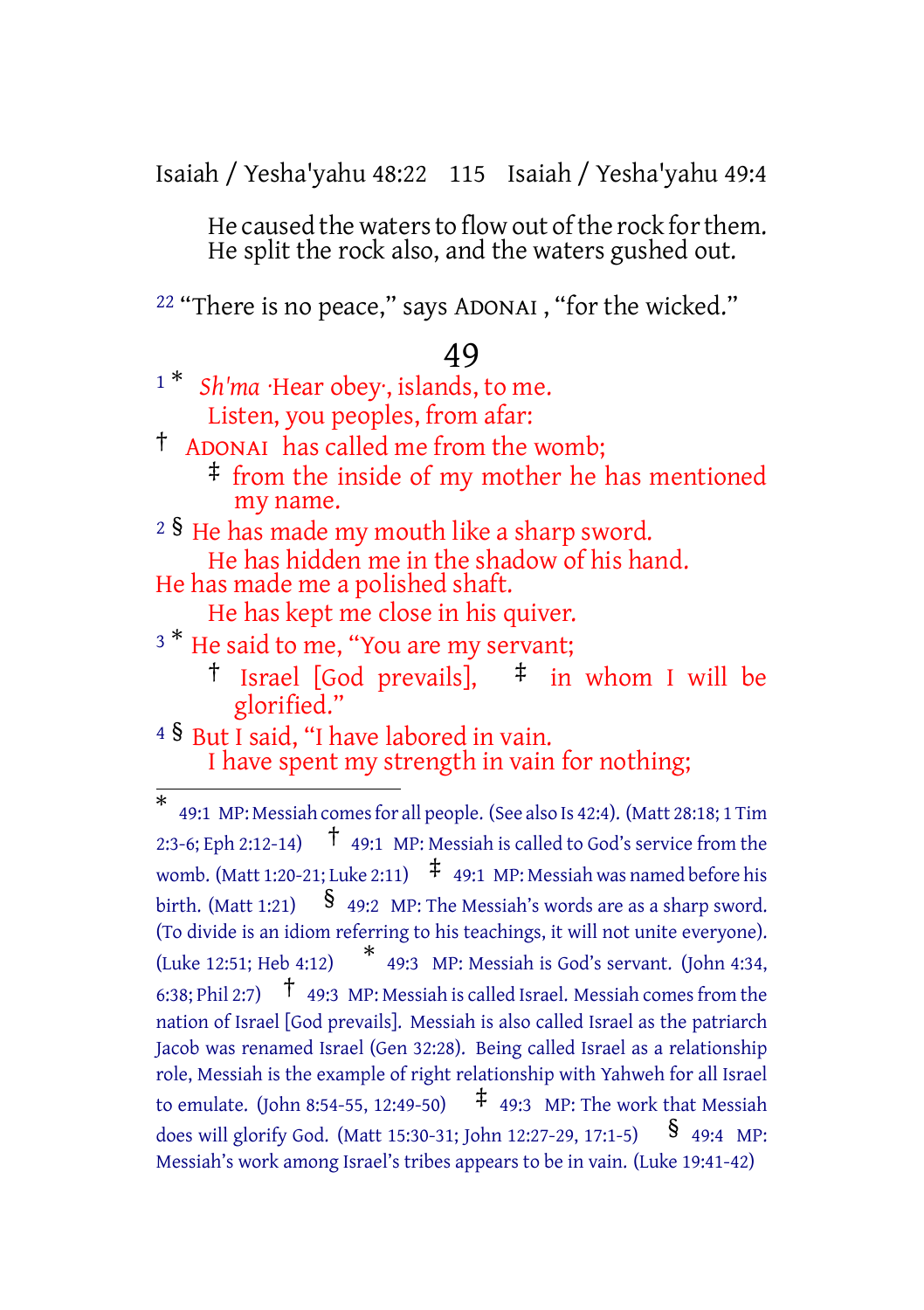Isaiah / Yesha'yahu 48:22 115 Isaiah / Yesha'yahu 49:4

He caused the waters to flow out of the rock for them. He split the rock also, and the waters gushed out.

22 "There is no peace," says ADONAI , "for the wicked."

#### 49

<sup>1</sub> \*</sup> *Sh'ma* ·Hear obey·, islands, to me. Listen, you peoples, from afar:

† ADONAI has called me from the womb;

- ‡ from the inside of my mother he has mentioned my name.
- $2 \text{ s}$  He has made my mouth like a sharp sword. He has hidden me in the shadow of his hand.
- He has made me a polished shaft.
	- He has kept me close in his quiver.
- <sup>3</sup> \* He said to me, "You are my servant;
	- <sup>†</sup> Israel [God prevails],  $\pm$  in whom I will be glorified."

<sup>4</sup> § But I said, "I have labored in vain. I have spent my strength in vain for nothing;

<sup>\*</sup> 49:1 MP: Messiah comesfor all people. (See also Is 42:4). (Matt 28:18; 1 Tim 2:3-6; Eph 2:12-14) † 49:1 MP: Messiah is called to God's service from the womb. (Matt 1:20-21; Luke 2:11)  $\pm$  49:1 MP: Messiah was named before his birth. (Matt 1:21)  $\frac{1}{9}$  49:2 MP: The Messiah's words are as a sharp sword. (To divide is an idiom referring to his teachings, it will not unite everyone). (Luke 12:51; Heb 4:12) \* 49:3 MP: Messiah is God's servant. (John 4:34, 6:38; Phil 2:7)  $\uparrow$  49:3 MP: Messiah is called Israel. Messiah comes from the nation of Israel [God prevails]. Messiah is also called Israel as the patriarch Jacob was renamed Israel (Gen 32:28). Being called Israel as a relationship role, Messiah is the example of right relationship with Yahweh for all Israel to emulate. (John 8:54-55, 12:49-50)  $\uparrow$  49:3 MP: The work that Messiah does will glorify God. (Matt 15:30-31; John 12:27-29, 17:1-5) <br>
§ 49:4 MP: Messiah's work among Israel's tribes appears to be in vain. (Luke 19:41-42)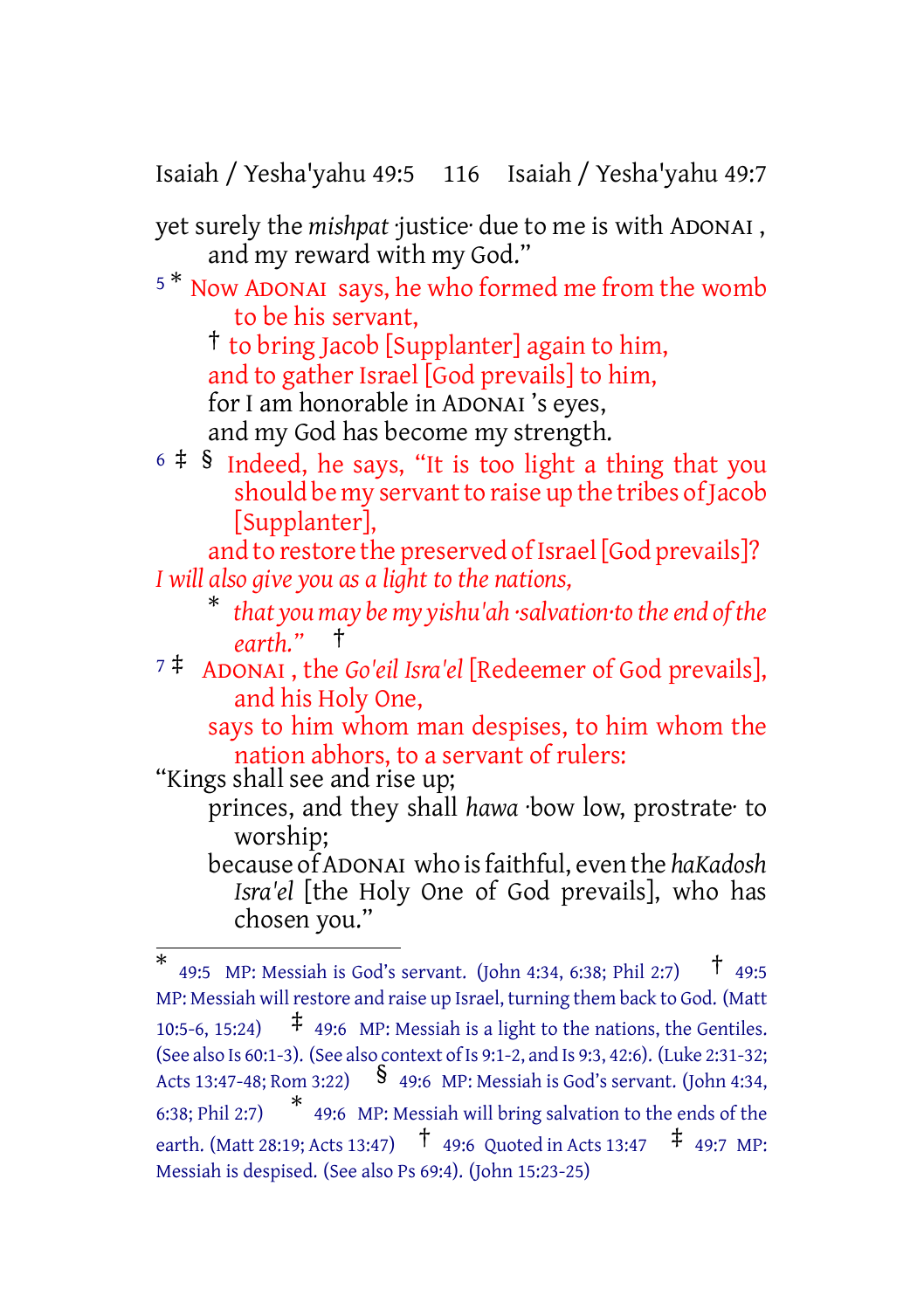Isaiah / Yesha'yahu 49:5 116 Isaiah / Yesha'yahu 49:7

yet surely the *mishpat* ·justice· due to me is with ADONAI , and my reward with my God."

<sup>5</sup> \* Now ADONAI says, he who formed me from the womb to be his servant,

† to bring Jacob [Supplanter] again to him,

and to gather Israel [God prevails] to him,

for I am honorable in ADONAI 's eyes,

and my God has become my strength.

 $6 \div 8$  Indeed, he says, "It is too light a thing that you should be my servant to raise up the tribes of Jacob [Supplanter],

and to restore the preserved of Israel [God prevails]? *I will also give you as a light to the nations,*

- \* *that you may be my yishu'ah ·salvation·to theend of the earth."* †
- <sup>7</sup> ‡ ADONAI , the *Go'eil Isra'el* [Redeemer of God prevails], and his Holy One,

says to him whom man despises, to him whom the nation abhors, to a servant of rulers:

"Kings shall see and rise up;

princes, and they shall *hawa* ·bow low, prostrate· to worship;

because of ADONAI who is faithful, even the *haKadosh Isra'el* [the Holy One of God prevails], who has chosen you."

<sup>\*</sup> 49:5 MP: Messiah is God's servant. (John 4:34, 6:38; Phil 2:7) † 49:5 MP: Messiah will restore and raise up Israel, turning them back to God. (Matt 10:5-6, 15:24)  $\uparrow$  49:6 MP: Messiah is a light to the nations, the Gentiles. (See also Is 60:1-3). (See also context of Is 9:1-2, and Is 9:3, 42:6). (Luke 2:31-32; Acts 13:47-48; Rom 3:22)  $\frac{\$}{9}$  49:6 MP: Messiah is God's servant. (John 4:34, 6:38; Phil 2:7) \* 49:6 MP: Messiah will bring salvation to the ends of the earth. (Matt 28:19: Acts 13:47)  $\uparrow$  49:6 Ouoted in Acts 13:47  $\uparrow$  49:7 MP: Messiah is despised. (See also Ps 69:4). (John 15:23-25)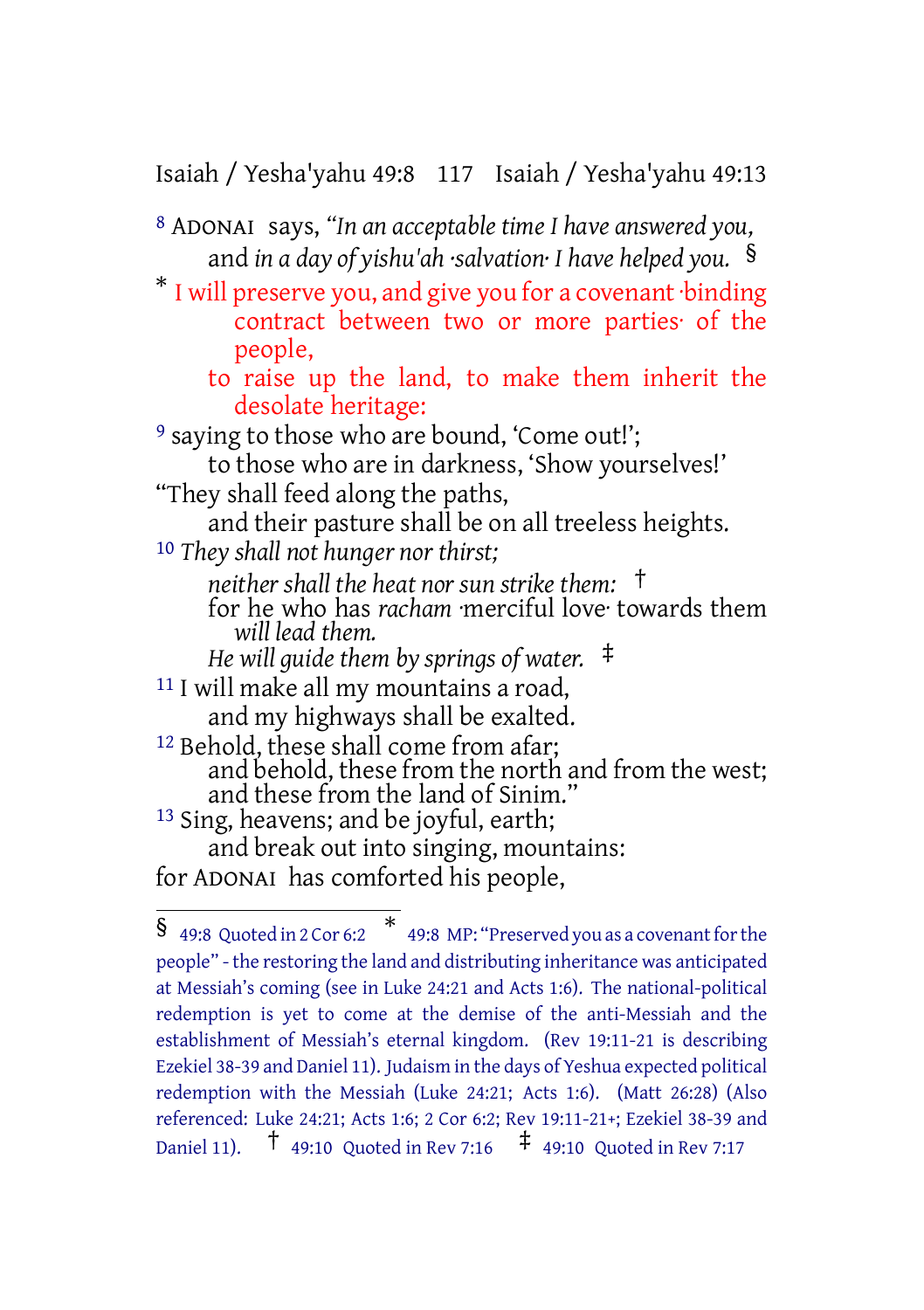Isaiah / Yesha'yahu 49:8 117 Isaiah / Yesha'yahu 49:13

- 8 ADONAI says, *"In an acceptable time I have answered you,* and *in a day of yishu'ah ·salvation· I have helped you.* §
- \* I will preserve you, and give you for a covenant ·binding contract between two or more parties· of the people,
	- to raise up the land, to make them inherit the desolate heritage:

<sup>9</sup> saying to those who are bound, 'Come out!'; to those who are in darkness, 'Show yourselves!' "They shall feed along the paths, and their pasture shall be on all treeless heights. 10 *They shall not hunger nor thirst; neither shall the heat nor sun strike them:* † for he who has *racham* ·merciful love· towards them *will lead them. He will guide them by springs of water.* ‡ 11 I will make all my mountains a road, and my highways shall be exalted. <sup>12</sup> Behold, these shall come from afar; and behold, these from the north and from the west; and these from the land of Sinim." 13 Sing, heavens; and be joyful, earth; and break out into singing, mountains: for ADONAI has comforted his people,

 $\frac{1}{9}$  49:8 Quoted in 2 Cor 6:2  $\frac{*}{4}$  49:8 MP: "Preserved you as a covenant for the people" - the restoring the land and distributing inheritance was anticipated at Messiah's coming (see in Luke 24:21 and Acts 1:6). The national-political redemption is yet to come at the demise of the anti-Messiah and the establishment of Messiah's eternal kingdom. (Rev 19:11-21 is describing Ezekiel 38-39 and Daniel 11). Judaism in the days of Yeshua expected political redemption with the Messiah (Luke 24:21; Acts 1:6). (Matt 26:28) (Also referenced: Luke 24:21; Acts 1:6; 2 Cor 6:2; Rev 19:11-21+; Ezekiel 38-39 and Daniel 11). † 49:10 Quoted in Rev 7:16 ‡ 49:10 Quoted in Rev 7:17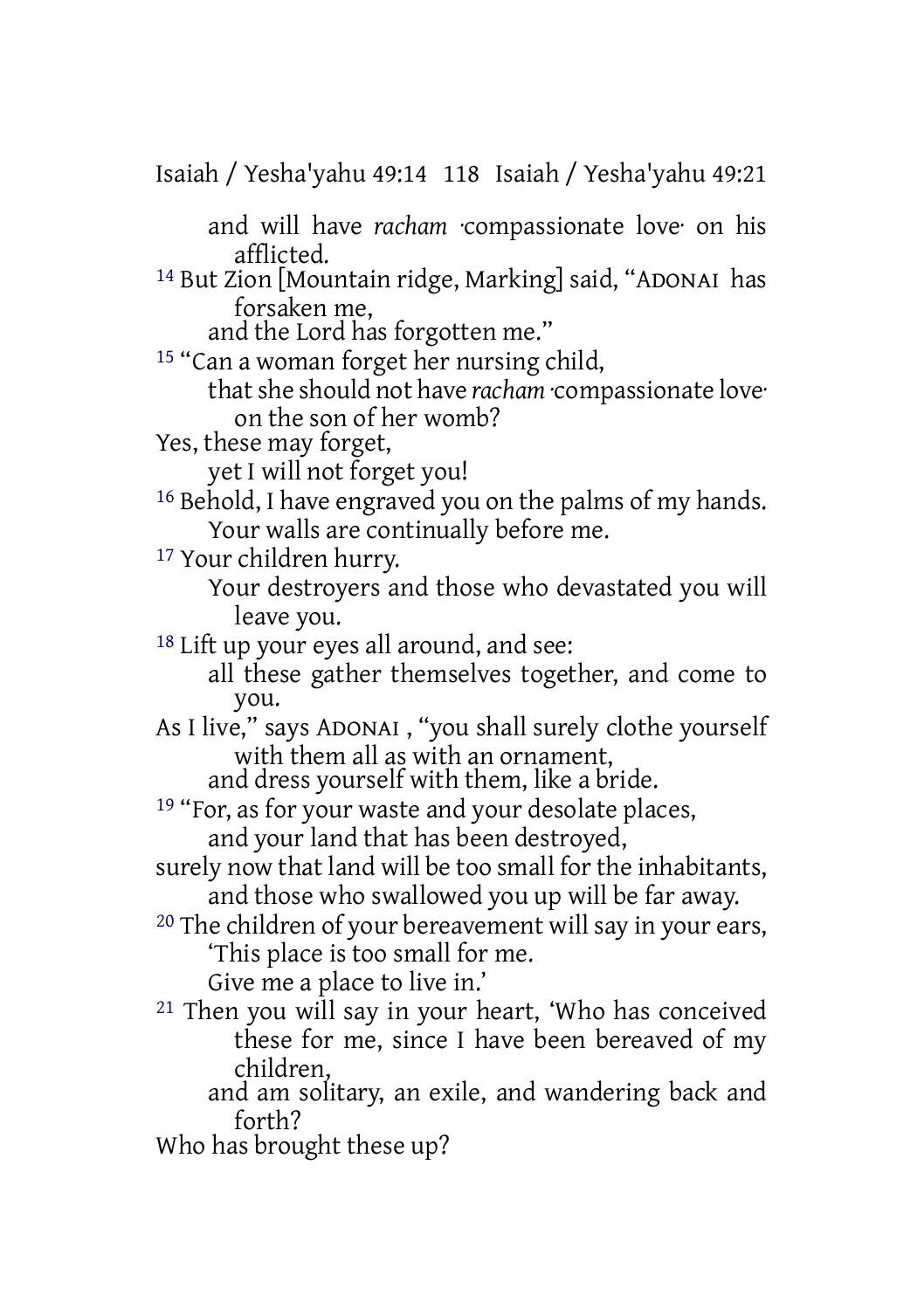Isaiah / Yesha'yahu 49:14 118 Isaiah / Yesha'yahu 49:21 and will have *racham* ·compassionate love· on his afflicted. 14 But Zion [Mountain ridge, Marking] said, "ADONAI has forsaken me, and the Lord has forgotten me." 15 "Can a woman forget her nursing child, thatshe should not have *racham* ·compassionate love· on the son of her womb? Yes, these may forget, yet I will not forget you! 16 Behold, I have engraved you on the palms of my hands. Your walls are continually before me. 17 Your children hurry. Your destroyers and those who devastated you will leave you. 18 Lift up your eyes all around, and see: all these gather themselves together, and come to you. As I live," says ADONAI , "you shall surely clothe yourself with them all as with an ornament, and dress yourself with them, like a bride. <sup>19</sup> "For, as for your waste and your desolate places, and your land that has been destroyed, surely now that land will be too small for the inhabitants, and those who swallowed you up will be far away. 20 The children of your bereavement will say in your ears, 'This place is too small for me. Give me a place to live in.' 21 Then you will say in your heart, 'Who has conceived these for me, since I have been bereaved of my children, and am solitary, an exile, and wandering back and forth? Who has brought these up?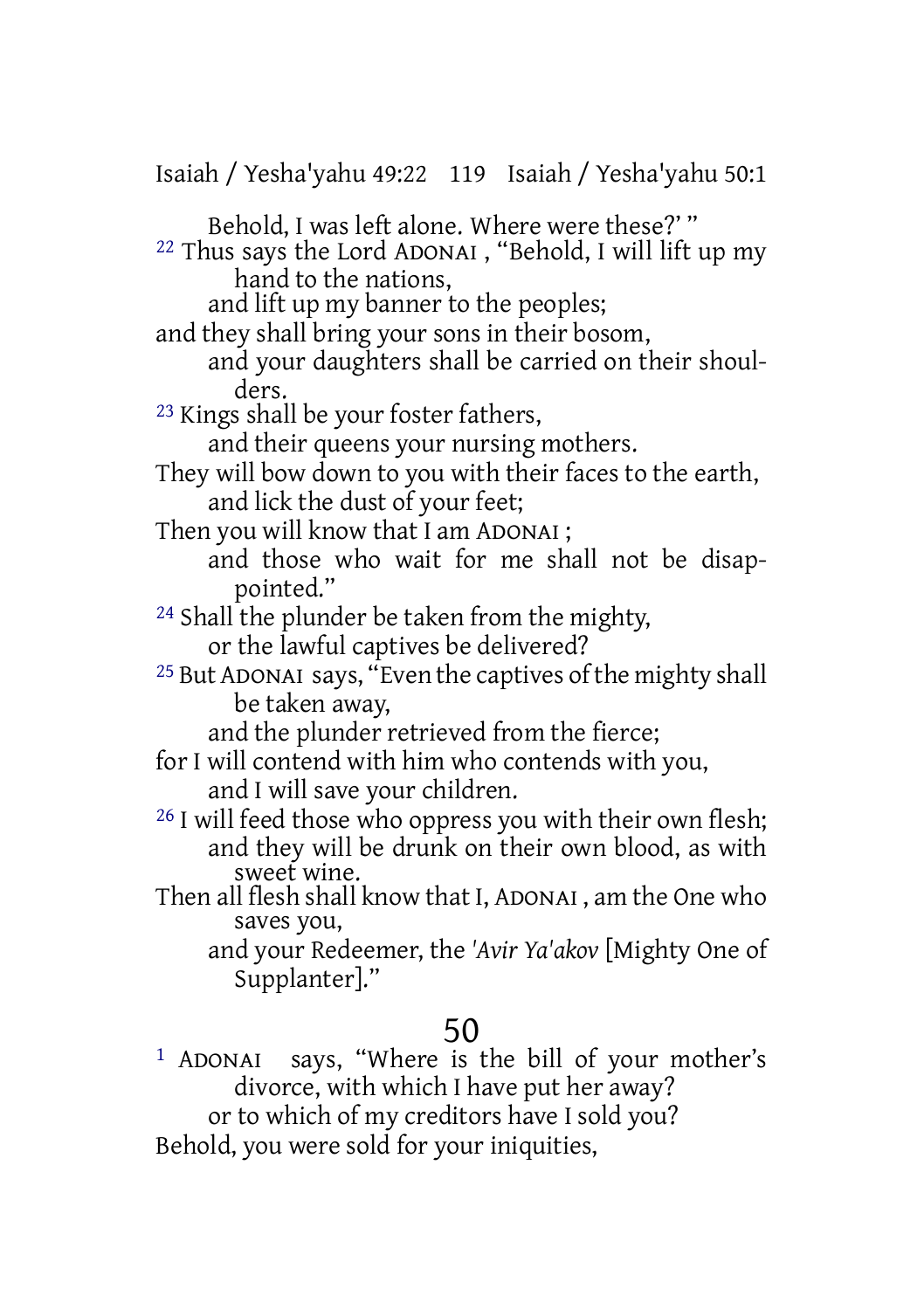| Isaiah / Yesha'yahu 49:22 119 Isaiah / Yesha'yahu 50:1                                                                                      |
|---------------------------------------------------------------------------------------------------------------------------------------------|
| Behold, I was left alone. Where were these?"<br><sup>22</sup> Thus says the Lord ADONAI, "Behold, I will lift up my<br>hand to the nations, |
| and lift up my banner to the peoples;<br>and they shall bring your sons in their bosom,                                                     |
| and your daughters shall be carried on their shoul-<br>ders.                                                                                |
| <sup>23</sup> Kings shall be your foster fathers,                                                                                           |
| and their queens your nursing mothers.                                                                                                      |
| They will bow down to you with their faces to the earth,                                                                                    |
| and lick the dust of your feet;                                                                                                             |
| Then you will know that I am ADONAI;                                                                                                        |
| and those who wait for me shall not be disap-                                                                                               |
| pointed."                                                                                                                                   |
| <sup>24</sup> Shall the plunder be taken from the mighty,                                                                                   |
| or the lawful captives be delivered?                                                                                                        |
| <sup>25</sup> But ADONAI says, "Even the captives of the mighty shall                                                                       |
| be taken away,                                                                                                                              |
| and the plunder retrieved from the fierce;                                                                                                  |
| for I will contend with him who contends with you,                                                                                          |
| and I will save your children.                                                                                                              |
| <sup>26</sup> I will feed those who oppress you with their own flesh;                                                                       |
| and they will be drunk on their own blood, as with                                                                                          |
| sweet wine.                                                                                                                                 |
| Then all flesh shall know that I, ADONAI, am the One who                                                                                    |
| saves you,                                                                                                                                  |
| and your Redeemer, the 'Avir Ya'akov [Mighty One of                                                                                         |
| Supplanter]."                                                                                                                               |
| 50                                                                                                                                          |
| says, "Where is the bill of your mother's<br><sup>1</sup> ADONAI                                                                            |
| divorce, with which I have put her away?                                                                                                    |

or to which of my creditors have I sold you?

Behold, you were sold for your iniquities,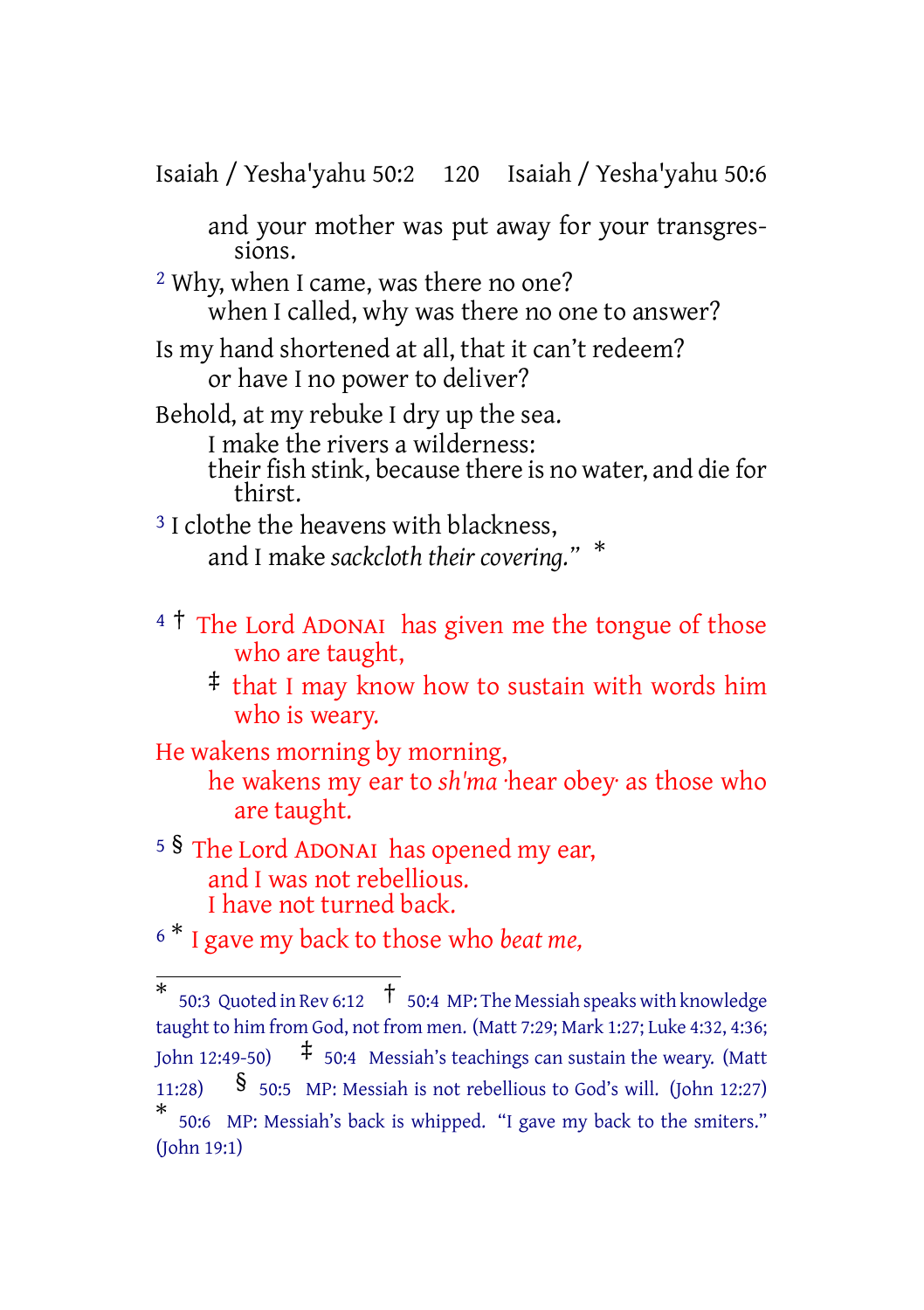Isaiah / Yesha'yahu 50:2 120 Isaiah / Yesha'yahu 50:6

and your mother was put away for your transgressions.

2 Why, when I came, was there no one? when I called, why was there no one to answer?

Is my hand shortened at all, that it can't redeem? or have I no power to deliver?

Behold, at my rebuke I dry up the sea.

I make the rivers a wilderness:

their fish stink, because there is no water, and die for thirst.

<sup>3</sup> I clothe the heavens with blackness, and I make *sackcloth their covering."* \*

 $4\text{ }^{\text{+}}$  The Lord ADONAI has given me the tongue of those who are taught,

‡ that I may know how to sustain with words him who is weary.

He wakens morning by morning,

he wakens my ear to *sh'ma* ·hear obey· as those who are taught.

<sup>5</sup> § The Lord ADONAI has opened my ear, and I was not rebellious. I have not turned back.

<sup>6</sup> \* I gave my back to those who *beat me,*

 $^*$  50:3 Quoted in Rev 6:12  $\;$   $^\dagger$  50:4 MP: The Messiah speaks with knowledge taught to him from God, not from men. (Matt 7:29; Mark 1:27; Luke 4:32, 4:36; John 12:49-50)  $\uparrow$  50:4 Messiah's teachings can sustain the weary. (Matt 11:28)  $\frac{1}{50:5}$  MP: Messiah is not rebellious to God's will. (John 12:27) \* 50:6 MP: Messiah's back is whipped. "I gave my back to the smiters." (John 19:1)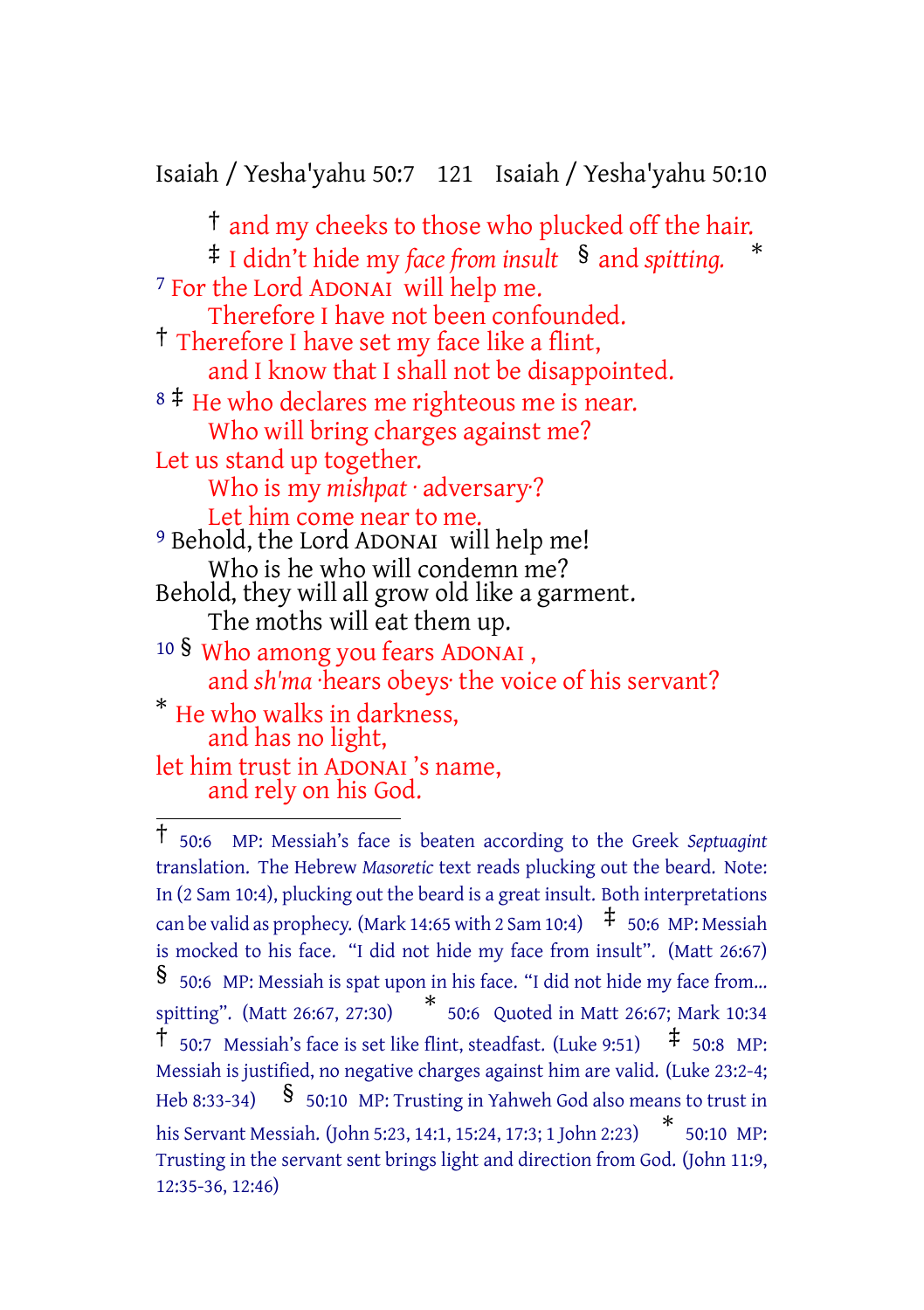Isaiah / Yesha'yahu 50:7 121 Isaiah / Yesha'yahu 50:10

† and my cheeks to those who plucked off the hair. ‡ I didn't hide my *face from insult* § and *spitting.* \* 7 For the Lord ADONAI will help me. Therefore I have not been confounded. † Therefore I have set my face like a flint, and I know that I shall not be disappointed. <sup>8</sup> <sup>‡</sup> He who declares me righteous me is near. Who will bring charges against me? Let us stand up together. Who is my *mishpat* · adversary·? Let him come near to me. 9 Behold, the Lord ADONAI will help me! Who is he who will condemn me? Behold, they will all grow old like a garment. The moths will eat them up. <sup>10</sup> § Who among you fears ADONAI , and *sh'ma* ·hears obeys· the voice of his servant? \* He who walks in darkness, and has no light, let him trust in ADONAI 's name, and rely on his God.

<sup>†</sup> 50:6 MP: Messiah's face is beaten according to the Greek *Septuagint* translation. The Hebrew *Masoretic* text reads plucking out the beard. Note: In (2 Sam 10:4), plucking out the beard is a great insult. Both interpretations can be valid as prophecy. (Mark 14:65 with 2 Sam 10:4)  $\pm$  50:6 MP: Messiah is mocked to his face. "I did not hide my face from insult". (Matt 26:67) § 50:6 MP: Messiah is spat upon in his face. "I did not hide my face from... spitting". (Matt 26:67, 27:30) \* 50:6 Quoted in Matt 26:67; Mark 10:34  $\uparrow$  50:7 Messiah's face is set like flint, steadfast. (Luke 9:51)  $\uparrow$  50:8 MP: Messiah is justified, no negative charges against him are valid. (Luke 23:2-4; Heb 8:33-34)  $\frac{\$}{\$}$  50:10 MP: Trusting in Yahweh God also means to trust in his Servant Messiah. (John 5:23, 14:1, 15:24, 17:3; <sup>1</sup> John 2:23) \* 50:10 MP: Trusting in the servant sent brings light and direction from God. (John 11:9, 12:35-36, 12:46)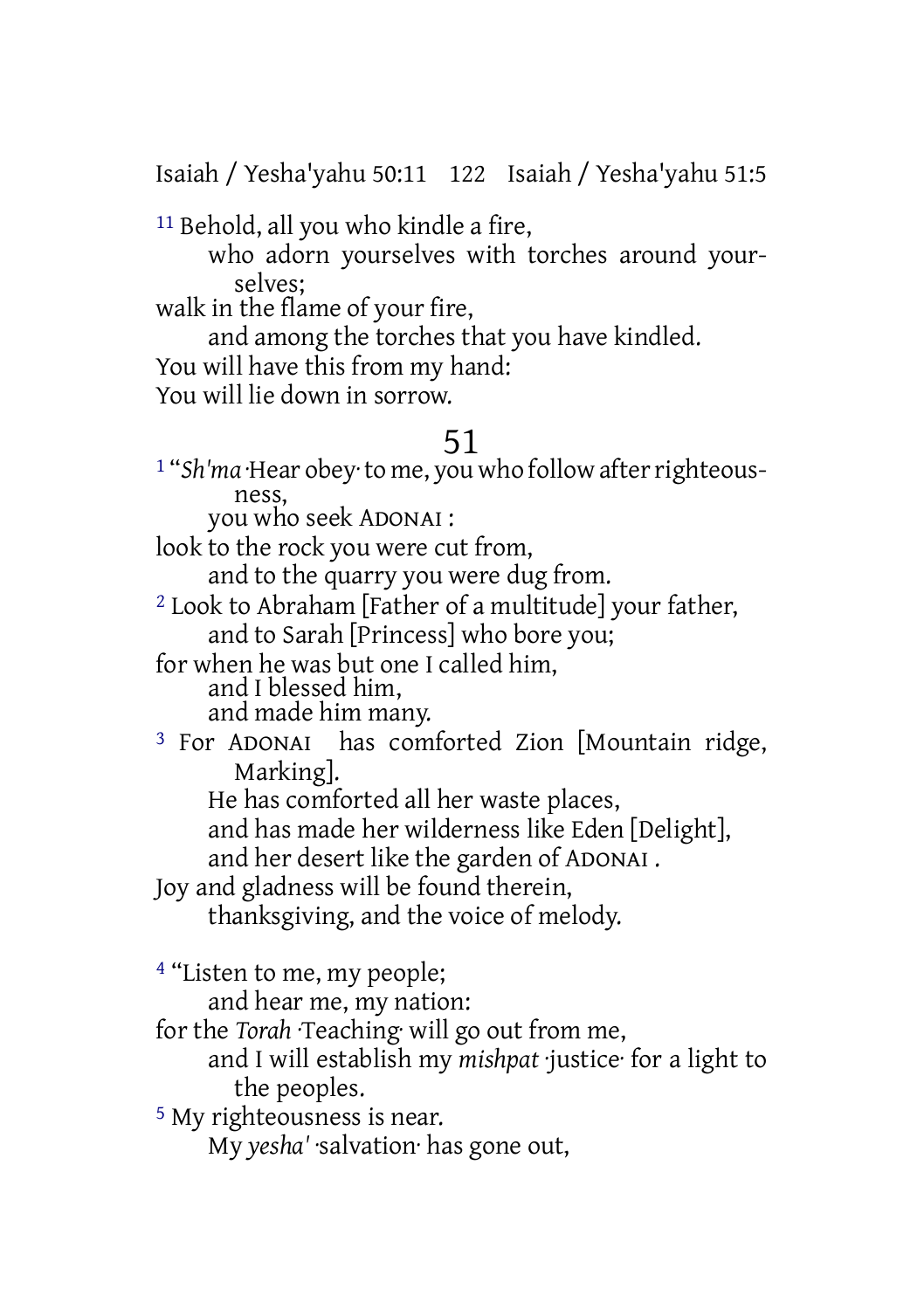Isaiah / Yesha'yahu 50:11 122 Isaiah / Yesha'yahu 51:5

11 Behold, all you who kindle a fire,

who adorn yourselves with torches around yourselves;

walk in the flame of your fire,

and among the torches that you have kindled.

You will have this from my hand:

You will lie down in sorrow.

#### 51

1 "*Sh'ma* ·Hear obey·to me, you who follow afterrighteousness,

you who seek ADONAI :

look to the rock you were cut from,

and to the quarry you were dug from.

2 Look to Abraham [Father of a multitude] your father, and to Sarah [Princess] who bore you;

for when he was but one I called him, and I blessed him, and made him many.

3 For ADONAI has comforted Zion [Mountain ridge, Marking].

He has comforted all her waste places,

and has made her wilderness like Eden [Delight],

and her desert like the garden of ADONAI .

Joy and gladness will be found therein,

thanksgiving, and the voice of melody.

4 "Listen to me, my people;

and hear me, my nation:

for the *Torah* ·Teaching· will go out from me,

and I will establish my *mishpat* ·justice· for a light to the peoples.

5 My righteousness is near.

My *yesha'* ·salvation· has gone out,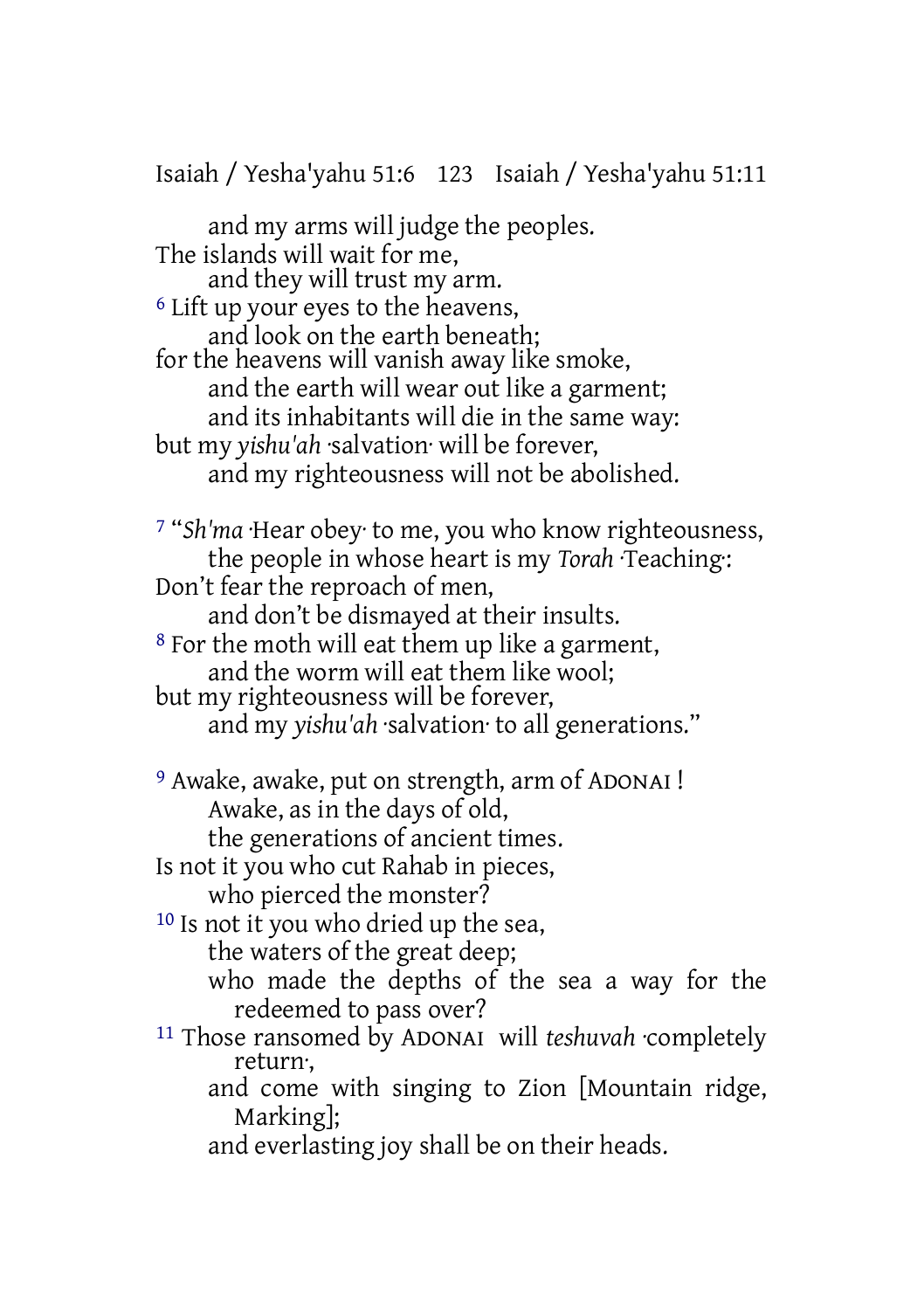Isaiah / Yesha'yahu 51:6 123 Isaiah / Yesha'yahu 51:11

and my arms will judge the peoples. The islands will wait for me, and they will trust my arm. 6 Lift up your eyes to the heavens, and look on the earth beneath; for the heavens will vanish away like smoke, and the earth will wear out like a garment; and its inhabitants will die in the same way: but my *yishu'ah* ·salvation· will be forever, and my righteousness will not be abolished. 7 "*Sh'ma* ·Hear obey· to me, you who know righteousness, the people in whose heart is my *Torah* ·Teaching·: Don't fear the reproach of men, and don't be dismayed at their insults. 8 For the moth will eat them up like a garment, and the worm will eat them like wool; but my righteousness will be forever, and my *yishu'ah* ·salvation· to all generations." 9 Awake, awake, put on strength, arm of ADONAI ! Awake, as in the days of old, the generations of ancient times. Is not it you who cut Rahab in pieces, who pierced the monster? 10 Is not it you who dried up the sea, the waters of the great deep; who made the depths of the sea a way for the redeemed to pass over? 11 Those ransomed by ADONAI will *teshuvah* ·completely return·, and come with singing to Zion [Mountain ridge, Marking]; and everlasting joy shall be on their heads.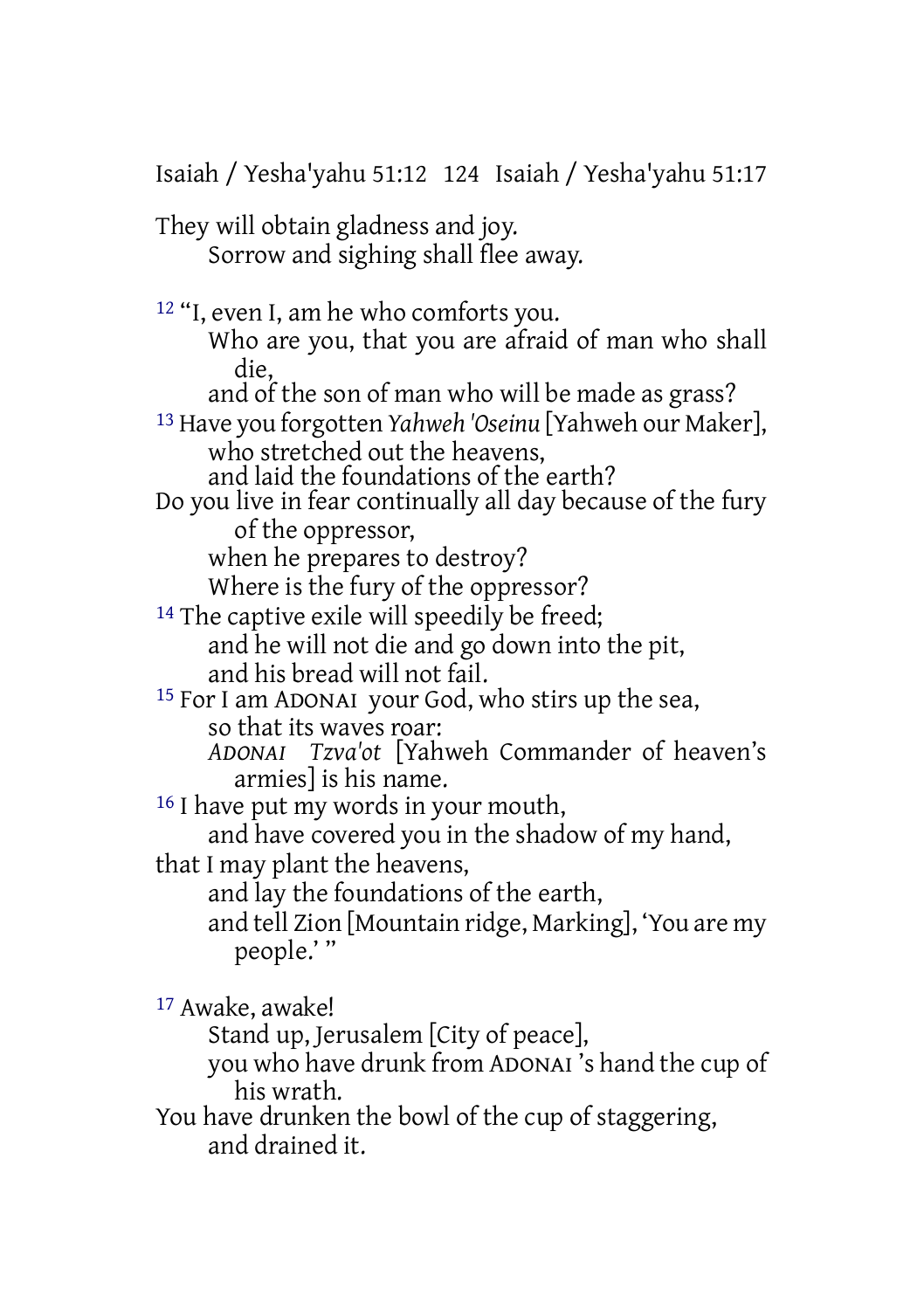Isaiah / Yesha'yahu 51:12 124 Isaiah / Yesha'yahu 51:17 They will obtain gladness and joy. Sorrow and sighing shall flee away. 12 "I, even I, am he who comforts you. Who are you, that you are afraid of man who shall die, and of the son of man who will be made as grass? 13 Have you forgotten *Yahweh 'Oseinu* [Yahweh our Maker], who stretched out the heavens. and laid the foundations of the earth? Do you live in fear continually all day because of the fury of the oppressor, when he prepares to destroy? Where is the fury of the oppressor? <sup>14</sup> The captive exile will speedily be freed; and he will not die and go down into the pit, and his bread will not fail. 15 For I am ADONAI your God, who stirs up the sea, so that its waves roar: *ADONAI Tzva'ot* [Yahweh Commander of heaven's armies] is his name. <sup>16</sup> I have put my words in your mouth, and have covered you in the shadow of my hand, that I may plant the heavens, and lay the foundations of the earth, and tell Zion [Mountain ridge, Marking], 'You are my people.' " 17 Awake, awake! Stand up, Jerusalem [City of peace], you who have drunk from ADONAI 's hand the cup of his wrath. You have drunken the bowl of the cup of staggering,

and drained it.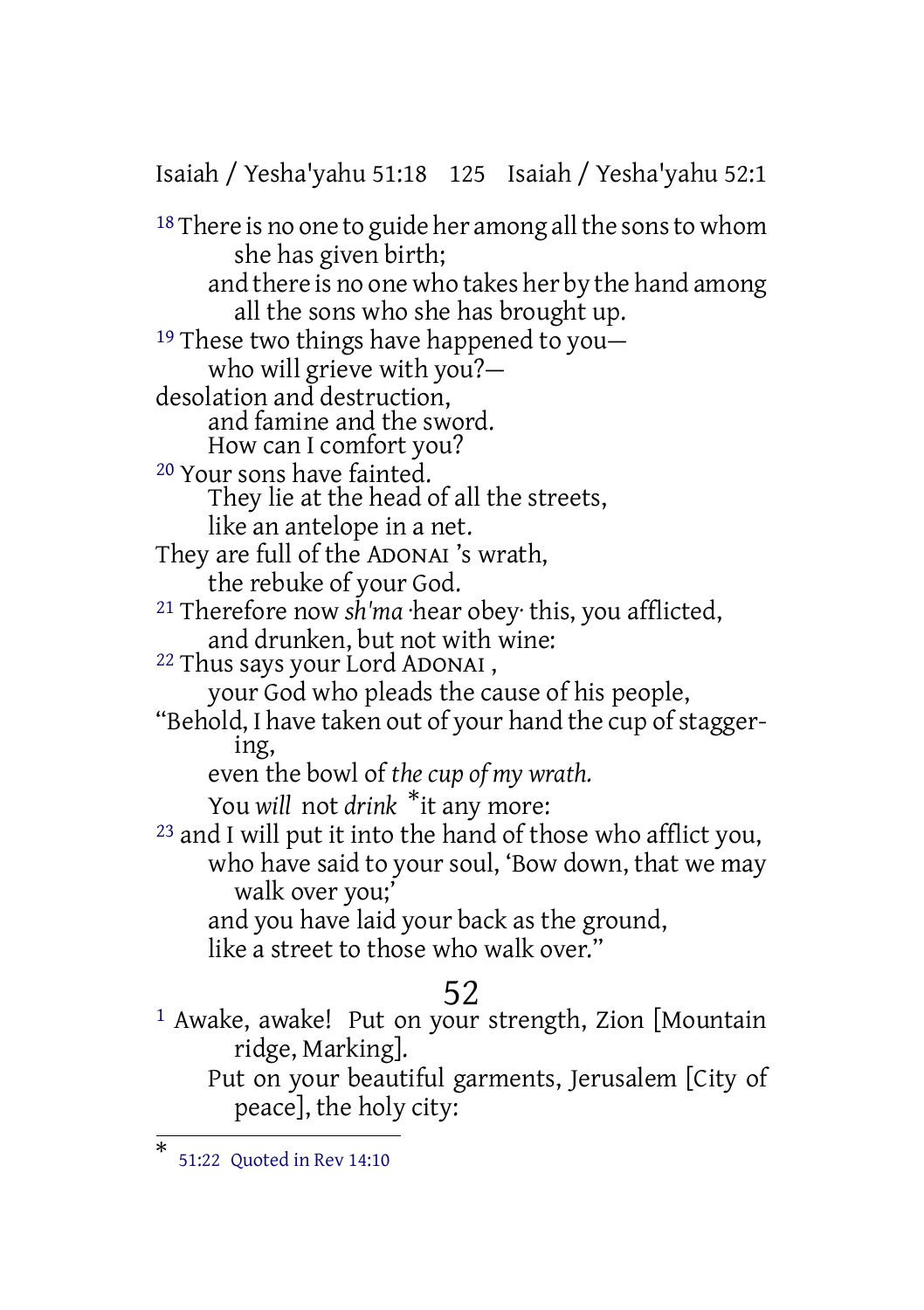Isaiah / Yesha'yahu 51:18 125 Isaiah / Yesha'yahu 52:1

<sup>18</sup> There is no one to guide her among all the sons to whom she has given birth; and there is no one who takes her by the hand among all the sons who she has brought up. 19 These two things have happened to you who will grieve with you? desolation and destruction, and famine and the sword. How can I comfort you? 20 Your sons have fainted. They lie at the head of all the streets, like an antelope in a net. They are full of the ADONAI 's wrath, the rebuke of your God. 21 Therefore now *sh'ma* ·hear obey· this, you afflicted, and drunken, but not with wine: 22 Thus says your Lord ADONAI , your God who pleads the cause of his people, "Behold, I have taken out of your hand the cup of staggering, even the bowl of *the cup of my wrath.* You *will* not *drink* \*it any more: <sup>23</sup> and I will put it into the hand of those who afflict you, who have said to your soul, 'Bow down, that we may walk over you;' and you have laid your back as the ground, like a street to those who walk over."

#### 52

1 Awake, awake! Put on your strength, Zion [Mountain ridge, Marking]. Put on your beautiful garments, Jerusalem [City of peace], the holy city:

<sup>\*</sup> 51:22 Quoted in Rev 14:10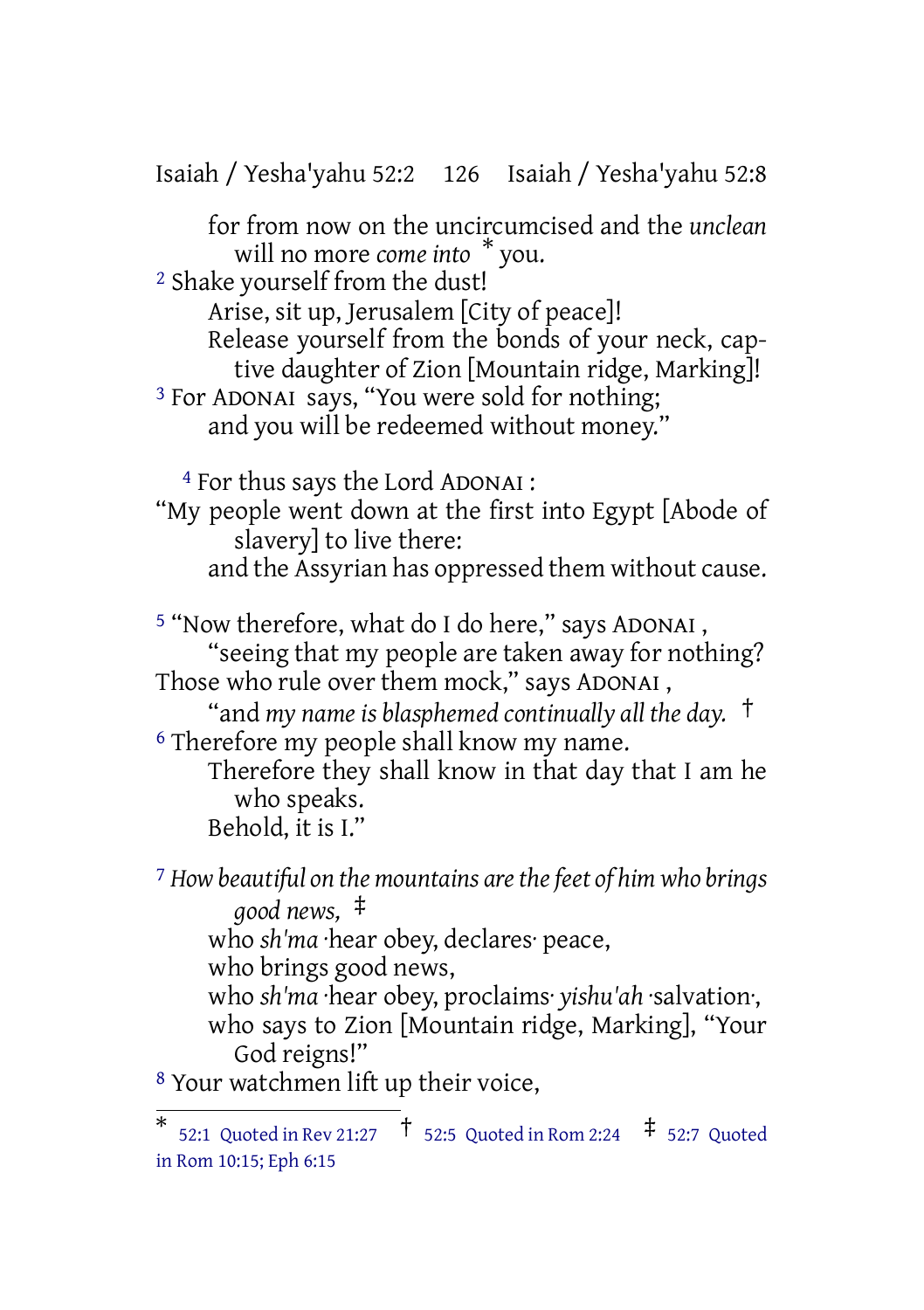Isaiah / Yesha'yahu 52:2 126 Isaiah / Yesha'yahu 52:8

for from now on the uncircumcised and the *unclean* will no more *come into* \* you.

2 Shake yourself from the dust!

Arise, sit up, Jerusalem [City of peace]!

Release yourself from the bonds of your neck, captive daughter of Zion [Mountain ridge, Marking]!

3 For ADONAI says, "You were sold for nothing; and you will be redeemed without money."

4 For thus says the Lord ADONAI :

"My people went down at the first into Egypt [Abode of slavery] to live there: and the Assyrian has oppressed them without cause.

5 "Now therefore, what do I do here," says ADONAI , "seeing that my people are taken away for nothing? Those who rule over them mock," says ADONAI ,

"and *my name is blasphemed continually all the day.* † 6 Therefore my people shall know my name.

Therefore they shall know in that day that I am he who speaks. Behold, it is I."

7 *How beautiful on the mountains arethefeet of him who brings good news,* ‡ who *sh'ma* ·hear obey, declares· peace, who brings good news, who *sh'ma* ·hear obey, proclaims· *yishu'ah* ·salvation·, who says to Zion [Mountain ridge, Marking], "Your God reigns!"

8 Your watchmen lift up their voice,

 $*$  52:1 Quoted in Rev 21:27  $\uparrow$  52:5 Quoted in Rom 2:24  $\uparrow$  52:7 Quoted in Rom 10:15; Eph 6:15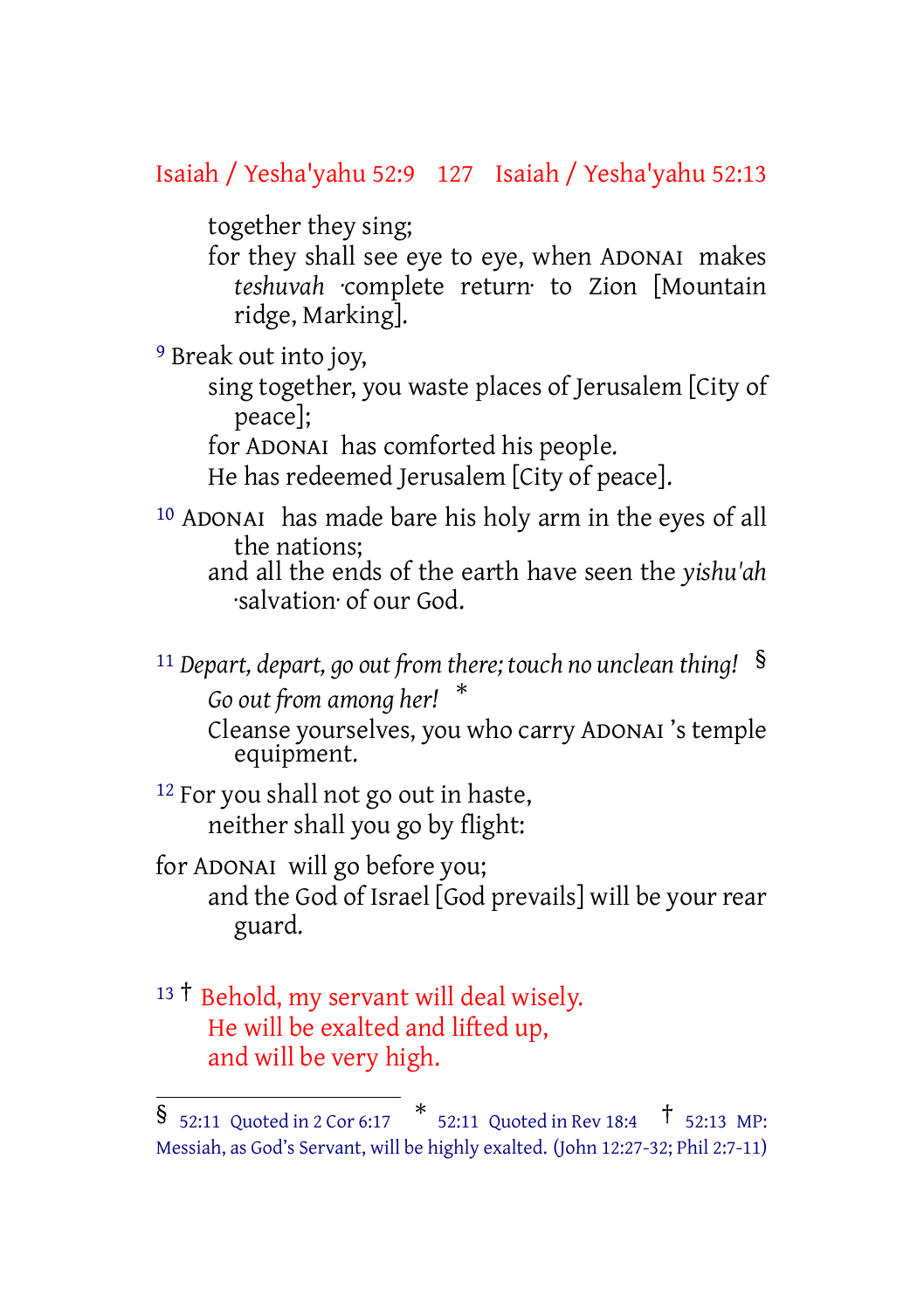## Isaiah / Yesha'yahu 52:9 127 Isaiah / Yesha'yahu 52:13

together they sing;

for they shall see eye to eye, when ADONAI makes *teshuvah* ·complete return· to Zion [Mountain ridge, Marking].

9 Break out into joy,

sing together, you waste places of Jerusalem [City of peace];

for ADONAI has comforted his people. He has redeemed Jerusalem [City of peace].

10 ADONAI has made bare his holy arm in the eyes of all the nations;

and all the ends of the earth have seen the *yishu'ah* ·salvation· of our God.

<sup>11</sup> *Depart, depart, go out from there; touch no unclean thing!* §

*Go out from among her!* \* Cleanse yourselves, you who carry ADONAI 's temple equipment.

12 For you shall not go out in haste, neither shall you go by flight:

for ADONAI will go before you; and the God of Israel [God prevails] will be your rear guard.

#### 13<sup>†</sup> Behold, my servant will deal wisely. He will be exalted and lifted up, and will be very high.

 $\frac{1}{2}$  52:11 Quoted in 2 Cor 6:17  $*$  52:11 Quoted in Rev 18:4  $*$  52:13 MP: Messiah, as God's Servant, will be highly exalted. (John 12:27-32; Phil 2:7-11)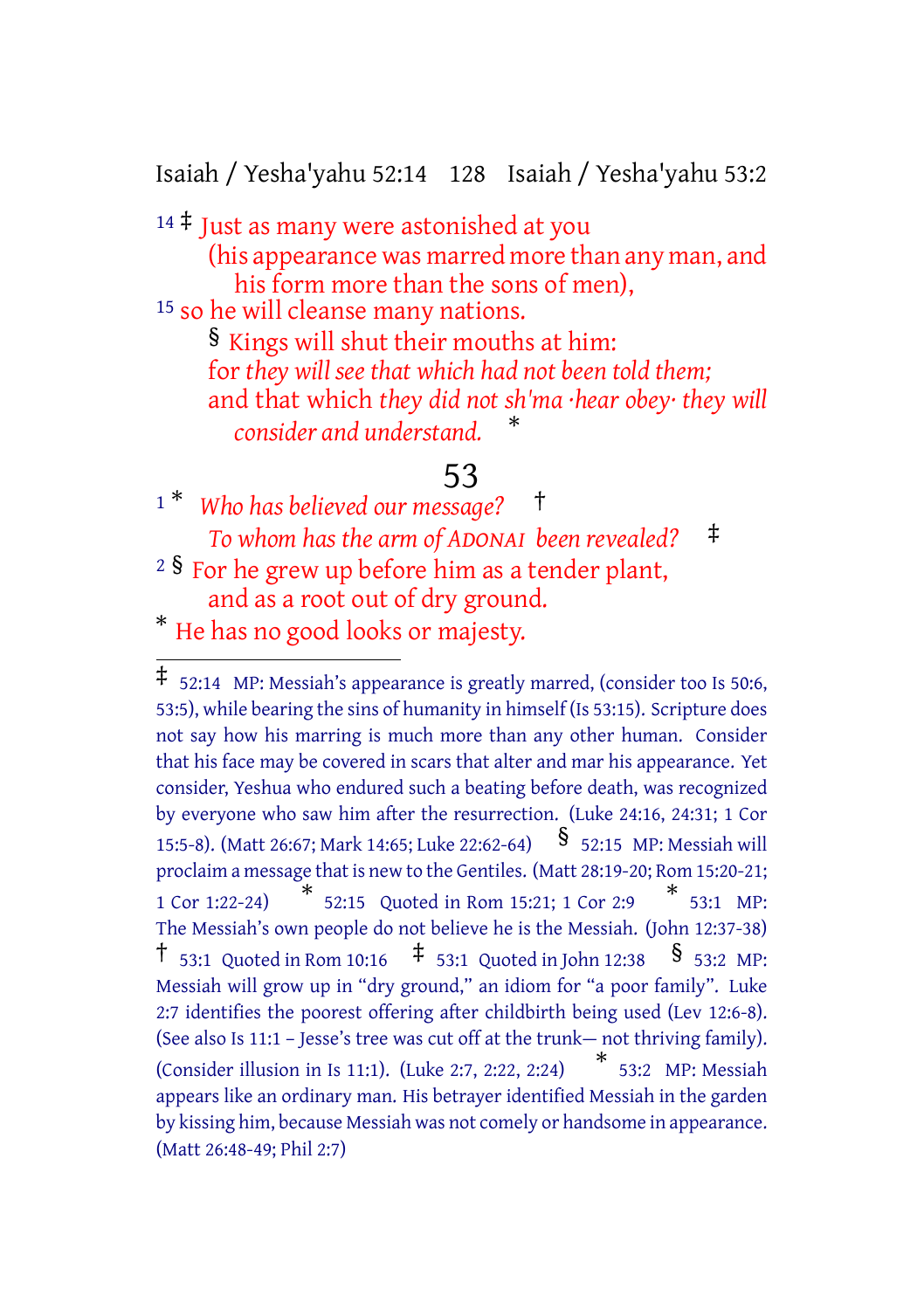Isaiah / Yesha'yahu 52:14 128 Isaiah / Yesha'yahu 53:2

 $14 \div$  Just as many were astonished at you (his appearance was marred more than any man, and

his form more than the sons of men),

15 so he will cleanse many nations.

§ Kings will shut their mouths at him: for *they will see that which had not been told them;* and that which *they did not sh'ma ·hear obey· they will consider and understand.* \*

### 53

<sup>1</sup> \* *Who has believed our message?* † *To whom has the arm of ADONAI been revealed?* ‡ <sup>2</sup>  $\frac{1}{2}$  For he grew up before him as a tender plant, and as a root out of dry ground.

\* He has no good looks or majesty.

 $\overline{4}$  52:14 MP: Messiah's appearance is greatly marred, (consider too Is 50:6, 53:5), while bearing the sins of humanity in himself (Is 53:15). Scripture does not say how his marring is much more than any other human. Consider that his face may be covered in scars that alter and mar his appearance. Yet consider, Yeshua who endured such a beating before death, was recognized by everyone who saw him after the resurrection. (Luke 24:16, 24:31; 1 Cor 15:5-8). (Matt 26:67; Mark 14:65; Luke 22:62-64) § 52:15 MP: Messiah will proclaim a message that is new to the Gentiles. (Matt 28:19-20; Rom 15:20-21; 1 Cor 1:22-24) 52:15 Quoted in Rom 15:21; 1 Cor 2:9 \* 53:1 MP: The Messiah's own people do not believe he is the Messiah. (John 12:37-38) † 53:1 Quoted in Rom 10:16 ‡ 53:1 Quoted in John 12:38 § 53:2 MP: Messiah will grow up in "dry ground," an idiom for "a poor family". Luke 2:7 identifies the poorest offering after childbirth being used (Lev 12:6-8). (See also Is 11:1 – Jesse's tree was cut off at the trunk— not thriving family). (Consider illusion in Is 11:1). (Luke 2:7, 2:22, 2:24) \*  $*$  53:2 MP: Messiah appears like an ordinary man. His betrayer identified Messiah in the garden by kissing him, because Messiah was not comely or handsome in appearance. (Matt 26:48-49; Phil 2:7)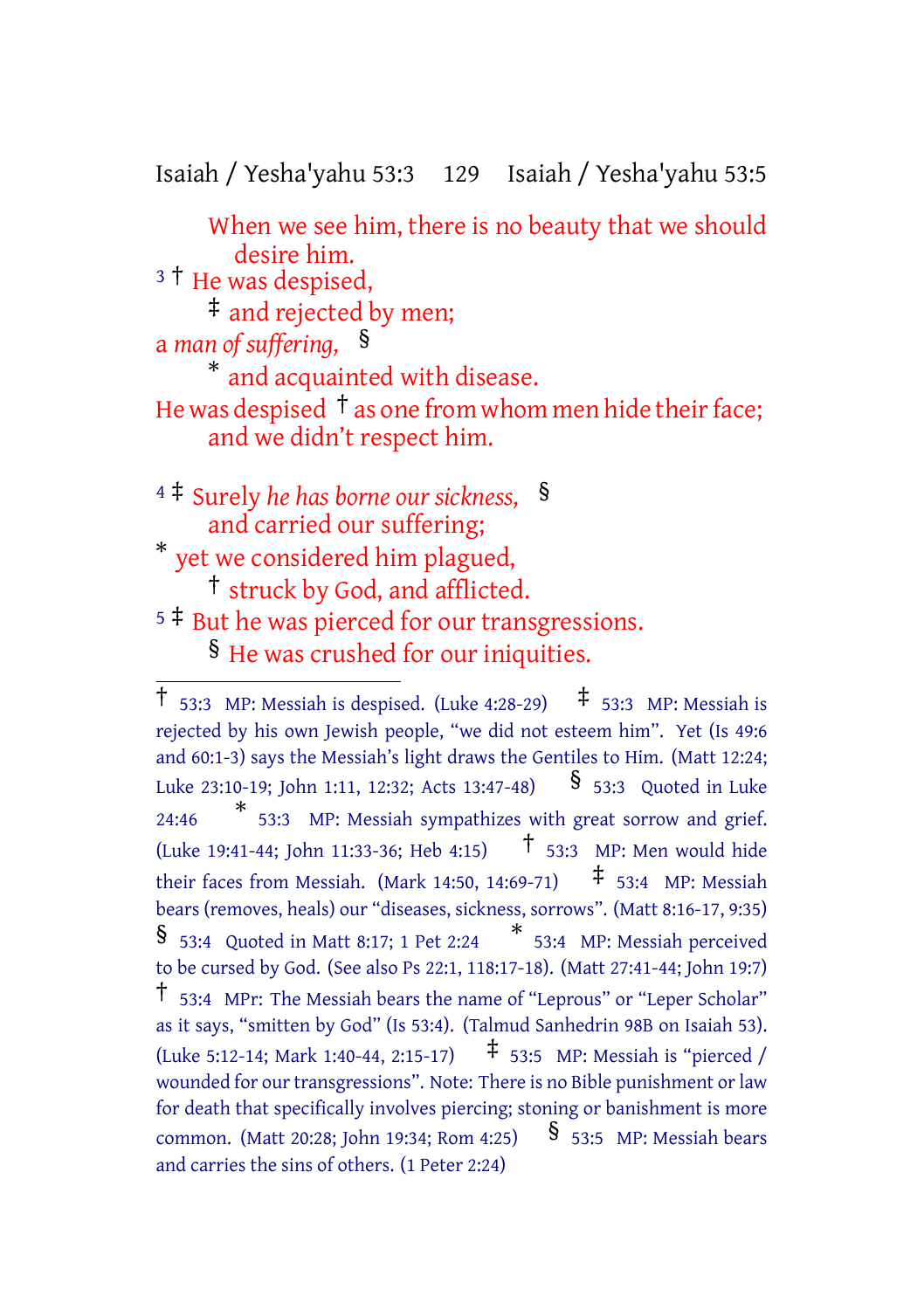Isaiah / Yesha'yahu 53:3 129 Isaiah / Yesha'yahu 53:5

When we see him, there is no beauty that we should desire him. <sup>3</sup> <sup>†</sup> He was despised, ‡ and rejected by men; a *man of suffering,* § \* and acquainted with disease. He was despised  $\dagger$  as one from whom men hide their face; and we didn't respect him. <sup>4</sup> ‡ Surely *he has borne our sickness,* § and carried our suffering; \* yet we considered him plagued, † struck by God, and afflicted.

 $5 \div$  But he was pierced for our transgressions. § He was crushed for our iniquities.

<sup>†</sup> 53:3 MP: Messiah is despised. (Luke 4:28-29) ‡ 53:3 MP: Messiah is rejected by his own Jewish people, "we did not esteem him". Yet (Is 49:6 and 60:1-3) says the Messiah's light draws the Gentiles to Him. (Matt 12:24; Luke 23:10-19; John 1:11, 12:32; Acts 13:47-48)  $\frac{1}{5}$  53:3 Quoted in Luke 24:46 \* 53:3 MP: Messiah sympathizes with great sorrow and grief. (Luke 19:41-44; John 11:33-36; Heb 4:15) † 53:3 MP: Men would hide their faces from Messiah. (Mark 14:50, 14:69-71)  $\uparrow$  53:4 MP: Messiah bears (removes, heals) our "diseases, sickness, sorrows". (Matt 8:16-17, 9:35) § 53:4 Quoted in Matt 8:17; <sup>1</sup> Pet 2:24 \* 53:4 MP: Messiah perceived to be cursed by God. (See also Ps 22:1, 118:17-18). (Matt 27:41-44; John 19:7) † 53:4 MPr: The Messiah bears the name of "Leprous" or "Leper Scholar" as it says, "smitten by God" (Is 53:4). (Talmud Sanhedrin 98B on Isaiah 53). (Luke 5:12-14; Mark 1:40-44, 2:15-17)  $\uparrow$  53:5 MP: Messiah is "pierced / wounded for our transgressions". Note: There is no Bible punishment or law for death that specifically involves piercing; stoning or banishment is more common. (Matt 20:28; John 19:34; Rom 4:25) § 53:5 MP: Messiah bears and carries the sins of others. (1 Peter 2:24)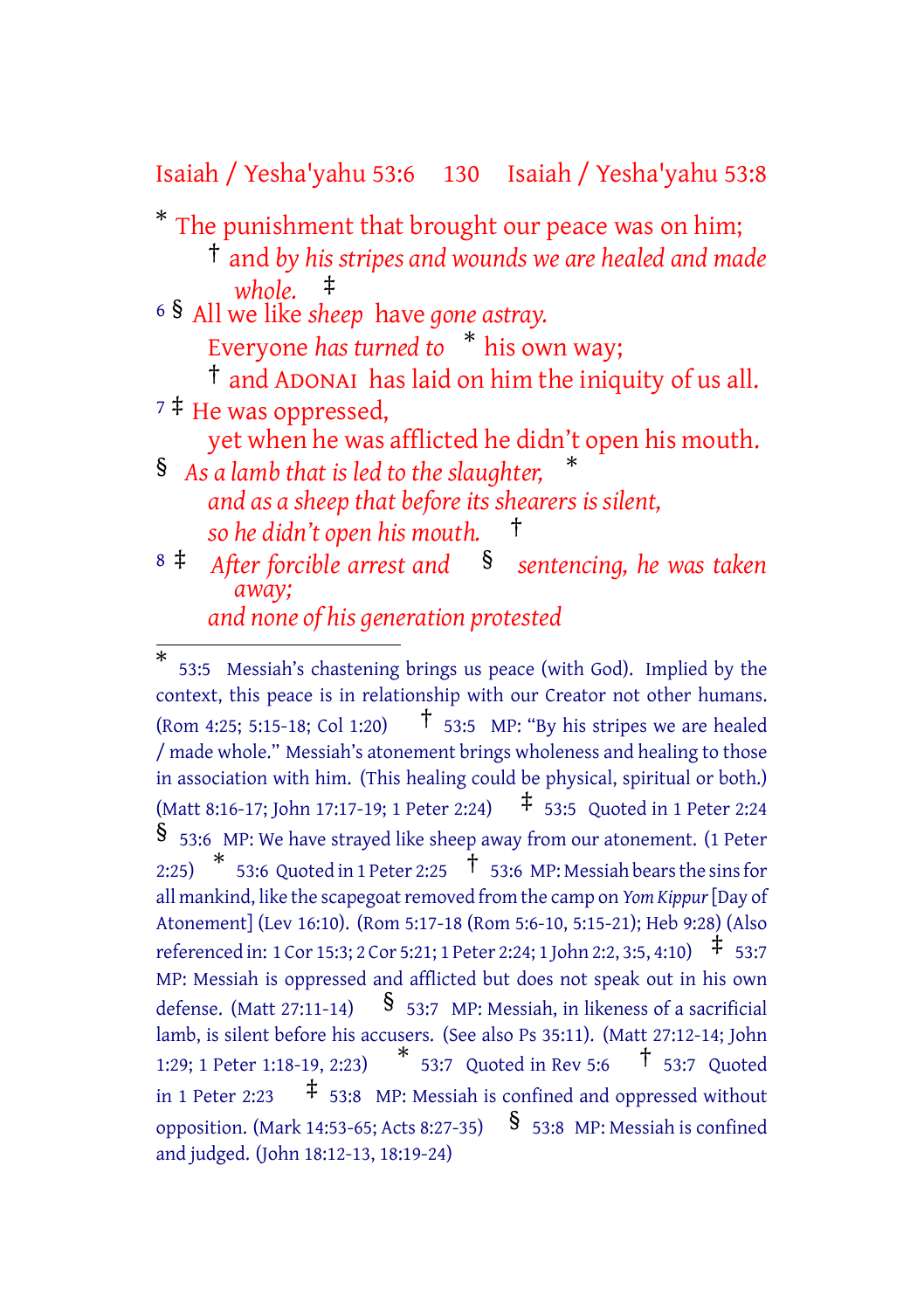Isaiah / Yesha'yahu 53:6 130 Isaiah / Yesha'yahu 53:8

- \* The punishment that brought our peace was on him;
	- † and *by his stripes and wounds we are healed and made whole.* ‡
- <sup>6</sup> § All we like *sheep* have *gone astray.*
	- Everyone *has turned to* \* his own way;
- † and ADONAI has laid on him the iniquity of us all. <sup>7</sup> ‡ He was oppressed,
	- yet when he was afflicted he didn't open his mouth.
- § *As a lamb that is led to the slaughter,* \* *and as a sheep that before its shearers is silent, so he didn't open his mouth.* †
- <sup>8</sup> ‡ *After forcible arrest and* § *sentencing, he was taken away;*

*and none of his generation protested*

<sup>\*</sup> 53:5 Messiah's chastening brings us peace (with God). Implied by the context, this peace is in relationship with our Creator not other humans. (Rom 4:25; 5:15-18; Col 1:20)  $\uparrow$  53:5 MP: "By his stripes we are healed / made whole." Messiah's atonement brings wholeness and healing to those in association with him. (This healing could be physical, spiritual or both.) (Matt 8:16-17; John 17:17-19; <sup>1</sup> Peter 2:24) ‡ 53:5 Quoted in <sup>1</sup> Peter 2:24 § 53:6 MP: We have strayed like sheep away from our atonement. (1 Peter 2:25)  $*$  53:6 Quoted in 1 Peter 2:25  $\stackrel{\dagger}{\phantom{}_{}}$  53:6 MP: Messiah bears the sins for all mankind, like the scapegoat removed from the camp on *Yom Kippur* [Day of Atonement] (Lev 16:10). (Rom 5:17-18 (Rom 5:6-10, 5:15-21); Heb 9:28) (Also referenced in: <sup>1</sup> Cor 15:3; <sup>2</sup> Cor 5:21; <sup>1</sup> Peter 2:24; <sup>1</sup> John 2:2, 3:5, 4:10) ‡ 53:7 MP: Messiah is oppressed and afflicted but does not speak out in his own defense. (Matt 27:11-14)  $\frac{1}{53}$  53:7 MP: Messiah, in likeness of a sacrificial lamb, is silent before his accusers. (See also Ps 35:11). (Matt 27:12-14; John 1:29; <sup>1</sup> Peter 1:18-19, 2:23) \* 53:7 Quoted in Rev 5:6 † 53:7 Quoted in 1 Peter 2:23  $\pm$  53:8 MP: Messiah is confined and oppressed without opposition. (Mark 14:53-65; Acts 8:27-35)  $\frac{1}{5}$  53:8 MP: Messiah is confined and judged. (John 18:12-13, 18:19-24)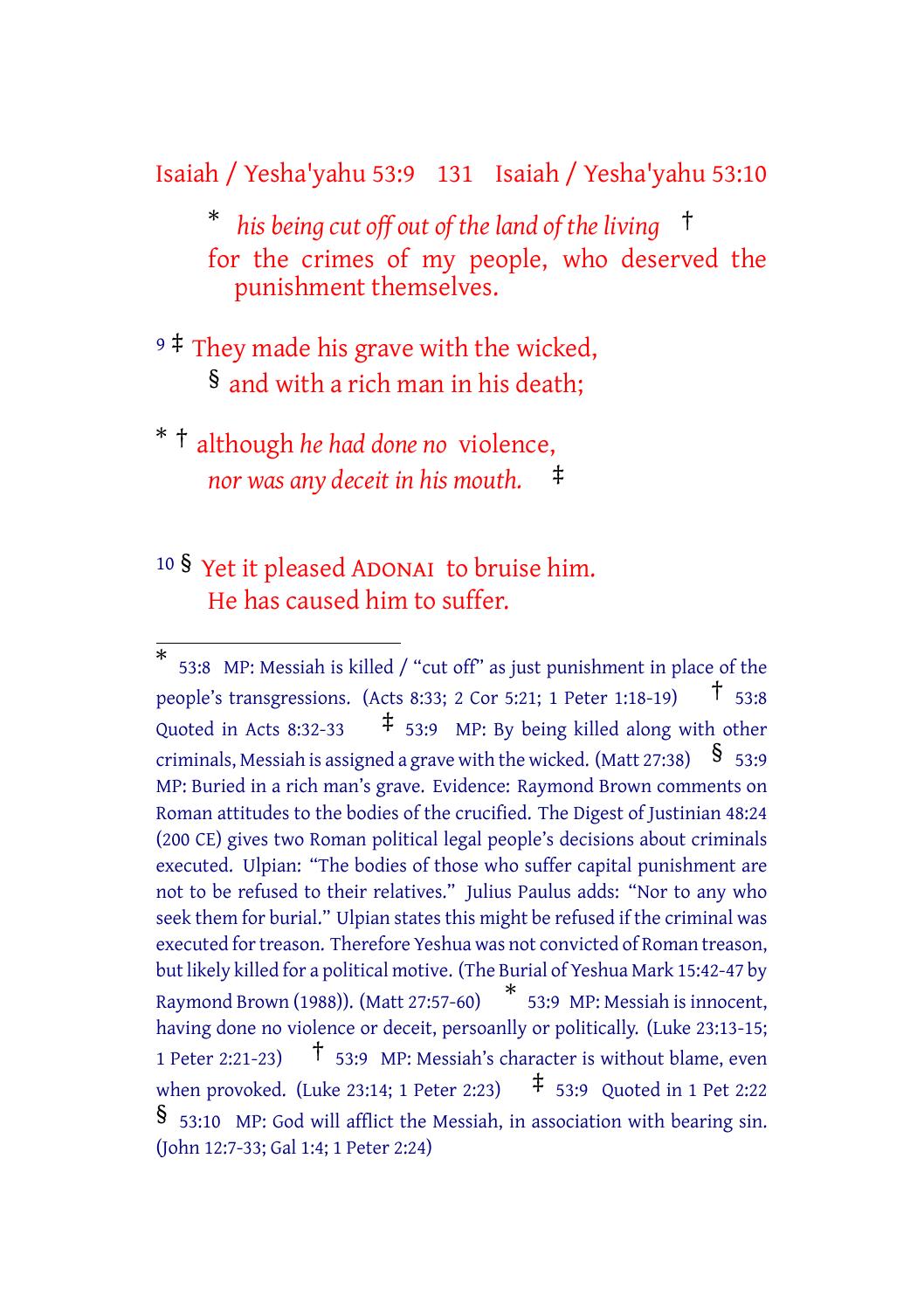Isaiah / Yesha'yahu 53:9 131 Isaiah / Yesha'yahu 53:10

\* *his being cut off out of the land of the living* † for the crimes of my people, who deserved the punishment themselves.

- <sup>9</sup> ‡ They made his grave with the wicked, § and with a rich man in his death;
- \* † although *he had done no* violence, *nor was any deceit in his mouth.* ‡
- <sup>10</sup> § Yet it pleased ADONAI to bruise him. He has caused him to suffer.

<sup>\*</sup> 53:8 MP: Messiah is killed / "cut off" as just punishment in place of the people's transgressions. (Acts 8:33; <sup>2</sup> Cor 5:21; <sup>1</sup> Peter 1:18-19) † 53:8 Quoted in Acts 8:32-33  $\uparrow$  53:9 MP: By being killed along with other criminals, Messiah is assigned a grave with the wicked. (Matt 27:38)  $\$$  53:9 MP: Buried in a rich man's grave. Evidence: Raymond Brown comments on Roman attitudes to the bodies of the crucified. The Digest of Justinian 48:24 (200 CE) gives two Roman political legal people's decisions about criminals executed. Ulpian: "The bodies of those who suffer capital punishment are not to be refused to their relatives." Julius Paulus adds: "Nor to any who seek them for burial." Ulpian states this might be refused if the criminal was executed for treason. Therefore Yeshua was not convicted of Roman treason, but likely killed for a political motive. (The Burial of Yeshua Mark 15:42-47 by Raymond Brown (1988)). (Matt 27:57-60) \* 53:9 MP: Messiah is innocent, having done no violence or deceit, persoanlly or politically. (Luke 23:13-15; <sup>1</sup> Peter 2:21-23) † 53:9 MP: Messiah's character is without blame, even when provoked. (Luke 23:14; 1 Peter 2:23)  $\uparrow$  53:9 Quoted in 1 Pet 2:22 § 53:10 MP: God will afflict the Messiah, in association with bearing sin. (John 12:7-33; Gal 1:4; 1 Peter 2:24)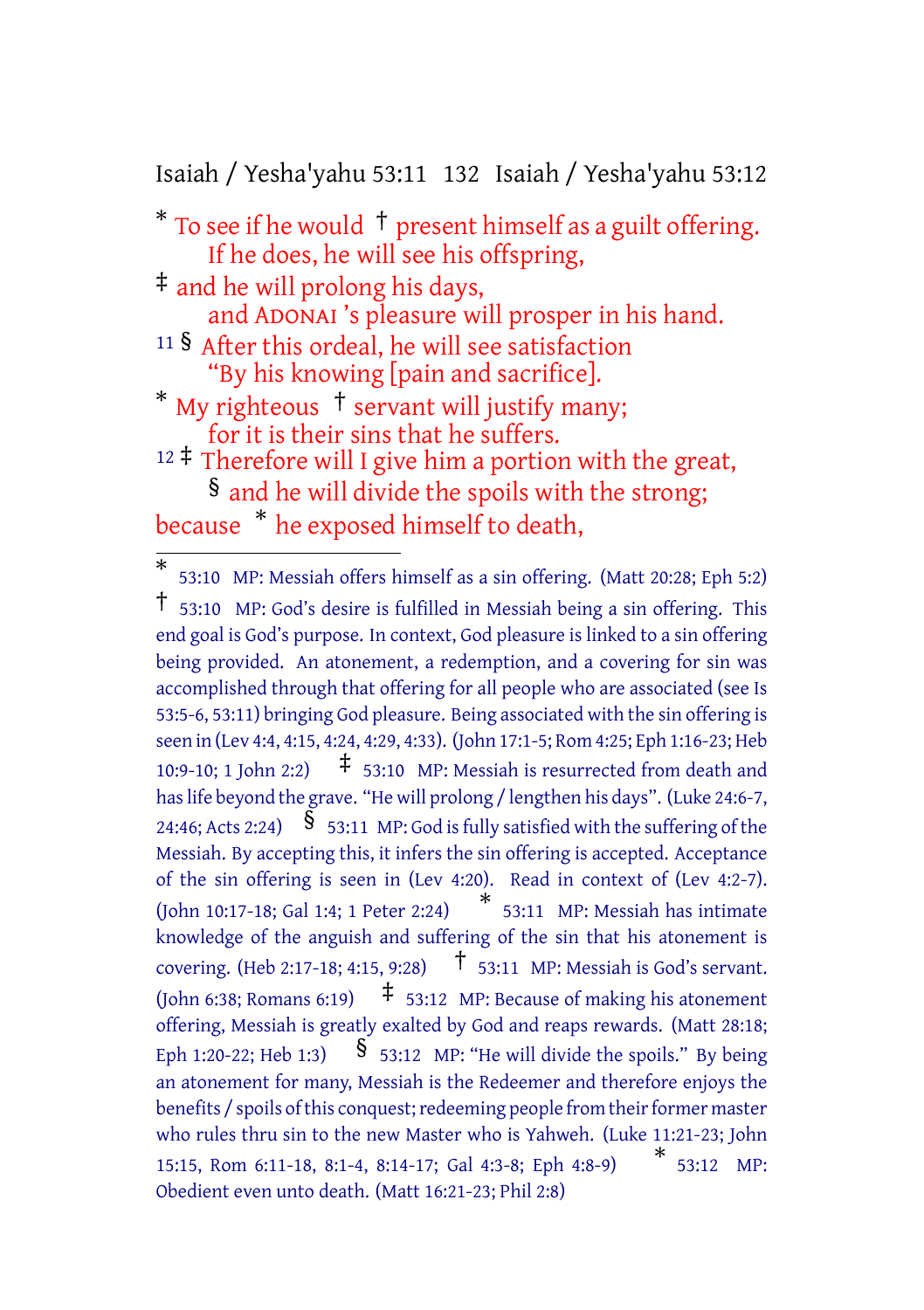Isaiah / Yesha'yahu 53:11 132 Isaiah / Yesha'yahu 53:12

 $*$  To see if he would  $\dagger$  present himself as a guilt offering. If he does, he will see his offspring,

‡ and he will prolong his days, and ADONAI 's pleasure will prosper in his hand. <sup>11</sup> § After this ordeal, he will see satisfaction "By his knowing [pain and sacrifice].

\* My righteous  $\dagger$  servant will justify many; for it is their sins that he suffers.

 $12 \div 7$  Therefore will I give him a portion with the great, § and he will divide the spoils with the strong; because \* he exposed himself to death,

<sup>\*</sup> 53:10 MP: Messiah offers himself as a sin offering. (Matt 20:28; Eph 5:2) † 53:10 MP: God's desire is fulfilled in Messiah being <sup>a</sup> sin offering. This end goal is God's purpose. In context, God pleasure is linked to a sin offering being provided. An atonement, a redemption, and a covering for sin was accomplished through that offering for all people who are associated (see Is 53:5-6, 53:11) bringing God pleasure. Being associated with the sin offering is seen in (Lev 4:4, 4:15, 4:24, 4:29, 4:33). (John 17:1-5; Rom 4:25; Eph 1:16-23; Heb 10:9-10: 1 John 2:2)  $\pm$  53:10 MP: Messiah is resurrected from death and has life beyond the grave. "He will prolong / lengthen his days". (Luke 24:6-7, 24:46; Acts 2:24)  $\frac{1}{2}$  53:11 MP: God is fully satisfied with the suffering of the Messiah. By accepting this, it infers the sin offering is accepted. Acceptance of the sin offering is seen in (Lev 4:20). Read in context of (Lev 4:2-7). (John 10:17-18; Gal 1:4; <sup>1</sup> Peter 2:24) \* 53:11 MP: Messiah has intimate knowledge of the anguish and suffering of the sin that his atonement is covering. (Heb 2:17-18; 4:15, 9:28) † 53:11 MP: Messiah is God's servant. (John 6:38; Romans 6:19)  $\pm$  53:12 MP: Because of making his atonement offering, Messiah is greatly exalted by God and reaps rewards. (Matt 28:18; Eph 1:20-22; Heb 1:3)  $\frac{1}{5}$  53:12 MP: "He will divide the spoils." By being an atonement for many, Messiah is the Redeemer and therefore enjoys the benefits / spoils of this conquest; redeeming people from their former master who rules thru sin to the new Master who is Yahweh. (Luke 11:21-23; John 15:15, Rom 6:11-18, 8:1-4, 8:14-17; Gal 4:3-8; Eph 4:8-9) \* 53:12 MP: Obedient even unto death. (Matt 16:21-23; Phil 2:8)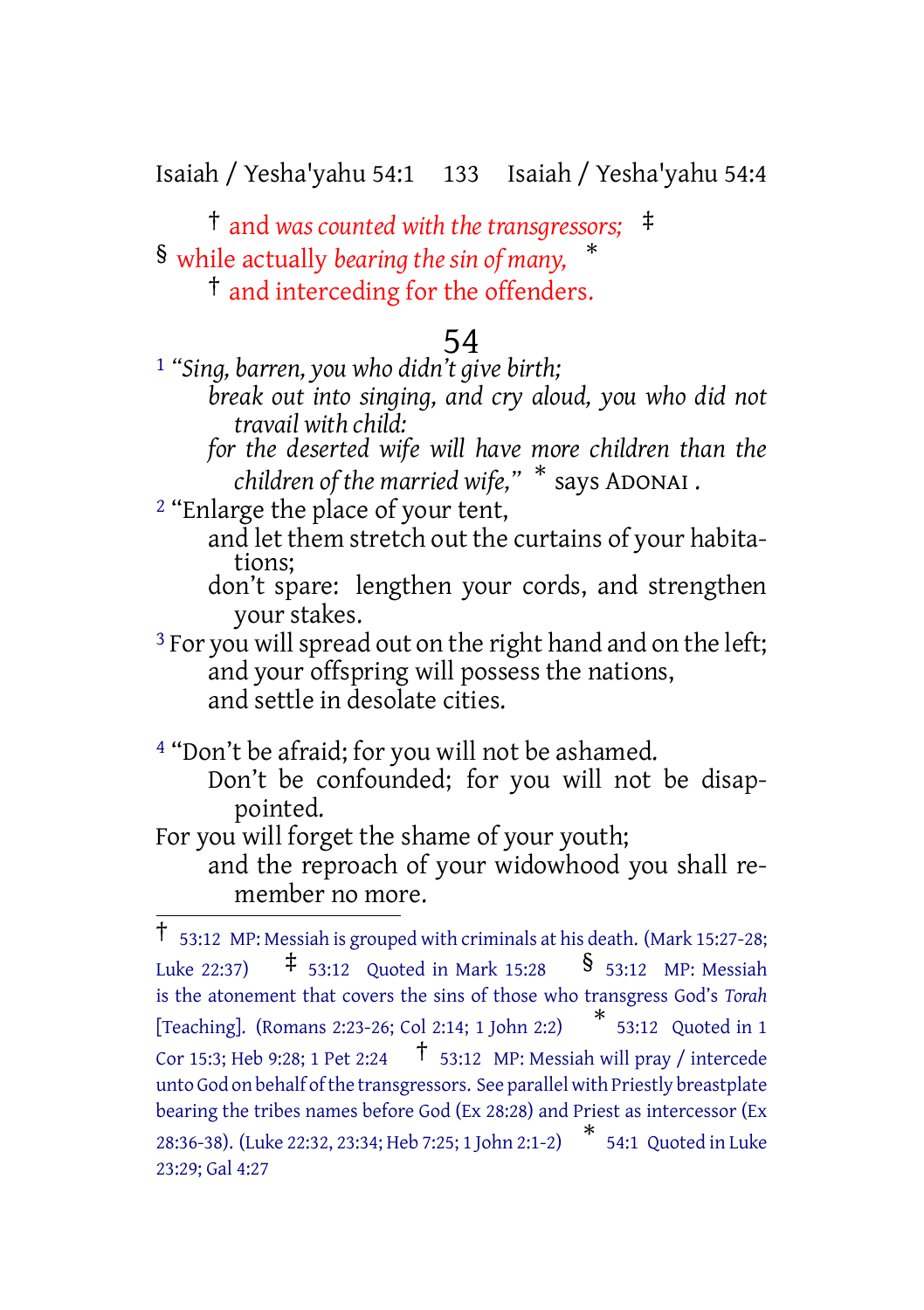Isaiah / Yesha'yahu 54:1 133 Isaiah / Yesha'yahu 54:4

† and *was counted with the transgressors;* ‡ § while actually *bearing the sin of many,* \* † and interceding for the offenders.

#### 54

1 *"Sing, barren, you who didn't give birth;*

- *break out into singing, and cry aloud, you who did not travail with child:*
- *for the deserted wife will have more children than the children of the married wife,"* \* says ADONAI .

2 "Enlarge the place of your tent,

- and let them stretch out the curtains of your habitations;
- don't spare: lengthen your cords, and strengthen your stakes.

<sup>3</sup> For you will spread out on the right hand and on the left; and your offspring will possess the nations, and settle in desolate cities.

4 "Don't be afraid; for you will not be ashamed.

Don't be confounded; for you will not be disappointed.

For you will forget the shame of your youth;

and the reproach of your widowhood you shall remember no more.

<sup>†</sup> 53:12 MP: Messiah is grouped with criminals at his death. (Mark 15:27-28; Luke 22:37)  $\qquad$   $\qquad$  53:12 Quoted in Mark 15:28  $\qquad$  § 53:12 MP: Messiah is the atonement that covers the sins of those who transgress God's *Torah* [Teaching]. (Romans 2:23-26; Col 2:14; <sup>1</sup> John 2:2) \* 53:12 Quoted in 1 Cor 15:3; Heb 9:28; 1 Pet 2:24  $\uparrow$  53:12 MP: Messiah will pray / intercede unto God on behalf ofthe transgressors. See parallel with Priestly breastplate bearing the tribes names before God (Ex 28:28) and Priest as intercessor (Ex 28:36-38). (Luke 22:32, 23:34; Heb 7:25; <sup>1</sup> John 2:1-2) \* 54:1 Quoted in Luke 23:29; Gal 4:27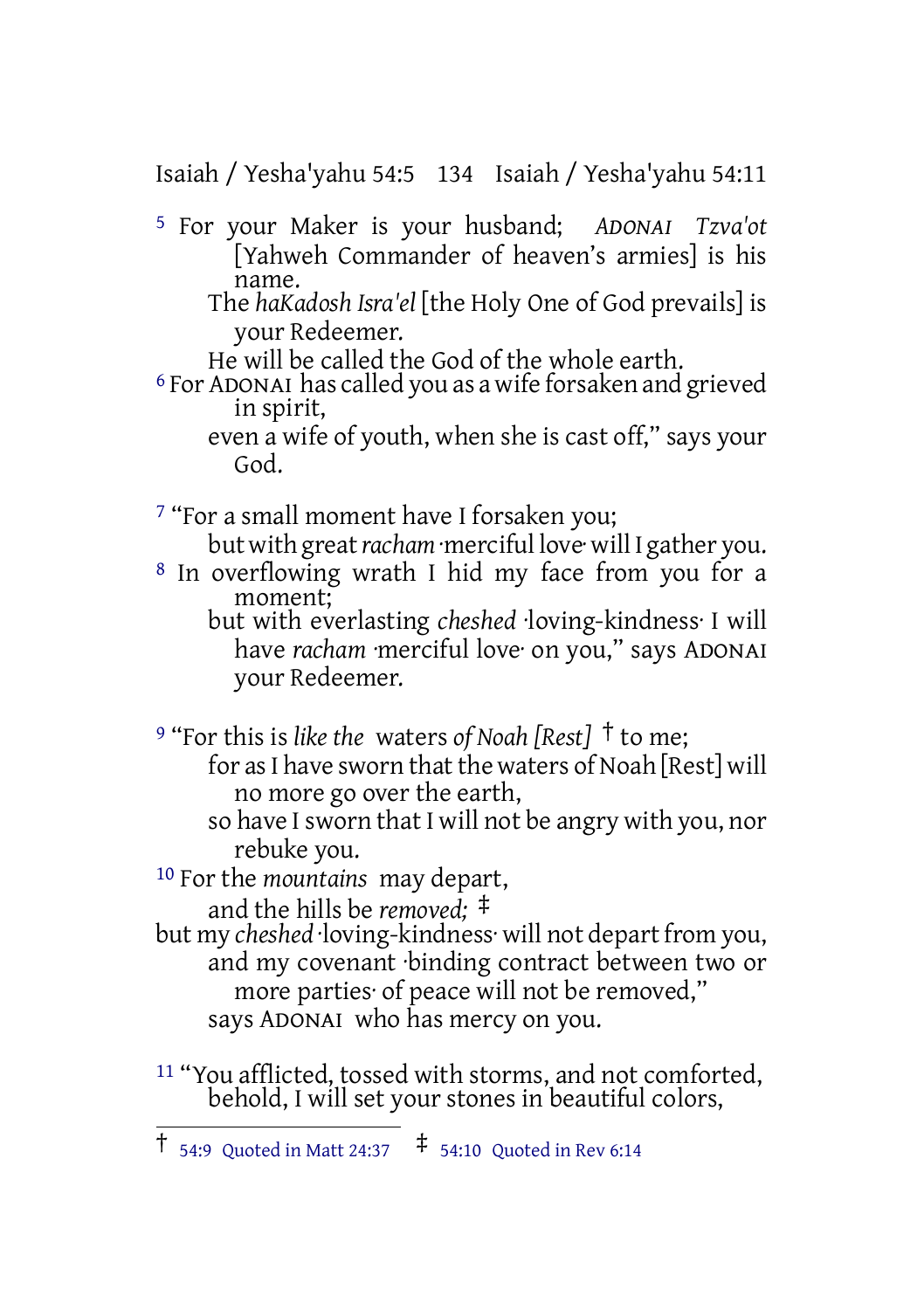Isaiah / Yesha'yahu 54:5 134 Isaiah / Yesha'yahu 54:11

- 5 For your Maker is your husband; *ADONAI Tzva'ot* [Yahweh Commander of heaven's armies] is his name.
	- The *haKadosh Isra'el* [the Holy One of God prevails] is your Redeemer.
	- He will be called the God of the whole earth.
- 6 For ADONAI has called you as a wife forsaken and grieved in spirit,
	- even a wife of youth, when she is cast off," says your God.
- 7 "For a small moment have I forsaken you;
- but with great *racham* ·merciful love· will I gather you. 8 In overflowing wrath I hid my face from you for a
	- moment; but with everlasting *cheshed* ·loving-kindness· I will have *racham* ·merciful love· on you," says ADONAI your Redeemer.

<sup>9</sup> "For this is *like the* waters *of Noah [Rest]* † to me;

- for as I have sworn that the waters of Noah [Rest] will no more go over the earth,
- so have I sworn that I will not be angry with you, nor rebuke you.
- 10 For the *mountains* may depart,

and the hills be *removed;* ‡

- but my *cheshed* ·loving-kindness· will not depart from you, and my covenant ·binding contract between two or more parties· of peace will not be removed," says ADONAI who has mercy on you.
- <sup>11</sup> "You afflicted, tossed with storms, and not comforted, behold, I will set your stones in beautiful colors,

<sup>†</sup> 54:9 Quoted in Matt 24:37 ‡ 54:10 Quoted in Rev 6:14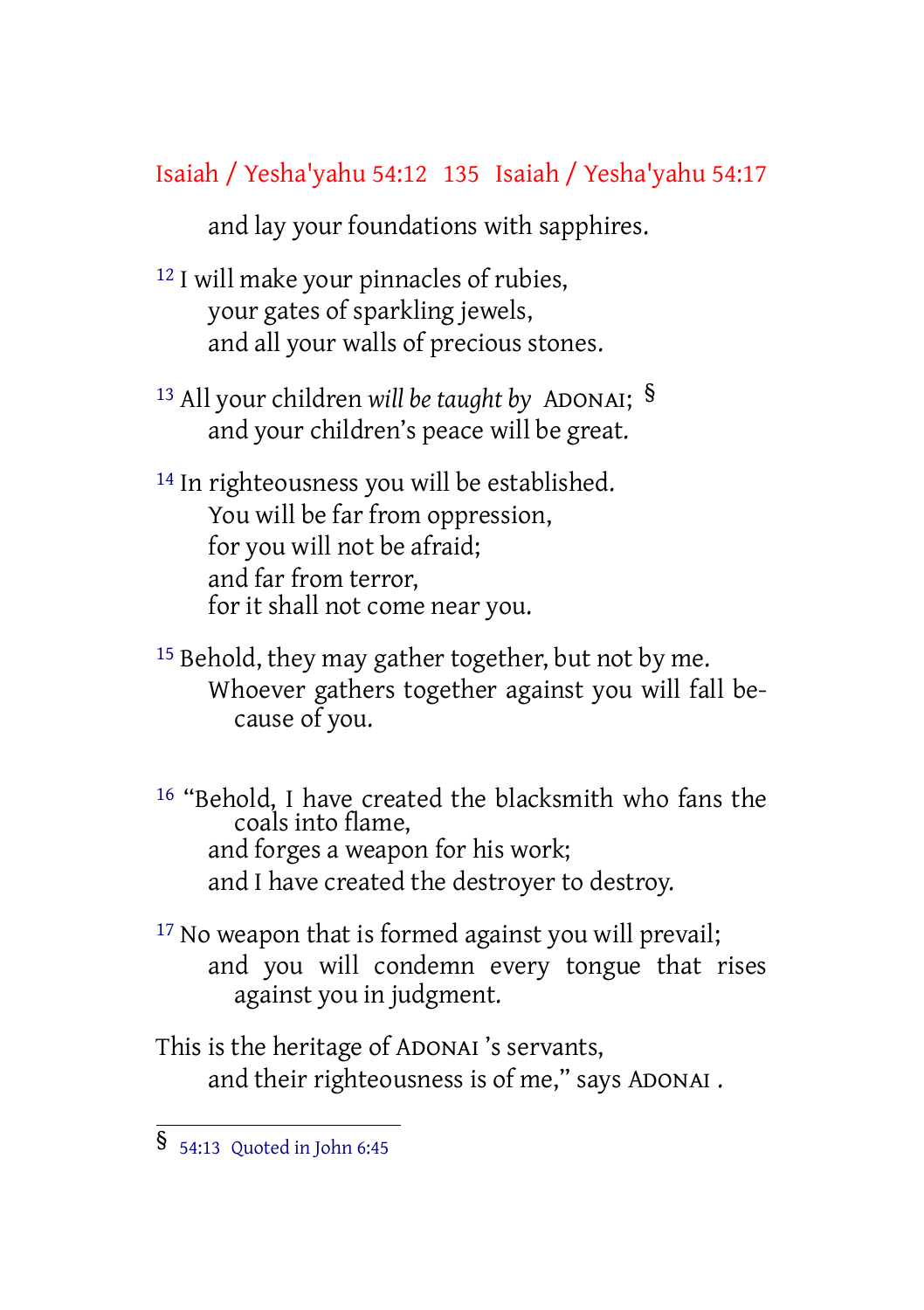#### Isaiah / Yesha'yahu 54:12 135 Isaiah / Yesha'yahu 54:17

and lay your foundations with sapphires.

- 12 I will make your pinnacles of rubies, your gates of sparkling jewels, and all your walls of precious stones.
- <sup>13</sup> All your children *will be taught by* ADONAI; § and your children's peace will be great.
- <sup>14</sup> In righteousness you will be established. You will be far from oppression, for you will not be afraid; and far from terror, for it shall not come near you.
- <sup>15</sup> Behold, they may gather together, but not by me. Whoever gathers together against you will fall because of you.
- 16 "Behold, I have created the blacksmith who fans the coals into flame, and forges a weapon for his work; and I have created the destroyer to destroy.
- <sup>17</sup> No weapon that is formed against you will prevail; and you will condemn every tongue that rises against you in judgment.

This is the heritage of ADONAI 's servants, and their righteousness is of me," says ADONAI .

<sup>§</sup> 54:13 Quoted in John 6:45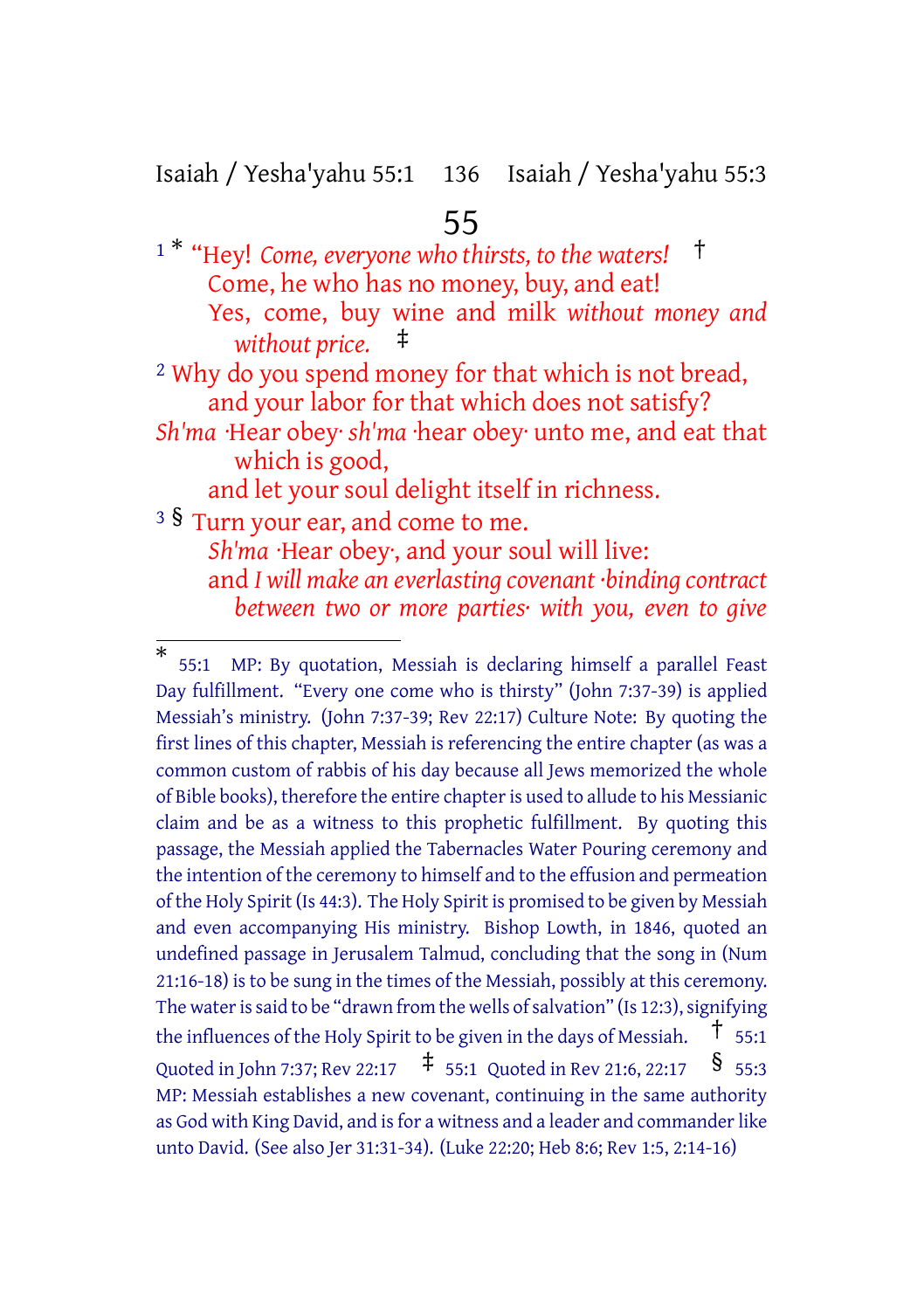Isaiah / Yesha'yahu 55:1 136 Isaiah / Yesha'yahu 55:3

## 55

<sup>1</sup> \* "Hey! *Come, everyone who thirsts, to the waters!* † Come, he who has no money, buy, and eat! Yes, come, buy wine and milk *without money and without price.* ‡ 2 Why do you spend money for that which is not bread,

and your labor for that which does not satisfy?

*Sh'ma* ·Hear obey· *sh'ma* ·hear obey· unto me, and eat that which is good,

and let your soul delight itself in richness.

<sup>3</sup> § Turn your ear, and come to me.

*Sh'ma* ·Hear obey·, and your soul will live: and *I will make an everlasting covenant ·binding contract between two or more parties· with you, even to give*

<sup>\*</sup> 55:1 MP: By quotation, Messiah is declaring himself a parallel Feast Day fulfillment. "Every one come who is thirsty" (John 7:37-39) is applied Messiah's ministry. (John 7:37-39; Rev 22:17) Culture Note: By quoting the first lines of this chapter, Messiah is referencing the entire chapter (as was a common custom of rabbis of his day because all Jews memorized the whole of Bible books), therefore the entire chapteris used to allude to his Messianic claim and be as a witness to this prophetic fulfillment. By quoting this passage, the Messiah applied the Tabernacles Water Pouring ceremony and the intention of the ceremony to himself and to the effusion and permeation of the Holy Spirit (Is 44:3). The Holy Spirit is promised to be given by Messiah and even accompanying His ministry. Bishop Lowth, in 1846, quoted an undefined passage in Jerusalem Talmud, concluding that the song in (Num 21:16-18) is to be sung in the times of the Messiah, possibly at this ceremony. The water is said to be "drawn from the wells of salvation" (Is 12:3), signifying the influences of the Holy Spirit to be given in the days of Messiah.  $\uparrow$  55:1 Quoted in John 7:37; Rev 22:17  $\uparrow$  55:1 Quoted in Rev 21:6, 22:17 § 55:3 MP: Messiah establishes a new covenant, continuing in the same authority as God with King David, and is for a witness and a leader and commander like unto David. (See also Jer 31:31-34). (Luke 22:20; Heb 8:6; Rev 1:5, 2:14-16)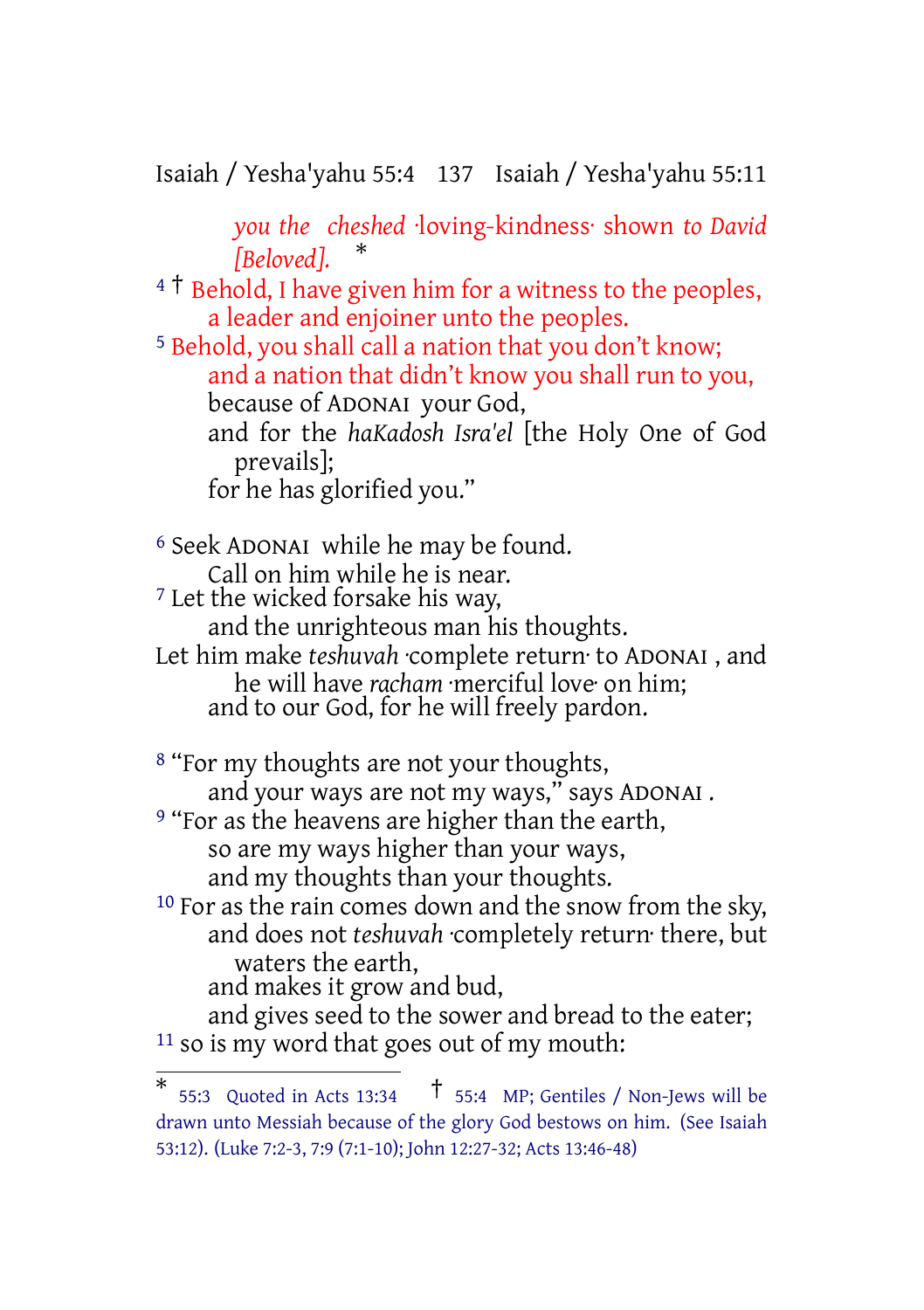Isaiah / Yesha'yahu 55:4 137 Isaiah / Yesha'yahu 55:11

*you the cheshed* ·loving-kindness· shown *to David [Beloved].* \*

<sup>4</sup> <sup>†</sup> Behold, I have given him for a witness to the peoples, a leader and enjoiner unto the peoples.

5 Behold, you shall call a nation that you don't know; and a nation that didn't know you shall run to you, because of ADONAI your God, and for the *haKadosh Isra'el* [the Holy One of God prevails]; for he has glorified you."

6 Seek ADONAI while he may be found. Call on him while he is near. 7 Let the wicked forsake his way, and the unrighteous man his thoughts. Let him make *teshuvah* ·complete return· to ADONAI , and he will have *racham* ·merciful love· on him; and to our God, for he will freely pardon.

8 "For my thoughts are not your thoughts, and your ways are not my ways," says ADONAI . <sup>9</sup> "For as the heavens are higher than the earth, so are my ways higher than your ways, and my thoughts than your thoughts. <sup>10</sup> For as the rain comes down and the snow from the sky, and does not *teshuvah* ·completely return· there, but waters the earth, and makes it grow and bud,

and gives seed to the sower and bread to the eater; 11 so is my word that goes out of my mouth:

<sup>\* 55:3</sup> Quoted in Acts 13:34  $\dagger$  55:4 MP; Gentiles / Non-Jews will be drawn unto Messiah because of the glory God bestows on him. (See Isaiah 53:12). (Luke 7:2-3, 7:9 (7:1-10); John 12:27-32; Acts 13:46-48)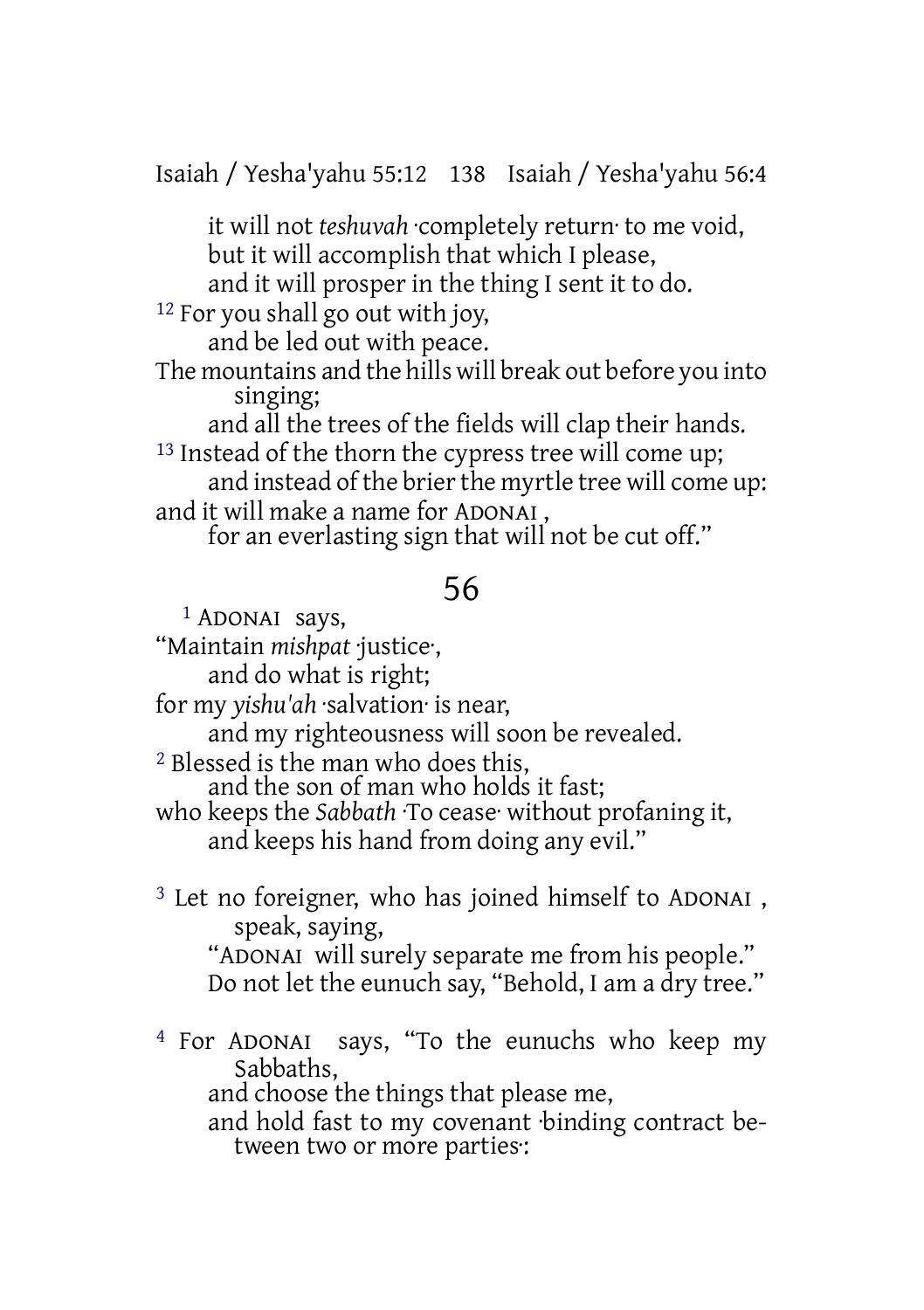Isaiah / Yesha'yahu 55:12 138 Isaiah / Yesha'yahu 56:4

it will not *teshuvah* ·completely return· to me void, but it will accomplish that which I please,

and it will prosper in the thing I sent it to do.

12 For you shall go out with joy,

and be led out with peace.

The mountains and the hills will break out before you into singing;

and all the trees of the fields will clap their hands. <sup>13</sup> Instead of the thorn the cypress tree will come up;

and instead of the brier the myrtle tree will come up: and it will make a name for ADONAI ,

for an everlasting sign that will not be cut off."

## 56

1 ADONAI says, "Maintain *mishpat* ·justice·, and do what is right; for my *yishu'ah* ·salvation· is near, and my righteousness will soon be revealed. 2 Blessed is the man who does this, and the son of man who holds it fast; who keeps the *Sabbath* ·To cease· without profaning it, and keeps his hand from doing any evil."

3 Let no foreigner, who has joined himself to ADONAI , speak, saying, "ADONAI will surely separate me from his people." Do not let the eunuch say, "Behold, I am a dry tree."

4 For ADONAI says, "To the eunuchs who keep my Sabbaths, and choose the things that please me, and hold fast to my covenant ·binding contract between two or more parties·: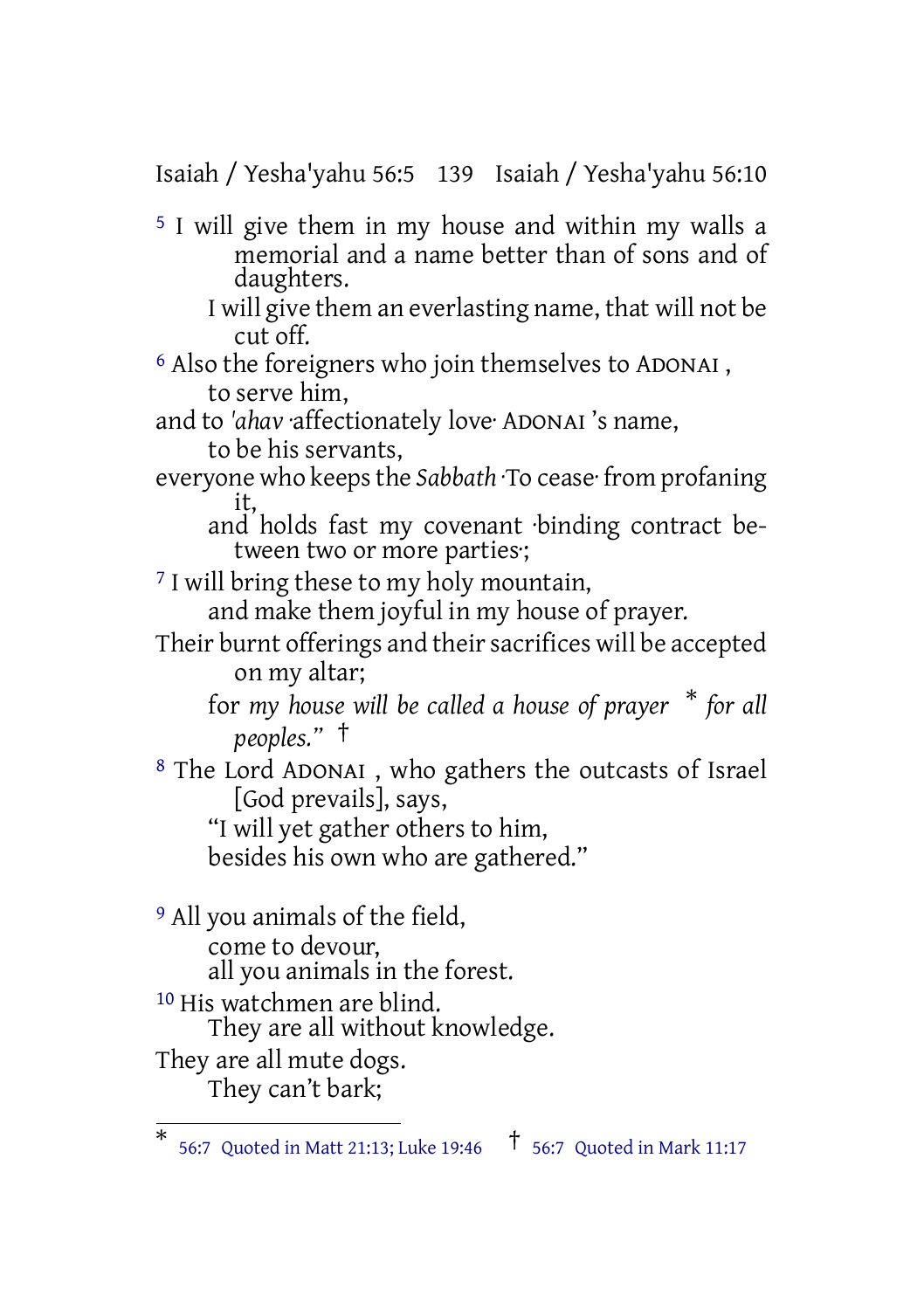Isaiah / Yesha'yahu 56:5 139 Isaiah / Yesha'yahu 56:10

5 I will give them in my house and within my walls a memorial and a name better than of sons and of daughters.

I will give them an everlasting name, that will not be cut off.

6 Also the foreigners who join themselves to ADONAI , to serve him,

and to *'ahav* ·affectionately love· ADONAI 's name, to be his servants,

everyone who keepsthe *Sabbath* ·To cease· from profaning it,

and holds fast my covenant ·binding contract between two or more parties·;

<sup>7</sup> I will bring these to my holy mountain,

and make them joyful in my house of prayer.

Their burnt offerings and their sacrifices will be accepted on my altar;

for *my house will be called a house of prayer* \* *for all peoples."* †

8 The Lord ADONAI , who gathers the outcasts of Israel [God prevails], says,

"I will yet gather others to him, besides his own who are gathered."

9 All you animals of the field,

come to devour,

all you animals in the forest.

10 His watchmen are blind.

They are all without knowledge.

They are all mute dogs. They can't bark;

<sup>\*</sup> 56:7 Quoted in Matt 21:13; Luke 19:46 † 56:7 Quoted in Mark 11:17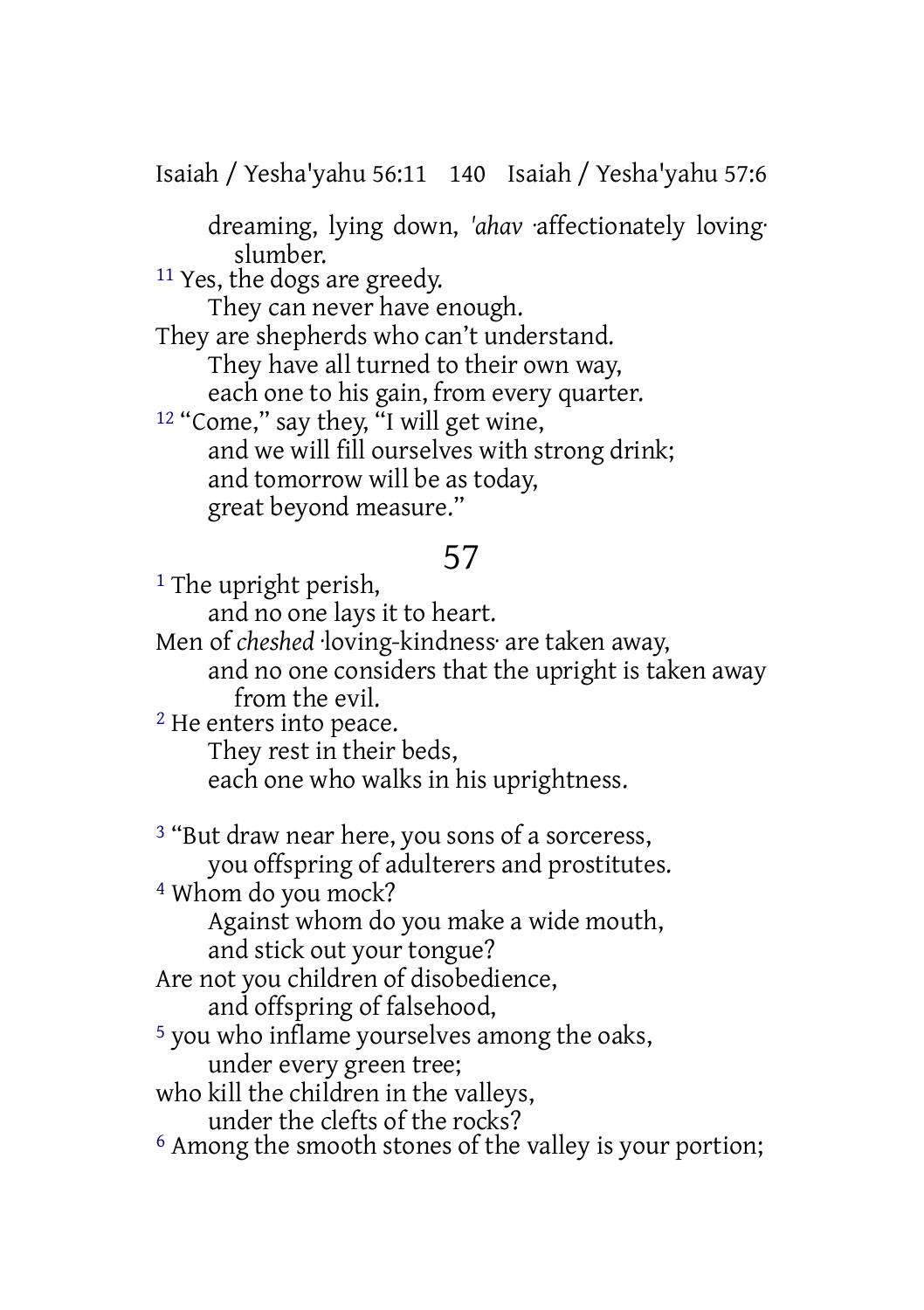Isaiah / Yesha'yahu 56:11 140 Isaiah / Yesha'yahu 57:6

dreaming, lying down, *'ahav* ·affectionately loving· slumber.

11 Yes, the dogs are greedy.

They can never have enough.

They are shepherds who can't understand. They have all turned to their own way, each one to his gain, from every quarter. <sup>12</sup> "Come," say they, "I will get wine, and we will fill ourselves with strong drink; and tomorrow will be as today,

great beyond measure."

# 57

<sup>1</sup> The upright perish,

and no one lays it to heart.

Men of *cheshed* ·loving-kindness· are taken away,

and no one considers that the upright is taken away from the evil.

2 He enters into peace.

They rest in their beds,

each one who walks in his uprightness.

<sup>3</sup> "But draw near here, you sons of a sorceress, you offspring of adulterers and prostitutes.

4 Whom do you mock?

Against whom do you make a wide mouth, and stick out your tongue?

Are not you children of disobedience,

and offspring of falsehood,

5 you who inflame yourselves among the oaks,

under every green tree;

who kill the children in the valleys,

under the clefts of the rocks?

6 Among the smooth stones of the valley is your portion;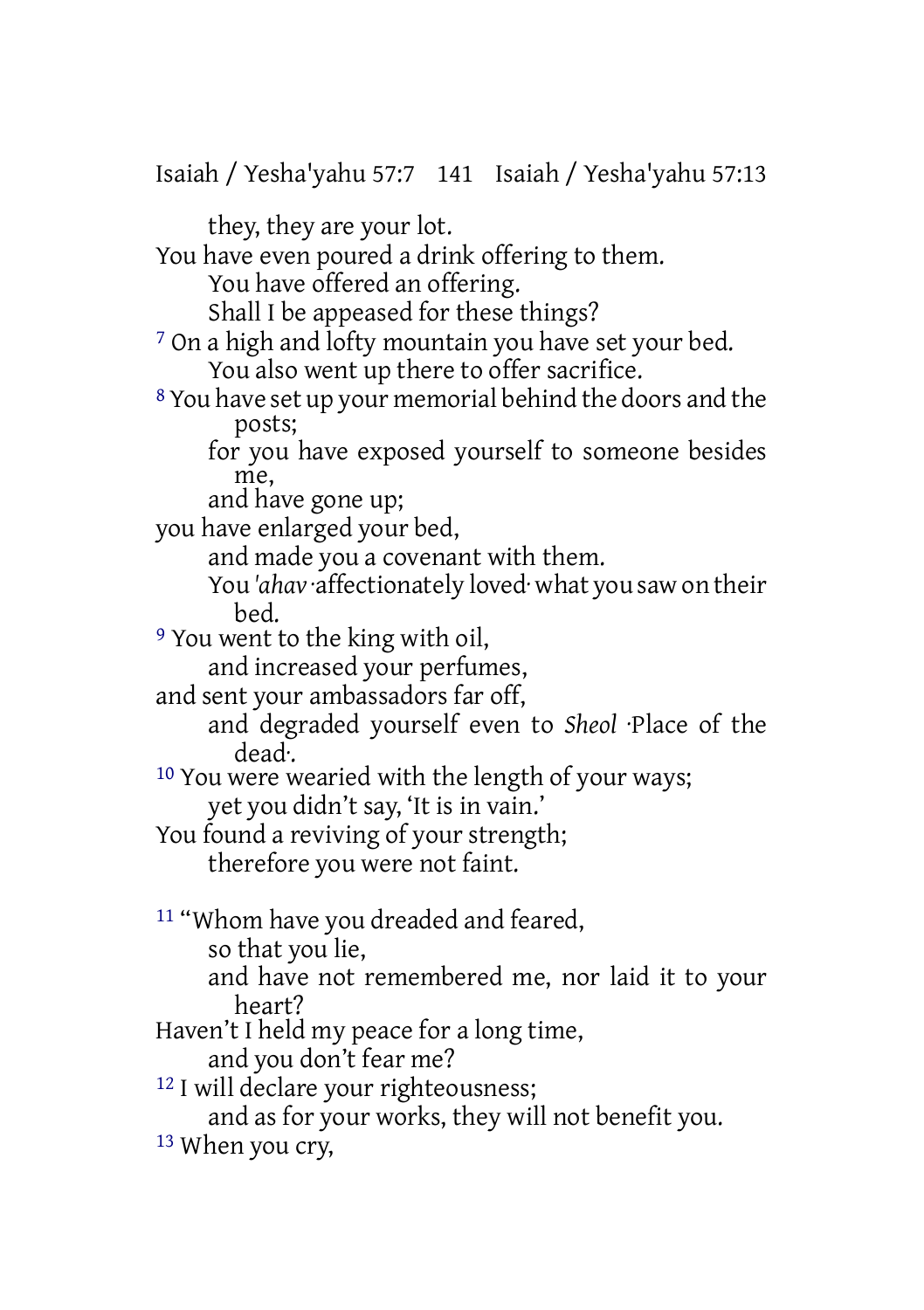Isaiah / Yesha'yahu 57:7 141 Isaiah / Yesha'yahu 57:13 they, they are your lot. You have even poured a drink offering to them. You have offered an offering. Shall I be appeased for these things? 7 On a high and lofty mountain you have set your bed. You also went up there to offer sacrifice. 8 You have set up your memorial behind the doors and the posts; for you have exposed yourself to someone besides me, and have gone up; you have enlarged your bed, and made you a covenant with them. You *'ahav* ·affectionately loved· what you saw on their bed. 9 You went to the king with oil, and increased your perfumes, and sent your ambassadors far off, and degraded yourself even to *Sheol* ·Place of the dead·. 10 You were wearied with the length of your ways; yet you didn't say, 'It is in vain.' You found a reviving of your strength; therefore you were not faint. 11 "Whom have you dreaded and feared, so that you lie, and have not remembered me, nor laid it to your heart? Haven't I held my peace for a long time, and you don't fear me? <sup>12</sup> I will declare your righteousness; and as for your works, they will not benefit you. 13 When you cry,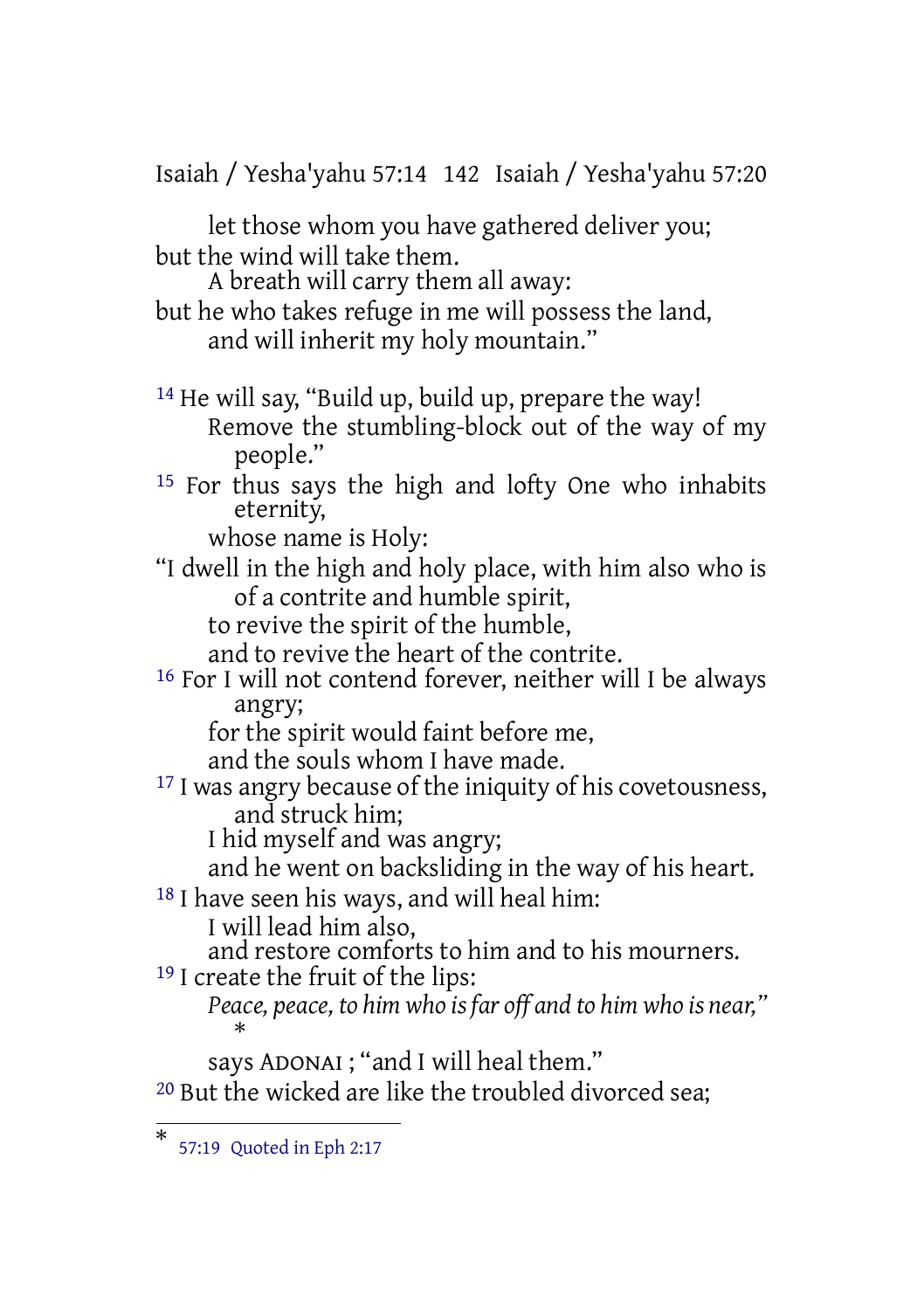Isaiah / Yesha'yahu 57:14 142 Isaiah / Yesha'yahu 57:20 let those whom you have gathered deliver you; but the wind will take them. A breath will carry them all away: but he who takes refuge in me will possess the land, and will inherit my holy mountain." 14 He will say, "Build up, build up, prepare the way! Remove the stumbling-block out of the way of my people." 15 For thus says the high and lofty One who inhabits eternity, whose name is Holy: "I dwell in the high and holy place, with him also who is of a contrite and humble spirit, to revive the spirit of the humble, and to revive the heart of the contrite. 16 For I will not contend forever, neither will I be always angry; for the spirit would faint before me, and the souls whom I have made. <sup>17</sup> I was angry because of the iniquity of his covetousness, and struck him; I hid myself and was angry; and he went on backsliding in the way of his heart. <sup>18</sup> I have seen his ways, and will heal him: I will lead him also, and restore comforts to him and to his mourners. 19 I create the fruit of the lips: *Peace, peace, to him who is far off and to him who is near,"* \* says ADONAI ; "and I will heal them." 20 But the wicked are like the troubled divorced sea;

<sup>\*</sup> 57:19 Quoted in Eph 2:17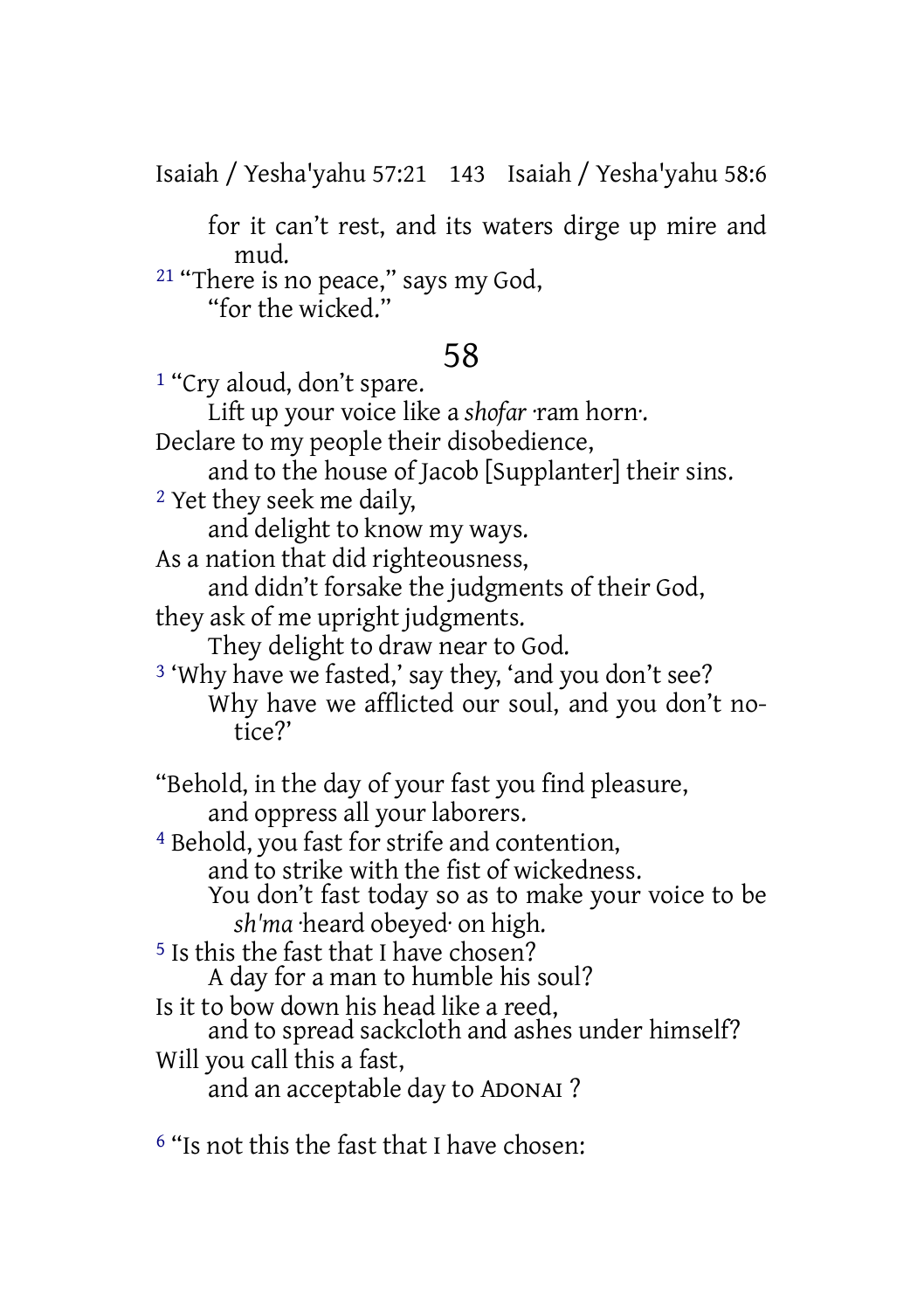Isaiah / Yesha'yahu 57:21 143 Isaiah / Yesha'yahu 58:6

for it can't rest, and its waters dirge up mire and mud.

21 "There is no peace," says my God, "for the wicked."

# 58

1 "Cry aloud, don't spare.

Lift up your voice like a *shofar* ·ram horn·.

Declare to my people their disobedience,

and to the house of Jacob [Supplanter] their sins.

2 Yet they seek me daily,

and delight to know my ways.

As a nation that did righteousness,

and didn't forsake the judgments of their God, they ask of me upright judgments.

They delight to draw near to God.

3 'Why have we fasted,' say they, 'and you don't see? Why have we afflicted our soul, and you don't notice?'

"Behold, in the day of your fast you find pleasure, and oppress all your laborers.

4 Behold, you fast for strife and contention, and to strike with the fist of wickedness. You don't fast today so as to make your voice to be *sh'ma* ·heard obeyed· on high.

5 Is this the fast that I have chosen? A day for a man to humble his soul?

Is it to bow down his head like a reed,

and to spread sackcloth and ashes under himself? Will you call this a fast,

and an acceptable day to ADONAI ?

6 "Is not this the fast that I have chosen: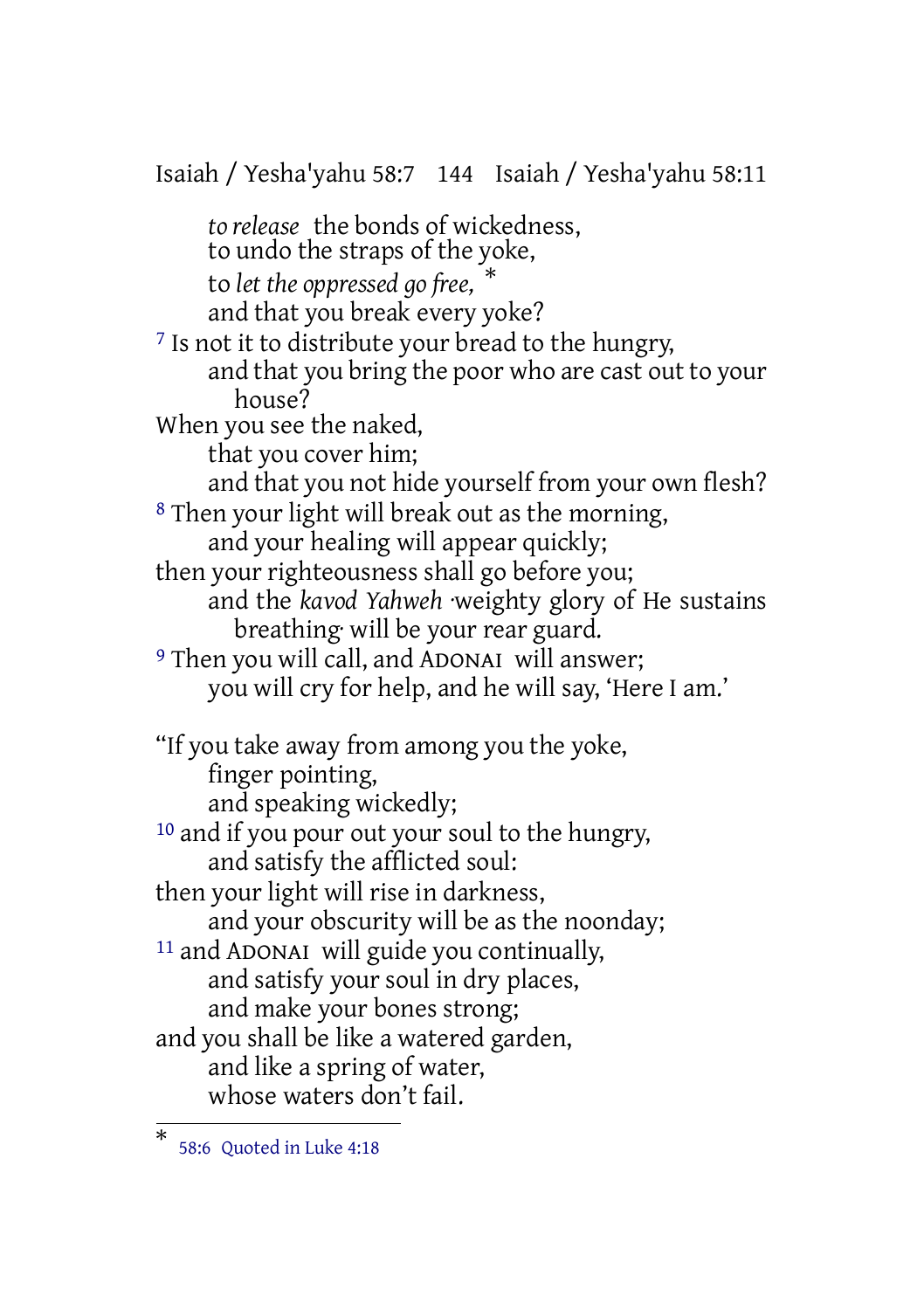Isaiah / Yesha'yahu 58:7 144 Isaiah / Yesha'yahu 58:11 *to release* the bonds of wickedness, to undo the straps of the yoke, to *let the oppressed go free,* \* and that you break every yoke? 7 Is not it to distribute your bread to the hungry, and that you bring the poor who are cast out to your house? When you see the naked, that you cover him; and that you not hide yourself from your own flesh? 8 Then your light will break out as the morning, and your healing will appear quickly; then your righteousness shall go before you; and the *kavod Yahweh* ·weighty glory of He sustains breathing· will be your rear guard. 9 Then you will call, and ADONAI will answer; you will cry for help, and he will say, 'Here I am.' "If you take away from among you the yoke, finger pointing, and speaking wickedly; 10 and if you pour out your soul to the hungry, and satisfy the afflicted soul: then your light will rise in darkness, and your obscurity will be as the noonday; 11 and ADONAI will guide you continually, and satisfy your soul in dry places, and make your bones strong; and you shall be like a watered garden, and like a spring of water, whose waters don't fail.

<sup>\*</sup> 58:6 Quoted in Luke 4:18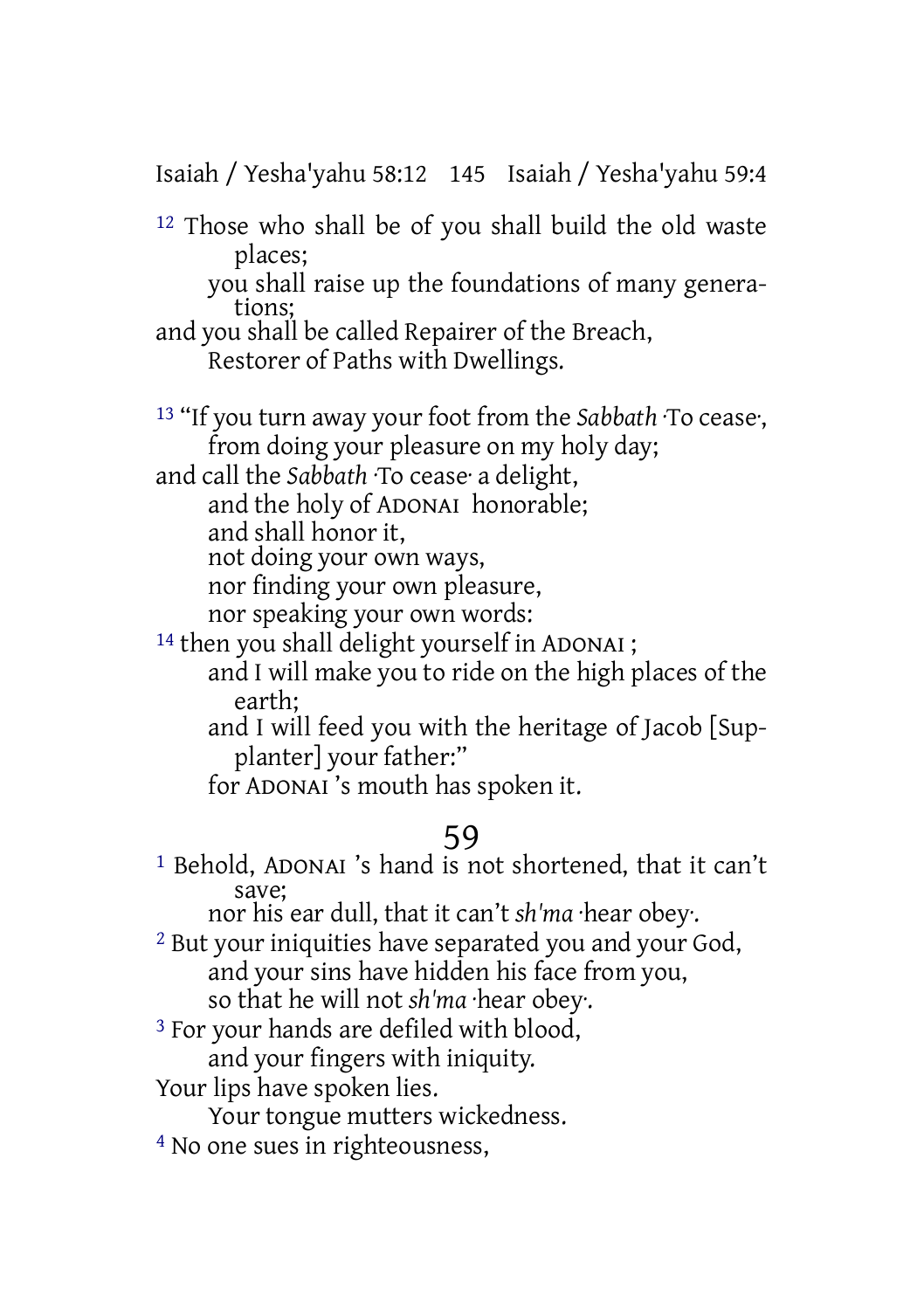Isaiah / Yesha'yahu 58:12 145 Isaiah / Yesha'yahu 59:4

12 Those who shall be of you shall build the old waste places;

you shall raise up the foundations of many generations;

and you shall be called Repairer of the Breach, Restorer of Paths with Dwellings.

13 "If you turn away your foot from the *Sabbath* ·To cease·, from doing your pleasure on my holy day;

and call the *Sabbath* ·To cease· a delight, and the holy of ADONAI honorable; and shall honor it,

not doing your own ways,

nor finding your own pleasure,

nor speaking your own words:

<sup>14</sup> then you shall delight yourself in ADONAI ; and I will make you to ride on the high places of the earth;

and I will feed you with the heritage of Jacob [Supplanter] your father:"

for ADONAI 's mouth has spoken it.

# 59

1 Behold, ADONAI 's hand is not shortened, that it can't save;

nor his ear dull, that it can't *sh'ma* ·hear obey·.

2 But your iniquities have separated you and your God, and your sins have hidden his face from you, so that he will not *sh'ma* ·hear obey·.

3 For your hands are defiled with blood,

and your fingers with iniquity.

Your lips have spoken lies.

Your tongue mutters wickedness.

4 No one sues in righteousness,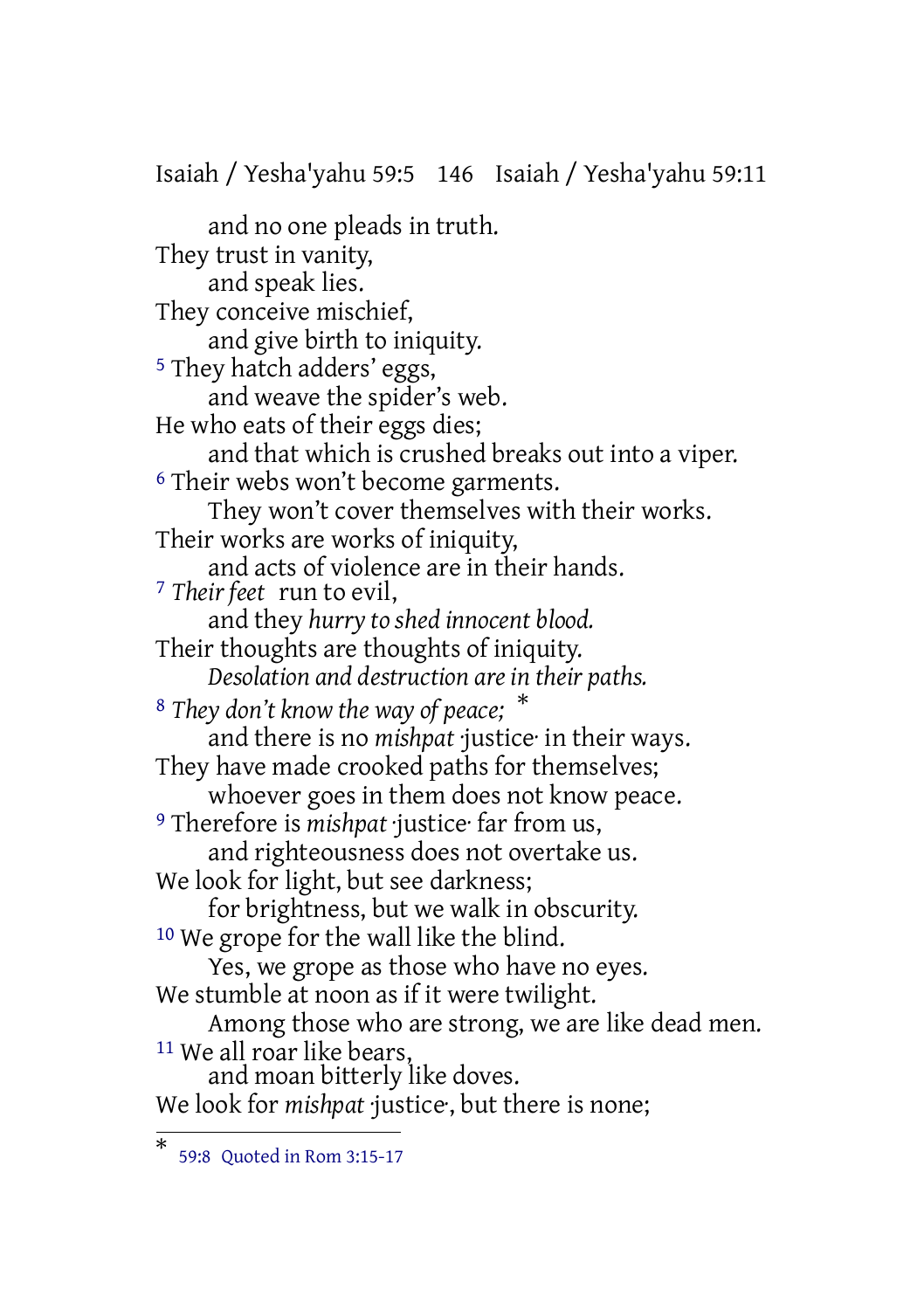Isaiah / Yesha'yahu 59:5 146 Isaiah / Yesha'yahu 59:11

and no one pleads in truth. They trust in vanity, and speak lies. They conceive mischief, and give birth to iniquity. 5 They hatch adders' eggs, and weave the spider's web. He who eats of their eggs dies; and that which is crushed breaks out into a viper. 6 Their webs won't become garments. They won't cover themselves with their works. Their works are works of iniquity, and acts of violence are in their hands. 7 *Their feet* run to evil, and they *hurry to shed innocent blood.* Their thoughts are thoughts of iniquity. *Desolation and destruction are in their paths.* 8 *They don't know the way of peace;* \* and there is no *mishpat* ·justice· in their ways. They have made crooked paths for themselves; whoever goes in them does not know peace. 9 Therefore is *mishpat* ·justice· far from us, and righteousness does not overtake us. We look for light, but see darkness; for brightness, but we walk in obscurity. 10 We grope for the wall like the blind. Yes, we grope as those who have no eyes. We stumble at noon as if it were twilight. Among those who are strong, we are like dead men. 11 We all roar like bears, and moan bitterly like doves. We look for *mishpat justice*, but there is none;

<sup>\*</sup> 59:8 Quoted in Rom 3:15-17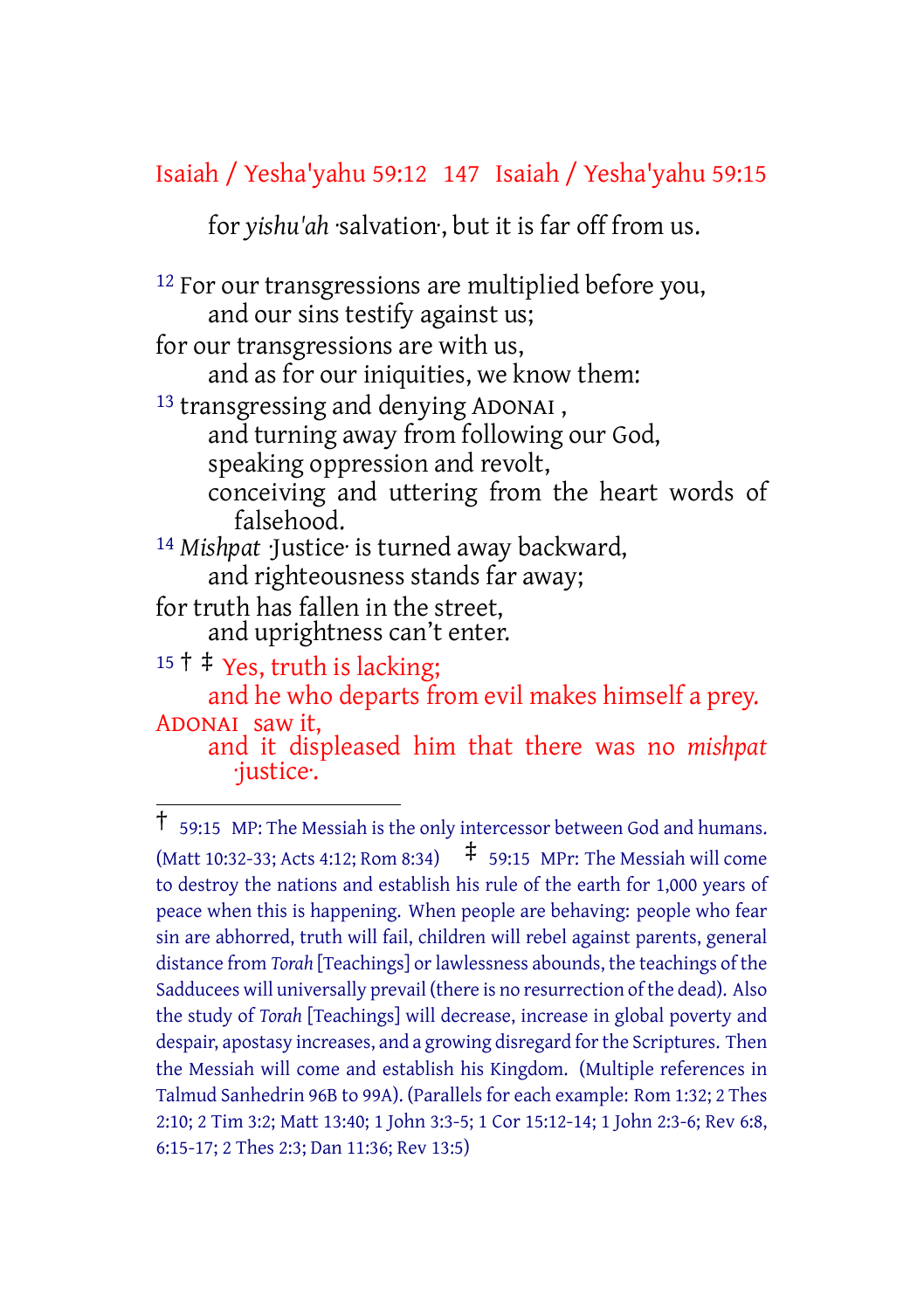### Isaiah / Yesha'yahu 59:12 147 Isaiah / Yesha'yahu 59:15

for *yishu'ah* ·salvation·, but it is far off from us.

12 For our transgressions are multiplied before you, and our sins testify against us; for our transgressions are with us, and as for our iniquities, we know them: 13 transgressing and denying ADONAI , and turning away from following our God, speaking oppression and revolt, conceiving and uttering from the heart words of falsehood. 14 *Mishpat* ·Justice· is turned away backward, and righteousness stands far away; for truth has fallen in the street, and uprightness can't enter.  $15 \dagger \dagger$  Yes, truth is lacking; and he who departs from evil makes himself a prey. ADONAI saw it, and it displeased him that there was no *mishpat*

·justice·.

<sup>†</sup> 59:15 MP: The Messiah is the only intercessor between God and humans. (Matt 10:32-33; Acts 4:12; Rom 8:34)  $\uparrow$  59:15 MPr: The Messiah will come to destroy the nations and establish his rule of the earth for 1,000 years of peace when this is happening. When people are behaving: people who fear sin are abhorred, truth will fail, children will rebel against parents, general distance from *Torah* [Teachings] or lawlessness abounds, the teachings of the Sadducees will universally prevail (there is no resurrection of the dead). Also the study of *Torah* [Teachings] will decrease, increase in global poverty and despair, apostasy increases, and a growing disregard for the Scriptures. Then the Messiah will come and establish his Kingdom. (Multiple references in Talmud Sanhedrin 96B to 99A). (Parallels for each example: Rom 1:32; 2 Thes 2:10; 2 Tim 3:2; Matt 13:40; 1 John 3:3-5; 1 Cor 15:12-14; 1 John 2:3-6; Rev 6:8, 6:15-17; 2 Thes 2:3; Dan 11:36; Rev 13:5)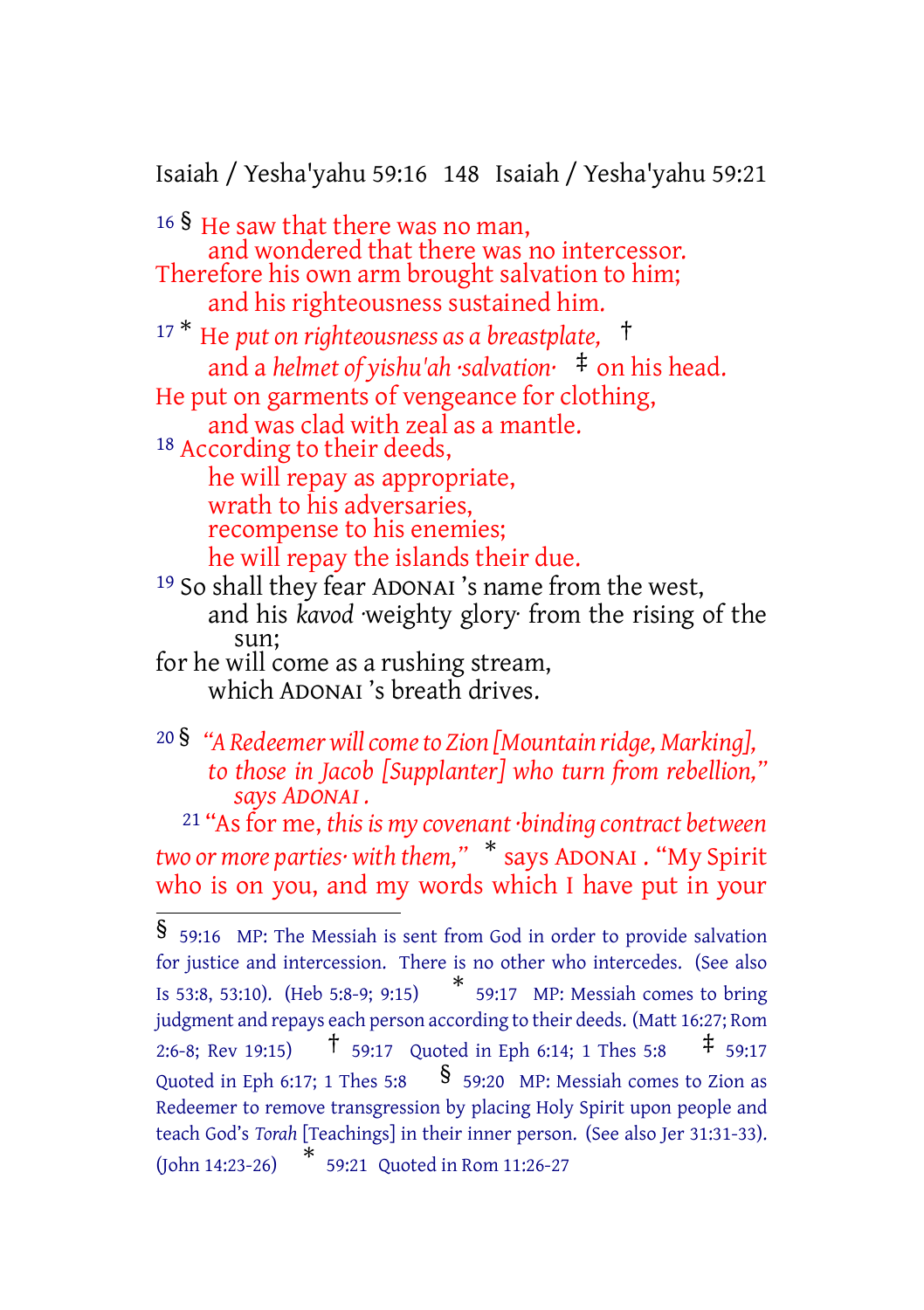Isaiah / Yesha'yahu 59:16 148 Isaiah / Yesha'yahu 59:21

<sup>16</sup> § He saw that there was no man, and wondered that there was no intercessor. Therefore his own arm brought salvation to him; and his righteousness sustained him.

<sup>17</sup> \* He *put on righteousness as a breastplate,* † and a *helmet of yishu'ah ·salvation·* ‡ on his head. He put on garments of vengeance for clothing, and was clad with zeal as a mantle. 18 According to their deeds, he will repay as appropriate, wrath to his adversaries,

recompense to his enemies; he will repay the islands their due.

19 So shall they fear ADONAI 's name from the west, and his *kavod* ·weighty glory· from the rising of the sun;

for he will come as a rushing stream, which ADONAI 's breath drives.

<sup>20</sup> § *"A Redeemerwillcometo Zion [Mountain ridge, Marking], to those in Jacob [Supplanter] who turn from rebellion," says ADONAI .*

21 "Asfor me, *thisis my covenant ·binding contract between two or more parties· with them,"* \* says ADONAI . "My Spirit who is on you, and my words which I have put in your

<sup>§</sup> 59:16 MP: The Messiah is sent from God in order to provide salvation for justice and intercession. There is no other who intercedes. (See also Is 53:8, 53:10). (Heb 5:8-9; 9:15) \* 59:17 MP: Messiah comes to bring judgment and repays each person according to their deeds. (Matt 16:27; Rom 2:6-8; Rev 19:15) † 59:17 Quoted in Eph 6:14; <sup>1</sup> Thes 5:8 ‡ 59:17 Quoted in Eph 6:17; 1 Thes 5:8  $\frac{1}{5}$  59:20 MP: Messiah comes to Zion as Redeemer to remove transgression by placing Holy Spirit upon people and teach God's *Torah* [Teachings] in their inner person. (See also Jer 31:31-33). (John 14:23-26) \* 59:21 Quoted in Rom 11:26-27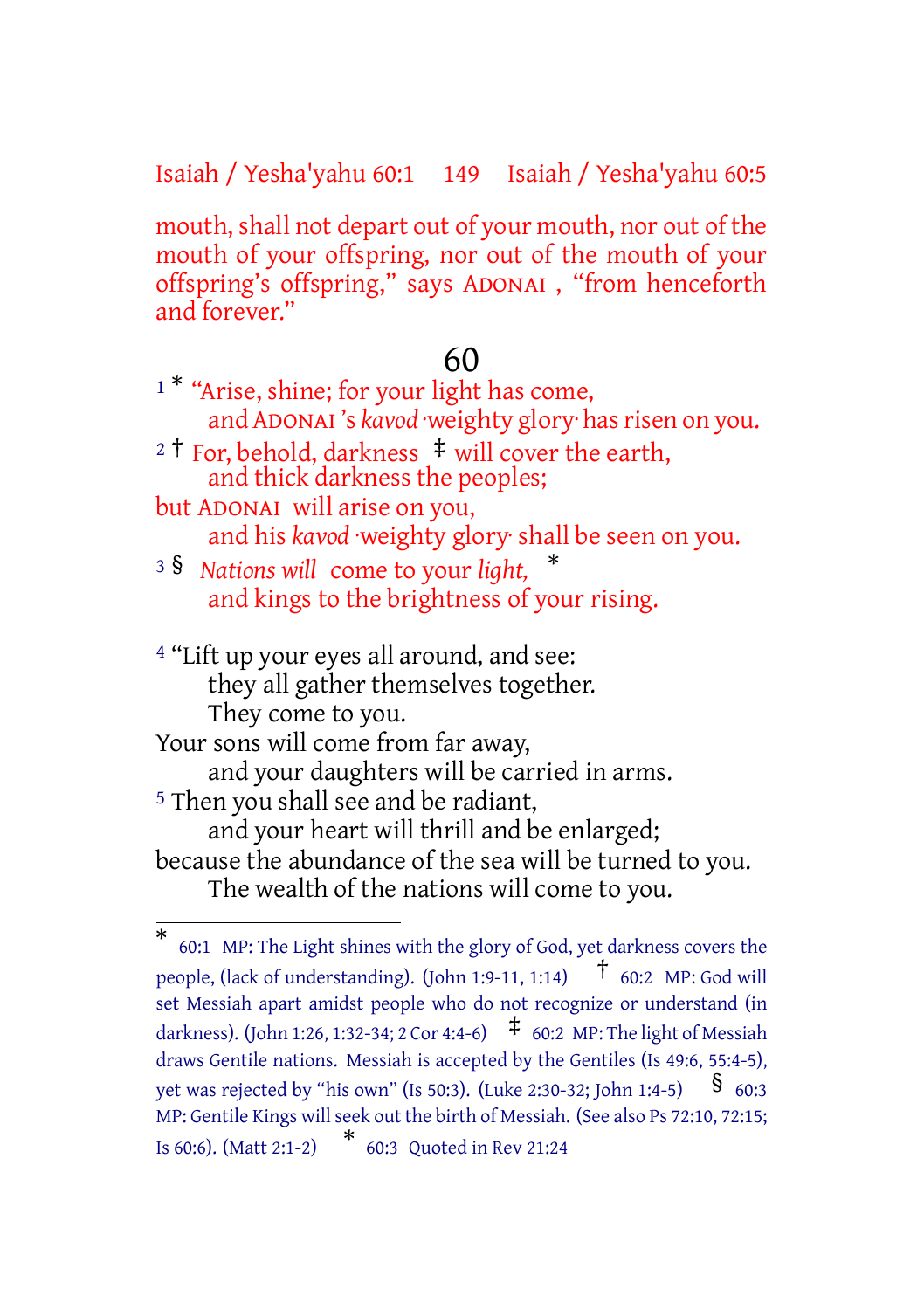Isaiah / Yesha'yahu 60:1 149 Isaiah / Yesha'yahu 60:5

mouth, shall not depart out of your mouth, nor out of the mouth of your offspring, nor out of the mouth of your offspring's offspring," says ADONAI , "from henceforth and forever."

#### 60

- <sup>1\*</sup> "Arise, shine; for your light has come, and ADONAI's kavod weighty glory has risen on you.
- <sup>2</sup> <sup>†</sup> For, behold, darkness  $\pm$  will cover the earth, and thick darkness the peoples;
- but ADONAI will arise on you, and his *kavod* ·weighty glory· shall be seen on you.
- <sup>3</sup> § *Nations will* come to your *light,* \* and kings to the brightness of your rising.
- 4 "Lift up your eyes all around, and see: they all gather themselves together. They come to you.

Your sons will come from far away,

and your daughters will be carried in arms.

5 Then you shall see and be radiant,

and your heart will thrill and be enlarged; because the abundance of the sea will be turned to you.

The wealth of the nations will come to you.

<sup>\*</sup> 60:1 MP: The Light shines with the glory of God, yet darkness covers the people, (lack of understanding). (John 1:9-11, 1:14)  $\uparrow$  60:2 MP: God will set Messiah apart amidst people who do not recognize or understand (in darkness). (John 1:26, 1:32-34; 2 Cor 4:4-6)  $\uparrow$  60:2 MP: The light of Messiah draws Gentile nations. Messiah is accepted by the Gentiles (Is 49:6, 55:4-5), yet was rejected by "his own" (Is 50:3). (Luke 2:30-32; John 1:4-5)  $\$$  60:3 MP: Gentile Kings will seek out the birth of Messiah. (See also Ps 72:10, 72:15; Is 60:6). (Matt 2:1-2) \* 60:3 Quoted in Rev 21:24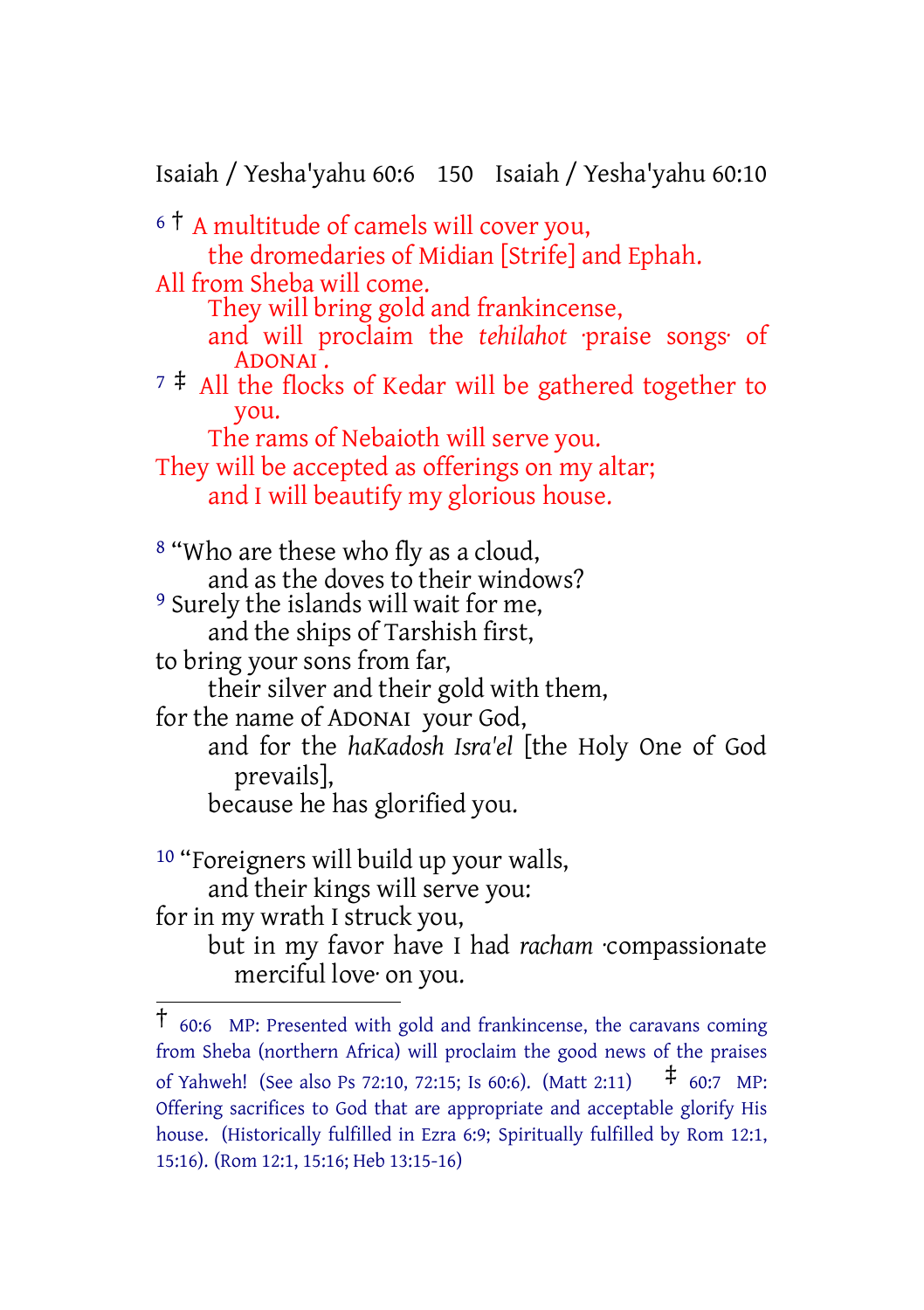Isaiah / Yesha'yahu 60:6 150 Isaiah / Yesha'yahu 60:10

<sup>6</sup> † A multitude of camels will cover you, the dromedaries of Midian [Strife] and Ephah. All from Sheba will come. They will bring gold and frankincense, and will proclaim the *tehilahot* ·praise songs· of ADONAI.  $7 \div$  All the flocks of Kedar will be gathered together to you. The rams of Nebaioth will serve you. They will be accepted as offerings on my altar; and I will beautify my glorious house. 8 "Who are these who fly as a cloud, and as the doves to their windows? <sup>9</sup> Surely the islands will wait for me, and the ships of Tarshish first, to bring your sons from far, their silver and their gold with them, for the name of ADONAI your God, and for the *haKadosh Isra'el* [the Holy One of God prevails], because he has glorified you. 10 "Foreigners will build up your walls, and their kings will serve you:

for in my wrath I struck you, but in my favor have I had *racham* ·compassionate merciful love· on you.

<sup>†</sup> 60:6 MP: Presented with gold and frankincense, the caravans coming from Sheba (northern Africa) will proclaim the good news of the praises of Yahweh! (See also Ps 72:10, 72:15; Is 60:6). (Matt 2:11) ‡ 60:7 MP: Offering sacrifices to God that are appropriate and acceptable glorify His house. (Historically fulfilled in Ezra 6:9; Spiritually fulfilled by Rom 12:1, 15:16). (Rom 12:1, 15:16; Heb 13:15-16)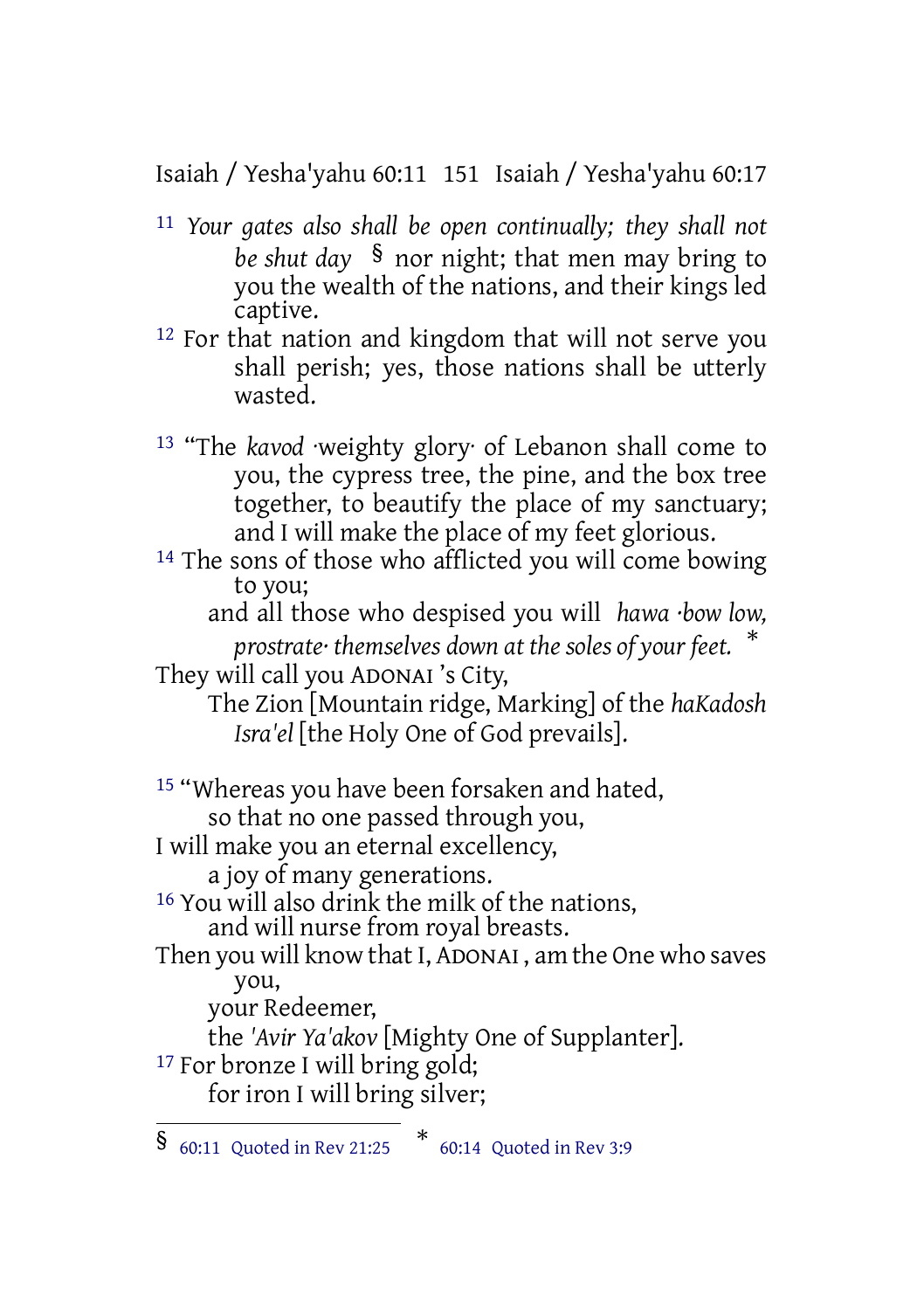Isaiah / Yesha'yahu 60:11 151 Isaiah / Yesha'yahu 60:17

- 11 *Your gates also shall be open continually; they shall not be shut day* § nor night; that men may bring to you the wealth of the nations, and their kings led captive.
- 12 For that nation and kingdom that will not serve you shall perish; yes, those nations shall be utterly wasted.
- 13 "The *kavod* ·weighty glory· of Lebanon shall come to you, the cypress tree, the pine, and the box tree together, to beautify the place of my sanctuary; and I will make the place of my feet glorious.
- 14 The sons of those who afflicted you will come bowing to you;
	- and all those who despised you will *hawa ·bow low, prostrate· themselves down at the soles of your feet.* \*

They will call you ADONAI 's City,

The Zion [Mountain ridge, Marking] of the *haKadosh Isra'el* [the Holy One of God prevails].

15 "Whereas you have been forsaken and hated, so that no one passed through you, I will make you an eternal excellency,

a joy of many generations.

16 You will also drink the milk of the nations, and will nurse from royal breasts.

Then you will know that I, ADONAI , am the One who saves you,

your Redeemer,

the *'Avir Ya'akov* [Mighty One of Supplanter].

<sup>17</sup> For bronze I will bring gold;

for iron I will bring silver;

<sup>§</sup> 60:11 Quoted in Rev 21:25 \* 60:14 Quoted in Rev 3:9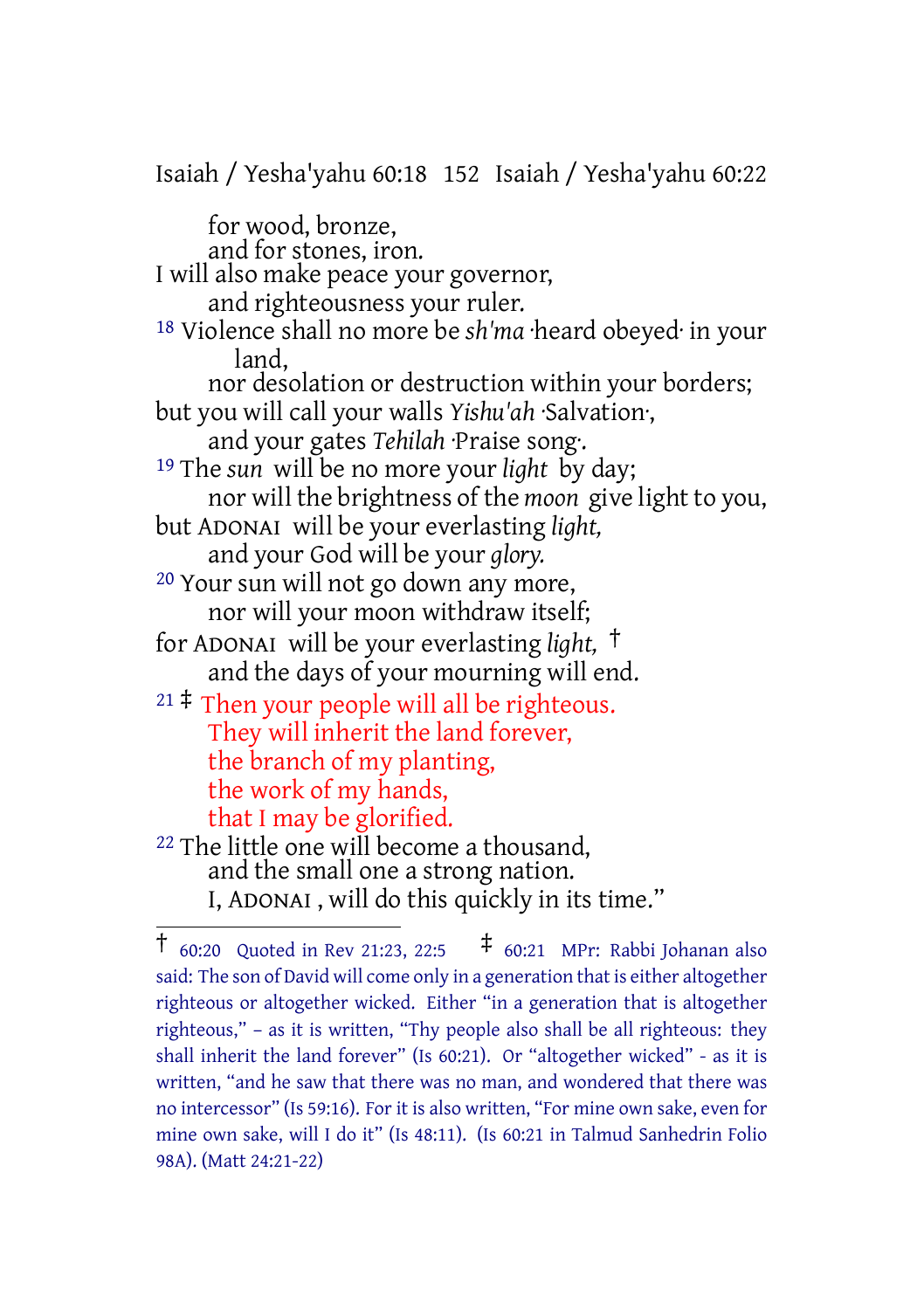Isaiah / Yesha'yahu 60:18 152 Isaiah / Yesha'yahu 60:22 for wood, bronze, and for stones, iron. I will also make peace your governor, and righteousness your ruler. 18 Violence shall no more be *sh'ma* ·heard obeyed· in your land, nor desolation or destruction within your borders; but you will call your walls *Yishu'ah* ·Salvation·, and your gates *Tehilah* ·Praise song·. 19 The *sun* will be no more your *light* by day; nor will the brightness of the *moon* give light to you, but ADONAI will be your everlasting *light,* and your God will be your *glory.* 20 Your sun will not go down any more, nor will your moon withdraw itself; for ADONAI will be your everlasting *light,* † and the days of your mourning will end. <sup>21</sup>  $\ddagger$  Then your people will all be righteous. They will inherit the land forever, the branch of my planting, the work of my hands, that I may be glorified. 22 The little one will become a thousand, and the small one a strong nation. I, ADONAI , will do this quickly in its time."

<sup>†</sup> 60:20 Quoted in Rev 21:23, 22:5 ‡ 60:21 MPr: Rabbi Johanan also said: The son of David will come only in a generation that is either altogether righteous or altogether wicked. Either "in a generation that is altogether righteous," – as it is written, "Thy people also shall be all righteous: they shall inherit the land forever" (Is 60:21). Or "altogether wicked" - as it is written, "and he saw that there was no man, and wondered that there was no intercessor" (Is 59:16). For it is also written, "For mine own sake, even for mine own sake, will I do it" (Is 48:11). (Is 60:21 in Talmud Sanhedrin Folio 98A). (Matt 24:21-22)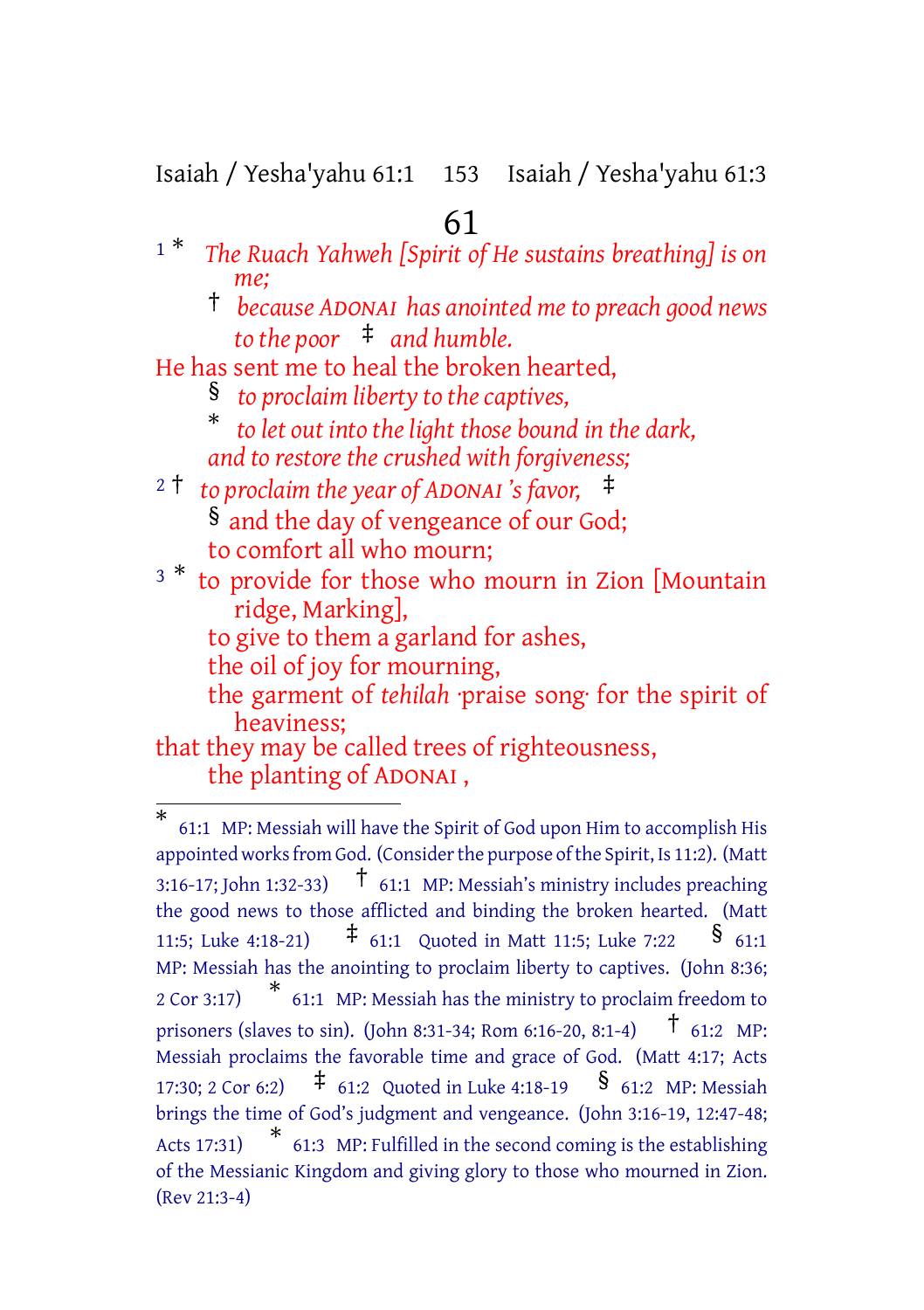Isaiah / Yesha'yahu 61:1 153 Isaiah / Yesha'yahu 61:3

#### 61

- <sup>1</sup> \* *The Ruach Yahweh [Spirit of He sustains breathing] is on me;*
	- † *because ADONAI has anointed meto preach good news to the poor* ‡ *and humble.*
- He has sent me to heal the broken hearted,
	- § *to proclaim liberty to the captives,*
	- \* *to let out into the light those bound in the dark, and to restore the crushed with forgiveness;*
- <sup>2</sup> † *to proclaim the year of ADONAI 's favor,* ‡ § and the day of vengeance of our God; to comfort all who mourn;
- <sup>3</sub> \*</sup> to provide for those who mourn in Zion [Mountain ridge, Marking],
	- to give to them a garland for ashes,
	- the oil of joy for mourning,
	- the garment of *tehilah* ·praise song· for the spirit of heaviness;
- that they may be called trees of righteousness, the planting of ADONAI ,

<sup>\*</sup> 61:1 MP: Messiah will have the Spirit of God upon Him to accomplish His appointed works from God. (Consider the purpose of the Spirit, Is 11:2). (Matt 3:16-17; John 1:32-33)  $\uparrow$  61:1 MP: Messiah's ministry includes preaching the good news to those afflicted and binding the broken hearted. (Matt 11:5; Luke 4:18-21)  $\uparrow$  61:1 Quoted in Matt 11:5; Luke 7:22 § 61:1 MP: Messiah has the anointing to proclaim liberty to captives. (John 8:36; <sup>2</sup> Cor 3:17) \* 61:1 MP: Messiah has the ministry to proclaim freedom to prisoners (slaves to sin). (John 8:31-34; Rom 6:16-20, 8:1-4)  $\uparrow$  61:2 MP: Messiah proclaims the favorable time and grace of God. (Matt 4:17; Acts 17:30; 2 Cor 6:2)  $\uparrow$  61:2 Quoted in Luke 4:18-19  $\frac{1}{\sqrt{2}}$  61:2 MP: Messiah brings the time of God's judgment and vengeance. (John 3:16-19, 12:47-48; Acts 17:31) \* 61:3 MP: Fulfilled in the second coming is the establishing of the Messianic Kingdom and giving glory to those who mourned in Zion. (Rev 21:3-4)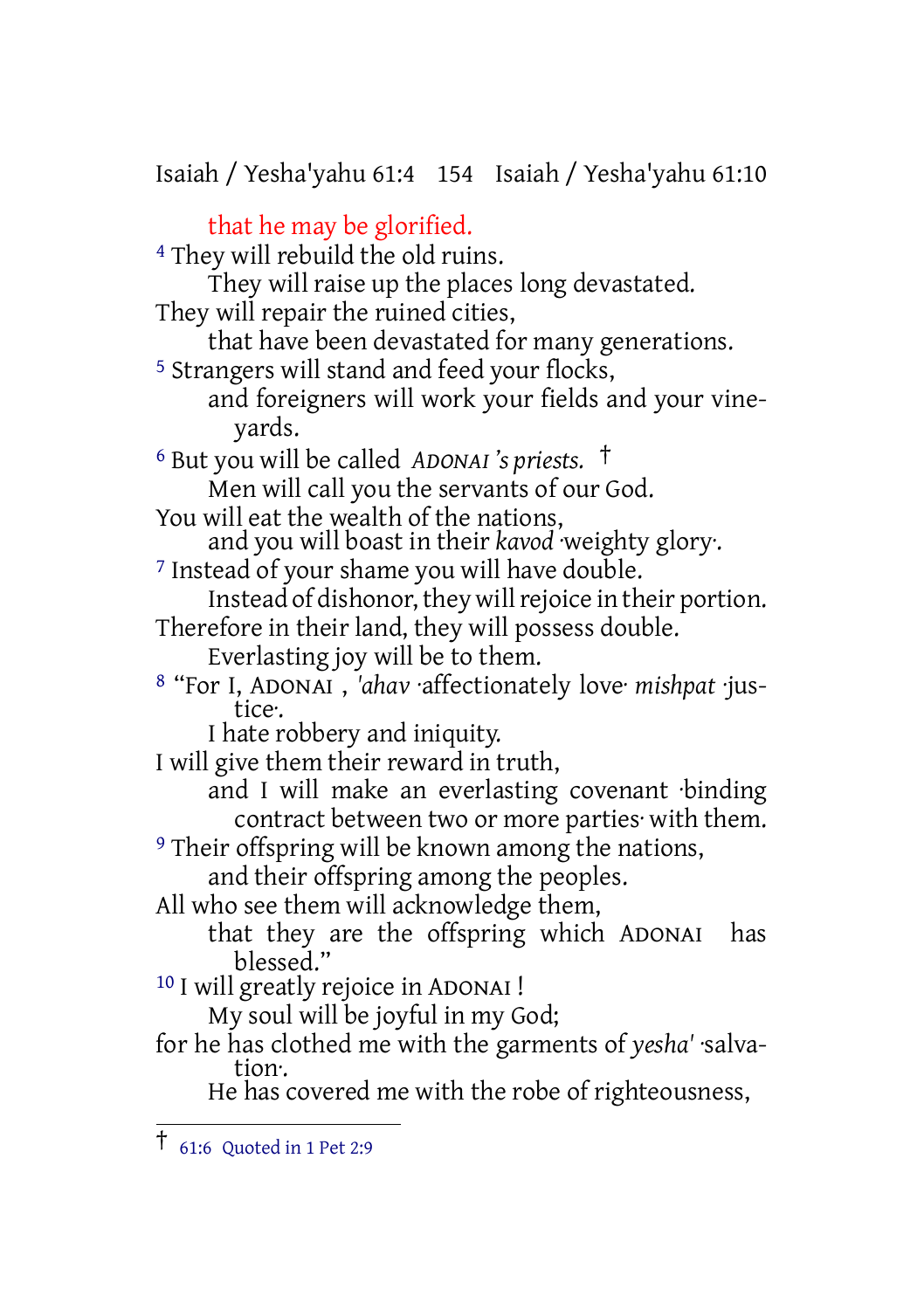Isaiah / Yesha'yahu 61:4 154 Isaiah / Yesha'yahu 61:10

that he may be glorified. 4 They will rebuild the old ruins. They will raise up the places long devastated. They will repair the ruined cities, that have been devastated for many generations. 5 Strangers will stand and feed your flocks, and foreigners will work your fields and your vineyards. <sup>6</sup> But you will be called *ADONAI 's priests.* † Men will call you the servants of our God. You will eat the wealth of the nations, and you will boast in their *kavod* ·weighty glory·. <sup>7</sup> Instead of your shame you will have double. Instead of dishonor, they will rejoice in their portion. Therefore in their land, they will possess double. Everlasting joy will be to them. 8 "For I, ADONAI , *'ahav* ·affectionately love· *mishpat* ·justice·. I hate robbery and iniquity. I will give them their reward in truth, and I will make an everlasting covenant ·binding contract between two or more parties· with them. <sup>9</sup> Their offspring will be known among the nations, and their offspring among the peoples. All who see them will acknowledge them, that they are the offspring which ADONAI has blessed." 10 I will greatly rejoice in ADONAI ! My soul will be joyful in my God; for he has clothed me with the garments of *yesha'* ·salvation·. He has covered me with the robe of righteousness,

<sup>†</sup> 61:6 Quoted in <sup>1</sup> Pet 2:9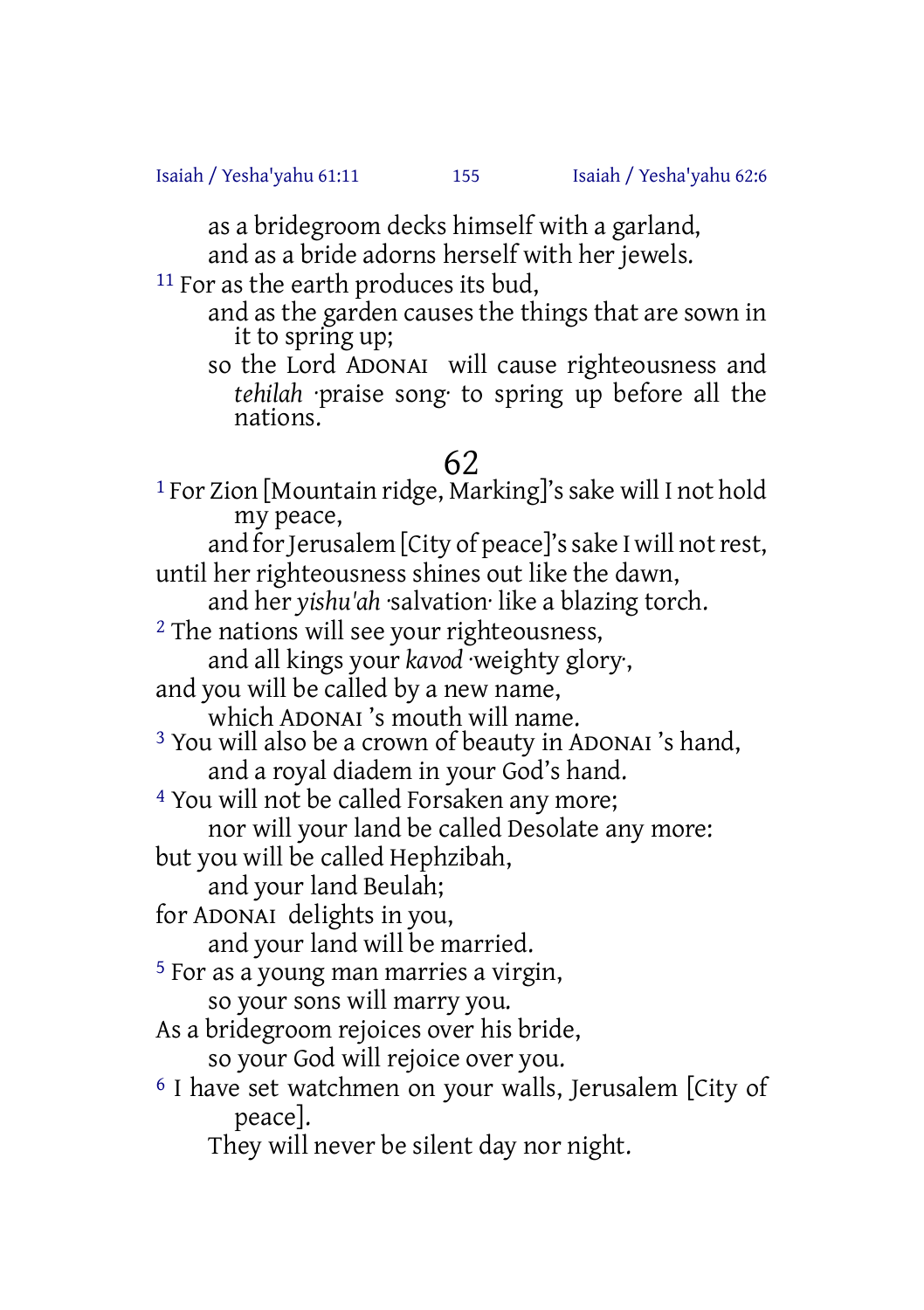as a bridegroom decks himself with a garland,

and as a bride adorns herself with her jewels.

<sup>11</sup> For as the earth produces its bud,

- and as the garden causes the things that are sown in it to spring up;
- so the Lord ADONAI will cause righteousness and *tehilah* ·praise song· to spring up before all the nations.

### 62

<sup>1</sup> For Zion [Mountain ridge, Marking]'s sake will I not hold my peace,

and for Jerusalem [City of peace]'s sake I will not rest, until her righteousness shines out like the dawn,

and her *yishu'ah* ·salvation· like a blazing torch.

<sup>2</sup> The nations will see your righteousness,

and all kings your *kavod* ·weighty glory·,

and you will be called by a new name,

which ADONAI 's mouth will name.

3 You will also be a crown of beauty in ADONAI 's hand, and a royal diadem in your God's hand.

4 You will not be called Forsaken any more;

nor will your land be called Desolate any more:

but you will be called Hephzibah,

and your land Beulah;

for ADONAI delights in you,

and your land will be married.

5 For as a young man marries a virgin, so your sons will marry you.

As a bridegroom rejoices over his bride,

so your God will rejoice over you.

6 I have set watchmen on your walls, Jerusalem [City of peace].

They will never be silent day nor night.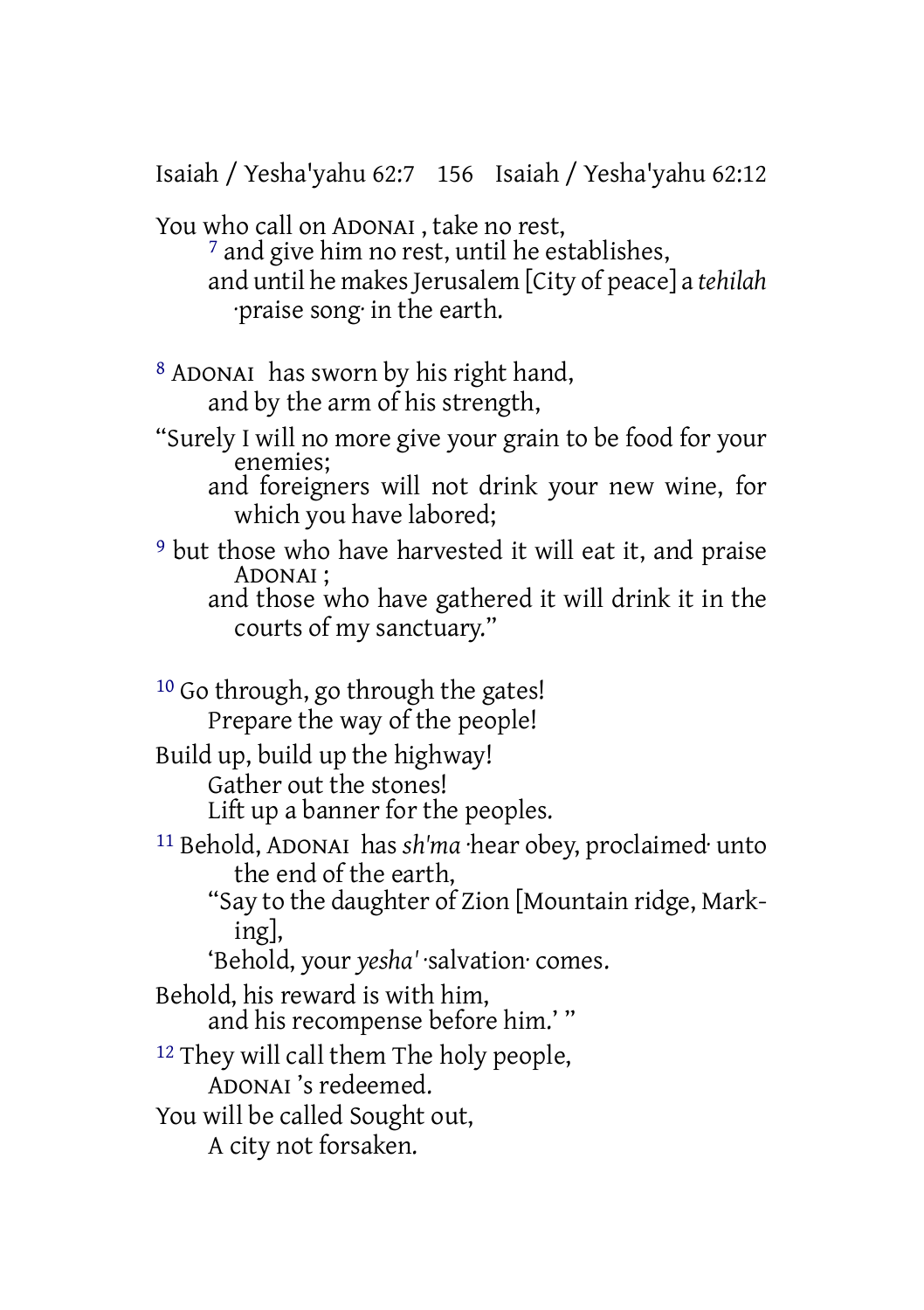Isaiah / Yesha'yahu 62:7 156 Isaiah / Yesha'yahu 62:12

You who call on ADONAI , take no rest,

7 and give him no rest, until he establishes, and until he makes Jerusalem [City of peace] a *tehilah* ·praise song· in the earth.

8 ADONAI has sworn by his right hand, and by the arm of his strength,

- "Surely I will no more give your grain to be food for your enemies;
	- and foreigners will not drink your new wine, for which you have labored;
- 9 but those who have harvested it will eat it, and praise ADONAI ;
	- and those who have gathered it will drink it in the courts of my sanctuary."

10 Go through, go through the gates! Prepare the way of the people! Build up, build up the highway! Gather out the stones! Lift up a banner for the peoples. 11 Behold, ADONAI has *sh'ma* ·hear obey, proclaimed· unto the end of the earth, "Say to the daughter of Zion [Mountain ridge, Marking], 'Behold, your *yesha'* ·salvation· comes. Behold, his reward is with him, and his recompense before him.' " 12 They will call them The holy people, ADONAI 's redeemed. You will be called Sought out, A city not forsaken.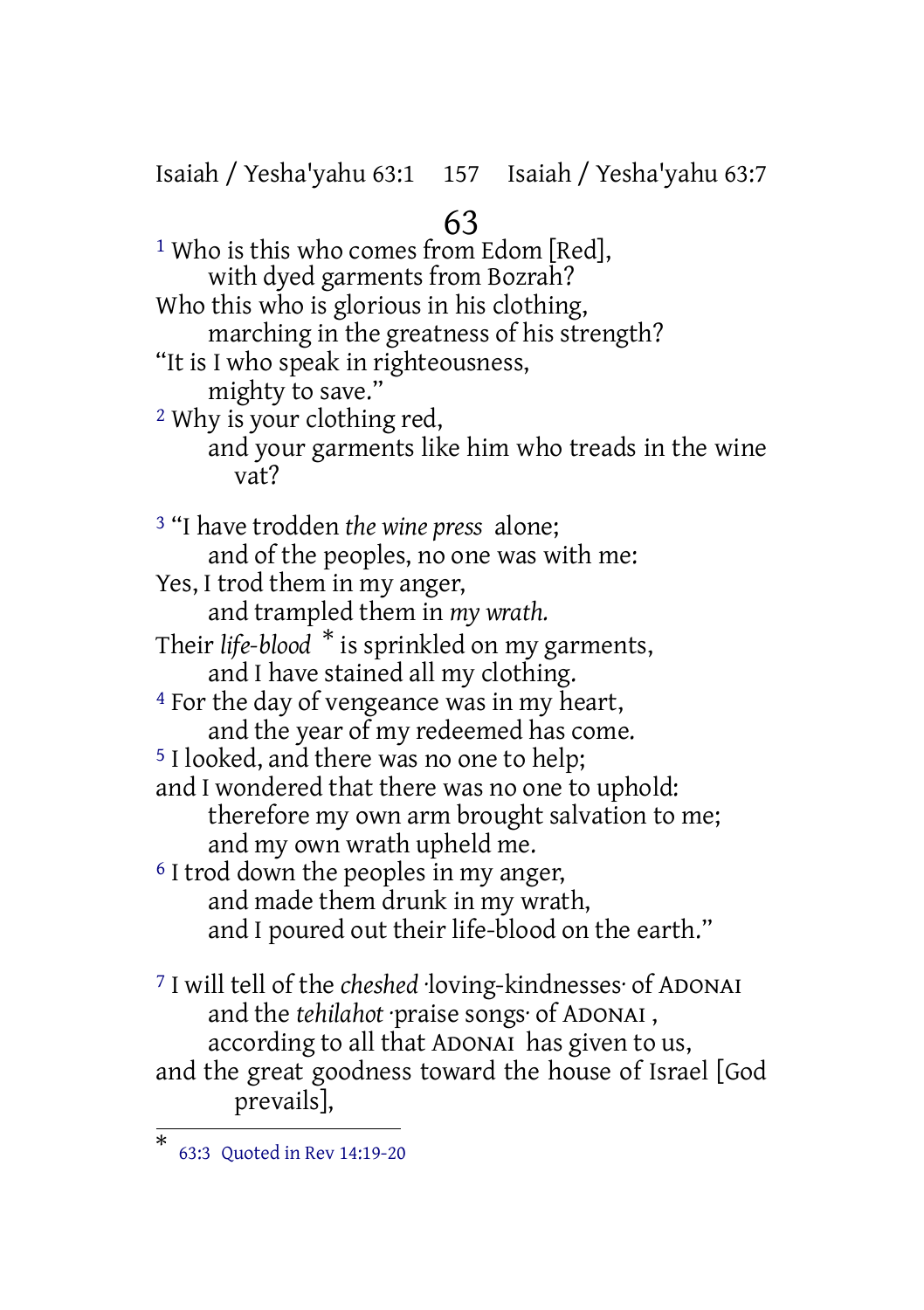Isaiah / Yesha'yahu 63:1 157 Isaiah / Yesha'yahu 63:7

# 63

<sup>1</sup> Who is this who comes from Edom [Red], with dyed garments from Bozrah? Who this who is glorious in his clothing, marching in the greatness of his strength? "It is I who speak in righteousness, mighty to save." 2 Why is your clothing red, and your garments like him who treads in the wine vat? 3 "I have trodden *the wine press* alone; and of the peoples, no one was with me: Yes, I trod them in my anger, and trampled them in *my wrath.* Their *life-blood* \* is sprinkled on my garments, and I have stained all my clothing. 4 For the day of vengeance was in my heart, and the year of my redeemed has come. 5 I looked, and there was no one to help; and I wondered that there was no one to uphold: therefore my own arm brought salvation to me; and my own wrath upheld me. 6 I trod down the peoples in my anger, and made them drunk in my wrath, and I poured out their life-blood on the earth." 7 I will tell of the *cheshed* ·loving-kindnesses· of ADONAI and the *tehilahot* ·praise songs· of ADONAI , according to all that ADONAI has given to us, and the great goodness toward the house of Israel [God

prevails],

<sup>\*</sup> 63:3 Quoted in Rev 14:19-20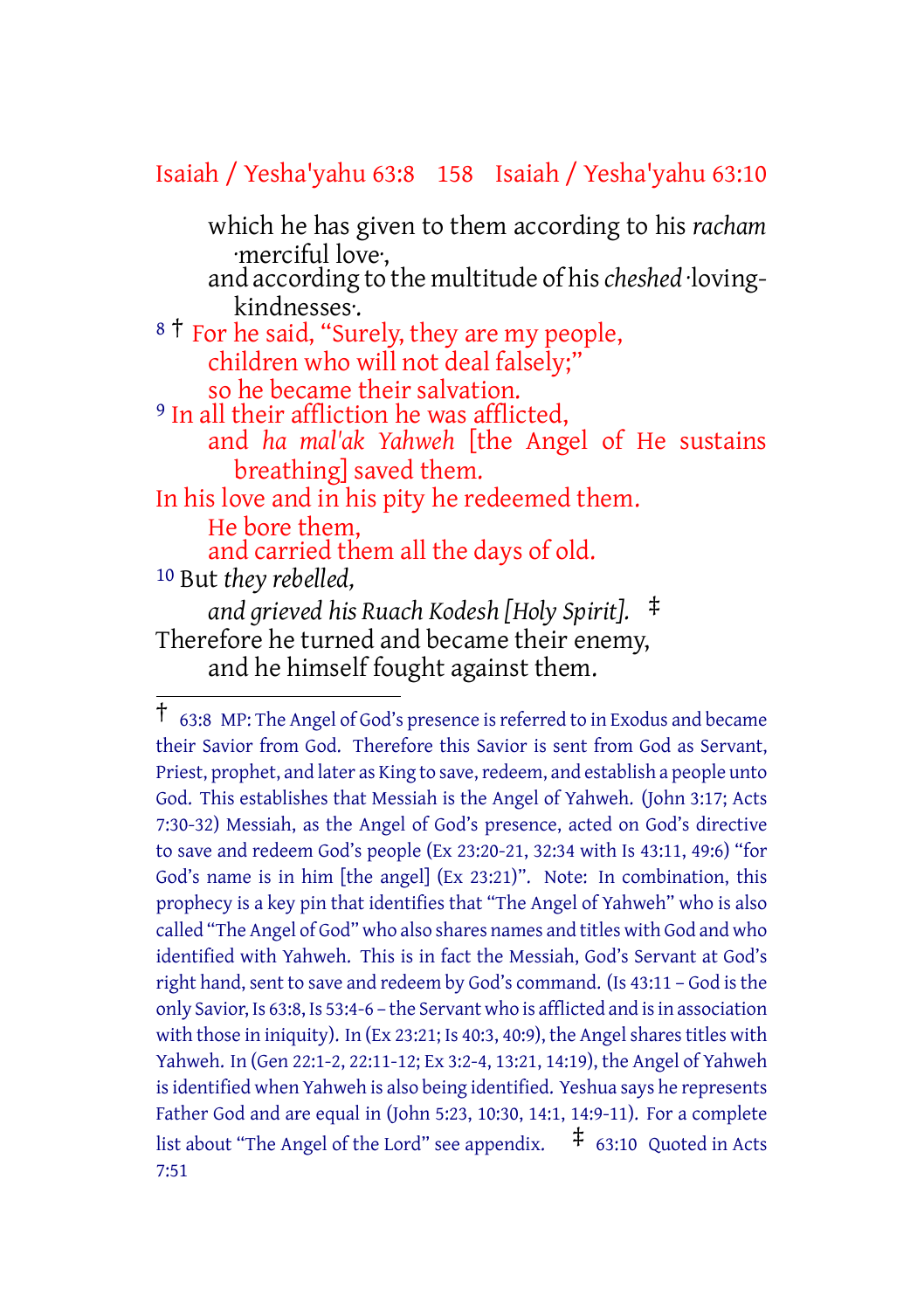#### Isaiah / Yesha'yahu 63:8 158 Isaiah / Yesha'yahu 63:10

which he has given to them according to his *racham* ·merciful love·,

and according to the multitude of his*cheshed* ·lovingkindnesses·.

<sup>8</sup> <sup>†</sup> For he said, "Surely, they are my people, children who will not deal falsely;" so he became their salvation.

<sup>9</sup> In all their affliction he was afflicted,

and *ha mal'ak Yahweh* [the Angel of He sustains breathing] saved them.

In his love and in his pity he redeemed them. He bore them, and carried them all the days of old.

10 But *they rebelled, and grieved his Ruach Kodesh [Holy Spirit].* ‡ Therefore he turned and became their enemy, and he himself fought against them.

<sup>†</sup> 63:8 MP: The Angel of God's presence isreferred to in Exodus and became their Savior from God. Therefore this Savior is sent from God as Servant, Priest, prophet, and later as King to save, redeem, and establish a people unto God. This establishes that Messiah is the Angel of Yahweh. (John 3:17; Acts 7:30-32) Messiah, as the Angel of God's presence, acted on God's directive to save and redeem God's people (Ex 23:20-21, 32:34 with Is 43:11, 49:6) "for God's name is in him [the angel] (Ex 23:21)". Note: In combination, this prophecy is a key pin that identifies that "The Angel of Yahweh" who is also called "The Angel of God" who also shares names and titles with God and who identified with Yahweh. This is in fact the Messiah, God's Servant at God's right hand, sent to save and redeem by God's command. (Is 43:11 - God is the only Savior, Is 63:8, Is 53:4-6 – the Servant who is afflicted and is in association with those in iniquity). In  $(Ex\ 23:21; Is\ 40:3, 40:9)$ , the Angel shares titles with Yahweh. In (Gen 22:1-2, 22:11-12; Ex 3:2-4, 13:21, 14:19), the Angel of Yahweh is identified when Yahweh is also being identified. Yeshua says he represents Father God and are equal in (John 5:23, 10:30, 14:1, 14:9-11). For a complete list about "The Angel of the Lord" see appendix.  $\pm$  63:10 Quoted in Acts 7:51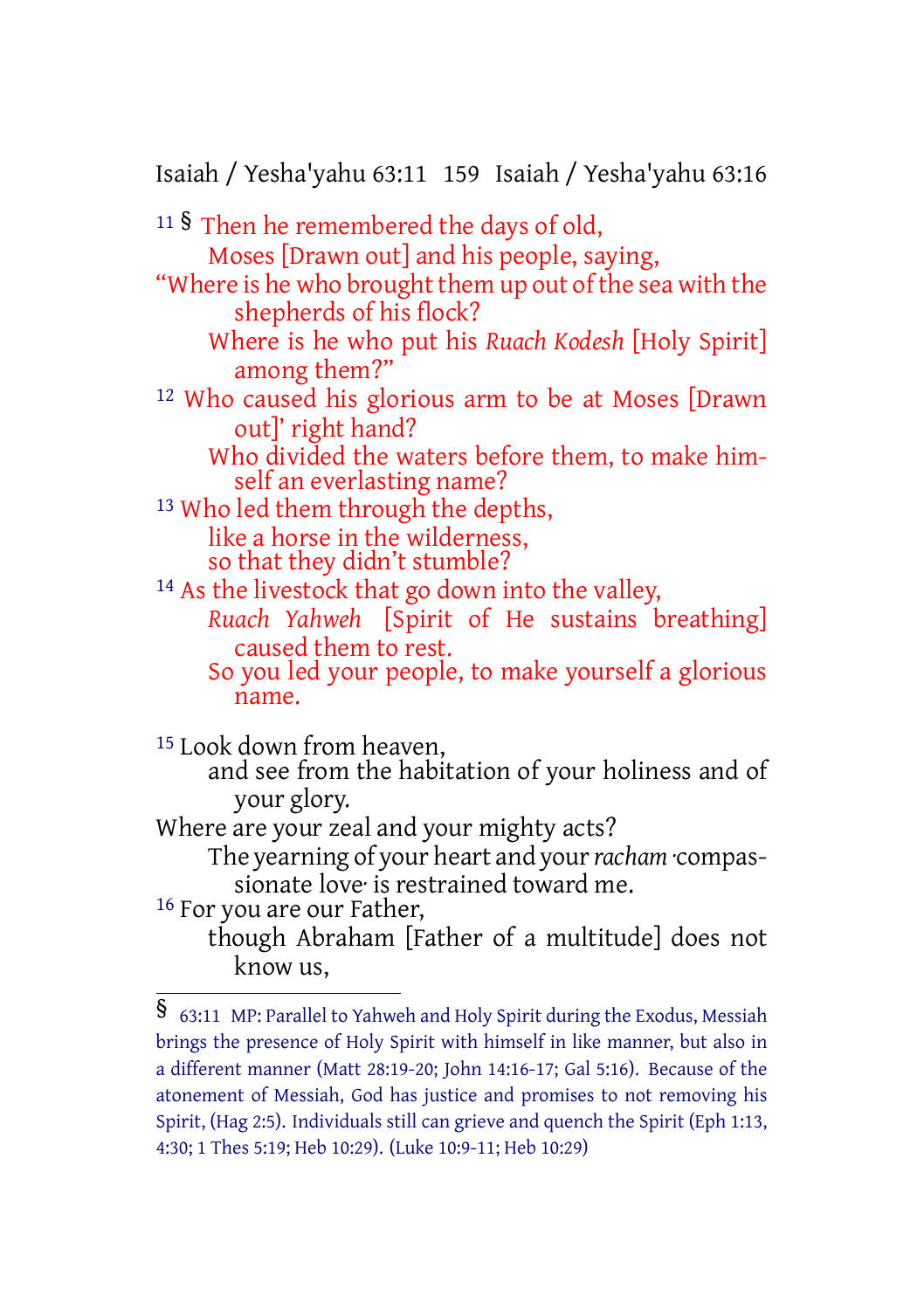Isaiah / Yesha'yahu 63:11 159 Isaiah / Yesha'yahu 63:16

<sup>11</sup> § Then he remembered the days of old, Moses [Drawn out] and his people, saying, "Where is he who brought them up out of the sea with the shepherds of his flock? Where is he who put his *Ruach Kodesh* [Holy Spirit] among them?" 12 Who caused his glorious arm to be at Moses [Drawn out]' right hand? Who divided the waters before them, to make himself an everlasting name? 13 Who led them through the depths, like a horse in the wilderness, so that they didn't stumble? 14 As the livestock that go down into the valley, *Ruach Yahweh* [Spirit of He sustains breathing] caused them to rest. So you led your people, to make yourself a glorious name. 15 Look down from heaven, and see from the habitation of your holiness and of your glory. Where are your zeal and your mighty acts? The yearning of your heart and your*racham* ·compassionate love<sup>r</sup> is restrained toward me. 16 For you are our Father, though Abraham [Father of a multitude] does not know us,

<sup>§</sup> 63:11 MP: Parallel to Yahweh and Holy Spirit during the Exodus, Messiah brings the presence of Holy Spirit with himself in like manner, but also in a different manner (Matt 28:19-20; John 14:16-17; Gal 5:16). Because of the atonement of Messiah, God has justice and promises to not removing his Spirit, (Hag 2:5). Individuals still can grieve and quench the Spirit (Eph 1:13, 4:30; 1 Thes 5:19; Heb 10:29). (Luke 10:9-11; Heb 10:29)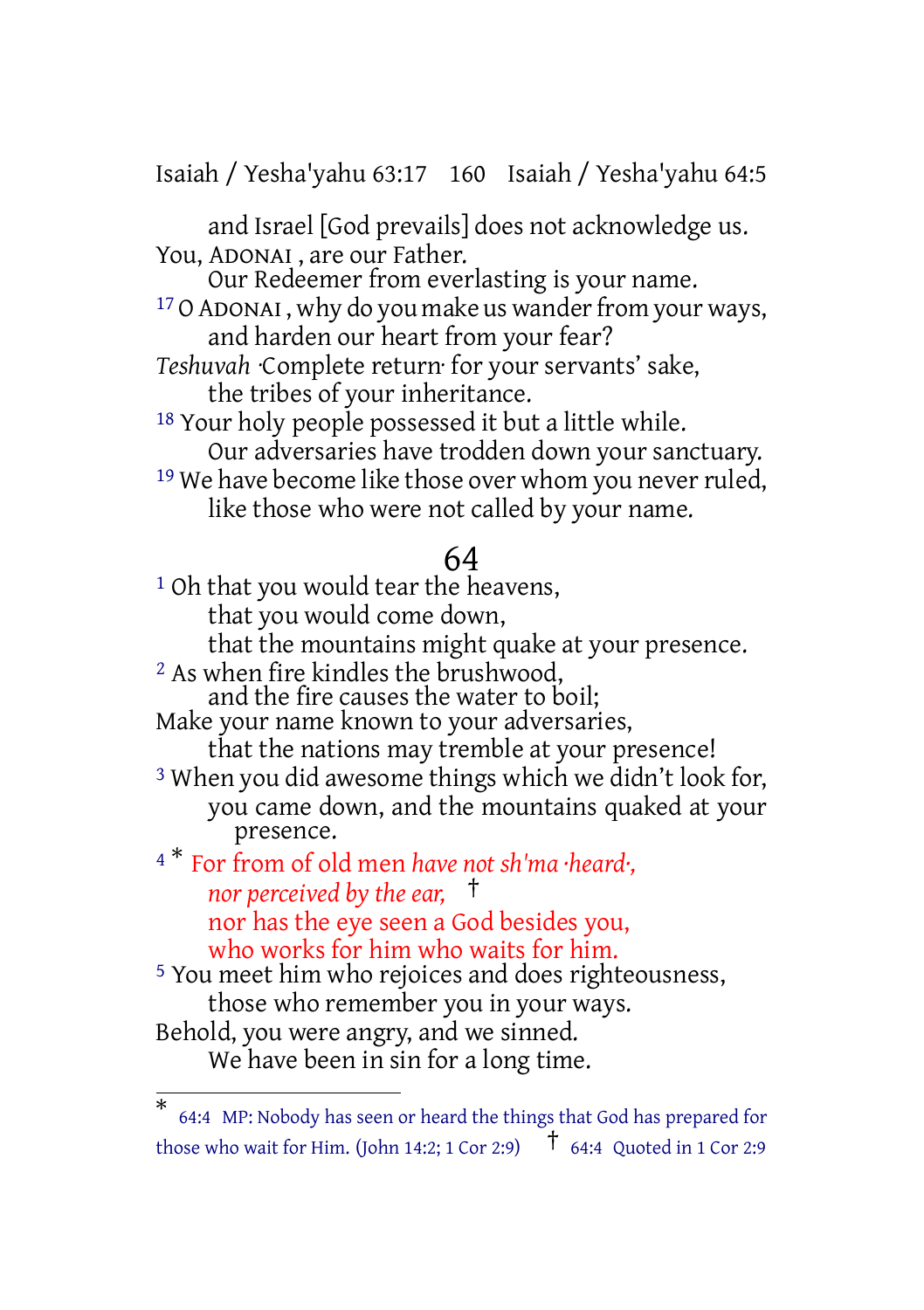Isaiah / Yesha'yahu 63:17 160 Isaiah / Yesha'yahu 64:5

and Israel [God prevails] does not acknowledge us. You, ADONAI , are our Father.

Our Redeemer from everlasting is your name. <sup>17</sup> O ADONAI, why do you make us wander from your ways,

and harden our heart from your fear?

*Teshuvah* ·Complete return· for your servants' sake, the tribes of your inheritance.

18 Your holy people possessed it but a little while. Our adversaries have trodden down your sanctuary.

<sup>19</sup> We have become like those over whom you never ruled, like those who were not called by your name.

# 64

<sup>1</sup> Oh that you would tear the heavens, that you would come down, that the mountains might quake at your presence. 2 As when fire kindles the brushwood, and the fire causes the water to boil; Make your name known to your adversaries, that the nations may tremble at your presence! 3 When you did awesome things which we didn't look for, you came down, and the mountains quaked at your presence. <sup>4</sup> \* For from of old men *have not sh'ma ·heard·, nor perceived by the ear,* † nor has the eye seen a God besides you, who works for him who waits for him. 5 You meet him who rejoices and does righteousness,

those who remember you in your ways. Behold, you were angry, and we sinned. We have been in sin for a long time.

<sup>\*</sup> 64:4 MP: Nobody has seen or heard the things that God has prepared for those who wait for Him. (John 14:2; 1 Cor 2:9)  $\uparrow$  64:4 Quoted in 1 Cor 2:9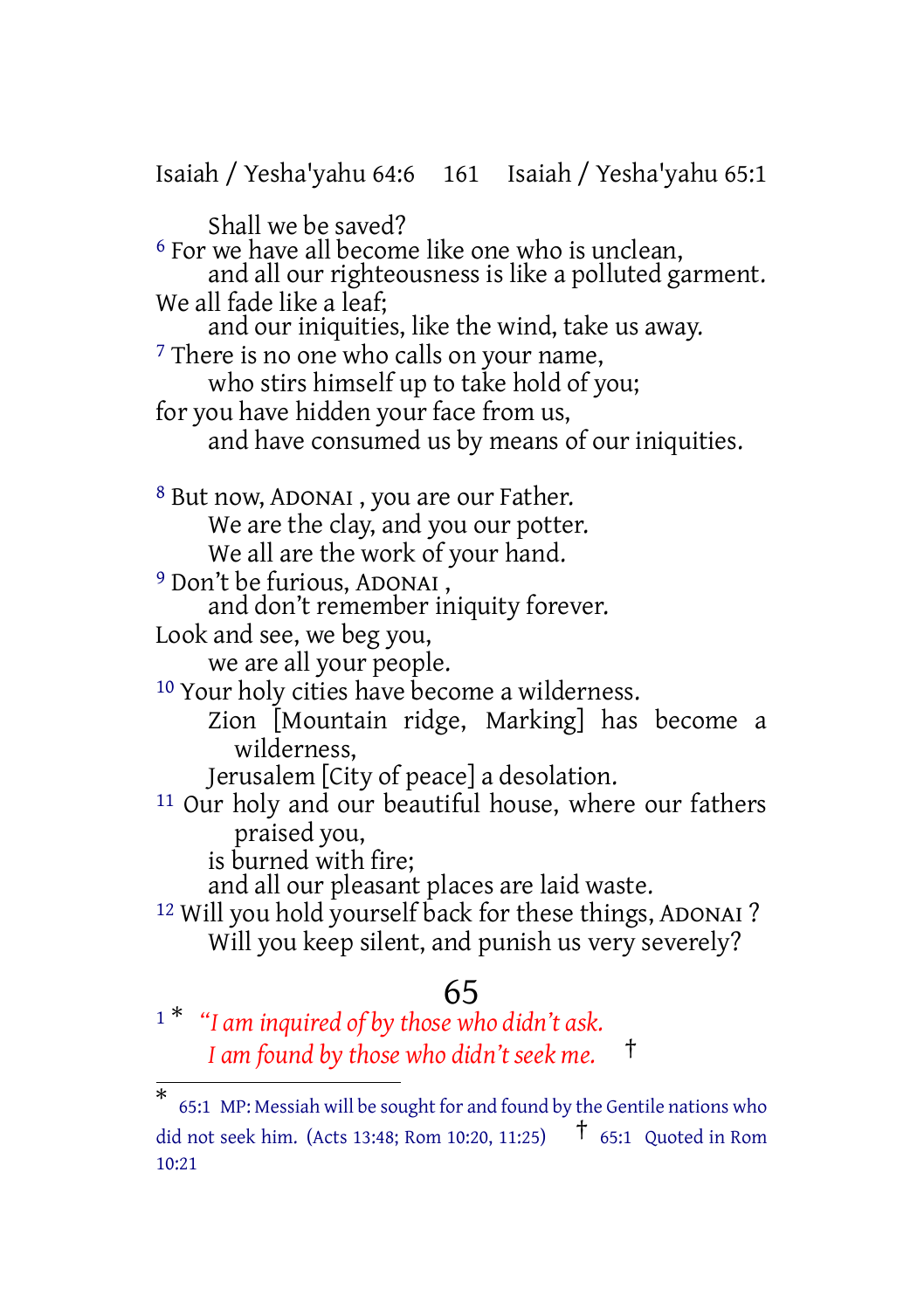Isaiah / Yesha'yahu 64:6 161 Isaiah / Yesha'yahu 65:1 Shall we be saved? 6 For we have all become like one who is unclean, and all our righteousness is like a polluted garment. We all fade like a leaf; and our iniquities, like the wind, take us away. <sup>7</sup> There is no one who calls on your name, who stirs himself up to take hold of you; for you have hidden your face from us, and have consumed us by means of our iniquities. 8 But now, ADONAI , you are our Father. We are the clay, and you our potter. We all are the work of your hand. 9 Don't be furious, ADONAI , and don't remember iniquity forever. Look and see, we beg you, we are all your people. 10 Your holy cities have become a wilderness. Zion [Mountain ridge, Marking] has become a wilderness, Jerusalem [City of peace] a desolation. 11 Our holy and our beautiful house, where our fathers praised you, is burned with fire; and all our pleasant places are laid waste. 12 Will you hold yourself back for these things, ADONAI ? Will you keep silent, and punish us very severely? 65

<sup>1</sup> \* *"I am inquired of by those who didn't ask. I am found by those who didn't seek me.* †

<sup>\*</sup> 65:1 MP: Messiah will be sought for and found by the Gentile nations who did not seek him. (Acts 13:48: Rom 10:20, 11:25)  $\uparrow$  65:1 Quoted in Rom 10:21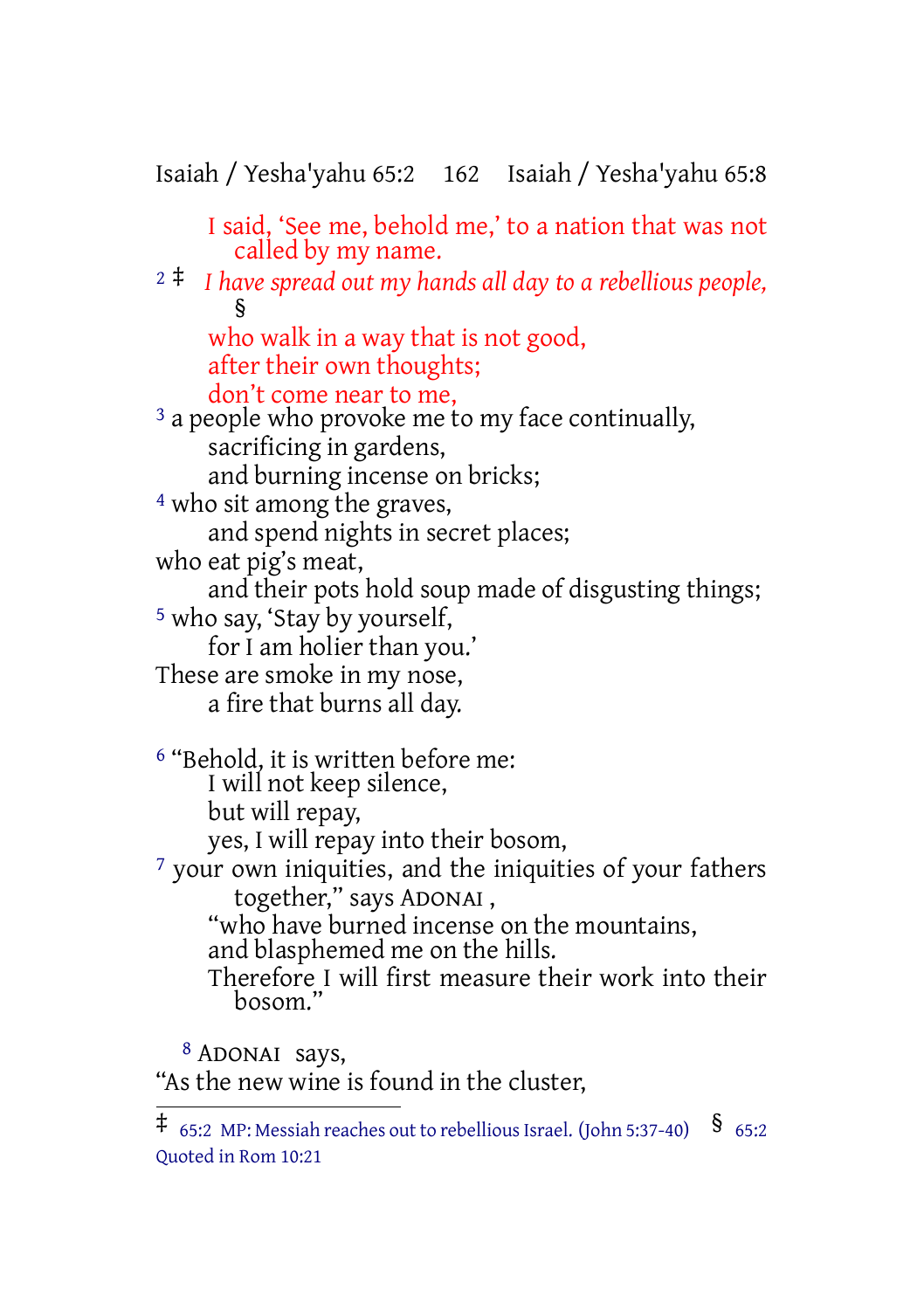Isaiah / Yesha'yahu 65:2 162 Isaiah / Yesha'yahu 65:8

I said, 'See me, behold me,' to a nation that was not called by my name. <sup>2</sup> ‡ *I have spread out my hands all day to a rebellious people,* § who walk in a way that is not good, after their own thoughts; don't come near to me, <sup>3</sup> a people who provoke me to my face continually, sacrificing in gardens, and burning incense on bricks; 4 who sit among the graves, and spend nights in secret places; who eat pig's meat, and their pots hold soup made of disgusting things; <sup>5</sup> who say, 'Stay by yourself, for I am holier than you.' These are smoke in my nose, a fire that burns all day. 6 "Behold, it is written before me: I will not keep silence, but will repay, yes, I will repay into their bosom, 7 your own iniquities, and the iniquities of your fathers together," says ADONAI , "who have burned incense on the mountains, and blasphemed me on the hills. Therefore I will first measure their work into their bosom." 8 ADONAI says,

"As the new wine is found in the cluster,

 $\overline{4}$  65:2 MP: Messiah reaches out to rebellious Israel. (John 5:37-40) § 65:2 Quoted in Rom 10:21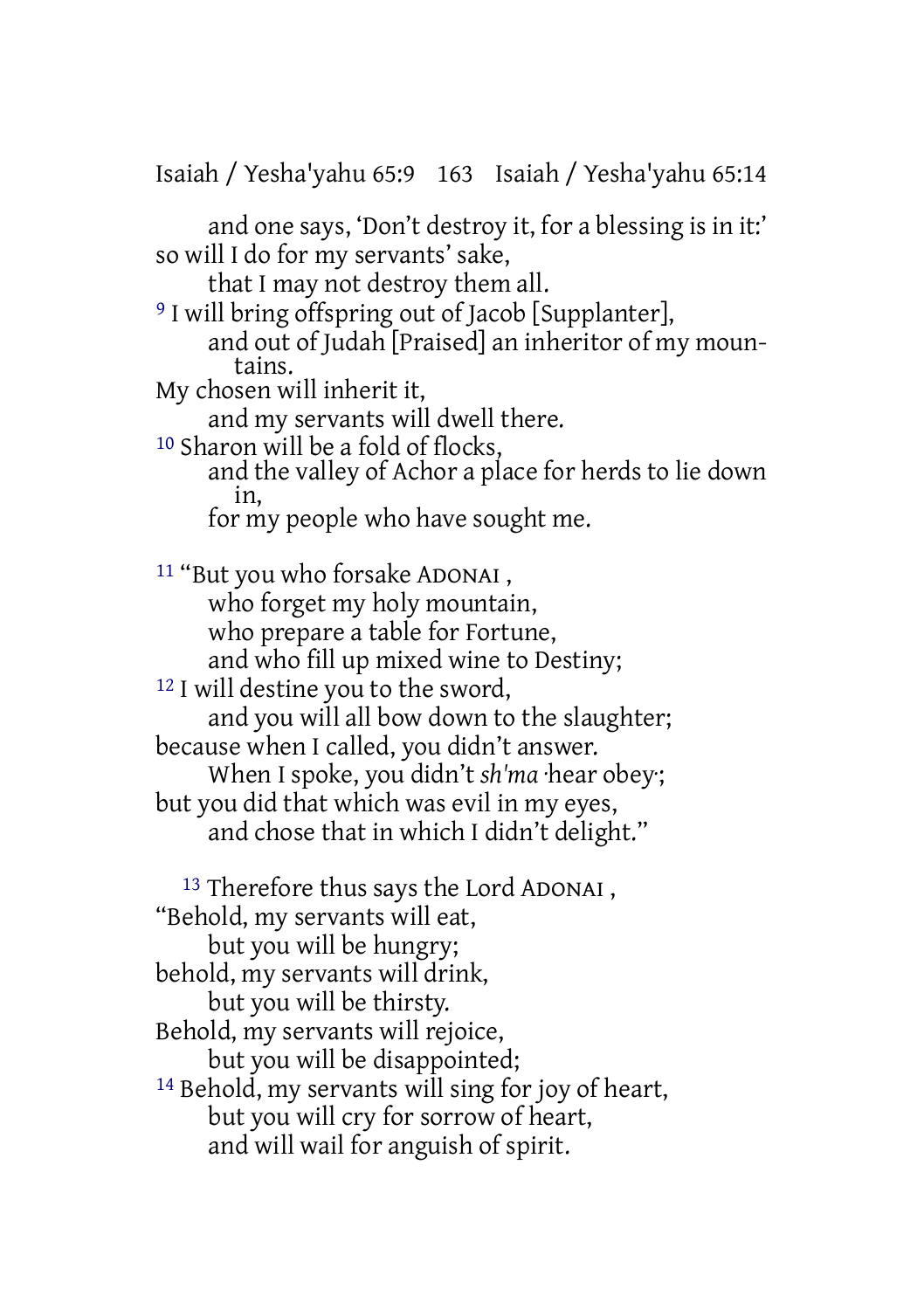Isaiah / Yesha'yahu 65:9 163 Isaiah / Yesha'yahu 65:14

and one says, 'Don't destroy it, for a blessing is in it:' so will I do for my servants' sake,

that I may not destroy them all.

9 I will bring offspring out of Jacob [Supplanter], and out of Judah [Praised] an inheritor of my mountains.

My chosen will inherit it,

and my servants will dwell there.

10 Sharon will be a fold of flocks,

and the valley of Achor a place for herds to lie down in,

for my people who have sought me.

11 "But you who forsake ADONAI , who forget my holy mountain, who prepare a table for Fortune, and who fill up mixed wine to Destiny; 12 I will destine you to the sword, and you will all bow down to the slaughter; because when I called, you didn't answer. When I spoke, you didn't *sh'ma* ·hear obey·; but you did that which was evil in my eyes, and chose that in which I didn't delight." 13 Therefore thus says the Lord ADONAI , "Behold, my servants will eat,

but you will be hungry;

behold, my servants will drink,

but you will be thirsty.

Behold, my servants will rejoice,

but you will be disappointed;

14 Behold, my servants will sing for joy of heart, but you will cry for sorrow of heart, and will wail for anguish of spirit.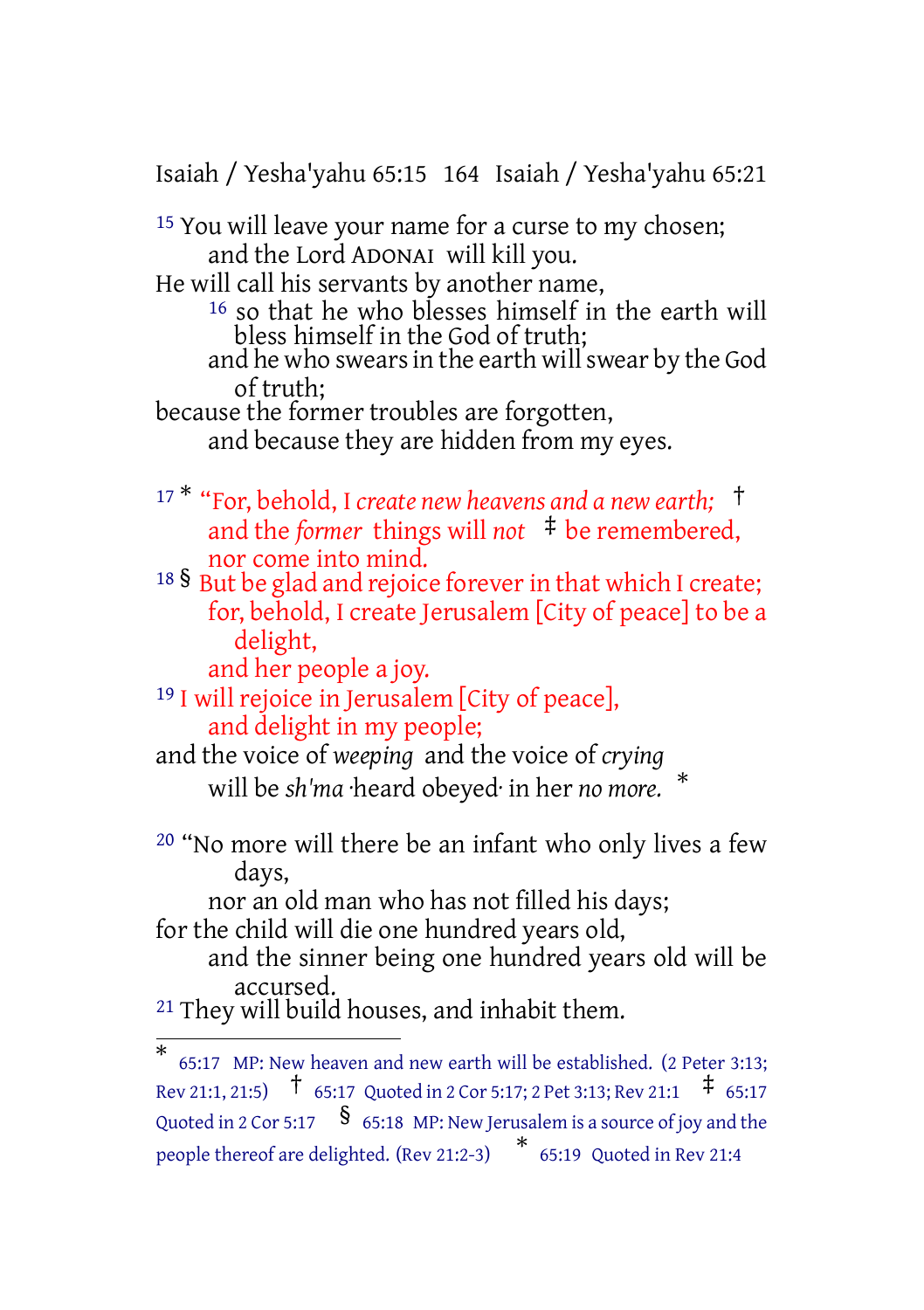Isaiah / Yesha'yahu 65:15 164 Isaiah / Yesha'yahu 65:21

15 You will leave your name for a curse to my chosen; and the Lord ADONAI will kill you. He will call his servants by another name, 16 so that he who blesses himself in the earth will bless himself in the God of truth; and he who swears in the earth will swear by the God of truth; because the former troubles are forgotten, and because they are hidden from my eyes.

- <sup>17</sup> \* "For, behold, I *create new heavens and a new earth;* † and the *former* things will *not*  $\pm$  be remembered, nor come into mind.
- <sup>18</sup> § But be glad and rejoice forever in that which I create; for, behold, I create Jerusalem [City of peace] to be a delight,
	- and her people a joy.
- 19 I will rejoice in Jerusalem [City of peace], and delight in my people;

and the voice of *weeping* and the voice of *crying* will be *sh'ma* ·heard obeyed· in her *no more.*

20 "No more will there be an infant who only lives a few days,

\*

nor an old man who has not filled his days;

for the child will die one hundred years old,

and the sinner being one hundred years old will be accursed.

21 They will build houses, and inhabit them.

<sup>\*</sup> 65:17 MP: New heaven and new earth will be established. (2 Peter 3:13; Rev 21:1, 21:5)  $\uparrow$  65:17 Quoted in 2 Cor 5:17; 2 Pet 3:13; Rev 21:1  $\uparrow$  65:17 Quoted in 2 Cor 5:17  $\,$   $\,$   $\,$   $\,$   $\,$  65:18 MP: New Jerusalem is a source of joy and the people thereof are delighted. (Rev 21:2-3) \* 65:19 Quoted in Rev 21:4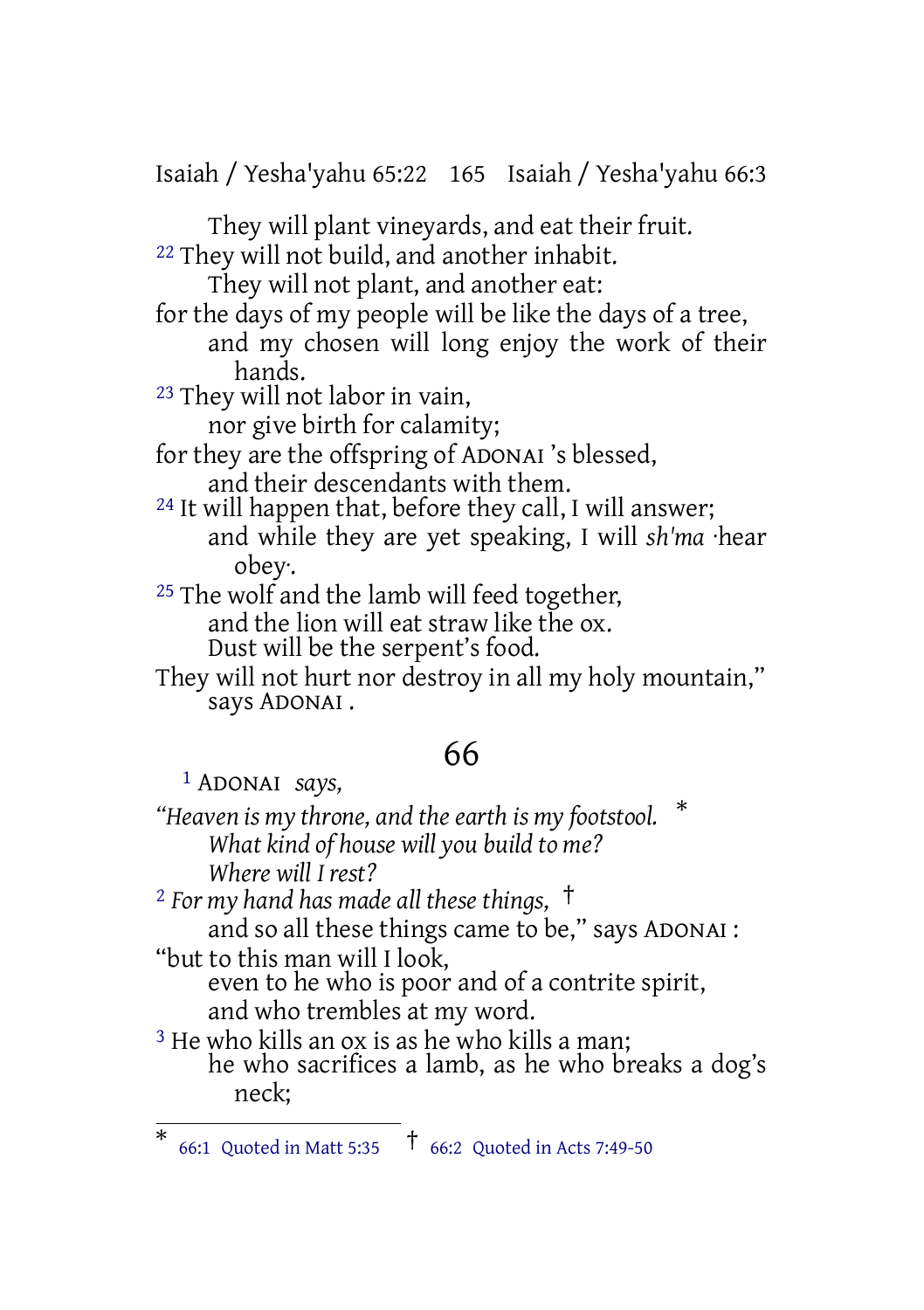Isaiah / Yesha'yahu 65:22 165 Isaiah / Yesha'yahu 66:3

They will plant vineyards, and eat their fruit. <sup>22</sup> They will not build, and another inhabit.

They will not plant, and another eat: for the days of my people will be like the days of a tree, and my chosen will long enjoy the work of their hands. 23 They will not labor in vain,

nor give birth for calamity;

for they are the offspring of ADONAI 's blessed, and their descendants with them.

<sup>24</sup> It will happen that, before they call, I will answer; and while they are yet speaking, I will *sh'ma* ·hear obey·.

<sup>25</sup> The wolf and the lamb will feed together, and the lion will eat straw like the ox. Dust will be the serpent's food.

They will not hurt nor destroy in all my holy mountain," says ADONAI .

# 66

1 ADONAI *says,*

*"Heaven is my throne, and the earth is my footstool.* \* *What kind of house will you build to me? Where will I rest?*

<sup>2</sup> *For my hand has made all these things,* † and so all these things came to be," says ADONAI : "but to this man will I look, even to he who is poor and of a contrite spirit, and who trembles at my word.

<sup>3</sup> He who kills an ox is as he who kills a man; he who sacrifices a lamb, as he who breaks a dog's neck;

<sup>\*</sup> 66:1 Quoted in Matt 5:35 † 66:2 Quoted in Acts 7:49-50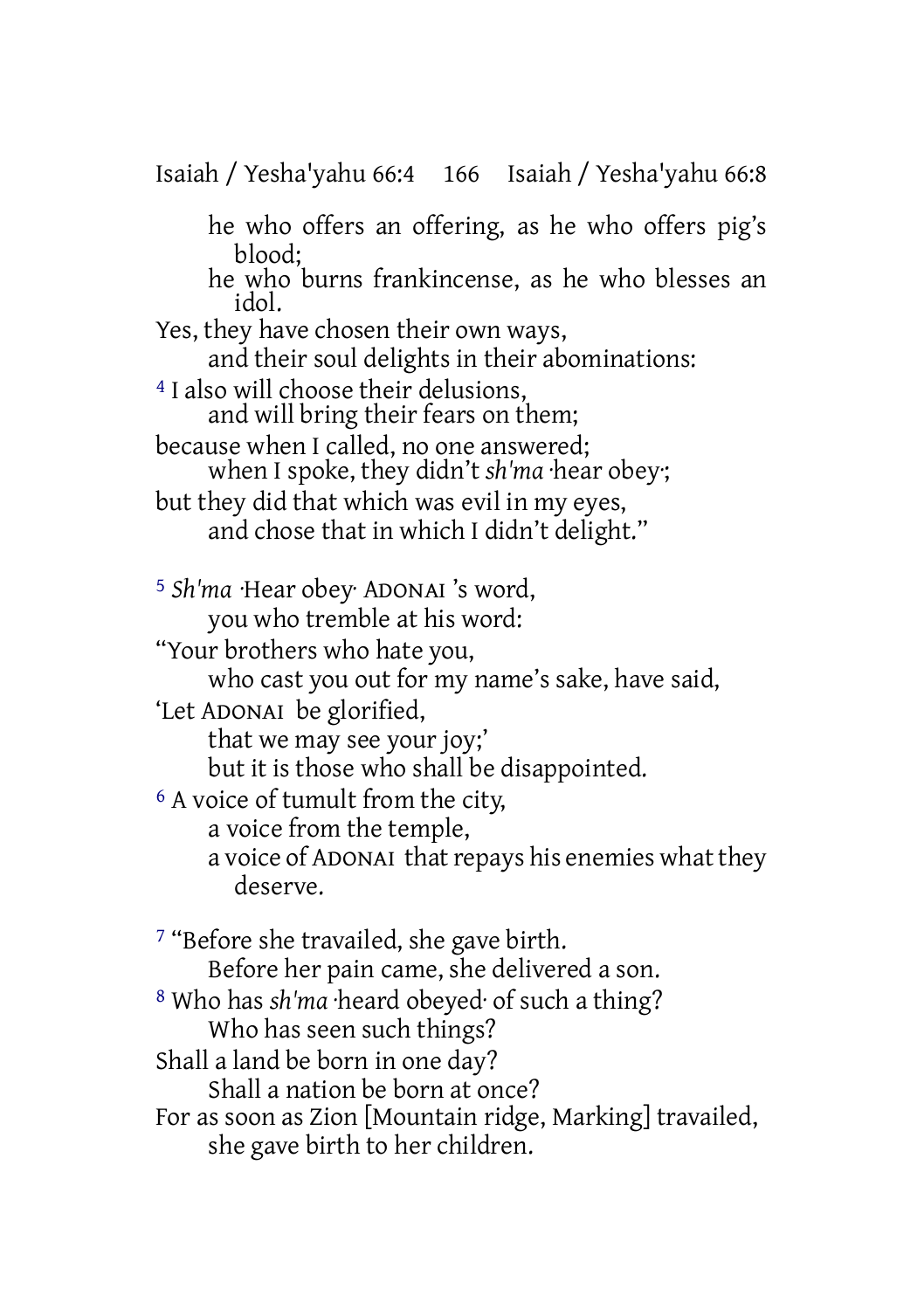Isaiah / Yesha'yahu 66:4 166 Isaiah / Yesha'yahu 66:8

he who offers an offering, as he who offers pig's blood;

he who burns frankincense, as he who blesses an idol.

Yes, they have chosen their own ways, and their soul delights in their abominations:

4 I also will choose their delusions, and will bring their fears on them;

because when I called, no one answered; when I spoke, they didn't *sh'ma* ·hear obey·;

but they did that which was evil in my eyes, and chose that in which I didn't delight."

5 *Sh'ma* ·Hear obey· ADONAI 's word, you who tremble at his word: "Your brothers who hate you, who cast you out for my name's sake, have said, 'Let ADONAI be glorified, that we may see your joy;' but it is those who shall be disappointed. 6 A voice of tumult from the city, a voice from the temple,

a voice of ADONAI that repays his enemies what they deserve.

7 "Before she travailed, she gave birth. Before her pain came, she delivered a son. 8 Who has *sh'ma* ·heard obeyed· of such a thing? Who has seen such things? Shall a land be born in one day? Shall a nation be born at once? For as soon as Zion [Mountain ridge, Marking] travailed, she gave birth to her children.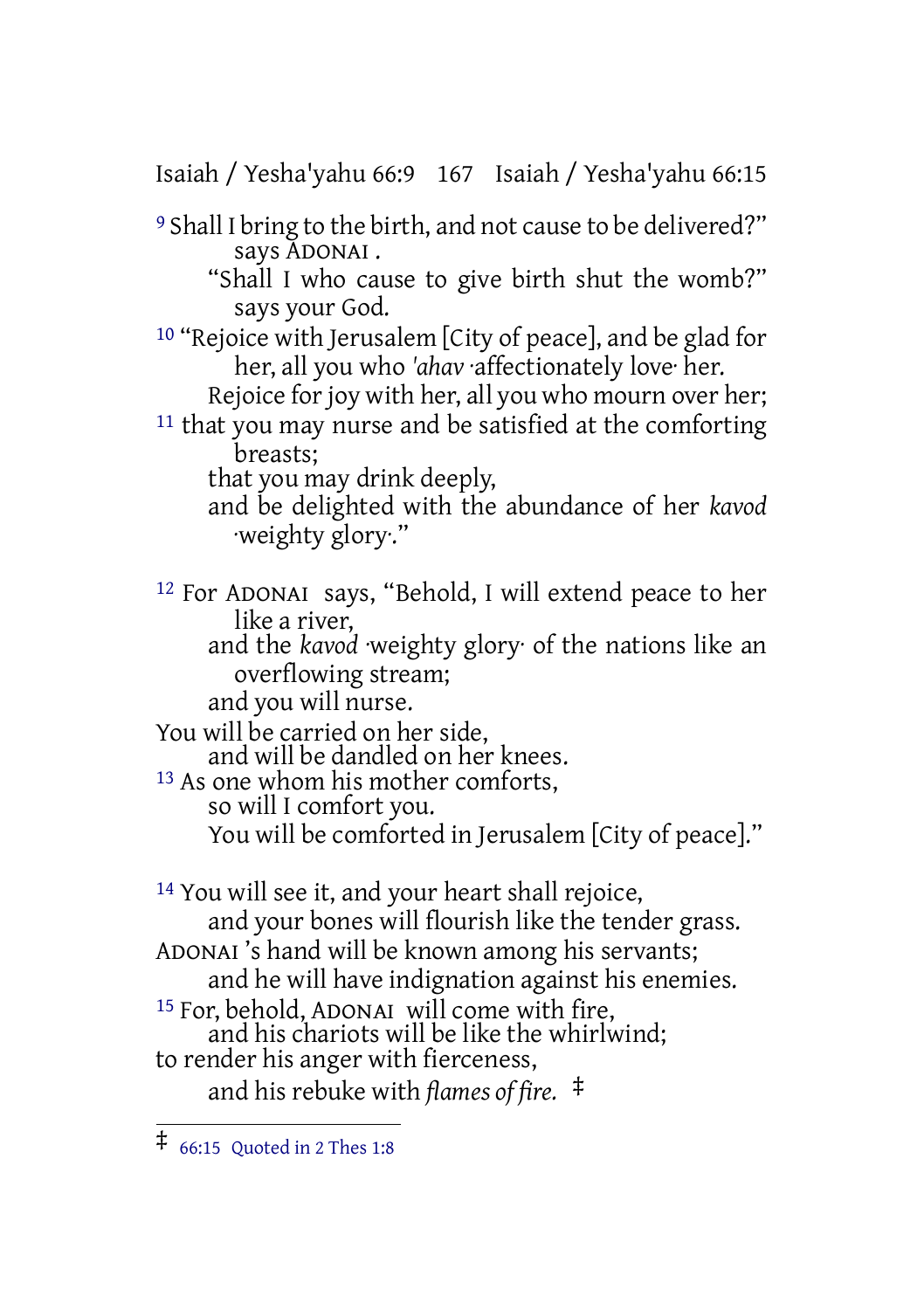Isaiah / Yesha'yahu 66:9 167 Isaiah / Yesha'yahu 66:15

9 Shall I bring to the birth, and not cause to be delivered?" says ADONAI .

"Shall I who cause to give birth shut the womb?" says your God.

10 "Rejoice with Jerusalem [City of peace], and be glad for her, all you who *'ahav* ·affectionately love· her.

Rejoice for joy with her, all you who mourn over her;

<sup>11</sup> that you may nurse and be satisfied at the comforting breasts;

that you may drink deeply,

and be delighted with the abundance of her *kavod* ·weighty glory·."

12 For ADONAI says, "Behold, I will extend peace to her like a river, and the *kavod* ·weighty glory· of the nations like an

overflowing stream;

and you will nurse.

You will be carried on her side,

and will be dandled on her knees.

13 As one whom his mother comforts,

so will I comfort you.

You will be comforted in Jerusalem [City of peace]."

14 You will see it, and your heart shall rejoice, and your bones will flourish like the tender grass. ADONAI 's hand will be known among his servants;

and he will have indignation against his enemies.

15 For, behold, ADONAI will come with fire,

and his chariots will be like the whirlwind; to render his anger with fierceness,

and his rebuke with *flames of fire.* ‡

<sup>‡</sup> 66:15 Quoted in <sup>2</sup> Thes 1:8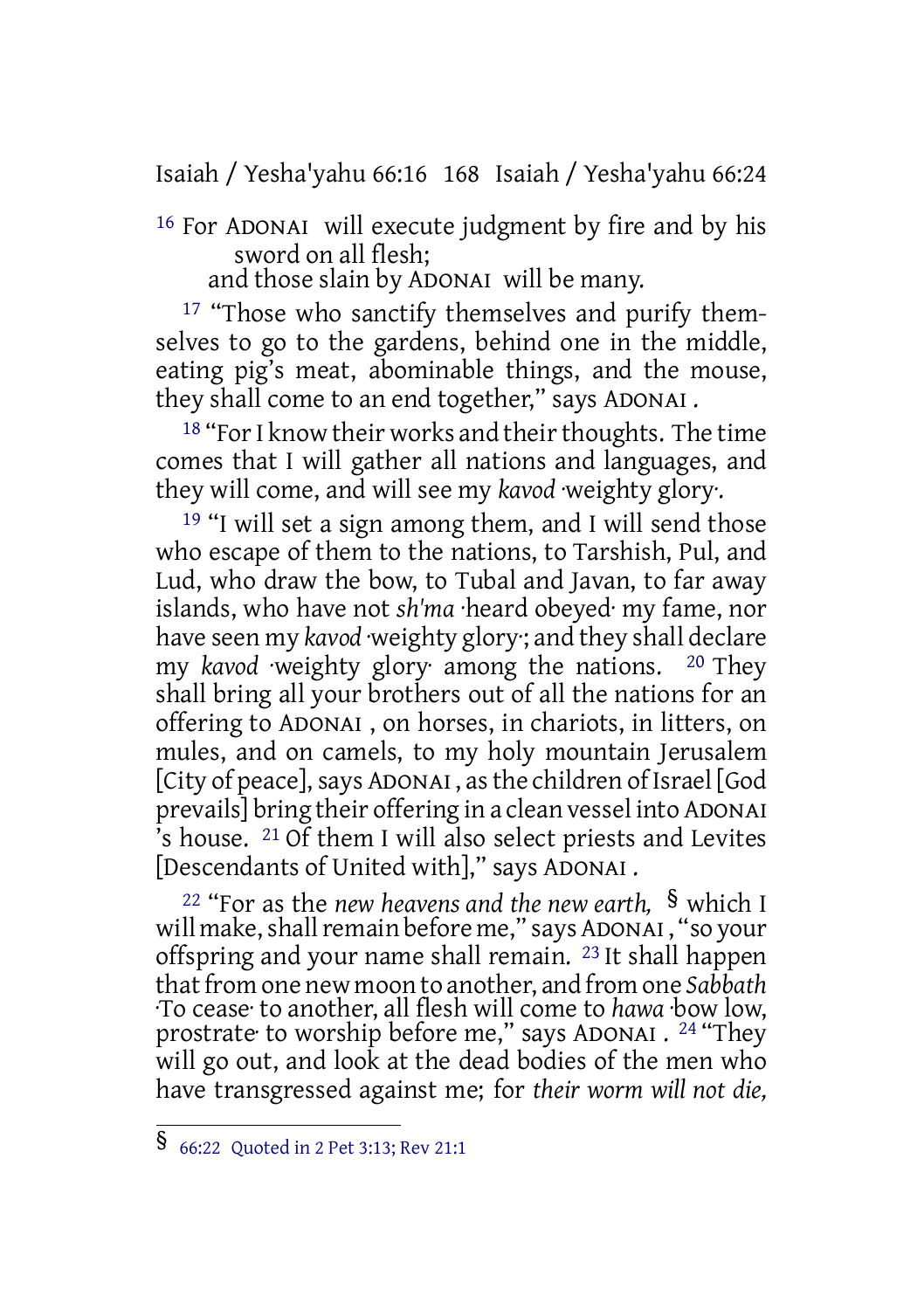Isaiah / Yesha'yahu 66:16 168 Isaiah / Yesha'yahu 66:24

16 For ADONAI will execute judgment by fire and by his sword on all flesh;

and those slain by ADONAI will be many.

<sup>17</sup> "Those who sanctify themselves and purify themselves to go to the gardens, behind one in the middle, eating pig's meat, abominable things, and the mouse, they shall come to an end together," says ADONAI .

<sup>18</sup> "For I know their works and their thoughts. The time comes that I will gather all nations and languages, and they will come, and will see my *kavod* ·weighty glory·.

19 "I will set a sign among them, and I will send those who escape of them to the nations, to Tarshish, Pul, and Lud, who draw the bow, to Tubal and Javan, to far away islands, who have not *sh'ma* ·heard obeyed· my fame, nor have seen my *kavod* ·weighty glory·; and they shall declare my *kavod* ·weighty glory· among the nations. 20 They shall bring all your brothers out of all the nations for an offering to ADONAI , on horses, in chariots, in litters, on mules, and on camels, to my holy mountain Jerusalem [City of peace], says ADONAI, as the children of Israel [God prevails] bring their offering in a clean vessel into ADONAI  $\overline{a}$ 's house. <sup>21</sup> Of them I will also select priests and Levites [Descendants of United with]," says ADONAI .

<sup>22</sup> "For as the *new heavens and the new earth,* § which I will make, shall remain before me," says ADONAI, "so your offspring and your name shall remain. 23 It shall happen that from one new moon to another, and from one Sabbath ·To cease· to another, all flesh will come to *hawa* ·bow low, prostrate<sup>.</sup> to worship before me," says ADONAI . <sup>24</sup> "They will go out, and look at the dead bodies of the men who have transgressed against me; for *their worm will not die,*

<sup>§</sup> 66:22 Quoted in <sup>2</sup> Pet 3:13; Rev 21:1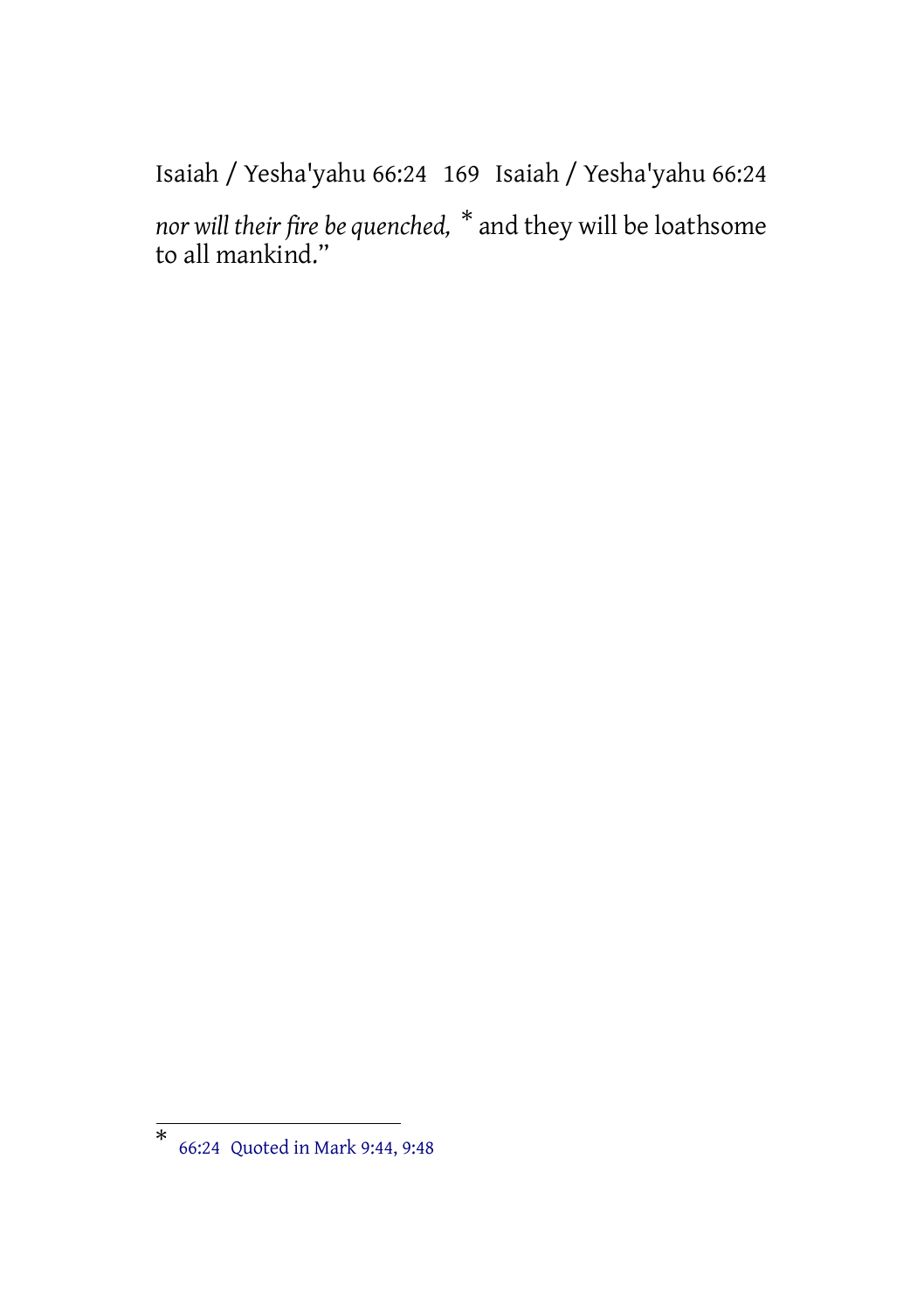Isaiah / Yesha'yahu 66:24 169 Isaiah / Yesha'yahu 66:24

*nor will their fire be quenched,* \* and they will be loathsome to all mankind."

<sup>\*</sup> 66:24 Quoted in Mark 9:44, 9:48